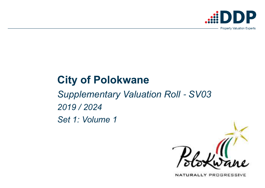# **City of Polokwane**

*Supplementary Valuation Roll* - *SV032019 / 2024Set 1: Volume 1*



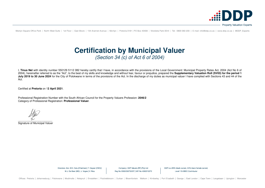I, **Tinus Nel** with identity number 550129 5112 082 hereby certify that I have, in accordance with the provisions of the Local Government: Municipal Property Rates Act, 2004 (Act No 6 of 2004), hereinafter referred to as the "Act", to the best of my skills and knowledge and without fear, favour or prejudice, prepared the **Supplementary Valuation Roll (SV03) for the period 1** July 2019 to 30 June 2024 for the City of Polokwane in terms of the provisions of the Act. In the discharge of my duties as municipal valuer I have complied with Sections 43 and 44 of the Act.

 $\overline{\phantom{a}}$  , and the contribution of the contribution of the contribution of the contribution of the contribution of the contribution of the contribution of the contribution of the contribution of the contribution of the Signature of Municipal Valuer

> Directors: Adv. M.D. Xulu (Chairman) | T. Geyser (CEO) | M.J. De Beer (MD) | J. Voges | V. Riba

Company: DDP Valuers (RF) (Pty) Ltd Reg No 2000/030732/07 | VAT No 4390213272 DDP is a 69% black owned, 44% black female owned, Level 1 B-BBEE Contributor



Certified at **Pretoria** on 1**2 April 2021**.

Professional Registration Number with the South African Council for the Property Valuers Profession: **2046/2**Category of Professional Registration: **Professional Valuer**.

Menlyn Square Office Park | North West Suite | 1st Floor | East Block | 134 Aramist Avenue | Menlyn | Pretoria 0181 | PO Box 40408 | Moreleta Park 0044 | Tel: 0800 060 200 | E-mail: info@ddp.co.za | www.ddp.co.za | @DDP Ex

## **Certification by Municipal Valuer** (Section 34 (c) of Act 6 of 2004)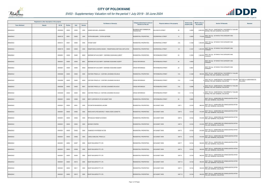|                       | Registered or other description of the property |          |                |       |                |                                                         | Category determined in terms of              |                                            | <b>Extent of the</b> | <b>Market value of</b> |                                                                                                 |                                       |
|-----------------------|-------------------------------------------------|----------|----------------|-------|----------------|---------------------------------------------------------|----------------------------------------------|--------------------------------------------|----------------------|------------------------|-------------------------------------------------------------------------------------------------|---------------------------------------|
| <b>Town Allotment</b> | <b>Suburb</b>                                   | Erf Nr   | <b>Portion</b> | Unit  | <b>Section</b> | <b>Full Names of Owner(s)</b>                           | Section 8 of the Act                         | <b>Physical address of the property</b>    | property (HA)        | the property           | <b>Section 78 Remarks</b>                                                                       | Remarks                               |
| ANNADALE              |                                                 | 00000020 | 00000          | 00000 | 0000           | JANSEN MICHAEL JOHANNES                                 | BUSINESS AND COMMERCIAL<br><b>PROPERTIES</b> | 39<br><b>IULUWAYO STREET</b>               | 0.2855               |                        | 2,600,000 SECT 78(1)(e) - SUBSTANTIALLY INCORRECTLY VALUED<br>DURING THE LAST GENERAL VALUATION |                                       |
| ANNADALE              |                                                 | 00000132 | 00001          | 00000 | 0000           | TATIRA BENJAMIN / TATIRA GETRUDE                        | RESIDENTIAL PROPERTIES                       | 13<br>DOORNKRAAL STREET                    | 0.0952               | 770,000                | SECT 78(1)(g) - OF WHICH THE CATEGORY HAS<br>CHANGED                                            |                                       |
| ANNADALE              |                                                 | 00000141 | 00001          | 00000 | 0000           | <b>TAYOB YUSUF</b>                                      | <b>RESIDENTIAL PROPERTIES</b>                | DOORNKRAAL STREET<br>31A                   | 0.1428               | 1,200,000              | SECT 78(1)(g) - OF WHICH THE CATEGORY HAS<br>CHANGED                                            |                                       |
| ANNADALE              |                                                 | 00000176 | 00000          | 00000 | 0000           | RAMAPHAKELA MARIA KAGISO / RAMAPHAKELA BETHUEL MOTLATSO | RESIDENTIAL PROPERTIES                       | 101<br>DOORNKRAAL STREET                   | 0.1427               | 1,200,000              | SECT 78(1)(g) - OF WHICH THE CATEGORY HAS<br>CHANGED                                            |                                       |
| ANNADALE              |                                                 | 00000201 | 00000          | 00000 | M000           | SEERANE WITLELE MARY / SEERANE KGASHANE ALBERT          | RESIDENTIAL PROPERTIES                       | PIETERSBURG STREET<br>24                   | 0.1903               | 1,500,000              | SECT 78(1)(g) - OF WHICH THE CATEGORY HAS<br>CHANGED                                            |                                       |
| ANNADALE              |                                                 | 00000201 | 00000          | 00000 | M001           | SEERANE WITLELE MARY / SEERANE KGASHANE ALBERT          | <b>CROSS REFERENCE</b>                       | PIETERSBURG STREET<br>24                   | 0.0952               |                        | SECT 78(1)(g) - OF WHICH THE CATEGORY HAS<br>CHANGED                                            |                                       |
| ANNADALE              |                                                 | 00000201 | 00000          | 00000 | M002           | SEERANE WITLELE MARY / SEERANE KGASHANE ALBERT          | <b>CROSS REFERENCE</b>                       | 24<br>PIETERSBURG STREET                   | 0.0951               |                        | SECT 78(1)(g) - OF WHICH THE CATEGORY HAS<br>CHANGED                                            |                                       |
| ANNADALE              |                                                 | 00000280 | 00000          | 00000 | 0000           | COETZEE PRISCILLA / COETZEE JOHANNES WILHELM            | RESIDENTIAL PROPERTIES                       | 51A<br>PIETERSBURG STREET                  | 0.1428               |                        | SECT 78(1)(e) - SUBSTANTIALLY INCORRECTLY VALUED<br>800,000 DURING THE LAST GENERAL VALUATION   |                                       |
| ANNADALE              |                                                 | 00000280 | 00000          | 00000 | M000           | COETZEE PRISCILLA / COETZEE JOHANNES WILHELM            | <b>CROSS REFERENCE</b>                       | PIETERSBURG STREET<br>51A                  | 0.1428               |                        | SECT 78(1)(e) - SUBSTANTIALLY INCORRECTLY VALUED<br>DURING THE LAST GENERAL VALUATION           | SECTION 9.2 SUBDIVIDED AS<br>FOLLOWS: |
| ANNADALE              |                                                 | 00000280 | 00000          | 00000 | M001           | COETZEE PRISCILLA / COETZEE JOHANNES WILHELM            | <b>CROSS REFERENCE</b>                       | 51A<br>PIETERSBURG STREET                  | 0.0286               |                        | SECT 78(1)(e) - SUBSTANTIALLY INCORRECTLY VALUED<br>DURING THE LAST GENERAL VALUATION           |                                       |
| ANNADALE              |                                                 | 00000280 | 00000          | 00000 | M002           | COETZEE PRISCILLA / COETZEE JOHANNES WILHELM            | <b>CROSS REFERENCE</b>                       | 51A<br>PIETERSBURG STREET                  | 0.1142               |                        | SECT 78(1)(e) - SUBSTANTIALLY INCORRECTLY VALUED<br>DURING THE LAST GENERAL VALUATION           |                                       |
| ANNADALE              |                                                 | 00000301 | 00000          | 00000 | 0000           | BODY CORPORATE OF SS SUNSET VIEW                        | RESIDENTIAL PROPERTIES                       | 93<br>PIETERSBURG STREET                   | 0.2855               |                        | SECT 78(1)(c) - SUBDIVIDED OR CONSOLIDATED AFTER<br>THE LAST GENERAL VALUATION                  |                                       |
| ANNADALE              |                                                 | 00000301 | 00000          | 00001 | 0000           | POTGIETER BEADERIKS JACOBA                              | RESIDENTIAL PROPERTIES                       | SS SUNSET VIEW<br>UNIT <sub>1</sub>        | 0.0104               |                        | SECT 78(1)(c) - SUBDIVIDED OR CONSOLIDATED AFTER<br>680,000 THE LAST GENERAL VALUATION          |                                       |
| ANNADALE              |                                                 | 00000301 | 00000          | 00002 | 0000           | RAKAU MOTLATSO BEVERLY / RAKAU NOKO JEANETTE            | <b>RESIDENTIAL PROPERTIES</b>                | <b>SS SUNSET VIEW</b><br>UNIT <sub>2</sub> | 0.0124               |                        | SECT 78(1)(c) - SUBDIVIDED OR CONSOLIDATED AFTER<br>810,000 THE LAST GENERAL VALUATION          |                                       |
| ANNADALE              |                                                 | 00000301 | 00000          | 00003 | 0000           | MPHAHLELE RAESETJA EUNICE                               | RESIDENTIAL PROPERTIES                       | <b>SS SUNSET VIEW</b><br>UNIT <sub>3</sub> | 0.0124               |                        | 810,000 SECT 78(1)(c) - SUBDIVIDED OR CONSOLIDATED AFTER<br>THE LAST GENERAL VALUATION          |                                       |
| ANNADALE              |                                                 | 00000301 | 00000          | 00004 | 0000           | <b>MURAWI CRISPEN</b>                                   | <b>RESIDENTIAL PROPERTIES</b>                | UNIT <sub>4</sub><br><b>SS SUNSET VIEW</b> | 0.0124               |                        | SECT 78(1)(c) - SUBDIVIDED OR CONSOLIDATED AFTER<br>810,000 THE LAST GENERAL VALUATION          |                                       |
| ANNADALE              |                                                 | 00000301 | 00000          | 00005 | 0000           | TAAIBOSCH RAYMOND HILTON                                | <b>RESIDENTIAL PROPERTIES</b>                | SS SUNSET VIEW<br>UNIT <sub>5</sub>        | 0.0124               |                        | 810,000 SECT 78(1)(c) - SUBDIVIDED OR CONSOLIDATED AFTER<br>THE LAST GENERAL VALUATION          |                                       |
| ANNADALE              |                                                 | 00000301 | 00000          | 00006 | 0000           | LAMOLA MAEJOEL PRISCILLA                                | <b>RESIDENTIAL PROPERTIES</b>                | <b>SS SUNSET VIEW</b><br>UNIT 6            | 0.0124               |                        | SECT 78(1)(c) - SUBDIVIDED OR CONSOLIDATED AFTER<br>810,000 THE LAST GENERAL VALUATION          |                                       |
| ANNADALE              |                                                 | 00000301 | 00000          | 00007 | 0000           | BUZZY BUILDERS PTY LTD                                  | RESIDENTIAL PROPERTIES                       | UNIT <sub>7</sub><br><b>SS SUNSET VIEW</b> | 0.0144               |                        | SECT 78(1)(c) - SUBDIVIDED OR CONSOLIDATED AFTER<br>940,000 THE LAST GENERAL VALUATION          |                                       |
| ANNADALE              |                                                 | 00000301 | 00000          | 00008 | 0000           | <b>BUZZY BUILDERS PTY LTD</b>                           | <b>RESIDENTIAL PROPERTIES</b>                | <b>SS SUNSET VIEW</b><br>UNIT 8            | 0.0144               |                        | SECT 78(1)(c) - SUBDIVIDED OR CONSOLIDATED AFTER<br>940,000 THE LAST GENERAL VALUATION          |                                       |
| ANNADALE              |                                                 | 00000301 | 00000          | 00009 | 0000           | BUZZY BUILDERS PTY LTD                                  | <b>RESIDENTIAL PROPERTIES</b>                | UNIT 9<br><b>SS SUNSET VIEW</b>            | 0.0144               | 940,000                | SECT 78(1)(c) - SUBDIVIDED OR CONSOLIDATED AFTER<br>THE LAST GENERAL VALUATION                  |                                       |
| ANNADALE              |                                                 | 00000301 | 00000          | 00010 | 0000           | BUZZY BUILDERS PTY LTD                                  | <b>RESIDENTIAL PROPERTIES</b>                | SS SUNSET VIEW<br><b>UNIT 10</b>           | 0.0143               |                        | SECT 78(1)(c) - SUBDIVIDED OR CONSOLIDATED AFTER<br>930,000 THE LAST GENERAL VALUATION          |                                       |
| ANNADALE              |                                                 | 00000301 | 00000          | 00011 | 0000           | BUZZY BUILDERS PTY LTD                                  | RESIDENTIAL PROPERTIES                       | UNIT <sub>11</sub><br>SS SUNSET VIEW       | 0.0144               |                        | 940,000 SECT 78(1)(c) - SUBDIVIDED OR CONSOLIDATED AFTER<br>THE LAST GENERAL VALUATION          |                                       |
| ANNADALE              |                                                 | 00000301 | 00000          | 00012 | 0000           | BUZZY BUILDERS PTY LTD                                  | RESIDENTIAL PROPERTIES                       | <b>SS SUNSET VIEW</b><br><b>UNIT 12</b>    | 0.0144               | 940,000                | SECT 78(1)(c) - SUBDIVIDED OR CONSOLIDATED AFTER<br>THE LAST GENERAL VALUATION                  |                                       |



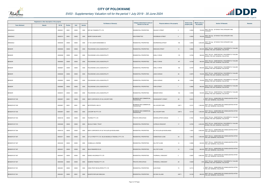

|                       | Registered or other description of the property |               |                |       |                |                                                        | Category determined in terms of              |                                              | <b>Extent of the</b> | <b>Market value of</b> |                                                                                                 |                |
|-----------------------|-------------------------------------------------|---------------|----------------|-------|----------------|--------------------------------------------------------|----------------------------------------------|----------------------------------------------|----------------------|------------------------|-------------------------------------------------------------------------------------------------|----------------|
| <b>Town Allotment</b> | <b>Suburb</b>                                   | <b>Erf Nr</b> | <b>Portion</b> | Unit  | <b>Section</b> | <b>Full Names of Owner(s)</b>                          | <b>Section 8 of the Act</b>                  | Physical address of the property             | property (HA)        | the property           | <b>Section 78 Remarks</b>                                                                       | <b>Remarks</b> |
| ANNADALE              |                                                 | 00000321      | 00001          | 00000 | 0000           | ERF 842 TZANEEN PTY LTD                                | RESIDENTIAL PROPERTIES                       | RAILWAY STREET<br>$\overline{c}$             | 0.0952               |                        | SECT 78(1)(g) - OF WHICH THE CATEGORY HAS<br>720,000 CHANGED                                    |                |
| ANNADALE              |                                                 | 00000374      | 00001          | 00000 | 0000           | MORIFI DUNCAN NAPE                                     | <b>NON PERMITTED</b>                         | WOODBUSH STREET<br>$\mathbf{3}$              | 0.0952               | 790,000                | SECT 78(1)(g) - OF WHICH THE CATEGORY HAS<br>CHANGED                                            |                |
| ANNADALE              |                                                 | 00000509      | 00000          | 00000 | 0000           | H T DE JAGER EIENDOMME CC                              | RESIDENTIAL PROPERTIES                       | 105<br>DOORNKRAALSTRAAT                      | 0.2855               |                        | SECT 78(1)(g) - OF WHICH THE CATEGORY HAS<br>4,300,000 CHANGED                                  |                |
| <b>BENDOR</b>         |                                                 | 00000565      | 00000          | 00000 | 0000           | POLOKWANE LOCAL MUNICIPALITY                           | <b>RESIDENTIAL PROPERTIES</b>                | <b>WIEHAHN STREET</b><br>10                  | 0.0863               | 650,000                | SECT 78(1)(e) - SUBSTANTIALLY INCORRECTLY VALUED<br>DURING THE LAST GENERAL VALUATION           |                |
| <b>BENDOR</b>         |                                                 | 00000599      | 00000          | 00000 | 0000           | POLOKWANE LOCAL MUNICIPALITY                           | RESIDENTIAL PROPERTIES                       | 179<br>SHELLY DRIVE                          | 0.0784               |                        | SECT 78(1)(e) - SUBSTANTIALLY INCORRECTLY VALUED<br>590,000 DURING THE LAST GENERAL VALUATION   |                |
| <b>BENDOR</b>         |                                                 | 00000605      | 00000          | 00000 | 0000           | POLOKWANE LOCAL MUNICIPALITY                           | RESIDENTIAL PROPERTIES                       | 167<br>SHELLY DRIVE                          | 0.0748               |                        | SECT 78(1)(e) - SUBSTANTIALLY INCORRECTLY VALUED<br>560,000 DURING THE LAST GENERAL VALUATION   |                |
| <b>BENDOR</b>         |                                                 | 00000607      | 00000          | 00000 | 0000           | POLOKWANE LOCAL MUNICIPALITY                           | RESIDENTIAL PROPERTIES                       | SHELLY DRIVE<br>163                          | 0.0797               |                        | SECT 78(1)(e) - SUBSTANTIALLY INCORRECTLY VALUED<br>600,000 DURING THE LAST GENERAL VALUATION   |                |
| <b>BENDOR</b>         |                                                 | 00000648      | 00000          | 00000 | 0000           | POLOKWANE LOCAL MUNICIPALITY                           | <b>RESIDENTIAL PROPERTIES</b>                | 28<br><b>LEIGH AVENUE</b>                    | 0.0975               |                        | SECT 78(1)(e) - SUBSTANTIALLY INCORRECTLY VALUED<br>730,000 DURING THE LAST GENERAL VALUATION   |                |
| <b>BENDOR</b>         |                                                 | 00000652      | 00000          | 00000 | 0000           | POLOKWANE LOCAL MUNICIPALITY                           | RESIDENTIAL PROPERTIES                       | 36<br><b>LEIGH AVENUE</b>                    | 0.0964               |                        | SECT 78(1)(e) - SUBSTANTIALLY INCORRECTLY VALUED<br>720,000 DURING THE LAST GENERAL VALUATION   |                |
| <b>BENDOR</b>         |                                                 | 00000660      | 00000          | 00000 | 0000           | POLOKWANE LOCAL MUNICIPALITY                           | RESIDENTIAL PROPERTIES                       | <b>PARK STREET</b><br>$\overline{7}$         | 0.0882               |                        | SECT 78(1)(e) - SUBSTANTIALLY INCORRECTLY VALUED<br>660,000 DURING THE LAST GENERAL VALUATION   |                |
| <b>BENDOR</b>         |                                                 | 00000672      | 00000          | 00000 | 0000           | POLOKWANE LOCAL MUNICIPALITY                           | RESIDENTIAL PROPERTIES                       | 153<br><b>BENDOR DRIVE</b>                   | 0.0908               |                        | SECT 78(1)(e) - SUBSTANTIALLY INCORRECTLY VALUED<br>540,000 DURING THE LAST GENERAL VALUATION   |                |
| BENDOR EXT 030        |                                                 | 00002957      | 00001          | 00000 | 0000           | BODY CORPORATE OF SS LIVICORP PARK                     | BUSINESS AND COMMERCIAL<br><b>PROPERTIES</b> | RHODESDRIFT STREET<br>28                     | 0.0415               |                        | SECT 78(1)(c) - SUBDIVIDED OR CONSOLIDATED AFTER<br>THE LAST GENERAL VALUATION                  |                |
| BENDOR EXT 030        |                                                 | 00002957      | 00001          | 00001 | 0000           | MOTIFPROPS 1092 CC                                     | BUSINESS AND COMMERCIAL<br>PROPERTIES        | <b>SS LIVICORP PARK</b><br>UNIT <sub>1</sub> | 0.0131               |                        | SECT 78(1)(c) - SUBDIVIDED OR CONSOLIDATED AFTER<br>1,500,000 THE LAST GENERAL VALUATION        |                |
| BENDOR EXT 030        |                                                 | 00002957      | 00001          | 00002 | 0000           | LIVICORP INV PTY LTD                                   | BUSINESS AND COMMERCIAL<br><b>PROPERTIES</b> | <b>SS LIVICORP PARK</b><br>UNIT <sub>2</sub> | 0.0144               |                        | SECT 78(1)(c) - SUBDIVIDED OR CONSOLIDATED AFTER<br>1,600,000 THE LAST GENERAL VALUATION        |                |
| BENDOR EXT 053        |                                                 | 00003105      | 00000          | 00000 | 0000           | TOURNO PTY LTD                                         | PRIVATE OPEN SPACE                           | KIERIEKLAPPER AVENUE                         | 0.7481               |                        | 700,000 SECT 78(1)(e) - SUBSTANTIALLY INCORRECTLY VALUED<br>DURING THE LAST GENERAL VALUATION   |                |
| BENDOR EXT 072        |                                                 | 00003480      | 00000          | 00000 | 0000           | <b>SELOLO FAMILY TRUST</b>                             | RESIDENTIAL PROPERTIES                       | 17<br><b>CUPIDUS CRESCENT</b>                | 0.0750               |                        | SECT 78(1)(e) - SUBSTANTIALLY INCORRECTLY VALUED<br>4,050,000 DURING THE LAST GENERAL VALUATION |                |
| BENDOR EXT 084        |                                                 | 00004123      | 00000          | 00000 | 0000           | BODY CORPORATE OF SS THE GLEN @ WOODLANDS              | RESIDENTIAL PROPERTIES                       | SS THE GLEN @ WOODLANDS                      | 1.4547               |                        | SECT 78(1)(c) - SUBDIVIDED OR CONSOLIDATED AFTER<br>2,600,000 THE LAST GENERAL VALUATION        |                |
| BENDOR EXT 087        |                                                 | 00004371      | 00000          | 00000 | 0000           | S P & K PROP PTY LTD / BLUE MAGNOLIA TRADING 2 PTY LTD | RESIDENTIAL PROPERTIES                       | HOMESTEAD CLOSE<br>34                        | 1.9412               |                        | SECT 78(1)(c) - SUBDIVIDED OR CONSOLIDATED AFTER<br>1,800,000 THE LAST GENERAL VALUATION        |                |
| BENDOR EXT 087        |                                                 | 00004430      | 00000          | 00000 | 0000           | CHABALALA LYBORNE                                      | RESIDENTIAL PROPERTIES                       | 14<br><b>HILLTOP CLOSE</b>                   | 0.0965               |                        | SECT 78(1)(c) - SUBDIVIDED OR CONSOLIDATED AFTER<br>630,000 THE LAST GENERAL VALUATION          |                |
| BENDOR EXT 087        |                                                 | 00004431      | 00000          | 00000 | 0000           | MAJA RAMAREDI ELVA                                     | RESIDENTIAL PROPERTIES                       | 15<br><b>HILLTOP CLOSE</b>                   | 0.1020               | 660,000                | SECT 78(1)(c) - SUBDIVIDED OR CONSOLIDATED AFTER<br>THE LAST GENERAL VALUATION                  |                |
| BENDOR EXT 087        |                                                 | 00004447      | 00000          | 00000 | 0000           | NUBICA HOLDINGS PTY LTD                                | RESIDENTIAL PROPERTIES                       | THORNHILL CRESCENT<br>$\overline{c}$         | 0.5887               |                        | SECT 78(1)(c) - SUBDIVIDED OR CONSOLIDATED AFTER<br>3,800,000 THE LAST GENERAL VALUATION        |                |
| BENDOR EXT 087        |                                                 | 00004559      | 00000          | 00000 | 0000           | NUMERIA TRADING PTY LTD                                | PRIVATE OPEN SPACE                           | THRONHILL CRESCENT<br>29                     | 0.5609               |                        | SECT 78(1)(e) - SUBSTANTIALLY INCORRECTLY VALUED<br>1,000 DURING THE LAST GENERAL VALUATION     |                |
| BENDOR EXT 091        |                                                 | 00004591      | 00000          | 00000 | 0000           | COMU PROP DEVELOPERS PTY LTD                           | RESIDENTIAL PROPERTIES                       | ALOE ROAD<br>73                              | 0.2713               |                        | SECT 78(1)(c) - SUBDIVIDED OR CONSOLIDATED AFTER<br>THE LAST GENERAL VALUATION                  |                |
| BENDOR EXT 091        |                                                 | 00004591      | 00000          | 00001 | 0000           | NGOEPE REFILWE EMELDAH                                 | RESIDENTIAL PROPERTIES                       | <b>SS ISHA VILLAGE</b><br>UNIT <sub>1</sub>  | 0.0105               |                        | SECT 78(1)(c) - SUBDIVIDED OR CONSOLIDATED AFTER<br>890,000 THE LAST GENERAL VALUATION          |                |

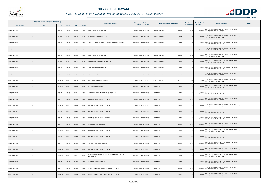

|                       | Registered or other description of the property |               |                |       |                | <b>Full Names of Owner(s)</b>                                   | Category determined in terms of | Physical address of the property            | <b>Extent of the</b> | <b>Market value of</b><br><b>Section 78 Remarks</b>                                      | <b>Remarks</b> |
|-----------------------|-------------------------------------------------|---------------|----------------|-------|----------------|-----------------------------------------------------------------|---------------------------------|---------------------------------------------|----------------------|------------------------------------------------------------------------------------------|----------------|
| <b>Town Allotment</b> | <b>Suburb</b>                                   | <b>Erf Nr</b> | <b>Portion</b> | Unit  | <b>Section</b> |                                                                 | Section 8 of the Act            |                                             | property (HA)        | the property                                                                             |                |
| BENDOR EXT 091        |                                                 | 00004591      | 00000          | 00002 | 0000           | M G M-VIEW PROP INV PTY LTD                                     | RESIDENTIAL PROPERTIES          | UNIT <sub>2</sub><br>SS ISHA VILLAGE        | 0.0123               | 1,000,000 SECT 78(1)(c) - SUBDIVIDED OR CONSOLIDATED AFTER<br>THE LAST GENERAL VALUATION |                |
| BENDOR EXT 091        |                                                 | 00004591      | 00000          | 00003 | 0000           | SHABNGU ATHALIA NONTOKOZO                                       | RESIDENTIAL PROPERTIES          | <b>SS ISHA VILLAGE</b><br>UNIT <sub>3</sub> | 0.0123               | SECT 78(1)(c) - SUBDIVIDED OR CONSOLIDATED AFTER<br>1,000,000 THE LAST GENERAL VALUATION |                |
| BENDOR EXT 091        |                                                 | 00004591      | 00000          | 00004 | 0000           | MOGAN GENERAL TRADING & PROJECT MANAGERS PTY LTD                | <b>RESIDENTIAL PROPERTIES</b>   | <b>SS ISHA VILLAGE</b><br>UNIT <sub>4</sub> | 0.0123               | SECT 78(1)(c) - SUBDIVIDED OR CONSOLIDATED AFTER<br>1,000,000 THE LAST GENERAL VALUATION |                |
| BENDOR EXT 091        |                                                 | 00004591      | 00000          | 00005 | 0000           | MABUDUSHA MOKGOHLWE ATALIA                                      | <b>RESIDENTIAL PROPERTIES</b>   | UNIT <sub>5</sub><br><b>SS ISHA VILLAGE</b> | 0.0123               | SECT 78(1)(c) - SUBDIVIDED OR CONSOLIDATED AFTER<br>1,000,000 THE LAST GENERAL VALUATION |                |
| BENDOR EXT 091        |                                                 | 00004591      | 00000          | 00006 | 0000           | M G M-VIEW PROP INV PTY LTD                                     | RESIDENTIAL PROPERTIES          | UNIT <sub>6</sub><br><b>SS ISHA VILLAGE</b> | 0.0105               | SECT 78(1)(c) - SUBDIVIDED OR CONSOLIDATED AFTER<br>890,000 THE LAST GENERAL VALUATION   |                |
| BENDOR EXT 091        |                                                 | 00004591      | 00000          | 00007 | 0000           | NQABA GUARANTEE S P V (RF) PTY LTD                              | RESIDENTIAL PROPERTIES          | UNIT <sub>7</sub><br><b>SS ISHA VILLAGE</b> | 0.0105               | SECT 78(1)(c) - SUBDIVIDED OR CONSOLIDATED AFTER<br>890,000 THE LAST GENERAL VALUATION   |                |
| BENDOR EXT 091        |                                                 | 00004591      | 00000          | 00008 | 0000           | M G M-VIEW PROP INV PTY LTD                                     | <b>RESIDENTIAL PROPERTIES</b>   | SS ISHA VILLAGE<br>UNIT 8                   | 0.0105               | SECT 78(1)(c) - SUBDIVIDED OR CONSOLIDATED AFTER<br>890,000 THE LAST GENERAL VALUATION   |                |
| BENDOR EXT 091        |                                                 | 00004591      | 00000          | 00009 | 0000           | M G M-VIEW PROP INV PTY LTD                                     | <b>RESIDENTIAL PROPERTIES</b>   | UNIT 9<br><b>SS ISHA VILLAGE</b>            | 0.0105               | 890,000 SECT 78(1)(c) - SUBDIVIDED OR CONSOLIDATED AFTER<br>THE LAST GENERAL VALUATION   |                |
| BENDOR EXT 092        |                                                 | 00004774      | 00000          | 00000 | 0000           | BODY CORPORATE OF SS UNATHI                                     | <b>RESIDENTIAL PROPERTIES</b>   | <b>JUBILEE CREEK</b><br>82                  | 0.9550               | SECT 78(1)(c) - SUBDIVIDED OR CONSOLIDATED AFTER<br>1,000 THE LAST GENERAL VALUATION     |                |
| BENDOR EXT 092        |                                                 | 00004774      | 00000          | 00010 | 0000           | SHIVAMBA DESMOND DEE                                            | RESIDENTIAL PROPERTIES          | <b>SS UNATHI</b><br><b>UNIT 10</b>          | 0.0110               | 1,100,000 SECT 78(1)(c) - SUBDIVIDED OR CONSOLIDATED AFTER<br>THE LAST GENERAL VALUATION |                |
| BENDOR EXT 092        |                                                 | 00004774      | 00000          | 00011 | 0000           | JAMARE JAMARE / JAMARE TSITSI CHRISTINAH                        | <b>RESIDENTIAL PROPERTIES</b>   | <b>SS UNATHI</b><br>UNIT <sub>11</sub>      | 0.0111               | 1,100,000 SECT 78(1)(c) - SUBDIVIDED OR CONSOLIDATED AFTER<br>THE LAST GENERAL VALUATION |                |
| BENDOR EXT 092        |                                                 | 00004774      | 00000          | 00012 | 0000           | BLUE MAGNOLIA TRADING 2 PTY LTD                                 | <b>RESIDENTIAL PROPERTIES</b>   | <b>UNIT 12</b><br><b>SS UNATHI</b>          | 0.0112               | 1,100,000 SECT 78(1)(c) - SUBDIVIDED OR CONSOLIDATED AFTER<br>THE LAST GENERAL VALUATION |                |
| BENDOR EXT 092        |                                                 | 00004774      | 00000          | 00013 | 0000           | BLUE MAGNOLIA TRADING 2 PTY LTD                                 | RESIDENTIAL PROPERTIES          | <b>SS UNATHI</b><br>UNIT <sub>13</sub>      | 0.0112               | 1,100,000 SECT 78(1)(c) - SUBDIVIDED OR CONSOLIDATED AFTER<br>THE LAST GENERAL VALUATION |                |
| BENDOR EXT 092        |                                                 | 00004774      | 00000          | 00014 | 0000           | BLUE MAGNOLIA TRADING 2 PTY LTD                                 | <b>RESIDENTIAL PROPERTIES</b>   | <b>SS UNATHI</b><br><b>UNIT 14</b>          | 0.0112               | SECT 78(1)(c) - SUBDIVIDED OR CONSOLIDATED AFTER<br>1,100,000 THE LAST GENERAL VALUATION |                |
| BENDOR EXT 092        |                                                 | 00004774      | 00000          | 00015 | 0000           | BLUE MAGNOLIA TRADING 2 PTY LTD                                 | <b>RESIDENTIAL PROPERTIES</b>   | SS UNATHI<br>UNIT 15                        | 0.0111               | 1,100,000 SECT 78(1)(c) - SUBDIVIDED OR CONSOLIDATED AFTER<br>THE LAST GENERAL VALUATION |                |
| BENDOR EXT 092        |                                                 | 00004774      | 00000          | 00016 | 0000           | RACHOENE THABANG THOMO                                          | RESIDENTIAL PROPERTIES          | <b>UNIT 16</b><br><b>SS UNATHI</b>          | 0.0111               | SECT 78(1)(c) - SUBDIVIDED OR CONSOLIDATED AFTER<br>1,100,000 THE LAST GENERAL VALUATION |                |
| BENDOR EXT 092        |                                                 | 00004774      | 00000          | 00017 | 0000           | BLUE MAGNOLIA TRADING 2 PTY LTD                                 | RESIDENTIAL PROPERTIES          | <b>SS UNATHI</b><br>UNIT 17                 | 0.0112               | SECT 78(1)(c) - SUBDIVIDED OR CONSOLIDATED AFTER<br>1,100,000 THE LAST GENERAL VALUATION |                |
| BENDOR EXT 092        |                                                 | 00004774      | 00000          | 00018 | 0000           | BLUE MAGNOLIA TRADING 2 PTY LTD                                 | <b>RESIDENTIAL PROPERTIES</b>   | <b>SS UNATHI</b><br>UNIT 18                 | 0.0112               | SECT 78(1)(c) - SUBDIVIDED OR CONSOLIDATED AFTER<br>1,100,000 THE LAST GENERAL VALUATION |                |
| BENDOR EXT 092        |                                                 | 00004774      | 00000          | 00019 | 0000           | PHAKULA PRECIOUS KHENSANE                                       | RESIDENTIAL PROPERTIES          | <b>SS UNATHI</b><br>UNIT 19                 | 0.0111               | SECT 78(1)(c) - SUBDIVIDED OR CONSOLIDATED AFTER<br>1,100,000 THE LAST GENERAL VALUATION |                |
| BENDOR EXT 092        |                                                 | 00004774      | 00000          | 00020 | 0000           | BLUE MAGNOLIA TRADING 2 PTY LTD                                 | RESIDENTIAL PROPERTIES          | <b>SS UNATHI</b><br><b>UNIT 20</b>          | 0.0112               | SECT 78(1)(c) - SUBDIVIDED OR CONSOLIDATED AFTER<br>1,100,000 THE LAST GENERAL VALUATION |                |
| BENDOR EXT 092        |                                                 | 00004774      | 00000          | 00021 | 0000           | NKADIMENG HENDRICK LEGAMANE / NKADIMENG MANTWAMPE<br>NTHABELENG | RESIDENTIAL PROPERTIES          | <b>SS UNATHI</b><br><b>UNIT 21</b>          | 0.0111               | SECT 78(1)(c) - SUBDIVIDED OR CONSOLIDATED AFTER<br>1,100,000 THE LAST GENERAL VALUATION |                |
| BENDOR EXT 092        |                                                 | 00004774      | 00000          | 00022 | 0000           | MATHEBULA LINKIE TSAKANI                                        | <b>RESIDENTIAL PROPERTIES</b>   | <b>UNIT 22</b><br><b>SS UNATHI</b>          | 0.0111               | 1,100,000 SECT 78(1)(c) - SUBDIVIDED OR CONSOLIDATED AFTER<br>THE LAST GENERAL VALUATION |                |
| BENDOR EXT 092        |                                                 | 00004774      | 00000          | 00023 | 0000           | MMANGWAKWANE GAME LODGE RESERVE PTY LTD                         | RESIDENTIAL PROPERTIES          | <b>SS UNATHI</b><br><b>UNIT 23</b>          | 0.0111               | 1,100,000 SECT 78(1)(c) - SUBDIVIDED OR CONSOLIDATED AFTER<br>THE LAST GENERAL VALUATION |                |
| BENDOR EXT 092        |                                                 | 00004774      | 00000          | 00024 | 0000           | MMANGWAKWANE GAME LODGE RESERVE PTY LTD                         | RESIDENTIAL PROPERTIES          | <b>SS UNATHI</b><br><b>UNIT 24</b>          | 0.0111               | SECT 78(1)(c) - SUBDIVIDED OR CONSOLIDATED AFTER<br>1,100,000 THE LAST GENERAL VALUATION |                |

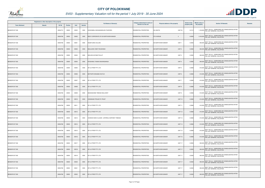

|                       | Registered or other description of the property |          |                |       |                | <b>Full Names of Owner(s)</b>                | Category determined in terms of | Physical address of the property               | <b>Extent of the</b> | <b>Market value of</b> | <b>Section 78 Remarks</b>                                                                | <b>Remarks</b> |
|-----------------------|-------------------------------------------------|----------|----------------|-------|----------------|----------------------------------------------|---------------------------------|------------------------------------------------|----------------------|------------------------|------------------------------------------------------------------------------------------|----------------|
| <b>Town Allotment</b> | <b>Suburb</b>                                   | Erf Nr   | <b>Portion</b> | Unit  | <b>Section</b> |                                              | Section 8 of the Act            |                                                | property (HA)        | the property           |                                                                                          |                |
| BENDOR EXT 092        |                                                 | 00004774 | 00000          | 00025 | 0000           | KHOHOMELA NKHANGWELENI TSHIFARO              | RESIDENTIAL PROPERTIES          | <b>SS UNATHI</b><br>UNIT 25                    | 0.0112               |                        | 1,100,000 SECT 78(1)(c) - SUBDIVIDED OR CONSOLIDATED AFTER<br>THE LAST GENERAL VALUATION |                |
| BENDOR EXT 092        |                                                 | 00004798 | 00000          | 00000 | 0000           | BODY CORPORATE OF SS NORTHVIEW MANOR         | RESIDENTIAL PROPERTIES          | <b>5TH AVENUE</b><br>3                         | 0.6008               | 3,100,000              | SECT 78(1)(c) - SUBDIVIDED OR CONSOLIDATED AFTER<br>THE LAST GENERAL VALUATION           |                |
| BENDOR EXT 092        |                                                 | 00004798 | 00000          | 00001 | 0000           | NGOETJANA COLLINS                            | RESIDENTIAL PROPERTIES          | UNIT <sub>1</sub><br><b>SS NORTHVIEW MANOR</b> | 0.0093               |                        | SECT 78(1)(c) - SUBDIVIDED OR CONSOLIDATED AFTER<br>840,000 THE LAST GENERAL VALUATION   |                |
| BENDOR EXT 092        |                                                 | 00004798 | 00000          | 00002 | 0000           | MALULEKE CINDY ROUSHNAH                      | RESIDENTIAL PROPERTIES          | <b>SS NORTHVIEW MANOR</b><br>UNIT <sub>2</sub> | 0.0092               |                        | 830,000 SECT 78(1)(c) - SUBDIVIDED OR CONSOLIDATED AFTER<br>THE LAST GENERAL VALUATION   |                |
| BENDOR EXT 092        |                                                 | 00004798 | 00000          | 00003 | 0000           | MOLOISI KATANE PHILLIP                       | RESIDENTIAL PROPERTIES          | <b>SS NORTHVIEW MANOR</b><br>UNIT <sub>3</sub> | 0.0092               |                        | 830,000 SECT 78(1)(c) - SUBDIVIDED OR CONSOLIDATED AFTER<br>THE LAST GENERAL VALUATION   |                |
| BENDOR EXT 092        |                                                 | 00004798 | 00000          | 00004 | 0000           | NYASHANU TANAKA MUKANGANGA                   | <b>RESIDENTIAL PROPERTIES</b>   | UNIT 4<br><b>SS NORTHVIEW MANOR</b>            | 0.0092               |                        | 830,000 SECT 78(1)(c) - SUBDIVIDED OR CONSOLIDATED AFTER<br>THE LAST GENERAL VALUATION   |                |
| BENDOR EXT 092        |                                                 | 00004798 | 00000          | 00005 | 0000           | SP & K PROP PTY LTD                          | RESIDENTIAL PROPERTIES          | UNIT <sub>5</sub><br><b>SS NORTHVIEW MANOR</b> | 0.0068               |                        | 610,000 SECT 78(1)(c) - SUBDIVIDED OR CONSOLIDATED AFTER<br>THE LAST GENERAL VALUATION   |                |
| BENDOR EXT 092        |                                                 | 00004798 | 00000          | 00006 | 0000           | MOTHAPO MOGABA KHUTJO                        | RESIDENTIAL PROPERTIES          | <b>SS NORTHVIEW MANOR</b><br>UNIT <sub>6</sub> | 0.0068               |                        | 610,000 SECT 78(1)(c) - SUBDIVIDED OR CONSOLIDATED AFTER<br>THE LAST GENERAL VALUATION   |                |
| BENDOR EXT 092        |                                                 | 00004798 | 00000          | 00007 | 0000           | SP & K PROP PTY LTD                          | RESIDENTIAL PROPERTIES          | <b>SS NORTHVIEW MANOR</b><br>UNIT <sub>7</sub> | 0.0068               |                        | 610,000 SECT 78(1)(c) - SUBDIVIDED OR CONSOLIDATED AFTER<br>THE LAST GENERAL VALUATION   |                |
| BENDOR EXT 092        |                                                 | 00004798 | 00000          | 00008 | 0000           | SP & K PROP PTY LTD                          | RESIDENTIAL PROPERTIES          | UNIT <sub>8</sub><br><b>SS NORTHVIEW MANOR</b> | 0.0068               |                        | 610,000 SECT 78(1)(c) - SUBDIVIDED OR CONSOLIDATED AFTER<br>THE LAST GENERAL VALUATION   |                |
| BENDOR EXT 092        |                                                 | 00004798 | 00000          | 00009 | 0000           | MASHASHANE TEBOGO MILLICENT                  | RESIDENTIAL PROPERTIES          | <b>SS NORTHVIEW MANOR</b><br>UNIT <sub>9</sub> | 0.0068               |                        | 610,000 SECT 78(1)(c) - SUBDIVIDED OR CONSOLIDATED AFTER<br>THE LAST GENERAL VALUATION   |                |
| BENDOR EXT 092        |                                                 | 00004798 | 00000          | 00010 | 0000           | CHEMSASE PROJECTS TRUST                      | <b>RESIDENTIAL PROPERTIES</b>   | <b>SS NORTHVIEW MANOR</b><br><b>UNIT 10</b>    | 0.0068               |                        | 610,000 SECT 78(1)(c) - SUBDIVIDED OR CONSOLIDATED AFTER<br>THE LAST GENERAL VALUATION   |                |
| BENDOR EXT 092        |                                                 | 00004798 | 00000          | 00011 | 0000           | SP & K PROP PTY LTD                          | RESIDENTIAL PROPERTIES          | <b>SS NORTHVIEW MANOR</b><br><b>UNIT 11</b>    | 0.0068               |                        | 610,000 SECT 78(1)(c) - SUBDIVIDED OR CONSOLIDATED AFTER<br>THE LAST GENERAL VALUATION   |                |
| BENDOR EXT 092        |                                                 | 00004798 | 00000          | 00012 | 0000           | SP & K PROP PTY LTD                          | RESIDENTIAL PROPERTIES          | <b>UNIT 12</b><br><b>SS NORTHVIEW MANOR</b>    | 0.0068               |                        | 610,000 SECT 78(1)(c) - SUBDIVIDED OR CONSOLIDATED AFTER<br>THE LAST GENERAL VALUATION   |                |
| BENDOR EXT 092        |                                                 | 00004798 | 00000          | 00013 | 0000           | CHOKOE NOKO CLAUDE / LEFERELA DAPHNEY TEBOGO | RESIDENTIAL PROPERTIES          | <b>SS NORTHVIEW MANOR</b><br>UNIT 13           | 0.0068               |                        | 610,000 SECT 78(1)(c) - SUBDIVIDED OR CONSOLIDATED AFTER<br>THE LAST GENERAL VALUATION   |                |
| BENDOR EXT 092        |                                                 | 00004798 | 00000          | 00014 | 0000           | SP & K PROP PTY LTD                          | RESIDENTIAL PROPERTIES          | <b>SS NORTHVIEW MANOR</b><br>UNIT 14           | 0.0068               |                        | SECT 78(1)(c) - SUBDIVIDED OR CONSOLIDATED AFTER<br>610,000 THE LAST GENERAL VALUATION   |                |
| BENDOR EXT 092        |                                                 | 00004798 | 00000          | 00015 | 0000           | SP & K PROP PTY LTD                          | RESIDENTIAL PROPERTIES          | <b>UNIT 15</b><br><b>SS NORTHVIEW MANOR</b>    | 0.0068               |                        | 610,000 SECT 78(1)(c) - SUBDIVIDED OR CONSOLIDATED AFTER<br>THE LAST GENERAL VALUATION   |                |
| BENDOR EXT 092        |                                                 | 00004798 | 00000          | 00016 | 0000           | SP & K PROP PTY LTD                          | RESIDENTIAL PROPERTIES          | <b>UNIT 16</b><br><b>SS NORTHVIEW MANOR</b>    | 0.0068               |                        | 610,000 SECT 78(1)(c) - SUBDIVIDED OR CONSOLIDATED AFTER<br>THE LAST GENERAL VALUATION   |                |
| BENDOR EXT 092        |                                                 | 00004798 | 00000          | 00017 | 0000           | SP & K PROP PTY LTD                          | RESIDENTIAL PROPERTIES          | UNIT 17<br><b>SS NORTHVIEW MANOR</b>           | 0.0093               |                        | SECT 78(1)(c) - SUBDIVIDED OR CONSOLIDATED AFTER<br>830,000 THE LAST GENERAL VALUATION   |                |
| BENDOR EXT 092        |                                                 | 00004798 | 00000          | 00018 | 0000           | SP & K PROP PTY LTD                          | RESIDENTIAL PROPERTIES          | UNIT 17<br><b>SS NORTHVIEW MANOR</b>           | 0.0093               |                        | 830,000 SECT 78(1)(c) - SUBDIVIDED OR CONSOLIDATED AFTER<br>THE LAST GENERAL VALUATION   |                |
| BENDOR EXT 092        |                                                 | 00004798 | 00000          | 00019 | 0000           | SP & K PROP PTY LTD                          | RESIDENTIAL PROPERTIES          | <b>SS NORTHVIEW MANOR</b><br>UNIT 17           | 0.0093               |                        | SECT 78(1)(c) - SUBDIVIDED OR CONSOLIDATED AFTER<br>830,000 THE LAST GENERAL VALUATION   |                |
| BENDOR EXT 092        |                                                 | 00004798 | 00000          | 00020 | 0000           | SP & K PROP PTY LTD                          | RESIDENTIAL PROPERTIES          | UNIT 17<br><b>SS NORTHVIEW MANOR</b>           | 0.0093               |                        | SECT 78(1)(c) - SUBDIVIDED OR CONSOLIDATED AFTER<br>830,000 THE LAST GENERAL VALUATION   |                |
| BENDOR EXT 092        |                                                 | 00004798 | 00000          | 00021 | 0000           | SP & K PROP PTY LTD                          | RESIDENTIAL PROPERTIES          | <b>SS NORTHVIEW MANOR</b><br><b>UNIT 17</b>    | 0.0093               |                        | 830,000 SECT 78(1)(c) - SUBDIVIDED OR CONSOLIDATED AFTER<br>THE LAST GENERAL VALUATION   |                |
| BENDOR EXT 092        |                                                 | 00004798 | 00000          | 00022 | 0000           | SP & K PROP PTY LTD                          | <b>RESIDENTIAL PROPERTIES</b>   | <b>SS NORTHVIEW MANOR</b><br>UNIT 17           | 0.0093               | 830,000                | SECT 78(1)(c) - SUBDIVIDED OR CONSOLIDATED AFTER<br>THE LAST GENERAL VALUATION           |                |

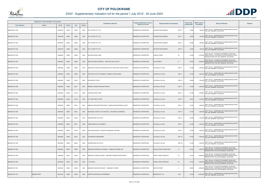

|                       | Registered or other description of the property |          |                |       |                |                                                          | Category determined in terms of |                                                | <b>Extent of the</b> | <b>Market value of</b> |                                                                                                                                                    |         |
|-----------------------|-------------------------------------------------|----------|----------------|-------|----------------|----------------------------------------------------------|---------------------------------|------------------------------------------------|----------------------|------------------------|----------------------------------------------------------------------------------------------------------------------------------------------------|---------|
| <b>Town Allotment</b> | <b>Suburb</b>                                   | Erf Nr   | <b>Portion</b> | Unit  | <b>Section</b> | <b>Full Names of Owner(s)</b>                            | Section 8 of the Act            | Physical address of the property               | property (HA)        | the property           | <b>Section 78 Remarks</b>                                                                                                                          | Remarks |
| BENDOR EXT 092        |                                                 | 00004798 | 00000          | 00023 | 0000           | SP & K PROP PTY LTD                                      | RESIDENTIAL PROPERTIES          | SS NORTHVIEW MANOR<br><b>UNIT 17</b>           | 0.0093               |                        | 830,000 SECT 78(1)(c) - SUBDIVIDED OR CONSOLIDATED AFTER<br>THE LAST GENERAL VALUATION                                                             |         |
| BENDOR EXT 092        |                                                 | 00004798 | 00000          | 00024 | 0000           | SP & K PROP PTY LTD                                      | RESIDENTIAL PROPERTIES          | <b>SS NORTHVIEW MANOR</b><br>UNIT 17           | 0.0093               |                        | SECT 78(1)(c) - SUBDIVIDED OR CONSOLIDATED AFTER<br>830,000 THE LAST GENERAL VALUATION                                                             |         |
| BENDOR EXT 092        |                                                 | 00004798 | 00000          | 00025 | 0000           | SP & K PROP PTY LTD                                      | RESIDENTIAL PROPERTIES          | SS NORTHVIEW MANOR<br>UNIT 17                  | 0.0092               |                        | 830,000 SECT 78(1)(c) - SUBDIVIDED OR CONSOLIDATED AFTER<br>THE LAST GENERAL VALUATION                                                             |         |
| BENDOR EXT 092        |                                                 | 00004798 | 00000          | 00026 | 0000           | <b>SP &amp; K PROP PTY LTD</b>                           | RESIDENTIAL PROPERTIES          | <b>SS NORTHVIEW MANOR</b><br><b>UNIT 17</b>    | 0.0092               |                        | 830,000 SECT 78(1)(c) - SUBDIVIDED OR CONSOLIDATED AFTER<br>THE LAST GENERAL VALUATION                                                             |         |
| BENDOR EXT 092        |                                                 | 00004862 | 00000          | 00000 | 0000           | MACHOGA NOKO JANE                                        | RESIDENTIAL PROPERTIES          | UBILEE CREEK<br>53                             | 0.0783               |                        | SECT 78(1)(d) - OF WHICH THE MARKET VALUE HAS<br>2,700,000 SUBSTANTIALLY INCREASED OR DECREASED FOR ANY<br>REASON AFTER THE LAST GENERAL VALUATION |         |
| BENDOR EXT 094        |                                                 | 00005463 | 00000          | 00000 | 0000           | SENYATSI MACK GODFREY / SENYATSI LOSO LINA EY            | RESIDENTIAL PROPERTIES          | PALA STREET<br>81                              | 0.0732               |                        | SECT 78(1)(d) - OF WHICH THE MARKET VALUE HAS<br>2,500,000 SUBSTANTIALLY INCREASED OR DECREASED FOR ANY<br>REASON AFTER THE LAST GENERAL VALUATION |         |
| BENDOR EXT 095        |                                                 | 00004930 | 00000          | 00008 | 0000           | MACHITELA KGOTHATSO MELANCHITON / MACHITELA LEDILE PEGGY | <b>RESIDENTIAL PROPERTIES</b>   | <b>SS AQUILLA VILLAS</b><br>UNIT 8             | 0.0189               |                        | 1,500,000 SECT 78(1)(c) - SUBDIVIDED OR CONSOLIDATED AFTER<br>THE LAST GENERAL VALUATION                                                           |         |
| BENDOR EXT 095        |                                                 | 00004930 | 00000          | 00009 | 0000           | PHOLOTHO LETJATJI ONISMUS / RAMAIFO LEDILE MARIA         | <b>RESIDENTIAL PROPERTIES</b>   | UNIT 9<br>SS AQUILLA VILLAS                    | 0.0189               |                        | 1,500,000 SECT 78(1)(c) - SUBDIVIDED OR CONSOLIDATED AFTER<br>THE LAST GENERAL VALUATION                                                           |         |
| BENDOR EXT 095        |                                                 | 00004930 | 00000          | 00010 | 0000           | <b>KEITUMETSE TRUST</b>                                  | <b>RESIDENTIAL PROPERTIES</b>   | <b>UNIT 10</b><br><b>SS AQUILLA VILLAS</b>     | 0.0209               |                        | 1,700,000 SECT 78(1)(c) - SUBDIVIDED OR CONSOLIDATED AFTER<br>THE LAST GENERAL VALUATION                                                           |         |
| <b>BENDOR EXT 095</b> |                                                 | 00004930 | 00000          | 00011 | 0000           | RAMAITE CHRISTOPHER MUTHUPHEI                            | RESIDENTIAL PROPERTIES          | <b>SS AQUILLA VILLAS</b><br>UNIT <sub>11</sub> | 0.0189               |                        | 1,500,000 SECT 78(1)(c) - SUBDIVIDED OR CONSOLIDATED AFTER<br>THE LAST GENERAL VALUATION                                                           |         |
| BENDOR EXT 095        |                                                 | 00004930 | 00000          | 00012 | 0000           | LETSOALO MAUPI ERIC                                      | RESIDENTIAL PROPERTIES          | <b>UNIT 12</b><br>SS AQUILLA VILLAS            | 0.0189               |                        | 1,500,000 SECT 78(1)(c) - SUBDIVIDED OR CONSOLIDATED AFTER<br>THE LAST GENERAL VALUATION                                                           |         |
| BENDOR EXT 095        |                                                 | 00004930 | 00000          | 00013 | 0000           | K P PHIRI FAMILY TRUST                                   | RESIDENTIAL PROPERTIES          | <b>UNIT 13</b><br><b>SS AQUILLA VILLAS</b>     | 0.0207               |                        | 1,700,000 SECT 78(1)(c) - SUBDIVIDED OR CONSOLIDATED AFTER<br>THE LAST GENERAL VALUATION                                                           |         |
| BENDOR EXT 095        |                                                 | 00004930 | 00000          | 00014 | 0000           | MABOKO RESHOKETSWE BOKOTI / MABOKO MOISHAPHOKA JACOB     | <b>RESIDENTIAL PROPERTIES</b>   | <b>UNIT 14</b><br><b>SS AQUILLA VILLAS</b>     | 0.0156               |                        | 1,200,000 SECT 78(1)(c) - SUBDIVIDED OR CONSOLIDATED AFTER<br>THE LAST GENERAL VALUATION                                                           |         |
| BENDOR EXT 095        |                                                 | 00004930 | 00000          | 00015 | 0000           | SETAGANE TSHETE TJATJI MOLEPO- / SETAGANE CLERRANCE      | <b>RESIDENTIAL PROPERTIES</b>   | <b>UNIT 15</b><br>SS AQUILLA VILLAS            | 0.0156               |                        | 1,200,000 SECT 78(1)(c) - SUBDIVIDED OR CONSOLIDATED AFTER<br>THE LAST GENERAL VALUATION                                                           |         |
| BENDOR EXT 095        |                                                 | 00004930 | 00000          | 00016 | 0000           | CANNISTRARO INV 166 CC                                   | RESIDENTIAL PROPERTIES          | <b>UNIT 16</b><br><b>SS AQUILLA VILLAS</b>     | 0.0208               |                        | 1,700,000 SECT 78(1)(c) - SUBDIVIDED OR CONSOLIDATED AFTER<br>THE LAST GENERAL VALUATION                                                           |         |
| BENDOR EXT 095        |                                                 | 00004930 | 00000          | 00017 | 0000           | THABA DIMAKATJO ELIZABETH                                | RESIDENTIAL PROPERTIES          | UNIT 17<br><b>SS AQUILLA VILLAS</b>            | 0.0189               |                        | SECT 78(1)(c) - SUBDIVIDED OR CONSOLIDATED AFTER<br>1,500,000 THE LAST GENERAL VALUATION                                                           |         |
| BENDOR EXT 095        |                                                 | 00004930 | 00000          | 00018 | 0000           | LEPULANA MAROTHI / RALEFETA MOKGADI TRYPHINA             | <b>RESIDENTIAL PROPERTIES</b>   | <b>UNIT 18</b><br><b>SS AQUILLA VILLAS</b>     | 0.0189               |                        | 1,500,000 SECT 78(1)(c) - SUBDIVIDED OR CONSOLIDATED AFTER<br>THE LAST GENERAL VALUATION                                                           |         |
| BENDOR EXT 095        |                                                 | 00004930 | 00000          | 00019 | 0000           | NTHANGENI KHAARENDWE                                     | RESIDENTIAL PROPERTIES          | <b>UNIT 19</b><br><b>SS AQUILLA VILLAS</b>     | 0.0189               | 1,500,000              | SECT 78(1)(c) - SUBDIVIDED OR CONSOLIDATED AFTER<br>THE LAST GENERAL VALUATION                                                                     |         |
| BENDOR EXT 095        |                                                 | 00004930 | 00000          | 00020 | 0000           | CANNISTRARO INV 166 CC                                   | <b>RESIDENTIAL PROPERTIES</b>   | <b>UNIT 20</b><br><b>SS AQUILLA VILLAS</b>     | 0.0189               |                        | 1,500,000 SECT 78(1)(c) - SUBDIVIDED OR CONSOLIDATED AFTER<br>THE LAST GENERAL VALUATION                                                           |         |
| BENDOR EXT 095        |                                                 | 00004985 | 00000          | 00000 | 0000           | RAMALEPE SIBONGILE LOVEDALE / RAMALEPE SEDIBA JAN        | <b>RESIDENTIAL PROPERTIES</b>   | EAGLES CREST BOULEVARD<br>14                   | 0.0704               |                        | SECT 78(1)(d) - OF WHICH THE MARKET VALUE HAS<br>1,500,000 SUBSTANTIALLY INCREASED OR DECREASED FOR ANY<br>REASON AFTER THE LAST GENERAL VALUATION |         |
| BENDOR EXT 095        |                                                 | 00004995 | 00000          | 00000 | 0000           | MANGANYI VIRGINIA LESSAH / MANGANYI MASENYANI RECKSON    | RESIDENTIAL PROPERTIES          | TAWNY HAWK CRESCENT<br>23                      | 0.0704               |                        | SECT 78(1)(d) - OF WHICH THE MARKET VALUE HAS<br>2,600,000 SUBSTANTIALLY INCREASED OR DECREASED FOR ANY<br>REASON AFTER THE LAST GENERAL VALUATION |         |
| BENDOR EXT 095        |                                                 | 00005028 | 00000          | 00000 | 0000           | J T M TRUST                                              | <b>RESIDENTIAL PROPERTIES</b>   | 55<br>TAWNY HAWK CRESCENT                      | 0.0704               |                        | SECT 78(1)(d) - OF WHICH THE MARKET VALUE HAS<br>3,000,000 SUBSTANTIALLY INCREASED OR DECREASED FOR ANY<br>REASON AFTER THE LAST GENERAL VALUATION |         |
| BENDOR EXT 097        |                                                 | 00005156 | 00000          | 00000 | 0000           | MANGANYI NKATEKO SHIRLEY / MANGANYI SYDNEY               | RESIDENTIAL PROPERTIES          | <b>MATADI STREET</b><br>-3                     | 0.0825               |                        | SECT 78(1)(d) - OF WHICH THE MARKET VALUE HAS<br>2,800,000 SUBSTANTIALLY INCREASED OR DECREASED FOR ANY<br>REASON AFTER THE LAST GENERAL VALUATION |         |
| BENDOR EXT 100        | <b>BENDOR PARK</b>                              | 00007340 | 00000          | 00000 | 0000           | LIMPOPO PROVINCIAL GOVERNMENT                            | RESIDENTIAL PROPERTIES          | BENDOR EXT 100<br>7340                         | 2.5430               | 15,300,000             | SECT 78(1)(c) - SUBDIVIDED OR CONSOLIDATED AFTER<br>THE LAST GENERAL VALUATION                                                                     |         |

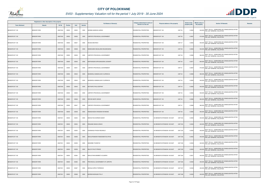

|                       | Registered or other description of the property |               |                |       |                | <b>Full Names of Owner(s)</b>    | Category determined in terms of | Physical address of the property                | <b>Extent of the</b> | <b>Market value of</b> | <b>Section 78 Remarks</b>                                                              | <b>Remarks</b> |
|-----------------------|-------------------------------------------------|---------------|----------------|-------|----------------|----------------------------------|---------------------------------|-------------------------------------------------|----------------------|------------------------|----------------------------------------------------------------------------------------|----------------|
| <b>Town Allotment</b> | <b>Suburb</b>                                   | <b>Erf Nr</b> | <b>Portion</b> | Unit  | <b>Section</b> |                                  | Section 8 of the Act            |                                                 | property (HA)        | the property           |                                                                                        |                |
| BENDOR EXT 100        | <b>BENDOR PARK</b>                              | 00007340      | 00000          | 00035 | 0000           | MODIBA MADIKOA SARAH             | RESIDENTIAL PROPERTIES          | BENDOR EXT 100<br>UNIT 35                       | 0.0063               |                        | 540,000 SECT 78(1)(c) - SUBDIVIDED OR CONSOLIDATED AFTER<br>THE LAST GENERAL VALUATION |                |
| BENDOR EXT 100        | <b>BENDOR PARK</b>                              | 00007340      | 00000          | 00036 | 0000           | LIMPOPO PROVINCIAL GOVERNMENT    | <b>RESIDENTIAL PROPERTIES</b>   | <b>UNIT 36</b><br>BENDOR EXT 100                | 0.0067               | 570,000                | SECT 78(1)(c) - SUBDIVIDED OR CONSOLIDATED AFTER<br>THE LAST GENERAL VALUATION         |                |
| BENDOR EXT 100        | <b>BENDOR PARK</b>                              | 00007340      | 00000          | 00037 | 0000           | NKUNA MKATEKO                    | <b>RESIDENTIAL PROPERTIES</b>   | <b>UNIT 37</b><br>BENDOR EXT 100                | 0.0064               |                        | SECT 78(1)(c) - SUBDIVIDED OR CONSOLIDATED AFTER<br>540,000 THE LAST GENERAL VALUATION |                |
| BENDOR EXT 100        | <b>BENDOR PARK</b>                              | 00007340      | 00000          | 00038 | 0000           | MAMOGOBO MAGALANE MOLEBOGENG     | RESIDENTIAL PROPERTIES          | BENDOR EXT 100<br><b>UNIT 38</b>                | 0.0063               |                        | 540,000 SECT 78(1)(c) - SUBDIVIDED OR CONSOLIDATED AFTER<br>THE LAST GENERAL VALUATION |                |
| BENDOR EXT 100        | <b>BENDOR PARK</b>                              | 00007340      | 00000          | 00039 | 0000           | LIMPOPO PROVINCIAL GOVERNMENT    | RESIDENTIAL PROPERTIES          | BENDOR EXT 100<br>UNIT 39                       | 0.0066               | 560,000                | SECT 78(1)(c) - SUBDIVIDED OR CONSOLIDATED AFTER<br>THE LAST GENERAL VALUATION         |                |
| BENDOR EXT 100        | <b>BENDOR PARK</b>                              | 00007340      | 00000          | 00040 | 0000           | MAPHANGWA MPHUMUDZENI LEONART    | <b>RESIDENTIAL PROPERTIES</b>   | BENDOR EXT 100<br><b>UNIT 40</b>                | 0.0071               |                        | 600,000 SECT 78(1)(c) - SUBDIVIDED OR CONSOLIDATED AFTER<br>THE LAST GENERAL VALUATION |                |
| BENDOR EXT 100        | <b>BENDOR PARK</b>                              | 00007340      | 00000          | 00041 | 0000           | LIMPOPO PROVINCIAL GOVERNMENT    | <b>RESIDENTIAL PROPERTIES</b>   | BENDOR EXT 100<br><b>UNIT 41</b>                | 0.0067               |                        | 570,000 SECT 78(1)(c) - SUBDIVIDED OR CONSOLIDATED AFTER<br>THE LAST GENERAL VALUATION |                |
| BENDOR EXT 100        | <b>BENDOR PARK</b>                              | 00007340      | 00000          | 00042 | 0000           | MASEMOLA MAMAHLAKO CLERENCIA     | RESIDENTIAL PROPERTIES          | BENDOR EXT 100<br>UNIT 42                       | 0.0068               |                        | 580,000 SECT 78(1)(c) - SUBDIVIDED OR CONSOLIDATED AFTER<br>THE LAST GENERAL VALUATION |                |
| BENDOR EXT 100        | <b>BENDOR PARK</b>                              | 00007340      | 00000          | 00043 | 0000           | MASEMOLA MAMAHLAKO CLERENCIA     | RESIDENTIAL PROPERTIES          | BENDOR EXT 100<br>UNIT 43                       | 0.0063               |                        | 540,000 SECT 78(1)(c) - SUBDIVIDED OR CONSOLIDATED AFTER<br>THE LAST GENERAL VALUATION |                |
| BENDOR EXT 100        | <b>BENDOR PARK</b>                              | 00007340      | 00000          | 00044 | 0000           | MOTHAPO PHILA DEPHNY             | <b>RESIDENTIAL PROPERTIES</b>   | BENDOR EXT 100<br>UNIT 44                       | 0.0063               |                        | 540,000 SECT 78(1)(c) - SUBDIVIDED OR CONSOLIDATED AFTER<br>THE LAST GENERAL VALUATION |                |
| BENDOR EXT 100        | <b>BENDOR PARK</b>                              | 00007340      | 00000          | 00045 | 0000           | LIMPOPO PROVINCIAL GOVERNMENT    | RESIDENTIAL PROPERTIES          | BENDOR EXT 100<br>UNIT 45                       | 0.0062               |                        | 530,000 SECT 78(1)(c) - SUBDIVIDED OR CONSOLIDATED AFTER<br>THE LAST GENERAL VALUATION |                |
| BENDOR EXT 100        | <b>BENDOR PARK</b>                              | 00007340      | 00000          | 00046 | 0000           | RAPUDI MAITE GRACE               | <b>RESIDENTIAL PROPERTIES</b>   | BENDOR EXT 100<br>UNIT 46                       | 0.0066               |                        | 560,000 SECT 78(1)(c) - SUBDIVIDED OR CONSOLIDATED AFTER<br>THE LAST GENERAL VALUATION |                |
| BENDOR EXT 100        | <b>BENDOR PARK</b>                              | 00007340      | 00000          | 00047 | 0000           | LIMPOPO PROVINCIAL GOVERNMENT    | <b>RESIDENTIAL PROPERTIES</b>   | BENDOR EXT 100<br>UNIT 47                       | 0.0068               |                        | 580,000 SECT 78(1)(c) - SUBDIVIDED OR CONSOLIDATED AFTER<br>THE LAST GENERAL VALUATION |                |
| BENDOR EXT 100        | <b>BENDOR PARK</b>                              | 00007340      | 00000          | 00048 | 0000           | RAMASHIDZHA RENDANI RAYMOND      | RESIDENTIAL PROPERTIES          | <b>UNIT 48</b><br>BENDOR EXT 100                | 0.0065               | 550,000                | SECT 78(1)(c) - SUBDIVIDED OR CONSOLIDATED AFTER<br>THE LAST GENERAL VALUATION         |                |
| BENDOR EXT 100        | <b>BENDOR PARK</b>                              | 00007341      | 00000          | 00253 | 0000           | <b>BOIKHUTSO DOREEN NANKY</b>    | RESIDENTIAL PROPERTIES          | SS BENDOR EXTENSION 100 EAST<br><b>UNIT 253</b> | 0.0050               |                        | 430,000 SECT 78(1)(c) - SUBDIVIDED OR CONSOLIDATED AFTER<br>THE LAST GENERAL VALUATION |                |
| BENDOR EXT 100        | <b>BENDOR PARK</b>                              | 00007341      | 00000          | 00254 | 0000           | RINGANE MHAKA GRACE              | RESIDENTIAL PROPERTIES          | SS BENDOR EXTENSION 100 EAST<br><b>UNIT 254</b> | 0.0049               | 420,000                | SECT 78(1)(c) - SUBDIVIDED OR CONSOLIDATED AFTER<br>THE LAST GENERAL VALUATION         |                |
| BENDOR EXT 100        | <b>BENDOR PARK</b>                              | 00007341      | 00000          | 00255 | 0000           | KGANAKGA PHOSA REGINALD          | RESIDENTIAL PROPERTIES          | SS BENDOR EXTENSION 100 EAST<br><b>UNIT 255</b> | 0.0050               | 430,000                | SECT 78(1)(c) - SUBDIVIDED OR CONSOLIDATED AFTER<br>THE LAST GENERAL VALUATION         |                |
| BENDOR EXT 100        | <b>BENDOR PARK</b>                              | 00007341      | 00000          | 00256 | 0000           | MOHLAPAMASWI RAMODIMETSA EPHIA   | RESIDENTIAL PROPERTIES          | <b>UNIT 256</b><br>SS BENDOR EXTENSION 100 EAST | 0.0052               | 440,000                | SECT 78(1)(c) - SUBDIVIDED OR CONSOLIDATED AFTER<br>THE LAST GENERAL VALUATION         |                |
| BENDOR EXT 100        | <b>BENDOR PARK</b>                              | 00007341      | 00000          | 00258 | 0000           | MADZEBE THONIFHO                 | RESIDENTIAL PROPERTIES          | <b>UNIT 258</b><br>SS BENDOR EXTENSION 100 EAST | 0.0049               |                        | SECT 78(1)(c) - SUBDIVIDED OR CONSOLIDATED AFTER<br>420,000 THE LAST GENERAL VALUATION |                |
| BENDOR EXT 100        | <b>BENDOR PARK</b>                              | 00007341      | 00000          | 00259 | 0000           | <b>BALOYI PHUTI PRINCE</b>       | RESIDENTIAL PROPERTIES          | <b>UNIT 259</b><br>SS BENDOR EXTENSION 100 EAST | 0.0050               | 430,000                | SECT 78(1)(c) - SUBDIVIDED OR CONSOLIDATED AFTER<br>THE LAST GENERAL VALUATION         |                |
| BENDOR EXT 100        | <b>BENDOR PARK</b>                              | 00007341      | 00000          | 00264 | 0000           | MAHLATHINI MAMMETJI OLEMPIA      | RESIDENTIAL PROPERTIES          | <b>UNIT 264</b><br>SS BENDOR EXTENSION 100 EAST | 0.0051               | 430,000                | SECT 78(1)(c) - SUBDIVIDED OR CONSOLIDATED AFTER<br>THE LAST GENERAL VALUATION         |                |
| BENDOR EXT 100        | <b>BENDOR PARK</b>                              | 00007341      | 00000          | 00265 | 0000           | PROVINCIAL GOVERNMENT OF LIMPOPO | RESIDENTIAL PROPERTIES          | SS BENDOR EXTENSION 100 EAST<br><b>UNIT 265</b> | 0.0050               | 430,000                | SECT 78(1)(c) - SUBDIVIDED OR CONSOLIDATED AFTER<br>THE LAST GENERAL VALUATION         |                |
| BENDOR EXT 100        | <b>BENDOR PARK</b>                              | 00007341      | 00000          | 00267 | 0000           | MOHALE MPHO TERRENCE             | RESIDENTIAL PROPERTIES          | <b>UNIT 267</b><br>SS BENDOR EXTENSION 100 EAST | 0.0049               |                        | 420,000 SECT 78(1)(c) - SUBDIVIDED OR CONSOLIDATED AFTER<br>THE LAST GENERAL VALUATION |                |
| BENDOR EXT 100        | <b>BENDOR PARK</b>                              | 00007341      | 00000          | 00268 | 0000           | <b>MOREMI MOKGADI TELLY</b>      | RESIDENTIAL PROPERTIES          | <b>UNIT 268</b><br>SS BENDOR EXTENSION 100 EAST | 0.0050               | 430,000                | SECT 78(1)(c) - SUBDIVIDED OR CONSOLIDATED AFTER<br>THE LAST GENERAL VALUATION         |                |

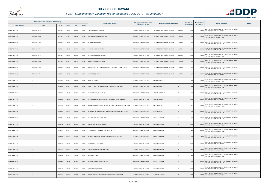

|                       | Registered or other description of the property |          |                |       |                | <b>Full Names of Owner(s)</b>                              | Category determined in terms of |                                                 | <b>Extent of the</b> | <b>Market value of</b> | <b>Section 78 Remarks</b>                                                              | <b>Remarks</b> |
|-----------------------|-------------------------------------------------|----------|----------------|-------|----------------|------------------------------------------------------------|---------------------------------|-------------------------------------------------|----------------------|------------------------|----------------------------------------------------------------------------------------|----------------|
| <b>Town Allotment</b> | <b>Suburb</b>                                   | Erf Nr   | <b>Portion</b> | Unit  | <b>Section</b> |                                                            | Section 8 of the Act            | Physical address of the property                | property (HA)        | the property           |                                                                                        |                |
| BENDOR EXT 100        | <b>BENDOR PARK</b>                              | 00007341 | 00000          | 00269 | 0000           | TSHIRURUVHELA TAKALANI                                     | RESIDENTIAL PROPERTIES          | <b>UNIT 269</b><br>SS BENDOR EXTENSION 100 EAST | 0.0052               |                        | 440,000 SECT 78(1)(c) - SUBDIVIDED OR CONSOLIDATED AFTER<br>THE LAST GENERAL VALUATION |                |
| BENDOR EXT 100        | <b>BENDOR PARK</b>                              | 00007341 | 00000          | 00270 | 0000           | SEFOKA MACHOSHANE PRAYER                                   | RESIDENTIAL PROPERTIES          | SS BENDOR EXTENSION 100 EAST<br><b>UNIT 270</b> | 0.0051               |                        | SECT 78(1)(c) - SUBDIVIDED OR CONSOLIDATED AFTER<br>430,000 THE LAST GENERAL VALUATION |                |
| BENDOR EXT 100        | <b>BENDOR PARK</b>                              | 00007341 | 00000          | 00273 | 0000           | MAAKE MATSIE PORTIA                                        | RESIDENTIAL PROPERTIES          | <b>UNIT 273</b><br>SS BENDOR EXTENSION 100 EAST | 0.0051               |                        | SECT 78(1)(c) - SUBDIVIDED OR CONSOLIDATED AFTER<br>430,000 THE LAST GENERAL VALUATION |                |
| BENDOR EXT 100        | <b>BENDOR PARK</b>                              | 00007341 | 00000          | 00274 | 0000           | PHALANE AVRON SHATADI                                      | <b>RESIDENTIAL PROPERTIES</b>   | <b>UNIT 274</b><br>SS BENDOR EXTENSION 100 EAST | 0.0051               |                        | SECT 78(1)(c) - SUBDIVIDED OR CONSOLIDATED AFTER<br>430,000 THE LAST GENERAL VALUATION |                |
| BENDOR EXT 100        | <b>BENDOR PARK</b>                              | 00007341 | 00000          | 00275 | 0000           | SETHOSA MALESELA FRANCE                                    | RESIDENTIAL PROPERTIES          | <b>UNIT 275</b><br>SS BENDOR EXTENSION 100 EAST | 0.0052               |                        | SECT 78(1)(c) - SUBDIVIDED OR CONSOLIDATED AFTER<br>440,000 THE LAST GENERAL VALUATION |                |
| BENDOR EXT 100        | <b>BENDOR PARK</b>                              | 00007341 | 00000          | 00276 | 0000           | MMOLA MADIPHETA ESTHER                                     | RESIDENTIAL PROPERTIES          | SS BENDOR EXTENSION 100 EAST<br><b>UNIT 276</b> | 0.0052               |                        | SECT 78(1)(c) - SUBDIVIDED OR CONSOLIDATED AFTER<br>440,000 THE LAST GENERAL VALUATION |                |
| BENDOR EXT 100        | <b>BENDOR PARK</b>                              | 00007341 | 00000          | 00278 | 0000           | MURWAMUILA PFULUWANI RONALD / MURWAMUILA KOBELA SARAH      | RESIDENTIAL PROPERTIES          | <b>UNIT 278</b><br>SS BENDOR EXTENSION 100 EAST | 0.0051               |                        | 430,000 SECT 78(1)(c) - SUBDIVIDED OR CONSOLIDATED AFTER<br>THE LAST GENERAL VALUATION |                |
| BENDOR EXT 100        | <b>BENDOR PARK</b>                              | 00007341 | 00000          | 00279 | 0000           | NKUTA NOGOLI MINAH                                         | RESIDENTIAL PROPERTIES          | <b>UNIT 279</b><br>SS BENDOR EXTENSION 100 EAST | 0.0051               |                        | SECT 78(1)(c) - SUBDIVIDED OR CONSOLIDATED AFTER<br>430,000 THE LAST GENERAL VALUATION |                |
| BENDOR EXT 101        |                                                 | 00005693 | 00000          | 00000 | 0000           | MOJELA LESIBA IVY                                          | RESIDENTIAL PROPERTIES          | 13<br><b>CROWN CRESCENT</b>                     | 0.0600               |                        | SECT 78(1)(c) - SUBDIVIDED OR CONSOLIDATED AFTER<br>450,000 THE LAST GENERAL VALUATION |                |
| BENDOR EXT 101        |                                                 | 00005695 | 00000          | 00000 | 0000           | SEBELA TEBELE NICHOLAS / SEBELA POELETJO MARGARET          | RESIDENTIAL PROPERTIES          | <b>CROWN CRESCENT</b><br>- 9                    | 0.0636               |                        | 480,000 SECT 78(1)(c) - SUBDIVIDED OR CONSOLIDATED AFTER<br>THE LAST GENERAL VALUATION |                |
| BENDOR EXT 101        |                                                 | 00005696 | 00000          | 00000 | 0000           | CHAUKE ENEST / CHAUKE JOY                                  | RESIDENTIAL PROPERTIES          | <b>CROWN CRESCENT</b><br>$\overline{7}$         | 0.0648               | 490,000                | SECT 78(1)(c) - SUBDIVIDED OR CONSOLIDATED AFTER<br>THE LAST GENERAL VALUATION         |                |
| BENDOR EXT 101        |                                                 | 00005699 | 00000          | 00000 | 0000           | HUTAMO LERATO MAVIS / HUTAMO KGAUGELO LAMMY EBENEZA        | <b>RESIDENTIAL PROPERTIES</b>   | <b>CASTLE CLOSE</b><br>$\overline{4}$           | 0.0605               |                        | SECT 78(1)(c) - SUBDIVIDED OR CONSOLIDATED AFTER<br>450,000 THE LAST GENERAL VALUATION |                |
| BENDOR EXT 101        |                                                 | 00005702 | 00000          | 00000 | 0000           | MATHABATHA CHRIS MABONTSHI / MATHABATHA RAMADIMETJA GRANNY | RESIDENTIAL PROPERTIES          | CASTLE CLOSE<br>- 5                             | 0.0625               |                        | 470,000 SECT 78(1)(c) - SUBDIVIDED OR CONSOLIDATED AFTER<br>THE LAST GENERAL VALUATION |                |
| BENDOR EXT 101        |                                                 | 00005703 | 00000          | 00000 | 0000           | MAPHUTHA BEAUTY KGALADI / MAPHUTHA TSHEHLANYANE JUSTICE    | RESIDENTIAL PROPERTIES          | CASTLE CLOSE<br>$\mathbf{3}$                    | 0.0605               |                        | SECT 78(1)(c) - SUBDIVIDED OR CONSOLIDATED AFTER<br>450,000 THE LAST GENERAL VALUATION |                |
| BENDOR EXT 101        |                                                 | 00005711 | 00000          | 00000 | 0000           | MAKGERU MAMASEGARE LIZZY                                   | RESIDENTIAL PROPERTIES          | 67<br>KINGSWAY WEST                             | 0.0608               |                        | SECT 78(1)(c) - SUBDIVIDED OR CONSOLIDATED AFTER<br>460,000 THE LAST GENERAL VALUATION |                |
| BENDOR EXT 101        |                                                 | 00005712 | 00000          | 00000 | 0000           | MAKGERU MAMASEGARE LIZZY                                   | RESIDENTIAL PROPERTIES          | 65<br><b>KINGSWAY WEST</b>                      | 0.0605               |                        | SECT 78(1)(c) - SUBDIVIDED OR CONSOLIDATED AFTER<br>450,000 THE LAST GENERAL VALUATION |                |
| BENDOR EXT 101        |                                                 | 00005723 | 00000          | 00000 | 0000           | CASIO MINING & GENERAL TRADING PTY LTD                     | RESIDENTIAL PROPERTIES          | 47<br><b>KINGSWAY WEST</b>                      | 0.0606               | 450,000                | SECT 78(1)(c) - SUBDIVIDED OR CONSOLIDATED AFTER<br>THE LAST GENERAL VALUATION         |                |
| BENDOR EXT 101        |                                                 | 00005726 | 00000          | 00000 | 0000           | MASHUDU MASHUDU PHILLIP / MASHUDU MMATLOU ELSIE            | <b>RESIDENTIAL PROPERTIES</b>   | <b>KINGSWAY WEST</b><br>41                      | 0.0621               |                        | SECT 78(1)(c) - SUBDIVIDED OR CONSOLIDATED AFTER<br>470,000 THE LAST GENERAL VALUATION |                |
| BENDOR EXT 101        |                                                 | 00005728 | 00000          | 00000 | 0000           | RASELABE NTHAMBELENI                                       | <b>RESIDENTIAL PROPERTIES</b>   | 37<br><b>KINGSWAY WEST</b>                      | 0.0621               |                        | 470,000 SECT 78(1)(c) - SUBDIVIDED OR CONSOLIDATED AFTER<br>THE LAST GENERAL VALUATION |                |
| BENDOR EXT 101        |                                                 | 00005729 | 00000          | 00000 | 0000           | TSHIVHENGWA NNYADZENI FREDDY                               | RESIDENTIAL PROPERTIES          | <b>KINGSWAY WEST</b><br>35                      | 0.0621               | 470,000                | SECT 78(1)(c) - SUBDIVIDED OR CONSOLIDATED AFTER<br>THE LAST GENERAL VALUATION         |                |
| BENDOR EXT 101        |                                                 | 00005730 | 00000          | 00000 | 0000           | MAMPHAGO TRUST                                             | RESIDENTIAL PROPERTIES          | 33<br><b>KINGSWAY WEST</b>                      | 0.0621               |                        | SECT 78(1)(c) - SUBDIVIDED OR CONSOLIDATED AFTER<br>470,000 THE LAST GENERAL VALUATION |                |
| BENDOR EXT 101        |                                                 | 00005733 | 00000          | 00000 | 0000           | MATHABATHA RAMAESELA PAULINA                               | RESIDENTIAL PROPERTIES          | 27<br><b>KINGSWAY WEST</b>                      | 0.0621               |                        | 470,000 SECT 78(1)(c) - SUBDIVIDED OR CONSOLIDATED AFTER<br>THE LAST GENERAL VALUATION |                |
| BENDOR EXT 101        |                                                 | 00005735 | 00000          | 00000 | 0000           | MASHILE DIKETSO SILAS                                      | RESIDENTIAL PROPERTIES          | 23<br><b>KINGSWAY WEST</b>                      | 0.0624               |                        | 470,000 SECT 78(1)(c) - SUBDIVIDED OR CONSOLIDATED AFTER<br>THE LAST GENERAL VALUATION |                |
| BENDOR EXT 101        |                                                 | 00005739 | 00000          | 00000 | 0000           | SIBARA MBUDZENI MBULAHENI / SIBARA LUFULUVHI GRACE         | RESIDENTIAL PROPERTIES          | <b>WINDSOR AVENUE</b><br>39                     | 0.0602               | 450,000                | SECT 78(1)(c) - SUBDIVIDED OR CONSOLIDATED AFTER<br>THE LAST GENERAL VALUATION         |                |

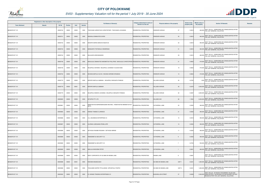

|                       | Registered or other description of the property |               |                |       |                |                                                                                       | Category determined in terms of |                                             | <b>Extent of the</b> | <b>Market value of</b>                                                                                                                             |         |
|-----------------------|-------------------------------------------------|---------------|----------------|-------|----------------|---------------------------------------------------------------------------------------|---------------------------------|---------------------------------------------|----------------------|----------------------------------------------------------------------------------------------------------------------------------------------------|---------|
| <b>Town Allotment</b> | <b>Suburb</b>                                   | <b>Erf Nr</b> | <b>Portion</b> | Unit  | <b>Section</b> | <b>Full Names of Owner(s)</b>                                                         | Section 8 of the Act            | Physical address of the property            | property (HA)        | <b>Section 78 Remarks</b><br>the property                                                                                                          | Remarks |
| BENDOR EXT 101        |                                                 | 00005740      | 00000          | 00000 | 0000           | TSHIVHASE AZWINTUWI CHRISTOPHER / TSHIVHASE LIVHUWANI                                 | RESIDENTIAL PROPERTIES          | 37<br><b>IINDSOR AVENUE</b>                 | 0.0618               | 460,000 SECT 78(1)(c) - SUBDIVIDED OR CONSOLIDATED AFTER<br>THE LAST GENERAL VALUATION                                                             |         |
| BENDOR EXT 101        |                                                 | 00005741      | 00000          | 00000 | 0000           | <b>MASHALA DIMAKATSO GIVEN</b>                                                        | RESIDENTIAL PROPERTIES          | 35<br><b>WINDSOR AVENUE</b>                 | 0.0618               | SECT 78(1)(c) - SUBDIVIDED OR CONSOLIDATED AFTER<br>460,000<br><b>HE LAST GENERAL VALUATION</b>                                                    |         |
| BENDOR EXT 101        |                                                 | 00005742      | 00000          | 00000 | 0000           | MAHOPO MARIA MANCHA NGOATJE-                                                          | <b>RESIDENTIAL PROPERTIES</b>   | <b>WINDSOR AVENUE</b><br>33                 | 0.0618               | SECT 78(1)(c) - SUBDIVIDED OR CONSOLIDATED AFTER<br>460,000 THE LAST GENERAL VALUATION                                                             |         |
| BENDOR EXT 101        |                                                 | 00005743      | 00000          | 00000 | 0000           | MANGANYE TINTSWALO HENDRINAH                                                          | <b>RESIDENTIAL PROPERTIES</b>   | 31<br><b>WINDSOR AVENUE</b>                 | 0.0618               | SECT 78(1)(c) - SUBDIVIDED OR CONSOLIDATED AFTER<br>460,000 THE LAST GENERAL VALUATION                                                             |         |
| BENDOR EXT 101        |                                                 | 00005744      | 00000          | 00000 | 0000           | MULAUDZI AZWIHANGWISI                                                                 | RESIDENTIAL PROPERTIES          | <b>WINDSOR AVENUE</b><br>29                 | 0.0618               | SECT 78(1)(c) - SUBDIVIDED OR CONSOLIDATED AFTER<br>460,000<br>THE LAST GENERAL VALUATION                                                          |         |
| BENDOR EXT 101        |                                                 | 00005748      | 00000          | 00000 | 0000           | MAHLAULE DIMAKATSO MADIMETSA PHILLIPINE / MAHLAULE CHRISTOPHER RESIDENTIAL PROPERTIES |                                 | WINDSOR AVENUE<br>21                        | 0.0622               | SECT 78(1)(c) - SUBDIVIDED OR CONSOLIDATED AFTER<br>470,000 THE LAST GENERAL VALUATION                                                             |         |
| BENDOR EXT 101        |                                                 | 00005749      | 00000          | 00000 | 0000           | MOJAPELO SNYMAN / MOJAPELO JOHANNA TLOUDUPJANE                                        | RESIDENTIAL PROPERTIES          | 19<br>WINDSOR AVENUE                        | 0.0622               | SECT 78(1)(c) - SUBDIVIDED OR CONSOLIDATED AFTER<br>470,000 THE LAST GENERAL VALUATION                                                             |         |
| BENDOR EXT 101        |                                                 | 00005752      | 00000          | 00000 | 0000           | NKOANA MAPULA OLIVIA / NKOANA SEROBO ERASMUS                                          | RESIDENTIAL PROPERTIES          | 13<br><b>WINDSOR AVENUE</b>                 | 0.0624               | SECT 78(1)(c) - SUBDIVIDED OR CONSOLIDATED AFTER<br>470,000 THE LAST GENERAL VALUATION                                                             |         |
| BENDOR EXT 101        |                                                 | 00005779      | 00000          | 00000 | 0000           | BOPAPE MAPULA SABINAH / MOJAPELO SEKGAPA PHINEAS                                      | RESIDENTIAL PROPERTIES          | <b>HILLSIDE AVENUE</b><br>30                | 0.0702               | SECT 78(1)(c) - SUBDIVIDED OR CONSOLIDATED AFTER<br>1,000 THE LAST GENERAL VALUATION                                                               |         |
| BENDOR EXT 101        |                                                 | 00005779      | 00000          | 00001 | 0000           | <b>BOPAPE MAPULA SABINAH</b>                                                          | <b>RESIDENTIAL PROPERTIES</b>   | 30<br><b>IILLSIDE AVENUE</b>                | 0.0279               | 2,000,000 SECT 78(1)(c) - SUBDIVIDED OR CONSOLIDATED AFTER<br>THE LAST GENERAL VALUATION                                                           |         |
| BENDOR EXT 101        |                                                 | 00005779      | 00000          | 00002 | 0000           | MOJAPELO MOEKHI JOHANNA / MOJAPELO SEKGAPA PHINEAS                                    | RESIDENTIAL PROPERTIES          | HILLSIDE AVENUE<br>30                       | 0.0367               | SECT 78(1)(c) - SUBDIVIDED OR CONSOLIDATED AFTER<br>2,600,000 THE LAST GENERAL VALUATION                                                           |         |
| BENDOR EXT 101        |                                                 | 00005805      | 00000          | 00000 | 0000           | DITUPRO PTY LTD                                                                       | RESIDENTIAL PROPERTIES          | 82<br><b>HILLSIDE AVE</b>                   | 1.7654               | 6,200,000 SECT 78(1)(c) - SUBDIVIDED OR CONSOLIDATED AFTER<br>THE LAST GENERAL VALUATION                                                           |         |
| BENDOR EXT 101        |                                                 | 00005881      | 00000          | 00000 | 0000           | RAMATSETSE MORWAMAKGOMO MICHAEL / RAMATSETSE MMAMOTJETJE<br>META                      | RESIDENTIAL PROPERTIES          | CATHEDRAL LANE<br>25                        | 0.0520               | SECT 78(1)(c) - SUBDIVIDED OR CONSOLIDATED AFTER<br>390,000 THE LAST GENERAL VALUATION                                                             |         |
| BENDOR EXT 101        |                                                 | 00005883      | 00000          | 00000 | 0000           | KWENA THABISO CLARENCE                                                                | <b>RESIDENTIAL PROPERTIES</b>   | <b>CATHEDRAL LANE</b><br>21                 | 0.0520               | SECT 78(1)(c) - SUBDIVIDED OR CONSOLIDATED AFTER<br>390,000 THE LAST GENERAL VALUATION                                                             |         |
| BENDOR EXT 101        |                                                 | 00005886      | 00000          | 00000 | 0000           | S & J BUSINESS ENTERPRISE CC                                                          | <b>RESIDENTIAL PROPERTIES</b>   | CATHEDRAL LANE<br>15                        | 0.0518               | SECT 78(1)(c) - SUBDIVIDED OR CONSOLIDATED AFTER<br>390,000 THE LAST GENERAL VALUATION                                                             |         |
| BENDOR EXT 101        |                                                 | 00005887      | 00000          | 00000 | 0000           | HLARAKA LEBOGANG PENELLOPE                                                            | <b>RESIDENTIAL PROPERTIES</b>   | CATHEDRAL LANE<br>13                        | 0.0520               | SECT 78(1)(c) - SUBDIVIDED OR CONSOLIDATED AFTER<br>390,000 THE LAST GENERAL VALUATION                                                             |         |
| BENDOR EXT 101        |                                                 | 00005888      | 00000          | 00000 | 0000           | SETHOGA RAISIBE REGINAH / SETHOGA ABRAM                                               | RESIDENTIAL PROPERTIES          | CATHEDRAL LANE<br>11                        | 0.0520               | SECT 78(1)(c) - SUBDIVIDED OR CONSOLIDATED AFTER<br>390,000 THE LAST GENERAL VALUATION                                                             |         |
| BENDOR EXT 101        |                                                 | 00005889      | 00000          | 00000 | 0000           | RAMADIMETJA SECURITY CC                                                               | <b>RESIDENTIAL PROPERTIES</b>   | <b>CATHEDRAL LANE</b><br>9                  | 0.0520               | SECT 78(1)(c) - SUBDIVIDED OR CONSOLIDATED AFTER<br>390,000 THE LAST GENERAL VALUATION                                                             |         |
| BENDOR EXT 101        |                                                 | 00005890      | 00000          | 00000 | 0000           | RAMADIMETJA SECURITY CC                                                               | RESIDENTIAL PROPERTIES          | CATHEDRAL LANE<br>$\overline{7}$            | 0.0733               | SECT 78(1)(c) - SUBDIVIDED OR CONSOLIDATED AFTER<br>550,000 THE LAST GENERAL VALUATION                                                             |         |
| BENDOR EXT 101        |                                                 | 00005892      | 00000          | 00000 | 0000           | MAILULA NKOKOBA PETER                                                                 | <b>RESIDENTIAL PROPERTIES</b>   | CATHEDRAL LANE<br>$\overline{1}$            | 0.0641               | SECT 78(1)(c) - SUBDIVIDED OR CONSOLIDATED AFTER<br>480,000 THE LAST GENERAL VALUATION                                                             |         |
| BENDOR EXT 101        |                                                 | 00005898      | 00000          | 00000 | 0000           | BODY CORPORATE OF SS 5898 ON INDABA LANE                                              | RESIDENTIAL PROPERTIES          | <b>INDABA LANE</b><br>8                     | 0.0681               | SECT 78(1)(c) - SUBDIVIDED OR CONSOLIDATED AFTER<br>THE LAST GENERAL VALUATION                                                                     |         |
| BENDOR EXT 101        |                                                 | 00005898      | 00000          | 00001 | 0000           | RAKOMA MAGDELINAH                                                                     | RESIDENTIAL PROPERTIES          | UNIT <sub>1</sub><br>SS 5898 ON INDABA LANE | 0.0231               | SECT 78(1)(c) - SUBDIVIDED OR CONSOLIDATED AFTER<br>1,600,000 THE LAST GENERAL VALUATION                                                           |         |
| BENDOR EXT 101        |                                                 | 00005898      | 00000          | 00002 | 0000           | TSHILANDE DAFREY PFULUWANI / MPHAPHULI PHOPHI                                         | RESIDENTIAL PROPERTIES          | SS 5898 ON INDABA LANE<br>UNIT <sub>2</sub> | 0.0231               | 1,600,000 SECT 78(1)(c) - SUBDIVIDED OR CONSOLIDATED AFTER<br>THE LAST GENERAL VALUATION                                                           |         |
| BENDOR EXT 101        |                                                 | 00005930      | 00000          | 00000 | 0000           | CC ARANDI TRADING ENTERPRISES CC                                                      | RESIDENTIAL PROPERTIES          | <b>BUSHWILLOW STREET</b><br>27              | 0.0839               | SECT 78(1)(d) - OF WHICH THE MARKET VALUE HAS<br>2,500,000 SUBSTANTIALLY INCREASED OR DECREASED FOR ANY<br>REASON AFTER THE LAST GENERAL VALUATION |         |

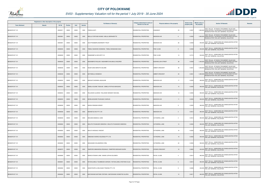

|                       | Registered or other description of the property |               |                |       |                | <b>Full Names of Owner(s)</b>                             | Category determined in terms of | Physical address of the property        | <b>Extent of the</b> | <b>Market value of</b> | <b>Section 78 Remarks</b>                                                                                                                          | <b>Remarks</b> |
|-----------------------|-------------------------------------------------|---------------|----------------|-------|----------------|-----------------------------------------------------------|---------------------------------|-----------------------------------------|----------------------|------------------------|----------------------------------------------------------------------------------------------------------------------------------------------------|----------------|
| <b>Town Allotment</b> | <b>Suburb</b>                                   | <b>Erf Nr</b> | <b>Portion</b> | Unit  | <b>Section</b> |                                                           | <b>Section 8 of the Act</b>     |                                         | property (HA)        | the property           |                                                                                                                                                    |                |
| BENDOR EXT 101        |                                                 | 00005971      | 00000          | 00000 | 0000           | PHEEHA ASITI                                              | RESIDENTIAL PROPERTIES          | 23<br><b><ingsway< b=""></ingsway<></b> | 0.0507               |                        | SECT 78(1)(d) - OF WHICH THE MARKET VALUE HAS<br>1,900,000 SUBSTANTIALLY INCREASED OR DECREASED FOR ANY<br>REASON AFTER THE LAST GENERAL VALUATION |                |
| BENDOR EXT 101        |                                                 | 00005981      | 00000          | 00000 | 0000           | MDLULI FORTUNE KHOMO / MDLULI BERNADETTE                  | <b>RESIDENTIAL PROPERTIES</b>   | <b>MADISON AVE</b><br>6                 | 0.0550               |                        | SECT 78(1)(d) - OF WHICH THE MARKET VALUE HAS<br>1,900,000 SUBSTANTIALLY INCREASED OR DECREASED FOR ANY<br>REASON AFTER THE LAST GENERAL VALUATION |                |
| BENDOR EXT 101        |                                                 | 00005991      | 00000          | 00000 | 0000           | SOUTPANSBERG BOERDERY TRUST                               | RESIDENTIAL PROPERTIES          | <b>MADISON AVE</b><br>26                | 0.0539               |                        | SECT 78(1)(c) - SUBDIVIDED OR CONSOLIDATED AFTER<br>400,000 THE LAST GENERAL VALUATION                                                             |                |
| BENDOR EXT 101        |                                                 | 00006005      | 00000          | 00000 | 0000           | TEBELE MADIKWE KEDIBONE / TEBELE BONAKANE ISIAH           | RESIDENTIAL PROPERTIES          | PINE CLOSE<br>8                         | 0.0539               |                        | 400,000 SECT 78(1)(c) - SUBDIVIDED OR CONSOLIDATED AFTER<br>THE LAST GENERAL VALUATION                                                             |                |
| BENDOR EXT 101        |                                                 | 00006009      | 00000          | 00000 | 0000           | RAMADIMETJA SECURITY CC                                   | RESIDENTIAL PROPERTIES          | 13<br>PINE CLOSE                        | 0.0710               | 530,000                | SECT 78(1)(c) - SUBDIVIDED OR CONSOLIDATED AFTER<br>THE LAST GENERAL VALUATION                                                                     |                |
| BENDOR EXT 101        |                                                 | 00006029      | 00000          | 00000 | 0000           | MASHIMBYE RHULANI / MASHIMBYE NHLAMULO MILDRED            | <b>RESIDENTIAL PROPERTIES</b>   | <b>BUSHWILLOW STREET</b><br>38          | 0.0539               |                        | SECT 78(1)(d) - OF WHICH THE MARKET VALUE HAS<br>1,400,000 SUBSTANTIALLY INCREASED OR DECREASED FOR ANY<br>REASON AFTER THE LAST GENERAL VALUATION |                |
| BENDOR EXT 101        |                                                 | 00006046      | 00000          | 00000 | 0000           | NGOETJANA MAROTHI SALOME                                  | RESIDENTIAL PROPERTIES          | AMBER CRESCENT<br>36                    | 0.0521               |                        | SECT 78(1)(d) - OF WHICH THE MARKET VALUE HAS<br>1,500,000 SUBSTANTIALLY INCREASED OR DECREASED FOR ANY<br>REASON AFTER THE LAST GENERAL VALUATION |                |
| BENDOR EXT 101        |                                                 | 00006048      | 00000          | 00000 | 0000           | <b>MATHEBULA KENMOOH</b>                                  | RESIDENTIAL PROPERTIES          | AMBER CRESCENT<br>40                    | 0.0521               |                        | SECT 78(1)(d) - OF WHICH THE MARKET VALUE HAS<br>1,900,000 SUBSTANTIALLY INCREASED OR DECREASED FOR ANY<br>REASON AFTER THE LAST GENERAL VALUATION |                |
| BENDOR EXT 101        |                                                 | 00006052      | 00000          | 00000 | 0000           | MAKGATO MOSIMA JAQUALINE                                  | RESIDENTIAL PROPERTIES          | 17<br>MADISON AVE                       | 0.0525               |                        | 390,000 SECT 78(1)(c) - SUBDIVIDED OR CONSOLIDATED AFTER<br>THE LAST GENERAL VALUATION                                                             |                |
| BENDOR EXT 101        |                                                 | 00006053      | 00000          | 00000 | 0000           | SEBELA EUGINE TSEALNE / SEBELA PETRUS MOKGOKO             | RESIDENTIAL PROPERTIES          | <b>MADISON AVE</b><br>15                | 0.0525               |                        | 390,000 SECT 78(1)(c) - SUBDIVIDED OR CONSOLIDATED AFTER<br>THE LAST GENERAL VALUATION                                                             |                |
| BENDOR EXT 101        |                                                 | 00006054      | 00000          | 00000 | 0000           | RALUKAKE ALUWANI / RALUKAKE NDINANYI MICHAEL              | RESIDENTIAL PROPERTIES          | 13<br><b>MADISON AVE</b>                | 0.0525               |                        | 390,000 SECT 78(1)(c) - SUBDIVIDED OR CONSOLIDATED AFTER<br>THE LAST GENERAL VALUATION                                                             |                |
| BENDOR EXT 101        |                                                 | 00006055      | 00000          | 00000 | 0000           | MOSELAKGOMO PHUKUBJE CHARLES                              | RESIDENTIAL PROPERTIES          | <b>MADISON AVE</b><br>11                | 0.0525               |                        | 390,000 SECT 78(1)(c) - SUBDIVIDED OR CONSOLIDATED AFTER<br>THE LAST GENERAL VALUATION                                                             |                |
| BENDOR EXT 101        |                                                 | 00006056      | 00000          | 00000 | 0000           | MUBVA RENDANI WENDY                                       | RESIDENTIAL PROPERTIES          | MADISON AVE<br>- 9                      | 0.0525               |                        | 390,000 SECT 78(1)(c) - SUBDIVIDED OR CONSOLIDATED AFTER<br>THE LAST GENERAL VALUATION                                                             |                |
| BENDOR EXT 101        |                                                 | 00006058      | 00000          | 00000 | 0000           | MAHWETJE INV PTY LTD                                      | RESIDENTIAL PROPERTIES          | <b>MADISON AVE</b><br>5                 | 0.0512               |                        | SECT 78(1)(c) - SUBDIVIDED OR CONSOLIDATED AFTER<br>380,000 THE LAST GENERAL VALUATION                                                             |                |
| BENDOR EXT 101        |                                                 | 00006059      | 00000          | 00000 | 0000           | MOLEMA MAMAHLO JANE                                       | RESIDENTIAL PROPERTIES          | CATHEDRAL LANE<br>$\overline{a}$        | 0.0512               |                        | 380,000 SECT 78(1)(c) - SUBDIVIDED OR CONSOLIDATED AFTER<br>THE LAST GENERAL VALUATION                                                             |                |
| BENDOR EXT 101        |                                                 | 00006060      | 00000          | 00000 | 0000           | MOLOTO PHUMUDZO DEBORAH / MOLOTO PHUMUDZO DEBORAH         | RESIDENTIAL PROPERTIES          | <b>CATHEDRAL LANE</b><br>12             | 0.0525               |                        | SECT 78(1)(c) - SUBDIVIDED OR CONSOLIDATED AFTER<br>390,000 THE LAST GENERAL VALUATION                                                             |                |
| BENDOR EXT 101        |                                                 | 00006062      | 00000          | 00000 | 0000           | MALATJI MOGALE VINCENT                                    | RESIDENTIAL PROPERTIES          | 16<br>CATHEDRAL LANE                    | 0.0525               |                        | SECT 78(1)(c) - SUBDIVIDED OR CONSOLIDATED AFTER<br>390,000 THE LAST GENERAL VALUATION                                                             |                |
| BENDOR EXT 101        |                                                 | 00006063      | 00000          | 00000 | 0000           | EMMUNAH WORKS HOLDINGS PTY LTD                            | RESIDENTIAL PROPERTIES          | CATHEDRAL LANE<br>18                    | 0.0525               |                        | SECT 78(1)(c) - SUBDIVIDED OR CONSOLIDATED AFTER<br>390,000 THE LAST GENERAL VALUATION                                                             |                |
| BENDOR EXT 101        |                                                 | 00006065      | 00000          | 00000 | 0000           | MAGAGANE XIHLAMARISO SYBIL                                | RESIDENTIAL PROPERTIES          | 22<br><b>CATHEDRAL LANE</b>             | 0.0525               |                        | 390,000 SECT 78(1)(c) - SUBDIVIDED OR CONSOLIDATED AFTER<br>THE LAST GENERAL VALUATION                                                             |                |
| BENDOR EXT 101        |                                                 | 00006075      | 00000          | 00000 | 0000           | RAMPORO MMAKWENA REGINALD / RAMPORO MOKGADI EILEEN        | RESIDENTIAL PROPERTIES          | <b>CROWN CRESCENT</b><br>16             | 0.0602               |                        | SECT 78(1)(c) - SUBDIVIDED OR CONSOLIDATED AFTER<br>450,000 THE LAST GENERAL VALUATION                                                             |                |
| BENDOR EXT 101        |                                                 | 00006080      | 00000          | 00000 | 0000           | MAAKE NTSWAKI JANE / MAAKE LEPHAI SOLOMON                 | RESIDENTIAL PROPERTIES          | ROYAL CLOSE<br>$\overline{4}$           | 0.0614               |                        | 460,000 SECT 78(1)(c) - SUBDIVIDED OR CONSOLIDATED AFTER<br>THE LAST GENERAL VALUATION                                                             |                |
| BENDOR EXT 101        |                                                 | 00006081      | 00000          | 00000 | 0000           | RATSHILUMELA TSUMBEDZO GERSON / RATSHILUMELA ROFHIWA OLGA | RESIDENTIAL PROPERTIES          | ROYAL CLOSE<br>6                        | 0.0614               | 460,000                | SECT 78(1)(c) - SUBDIVIDED OR CONSOLIDATED AFTER<br>THE LAST GENERAL VALUATION                                                                     |                |
| BENDOR EXT 101        |                                                 | 00006082      | 00000          | 00000 | 0000           | NGWATSHIPA & MOLOGADI TRADING PTY LTD                     | <b>RESIDENTIAL PROPERTIES</b>   | ROYAL CLOSE<br>- 8                      | 0.0606               |                        | 450,000 SECT 78(1)(c) - SUBDIVIDED OR CONSOLIDATED AFTER<br>THE LAST GENERAL VALUATION                                                             |                |
| BENDOR EXT 101        |                                                 | 00006084      | 00000          | 00000 | 0000           | MAFOKWANE MATOME STEPHEN / MAFOKWANE KHOMOTSO GLORIA      | RESIDENTIAL PROPERTIES          | 12<br>ROYAL CLOSE                       | 0.0617               | 460,000                | SECT 78(1)(c) - SUBDIVIDED OR CONSOLIDATED AFTER<br>THE LAST GENERAL VALUATION                                                                     |                |

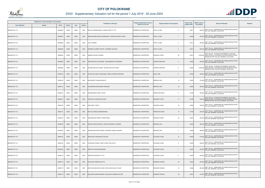

|                       | Registered or other description of the property |          |                |       |                | <b>Full Names of Owner(s)</b>                       | Category determined in terms of |                                         | <b>Extent of the</b> | <b>Market value of</b> | <b>Section 78 Remarks</b>                                                                                                                          | Remarks |
|-----------------------|-------------------------------------------------|----------|----------------|-------|----------------|-----------------------------------------------------|---------------------------------|-----------------------------------------|----------------------|------------------------|----------------------------------------------------------------------------------------------------------------------------------------------------|---------|
| <b>Town Allotment</b> | <b>Suburb</b>                                   | Erf Nr   | <b>Portion</b> | Unit  | <b>Section</b> |                                                     | Section 8 of the Act            | Physical address of the property        | property (HA)        | the property           |                                                                                                                                                    |         |
| BENDOR EXT 101        |                                                 | 00006085 | 00000          | 00000 | 0000           | DIPHUTI ENGINEERING & CONSULTING PTY LTD            | RESIDENTIAL PROPERTIES          | ROYAL CLOSE<br>11                       | 0.0617               |                        | 460,000 SECT 78(1)(c) - SUBDIVIDED OR CONSOLIDATED AFTER<br>THE LAST GENERAL VALUATION                                                             |         |
| BENDOR EXT 101        |                                                 | 00006087 | 00000          | 00000 | 0000           | MANYAGE MBAVHALELO EMMANUEL / MANYAGE SHIRLEY META  | RESIDENTIAL PROPERTIES          | ROYAL CLOSE<br>$\overline{7}$           | 0.0606               | 450,000                | SECT 78(1)(c) - SUBDIVIDED OR CONSOLIDATED AFTER<br><b>HE LAST GENERAL VALUATION</b>                                                               |         |
| BENDOR EXT 101        |                                                 | 00006088 | 00000          | 00000 | 0000           | <b>TLOU THABISO</b>                                 | <b>RESIDENTIAL PROPERTIES</b>   | ROYAL CLOSE<br>- 5                      | 0.0614               |                        | SECT 78(1)(c) - SUBDIVIDED OR CONSOLIDATED AFTER<br>460,000 THE LAST GENERAL VALUATION                                                             |         |
| BENDOR EXT 101        |                                                 | 00006089 | 00000          | 00000 | 0000           | NGOBENI CLEMENT POETRY / NGOBENI TAKALANI           | <b>RESIDENTIAL PROPERTIES</b>   | ROYAL CLOSE<br>$\overline{3}$           | 0.0614               |                        | SECT 78(1)(c) - SUBDIVIDED OR CONSOLIDATED AFTER<br>460,000 THE LAST GENERAL VALUATION                                                             |         |
| BENDOR EXT 101        |                                                 | 00006094 | 00000          | 00000 | 0000           | MADIBA NTHOSA PHINEAS                               | RESIDENTIAL PROPERTIES          | <b>KINGSWAY WEST</b><br>89              | 0.0614               |                        | SECT 78(1)(d) - OF WHICH THE MARKET VALUE HAS<br>2,200,000 SUBSTANTIALLY INCREASED OR DECREASED FOR ANY<br>REASON AFTER THE LAST GENERAL VALUATION |         |
| BENDOR EXT 101        |                                                 | 00006098 | 00000          | 00000 | 0000           | TEMA DIPOLELO PHILEMON / TEMA MMANOKO ROSEMARY      | RESIDENTIAL PROPERTIES          | <b>CROWN CRESCENT</b><br>$\overline{4}$ | 0.0602               |                        | SECT 78(1)(c) - SUBDIVIDED OR CONSOLIDATED AFTER<br>450,000 THE LAST GENERAL VALUATION                                                             |         |
| BENDOR EXT 101        |                                                 | 00006099 | 00000          | 00000 | 0000           | SELOMO MOTUPA EVANS / SELOMO MOTUPA EVANS           | <b>RESIDENTIAL PROPERTIES</b>   | <b>CROWN CRESCENT</b><br>- 6            | 0.0602               |                        | SECT 78(1)(d) - OF WHICH THE MARKET VALUE HAS<br>2,300,000 SUBSTANTIALLY INCREASED OR DECREASED FOR ANY<br>REASON AFTER THE LAST GENERAL VALUATION |         |
| BENDOR EXT 101        |                                                 | 00006103 | 00000          | 00000 | 0000           | BUTHELEZI LINDA VELENKOSINI / MEELA PRINCESS MAKONE | RESIDENTIAL PROPERTIES          | <b>DUKE LANE</b><br>9                   | 0.0635               |                        | SECT 78(1)(c) - SUBDIVIDED OR CONSOLIDATED AFTER<br>480,000 THE LAST GENERAL VALUATION                                                             |         |
| BENDOR EXT 101        |                                                 | 00006109 | 00000          | 00000 | 0000           | MALONGETE TSAKANI NXALATI                           | RESIDENTIAL PROPERTIES          | <b>IMPERIAL WAY</b><br>10               | 0.0633               |                        | SECT 78(1)(c) - SUBDIVIDED OR CONSOLIDATED AFTER<br>470,000 THE LAST GENERAL VALUATION                                                             |         |
| BENDOR EXT 101        |                                                 | 00006113 | 00000          | 00000 | 0000           | HLUNGWANE NKHENSANI CAROLINE                        | <b>RESIDENTIAL PROPERTIES</b>   | <b>IMPERIAL WAY</b><br>18               | 0.0650               |                        | 490,000 SECT 78(1)(c) - SUBDIVIDED OR CONSOLIDATED AFTER<br>THE LAST GENERAL VALUATION                                                             |         |
| BENDOR EXT 101        |                                                 | 00006122 | 00000          | 00000 | 0000           | MOKHONOANA FAMILY TRUST                             | RESIDENTIAL PROPERTIES          | PRINCETON ROAD<br>- 5                   | 0.0705               |                        | SECT 78(1)(c) - SUBDIVIDED OR CONSOLIDATED AFTER<br>530,000 THE LAST GENERAL VALUATION                                                             |         |
| BENDOR EXT 101        |                                                 | 00006127 | 00000          | 00000 | 0000           | TSHIVHULA LESEGO MILLICENT                          | RESIDENTIAL PROPERTIES          | KINGSWAY WEST<br>74                     | 0.0705               |                        | SECT 78(1)(d) - OF WHICH THE MARKET VALUE HAS<br>530,000 SUBSTANTIALLY INCREASED OR DECREASED FOR ANY<br>REASON AFTER THE LAST GENERAL VALUATION   |         |
| BENDOR EXT 101        |                                                 | 00006138 | 00000          | 00000 | 0000           | <b>XAN FAMILY TRUST</b>                             | <b>RESIDENTIAL PROPERTIES</b>   | 38<br>KINGSWAY WEST                     | 0.0666               |                        | SECT 78(1)(c) - SUBDIVIDED OR CONSOLIDATED AFTER<br>500,000 THE LAST GENERAL VALUATION                                                             |         |
| BENDOR EXT 101        |                                                 | 00006147 | 00000          | 00000 | 0000           | MATLALA MARCUS MMAKADIKWE                           | <b>RESIDENTIAL PROPERTIES</b>   | PRINCETON ROAD<br>10                    | 0.0700               |                        | SECT 78(1)(c) - SUBDIVIDED OR CONSOLIDATED AFTER<br>530,000 THE LAST GENERAL VALUATION                                                             |         |
| BENDOR EXT 101        |                                                 | 00006153 | 00000          | 00000 | 0000           | MAKHAMATHE ROSETTA MODITSANA                        | RESIDENTIAL PROPERTIES          | 22<br><b>KINGSWAY WEST</b>              | 0.0601               |                        | SECT 78(1)(c) - SUBDIVIDED OR CONSOLIDATED AFTER<br>450,000 THE LAST GENERAL VALUATION                                                             |         |
| BENDOR EXT 101        |                                                 | 00006159 | 00000          | 00000 | 0000           | SELEPE PHENYO GRACE / SELEPE MOKGAETJI VIRGINIA     | RESIDENTIAL PROPERTIES          | <b>IMPERIAL WAY</b><br>$\overline{7}$   | 0.0635               |                        | SECT 78(1)(c) - SUBDIVIDED OR CONSOLIDATED AFTER<br>480,000 THE LAST GENERAL VALUATION                                                             |         |
| BENDOR EXT 101        |                                                 | 00006160 | 00000          | 00000 | 0000           | SEKGOKA MOTSATSI PINKIE / SEKGOKA HEIZEN LEKOAPA    | RESIDENTIAL PROPERTIES          | <b>IMPERIAL WAY</b><br>3                | 0.0636               |                        | SECT 78(1)(c) - SUBDIVIDED OR CONSOLIDATED AFTER<br>480,000 THE LAST GENERAL VALUATION                                                             |         |
| BENDOR EXT 101        |                                                 | 00006167 | 00000          | 00000 | 0000           | MPHAHLELE RAPHAAHLE PAULINA                         | RESIDENTIAL PROPERTIES          | <b>DUCHESS CLOSE</b><br>10              | 0.0620               |                        | SECT 78(1)(c) - SUBDIVIDED OR CONSOLIDATED AFTER<br>470,000 THE LAST GENERAL VALUATION                                                             |         |
| BENDOR EXT 101        |                                                 | 00006168 | 00000          | 00000 | 0000           | CHAVANGU RUSSIA / MOETJI NAPE PHILLISTUS            | RESIDENTIAL PROPERTIES          | DUCHESS CLOSE<br>9                      | 0.0645               |                        | SECT 78(1)(c) - SUBDIVIDED OR CONSOLIDATED AFTER<br>480,000 THE LAST GENERAL VALUATION                                                             |         |
| BENDOR EXT 101        |                                                 | 00006169 | 00000          | 00000 | 0000           | SIKHITHA FHATUWANI MEGAN                            | RESIDENTIAL PROPERTIES          | <b>DUCHESS CLOSE</b><br>$\overline{7}$  | 0.0597               | 450,000                | SECT 78(1)(c) - SUBDIVIDED OR CONSOLIDATED AFTER<br>THE LAST GENERAL VALUATION                                                                     |         |
| BENDOR EXT 101        |                                                 | 00006170 | 00000          | 00000 | 0000           | RAMZ EXPLOSIVES PTY LTD                             | RESIDENTIAL PROPERTIES          | <b>DUCHESS CLOSE</b><br>- 5             | 0.0602               | 450,000                | SECT 78(1)(c) - SUBDIVIDED OR CONSOLIDATED AFTER<br>THE LAST GENERAL VALUATION                                                                     |         |
| BENDOR EXT 101        |                                                 | 00006173 | 00000          | 00000 | 0000           | BUTHELEZI TEBOGO ALETTA                             | RESIDENTIAL PROPERTIES          | 22<br>WINDSOR AVENUE                    | 0.0604               |                        | SECT 78(1)(c) - SUBDIVIDED OR CONSOLIDATED AFTER<br>450,000 THE LAST GENERAL VALUATION                                                             |         |
| BENDOR EXT 101        |                                                 | 00006176 | 00000          | 00000 | 0000           | MATLHOHA MOLOKO JACOB / MATLHOHA SELELO VIOLET      | RESIDENTIAL PROPERTIES          | WINDSOR AVENUE<br>34                    | 0.0646               |                        | SECT 78(1)(c) - SUBDIVIDED OR CONSOLIDATED AFTER<br>480,000 THE LAST GENERAL VALUATION                                                             |         |
| BENDOR EXT 101        |                                                 | 00006178 | 00000          | 00000 | 0000           | MULAUDZI GUDANI AMANDA / MULAUDZI FUNANANI VICTOR   | RESIDENTIAL PROPERTIES          | <b>WINDSOR AVENUE</b><br>38             | 0.0621               | 470,000                | SECT 78(1)(c) - SUBDIVIDED OR CONSOLIDATED AFTER<br>THE LAST GENERAL VALUATION                                                                     |         |

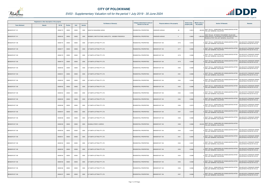

|                       | Registered or other description of the property |               |                |       |                | <b>Full Names of Owner(s)</b>                     | Category determined in terms of | Physical address of the property        | <b>Extent of the</b> | <b>Market value of</b><br><b>Section 78 Remarks</b>                                                                                                | Remarks                                                            |
|-----------------------|-------------------------------------------------|---------------|----------------|-------|----------------|---------------------------------------------------|---------------------------------|-----------------------------------------|----------------------|----------------------------------------------------------------------------------------------------------------------------------------------------|--------------------------------------------------------------------|
| <b>Town Allotment</b> | <b>Suburb</b>                                   | <b>Erf Nr</b> | <b>Portion</b> | Unit  | <b>Section</b> |                                                   | <b>Section 8 of the Act</b>     |                                         | property (HA)        | the property                                                                                                                                       |                                                                    |
| BENDOR EXT 101        |                                                 | 00006179      | 00000          | 00000 | 0000           | NGOATJE MAGADIMA SARAH                            | RESIDENTIAL PROPERTIES          | <b>VINDSOR AVENUE</b><br>40             | 0.0619               | SECT 78(1)(c) - SUBDIVIDED OR CONSOLIDATED AFTER<br>460,000 THE LAST GENERAL VALUATION                                                             |                                                                    |
| BENDOR EXT 101        |                                                 | 00006183      | 00000          | 00000 | 0000           | WEEBER LYNETTE ETHNE CHARLOTTE / WEEBER FREDERICK | <b>RESIDENTIAL PROPERTIES</b>   | <b>WINDSOR AVENUE</b><br>$\overline{4}$ | 0.0600               | SECT 78(1)(d) - OF WHICH THE MARKET VALUE HAS<br>1,950,000 SUBSTANTIALLY INCREASED OR DECREASED FOR ANY<br>REASON AFTER THE LAST GENERAL VALUATION |                                                                    |
| BENDOR EXT 108        |                                                 | 00008176      | 00000          | 00000 | 0000           | G P SMITH LETTING PTY LTD                         | <b>RESIDENTIAL PROPERTIES</b>   | 8176<br>BENDOR EXT 108                  | 0.0393               | SECT 78(1)(c) - SUBDIVIDED OR CONSOLIDATED AFTER<br>THE LAST GENERAL VALUATION                                                                     | VALUED WITH TOWNSHIP OWNER<br>VALUATION (PTN 522 OF 915 LS)        |
| BENDOR EXT 108        |                                                 | 00008177      | 00000          | 00000 | 0000           | G P SMITH LETTING PTY LTD                         | <b>RESIDENTIAL PROPERTIES</b>   | BENDOR EXT 108<br>8177                  | 0.0388               | SECT 78(1)(c) - SUBDIVIDED OR CONSOLIDATED AFTER<br>THE LAST GENERAL VALUATION                                                                     | <b>VALUED WITH TOWNSHIP OWNER</b><br>VALUATION (PTN 522 OF 915 LS) |
| BENDOR EXT 108        |                                                 | 00008178      | 00000          | 00000 | 0000           | G P SMITH LETTING PTY LTD                         | RESIDENTIAL PROPERTIES          | <b>BENDOR EXT 108</b><br>8178           | 0.0388               | SECT 78(1)(c) - SUBDIVIDED OR CONSOLIDATED AFTER<br>THE LAST GENERAL VALUATION                                                                     | VALUED WITH TOWNSHIP OWNER<br>VALUATION (PTN 522 OF 915 LS)        |
| BENDOR EXT 108        |                                                 | 00008179      | 00000          | 00000 | 0000           | G P SMITH LETTING PTY LTD                         | <b>RESIDENTIAL PROPERTIES</b>   | 8179<br>BENDOR EXT 108                  | 0.0388               | SECT 78(1)(c) - SUBDIVIDED OR CONSOLIDATED AFTER<br>THE LAST GENERAL VALUATION                                                                     | ALUED WITH TOWNSHIP OWNER<br>/ALUATION (PTN 522 OF 915 LS)         |
| BENDOR EXT 108        |                                                 | 00008180      | 00000          | 00000 | 0000           | G P SMITH LETTING PTY LTD                         | RESIDENTIAL PROPERTIES          | 8180<br><b>BENDOR EXT 108</b>           | 0.0388               | SECT 78(1)(c) - SUBDIVIDED OR CONSOLIDATED AFTER<br>THE LAST GENERAL VALUATION                                                                     | VALUED WITH TOWNSHIP OWNER<br>VALUATION (PTN 522 OF 915 LS)        |
| BENDOR EXT 108        |                                                 | 00008181      | 00000          | 00000 | 0000           | G P SMITH LETTING PTY LTD                         | RESIDENTIAL PROPERTIES          | 8181<br>BENDOR EXT 108                  | 0.0388               | SECT 78(1)(c) - SUBDIVIDED OR CONSOLIDATED AFTER<br>THE LAST GENERAL VALUATION                                                                     | <b>VALUED WITH TOWNSHIP OWNER</b><br>VALUATION (PTN 522 OF 915 LS) |
| BENDOR EXT 108        |                                                 | 00008182      | 00000          | 00000 | 0000           | G P SMITH LETTING PTY LTD                         | <b>RESIDENTIAL PROPERTIES</b>   | BENDOR EXT 108<br>8182                  | 0.0388               | SECT 78(1)(c) - SUBDIVIDED OR CONSOLIDATED AFTER<br>THE LAST GENERAL VALUATION                                                                     | VALUED WITH TOWNSHIP OWNER<br>/ALUATION (PTN 522 OF 915 LS)        |
| BENDOR EXT 108        |                                                 | 00008183      | 00000          | 00000 | 0000           | G P SMITH LETTING PTY LTD                         | RESIDENTIAL PROPERTIES          | BENDOR EXT 108<br>8183                  | 0.0388               | SECT 78(1)(c) - SUBDIVIDED OR CONSOLIDATED AFTER<br>THE LAST GENERAL VALUATION                                                                     | VALUED WITH TOWNSHIP OWNER<br>/ALUATION (PTN 522 OF 915 LS)        |
| BENDOR EXT 108        |                                                 | 00008184      | 00000          | 00000 | 0000           | G P SMITH LETTING PTY LTD                         | RESIDENTIAL PROPERTIES          | <b>BENDOR EXT 108</b><br>8184           | 0.0388               | SECT 78(1)(c) - SUBDIVIDED OR CONSOLIDATED AFTER<br>THE LAST GENERAL VALUATION                                                                     | VALUED WITH TOWNSHIP OWNER<br>VALUATION (PTN 522 OF 915 LS)        |
| BENDOR EXT 108        |                                                 | 00008185      | 00000          | 00000 | 0000           | G P SMITH LETTING PTY LTD                         | RESIDENTIAL PROPERTIES          | BENDOR EXT 108<br>8185                  | 0.0388               | SECT 78(1)(c) - SUBDIVIDED OR CONSOLIDATED AFTER<br>THE LAST GENERAL VALUATION                                                                     | <b>VALUED WITH TOWNSHIP OWNER</b><br>VALUATION (PTN 522 OF 915 LS) |
| BENDOR EXT 108        |                                                 | 00008186      | 00000          | 00000 | 0000           | G P SMITH LETTING PTY LTD                         | <b>RESIDENTIAL PROPERTIES</b>   | BENDOR EXT 108<br>8186                  | 0.0379               | SECT 78(1)(c) - SUBDIVIDED OR CONSOLIDATED AFTER<br>THE LAST GENERAL VALUATION                                                                     | VALUED WITH TOWNSHIP OWNER<br>VALUATION (PTN 522 OF 915 LS)        |
| BENDOR EXT 108        |                                                 | 00008187      | 00000          | 00000 | 0000           | G P SMITH LETTING PTY LTD                         | RESIDENTIAL PROPERTIES          | 8187<br>BENDOR EXT 108                  | 0.0378               | SECT 78(1)(c) - SUBDIVIDED OR CONSOLIDATED AFTER<br>THE LAST GENERAL VALUATION                                                                     | <b>VALUED WITH TOWNSHIP OWNER</b><br>VALUATION (PTN 522 OF 915 LS) |
| BENDOR EXT 108        |                                                 | 00008188      | 00000          | 00000 | 0000           | G P SMITH LETTING PTY LTD                         | RESIDENTIAL PROPERTIES          | BENDOR EXT 108<br>8188                  | 0.0388               | SECT 78(1)(c) - SUBDIVIDED OR CONSOLIDATED AFTER<br>THE LAST GENERAL VALUATION                                                                     | VALUED WITH TOWNSHIP OWNER<br>VALUATION (PTN 522 OF 915 LS)        |
| BENDOR EXT 108        |                                                 | 00008189      | 00000          | 00000 | 0000           | KHUMALO PERCY LODRICK                             | <b>RESIDENTIAL PROPERTIES</b>   | <b>BENDOR EXT 108</b><br>8189           | 0.0388               | SECT 78(1)(c) - SUBDIVIDED OR CONSOLIDATED AFTER<br>230,000<br>THE LAST GENERAL VALUATION                                                          |                                                                    |
| BENDOR EXT 108        |                                                 | 00008190      | 00000          | 00000 | 0000           | G P SMITH LETTING PTY LTD                         | <b>RESIDENTIAL PROPERTIES</b>   | BENDOR EXT 108<br>8190                  | 0.0387               | SECT 78(1)(c) - SUBDIVIDED OR CONSOLIDATED AFTER<br>THE LAST GENERAL VALUATION                                                                     | VALUED WITH TOWNSHIP OWNER<br>VALUATION (PTN 522 OF 915 LS)        |
| BENDOR EXT 108        |                                                 | 00008191      | 00000          | 00000 | 0000           | G P SMITH LETTING PTY LTD                         | RESIDENTIAL PROPERTIES          | 8191<br>BENDOR EXT 108                  | 0.0400               | SECT 78(1)(c) - SUBDIVIDED OR CONSOLIDATED AFTER<br>THE LAST GENERAL VALUATION                                                                     | VALUED WITH TOWNSHIP OWNER<br>VALUATION (PTN 522 OF 915 LS)        |
| BENDOR EXT 108        |                                                 | 00008192      | 00000          | 00000 | 0000           | G P SMITH LETTING PTY LTD                         | <b>RESIDENTIAL PROPERTIES</b>   | BENDOR EXT 108<br>8192                  | 0.0387               | SECT 78(1)(c) - SUBDIVIDED OR CONSOLIDATED AFTER<br>THE LAST GENERAL VALUATION                                                                     | VALUED WITH TOWNSHIP OWNER<br>VALUATION (PTN 522 OF 915 LS)        |
| BENDOR EXT 108        |                                                 | 00008193      | 00000          | 00000 | 0000           | G P SMITH LETTING PTY LTD                         | <b>RESIDENTIAL PROPERTIES</b>   | <b>BENDOR EXT 108</b><br>8193           | 0.0388               | SECT 78(1)(c) - SUBDIVIDED OR CONSOLIDATED AFTER<br>THE LAST GENERAL VALUATION                                                                     | ALUED WITH TOWNSHIP OWNER<br>VALUATION (PTN 522 OF 915 LS)         |
| BENDOR EXT 108        |                                                 | 00008194      | 00000          | 00000 | 0000           | G P SMITH LETTING PTY LTD                         | RESIDENTIAL PROPERTIES          | BENDOR EXT 108<br>8194                  | 0.0388               | SECT 78(1)(c) - SUBDIVIDED OR CONSOLIDATED AFTER<br>THE LAST GENERAL VALUATION                                                                     | VALUED WITH TOWNSHIP OWNER<br>VALUATION (PTN 522 OF 915 LS)        |
| BENDOR EXT 108        |                                                 | 00008195      | 00000          | 00000 | 0000           | G P SMITH LETTING PTY LTD                         | RESIDENTIAL PROPERTIES          | BENDOR EXT 108<br>8195                  | 0.0388               | SECT 78(1)(c) - SUBDIVIDED OR CONSOLIDATED AFTER<br>THE LAST GENERAL VALUATION                                                                     | VALUED WITH TOWNSHIP OWNER<br>VALUATION (PTN 522 OF 915 LS)        |
| BENDOR EXT 108        |                                                 | 00008196      | 00000          | 00000 | 0000           | G P SMITH LETTING PTY LTD                         | RESIDENTIAL PROPERTIES          | <b>ENDOR EXT 108</b><br>8196            | 0.0388               | SECT 78(1)(c) - SUBDIVIDED OR CONSOLIDATED AFTER<br>THE LAST GENERAL VALUATION                                                                     | VALUED WITH TOWNSHIP OWNER<br>VALUATION (PTN 522 OF 915 LS)        |
| BENDOR EXT 108        |                                                 | 00008197      | 00000          | 00000 | 0000           | G P SMITH LETTING PTY LTD                         | <b>RESIDENTIAL PROPERTIES</b>   | 8197<br><b>BENDOR EXT 108</b>           | 0.0388               | SECT 78(1)(c) - SUBDIVIDED OR CONSOLIDATED AFTER<br>THE LAST GENERAL VALUATION                                                                     | VALUED WITH TOWNSHIP OWNER<br>VALUATION (PTN 522 OF 915 LS)        |

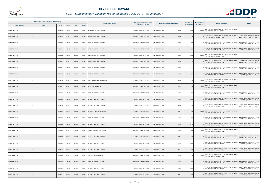

|                       | Registered or other description of the property |               |                |       |                | <b>Full Names of Owner(s)</b> | Category determined in terms of |                                         | <b>Extent of the</b> | <b>Market value of</b> | <b>Section 78 Remarks</b>                                                                   | <b>Remarks</b>                                              |
|-----------------------|-------------------------------------------------|---------------|----------------|-------|----------------|-------------------------------|---------------------------------|-----------------------------------------|----------------------|------------------------|---------------------------------------------------------------------------------------------|-------------------------------------------------------------|
| <b>Town Allotment</b> | <b>Suburb</b>                                   | <b>Erf Nr</b> | <b>Portion</b> | Unit  | <b>Section</b> |                               | Section 8 of the Act            | <b>Physical address of the property</b> | property (HA)        | the property           |                                                                                             |                                                             |
| BENDOR EXT 108        |                                                 | 00008198      | 00000          | 00000 | 0000           | NDHLOVU HLAYISANI GAJENI      | RESIDENTIAL PROPERTIES          | <b>BENDOR EXT 108</b><br>8198           | 0.0388               |                        | 230,000 SECT 78(1)(c) - SUBDIVIDED OR CONSOLIDATED AFTER<br>THE LAST GENERAL VALUATION      |                                                             |
| BENDOR EXT 108        |                                                 | 00008199      | 00000          | 00000 | 0000           | G P SMITH LETTING PTY LTD     | RESIDENTIAL PROPERTIES          | 8199<br>BENDOR EXT 108                  | 0.0388               |                        | SECT 78(1)(c) - SUBDIVIDED OR CONSOLIDATED AFTER<br>THE LAST GENERAL VALUATION              | VALUED WITH TOWNSHIP OWNER<br>VALUATION (PTN 522 OF 915 LS) |
| BENDOR EXT 108        |                                                 | 00008200      | 00000          | 00000 | 0000           | G P SMITH LETTING PTY LTD     | RESIDENTIAL PROPERTIES          | BENDOR EXT 108<br>8200                  | 0.0388               |                        | SECT 78(1)(c) - SUBDIVIDED OR CONSOLIDATED AFTER<br>THE LAST GENERAL VALUATION              | VALUED WITH TOWNSHIP OWNER<br>VALUATION (PTN 522 OF 915 LS) |
| BENDOR EXT 108        |                                                 | 00008201      | 00000          | 00000 | 0000           | G P SMITH LETTING PTY LTD     | RESIDENTIAL PROPERTIES          | 8201<br><b>BENDOR EXT 108</b>           | 0.0388               |                        | SECT 78(1)(c) - SUBDIVIDED OR CONSOLIDATED AFTER<br>THE LAST GENERAL VALUATION              | VALUED WITH TOWNSHIP OWNER<br>VALUATION (PTN 522 OF 915 LS) |
| BENDOR EXT 108        |                                                 | 00008202      | 00000          | 00000 | 0000           | MAGOSHA MAHLO PATIENCE        | RESIDENTIAL PROPERTIES          | BENDOR EXT 108<br>8202                  | 0.0388               | 230,000                | SECT 78(1)(c) - SUBDIVIDED OR CONSOLIDATED AFTER<br>THE LAST GENERAL VALUATION              |                                                             |
| BENDOR EXT 108        |                                                 | 00008203      | 00000          | 00000 | 0000           | G P SMITH LETTING PTY LTD     | RESIDENTIAL PROPERTIES          | BENDOR EXT 108<br>8203                  | 0.0357               |                        | SECT 78(1)(c) - SUBDIVIDED OR CONSOLIDATED AFTER<br><sup>0</sup> THE LAST GENERAL VALUATION | VALUED WITH TOWNSHIP OWNER<br>VALUATION (PTN 522 OF 915 LS) |
| BENDOR EXT 108        |                                                 | 00008204      | 00000          | 00000 | 0000           | G P SMITH LETTING PTY LTD     | RESIDENTIAL PROPERTIES          | 8204<br>BENDOR EXT 108                  | 0.0416               |                        | SECT 78(1)(c) - SUBDIVIDED OR CONSOLIDATED AFTER<br>THE LAST GENERAL VALUATION              | VALUED WITH TOWNSHIP OWNER<br>VALUATION (PTN 522 OF 915 LS) |
| <b>BENDOR EXT 108</b> |                                                 | 00008205      | 00000          | 00000 | 0000           | G P SMITH LETTING PTY LTD     | RESIDENTIAL PROPERTIES          | <b>BENDOR EXT 108</b><br>8205           | 0.0388               |                        | SECT 78(1)(c) - SUBDIVIDED OR CONSOLIDATED AFTER<br>THE LAST GENERAL VALUATION              | VALUED WITH TOWNSHIP OWNER<br>VALUATION (PTN 522 OF 915 LS) |
| BENDOR EXT 108        |                                                 | 00008206      | 00000          | 00000 | 0000           | LEKOLOANA PILANE MMANTSHA     | RESIDENTIAL PROPERTIES          | BENDOR EXT 108<br>8206                  | 0.0388               |                        | 230,000 SECT 78(1)(c) - SUBDIVIDED OR CONSOLIDATED AFTER<br>THE LAST GENERAL VALUATION      |                                                             |
| BENDOR EXT 108        |                                                 | 00008207      | 00000          | 00000 | 0000           | MALULEKE AMUKELANI            | RESIDENTIAL PROPERTIES          | BENDOR EXT 108<br>8207                  | 0.0388               |                        | 230,000 SECT 78(1)(c) - SUBDIVIDED OR CONSOLIDATED AFTER<br>THE LAST GENERAL VALUATION      |                                                             |
| BENDOR EXT 108        |                                                 | 00008208      | 00000          | 00000 | 0000           | G P SMITH LETTING PTY LTD     | RESIDENTIAL PROPERTIES          | BENDOR EXT 108<br>8208                  | 0.0388               |                        | SECT 78(1)(c) - SUBDIVIDED OR CONSOLIDATED AFTER<br>THE LAST GENERAL VALUATION              | VALUED WITH TOWNSHIP OWNER<br>VALUATION (PTN 522 OF 915 LS) |
| BENDOR EXT 108        |                                                 | 00008209      | 00000          | 00000 | 0000           | G P SMITH LETTING PTY LTD     | <b>RESIDENTIAL PROPERTIES</b>   | BENDOR EXT 108<br>8209                  | 0.0388               |                        | SECT 78(1)(c) - SUBDIVIDED OR CONSOLIDATED AFTER<br>THE LAST GENERAL VALUATION              | VALUED WITH TOWNSHIP OWNER<br>VALUATION (PTN 522 OF 915 LS) |
| BENDOR EXT 108        |                                                 | 00008210      | 00000          | 00000 | 0000           | G P SMITH LETTING PTY LTD     | RESIDENTIAL PROPERTIES          | 8210<br>BENDOR EXT 108                  | 0.0388               |                        | SECT 78(1)(c) - SUBDIVIDED OR CONSOLIDATED AFTER<br>THE LAST GENERAL VALUATION              | VALUED WITH TOWNSHIP OWNER<br>VALUATION (PTN 522 OF 915 LS) |
| <b>BENDOR EXT 108</b> |                                                 | 00008211      | 00000          | 00000 | 0000           | MALEKA MMABATNO REBECCA       | <b>RESIDENTIAL PROPERTIES</b>   | <b>BENDOR EXT 108</b><br>8211           | 0.0388               |                        | 230,000 SECT 78(1)(c) - SUBDIVIDED OR CONSOLIDATED AFTER<br>THE LAST GENERAL VALUATION      |                                                             |
| BENDOR EXT 108        |                                                 | 00008212      | 00000          | 00000 | 0000           | G P SMITH LETTING PTY LTD     | RESIDENTIAL PROPERTIES          | BENDOR EXT 108<br>8212                  | 0.0388               |                        | SECT 78(1)(c) - SUBDIVIDED OR CONSOLIDATED AFTER<br><sup>0</sup> THE LAST GENERAL VALUATION | VALUED WITH TOWNSHIP OWNER<br>VALUATION (PTN 522 OF 915 LS) |
| <b>BENDOR EXT 108</b> |                                                 | 00008213      | 00000          | 00000 | 0000           | G P SMITH LETTING PTY LTD     | RESIDENTIAL PROPERTIES          | BENDOR EXT 108<br>8213                  | 0.0423               |                        | SECT 78(1)(c) - SUBDIVIDED OR CONSOLIDATED AFTER<br>THE LAST GENERAL VALUATION              | VALUED WITH TOWNSHIP OWNER<br>VALUATION (PTN 522 OF 915 LS) |
| BENDOR EXT 108        |                                                 | 00008214      | 00000          | 00000 | 0000           | SHONGOANE SELLO ADVANCE       | RESIDENTIAL PROPERTIES          | BENDOR EXT 108<br>8214                  | 0.0523               |                        | SECT 78(1)(c) - SUBDIVIDED OR CONSOLIDATED AFTER<br>310,000 THE LAST GENERAL VALUATION      |                                                             |
| BENDOR EXT 108        |                                                 | 00008215      | 00000          | 00000 | 0000           | G P SMITH LETTING PTY LTD     | RESIDENTIAL PROPERTIES          | BENDOR EXT 108<br>8215                  | 0.0427               |                        | SECT 78(1)(c) - SUBDIVIDED OR CONSOLIDATED AFTER<br>THE LAST GENERAL VALUATION              | VALUED WITH TOWNSHIP OWNER<br>VALUATION (PTN 522 OF 915 LS) |
| BENDOR EXT 108        |                                                 | 00008216      | 00000          | 00000 | 0000           | G P SMITH LETTING PTY LTD     | RESIDENTIAL PROPERTIES          | 8216<br>BENDOR EXT 108                  | 0.0388               |                        | SECT 78(1)(c) - SUBDIVIDED OR CONSOLIDATED AFTER<br>THE LAST GENERAL VALUATION              | VALUED WITH TOWNSHIP OWNER<br>VALUATION (PTN 522 OF 915 LS) |
| BENDOR EXT 108        |                                                 | 00008217      | 00000          | 00000 | 0000           | G P SMITH LETTING PTY LTD     | RESIDENTIAL PROPERTIES          | <b>BENDOR EXT 108</b><br>8217           | 0.0388               |                        | SECT 78(1)(c) - SUBDIVIDED OR CONSOLIDATED AFTER<br>THE LAST GENERAL VALUATION              | VALUED WITH TOWNSHIP OWNER<br>VALUATION (PTN 522 OF 915 LS) |
| BENDOR EXT 108        |                                                 | 00008218      | 00000          | 00000 | 0000           | PAPO MALETHULA GRANNY         | RESIDENTIAL PROPERTIES          | BENDOR EXT 108<br>8218                  | 0.0388               | 230,000                | SECT 78(1)(c) - SUBDIVIDED OR CONSOLIDATED AFTER<br>THE LAST GENERAL VALUATION              |                                                             |
| BENDOR EXT 108        |                                                 | 00008219      | 00000          | 00000 | 0000           | G P SMITH LETTING PTY LTD     | RESIDENTIAL PROPERTIES          | BENDOR EXT 108<br>8219                  | 0.0388               |                        | SECT 78(1)(c) - SUBDIVIDED OR CONSOLIDATED AFTER<br>THE LAST GENERAL VALUATION              | VALUED WITH TOWNSHIP OWNER<br>VALUATION (PTN 522 OF 915 LS) |
| BENDOR EXT 108        |                                                 | 00008220      | 00000          | 00000 | 0000           | G P SMITH LETTING PTY LTD     | RESIDENTIAL PROPERTIES          | BENDOR EXT 108<br>8220                  | 0.0388               |                        | SECT 78(1)(c) - SUBDIVIDED OR CONSOLIDATED AFTER<br>THE LAST GENERAL VALUATION              | VALUED WITH TOWNSHIP OWNER<br>VALUATION (PTN 522 OF 915 LS) |
| BENDOR EXT 108        |                                                 | 00008221      | 00000          | 00000 | 0000           | G P SMITH LETTING PTY LTD     | RESIDENTIAL PROPERTIES          | <b>BENDOR EXT 108</b><br>8221           | 0.0388               |                        | SECT 78(1)(c) - SUBDIVIDED OR CONSOLIDATED AFTER<br>THE LAST GENERAL VALUATION              | VALUED WITH TOWNSHIP OWNER<br>VALUATION (PTN 522 OF 915 LS) |

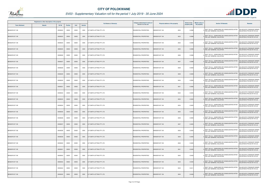

|                       | Registered or other description of the property |               |                |       |                | <b>Full Names of Owner(s)</b> | Category determined in terms of | <b>Physical address of the property</b> | <b>Extent of the</b> | <b>Market value of</b> | <b>Section 78 Remarks</b>                                                                   | <b>Remarks</b>                                              |
|-----------------------|-------------------------------------------------|---------------|----------------|-------|----------------|-------------------------------|---------------------------------|-----------------------------------------|----------------------|------------------------|---------------------------------------------------------------------------------------------|-------------------------------------------------------------|
| <b>Town Allotment</b> | <b>Suburb</b>                                   | <b>Erf Nr</b> | <b>Portion</b> | Unit  | <b>Section</b> |                               | Section 8 of the Act            |                                         | property (HA)        | the property           |                                                                                             |                                                             |
| BENDOR EXT 108        |                                                 | 00008222      | 00000          | 00000 | 0000           | G P SMITH LETTING PTY LTD     | RESIDENTIAL PROPERTIES          | <b>BENDOR EXT 108</b><br>8222           | 0.038                |                        | SECT 78(1)(c) - SUBDIVIDED OR CONSOLIDATED AFTER<br>THE LAST GENERAL VALUATION              | VALUED WITH TOWNSHIP OWNER<br>VALUATION (PTN 522 OF 915 LS) |
| BENDOR EXT 108        |                                                 | 00008223      | 00000          | 00000 | 0000           | G P SMITH LETTING PTY LTD     | RESIDENTIAL PROPERTIES          | 8223<br>BENDOR EXT 108                  | 0.038                |                        | SECT 78(1)(c) - SUBDIVIDED OR CONSOLIDATED AFTER<br>THE LAST GENERAL VALUATION              | VALUED WITH TOWNSHIP OWNER<br>VALUATION (PTN 522 OF 915 LS) |
| BENDOR EXT 108        |                                                 | 00008224      | 00000          | 00000 | 0000           | G P SMITH LETTING PTY LTD     | RESIDENTIAL PROPERTIES          | BENDOR EXT 108<br>8224                  | 0.0388               |                        | SECT 78(1)(c) - SUBDIVIDED OR CONSOLIDATED AFTER<br>THE LAST GENERAL VALUATION              | VALUED WITH TOWNSHIP OWNER<br>VALUATION (PTN 522 OF 915 LS) |
| BENDOR EXT 108        |                                                 | 00008225      | 00000          | 00000 | 0000           | G P SMITH LETTING PTY LTD     | RESIDENTIAL PROPERTIES          | 8225<br><b>BENDOR EXT 108</b>           | 0.0388               |                        | SECT 78(1)(c) - SUBDIVIDED OR CONSOLIDATED AFTER<br>THE LAST GENERAL VALUATION              | VALUED WITH TOWNSHIP OWNER<br>VALUATION (PTN 522 OF 915 LS) |
| BENDOR EXT 108        |                                                 | 00008226      | 00000          | 00000 | 0000           | G P SMITH LETTING PTY LTD     | RESIDENTIAL PROPERTIES          | BENDOR EXT 108<br>8226                  | 0.038                |                        | SECT 78(1)(c) - SUBDIVIDED OR CONSOLIDATED AFTER<br>THE LAST GENERAL VALUATION              | VALUED WITH TOWNSHIP OWNER<br>VALUATION (PTN 522 OF 915 LS) |
| BENDOR EXT 108        |                                                 | 00008227      | 00000          | 00000 | 0000           | G P SMITH LETTING PTY LTD     | RESIDENTIAL PROPERTIES          | BENDOR EXT 108<br>8227                  | 0.0388               |                        | SECT 78(1)(c) - SUBDIVIDED OR CONSOLIDATED AFTER<br><sup>0</sup> THE LAST GENERAL VALUATION | VALUED WITH TOWNSHIP OWNER<br>VALUATION (PTN 522 OF 915 LS) |
| BENDOR EXT 108        |                                                 | 00008228      | 00000          | 00000 | 0000           | G P SMITH LETTING PTY LTD     | RESIDENTIAL PROPERTIES          | BENDOR EXT 108<br>8228                  | 0.0400               |                        | SECT 78(1)(c) - SUBDIVIDED OR CONSOLIDATED AFTER<br>THE LAST GENERAL VALUATION              | VALUED WITH TOWNSHIP OWNER<br>VALUATION (PTN 522 OF 915 LS) |
| <b>BENDOR EXT 108</b> |                                                 | 00008229      | 00000          | 00000 | 0000           | G P SMITH LETTING PTY LTD     | RESIDENTIAL PROPERTIES          | <b>BENDOR EXT 108</b><br>8229           | 0.0409               |                        | SECT 78(1)(c) - SUBDIVIDED OR CONSOLIDATED AFTER<br>THE LAST GENERAL VALUATION              | VALUED WITH TOWNSHIP OWNER<br>VALUATION (PTN 522 OF 915 LS) |
| BENDOR EXT 108        |                                                 | 00008230      | 00000          | 00000 | 0000           | G P SMITH LETTING PTY LTD     | RESIDENTIAL PROPERTIES          | BENDOR EXT 108<br>8230                  | 0.0560               |                        | SECT 78(1)(c) - SUBDIVIDED OR CONSOLIDATED AFTER<br><sup>0</sup> THE LAST GENERAL VALUATION | VALUED WITH TOWNSHIP OWNER<br>VALUATION (PTN 522 OF 915 LS) |
| BENDOR EXT 108        |                                                 | 00008231      | 00000          | 00000 | 0000           | G P SMITH LETTING PTY LTD     | RESIDENTIAL PROPERTIES          | BENDOR EXT 108<br>8231                  | 0.0382               |                        | SECT 78(1)(c) - SUBDIVIDED OR CONSOLIDATED AFTER<br>THE LAST GENERAL VALUATION              | VALUED WITH TOWNSHIP OWNER<br>VALUATION (PTN 522 OF 915 LS) |
| BENDOR EXT 108        |                                                 | 00008232      | 00000          | 00000 | 0000           | G P SMITH LETTING PTY LTD     | RESIDENTIAL PROPERTIES          | BENDOR EXT 108<br>8232                  | 0.0400               |                        | SECT 78(1)(c) - SUBDIVIDED OR CONSOLIDATED AFTER<br>THE LAST GENERAL VALUATION              | VALUED WITH TOWNSHIP OWNER<br>VALUATION (PTN 522 OF 915 LS) |
| BENDOR EXT 108        |                                                 | 00008233      | 00000          | 00000 | 0000           | G P SMITH LETTING PTY LTD     | RESIDENTIAL PROPERTIES          | BENDOR EXT 108<br>8233                  | 0.0400               |                        | SECT 78(1)(c) - SUBDIVIDED OR CONSOLIDATED AFTER<br>THE LAST GENERAL VALUATION              | VALUED WITH TOWNSHIP OWNER<br>VALUATION (PTN 522 OF 915 LS) |
| BENDOR EXT 108        |                                                 | 00008234      | 00000          | 00000 | 0000           | G P SMITH LETTING PTY LTD     | RESIDENTIAL PROPERTIES          | 8234<br>BENDOR EXT 108                  | 0.0400               |                        | SECT 78(1)(c) - SUBDIVIDED OR CONSOLIDATED AFTER<br>THE LAST GENERAL VALUATION              | VALUED WITH TOWNSHIP OWNER<br>VALUATION (PTN 522 OF 915 LS) |
| BENDOR EXT 108        |                                                 | 00008235      | 00000          | 00000 | 0000           | G P SMITH LETTING PTY LTD     | RESIDENTIAL PROPERTIES          | BENDOR EXT 108<br>8235                  | 0.0400               |                        | SECT 78(1)(c) - SUBDIVIDED OR CONSOLIDATED AFTER<br>THE LAST GENERAL VALUATION              | VALUED WITH TOWNSHIP OWNER<br>VALUATION (PTN 522 OF 915 LS) |
| BENDOR EXT 108        |                                                 | 00008236      | 00000          | 00000 | 0000           | G P SMITH LETTING PTY LTD     | RESIDENTIAL PROPERTIES          | BENDOR EXT 108<br>8236                  | 0.0400               |                        | SECT 78(1)(c) - SUBDIVIDED OR CONSOLIDATED AFTER<br>THE LAST GENERAL VALUATION              | VALUED WITH TOWNSHIP OWNER<br>VALUATION (PTN 522 OF 915 LS) |
| BENDOR EXT 108        |                                                 | 00008237      | 00000          | 00000 | 0000           | G P SMITH LETTING PTY LTD     | RESIDENTIAL PROPERTIES          | <b>BENDOR EXT 108</b><br>8237           | 0.0400               |                        | SECT 78(1)(c) - SUBDIVIDED OR CONSOLIDATED AFTER<br>THE LAST GENERAL VALUATION              | VALUED WITH TOWNSHIP OWNER<br>VALUATION (PTN 522 OF 915 LS) |
| BENDOR EXT 108        |                                                 | 00008238      | 00000          | 00000 | 0000           | G P SMITH LETTING PTY LTD     | RESIDENTIAL PROPERTIES          | BENDOR EXT 108<br>8238                  | 0.0400               |                        | SECT 78(1)(c) - SUBDIVIDED OR CONSOLIDATED AFTER<br>THE LAST GENERAL VALUATION              | VALUED WITH TOWNSHIP OWNER<br>VALUATION (PTN 522 OF 915 LS) |
| BENDOR EXT 108        |                                                 | 00008239      | 00000          | 00000 | 0000           | G P SMITH LETTING PTY LTD     | RESIDENTIAL PROPERTIES          | BENDOR EXT 108<br>8239                  | 0.0400               |                        | SECT 78(1)(c) - SUBDIVIDED OR CONSOLIDATED AFTER<br>THE LAST GENERAL VALUATION              | VALUED WITH TOWNSHIP OWNER<br>VALUATION (PTN 522 OF 915 LS) |
| BENDOR EXT 108        |                                                 | 00008240      | 00000          | 00000 | 0000           | G P SMITH LETTING PTY LTD     | RESIDENTIAL PROPERTIES          | 8240<br>BENDOR EXT 108                  | 0.0400               |                        | SECT 78(1)(c) - SUBDIVIDED OR CONSOLIDATED AFTER<br>THE LAST GENERAL VALUATION              | VALUED WITH TOWNSHIP OWNER<br>VALUATION (PTN 522 OF 915 LS) |
| BENDOR EXT 108        |                                                 | 00008241      | 00000          | 00000 | 0000           | G P SMITH LETTING PTY LTD     | RESIDENTIAL PROPERTIES          | BENDOR EXT 108<br>8241                  | 0.0400               |                        | SECT 78(1)(c) - SUBDIVIDED OR CONSOLIDATED AFTER<br>THE LAST GENERAL VALUATION              | VALUED WITH TOWNSHIP OWNER<br>VALUATION (PTN 522 OF 915 LS) |
| BENDOR EXT 108        |                                                 | 00008242      | 00000          | 00000 | 0000           | G P SMITH LETTING PTY LTD     | RESIDENTIAL PROPERTIES          | BENDOR EXT 108<br>8242                  | 0.0400               |                        | SECT 78(1)(c) - SUBDIVIDED OR CONSOLIDATED AFTER<br>THE LAST GENERAL VALUATION              | VALUED WITH TOWNSHIP OWNER<br>VALUATION (PTN 522 OF 915 LS) |
| BENDOR EXT 108        |                                                 | 00008243      | 00000          | 00000 | 0000           | G P SMITH LETTING PTY LTD     | RESIDENTIAL PROPERTIES          | BENDOR EXT 108<br>8243                  | 0.0405               |                        | SECT 78(1)(c) - SUBDIVIDED OR CONSOLIDATED AFTER<br>THE LAST GENERAL VALUATION              | VALUED WITH TOWNSHIP OWNER<br>VALUATION (PTN 522 OF 915 LS) |
| BENDOR EXT 108        |                                                 | 00008244      | 00000          | 00000 | 0000           | G P SMITH LETTING PTY LTD     | RESIDENTIAL PROPERTIES          | BENDOR EXT 108<br>8244                  | 0.041                |                        | SECT 78(1)(c) - SUBDIVIDED OR CONSOLIDATED AFTER<br>THE LAST GENERAL VALUATION              | VALUED WITH TOWNSHIP OWNER<br>VALUATION (PTN 522 OF 915 LS) |
| BENDOR EXT 108        |                                                 | 00008245      | 00000          | 00000 | 0000           | G P SMITH LETTING PTY LTD     | RESIDENTIAL PROPERTIES          | <b>BENDOR EXT 108</b><br>8245           | 0.0426               |                        | SECT 78(1)(c) - SUBDIVIDED OR CONSOLIDATED AFTER<br>THE LAST GENERAL VALUATION              | VALUED WITH TOWNSHIP OWNER<br>VALUATION (PTN 522 OF 915 LS) |

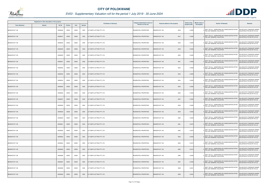

|                       | Registered or other description of the property |          |                |       |                | <b>Full Names of Owner(s)</b>    | Category determined in terms of |                                  | <b>Extent of the</b> | <b>Market value of</b> | <b>Section 78 Remarks</b>                                                                   | <b>Remarks</b>                                              |
|-----------------------|-------------------------------------------------|----------|----------------|-------|----------------|----------------------------------|---------------------------------|----------------------------------|----------------------|------------------------|---------------------------------------------------------------------------------------------|-------------------------------------------------------------|
| <b>Town Allotment</b> | <b>Suburb</b>                                   | Erf Nr   | <b>Portion</b> | Unit  | <b>Section</b> |                                  | Section 8 of the Act            | Physical address of the property | property (HA)        | the property           |                                                                                             |                                                             |
| BENDOR EXT 108        |                                                 | 00008246 | 00000          | 00000 | 0000           | G P SMITH LETTING PTY LTD        | RESIDENTIAL PROPERTIES          | BENDOR EXT 108<br>8246           | 0.0395               |                        | SECT 78(1)(c) - SUBDIVIDED OR CONSOLIDATED AFTER<br>THE LAST GENERAL VALUATION              | VALUED WITH TOWNSHIP OWNER<br>VALUATION (PTN 522 OF 915 LS) |
| <b>BENDOR EXT 108</b> |                                                 | 00008247 | 00000          | 00000 | 0000           | G P SMITH LETTING PTY LTD        | RESIDENTIAL PROPERTIES          | BENDOR EXT 108<br>8247           | 0.0400               |                        | SECT 78(1)(c) - SUBDIVIDED OR CONSOLIDATED AFTER<br>THE LAST GENERAL VALUATION              | VALUED WITH TOWNSHIP OWNER<br>VALUATION (PTN 522 OF 915 LS) |
| BENDOR EXT 108        |                                                 | 00008248 | 00000          | 00000 | 0000           | G P SMITH LETTING PTY LTD        | RESIDENTIAL PROPERTIES          | BENDOR EXT 108<br>8248           | 0.0400               |                        | SECT 78(1)(c) - SUBDIVIDED OR CONSOLIDATED AFTER<br><sup>0</sup> THE LAST GENERAL VALUATION | VALUED WITH TOWNSHIP OWNER<br>VALUATION (PTN 522 OF 915 LS) |
| <b>BENDOR EXT 108</b> |                                                 | 00008249 | 00000          | 00000 | 0000           | <b>G P SMITH LETTING PTY LTD</b> | <b>RESIDENTIAL PROPERTIES</b>   | <b>BENDOR EXT 108</b><br>8249    | 0.0400               |                        | SECT 78(1)(c) - SUBDIVIDED OR CONSOLIDATED AFTER<br>THE LAST GENERAL VALUATION              | VALUED WITH TOWNSHIP OWNER<br>VALUATION (PTN 522 OF 915 LS) |
| BENDOR EXT 108        |                                                 | 00008250 | 00000          | 00000 | 0000           | G P SMITH LETTING PTY LTD        | RESIDENTIAL PROPERTIES          | BENDOR EXT 108<br>8250           | 0.0400               |                        | SECT 78(1)(c) - SUBDIVIDED OR CONSOLIDATED AFTER<br>THE LAST GENERAL VALUATION              | VALUED WITH TOWNSHIP OWNER<br>VALUATION (PTN 522 OF 915 LS) |
| BENDOR EXT 108        |                                                 | 00008251 | 00000          | 00000 | 0000           | G P SMITH LETTING PTY LTD        | RESIDENTIAL PROPERTIES          | BENDOR EXT 108<br>8251           | 0.0400               |                        | SECT 78(1)(c) - SUBDIVIDED OR CONSOLIDATED AFTER<br><sup>0</sup> THE LAST GENERAL VALUATION | VALUED WITH TOWNSHIP OWNER<br>VALUATION (PTN 522 OF 915 LS) |
| BENDOR EXT 108        |                                                 | 00008252 | 00000          | 00000 | 0000           | G P SMITH LETTING PTY LTD        | RESIDENTIAL PROPERTIES          | <b>BENDOR EXT 108</b><br>8252    | 0.0400               |                        | SECT 78(1)(c) - SUBDIVIDED OR CONSOLIDATED AFTER<br>THE LAST GENERAL VALUATION              | VALUED WITH TOWNSHIP OWNER<br>VALUATION (PTN 522 OF 915 LS) |
| <b>BENDOR EXT 108</b> |                                                 | 00008253 | 00000          | 00000 | 0000           | G P SMITH LETTING PTY LTD        | RESIDENTIAL PROPERTIES          | 8253<br>BENDOR EXT 108           | 0.0400               |                        | SECT 78(1)(c) - SUBDIVIDED OR CONSOLIDATED AFTER<br>THE LAST GENERAL VALUATION              | VALUED WITH TOWNSHIP OWNER<br>VALUATION (PTN 522 OF 915 LS) |
| BENDOR EXT 108        |                                                 | 00008254 | 00000          | 00000 | 0000           | G P SMITH LETTING PTY LTD        | RESIDENTIAL PROPERTIES          | 8254<br><b>BENDOR EXT 108</b>    | 0.0400               |                        | SECT 78(1)(c) - SUBDIVIDED OR CONSOLIDATED AFTER<br><sup>0</sup> THE LAST GENERAL VALUATION | VALUED WITH TOWNSHIP OWNER<br>VALUATION (PTN 522 OF 915 LS) |
| <b>BENDOR EXT 108</b> |                                                 | 00008255 | 00000          | 00000 | 0000           | G P SMITH LETTING PTY LTD        | RESIDENTIAL PROPERTIES          | <b>BENDOR EXT 108</b><br>8255    | 0.0400               |                        | SECT 78(1)(c) - SUBDIVIDED OR CONSOLIDATED AFTER<br>THE LAST GENERAL VALUATION              | VALUED WITH TOWNSHIP OWNER<br>VALUATION (PTN 522 OF 915 LS) |
| BENDOR EXT 108        |                                                 | 00008256 | 00000          | 00000 | 0000           | G P SMITH LETTING PTY LTD        | RESIDENTIAL PROPERTIES          | 8256<br>BENDOR EXT 108           | 0.0400               |                        | SECT 78(1)(c) - SUBDIVIDED OR CONSOLIDATED AFTER<br>THE LAST GENERAL VALUATION              | VALUED WITH TOWNSHIP OWNER<br>VALUATION (PTN 522 OF 915 LS) |
| BENDOR EXT 108        |                                                 | 00008257 | 00000          | 00000 | 0000           | G P SMITH LETTING PTY LTD        | RESIDENTIAL PROPERTIES          | 8257<br>BENDOR EXT 108           | 0.0400               |                        | SECT 78(1)(c) - SUBDIVIDED OR CONSOLIDATED AFTER<br>THE LAST GENERAL VALUATION              | VALUED WITH TOWNSHIP OWNER<br>VALUATION (PTN 522 OF 915 LS) |
| BENDOR EXT 108        |                                                 | 00008258 | 00000          | 00000 | 0000           | G P SMITH LETTING PTY LTD        | RESIDENTIAL PROPERTIES          | BENDOR EXT 108<br>8258           | 0.0400               |                        | SECT 78(1)(c) - SUBDIVIDED OR CONSOLIDATED AFTER<br>THE LAST GENERAL VALUATION              | VALUED WITH TOWNSHIP OWNER<br>VALUATION (PTN 522 OF 915 LS) |
| BENDOR EXT 108        |                                                 | 00008259 | 00000          | 00000 | 0000           | G P SMITH LETTING PTY LTD        | RESIDENTIAL PROPERTIES          | BENDOR EXT 108<br>8259           | 0.0400               |                        | SECT 78(1)(c) - SUBDIVIDED OR CONSOLIDATED AFTER<br>THE LAST GENERAL VALUATION              | VALUED WITH TOWNSHIP OWNER<br>VALUATION (PTN 522 OF 915 LS) |
| BENDOR EXT 108        |                                                 | 00008260 | 00000          | 00000 | 0000           | <b>G P SMITH LETTING PTY LTD</b> | RESIDENTIAL PROPERTIES          | BENDOR EXT 108<br>8260           | 0.0445               |                        | SECT 78(1)(c) - SUBDIVIDED OR CONSOLIDATED AFTER<br>THE LAST GENERAL VALUATION              | VALUED WITH TOWNSHIP OWNER<br>VALUATION (PTN 522 OF 915 LS) |
| BENDOR EXT 108        |                                                 | 00008261 | 00000          | 00000 | 0000           | G P SMITH LETTING PTY LTD        | RESIDENTIAL PROPERTIES          | BENDOR EXT 108<br>8261           | 0.0375               |                        | SECT 78(1)(c) - SUBDIVIDED OR CONSOLIDATED AFTER<br>THE LAST GENERAL VALUATION              | VALUED WITH TOWNSHIP OWNER<br>VALUATION (PTN 522 OF 915 LS) |
| BENDOR EXT 108        |                                                 | 00008262 | 00000          | 00000 | 0000           | G P SMITH LETTING PTY LTD        | RESIDENTIAL PROPERTIES          | 8262<br>BENDOR EXT 108           | 0.0375               |                        | SECT 78(1)(c) - SUBDIVIDED OR CONSOLIDATED AFTER<br>THE LAST GENERAL VALUATION              | VALUED WITH TOWNSHIP OWNER<br>VALUATION (PTN 522 OF 915 LS) |
| BENDOR EXT 108        |                                                 | 00008263 | 00000          | 00000 | 0000           | G P SMITH LETTING PTY LTD        | RESIDENTIAL PROPERTIES          | BENDOR EXT 108<br>8263           | 0.0529               |                        | SECT 78(1)(c) - SUBDIVIDED OR CONSOLIDATED AFTER<br>THE LAST GENERAL VALUATION              | VALUED WITH TOWNSHIP OWNER<br>VALUATION (PTN 522 OF 915 LS) |
| BENDOR EXT 108        |                                                 | 00008264 | 00000          | 00000 | 0000           | G P SMITH LETTING PTY LTD        | RESIDENTIAL PROPERTIES          | 8264<br>BENDOR EXT 108           | 0.0375               |                        | SECT 78(1)(c) - SUBDIVIDED OR CONSOLIDATED AFTER<br>THE LAST GENERAL VALUATION              | VALUED WITH TOWNSHIP OWNER<br>VALUATION (PTN 522 OF 915 LS) |
| <b>BENDOR EXT 108</b> |                                                 | 00008265 | 00000          | 00000 | 0000           | G P SMITH LETTING PTY LTD        | RESIDENTIAL PROPERTIES          | BENDOR EXT 108<br>8265           | 0.0412               |                        | SECT 78(1)(c) - SUBDIVIDED OR CONSOLIDATED AFTER<br>THE LAST GENERAL VALUATION              | VALUED WITH TOWNSHIP OWNER<br>VALUATION (PTN 522 OF 915 LS) |
| BENDOR EXT 108        |                                                 | 00008266 | 00000          | 00000 | 0000           | G P SMITH LETTING PTY LTD        | RESIDENTIAL PROPERTIES          | BENDOR EXT 108<br>8266           | 0.0384               |                        | SECT 78(1)(c) - SUBDIVIDED OR CONSOLIDATED AFTER<br>THE LAST GENERAL VALUATION              | VALUED WITH TOWNSHIP OWNER<br>VALUATION (PTN 522 OF 915 LS) |
| BENDOR EXT 108        |                                                 | 00008267 | 00000          | 00000 | 0000           | G P SMITH LETTING PTY LTD        | RESIDENTIAL PROPERTIES          | <b>BENDOR EXT 108</b><br>8267    | 0.0400               |                        | SECT 78(1)(c) - SUBDIVIDED OR CONSOLIDATED AFTER<br>THE LAST GENERAL VALUATION              | VALUED WITH TOWNSHIP OWNER<br>VALUATION (PTN 522 OF 915 LS) |
| BENDOR EXT 108        |                                                 | 00008268 | 00000          | 00000 | 0000           | G P SMITH LETTING PTY LTD        | RESIDENTIAL PROPERTIES          | <b>BENDOR EXT 108</b><br>8268    | 0.0521               |                        | SECT 78(1)(c) - SUBDIVIDED OR CONSOLIDATED AFTER<br>THE LAST GENERAL VALUATION              | VALUED WITH TOWNSHIP OWNER<br>VALUATION (PTN 522 OF 915 LS) |
| BENDOR EXT 108        |                                                 | 00008269 | 00000          | 00000 | 0000           | G P SMITH LETTING PTY LTD        | RESIDENTIAL PROPERTIES          | <b>BENDOR EXT 108</b><br>8269    | 0.0391               |                        | SECT 78(1)(c) - SUBDIVIDED OR CONSOLIDATED AFTER<br>THE LAST GENERAL VALUATION              | VALUED WITH TOWNSHIP OWNER<br>VALUATION (PTN 522 OF 915 LS) |

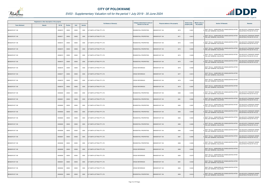

|                       | Registered or other description of the property |          |                |       |                | <b>Full Names of Owner(s)</b> | Category determined in terms of | Physical address of the property | <b>Extent of the</b> | <b>Market value of</b> | <b>Section 78 Remarks</b>                                                                   | <b>Remarks</b>                                                     |
|-----------------------|-------------------------------------------------|----------|----------------|-------|----------------|-------------------------------|---------------------------------|----------------------------------|----------------------|------------------------|---------------------------------------------------------------------------------------------|--------------------------------------------------------------------|
| <b>Town Allotment</b> | <b>Suburb</b>                                   | Erf Nr   | <b>Portion</b> | Unit  | <b>Section</b> |                               | Section 8 of the Act            |                                  | property (HA)        | the property           |                                                                                             |                                                                    |
| BENDOR EXT 108        |                                                 | 00008270 | 00000          | 00000 | 0000           | G P SMITH LETTING PTY LTD     | RESIDENTIAL PROPERTIES          | BENDOR EXT 108<br>8270           | 0.0401               |                        | SECT 78(1)(c) - SUBDIVIDED OR CONSOLIDATED AFTER<br>THE LAST GENERAL VALUATION              | VALUED WITH TOWNSHIP OWNER<br>VALUATION (PTN 522 OF 915 LS)        |
| BENDOR EXT 108        |                                                 | 00008271 | 00000          | 00000 | 0000           | G P SMITH LETTING PTY LTD     | RESIDENTIAL PROPERTIES          | BENDOR EXT 108<br>8271           | 0.0413               |                        | SECT 78(1)(c) - SUBDIVIDED OR CONSOLIDATED AFTER<br>THE LAST GENERAL VALUATION              | VALUED WITH TOWNSHIP OWNER<br>VALUATION (PTN 522 OF 915 LS)        |
| BENDOR EXT 108        |                                                 | 00008272 | 00000          | 00000 | 0000           | G P SMITH LETTING PTY LTD     | <b>RESIDENTIAL PROPERTIES</b>   | BENDOR EXT 108<br>8272           | 0.0400               |                        | SECT 78(1)(c) - SUBDIVIDED OR CONSOLIDATED AFTER<br>THE LAST GENERAL VALUATION              | VALUED WITH TOWNSHIP OWNER<br>VALUATION (PTN 522 OF 915 LS)        |
| BENDOR EXT 108        |                                                 | 00008273 | 00000          | 00000 | 0000           | G P SMITH LETTING PTY LTD     | RESIDENTIAL PROPERTIES          | BENDOR EXT 108<br>8273           | 0.0400               |                        | SECT 78(1)(c) - SUBDIVIDED OR CONSOLIDATED AFTER<br><sup>0</sup> THE LAST GENERAL VALUATION | <b>VALUED WITH TOWNSHIP OWNER</b><br>VALUATION (PTN 522 OF 915 LS) |
| BENDOR EXT 108        |                                                 | 00008274 | 00000          | 00000 | 0000           | G P SMITH LETTING PTY LTD     | RESIDENTIAL PROPERTIES          | 8274<br>BENDOR EXT 108           | 0.0409               |                        | SECT 78(1)(c) - SUBDIVIDED OR CONSOLIDATED AFTER<br>THE LAST GENERAL VALUATION              | VALUED WITH TOWNSHIP OWNER<br>VALUATION (PTN 522 OF 915 LS)        |
| BENDOR EXT 108        |                                                 | 00008275 | 00000          | 00000 | 0000           | G P SMITH LETTING PTY LTD     | RESIDENTIAL PROPERTIES          | BENDOR EXT 108<br>8275           | 2.3261               |                        | SECT 78(1)(c) - SUBDIVIDED OR CONSOLIDATED AFTER<br>THE LAST GENERAL VALUATION              | VALUED WITH TOWNSHIP OWNER<br>VALUATION (PTN 522 OF 915 LS)        |
| BENDOR EXT 108        |                                                 | 00008276 | 00000          | 00000 | 0000           | G P SMITH LETTING PTY LTD     | <b>CROSS REFERENCE</b>          | BENDOR EXT 108<br>8276           | 0.0400               |                        | SECT 78(1)(c) - SUBDIVIDED OR CONSOLIDATED AFTER<br>THE LAST GENERAL VALUATION              |                                                                    |
| BENDOR EXT 108        |                                                 | 00008277 | 00000          | 00000 | 0000           | G P SMITH LETTING PTY LTD     | <b>CROSS REFERENCE</b>          | <b>BENDOR EXT 108</b><br>8277    | 0.0413               |                        | SECT 78(1)(c) - SUBDIVIDED OR CONSOLIDATED AFTER<br>THE LAST GENERAL VALUATION              |                                                                    |
| BENDOR EXT 108        |                                                 | 00008278 | 00000          | 00000 | 0000           | G P SMITH LETTING PTY LTD     | <b>CROSS REFERENCE</b>          | BENDOR EXT 108<br>8278           | 0.0400               |                        | SECT 78(1)(c) - SUBDIVIDED OR CONSOLIDATED AFTER<br>THE LAST GENERAL VALUATION              |                                                                    |
| BENDOR EXT 108        |                                                 | 00008279 | 00000          | 00000 | 0000           | G P SMITH LETTING PTY LTD     | <b>CROSS REFERENCE</b>          | <b>BENDOR EXT 108</b><br>8279    | 0.0397               |                        | SECT 78(1)(c) - SUBDIVIDED OR CONSOLIDATED AFTER<br>THE LAST GENERAL VALUATION              |                                                                    |
| BENDOR EXT 108        |                                                 | 00008280 | 00000          | 00000 | 0000           | G P SMITH LETTING PTY LTD     | RESIDENTIAL PROPERTIES          | BENDOR EXT 108<br>8280           | 0.0393               |                        | SECT 78(1)(c) - SUBDIVIDED OR CONSOLIDATED AFTER<br>THE LAST GENERAL VALUATION              | VALUED WITH TOWNSHIP OWNER<br>VALUATION (PTN 522 OF 915 LS)        |
| BENDOR EXT 108        |                                                 | 00008281 | 00000          | 00000 | 0000           | G P SMITH LETTING PTY LTD     | RESIDENTIAL PROPERTIES          | BENDOR EXT 108<br>8281           | 0.0390               |                        | SECT 78(1)(c) - SUBDIVIDED OR CONSOLIDATED AFTER<br>THE LAST GENERAL VALUATION              | VALUED WITH TOWNSHIP OWNER<br>VALUATION (PTN 522 OF 915 LS)        |
| BENDOR EXT 108        |                                                 | 00008282 | 00000          | 00000 | 0000           | G P SMITH LETTING PTY LTD     | RESIDENTIAL PROPERTIES          | <b>BENDOR EXT 108</b><br>8282    | 0.0387               |                        | SECT 78(1)(c) - SUBDIVIDED OR CONSOLIDATED AFTER<br>THE LAST GENERAL VALUATION              | VALUED WITH TOWNSHIP OWNER<br>VALUATION (PTN 522 OF 915 LS)        |
| BENDOR EXT 108        |                                                 | 00008283 | 00000          | 00000 | 0000           | G P SMITH LETTING PTY LTD     | RESIDENTIAL PROPERTIES          | 8283<br>BENDOR EXT 108           | 0.0409               |                        | SECT 78(1)(c) - SUBDIVIDED OR CONSOLIDATED AFTER<br>THE LAST GENERAL VALUATION              | VALUED WITH TOWNSHIP OWNER<br>VALUATION (PTN 522 OF 915 LS)        |
| BENDOR EXT 108        |                                                 | 00008284 | 00000          | 00000 | 0000           | G P SMITH LETTING PTY LTD     | RESIDENTIAL PROPERTIES          | BENDOR EXT 108<br>8284           | 0.0404               |                        | SECT 78(1)(c) - SUBDIVIDED OR CONSOLIDATED AFTER<br><sup>0</sup> THE LAST GENERAL VALUATION | VALUED WITH TOWNSHIP OWNER<br>VALUATION (PTN 522 OF 915 LS)        |
| BENDOR EXT 108        |                                                 | 00008285 | 00000          | 00000 | 0000           | G P SMITH LETTING PTY LTD     | RESIDENTIAL PROPERTIES          | <b>BENDOR EXT 108</b><br>8285    | 0.0400               |                        | SECT 78(1)(c) - SUBDIVIDED OR CONSOLIDATED AFTER<br>THE LAST GENERAL VALUATION              | VALUED WITH TOWNSHIP OWNER<br>VALUATION (PTN 522 OF 915 LS)        |
| BENDOR EXT 108        |                                                 | 00008286 | 00000          | 00000 | 0000           | G P SMITH LETTING PTY LTD     | RESIDENTIAL PROPERTIES          | 8286<br>BENDOR EXT 108           | 0.0400               |                        | SECT 78(1)(c) - SUBDIVIDED OR CONSOLIDATED AFTER<br>THE LAST GENERAL VALUATION              | VALUED WITH TOWNSHIP OWNER<br>VALUATION (PTN 522 OF 915 LS)        |
| BENDOR EXT 108        |                                                 | 00008287 | 00000          | 00000 | 0000           | G P SMITH LETTING PTY LTD     | RESIDENTIAL PROPERTIES          | 8287<br>BENDOR EXT 108           | 0.0400               |                        | SECT 78(1)(c) - SUBDIVIDED OR CONSOLIDATED AFTER<br>THE LAST GENERAL VALUATION              | VALUED WITH TOWNSHIP OWNER<br>VALUATION (PTN 522 OF 915 LS)        |
| BENDOR EXT 108        |                                                 | 00008288 | 00000          | 00000 | 0000           | G P SMITH LETTING PTY LTD     | RESIDENTIAL PROPERTIES          | 8288<br>BENDOR EXT 108           | 0.0400               |                        | SECT 78(1)(c) - SUBDIVIDED OR CONSOLIDATED AFTER<br>THE LAST GENERAL VALUATION              | VALUED WITH TOWNSHIP OWNER<br>VALUATION (PTN 522 OF 915 LS)        |
| BENDOR EXT 108        |                                                 | 00008289 | 00000          | 00000 | 0000           | G P SMITH LETTING PTY LTD     | <b>CROSS REFERENCE</b>          | BENDOR EXT 108<br>8289           | 0.0400               |                        | SECT 78(1)(c) - SUBDIVIDED OR CONSOLIDATED AFTER<br>THE LAST GENERAL VALUATION              |                                                                    |
| BENDOR EXT 108        |                                                 | 00008290 | 00000          | 00000 | 0000           | G P SMITH LETTING PTY LTD     | CROSS REFERENCE                 | 8290<br>BENDOR EXT 108           | 0.0370               |                        | SECT 78(1)(c) - SUBDIVIDED OR CONSOLIDATED AFTER<br>THE LAST GENERAL VALUATION              |                                                                    |
| BENDOR EXT 108        |                                                 | 00008291 | 00000          | 00000 | 0000           | G P SMITH LETTING PTY LTD     | <b>CROSS REFERENCE</b>          | 8291<br>BENDOR EXT 108           | 0.0420               |                        | SECT 78(1)(c) - SUBDIVIDED OR CONSOLIDATED AFTER<br>THE LAST GENERAL VALUATION              |                                                                    |
| BENDOR EXT 108        |                                                 | 00008292 | 00000          | 00000 | 0000           | G P SMITH LETTING PTY LTD     | CROSS REFERENCE                 | 8292<br>BENDOR EXT 108           | 0.0423               |                        | SECT 78(1)(c) - SUBDIVIDED OR CONSOLIDATED AFTER<br>THE LAST GENERAL VALUATION              |                                                                    |
| BENDOR EXT 108        |                                                 | 00008293 | 00000          | 00000 | 0000           | G P SMITH LETTING PTY LTD     | RESIDENTIAL PROPERTIES          | BENDOR EXT 108<br>8293           | 0.0416               |                        | SECT 78(1)(c) - SUBDIVIDED OR CONSOLIDATED AFTER<br>THE LAST GENERAL VALUATION              | VALUED WITH TOWNSHIP OWNER<br>VALUATION (PTN 522 OF 915 LS)        |

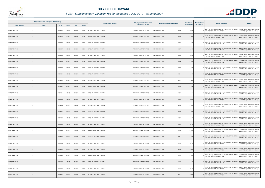

|                       | Registered or other description of the property |          |                |       |                | <b>Full Names of Owner(s)</b>    | Category determined in terms of | Physical address of the property | <b>Extent of the</b> | <b>Market value of</b> | <b>Section 78 Remarks</b>                                                                   | <b>Remarks</b>                                              |
|-----------------------|-------------------------------------------------|----------|----------------|-------|----------------|----------------------------------|---------------------------------|----------------------------------|----------------------|------------------------|---------------------------------------------------------------------------------------------|-------------------------------------------------------------|
| <b>Town Allotment</b> | <b>Suburb</b>                                   | Erf Nr   | <b>Portion</b> | Unit  | <b>Section</b> |                                  | Section 8 of the Act            |                                  | property (HA)        | the property           |                                                                                             |                                                             |
| BENDOR EXT 108        |                                                 | 00008294 | 00000          | 00000 | 0000           | G P SMITH LETTING PTY LTD        | RESIDENTIAL PROPERTIES          | BENDOR EXT 108<br>8294           | 0.0400               |                        | SECT 78(1)(c) - SUBDIVIDED OR CONSOLIDATED AFTER<br>THE LAST GENERAL VALUATION              | VALUED WITH TOWNSHIP OWNER<br>VALUATION (PTN 522 OF 915 LS) |
| BENDOR EXT 108        |                                                 | 00008295 | 00000          | 00000 | 0000           | G P SMITH LETTING PTY LTD        | RESIDENTIAL PROPERTIES          | <b>BENDOR EXT 108</b><br>8295    | 0.0400               |                        | SECT 78(1)(c) - SUBDIVIDED OR CONSOLIDATED AFTER<br>THE LAST GENERAL VALUATION              | VALUED WITH TOWNSHIP OWNER<br>VALUATION (PTN 522 OF 915 LS) |
| BENDOR EXT 108        |                                                 | 00008296 | 00000          | 00000 | 0000           | G P SMITH LETTING PTY LTD        | RESIDENTIAL PROPERTIES          | 8296<br><b>BENDOR EXT 108</b>    | 0.0400               |                        | SECT 78(1)(c) - SUBDIVIDED OR CONSOLIDATED AFTER<br>THE LAST GENERAL VALUATION              | VALUED WITH TOWNSHIP OWNER<br>VALUATION (PTN 522 OF 915 LS) |
| BENDOR EXT 108        |                                                 | 00008297 | 00000          | 00000 | 0000           | G P SMITH LETTING PTY LTD        | RESIDENTIAL PROPERTIES          | BENDOR EXT 108<br>8297           | 0.0400               |                        | SECT 78(1)(c) - SUBDIVIDED OR CONSOLIDATED AFTER<br>THE LAST GENERAL VALUATION              | VALUED WITH TOWNSHIP OWNER<br>VALUATION (PTN 522 OF 915 LS) |
| BENDOR EXT 108        |                                                 | 00008298 | 00000          | 00000 | 0000           | G P SMITH LETTING PTY LTD        | RESIDENTIAL PROPERTIES          | BENDOR EXT 108<br>8298           | 0.0400               |                        | SECT 78(1)(c) - SUBDIVIDED OR CONSOLIDATED AFTER<br>THE LAST GENERAL VALUATION              | VALUED WITH TOWNSHIP OWNER<br>VALUATION (PTN 522 OF 915 LS) |
| BENDOR EXT 108        |                                                 | 00008299 | 00000          | 00000 | 0000           | G P SMITH LETTING PTY LTD        | <b>RESIDENTIAL PROPERTIES</b>   | BENDOR EXT 108<br>8299           | 0.0400               |                        | SECT 78(1)(c) - SUBDIVIDED OR CONSOLIDATED AFTER<br>THE LAST GENERAL VALUATION              | VALUED WITH TOWNSHIP OWNER<br>VALUATION (PTN 522 OF 915 LS) |
| BENDOR EXT 108        |                                                 | 00008300 | 00000          | 00000 | 0000           | G P SMITH LETTING PTY LTD        | RESIDENTIAL PROPERTIES          | 8300<br>BENDOR EXT 108           | 0.0400               |                        | SECT 78(1)(c) - SUBDIVIDED OR CONSOLIDATED AFTER<br>THE LAST GENERAL VALUATION              | VALUED WITH TOWNSHIP OWNER<br>VALUATION (PTN 522 OF 915 LS) |
| BENDOR EXT 108        |                                                 | 00008301 | 00000          | 00000 | 0000           | G P SMITH LETTING PTY LTD        | RESIDENTIAL PROPERTIES          | <b>BENDOR EXT 108</b><br>8301    | 0.0400               |                        | SECT 78(1)(c) - SUBDIVIDED OR CONSOLIDATED AFTER<br>THE LAST GENERAL VALUATION              | VALUED WITH TOWNSHIP OWNER<br>VALUATION (PTN 522 OF 915 LS) |
| BENDOR EXT 108        |                                                 | 00008302 | 00000          | 00000 | 0000           | G P SMITH LETTING PTY LTD        | RESIDENTIAL PROPERTIES          | BENDOR EXT 108<br>8302           | 0.0400               |                        | SECT 78(1)(c) - SUBDIVIDED OR CONSOLIDATED AFTER<br><sup>0</sup> THE LAST GENERAL VALUATION | VALUED WITH TOWNSHIP OWNER<br>VALUATION (PTN 522 OF 915 LS) |
| BENDOR EXT 108        |                                                 | 00008303 | 00000          | 00000 | 0000           | G P SMITH LETTING PTY LTD        | RESIDENTIAL PROPERTIES          | BENDOR EXT 108<br>8303           | 0.038                |                        | SECT 78(1)(c) - SUBDIVIDED OR CONSOLIDATED AFTER<br>THE LAST GENERAL VALUATION              | VALUED WITH TOWNSHIP OWNER<br>VALUATION (PTN 522 OF 915 LS) |
| BENDOR EXT 108        |                                                 | 00008304 | 00000          | 00000 | 0000           | G P SMITH LETTING PTY LTD        | RESIDENTIAL PROPERTIES          | BENDOR EXT 108<br>8304           | 0.241                |                        | SECT 78(1)(c) - SUBDIVIDED OR CONSOLIDATED AFTER<br>THE LAST GENERAL VALUATION              | VALUED WITH TOWNSHIP OWNER<br>VALUATION (PTN 522 OF 915 LS) |
| BENDOR EXT 108        |                                                 | 00008305 | 00000          | 00000 | 0000           | G P SMITH LETTING PTY LTD        | RESIDENTIAL PROPERTIES          | BENDOR EXT 108<br>8305           | 0.5806               |                        | SECT 78(1)(c) - SUBDIVIDED OR CONSOLIDATED AFTER<br><sup>0</sup> THE LAST GENERAL VALUATION | VALUED WITH TOWNSHIP OWNER<br>VALUATION (PTN 522 OF 915 LS) |
| BENDOR EXT 108        |                                                 | 00008306 | 00000          | 00000 | 0000           | G P SMITH LETTING PTY LTD        | RESIDENTIAL PROPERTIES          | <b>BENDOR EXT 108</b><br>8306    | 0.4052               |                        | SECT 78(1)(c) - SUBDIVIDED OR CONSOLIDATED AFTER<br>THE LAST GENERAL VALUATION              | VALUED WITH TOWNSHIP OWNER<br>VALUATION (PTN 522 OF 915 LS) |
| BENDOR EXT 108        |                                                 | 00008307 | 00000          | 00000 | 0000           | G P SMITH LETTING PTY LTD        | RESIDENTIAL PROPERTIES          | 8307<br>BENDOR EXT 108           | 1.2145               |                        | SECT 78(1)(c) - SUBDIVIDED OR CONSOLIDATED AFTER<br>THE LAST GENERAL VALUATION              | VALUED WITH TOWNSHIP OWNER<br>VALUATION (PTN 522 OF 915 LS) |
| BENDOR EXT 108        |                                                 | 00008308 | 00000          | 00000 | 0000           | G P SMITH LETTING PTY LTD        | RESIDENTIAL PROPERTIES          | BENDOR EXT 108<br>8308           | 0.0400               |                        | SECT 78(1)(c) - SUBDIVIDED OR CONSOLIDATED AFTER<br>THE LAST GENERAL VALUATION              | VALUED WITH TOWNSHIP OWNER<br>VALUATION (PTN 522 OF 915 LS) |
| BENDOR EXT 108        |                                                 | 00008309 | 00000          | 00000 | 0000           | <b>G P SMITH LETTING PTY LTD</b> | RESIDENTIAL PROPERTIES          | <b>BENDOR EXT 108</b><br>8309    | 0.0400               |                        | SECT 78(1)(c) - SUBDIVIDED OR CONSOLIDATED AFTER<br>THE LAST GENERAL VALUATION              | VALUED WITH TOWNSHIP OWNER<br>VALUATION (PTN 522 OF 915 LS) |
| BENDOR EXT 108        |                                                 | 00008310 | 00000          | 00000 | 0000           | <b>G P SMITH LETTING PTY LTD</b> | RESIDENTIAL PROPERTIES          | 8310<br>BENDOR EXT 108           | 0.0400               |                        | SECT 78(1)(c) - SUBDIVIDED OR CONSOLIDATED AFTER<br>THE LAST GENERAL VALUATION              | VALUED WITH TOWNSHIP OWNER<br>VALUATION (PTN 522 OF 915 LS) |
| BENDOR EXT 108        |                                                 | 0000831  | 00000          | 00000 | 0000           | G P SMITH LETTING PTY LTD        | RESIDENTIAL PROPERTIES          | 8311<br>BENDOR EXT 108           | 0.0400               |                        | SECT 78(1)(c) - SUBDIVIDED OR CONSOLIDATED AFTER<br>THE LAST GENERAL VALUATION              | VALUED WITH TOWNSHIP OWNER<br>VALUATION (PTN 522 OF 915 LS) |
| BENDOR EXT 108        |                                                 | 00008312 | 00000          | 00000 | 0000           | G P SMITH LETTING PTY LTD        | RESIDENTIAL PROPERTIES          | <b>BENDOR EXT 108</b><br>8312    | 0.0400               |                        | SECT 78(1)(c) - SUBDIVIDED OR CONSOLIDATED AFTER<br>THE LAST GENERAL VALUATION              | VALUED WITH TOWNSHIP OWNER<br>VALUATION (PTN 522 OF 915 LS) |
| BENDOR EXT 108        |                                                 | 00008313 | 00000          | 00000 | 0000           | G P SMITH LETTING PTY LTD        | RESIDENTIAL PROPERTIES          | BENDOR EXT 108<br>8313           | 0.0400               |                        | SECT 78(1)(c) - SUBDIVIDED OR CONSOLIDATED AFTER<br>THE LAST GENERAL VALUATION              | VALUED WITH TOWNSHIP OWNER<br>VALUATION (PTN 522 OF 915 LS) |
| BENDOR EXT 108        |                                                 | 00008314 | 00000          | 00000 | 0000           | G P SMITH LETTING PTY LTD        | RESIDENTIAL PROPERTIES          | BENDOR EXT 108<br>8314           | 0.0400               |                        | SECT 78(1)(c) - SUBDIVIDED OR CONSOLIDATED AFTER<br>THE LAST GENERAL VALUATION              | VALUED WITH TOWNSHIP OWNER<br>VALUATION (PTN 522 OF 915 LS) |
| BENDOR EXT 108        |                                                 | 00008315 | 00000          | 00000 | 0000           | G P SMITH LETTING PTY LTD        | RESIDENTIAL PROPERTIES          | BENDOR EXT 108<br>8315           | 0.0400               |                        | SECT 78(1)(c) - SUBDIVIDED OR CONSOLIDATED AFTER<br>THE LAST GENERAL VALUATION              | VALUED WITH TOWNSHIP OWNER<br>VALUATION (PTN 522 OF 915 LS) |
| BENDOR EXT 108        |                                                 | 00008316 | 00000          | 00000 | 0000           | G P SMITH LETTING PTY LTD        | RESIDENTIAL PROPERTIES          | BENDOR EXT 108<br>8316           | 0.0400               |                        | SECT 78(1)(c) - SUBDIVIDED OR CONSOLIDATED AFTER<br>THE LAST GENERAL VALUATION              | VALUED WITH TOWNSHIP OWNER<br>VALUATION (PTN 522 OF 915 LS) |
| BENDOR EXT 108        |                                                 | 00008317 | 00000          | 00000 | 0000           | G P SMITH LETTING PTY LTD        | RESIDENTIAL PROPERTIES          | BENDOR EXT 108<br>8317           | 0.0400               |                        | SECT 78(1)(c) - SUBDIVIDED OR CONSOLIDATED AFTER<br>THE LAST GENERAL VALUATION              | VALUED WITH TOWNSHIP OWNER<br>VALUATION (PTN 522 OF 915 LS) |

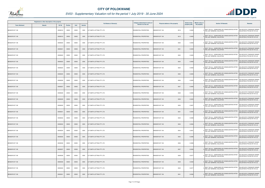

|                       | Registered or other description of the property |               |                |       |                | <b>Full Names of Owner(s)</b> | Category determined in terms of | <b>Physical address of the property</b> | <b>Extent of the</b> | <b>Market value of</b> | <b>Section 78 Remarks</b>                                                                   | Remarks                                                     |
|-----------------------|-------------------------------------------------|---------------|----------------|-------|----------------|-------------------------------|---------------------------------|-----------------------------------------|----------------------|------------------------|---------------------------------------------------------------------------------------------|-------------------------------------------------------------|
| <b>Town Allotment</b> | <b>Suburb</b>                                   | <b>Erf Nr</b> | <b>Portion</b> | Unit  | <b>Section</b> |                               | Section 8 of the Act            |                                         | property (HA)        | the property           |                                                                                             |                                                             |
| BENDOR EXT 108        |                                                 | 00008318      | 00000          | 00000 | 0000           | G P SMITH LETTING PTY LTD     | RESIDENTIAL PROPERTIES          | <b>BENDOR EXT 108</b><br>8318           | 0.0400               |                        | SECT 78(1)(c) - SUBDIVIDED OR CONSOLIDATED AFTER<br>THE LAST GENERAL VALUATION              | VALUED WITH TOWNSHIP OWNER<br>VALUATION (PTN 522 OF 915 LS) |
| BENDOR EXT 108        |                                                 | 00008319      | 00000          | 00000 | 0000           | G P SMITH LETTING PTY LTD     | RESIDENTIAL PROPERTIES          | 8319<br>BENDOR EXT 108                  | 0.0400               |                        | SECT 78(1)(c) - SUBDIVIDED OR CONSOLIDATED AFTER<br>THE LAST GENERAL VALUATION              | VALUED WITH TOWNSHIP OWNER<br>VALUATION (PTN 522 OF 915 LS) |
| BENDOR EXT 108        |                                                 | 00008320      | 00000          | 00000 | 0000           | G P SMITH LETTING PTY LTD     | RESIDENTIAL PROPERTIES          | BENDOR EXT 108<br>8320                  | 0.0400               |                        | SECT 78(1)(c) - SUBDIVIDED OR CONSOLIDATED AFTER<br>THE LAST GENERAL VALUATION              | VALUED WITH TOWNSHIP OWNER<br>VALUATION (PTN 522 OF 915 LS) |
| BENDOR EXT 108        |                                                 | 00008321      | 00000          | 00000 | 0000           | G P SMITH LETTING PTY LTD     | RESIDENTIAL PROPERTIES          | 8321<br><b>BENDOR EXT 108</b>           | 0.0400               |                        | SECT 78(1)(c) - SUBDIVIDED OR CONSOLIDATED AFTER<br>THE LAST GENERAL VALUATION              | VALUED WITH TOWNSHIP OWNER<br>VALUATION (PTN 522 OF 915 LS) |
| BENDOR EXT 108        |                                                 | 00008322      | 00000          | 00000 | 0000           | G P SMITH LETTING PTY LTD     | RESIDENTIAL PROPERTIES          | BENDOR EXT 108<br>8322                  | 0.0400               |                        | SECT 78(1)(c) - SUBDIVIDED OR CONSOLIDATED AFTER<br>THE LAST GENERAL VALUATION              | VALUED WITH TOWNSHIP OWNER<br>VALUATION (PTN 522 OF 915 LS) |
| BENDOR EXT 108        |                                                 | 00008323      | 00000          | 00000 | 0000           | G P SMITH LETTING PTY LTD     | RESIDENTIAL PROPERTIES          | BENDOR EXT 108<br>8323                  | 0.0400               |                        | SECT 78(1)(c) - SUBDIVIDED OR CONSOLIDATED AFTER<br><sup>0</sup> THE LAST GENERAL VALUATION | VALUED WITH TOWNSHIP OWNER<br>VALUATION (PTN 522 OF 915 LS) |
| BENDOR EXT 108        |                                                 | 00008324      | 00000          | 00000 | 0000           | G P SMITH LETTING PTY LTD     | RESIDENTIAL PROPERTIES          | BENDOR EXT 108<br>8324                  | 0.0400               |                        | SECT 78(1)(c) - SUBDIVIDED OR CONSOLIDATED AFTER<br>THE LAST GENERAL VALUATION              | VALUED WITH TOWNSHIP OWNER<br>VALUATION (PTN 522 OF 915 LS) |
| <b>BENDOR EXT 108</b> |                                                 | 00008325      | 00000          | 00000 | 0000           | G P SMITH LETTING PTY LTD     | RESIDENTIAL PROPERTIES          | <b>BENDOR EXT 108</b><br>8325           | 0.0400               |                        | SECT 78(1)(c) - SUBDIVIDED OR CONSOLIDATED AFTER<br>THE LAST GENERAL VALUATION              | VALUED WITH TOWNSHIP OWNER<br>VALUATION (PTN 522 OF 915 LS) |
| BENDOR EXT 108        |                                                 | 00008326      | 00000          | 00000 | 0000           | G P SMITH LETTING PTY LTD     | RESIDENTIAL PROPERTIES          | BENDOR EXT 108<br>8326                  | 0.0400               |                        | SECT 78(1)(c) - SUBDIVIDED OR CONSOLIDATED AFTER<br><sup>0</sup> THE LAST GENERAL VALUATION | VALUED WITH TOWNSHIP OWNER<br>VALUATION (PTN 522 OF 915 LS) |
| BENDOR EXT 108        |                                                 | 00008327      | 00000          | 00000 | 0000           | G P SMITH LETTING PTY LTD     | RESIDENTIAL PROPERTIES          | BENDOR EXT 108<br>8327                  | 0.0400               |                        | SECT 78(1)(c) - SUBDIVIDED OR CONSOLIDATED AFTER<br>THE LAST GENERAL VALUATION              | VALUED WITH TOWNSHIP OWNER<br>VALUATION (PTN 522 OF 915 LS) |
| BENDOR EXT 108        |                                                 | 00008328      | 00000          | 00000 | 0000           | G P SMITH LETTING PTY LTD     | RESIDENTIAL PROPERTIES          | BENDOR EXT 108<br>8328                  | 0.0506               |                        | SECT 78(1)(c) - SUBDIVIDED OR CONSOLIDATED AFTER<br>THE LAST GENERAL VALUATION              | VALUED WITH TOWNSHIP OWNER<br>VALUATION (PTN 522 OF 915 LS) |
| BENDOR EXT 108        |                                                 | 00008329      | 00000          | 00000 | 0000           | G P SMITH LETTING PTY LTD     | RESIDENTIAL PROPERTIES          | BENDOR EXT 108<br>8329                  | 0.0420               |                        | SECT 78(1)(c) - SUBDIVIDED OR CONSOLIDATED AFTER<br>THE LAST GENERAL VALUATION              | VALUED WITH TOWNSHIP OWNER<br>VALUATION (PTN 522 OF 915 LS) |
| BENDOR EXT 108        |                                                 | 00008330      | 00000          | 00000 | 0000           | G P SMITH LETTING PTY LTD     | RESIDENTIAL PROPERTIES          | 8330<br>BENDOR EXT 108                  | 0.040                |                        | SECT 78(1)(c) - SUBDIVIDED OR CONSOLIDATED AFTER<br>THE LAST GENERAL VALUATION              | VALUED WITH TOWNSHIP OWNER<br>VALUATION (PTN 522 OF 915 LS) |
| BENDOR EXT 108        |                                                 | 00008331      | 00000          | 00000 | 0000           | G P SMITH LETTING PTY LTD     | RESIDENTIAL PROPERTIES          | BENDOR EXT 108<br>8331                  | 0.0405               |                        | SECT 78(1)(c) - SUBDIVIDED OR CONSOLIDATED AFTER<br>THE LAST GENERAL VALUATION              | VALUED WITH TOWNSHIP OWNER<br>VALUATION (PTN 522 OF 915 LS) |
| BENDOR EXT 108        |                                                 | 00008332      | 00000          | 00000 | 0000           | G P SMITH LETTING PTY LTD     | RESIDENTIAL PROPERTIES          | BENDOR EXT 108<br>8332                  | 0.0399               |                        | SECT 78(1)(c) - SUBDIVIDED OR CONSOLIDATED AFTER<br>THE LAST GENERAL VALUATION              | VALUED WITH TOWNSHIP OWNER<br>VALUATION (PTN 522 OF 915 LS) |
| BENDOR EXT 108        |                                                 | 00008333      | 00000          | 00000 | 0000           | G P SMITH LETTING PTY LTD     | RESIDENTIAL PROPERTIES          | <b>BENDOR EXT 108</b><br>8333           | 0.0394               |                        | SECT 78(1)(c) - SUBDIVIDED OR CONSOLIDATED AFTER<br>THE LAST GENERAL VALUATION              | VALUED WITH TOWNSHIP OWNER<br>VALUATION (PTN 522 OF 915 LS) |
| BENDOR EXT 108        |                                                 | 00008334      | 00000          | 00000 | 0000           | G P SMITH LETTING PTY LTD     | RESIDENTIAL PROPERTIES          | BENDOR EXT 108<br>8334                  | 0.0401               |                        | SECT 78(1)(c) - SUBDIVIDED OR CONSOLIDATED AFTER<br>THE LAST GENERAL VALUATION              | VALUED WITH TOWNSHIP OWNER<br>VALUATION (PTN 522 OF 915 LS) |
| BENDOR EXT 108        |                                                 | 00008335      | 00000          | 00000 | 0000           | G P SMITH LETTING PTY LTD     | RESIDENTIAL PROPERTIES          | BENDOR EXT 108<br>8335                  | 0.0395               |                        | SECT 78(1)(c) - SUBDIVIDED OR CONSOLIDATED AFTER<br>THE LAST GENERAL VALUATION              | VALUED WITH TOWNSHIP OWNER<br>VALUATION (PTN 522 OF 915 LS) |
| BENDOR EXT 108        |                                                 | 00008336      | 00000          | 00000 | 0000           | G P SMITH LETTING PTY LTD     | RESIDENTIAL PROPERTIES          | 8336<br>BENDOR EXT 108                  | 0.0389               |                        | SECT 78(1)(c) - SUBDIVIDED OR CONSOLIDATED AFTER<br>THE LAST GENERAL VALUATION              | VALUED WITH TOWNSHIP OWNER<br>VALUATION (PTN 522 OF 915 LS) |
| BENDOR EXT 108        |                                                 | 00008337      | 00000          | 00000 | 0000           | G P SMITH LETTING PTY LTD     | RESIDENTIAL PROPERTIES          | BENDOR EXT 108<br>8337                  | 0.0383               |                        | SECT 78(1)(c) - SUBDIVIDED OR CONSOLIDATED AFTER<br>THE LAST GENERAL VALUATION              | VALUED WITH TOWNSHIP OWNER<br>VALUATION (PTN 522 OF 915 LS) |
| BENDOR EXT 108        |                                                 | 00008338      | 00000          | 00000 | 0000           | G P SMITH LETTING PTY LTD     | RESIDENTIAL PROPERTIES          | 8338<br>BENDOR EXT 108                  | 0.0377               |                        | SECT 78(1)(c) - SUBDIVIDED OR CONSOLIDATED AFTER<br>THE LAST GENERAL VALUATION              | VALUED WITH TOWNSHIP OWNER<br>VALUATION (PTN 522 OF 915 LS) |
| BENDOR EXT 108        |                                                 | 00008339      | 00000          | 00000 | 0000           | G P SMITH LETTING PTY LTD     | RESIDENTIAL PROPERTIES          | 8339<br>BENDOR EXT 108                  | 0.0383               |                        | SECT 78(1)(c) - SUBDIVIDED OR CONSOLIDATED AFTER<br>THE LAST GENERAL VALUATION              | VALUED WITH TOWNSHIP OWNER<br>VALUATION (PTN 522 OF 915 LS) |
| BENDOR EXT 108        |                                                 | 00008340      | 00000          | 00000 | 0000           | G P SMITH LETTING PTY LTD     | RESIDENTIAL PROPERTIES          | BENDOR EXT 108<br>8340                  | 0.0377               |                        | SECT 78(1)(c) - SUBDIVIDED OR CONSOLIDATED AFTER<br>THE LAST GENERAL VALUATION              | VALUED WITH TOWNSHIP OWNER<br>VALUATION (PTN 522 OF 915 LS) |
| BENDOR EXT 108        |                                                 | 00008341      | 00000          | 00000 | 0000           | G P SMITH LETTING PTY LTD     | RESIDENTIAL PROPERTIES          | <b>BENDOR EXT 108</b><br>8341           | 0.0382               |                        | SECT 78(1)(c) - SUBDIVIDED OR CONSOLIDATED AFTER<br>THE LAST GENERAL VALUATION              | VALUED WITH TOWNSHIP OWNER<br>VALUATION (PTN 522 OF 915 LS) |

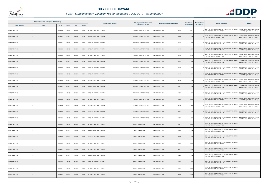

|                       | Registered or other description of the property |               |                |       |                | <b>Full Names of Owner(s)</b>    | Category determined in terms of | Physical address of the property | <b>Extent of the</b> | <b>Market value of</b> | <b>Section 78 Remarks</b>                                                                   | Remarks                                                     |
|-----------------------|-------------------------------------------------|---------------|----------------|-------|----------------|----------------------------------|---------------------------------|----------------------------------|----------------------|------------------------|---------------------------------------------------------------------------------------------|-------------------------------------------------------------|
| <b>Town Allotment</b> | <b>Suburb</b>                                   | <b>Erf Nr</b> | <b>Portion</b> | Unit  | <b>Section</b> |                                  | <b>Section 8 of the Act</b>     |                                  | property (HA)        | the property           |                                                                                             |                                                             |
| BENDOR EXT 108        |                                                 | 00008342      | 00000          | 00000 | 0000           | G P SMITH LETTING PTY LTD        | RESIDENTIAL PROPERTIES          | BENDOR EXT 108<br>8342           | 0.0375               |                        | SECT 78(1)(c) - SUBDIVIDED OR CONSOLIDATED AFTER<br>THE LAST GENERAL VALUATION              | VALUED WITH TOWNSHIP OWNER<br>VALUATION (PTN 522 OF 915 LS) |
| BENDOR EXT 108        |                                                 | 00008343      | 00000          | 00000 | 0000           | G P SMITH LETTING PTY LTD        | RESIDENTIAL PROPERTIES          | <b>BENDOR EXT 108</b><br>8343    | 0.0391               |                        | SECT 78(1)(c) - SUBDIVIDED OR CONSOLIDATED AFTER<br>THE LAST GENERAL VALUATION              | VALUED WITH TOWNSHIP OWNER<br>VALUATION (PTN 522 OF 915 LS) |
| BENDOR EXT 108        |                                                 | 00008344      | 00000          | 00000 | 0000           | G P SMITH LETTING PTY LTD        | RESIDENTIAL PROPERTIES          | 8344<br>BENDOR EXT 108           | 0.0384               |                        | SECT 78(1)(c) - SUBDIVIDED OR CONSOLIDATED AFTER<br>THE LAST GENERAL VALUATION              | VALUED WITH TOWNSHIP OWNER<br>VALUATION (PTN 522 OF 915 LS) |
| BENDOR EXT 108        |                                                 | 00008345      | 00000          | 00000 | 0000           | G P SMITH LETTING PTY LTD        | RESIDENTIAL PROPERTIES          | <b>BENDOR EXT 108</b><br>8345    | 0.0397               |                        | SECT 78(1)(c) - SUBDIVIDED OR CONSOLIDATED AFTER<br>FHE LAST GENERAL VALUATION              | VALUED WITH TOWNSHIP OWNER<br>VALUATION (PTN 522 OF 915 LS) |
| BENDOR EXT 108        |                                                 | 00008346      | 00000          | 00000 | 0000           | G P SMITH LETTING PTY LTD        | RESIDENTIAL PROPERTIES          | BENDOR EXT 108<br>8346           | 0.0400               |                        | SECT 78(1)(c) - SUBDIVIDED OR CONSOLIDATED AFTER<br>THE LAST GENERAL VALUATION              | VALUED WITH TOWNSHIP OWNER<br>VALUATION (PTN 522 OF 915 LS) |
| BENDOR EXT 108        |                                                 | 00008347      | 00000          | 00000 | 0000           | G P SMITH LETTING PTY LTD        | <b>RESIDENTIAL PROPERTIES</b>   | 8347<br>BENDOR EXT 108           | 0.3087               |                        | SECT 78(1)(c) - SUBDIVIDED OR CONSOLIDATED AFTER<br>THE LAST GENERAL VALUATION              | VALUED WITH TOWNSHIP OWNER<br>VALUATION (PTN 522 OF 915 LS) |
| BENDOR EXT 108        |                                                 | 00008348      | 00000          | 00000 | 0000           | G P SMITH LETTING PTY LTD        | RESIDENTIAL PROPERTIES          | BENDOR EXT 108<br>8348           | 0.0390               |                        | SECT 78(1)(c) - SUBDIVIDED OR CONSOLIDATED AFTER<br>THE LAST GENERAL VALUATION              | VALUED WITH TOWNSHIP OWNER<br>VALUATION (PTN 522 OF 915 LS) |
| BENDOR EXT 108        |                                                 | 00008349      | 00000          | 00000 | 0000           | G P SMITH LETTING PTY LTD        | <b>RESIDENTIAL PROPERTIES</b>   | <b>BENDOR EXT 108</b><br>8349    | 0.0390               |                        | SECT 78(1)(c) - SUBDIVIDED OR CONSOLIDATED AFTER<br>THE LAST GENERAL VALUATION              | VALUED WITH TOWNSHIP OWNER<br>VALUATION (PTN 522 OF 915 LS) |
| BENDOR EXT 108        |                                                 | 00008350      | 00000          | 00000 | 0000           | G P SMITH LETTING PTY LTD        | <b>RESIDENTIAL PROPERTIES</b>   | BENDOR EXT 108<br>8350           | 0.0390               |                        | SECT 78(1)(c) - SUBDIVIDED OR CONSOLIDATED AFTER<br><sup>0</sup> THE LAST GENERAL VALUATION | VALUED WITH TOWNSHIP OWNER<br>VALUATION (PTN 522 OF 915 LS) |
| BENDOR EXT 108        |                                                 | 00008351      | 00000          | 00000 | 0000           | G P SMITH LETTING PTY LTD        | RESIDENTIAL PROPERTIES          | BENDOR EXT 108<br>8351           | 0.0390               |                        | SECT 78(1)(c) - SUBDIVIDED OR CONSOLIDATED AFTER<br>THE LAST GENERAL VALUATION              | VALUED WITH TOWNSHIP OWNER<br>VALUATION (PTN 522 OF 915 LS) |
| BENDOR EXT 108        |                                                 | 00008352      | 00000          | 00000 | 0000           | G P SMITH LETTING PTY LTD        | RESIDENTIAL PROPERTIES          | BENDOR EXT 108<br>8352           | 0.0392               |                        | SECT 78(1)(c) - SUBDIVIDED OR CONSOLIDATED AFTER<br>THE LAST GENERAL VALUATION              | VALUED WITH TOWNSHIP OWNER<br>VALUATION (PTN 522 OF 915 LS) |
| BENDOR EXT 108        |                                                 | 00008353      | 00000          | 00000 | 0000           | G P SMITH LETTING PTY LTD        | RESIDENTIAL PROPERTIES          | BENDOR EXT 108<br>8353           | 0.0391               |                        | SECT 78(1)(c) - SUBDIVIDED OR CONSOLIDATED AFTER<br>THE LAST GENERAL VALUATION              | VALUED WITH TOWNSHIP OWNER<br>VALUATION (PTN 522 OF 915 LS) |
| BENDOR EXT 108        |                                                 | 00008354      | 00000          | 00000 | 0000           | G P SMITH LETTING PTY LTD        | RESIDENTIAL PROPERTIES          | BENDOR EXT 108<br>8354           | 0.0433               |                        | SECT 78(1)(c) - SUBDIVIDED OR CONSOLIDATED AFTER<br>THE LAST GENERAL VALUATION              | VALUED WITH TOWNSHIP OWNER<br>VALUATION (PTN 522 OF 915 LS) |
| <b>BENDOR EXT 108</b> |                                                 | 00008355      | 00000          | 00000 | 0000           | G P SMITH LETTING PTY LTD        | <b>RESIDENTIAL PROPERTIES</b>   | 8355<br>BENDOR EXT 108           | 0.0402               |                        | SECT 78(1)(c) - SUBDIVIDED OR CONSOLIDATED AFTER<br>THE LAST GENERAL VALUATION              | VALUED WITH TOWNSHIP OWNER<br>VALUATION (PTN 522 OF 915 LS) |
| BENDOR EXT 108        |                                                 | 00008356      | 00000          | 00000 | 0000           | G P SMITH LETTING PTY LTD        | <b>RESIDENTIAL PROPERTIES</b>   | BENDOR EXT 108<br>8356           | 0.0389               |                        | SECT 78(1)(c) - SUBDIVIDED OR CONSOLIDATED AFTER<br>THE LAST GENERAL VALUATION              | VALUED WITH TOWNSHIP OWNER<br>VALUATION (PTN 522 OF 915 LS) |
| BENDOR EXT 108        |                                                 | 00008357      | 00000          | 00000 | 0000           | <b>G P SMITH LETTING PTY LTD</b> | <b>CROSS REFERENCE</b>          | BENDOR EXT 108<br>8357           | 0.0390               |                        | SECT 78(1)(c) - SUBDIVIDED OR CONSOLIDATED AFTER<br>THE LAST GENERAL VALUATION              |                                                             |
| BENDOR EXT 108        |                                                 | 00008358      | 00000          | 00000 | 0000           | G P SMITH LETTING PTY LTD        | <b>CROSS REFERENCE</b>          | 8358<br>BENDOR EXT 108           | 0.0390               |                        | SECT 78(1)(c) - SUBDIVIDED OR CONSOLIDATED AFTER<br>THE LAST GENERAL VALUATION              |                                                             |
| BENDOR EXT 108        |                                                 | 00008359      | 00000          | 00000 | 0000           | G P SMITH LETTING PTY LTD        | <b>CROSS REFERENCE</b>          | 8359<br>BENDOR EXT 108           | 0.0390               |                        | SECT 78(1)(c) - SUBDIVIDED OR CONSOLIDATED AFTER<br>THE LAST GENERAL VALUATION              |                                                             |
| BENDOR EXT 108        |                                                 | 00008360      | 00000          | 00000 | 0000           | G P SMITH LETTING PTY LTD        | <b>CROSS REFERENCE</b>          | BENDOR EXT 108<br>8360           | 0.0390               |                        | SECT 78(1)(c) - SUBDIVIDED OR CONSOLIDATED AFTER<br>THE LAST GENERAL VALUATION              |                                                             |
| BENDOR EXT 108        |                                                 | 00008361      | 00000          | 00000 | 0000           | G P SMITH LETTING PTY LTD        | <b>CROSS REFERENCE</b>          | BENDOR EXT 108<br>8361           | 0.0390               |                        | SECT 78(1)(c) - SUBDIVIDED OR CONSOLIDATED AFTER<br>THE LAST GENERAL VALUATION              |                                                             |
| BENDOR EXT 108        |                                                 | 00008362      | 00000          | 00000 | 0000           | G P SMITH LETTING PTY LTD        | <b>CROSS REFERENCE</b>          | BENDOR EXT 108<br>8362           | 0.0390               |                        | SECT 78(1)(c) - SUBDIVIDED OR CONSOLIDATED AFTER<br>THE LAST GENERAL VALUATION              |                                                             |
| BENDOR EXT 108        |                                                 | 00008363      | 00000          | 00000 | 0000           | G P SMITH LETTING PTY LTD        | <b>CROSS REFERENCE</b>          | BENDOR EXT 108<br>8363           | 0.0390               |                        | SECT 78(1)(c) - SUBDIVIDED OR CONSOLIDATED AFTER<br>THE LAST GENERAL VALUATION              |                                                             |
| BENDOR EXT 108        |                                                 | 00008364      | 00000          | 00000 | 0000           | G P SMITH LETTING PTY LTD        | <b>CROSS REFERENCE</b>          | BENDOR EXT 108<br>8364           | 0.0390               |                        | SECT 78(1)(c) - SUBDIVIDED OR CONSOLIDATED AFTER<br>THE LAST GENERAL VALUATION              |                                                             |
| BENDOR EXT 108        |                                                 | 00008365      | 00000          | 00000 | 0000           | G P SMITH LETTING PTY LTD        | <b>CROSS REFERENCE</b>          | <b>BENDOR EXT 108</b><br>8365    | 0.0390               |                        | SECT 78(1)(c) - SUBDIVIDED OR CONSOLIDATED AFTER<br>THE LAST GENERAL VALUATION              |                                                             |

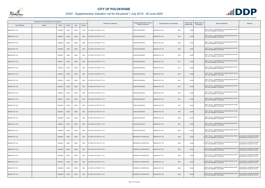

|                       | Registered or other description of the property |               |                |       |                | <b>Full Names of Owner(s)</b> | Category determined in terms of | Physical address of the property | <b>Extent of the</b> | <b>Market value of</b> | <b>Section 78 Remarks</b>                                                        | <b>Remarks</b>                                              |
|-----------------------|-------------------------------------------------|---------------|----------------|-------|----------------|-------------------------------|---------------------------------|----------------------------------|----------------------|------------------------|----------------------------------------------------------------------------------|-------------------------------------------------------------|
| <b>Town Allotment</b> | <b>Suburb</b>                                   | <b>Erf Nr</b> | <b>Portion</b> | Unit  | <b>Section</b> |                               | Section 8 of the Act            |                                  | property (HA)        | the property           |                                                                                  |                                                             |
| BENDOR EXT 108        |                                                 | 00008366      | 00000          | 00000 | 0000           | G P SMITH LETTING PTY LTD     | <b>CROSS REFERENCE</b>          | 8366<br>BENDOR EXT 108           | 0.0390               |                        | SECT 78(1)(c) - SUBDIVIDED OR CONSOLIDATED AFTER<br>THE LAST GENERAL VALUATION   |                                                             |
| BENDOR EXT 108        |                                                 | 00008367      | 00000          | 00000 | 0000           | G P SMITH LETTING PTY LTD     | <b>CROSS REFERENCE</b>          | BENDOR EXT 108<br>8367           | 0.0390               |                        | SECT 78(1)(c) - SUBDIVIDED OR CONSOLIDATED AFTER<br>THE LAST GENERAL VALUATION   |                                                             |
| BENDOR EXT 108        |                                                 | 00008368      | 00000          | 00000 | 0000           | G P SMITH LETTING PTY LTD     | <b>CROSS REFERENCE</b>          | BENDOR EXT 108<br>8368           | 0.0390               |                        | SECT 78(1)(c) - SUBDIVIDED OR CONSOLIDATED AFTER<br>THE LAST GENERAL VALUATION   |                                                             |
| BENDOR EXT 108        |                                                 | 00008369      | 00000          | 00000 | 0000           | G P SMITH LETTING PTY LTD     | <b>CROSS REFERENCE</b>          | 8369<br>BENDOR EXT 108           | 0.0390               |                        | SECT 78(1)(c) - SUBDIVIDED OR CONSOLIDATED AFTER<br>THE LAST GENERAL VALUATION   |                                                             |
| BENDOR EXT 108        |                                                 | 00008370      | 00000          | 00000 | 0000           | G P SMITH LETTING PTY LTD     | <b>CROSS REFERENCE</b>          | BENDOR EXT 108<br>8370           | 0.0390               |                        | SECT 78(1)(c) - SUBDIVIDED OR CONSOLIDATED AFTER<br>THE LAST GENERAL VALUATION   |                                                             |
| BENDOR EXT 108        |                                                 | 00008371      | 00000          | 00000 | 0000           | G P SMITH LETTING PTY LTD     | <b>CROSS REFERENCE</b>          | BENDOR EXT 108<br>8371           | 0.0390               |                        | SECT 78(1)(c) - SUBDIVIDED OR CONSOLIDATED AFTER<br>THE LAST GENERAL VALUATION   |                                                             |
| BENDOR EXT 108        |                                                 | 00008372      | 00000          | 00000 | 0000           | G P SMITH LETTING PTY LTD     | <b>CROSS REFERENCE</b>          | BENDOR EXT 108<br>8372           | 0.0390               |                        | SECT 78(1)(c) - SUBDIVIDED OR CONSOLIDATED AFTER<br>THE LAST GENERAL VALUATION   |                                                             |
| BENDOR EXT 108        |                                                 | 00008373      | 00000          | 00000 | 0000           | G P SMITH LETTING PTY LTD     | <b>CROSS REFERENCE</b>          | 8373<br>BENDOR EXT 108           | 0.0390               |                        | SECT 78(1)(c) - SUBDIVIDED OR CONSOLIDATED AFTER<br>THE LAST GENERAL VALUATION   |                                                             |
| BENDOR EXT 108        |                                                 | 00008374      | 00000          | 00000 | 0000           | G P SMITH LETTING PTY LTD     | <b>CROSS REFERENCE</b>          | BENDOR EXT 108<br>8374           | 0.0390               |                        | SECT 78(1)(c) - SUBDIVIDED OR CONSOLIDATED AFTER<br>THE LAST GENERAL VALUATION   |                                                             |
| BENDOR EXT 108        |                                                 | 00008375      | 00000          | 00000 | 0000           | G P SMITH LETTING PTY LTD     | <b>CROSS REFERENCE</b>          | <b>BENDOR EXT 108</b><br>8375    | 0.0390               |                        | SECT 78(1)(c) - SUBDIVIDED OR CONSOLIDATED AFTER<br>THE LAST GENERAL VALUATION   |                                                             |
| BENDOR EXT 108        |                                                 | 00008376      | 00000          | 00000 | 0000           | G P SMITH LETTING PTY LTD     | <b>CROSS REFERENCE</b>          | 8376<br>BENDOR EXT 108           | 0.0390               |                        | SECT 78(1)(c) - SUBDIVIDED OR CONSOLIDATED AFTER<br>THE LAST GENERAL VALUATION   |                                                             |
| BENDOR EXT 108        |                                                 | 00008377      | 00000          | 00000 | 0000           | G P SMITH LETTING PTY LTD     | <b>CROSS REFERENCE</b>          | 8377<br>BENDOR EXT 108           | 0.0390               |                        | SECT 78(1)(c) - SUBDIVIDED OR CONSOLIDATED AFTER<br>THE LAST GENERAL VALUATION   |                                                             |
| BENDOR EXT 108        |                                                 | 00008378      | 00000          | 00000 | 0000           | G P SMITH LETTING PTY LTD     | <b>CROSS REFERENCE</b>          | BENDOR EXT 108<br>8378           | 0.0390               |                        | SECT 78(1)(c) - SUBDIVIDED OR CONSOLIDATED AFTER<br>THE LAST GENERAL VALUATION   |                                                             |
| BENDOR EXT 108        |                                                 | 00008379      | 00000          | 00000 | 0000           | G P SMITH LETTING PTY LTD     | <b>CROSS REFERENCE</b>          | <b>BENDOR EXT 108</b><br>8379    | 0.0390               |                        | SECT 78(1)(c) - SUBDIVIDED OR CONSOLIDATED AFTER<br>THE LAST GENERAL VALUATION   |                                                             |
| BENDOR EXT 108        |                                                 | 00008380      | 00000          | 00000 | 0000           | G P SMITH LETTING PTY LTD     | <b>CROSS REFERENCE</b>          | BENDOR EXT 108<br>8380           | 0.0390               |                        | SECT 78(1)(c) - SUBDIVIDED OR CONSOLIDATED AFTER<br>THE LAST GENERAL VALUATION   |                                                             |
| BENDOR EXT 108        |                                                 | 00008381      | 00000          | 00000 | 0000           | G P SMITH LETTING PTY LTD     | <b>CROSS REFERENCE</b>          | BENDOR EXT 108<br>8381           | 0.0390               |                        | SECT 78(1)(c) - SUBDIVIDED OR CONSOLIDATED AFTER<br>THE LAST GENERAL VALUATION   |                                                             |
| BENDOR EXT 108        |                                                 | 00008382      | 00000          | 00000 | 0000           | G P SMITH LETTING PTY LTD     | <b>CROSS REFERENCE</b>          | <b>BENDOR EXT 108</b><br>8382    | 0.0390               |                        | SECT 78(1)(c) - SUBDIVIDED OR CONSOLIDATED AFTER<br>THE LAST GENERAL VALUATION   |                                                             |
| BENDOR EXT 108        |                                                 | 00008383      | 00000          | 00000 | 0000           | G P SMITH LETTING PTY LTD     | <b>RESIDENTIAL PROPERTIES</b>   | BENDOR EXT 108<br>8383           | 0.0400               |                        | SECT 78(1)(c) - SUBDIVIDED OR CONSOLIDATED AFTER<br>0 THE LAST GENERAL VALUATION | VALUED WITH TOWNSHIP OWNER<br>VALUATION (PTN 522 OF 915 LS) |
| BENDOR EXT 108        |                                                 | 00008384      | 00000          | 00000 | 0000           | G P SMITH LETTING PTY LTD     | RESIDENTIAL PROPERTIES          | 8384<br>BENDOR EXT 108           | 0.0406               |                        | SECT 78(1)(c) - SUBDIVIDED OR CONSOLIDATED AFTER<br>THE LAST GENERAL VALUATION   | VALUED WITH TOWNSHIP OWNER<br>VALUATION (PTN 522 OF 915 LS) |
| BENDOR EXT 108        |                                                 | 00008385      | 00000          | 00000 | 0000           | G P SMITH LETTING PTY LTD     | RESIDENTIAL PROPERTIES          | BENDOR EXT 108<br>8385           | 0.0484               |                        | SECT 78(1)(c) - SUBDIVIDED OR CONSOLIDATED AFTER<br>THE LAST GENERAL VALUATION   | VALUED WITH TOWNSHIP OWNER<br>VALUATION (PTN 522 OF 915 LS) |
| BENDOR EXT 108        |                                                 | 00008386      | 00000          | 00000 | 0000           | G P SMITH LETTING PTY LTD     | RESIDENTIAL PROPERTIES          | BENDOR EXT 108<br>8386           | 0.0400               |                        | SECT 78(1)(c) - SUBDIVIDED OR CONSOLIDATED AFTER<br>THE LAST GENERAL VALUATION   | VALUED WITH TOWNSHIP OWNER<br>VALUATION (PTN 522 OF 915 LS) |
| BENDOR EXT 108        |                                                 | 00008387      | 00000          | 00000 | 0000           | G P SMITH LETTING PTY LTD     | <b>RESIDENTIAL PROPERTIES</b>   | 8387<br>BENDOR EXT 108           | 0.0400               |                        | SECT 78(1)(c) - SUBDIVIDED OR CONSOLIDATED AFTER<br>THE LAST GENERAL VALUATION   | VALUED WITH TOWNSHIP OWNER<br>VALUATION (PTN 522 OF 915 LS) |
| BENDOR EXT 108        |                                                 | 00008388      | 00000          | 00000 | 0000           | G P SMITH LETTING PTY LTD     | RESIDENTIAL PROPERTIES          | BENDOR EXT 108<br>8388           | 0.0400               |                        | SECT 78(1)(c) - SUBDIVIDED OR CONSOLIDATED AFTER<br>THE LAST GENERAL VALUATION   | VALUED WITH TOWNSHIP OWNER<br>VALUATION (PTN 522 OF 915 LS) |
| BENDOR EXT 108        |                                                 | 00008389      | 00000          | 00000 | 0000           | G P SMITH LETTING PTY LTD     | RESIDENTIAL PROPERTIES          | BENDOR EXT 108<br>8389           | 0.0400               |                        | SECT 78(1)(c) - SUBDIVIDED OR CONSOLIDATED AFTER<br>THE LAST GENERAL VALUATION   | VALUED WITH TOWNSHIP OWNER<br>VALUATION (PTN 522 OF 915 LS) |

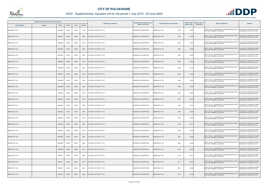

| Registered or other description of the property<br><b>Town Allotment</b><br><b>Suburb</b> |  |          |                |       |                | <b>Full Names of Owner(s)</b>    | Category determined in terms of | Physical address of the property | <b>Extent of the</b> | <b>Market value of</b> | <b>Section 78 Remarks</b>                                                                   | <b>Remarks</b>                                              |
|-------------------------------------------------------------------------------------------|--|----------|----------------|-------|----------------|----------------------------------|---------------------------------|----------------------------------|----------------------|------------------------|---------------------------------------------------------------------------------------------|-------------------------------------------------------------|
|                                                                                           |  | Erf Nr   | <b>Portion</b> | Unit  | <b>Section</b> |                                  | Section 8 of the Act            |                                  | property (HA)        | the property           |                                                                                             |                                                             |
| BENDOR EXT 108                                                                            |  | 00008390 | 00000          | 00000 | 0000           | G P SMITH LETTING PTY LTD        | RESIDENTIAL PROPERTIES          | BENDOR EXT 108<br>8390           | 0.0400               |                        | SECT 78(1)(c) - SUBDIVIDED OR CONSOLIDATED AFTER<br>THE LAST GENERAL VALUATION              | VALUED WITH TOWNSHIP OWNER<br>VALUATION (PTN 522 OF 915 LS) |
| BENDOR EXT 108                                                                            |  | 00008391 | 00000          | 00000 | 0000           | G P SMITH LETTING PTY LTD        | RESIDENTIAL PROPERTIES          | BENDOR EXT 108<br>8391           | 0.0400               |                        | SECT 78(1)(c) - SUBDIVIDED OR CONSOLIDATED AFTER<br>THE LAST GENERAL VALUATION              | VALUED WITH TOWNSHIP OWNER<br>VALUATION (PTN 522 OF 915 LS) |
| BENDOR EXT 108                                                                            |  | 00008392 | 00000          | 00000 | 0000           | G P SMITH LETTING PTY LTD        | RESIDENTIAL PROPERTIES          | 8392<br>BENDOR EXT 108           | 0.0400               |                        | SECT 78(1)(c) - SUBDIVIDED OR CONSOLIDATED AFTER<br>THE LAST GENERAL VALUATION              | VALUED WITH TOWNSHIP OWNER<br>VALUATION (PTN 522 OF 915 LS) |
| BENDOR EXT 108                                                                            |  | 00008393 | 00000          | 00000 | 0000           | G P SMITH LETTING PTY LTD        | RESIDENTIAL PROPERTIES          | BENDOR EXT 108<br>8393           | 0.0400               |                        | SECT 78(1)(c) - SUBDIVIDED OR CONSOLIDATED AFTER<br>THE LAST GENERAL VALUATION              | VALUED WITH TOWNSHIP OWNER<br>VALUATION (PTN 522 OF 915 LS) |
| BENDOR EXT 108                                                                            |  | 00008394 | 00000          | 00000 | 0000           | G P SMITH LETTING PTY LTD        | RESIDENTIAL PROPERTIES          | BENDOR EXT 108<br>8394           | 0.0400               |                        | SECT 78(1)(c) - SUBDIVIDED OR CONSOLIDATED AFTER<br>THE LAST GENERAL VALUATION              | VALUED WITH TOWNSHIP OWNER<br>VALUATION (PTN 522 OF 915 LS) |
| BENDOR EXT 108                                                                            |  | 00008395 | 00000          | 00000 | 0000           | G P SMITH LETTING PTY LTD        | <b>RESIDENTIAL PROPERTIES</b>   | BENDOR EXT 108<br>8395           | 0.0400               |                        | SECT 78(1)(c) - SUBDIVIDED OR CONSOLIDATED AFTER<br>THE LAST GENERAL VALUATION              | VALUED WITH TOWNSHIP OWNER<br>VALUATION (PTN 522 OF 915 LS) |
| BENDOR EXT 108                                                                            |  | 00008396 | 00000          | 00000 | 0000           | G P SMITH LETTING PTY LTD        | RESIDENTIAL PROPERTIES          | 8396<br>BENDOR EXT 108           | 0.041                |                        | SECT 78(1)(c) - SUBDIVIDED OR CONSOLIDATED AFTER<br>THE LAST GENERAL VALUATION              | VALUED WITH TOWNSHIP OWNER<br>VALUATION (PTN 522 OF 915 LS) |
| BENDOR EXT 108                                                                            |  | 00008397 | 00000          | 00000 | 0000           | G P SMITH LETTING PTY LTD        | RESIDENTIAL PROPERTIES          | <b>BENDOR EXT 108</b><br>8397    | 0.040                |                        | SECT 78(1)(c) - SUBDIVIDED OR CONSOLIDATED AFTER<br>THE LAST GENERAL VALUATION              | VALUED WITH TOWNSHIP OWNER<br>VALUATION (PTN 522 OF 915 LS) |
| BENDOR EXT 108                                                                            |  | 00008398 | 00000          | 00000 | 0000           | <b>G P SMITH LETTING PTY LTD</b> | RESIDENTIAL PROPERTIES          | BENDOR EXT 108<br>8398           | 0.0387               |                        | SECT 78(1)(c) - SUBDIVIDED OR CONSOLIDATED AFTER<br><sup>0</sup> THE LAST GENERAL VALUATION | VALUED WITH TOWNSHIP OWNER<br>VALUATION (PTN 522 OF 915 LS) |
| BENDOR EXT 108                                                                            |  | 00008399 | 00000          | 00000 | 0000           | G P SMITH LETTING PTY LTD        | RESIDENTIAL PROPERTIES          | BENDOR EXT 108<br>8399           | 0.0400               |                        | SECT 78(1)(c) - SUBDIVIDED OR CONSOLIDATED AFTER<br>THE LAST GENERAL VALUATION              | VALUED WITH TOWNSHIP OWNER<br>VALUATION (PTN 522 OF 915 LS) |
| BENDOR EXT 108                                                                            |  | 00008400 | 00000          | 00000 | 0000           | G P SMITH LETTING PTY LTD        | RESIDENTIAL PROPERTIES          | BENDOR EXT 108<br>8400           | 0.0400               |                        | SECT 78(1)(c) - SUBDIVIDED OR CONSOLIDATED AFTER<br>THE LAST GENERAL VALUATION              | VALUED WITH TOWNSHIP OWNER<br>VALUATION (PTN 522 OF 915 LS) |
| BENDOR EXT 108                                                                            |  | 00008401 | 00000          | 00000 | 0000           | G P SMITH LETTING PTY LTD        | RESIDENTIAL PROPERTIES          | BENDOR EXT 108<br>8401           | 0.0439               |                        | SECT 78(1)(c) - SUBDIVIDED OR CONSOLIDATED AFTER<br>THE LAST GENERAL VALUATION              | VALUED WITH TOWNSHIP OWNER<br>VALUATION (PTN 522 OF 915 LS) |
| BENDOR EXT 108                                                                            |  | 00008402 | 00000          | 00000 | 0000           | G P SMITH LETTING PTY LTD        | RESIDENTIAL PROPERTIES          | <b>BENDOR EXT 108</b><br>8402    | 0.045                |                        | SECT 78(1)(c) - SUBDIVIDED OR CONSOLIDATED AFTER<br>THE LAST GENERAL VALUATION              | VALUED WITH TOWNSHIP OWNER<br>VALUATION (PTN 522 OF 915 LS) |
| BENDOR EXT 108                                                                            |  | 00008403 | 00000          | 00000 | 0000           | G P SMITH LETTING PTY LTD        | RESIDENTIAL PROPERTIES          | 8403<br>BENDOR EXT 108           | 0.0400               |                        | SECT 78(1)(c) - SUBDIVIDED OR CONSOLIDATED AFTER<br>THE LAST GENERAL VALUATION              | VALUED WITH TOWNSHIP OWNER<br>VALUATION (PTN 522 OF 915 LS) |
| BENDOR EXT 108                                                                            |  | 00008404 | 00000          | 00000 | 0000           | G P SMITH LETTING PTY LTD        | RESIDENTIAL PROPERTIES          | BENDOR EXT 108<br>8404           | 0.0400               |                        | SECT 78(1)(c) - SUBDIVIDED OR CONSOLIDATED AFTER<br>THE LAST GENERAL VALUATION              | VALUED WITH TOWNSHIP OWNER<br>VALUATION (PTN 522 OF 915 LS) |
| BENDOR EXT 108                                                                            |  | 00008405 | 00000          | 00000 | 0000           | <b>G P SMITH LETTING PTY LTD</b> | RESIDENTIAL PROPERTIES          | <b>BENDOR EXT 108</b><br>8405    | 0.041                |                        | SECT 78(1)(c) - SUBDIVIDED OR CONSOLIDATED AFTER<br>THE LAST GENERAL VALUATION              | VALUED WITH TOWNSHIP OWNER<br>VALUATION (PTN 522 OF 915 LS) |
| BENDOR EXT 108                                                                            |  | 00008406 | 00000          | 00000 | 0000           | <b>G P SMITH LETTING PTY LTD</b> | RESIDENTIAL PROPERTIES          | BENDOR EXT 108<br>8406           | 0.0442               |                        | SECT 78(1)(c) - SUBDIVIDED OR CONSOLIDATED AFTER<br>THE LAST GENERAL VALUATION              | VALUED WITH TOWNSHIP OWNER<br>VALUATION (PTN 522 OF 915 LS) |
| BENDOR EXT 108                                                                            |  | 00008407 | 00000          | 00000 | 0000           | G P SMITH LETTING PTY LTD        | RESIDENTIAL PROPERTIES          | 8407<br>BENDOR EXT 108           | 0.0436               |                        | SECT 78(1)(c) - SUBDIVIDED OR CONSOLIDATED AFTER<br>THE LAST GENERAL VALUATION              | VALUED WITH TOWNSHIP OWNER<br>VALUATION (PTN 522 OF 915 LS) |
| BENDOR EXT 108                                                                            |  | 00008408 | 00000          | 00000 | 0000           | G P SMITH LETTING PTY LTD        | RESIDENTIAL PROPERTIES          | 8408<br><b>BENDOR EXT 108</b>    | 0.0400               |                        | SECT 78(1)(c) - SUBDIVIDED OR CONSOLIDATED AFTER<br>THE LAST GENERAL VALUATION              | VALUED WITH TOWNSHIP OWNER<br>VALUATION (PTN 522 OF 915 LS) |
| BENDOR EXT 108                                                                            |  | 00008409 | 00000          | 00000 | 0000           | G P SMITH LETTING PTY LTD        | RESIDENTIAL PROPERTIES          | BENDOR EXT 108<br>8409           | 0.0402               |                        | SECT 78(1)(c) - SUBDIVIDED OR CONSOLIDATED AFTER<br>THE LAST GENERAL VALUATION              | VALUED WITH TOWNSHIP OWNER<br>VALUATION (PTN 522 OF 915 LS) |
| BENDOR EXT 108                                                                            |  | 00008410 | 00000          | 00000 | 0000           | G P SMITH LETTING PTY LTD        | RESIDENTIAL PROPERTIES          | BENDOR EXT 108<br>8410           | 0.0401               |                        | SECT 78(1)(c) - SUBDIVIDED OR CONSOLIDATED AFTER<br>THE LAST GENERAL VALUATION              | VALUED WITH TOWNSHIP OWNER<br>VALUATION (PTN 522 OF 915 LS) |
| BENDOR EXT 108                                                                            |  | 00008411 | 00000          | 00000 | 0000           | G P SMITH LETTING PTY LTD        | RESIDENTIAL PROPERTIES          | BENDOR EXT 108<br>8411           | 0.0355               |                        | SECT 78(1)(c) - SUBDIVIDED OR CONSOLIDATED AFTER<br>THE LAST GENERAL VALUATION              | VALUED WITH TOWNSHIP OWNER<br>VALUATION (PTN 522 OF 915 LS) |
| BENDOR EXT 108                                                                            |  | 00008412 | 00000          | 00000 | 0000           | G P SMITH LETTING PTY LTD        | RESIDENTIAL PROPERTIES          | BENDOR EXT 108<br>8412           | 0.0380               |                        | SECT 78(1)(c) - SUBDIVIDED OR CONSOLIDATED AFTER<br>THE LAST GENERAL VALUATION              | VALUED WITH TOWNSHIP OWNER<br>VALUATION (PTN 522 OF 915 LS) |
| BENDOR EXT 108                                                                            |  | 00008413 | 00000          | 00000 | 0000           | G P SMITH LETTING PTY LTD        | RESIDENTIAL PROPERTIES          | BENDOR EXT 108<br>8413           | 0.0380               |                        | SECT 78(1)(c) - SUBDIVIDED OR CONSOLIDATED AFTER<br>THE LAST GENERAL VALUATION              | VALUED WITH TOWNSHIP OWNER<br>VALUATION (PTN 522 OF 915 LS) |

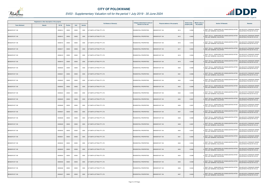

|                       | Registered or other description of the property |          |                |       |                | <b>Full Names of Owner(s)</b> | Category determined in terms of | Physical address of the property | <b>Extent of the</b> | <b>Market value of</b> | <b>Section 78 Remarks</b>                                                                   | <b>Remarks</b>                                              |
|-----------------------|-------------------------------------------------|----------|----------------|-------|----------------|-------------------------------|---------------------------------|----------------------------------|----------------------|------------------------|---------------------------------------------------------------------------------------------|-------------------------------------------------------------|
| <b>Town Allotment</b> | <b>Suburb</b>                                   | Erf Nr   | <b>Portion</b> | Unit  | <b>Section</b> |                               | <b>Section 8 of the Act</b>     |                                  | property (HA)        | the property           |                                                                                             |                                                             |
| BENDOR EXT 108        |                                                 | 00008414 | 00000          | 00000 | 0000           | G P SMITH LETTING PTY LTD     | RESIDENTIAL PROPERTIES          | BENDOR EXT 108<br>8414           | 0.0390               |                        | SECT 78(1)(c) - SUBDIVIDED OR CONSOLIDATED AFTER<br>THE LAST GENERAL VALUATION              | VALUED WITH TOWNSHIP OWNER<br>VALUATION (PTN 522 OF 915 LS) |
| BENDOR EXT 108        |                                                 | 00008415 | 00000          | 00000 | 0000           | G P SMITH LETTING PTY LTD     | RESIDENTIAL PROPERTIES          | BENDOR EXT 108<br>8415           | 0.0402               |                        | SECT 78(1)(c) - SUBDIVIDED OR CONSOLIDATED AFTER<br>THE LAST GENERAL VALUATION              | VALUED WITH TOWNSHIP OWNER<br>VALUATION (PTN 522 OF 915 LS) |
| BENDOR EXT 108        |                                                 | 00008416 | 00000          | 00000 | 0000           | G P SMITH LETTING PTY LTD     | RESIDENTIAL PROPERTIES          | BENDOR EXT 108<br>8416           | 0.0402               |                        | SECT 78(1)(c) - SUBDIVIDED OR CONSOLIDATED AFTER<br>THE LAST GENERAL VALUATION              | VALUED WITH TOWNSHIP OWNER<br>VALUATION (PTN 522 OF 915 LS) |
| <b>BENDOR EXT 108</b> |                                                 | 00008417 | 00000          | 00000 | 0000           | G P SMITH LETTING PTY LTD     | RESIDENTIAL PROPERTIES          | BENDOR EXT 108<br>8417           | 0.0402               |                        | SECT 78(1)(c) - SUBDIVIDED OR CONSOLIDATED AFTER<br>THE LAST GENERAL VALUATION              | VALUED WITH TOWNSHIP OWNER<br>VALUATION (PTN 522 OF 915 LS) |
| BENDOR EXT 108        |                                                 | 00008418 | 00000          | 00000 | 0000           | G P SMITH LETTING PTY LTD     | RESIDENTIAL PROPERTIES          | BENDOR EXT 108<br>8418           | 0.0394               |                        | SECT 78(1)(c) - SUBDIVIDED OR CONSOLIDATED AFTER<br>THE LAST GENERAL VALUATION              | VALUED WITH TOWNSHIP OWNER<br>VALUATION (PTN 522 OF 915 LS) |
| BENDOR EXT 108        |                                                 | 00008419 | 00000          | 00000 | 0000           | G P SMITH LETTING PTY LTD     | RESIDENTIAL PROPERTIES          | 8419<br>BENDOR EXT 108           | 0.0398               |                        | SECT 78(1)(c) - SUBDIVIDED OR CONSOLIDATED AFTER<br>THE LAST GENERAL VALUATION              | VALUED WITH TOWNSHIP OWNER<br>VALUATION (PTN 522 OF 915 LS) |
| BENDOR EXT 108        |                                                 | 00008420 | 00000          | 00000 | 0000           | G P SMITH LETTING PTY LTD     | RESIDENTIAL PROPERTIES          | BENDOR EXT 108<br>8420           | 0.0396               |                        | SECT 78(1)(c) - SUBDIVIDED OR CONSOLIDATED AFTER<br>THE LAST GENERAL VALUATION              | VALUED WITH TOWNSHIP OWNER<br>VALUATION (PTN 522 OF 915 LS) |
| <b>BENDOR EXT 108</b> |                                                 | 00008421 | 00000          | 00000 | 0000           | G P SMITH LETTING PTY LTD     | RESIDENTIAL PROPERTIES          | 8421<br><b>BENDOR EXT 108</b>    | 0.0396               |                        | SECT 78(1)(c) - SUBDIVIDED OR CONSOLIDATED AFTER<br>THE LAST GENERAL VALUATION              | VALUED WITH TOWNSHIP OWNER<br>VALUATION (PTN 522 OF 915 LS) |
| BENDOR EXT 108        |                                                 | 00008422 | 00000          | 00000 | 0000           | G P SMITH LETTING PTY LTD     | RESIDENTIAL PROPERTIES          | BENDOR EXT 108<br>8422           | 0.0399               |                        | SECT 78(1)(c) - SUBDIVIDED OR CONSOLIDATED AFTER<br><sup>0</sup> THE LAST GENERAL VALUATION | VALUED WITH TOWNSHIP OWNER<br>VALUATION (PTN 522 OF 915 LS) |
| <b>BENDOR EXT 108</b> |                                                 | 00008423 | 00000          | 00000 | 0000           | G P SMITH LETTING PTY LTD     | RESIDENTIAL PROPERTIES          | BENDOR EXT 108<br>8423           | 0.0399               |                        | SECT 78(1)(c) - SUBDIVIDED OR CONSOLIDATED AFTER<br>THE LAST GENERAL VALUATION              | VALUED WITH TOWNSHIP OWNER<br>VALUATION (PTN 522 OF 915 LS) |
| BENDOR EXT 108        |                                                 | 00008424 | 00000          | 00000 | 0000           | G P SMITH LETTING PTY LTD     | RESIDENTIAL PROPERTIES          | BENDOR EXT 108<br>8424           | 0.0399               |                        | SECT 78(1)(c) - SUBDIVIDED OR CONSOLIDATED AFTER<br>THE LAST GENERAL VALUATION              | VALUED WITH TOWNSHIP OWNER<br>VALUATION (PTN 522 OF 915 LS) |
| BENDOR EXT 108        |                                                 | 00008425 | 00000          | 00000 | 0000           | G P SMITH LETTING PTY LTD     | RESIDENTIAL PROPERTIES          | BENDOR EXT 108<br>8425           | 0.0397               |                        | SECT 78(1)(c) - SUBDIVIDED OR CONSOLIDATED AFTER<br>THE LAST GENERAL VALUATION              | VALUED WITH TOWNSHIP OWNER<br>VALUATION (PTN 522 OF 915 LS) |
| BENDOR EXT 108        |                                                 | 00008426 | 00000          | 00000 | 0000           | G P SMITH LETTING PTY LTD     | RESIDENTIAL PROPERTIES          | <b>BENDOR EXT 108</b><br>8426    | 0.0397               |                        | SECT 78(1)(c) - SUBDIVIDED OR CONSOLIDATED AFTER<br>THE LAST GENERAL VALUATION              | VALUED WITH TOWNSHIP OWNER<br>VALUATION (PTN 522 OF 915 LS) |
| BENDOR EXT 108        |                                                 | 00008427 | 00000          | 00000 | 0000           | G P SMITH LETTING PTY LTD     | RESIDENTIAL PROPERTIES          | 8427<br><b>BENDOR EXT 108</b>    | 0.0398               |                        | SECT 78(1)(c) - SUBDIVIDED OR CONSOLIDATED AFTER<br>THE LAST GENERAL VALUATION              | VALUED WITH TOWNSHIP OWNER<br>VALUATION (PTN 522 OF 915 LS) |
| BENDOR EXT 108        |                                                 | 00008428 | 00000          | 00000 | 0000           | G P SMITH LETTING PTY LTD     | RESIDENTIAL PROPERTIES          | BENDOR EXT 108<br>8428           | 0.0398               |                        | SECT 78(1)(c) - SUBDIVIDED OR CONSOLIDATED AFTER<br>THE LAST GENERAL VALUATION              | VALUED WITH TOWNSHIP OWNER<br>VALUATION (PTN 522 OF 915 LS) |
| BENDOR EXT 108        |                                                 | 00008429 | 00000          | 00000 | 0000           | G P SMITH LETTING PTY LTD     | RESIDENTIAL PROPERTIES          | <b>BENDOR EXT 108</b><br>8429    | 0.0397               |                        | SECT 78(1)(c) - SUBDIVIDED OR CONSOLIDATED AFTER<br>THE LAST GENERAL VALUATION              | VALUED WITH TOWNSHIP OWNER<br>VALUATION (PTN 522 OF 915 LS) |
| BENDOR EXT 108        |                                                 | 00008430 | 00000          | 00000 | 0000           | G P SMITH LETTING PTY LTD     | RESIDENTIAL PROPERTIES          | BENDOR EXT 108<br>8430           | 0.0397               |                        | SECT 78(1)(c) - SUBDIVIDED OR CONSOLIDATED AFTER<br>THE LAST GENERAL VALUATION              | VALUED WITH TOWNSHIP OWNER<br>VALUATION (PTN 522 OF 915 LS) |
| BENDOR EXT 108        |                                                 | 00008431 | 00000          | 00000 | 0000           | G P SMITH LETTING PTY LTD     | RESIDENTIAL PROPERTIES          | 8431<br>BENDOR EXT 108           | 0.0383               |                        | SECT 78(1)(c) - SUBDIVIDED OR CONSOLIDATED AFTER<br>THE LAST GENERAL VALUATION              | VALUED WITH TOWNSHIP OWNER<br>VALUATION (PTN 522 OF 915 LS) |
| BENDOR EXT 108        |                                                 | 00008432 | 00000          | 00000 | 0000           | G P SMITH LETTING PTY LTD     | RESIDENTIAL PROPERTIES          | BENDOR EXT 108<br>8432           | 0.0384               |                        | SECT 78(1)(c) - SUBDIVIDED OR CONSOLIDATED AFTER<br>THE LAST GENERAL VALUATION              | VALUED WITH TOWNSHIP OWNER<br>VALUATION (PTN 522 OF 915 LS) |
| BENDOR EXT 108        |                                                 | 00008433 | 00000          | 00000 | 0000           | G P SMITH LETTING PTY LTD     | <b>RESIDENTIAL PROPERTIES</b>   | BENDOR EXT 108<br>8433           | 0.0396               |                        | SECT 78(1)(c) - SUBDIVIDED OR CONSOLIDATED AFTER<br>THE LAST GENERAL VALUATION              | VALUED WITH TOWNSHIP OWNER<br>VALUATION (PTN 522 OF 915 LS) |
| BENDOR EXT 108        |                                                 | 00008434 | 00000          | 00000 | 0000           | G P SMITH LETTING PTY LTD     | RESIDENTIAL PROPERTIES          | BENDOR EXT 108<br>8434           | 0.0396               |                        | SECT 78(1)(c) - SUBDIVIDED OR CONSOLIDATED AFTER<br>THE LAST GENERAL VALUATION              | VALUED WITH TOWNSHIP OWNER<br>VALUATION (PTN 522 OF 915 LS) |
| BENDOR EXT 108        |                                                 | 00008435 | 00000          | 00000 | 0000           | G P SMITH LETTING PTY LTD     | RESIDENTIAL PROPERTIES          | <b>BENDOR EXT 108</b><br>8435    | 0.0398               |                        | SECT 78(1)(c) - SUBDIVIDED OR CONSOLIDATED AFTER<br>THE LAST GENERAL VALUATION              | VALUED WITH TOWNSHIP OWNER<br>VALUATION (PTN 522 OF 915 LS) |
| BENDOR EXT 108        |                                                 | 00008436 | 00000          | 00000 | 0000           | G P SMITH LETTING PTY LTD     | RESIDENTIAL PROPERTIES          | BENDOR EXT 108<br>8436           | 0.0440               |                        | SECT 78(1)(c) - SUBDIVIDED OR CONSOLIDATED AFTER<br>THE LAST GENERAL VALUATION              | VALUED WITH TOWNSHIP OWNER<br>VALUATION (PTN 522 OF 915 LS) |
| BENDOR EXT 108        |                                                 | 00008437 | 00000          | 00000 | 0000           | G P SMITH LETTING PTY LTD     | <b>RESIDENTIAL PROPERTIES</b>   | 8437<br><b>BENDOR EXT 108</b>    | 0.0400               |                        | SECT 78(1)(c) - SUBDIVIDED OR CONSOLIDATED AFTER<br>THE LAST GENERAL VALUATION              | VALUED WITH TOWNSHIP OWNER<br>VALUATION (PTN 522 OF 915 LS) |

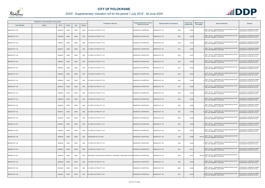

|                       | Registered or other description of the property |          |                |       |                | <b>Full Names of Owner(s)</b>                                                      | Category determined in terms of | <b>Physical address of the property</b> | <b>Extent of the</b> | <b>Market value of</b> | <b>Section 78 Remarks</b>                                                                   | <b>Remarks</b>                                              |
|-----------------------|-------------------------------------------------|----------|----------------|-------|----------------|------------------------------------------------------------------------------------|---------------------------------|-----------------------------------------|----------------------|------------------------|---------------------------------------------------------------------------------------------|-------------------------------------------------------------|
| <b>Town Allotment</b> | <b>Suburb</b>                                   | Erf Nr   | <b>Portion</b> | Unit  | <b>Section</b> |                                                                                    | Section 8 of the Act            |                                         | property (HA)        | the property           |                                                                                             |                                                             |
| BENDOR EXT 108        |                                                 | 00008438 | 00000          | 00000 | 0000           | G P SMITH LETTING PTY LTD                                                          | RESIDENTIAL PROPERTIES          | BENDOR EXT 108<br>8438                  | 0.0400               |                        | SECT 78(1)(c) - SUBDIVIDED OR CONSOLIDATED AFTER<br>THE LAST GENERAL VALUATION              | VALUED WITH TOWNSHIP OWNER<br>VALUATION (PTN 522 OF 915 LS) |
| BENDOR EXT 108        |                                                 | 00008439 | 00000          | 00000 | 0000           | G P SMITH LETTING PTY LTD                                                          | RESIDENTIAL PROPERTIES          | BENDOR EXT 108<br>8439                  | 0.0400               |                        | SECT 78(1)(c) - SUBDIVIDED OR CONSOLIDATED AFTER<br>THE LAST GENERAL VALUATION              | VALUED WITH TOWNSHIP OWNER<br>VALUATION (PTN 522 OF 915 LS) |
| BENDOR EXT 108        |                                                 | 00008440 | 00000          | 00000 | 0000           | G P SMITH LETTING PTY LTD                                                          | <b>RESIDENTIAL PROPERTIES</b>   | 8440<br>BENDOR EXT 108                  | 0.0400               |                        | SECT 78(1)(c) - SUBDIVIDED OR CONSOLIDATED AFTER<br>THE LAST GENERAL VALUATION              | VALUED WITH TOWNSHIP OWNER<br>VALUATION (PTN 522 OF 915 LS) |
| BENDOR EXT 108        |                                                 | 00008441 | 00000          | 00000 | 0000           | G P SMITH LETTING PTY LTD                                                          | RESIDENTIAL PROPERTIES          | BENDOR EXT 108<br>8441                  | 0.0455               |                        | SECT 78(1)(c) - SUBDIVIDED OR CONSOLIDATED AFTER<br>THE LAST GENERAL VALUATION              | VALUED WITH TOWNSHIP OWNER<br>VALUATION (PTN 522 OF 915 LS) |
| BENDOR EXT 108        |                                                 | 00008442 | 00000          | 00000 | 0000           | G P SMITH LETTING PTY LTD                                                          | RESIDENTIAL PROPERTIES          | 8442<br>BENDOR EXT 108                  | 0.0427               |                        | SECT 78(1)(c) - SUBDIVIDED OR CONSOLIDATED AFTER<br>THE LAST GENERAL VALUATION              | VALUED WITH TOWNSHIP OWNER<br>VALUATION (PTN 522 OF 915 LS) |
| BENDOR EXT 108        |                                                 | 00008443 | 00000          | 00000 | 0000           | G P SMITH LETTING PTY LTD                                                          | RESIDENTIAL PROPERTIES          | <b>BENDOR EXT 108</b><br>8443           | 0.0400               |                        | SECT 78(1)(c) - SUBDIVIDED OR CONSOLIDATED AFTER<br>THE LAST GENERAL VALUATION              | VALUED WITH TOWNSHIP OWNER<br>VALUATION (PTN 522 OF 915 LS) |
| BENDOR EXT 108        |                                                 | 00008444 | 00000          | 00000 | 0000           | G P SMITH LETTING PTY LTD                                                          | RESIDENTIAL PROPERTIES          | BENDOR EXT 108<br>8444                  | 0.0400               |                        | SECT 78(1)(c) - SUBDIVIDED OR CONSOLIDATED AFTER<br>THE LAST GENERAL VALUATION              | VALUED WITH TOWNSHIP OWNER<br>VALUATION (PTN 522 OF 915 LS) |
| BENDOR EXT 108        |                                                 | 00008445 | 00000          | 00000 | 0000           | G P SMITH LETTING PTY LTD                                                          | <b>RESIDENTIAL PROPERTIES</b>   | <b>BENDOR EXT 108</b><br>8445           | 0.0400               |                        | SECT 78(1)(c) - SUBDIVIDED OR CONSOLIDATED AFTER<br>THE LAST GENERAL VALUATION              | VALUED WITH TOWNSHIP OWNER<br>VALUATION (PTN 522 OF 915 LS) |
| BENDOR EXT 108        |                                                 | 00008446 | 00000          | 00000 | 0000           | G P SMITH LETTING PTY LTD                                                          | RESIDENTIAL PROPERTIES          | BENDOR EXT 108<br>8446                  | 0.0438               |                        | SECT 78(1)(c) - SUBDIVIDED OR CONSOLIDATED AFTER<br><sup>0</sup> THE LAST GENERAL VALUATION | VALUED WITH TOWNSHIP OWNER<br>VALUATION (PTN 522 OF 915 LS) |
| BENDOR EXT 108        |                                                 | 00008447 | 00000          | 00000 | 0000           | G P SMITH LETTING PTY LTD                                                          | RESIDENTIAL PROPERTIES          | BENDOR EXT 108<br>8447                  | 0.0385               |                        | SECT 78(1)(c) - SUBDIVIDED OR CONSOLIDATED AFTER<br>THE LAST GENERAL VALUATION              | VALUED WITH TOWNSHIP OWNER<br>VALUATION (PTN 522 OF 915 LS) |
| BENDOR EXT 108        |                                                 | 00008448 | 00000          | 00000 | 0000           | G P SMITH LETTING PTY LTD                                                          | RESIDENTIAL PROPERTIES          | BENDOR EXT 108<br>8448                  | 0.0385               |                        | SECT 78(1)(c) - SUBDIVIDED OR CONSOLIDATED AFTER<br>THE LAST GENERAL VALUATION              | VALUED WITH TOWNSHIP OWNER<br>VALUATION (PTN 522 OF 915 LS) |
| BENDOR EXT 108        |                                                 | 00008449 | 00000          | 00000 | 0000           | G P SMITH LETTING PTY LTD                                                          | RESIDENTIAL PROPERTIES          | BENDOR EXT 108<br>8449                  | 0.0385               |                        | SECT 78(1)(c) - SUBDIVIDED OR CONSOLIDATED AFTER<br>THE LAST GENERAL VALUATION              | VALUED WITH TOWNSHIP OWNER<br>VALUATION (PTN 522 OF 915 LS) |
| BENDOR EXT 108        |                                                 | 00008450 | 00000          | 00000 | 0000           | G P SMITH LETTING PTY LTD                                                          | RESIDENTIAL PROPERTIES          | <b>BENDOR EXT 108</b><br>8450           | 0.0385               |                        | SECT 78(1)(c) - SUBDIVIDED OR CONSOLIDATED AFTER<br>THE LAST GENERAL VALUATION              | VALUED WITH TOWNSHIP OWNER<br>VALUATION (PTN 522 OF 915 LS) |
| BENDOR EXT 108        |                                                 | 00008451 | 00000          | 00000 | 0000           | G P SMITH LETTING PTY LTD                                                          | RESIDENTIAL PROPERTIES          | 8451<br>BENDOR EXT 108                  | 0.0385               |                        | SECT 78(1)(c) - SUBDIVIDED OR CONSOLIDATED AFTER<br>THE LAST GENERAL VALUATION              | VALUED WITH TOWNSHIP OWNER<br>VALUATION (PTN 522 OF 915 LS) |
| BENDOR EXT 108        |                                                 | 00008452 | 00000          | 00000 | 0000           | G P SMITH LETTING PTY LTD                                                          | RESIDENTIAL PROPERTIES          | BENDOR EXT 108<br>8452                  | 0.0385               |                        | SECT 78(1)(c) - SUBDIVIDED OR CONSOLIDATED AFTER<br><sup>0</sup> THE LAST GENERAL VALUATION | VALUED WITH TOWNSHIP OWNER<br>VALUATION (PTN 522 OF 915 LS) |
| BENDOR EXT 108        |                                                 | 00008453 | 00000          | 00000 | 0000           | <b>G P SMITH LETTING PTY LTD</b>                                                   | RESIDENTIAL PROPERTIES          | <b>BENDOR EXT 108</b><br>8453           | 0.0385               |                        | SECT 78(1)(c) - SUBDIVIDED OR CONSOLIDATED AFTER<br>THE LAST GENERAL VALUATION              | VALUED WITH TOWNSHIP OWNER<br>VALUATION (PTN 522 OF 915 LS) |
| BENDOR EXT 108        |                                                 | 00008454 | 00000          | 00000 | 0000           | G P SMITH LETTING PTY LTD                                                          | RESIDENTIAL PROPERTIES          | 8454<br>BENDOR EXT 108                  | 0.0381               |                        | SECT 78(1)(c) - SUBDIVIDED OR CONSOLIDATED AFTER<br>THE LAST GENERAL VALUATION              | VALUED WITH TOWNSHIP OWNER<br>VALUATION (PTN 522 OF 915 LS) |
| BENDOR EXT 108        |                                                 | 00008455 | 00000          | 00000 | 0000           | SCHEEPERS EVELYN LIEZL                                                             | RESIDENTIAL PROPERTIES          | 8455<br>BENDOR EXT 108                  | 0.0388               | 230,000                | SECT 78(1)(c) - SUBDIVIDED OR CONSOLIDATED AFTER<br>THE LAST GENERAL VALUATION              |                                                             |
| BENDOR EXT 108        |                                                 | 00008456 | 00000          | 00000 | 0000           | G P SMITH LETTING PTY LTD                                                          | RESIDENTIAL PROPERTIES          | 8456<br>BENDOR EXT 108                  | 0.0459               |                        | SECT 78(1)(c) - SUBDIVIDED OR CONSOLIDATED AFTER<br>THE LAST GENERAL VALUATION              | VALUED WITH TOWNSHIP OWNER<br>VALUATION (PTN 522 OF 915 LS) |
| BENDOR EXT 108        |                                                 | 00008457 | 00000          | 00000 | 0000           | G P SMITH LETTING PTY LTD                                                          | RESIDENTIAL PROPERTIES          | 8457<br>BENDOR EXT 108                  | 0.0410               |                        | SECT 78(1)(c) - SUBDIVIDED OR CONSOLIDATED AFTER<br>THE LAST GENERAL VALUATION              | VALUED WITH TOWNSHIP OWNER<br>VALUATION (PTN 522 OF 915 LS) |
| BENDOR EXT 108        |                                                 | 00008458 | 00000          | 00000 | 0000           | MASHABELA KGALAGADISHE SHADRACK / MASHABELA MMAKGABO ROSINA RESIDENTIAL PROPERTIES |                                 | 8458<br>BENDOR EXT 108                  | 0.0381               | 230,000                | SECT 78(1)(c) - SUBDIVIDED OR CONSOLIDATED AFTER<br>THE LAST GENERAL VALUATION              |                                                             |
| BENDOR EXT 108        |                                                 | 00008459 | 00000          | 00000 | 0000           | G P SMITH LETTING PTY LTD                                                          | RESIDENTIAL PROPERTIES          | 8459<br><b>BENDOR EXT 108</b>           | 0.0385               |                        | SECT 78(1)(c) - SUBDIVIDED OR CONSOLIDATED AFTER<br>THE LAST GENERAL VALUATION              | VALUED WITH TOWNSHIP OWNER<br>VALUATION (PTN 522 OF 915 LS) |
| BENDOR EXT 108        |                                                 | 00008460 | 00000          | 00000 | 0000           | G P SMITH LETTING PTY LTD                                                          | RESIDENTIAL PROPERTIES          | 8460<br>BENDOR EXT 108                  | 0.0385               |                        | SECT 78(1)(c) - SUBDIVIDED OR CONSOLIDATED AFTER<br>THE LAST GENERAL VALUATION              | VALUED WITH TOWNSHIP OWNER<br>VALUATION (PTN 522 OF 915 LS) |
| BENDOR EXT 108        |                                                 | 00008461 | 00000          | 00000 | 0000           | G P SMITH LETTING PTY LTD                                                          | RESIDENTIAL PROPERTIES          | BENDOR EXT 108<br>8461                  | 0.0385               |                        | SECT 78(1)(c) - SUBDIVIDED OR CONSOLIDATED AFTER<br>THE LAST GENERAL VALUATION              | VALUED WITH TOWNSHIP OWNER<br>VALUATION (PTN 522 OF 915 LS) |

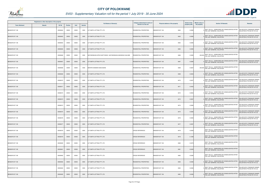

| Registered or other description of the property<br>Erf Nr<br><b>Town Allotment</b><br><b>Suburb</b> |  |          |                |       | <b>Full Names of Owner(s)</b> | Category determined in terms of                          | <b>Physical address of the property</b> | <b>Extent of the</b>          | <b>Market value of</b> | <b>Section 78 Remarks</b> | Remarks                                                                                |                                                                    |
|-----------------------------------------------------------------------------------------------------|--|----------|----------------|-------|-------------------------------|----------------------------------------------------------|-----------------------------------------|-------------------------------|------------------------|---------------------------|----------------------------------------------------------------------------------------|--------------------------------------------------------------------|
|                                                                                                     |  |          | <b>Portion</b> | Unit  | <b>Section</b>                |                                                          | Section 8 of the Act                    |                               | property (HA)          | the property              |                                                                                        |                                                                    |
| BENDOR EXT 108                                                                                      |  | 00008462 | 00000          | 00000 | 0000                          | G P SMITH LETTING PTY LTD                                | RESIDENTIAL PROPERTIES                  | BENDOR EXT 108<br>8462        | 0.0385                 |                           | SECT 78(1)(c) - SUBDIVIDED OR CONSOLIDATED AFTER<br>THE LAST GENERAL VALUATION         | <b>VALUED WITH TOWNSHIP OWNER</b><br>VALUATION (PTN 522 OF 915 LS) |
| BENDOR EXT 108                                                                                      |  | 00008463 | 00000          | 00000 | 0000                          | G P SMITH LETTING PTY LTD                                | <b>RESIDENTIAL PROPERTIES</b>           | <b>BENDOR EXT 108</b><br>8463 | 0.0385                 |                           | SECT 78(1)(c) - SUBDIVIDED OR CONSOLIDATED AFTER<br>THE LAST GENERAL VALUATION         | <b>VALUED WITH TOWNSHIP OWNER</b><br>VALUATION (PTN 522 OF 915 LS) |
| BENDOR EXT 108                                                                                      |  | 00008464 | 00000          | 00000 | 0000                          | G P SMITH LETTING PTY LTD                                | <b>RESIDENTIAL PROPERTIES</b>           | 8464<br>BENDOR EXT 108        | 0.0385                 |                           | SECT 78(1)(c) - SUBDIVIDED OR CONSOLIDATED AFTER<br>THE LAST GENERAL VALUATION         | <b>VALUED WITH TOWNSHIP OWNER</b><br>VALUATION (PTN 522 OF 915 LS) |
| BENDOR EXT 108                                                                                      |  | 00008465 | 00000          | 00000 | 0000                          | G P SMITH LETTING PTY LTD                                | RESIDENTIAL PROPERTIES                  | <b>BENDOR EXT 108</b><br>8465 | 0.0385                 |                           | SECT 78(1)(c) - SUBDIVIDED OR CONSOLIDATED AFTER<br>THE LAST GENERAL VALUATION         | <b>VALUED WITH TOWNSHIP OWNER</b><br>VALUATION (PTN 522 OF 915 LS) |
| BENDOR EXT 108                                                                                      |  | 00008466 | 00000          | 00000 | 0000                          | MATHEDIMUSA SIPHO MATTHEWS / MATHEDIMUSA MADISEGO SALOME | RESIDENTIAL PROPERTIES                  | 8466<br>BENDOR EXT 108        | 0.0385                 | 230,000                   | SECT 78(1)(c) - SUBDIVIDED OR CONSOLIDATED AFTER<br>THE LAST GENERAL VALUATION         |                                                                    |
| BENDOR EXT 108                                                                                      |  | 00008467 | 00000          | 00000 | 0000                          | G P SMITH LETTING PTY LTD                                | <b>RESIDENTIAL PROPERTIES</b>           | 8467<br>BENDOR EXT 108        | 0.0385                 |                           | SECT 78(1)(c) - SUBDIVIDED OR CONSOLIDATED AFTER<br>THE LAST GENERAL VALUATION         | VALUED WITH TOWNSHIP OWNER<br>/ALUATION (PTN 522 OF 915 LS)        |
| BENDOR EXT 108                                                                                      |  | 00008468 | 00000          | 00000 | 0000                          | BOPAPE NANIEKIE MACHUENE                                 | RESIDENTIAL PROPERTIES                  | BENDOR EXT 108<br>8468        | 0.0367                 |                           | SECT 78(1)(c) - SUBDIVIDED OR CONSOLIDATED AFTER<br>220,000 THE LAST GENERAL VALUATION |                                                                    |
| <b>BENDOR EXT 108</b>                                                                               |  | 00008469 | 00000          | 00000 | 0000                          | G P SMITH LETTING PTY LTD                                | RESIDENTIAL PROPERTIES                  | <b>BENDOR EXT 108</b><br>8469 | 0.0403                 |                           | SECT 78(1)(c) - SUBDIVIDED OR CONSOLIDATED AFTER<br>THE LAST GENERAL VALUATION         | VALUED WITH TOWNSHIP OWNER<br>VALUATION (PTN 522 OF 915 LS)        |
| BENDOR EXT 108                                                                                      |  | 00008470 | 00000          | 00000 | 0000                          | G P SMITH LETTING PTY LTD                                | RESIDENTIAL PROPERTIES                  | BENDOR EXT 108<br>8470        | 0.0437                 |                           | SECT 78(1)(c) - SUBDIVIDED OR CONSOLIDATED AFTER<br>THE LAST GENERAL VALUATION         | <b>VALUED WITH TOWNSHIP OWNER</b><br>VALUATION (PTN 522 OF 915 LS) |
| BENDOR EXT 108                                                                                      |  | 00008471 | 00000          | 00000 | 0000                          | G P SMITH LETTING PTY LTD                                | <b>RESIDENTIAL PROPERTIES</b>           | 8471<br>BENDOR EXT 108        | 0.0432                 |                           | SECT 78(1)(c) - SUBDIVIDED OR CONSOLIDATED AFTER<br>THE LAST GENERAL VALUATION         | VALUED WITH TOWNSHIP OWNER<br>VALUATION (PTN 522 OF 915 LS)        |
| BENDOR EXT 108                                                                                      |  | 00008472 | 00000          | 00000 | 0000                          | G P SMITH LETTING PTY LTD                                | RESIDENTIAL PROPERTIES                  | BENDOR EXT 108<br>8472        | 0.0503                 |                           | SECT 78(1)(c) - SUBDIVIDED OR CONSOLIDATED AFTER<br>THE LAST GENERAL VALUATION         | VALUED WITH TOWNSHIP OWNER<br>VALUATION (PTN 522 OF 915 LS)        |
| BENDOR EXT 108                                                                                      |  | 00008473 | 00000          | 00000 | 0000                          | G P SMITH LETTING PTY LTD                                | RESIDENTIAL PROPERTIES                  | BENDOR EXT 108<br>8473        | 0.0367                 |                           | SECT 78(1)(c) - SUBDIVIDED OR CONSOLIDATED AFTER<br>THE LAST GENERAL VALUATION         | <b>VALUED WITH TOWNSHIP OWNER</b><br>VALUATION (PTN 522 OF 915 LS) |
| BENDOR EXT 108                                                                                      |  | 00008474 | 00000          | 00000 | 0000                          | G P SMITH LETTING PTY LTD                                | RESIDENTIAL PROPERTIES                  | BENDOR EXT 108<br>8474        | 0.0385                 |                           | SECT 78(1)(c) - SUBDIVIDED OR CONSOLIDATED AFTER<br>THE LAST GENERAL VALUATION         | VALUED WITH TOWNSHIP OWNER<br>VALUATION (PTN 522 OF 915 LS)        |
| <b>BENDOR EXT 108</b>                                                                               |  | 00008475 | 00000          | 00000 | 0000                          | G P SMITH LETTING PTY LTD                                | RESIDENTIAL PROPERTIES                  | <b>BENDOR EXT 108</b><br>8475 | 0.0385                 |                           | SECT 78(1)(c) - SUBDIVIDED OR CONSOLIDATED AFTER<br>THE LAST GENERAL VALUATION         | <b>VALUED WITH TOWNSHIP OWNER</b><br>VALUATION (PTN 522 OF 915 LS) |
| BENDOR EXT 108                                                                                      |  | 00008476 | 00000          | 00000 | 0000                          | G P SMITH LETTING PTY LTD                                | <b>RESIDENTIAL PROPERTIES</b>           | BENDOR EXT 108<br>8476        | 0.0384                 |                           | SECT 78(1)(c) - SUBDIVIDED OR CONSOLIDATED AFTER<br>THE LAST GENERAL VALUATION         | VALUED WITH TOWNSHIP OWNER<br>VALUATION (PTN 522 OF 915 LS)        |
| BENDOR EXT 108                                                                                      |  | 00008477 | 00000          | 00000 | 0000                          | G P SMITH LETTING PTY LTD                                | <b>RESIDENTIAL PROPERTIES</b>           | BENDOR EXT 108<br>8477        | 0.0397                 |                           | SECT 78(1)(c) - SUBDIVIDED OR CONSOLIDATED AFTER<br>THE LAST GENERAL VALUATION         | VALUED WITH TOWNSHIP OWNER<br>VALUATION (PTN 522 OF 915 LS)        |
| BENDOR EXT 108                                                                                      |  | 00008478 | 00000          | 00000 | 0000                          | G P SMITH LETTING PTY LTD                                | <b>CROSS REFERENCE</b>                  | 8478<br>BENDOR EXT 108        | 0.0458                 |                           | SECT 78(1)(c) - SUBDIVIDED OR CONSOLIDATED AFTER<br>THE LAST GENERAL VALUATION         |                                                                    |
| BENDOR EXT 108                                                                                      |  | 00008479 | 00000          | 00000 | 0000                          | G P SMITH LETTING PTY LTD                                | <b>CROSS REFERENCE</b>                  | 8479<br>BENDOR EXT 108        | 0.1289                 |                           | SECT 78(1)(c) - SUBDIVIDED OR CONSOLIDATED AFTER<br>THE LAST GENERAL VALUATION         |                                                                    |
| BENDOR EXT 108                                                                                      |  | 00008480 | 00000          | 00000 | 0000                          | G P SMITH LETTING PTY LTD                                | <b>CROSS REFERENCE</b>                  | 8480<br><b>BENDOR EXT 108</b> | 0.0479                 |                           | SECT 78(1)(c) - SUBDIVIDED OR CONSOLIDATED AFTER<br>THE LAST GENERAL VALUATION         |                                                                    |
| <b>BENDOR EXT 108</b>                                                                               |  | 00008481 | 00000          | 00000 | 0000                          | G P SMITH LETTING PTY LTD                                | <b>CROSS REFERENCE</b>                  | 8481<br><b>BENDOR EXT 108</b> | 0.0400                 |                           | SECT 78(1)(c) - SUBDIVIDED OR CONSOLIDATED AFTER<br>THE LAST GENERAL VALUATION         |                                                                    |
| BENDOR EXT 108                                                                                      |  | 00008482 | 00000          | 00000 | 0000                          | G P SMITH LETTING PTY LTD                                | <b>CROSS REFERENCE</b>                  | 8482<br>BENDOR EXT 108        | 0.0385                 |                           | SECT 78(1)(c) - SUBDIVIDED OR CONSOLIDATED AFTER<br>THE LAST GENERAL VALUATION         |                                                                    |
| BENDOR EXT 108                                                                                      |  | 00008483 | 00000          | 00000 | 0000                          | G P SMITH LETTING PTY LTD                                | <b>RESIDENTIAL PROPERTIES</b>           | 8483<br><b>BENDOR EXT 108</b> | 0.0385                 |                           | SECT 78(1)(c) - SUBDIVIDED OR CONSOLIDATED AFTER<br>THE LAST GENERAL VALUATION         | VALUED WITH TOWNSHIP OWNER<br>VALUATION (PTN 522 OF 915 LS)        |
| BENDOR EXT 108                                                                                      |  | 00008484 | 00000          | 00000 | 0000                          | G P SMITH LETTING PTY LTD                                | RESIDENTIAL PROPERTIES                  | 8484<br>BENDOR EXT 108        | 0.0385                 |                           | SECT 78(1)(c) - SUBDIVIDED OR CONSOLIDATED AFTER<br>THE LAST GENERAL VALUATION         | VALUED WITH TOWNSHIP OWNER<br>VALUATION (PTN 522 OF 915 LS)        |
| BENDOR EXT 108                                                                                      |  | 00008485 | 00000          | 00000 | 0000                          | G P SMITH LETTING PTY LTD                                | <b>RESIDENTIAL PROPERTIES</b>           | BENDOR EXT 108<br>8485        | 0.0385                 |                           | SECT 78(1)(c) - SUBDIVIDED OR CONSOLIDATED AFTER<br>THE LAST GENERAL VALUATION         | VALUED WITH TOWNSHIP OWNER<br>VALUATION (PTN 522 OF 915 LS)        |

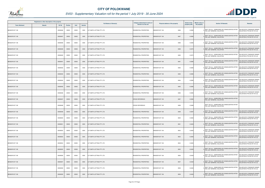

|               |               |                                                 |       |                |                           | Category determined in terms of                            |                               | <b>Extent of the</b>                    | <b>Market value of</b> |                                                                                | Remarks                                                                                                                                                                                                                                                                                                                                                                                                                                                                                                                                |
|---------------|---------------|-------------------------------------------------|-------|----------------|---------------------------|------------------------------------------------------------|-------------------------------|-----------------------------------------|------------------------|--------------------------------------------------------------------------------|----------------------------------------------------------------------------------------------------------------------------------------------------------------------------------------------------------------------------------------------------------------------------------------------------------------------------------------------------------------------------------------------------------------------------------------------------------------------------------------------------------------------------------------|
| <b>Suburb</b> | <b>Erf Nr</b> | <b>Portion</b>                                  | Unit  | <b>Section</b> |                           | <b>Section 8 of the Act</b>                                |                               | property (HA)                           | the property           |                                                                                |                                                                                                                                                                                                                                                                                                                                                                                                                                                                                                                                        |
|               | 00008486      | 00000                                           | 00000 | 0000           | G P SMITH LETTING PTY LTD | RESIDENTIAL PROPERTIES                                     | BENDOR EXT 108<br>8486        | 0.0385                                  |                        | SECT 78(1)(c) - SUBDIVIDED OR CONSOLIDATED AFTER                               | VALUED WITH TOWNSHIP OWNER<br>VALUATION (PTN 522 OF 915 LS)                                                                                                                                                                                                                                                                                                                                                                                                                                                                            |
|               | 00008487      | 00000                                           | 00000 | 0000           |                           | <b>RESIDENTIAL PROPERTIES</b>                              | 8487<br><b>BENDOR EXT 108</b> | 0.0385                                  |                        | SECT 78(1)(c) - SUBDIVIDED OR CONSOLIDATED AFTER<br>THE LAST GENERAL VALUATION | VALUED WITH TOWNSHIP OWNER<br>VALUATION (PTN 522 OF 915 LS)                                                                                                                                                                                                                                                                                                                                                                                                                                                                            |
|               | 00008488      | 00000                                           | 00000 | 0000           | G P SMITH LETTING PTY LTD | <b>RESIDENTIAL PROPERTIES</b>                              | 8488<br>BENDOR EXT 108        | 0.0385                                  |                        | SECT 78(1)(c) - SUBDIVIDED OR CONSOLIDATED AFTER                               | VALUED WITH TOWNSHIP OWNER<br>VALUATION (PTN 522 OF 915 LS)                                                                                                                                                                                                                                                                                                                                                                                                                                                                            |
|               | 00008489      | 00000                                           | 00000 | 0000           | G P SMITH LETTING PTY LTD | RESIDENTIAL PROPERTIES                                     | <b>BENDOR EXT 108</b><br>8489 | 0.0375                                  |                        | SECT 78(1)(c) - SUBDIVIDED OR CONSOLIDATED AFTER                               | VALUED WITH TOWNSHIP OWNER<br>VALUATION (PTN 522 OF 915 LS)                                                                                                                                                                                                                                                                                                                                                                                                                                                                            |
|               | 00008490      | 00000                                           | 00000 | 0000           | G P SMITH LETTING PTY LTD | RESIDENTIAL PROPERTIES                                     | BENDOR EXT 108<br>8490        | 0.0375                                  |                        | SECT 78(1)(c) - SUBDIVIDED OR CONSOLIDATED AFTER                               | VALUED WITH TOWNSHIP OWNER<br>VALUATION (PTN 522 OF 915 LS)                                                                                                                                                                                                                                                                                                                                                                                                                                                                            |
|               | 00008491      | 00000                                           | 00000 | 0000           | G P SMITH LETTING PTY LTD | <b>RESIDENTIAL PROPERTIES</b>                              | 8491<br>BENDOR EXT 108        | 0.0385                                  |                        | SECT 78(1)(c) - SUBDIVIDED OR CONSOLIDATED AFTER                               | VALUED WITH TOWNSHIP OWNER<br>VALUATION (PTN 522 OF 915 LS)                                                                                                                                                                                                                                                                                                                                                                                                                                                                            |
|               | 00008492      | 00000                                           | 00000 | 0000           | G P SMITH LETTING PTY LTD | RESIDENTIAL PROPERTIES                                     | BENDOR EXT 108<br>8492        | 0.0385                                  |                        | SECT 78(1)(c) - SUBDIVIDED OR CONSOLIDATED AFTER                               | VALUED WITH TOWNSHIP OWNER<br>VALUATION (PTN 522 OF 915 LS)                                                                                                                                                                                                                                                                                                                                                                                                                                                                            |
|               | 00008493      | 00000                                           | 00000 | 0000           | G P SMITH LETTING PTY LTD | RESIDENTIAL PROPERTIES                                     | <b>BENDOR EXT 108</b><br>8493 | 0.0385                                  |                        | SECT 78(1)(c) - SUBDIVIDED OR CONSOLIDATED AFTER                               | VALUED WITH TOWNSHIP OWNER<br>VALUATION (PTN 522 OF 915 LS)                                                                                                                                                                                                                                                                                                                                                                                                                                                                            |
|               | 00008494      | 00000                                           | 00000 | 0000           | G P SMITH LETTING PTY LTD | <b>RESIDENTIAL PROPERTIES</b>                              | BENDOR EXT 108<br>8494        | 0.0385                                  |                        | SECT 78(1)(c) - SUBDIVIDED OR CONSOLIDATED AFTER                               | VALUED WITH TOWNSHIP OWNER<br>VALUATION (PTN 522 OF 915 LS)                                                                                                                                                                                                                                                                                                                                                                                                                                                                            |
|               | 00008495      | 00000                                           | 00000 | 0000           | G P SMITH LETTING PTY LTD | <b>RESIDENTIAL PROPERTIES</b>                              | BENDOR EXT 108<br>8495        | 0.0385                                  |                        | SECT 78(1)(c) - SUBDIVIDED OR CONSOLIDATED AFTER                               | VALUED WITH TOWNSHIP OWNER<br>VALUATION (PTN 522 OF 915 LS)                                                                                                                                                                                                                                                                                                                                                                                                                                                                            |
|               | 00008496      | 00000                                           | 00000 | 0000           | G P SMITH LETTING PTY LTD | RESIDENTIAL PROPERTIES                                     | BENDOR EXT 108<br>8496        | 0.0385                                  |                        | SECT 78(1)(c) - SUBDIVIDED OR CONSOLIDATED AFTER                               | VALUED WITH TOWNSHIP OWNER<br>VALUATION (PTN 522 OF 915 LS)                                                                                                                                                                                                                                                                                                                                                                                                                                                                            |
|               | 00008497      | 00000                                           | 00000 | 0000           | G P SMITH LETTING PTY LTD | <b>CROSS REFERENCE</b>                                     | BENDOR EXT 108<br>8497        | 0.0385                                  |                        | SECT 78(1)(c) - SUBDIVIDED OR CONSOLIDATED AFTER<br>THE LAST GENERAL VALUATION |                                                                                                                                                                                                                                                                                                                                                                                                                                                                                                                                        |
|               | 00008498      | 00000                                           | 00000 | 0000           | G P SMITH LETTING PTY LTD | <b>CROSS REFERENCE</b>                                     | <b>BENDOR EXT 108</b><br>8498 | 0.0498                                  |                        | SECT 78(1)(c) - SUBDIVIDED OR CONSOLIDATED AFTER<br>THE LAST GENERAL VALUATION |                                                                                                                                                                                                                                                                                                                                                                                                                                                                                                                                        |
|               | 00008499      | 00000                                           | 00000 | 0000           | G P SMITH LETTING PTY LTD | RESIDENTIAL PROPERTIES                                     | 8499<br>BENDOR EXT 108        | 0.0397                                  |                        | SECT 78(1)(c) - SUBDIVIDED OR CONSOLIDATED AFTER                               | VALUED WITH TOWNSHIP OWNER<br>VALUATION (PTN 522 OF 915 LS)                                                                                                                                                                                                                                                                                                                                                                                                                                                                            |
|               | 00008500      | 00000                                           | 00000 | 0000           | G P SMITH LETTING PTY LTD | <b>RESIDENTIAL PROPERTIES</b>                              | BENDOR EXT 108<br>8500        | 0.0384                                  |                        | SECT 78(1)(c) - SUBDIVIDED OR CONSOLIDATED AFTER                               | VALUED WITH TOWNSHIP OWNER<br>VALUATION (PTN 522 OF 915 LS)                                                                                                                                                                                                                                                                                                                                                                                                                                                                            |
|               | 00008501      | 00000                                           | 00000 | 0000           | G P SMITH LETTING PTY LTD | <b>RESIDENTIAL PROPERTIES</b>                              | BENDOR EXT 108<br>8501        | 0.0429                                  |                        | SECT 78(1)(c) - SUBDIVIDED OR CONSOLIDATED AFTER                               | VALUED WITH TOWNSHIP OWNER<br>VALUATION (PTN 522 OF 915 LS)                                                                                                                                                                                                                                                                                                                                                                                                                                                                            |
|               | 00008502      | 00000                                           | 00000 | 0000           | G P SMITH LETTING PTY LTD | RESIDENTIAL PROPERTIES                                     | BENDOR EXT 108<br>8502        | 0.0400                                  |                        | SECT 78(1)(c) - SUBDIVIDED OR CONSOLIDATED AFTER<br>THE LAST GENERAL VALUATION | VALUED WITH TOWNSHIP OWNER<br>VALUATION (PTN 522 OF 915 LS)                                                                                                                                                                                                                                                                                                                                                                                                                                                                            |
|               | 00008503      | 00000                                           | 00000 | 0000           | G P SMITH LETTING PTY LTD | RESIDENTIAL PROPERTIES                                     | 8503<br>BENDOR EXT 108        | 0.0400                                  |                        | SECT 78(1)(c) - SUBDIVIDED OR CONSOLIDATED AFTER                               | VALUED WITH TOWNSHIP OWNER<br>VALUATION (PTN 522 OF 915 LS)                                                                                                                                                                                                                                                                                                                                                                                                                                                                            |
|               | 00008504      | 00000                                           | 00000 | 0000           | G P SMITH LETTING PTY LTD | RESIDENTIAL PROPERTIES                                     | BENDOR EXT 108<br>8504        | 0.0400                                  |                        | SECT 78(1)(c) - SUBDIVIDED OR CONSOLIDATED AFTER<br>THE LAST GENERAL VALUATION | VALUED WITH TOWNSHIP OWNER<br>VALUATION (PTN 522 OF 915 LS)                                                                                                                                                                                                                                                                                                                                                                                                                                                                            |
|               | 00008505      | 00000                                           | 00000 | 0000           | G P SMITH LETTING PTY LTD | <b>RESIDENTIAL PROPERTIES</b>                              | <b>BENDOR EXT 108</b><br>8505 | 0.0400                                  |                        | SECT 78(1)(c) - SUBDIVIDED OR CONSOLIDATED AFTER                               | VALUED WITH TOWNSHIP OWNER<br>VALUATION (PTN 522 OF 915 LS)                                                                                                                                                                                                                                                                                                                                                                                                                                                                            |
|               | 00008506      | 00000                                           | 00000 | 0000           | G P SMITH LETTING PTY LTD | RESIDENTIAL PROPERTIES                                     | BENDOR EXT 108<br>8506        | 0.0429                                  |                        | SECT 78(1)(c) - SUBDIVIDED OR CONSOLIDATED AFTER<br>THE LAST GENERAL VALUATION | VALUED WITH TOWNSHIP OWNER<br>VALUATION (PTN 522 OF 915 LS)                                                                                                                                                                                                                                                                                                                                                                                                                                                                            |
|               | 00008507      | 00000                                           | 00000 | 0000           | G P SMITH LETTING PTY LTD | RESIDENTIAL PROPERTIES                                     | 8507<br>BENDOR EXT 108        | 0.0429                                  |                        | SECT 78(1)(c) - SUBDIVIDED OR CONSOLIDATED AFTER<br>THE LAST GENERAL VALUATION | VALUED WITH TOWNSHIP OWNER<br>VALUATION (PTN 522 OF 915 LS)                                                                                                                                                                                                                                                                                                                                                                                                                                                                            |
|               | 00008508      | 00000                                           | 00000 | 0000           | G P SMITH LETTING PTY LTD | RESIDENTIAL PROPERTIES                                     | BENDOR EXT 108<br>8508        | 0.0400                                  |                        | SECT 78(1)(c) - SUBDIVIDED OR CONSOLIDATED AFTER                               | VALUED WITH TOWNSHIP OWNER<br>VALUATION (PTN 522 OF 915 LS)                                                                                                                                                                                                                                                                                                                                                                                                                                                                            |
|               | 00008509      | 00000                                           | 00000 | 0000           | G P SMITH LETTING PTY LTD | <b>RESIDENTIAL PROPERTIES</b>                              | <b>BENDOR EXT 108</b><br>8509 | 0.0400                                  |                        | SECT 78(1)(c) - SUBDIVIDED OR CONSOLIDATED AFTER<br>THE LAST GENERAL VALUATION | VALUED WITH TOWNSHIP OWNER<br>VALUATION (PTN 522 OF 915 LS)                                                                                                                                                                                                                                                                                                                                                                                                                                                                            |
|               |               | Registered or other description of the property |       |                |                           | <b>Full Names of Owner(s)</b><br>G P SMITH LETTING PTY LTD |                               | <b>Physical address of the property</b> |                        |                                                                                | <b>Section 78 Remarks</b><br>THE LAST GENERAL VALUATION<br>THE LAST GENERAL VALUATION<br>THE LAST GENERAL VALUATION<br>THE LAST GENERAL VALUATION<br>THE LAST GENERAL VALUATION<br>THE LAST GENERAL VALUATION<br>THE LAST GENERAL VALUATION<br><sup>0</sup> THE LAST GENERAL VALUATION<br>THE LAST GENERAL VALUATION<br>THE LAST GENERAL VALUATION<br>THE LAST GENERAL VALUATION<br>THE LAST GENERAL VALUATION<br>THE LAST GENERAL VALUATION<br>THE LAST GENERAL VALUATION<br>THE LAST GENERAL VALUATION<br>THE LAST GENERAL VALUATION |

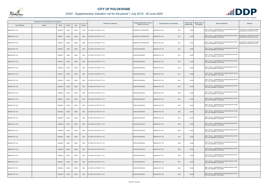

|                       | Registered or other description of the property |          |                |       |                |                               | Category determined in terms of |                                  | <b>Extent of the</b> | <b>Market value of</b> | <b>Section 78 Remarks</b>                                                      | Remarks                                                     |
|-----------------------|-------------------------------------------------|----------|----------------|-------|----------------|-------------------------------|---------------------------------|----------------------------------|----------------------|------------------------|--------------------------------------------------------------------------------|-------------------------------------------------------------|
| <b>Town Allotment</b> | <b>Suburb</b>                                   | Erf Nr   | <b>Portion</b> | Unit  | <b>Section</b> | <b>Full Names of Owner(s)</b> | Section 8 of the Act            | Physical address of the property | property (HA)        | the property           |                                                                                |                                                             |
| BENDOR EXT 108        |                                                 | 00008510 | 00000          | 00000 | 0000           | G P SMITH LETTING PTY LTD     | RESIDENTIAL PROPERTIES          | BENDOR EXT 108<br>8510           | 0.0400               |                        | SECT 78(1)(c) - SUBDIVIDED OR CONSOLIDATED AFTER<br>THE LAST GENERAL VALUATION | VALUED WITH TOWNSHIP OWNER<br>VALUATION (PTN 522 OF 915 LS) |
| BENDOR EXT 108        |                                                 | 00008511 | 00000          | 00000 | 0000           | G P SMITH LETTING PTY LTD     | RESIDENTIAL PROPERTIES          | BENDOR EXT 108<br>8511           | 0.0400               |                        | SECT 78(1)(c) - SUBDIVIDED OR CONSOLIDATED AFTER<br>THE LAST GENERAL VALUATION | VALUED WITH TOWNSHIP OWNER<br>VALUATION (PTN 522 OF 915 LS) |
| BENDOR EXT 108        |                                                 | 00008512 | 00000          | 00000 | 0000           | G P SMITH LETTING PTY LTD     | RESIDENTIAL PROPERTIES          | BENDOR EXT 108<br>8512           | 0.0429               |                        | SECT 78(1)(c) - SUBDIVIDED OR CONSOLIDATED AFTER<br>THE LAST GENERAL VALUATION | VALUED WITH TOWNSHIP OWNER<br>VALUATION (PTN 522 OF 915 LS) |
| BENDOR EXT 108        |                                                 | 00008513 | 00000          | 00000 | 0000           | G P SMITH LETTING PTY LTD     | <b>CROSS REFERENCE</b>          | 8513<br><b>BENDOR EXT 108</b>    | 0.0396               |                        | SECT 78(1)(c) - SUBDIVIDED OR CONSOLIDATED AFTER<br>THE LAST GENERAL VALUATION |                                                             |
| BENDOR EXT 108        |                                                 | 00008514 | 00000          | 00000 | 0000           | G P SMITH LETTING PTY LTD     | <b>CROSS REFERENCE</b>          | BENDOR EXT 108<br>8514           | 0.0395               |                        | SECT 78(1)(c) - SUBDIVIDED OR CONSOLIDATED AFTER<br>THE LAST GENERAL VALUATION |                                                             |
| BENDOR EXT 108        |                                                 | 00008515 | 00000          | 00000 | 0000           | G P SMITH LETTING PTY LTD     | <b>CROSS REFERENCE</b>          | BENDOR EXT 108<br>8515           | 0.0395               |                        | SECT 78(1)(c) - SUBDIVIDED OR CONSOLIDATED AFTER<br>THE LAST GENERAL VALUATION |                                                             |
| BENDOR EXT 108        |                                                 | 00008516 | 00000          | 00000 | 0000           | G P SMITH LETTING PTY LTD     | <b>CROSS REFERENCE</b>          | <b>BENDOR EXT 108</b><br>8516    | 0.0395               |                        | SECT 78(1)(c) - SUBDIVIDED OR CONSOLIDATED AFTER<br>THE LAST GENERAL VALUATION |                                                             |
| BENDOR EXT 108        |                                                 | 00008517 | 00000          | 00000 | 0000           | G P SMITH LETTING PTY LTD     | <b>CROSS REFERENCE</b>          | 8517<br>BENDOR EXT 108           | 0.0395               |                        | SECT 78(1)(c) - SUBDIVIDED OR CONSOLIDATED AFTER<br>THE LAST GENERAL VALUATION |                                                             |
| BENDOR EXT 108        |                                                 | 00008518 | 00000          | 00000 | 0000           | G P SMITH LETTING PTY LTD     | <b>CROSS REFERENCE</b>          | BENDOR EXT 108<br>8518           | 0.0395               |                        | SECT 78(1)(c) - SUBDIVIDED OR CONSOLIDATED AFTER<br>THE LAST GENERAL VALUATION |                                                             |
| BENDOR EXT 108        |                                                 | 00008519 | 00000          | 00000 | 0000           | G P SMITH LETTING PTY LTD     | <b>CROSS REFERENCE</b>          | <b>BENDOR EXT 108</b><br>8519    | 0.0395               |                        | SECT 78(1)(c) - SUBDIVIDED OR CONSOLIDATED AFTER<br>THE LAST GENERAL VALUATION |                                                             |
| BENDOR EXT 108        |                                                 | 00008520 | 00000          | 00000 | 0000           | G P SMITH LETTING PTY LTD     | <b>CROSS REFERENCE</b>          | 8520<br>BENDOR EXT 108           | 0.0395               |                        | SECT 78(1)(c) - SUBDIVIDED OR CONSOLIDATED AFTER<br>THE LAST GENERAL VALUATION |                                                             |
| BENDOR EXT 108        |                                                 | 00008521 | 00000          | 00000 | 0000           | G P SMITH LETTING PTY LTD     | <b>CROSS REFERENCE</b>          | 8521<br>BENDOR EXT 108           | 0.0395               |                        | SECT 78(1)(c) - SUBDIVIDED OR CONSOLIDATED AFTER<br>THE LAST GENERAL VALUATION |                                                             |
| BENDOR EXT 108        |                                                 | 00008522 | 00000          | 00000 | 0000           | G P SMITH LETTING PTY LTD     | <b>CROSS REFERENCE</b>          | <b>BENDOR EXT 108</b><br>8522    | 0.0395               |                        | SECT 78(1)(c) - SUBDIVIDED OR CONSOLIDATED AFTER<br>THE LAST GENERAL VALUATION |                                                             |
| BENDOR EXT 108        |                                                 | 00008523 | 00000          | 00000 | 0000           | G P SMITH LETTING PTY LTD     | <b>CROSS REFERENCE</b>          | BENDOR EXT 108<br>8523           | 0.0395               |                        | SECT 78(1)(c) - SUBDIVIDED OR CONSOLIDATED AFTER<br>THE LAST GENERAL VALUATION |                                                             |
| BENDOR EXT 108        |                                                 | 00008524 | 00000          | 00000 | 0000           | G P SMITH LETTING PTY LTD     | <b>CROSS REFERENCE</b>          | BENDOR EXT 108<br>8524           | 0.0395               |                        | SECT 78(1)(c) - SUBDIVIDED OR CONSOLIDATED AFTER<br>THE LAST GENERAL VALUATION |                                                             |
| BENDOR EXT 108        |                                                 | 00008525 | 00000          | 00000 | 0000           | G P SMITH LETTING PTY LTD     | <b>CROSS REFERENCE</b>          | BENDOR EXT 108<br>8525           | 0.0395               |                        | SECT 78(1)(c) - SUBDIVIDED OR CONSOLIDATED AFTER<br>THE LAST GENERAL VALUATION |                                                             |
| BENDOR EXT 108        |                                                 | 00008526 | 00000          | 00000 | 0000           | G P SMITH LETTING PTY LTD     | <b>CROSS REFERENCE</b>          | BENDOR EXT 108<br>8526           | 0.0395               |                        | SECT 78(1)(c) - SUBDIVIDED OR CONSOLIDATED AFTER<br>THE LAST GENERAL VALUATION |                                                             |
| BENDOR EXT 108        |                                                 | 00008527 | 00000          | 00000 | 0000           | G P SMITH LETTING PTY LTD     | <b>CROSS REFERENCE</b>          | BENDOR EXT 108<br>8527           | 0.0395               |                        | SECT 78(1)(c) - SUBDIVIDED OR CONSOLIDATED AFTER<br>THE LAST GENERAL VALUATION |                                                             |
| BENDOR EXT 108        |                                                 | 00008528 | 00000          | 00000 | 0000           | G P SMITH LETTING PTY LTD     | <b>CROSS REFERENCE</b>          | 8528<br>BENDOR EXT 108           | 0.0395               |                        | SECT 78(1)(c) - SUBDIVIDED OR CONSOLIDATED AFTER<br>THE LAST GENERAL VALUATION |                                                             |
| BENDOR EXT 108        |                                                 | 00008529 | 00000          | 00000 | 0000           | G P SMITH LETTING PTY LTD     | <b>CROSS REFERENCE</b>          | BENDOR EXT 108<br>8529           | 0.0395               |                        | SECT 78(1)(c) - SUBDIVIDED OR CONSOLIDATED AFTER<br>THE LAST GENERAL VALUATION |                                                             |
| BENDOR EXT 108        |                                                 | 00008530 | 00000          | 00000 | 0000           | G P SMITH LETTING PTY LTD     | <b>CROSS REFERENCE</b>          | 8530<br>BENDOR EXT 108           | 0.0395               |                        | SECT 78(1)(c) - SUBDIVIDED OR CONSOLIDATED AFTER<br>THE LAST GENERAL VALUATION |                                                             |
| BENDOR EXT 108        |                                                 | 00008531 | 00000          | 00000 | 0000           | G P SMITH LETTING PTY LTD     | <b>CROSS REFERENCE</b>          | 8531<br>BENDOR EXT 108           | 0.0395               |                        | SECT 78(1)(c) - SUBDIVIDED OR CONSOLIDATED AFTER<br>THE LAST GENERAL VALUATION |                                                             |
| BENDOR EXT 108        |                                                 | 00008532 | 00000          | 00000 | 0000           | G P SMITH LETTING PTY LTD     | CROSS REFERENCE                 | BENDOR EXT 108<br>8532           | 0.0395               |                        | SECT 78(1)(c) - SUBDIVIDED OR CONSOLIDATED AFTER<br>THE LAST GENERAL VALUATION |                                                             |
| BENDOR EXT 108        |                                                 | 00008533 | 00000          | 00000 | 0000           | G P SMITH LETTING PTY LTD     | <b>CROSS REFERENCE</b>          | BENDOR EXT 108<br>8533           | 0.0395               |                        | SECT 78(1)(c) - SUBDIVIDED OR CONSOLIDATED AFTER<br>THE LAST GENERAL VALUATION |                                                             |

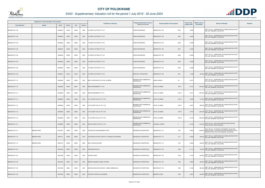

|                       | Registered or other description of the property |               |                |       |                | <b>Full Names of Owner(s)</b>                 | Category determined in terms of              | Physical address of the property        | <b>Extent of the</b> | <b>Market value of</b> | <b>Section 78 Remarks</b>                                                                                                                          | <b>Remarks</b> |
|-----------------------|-------------------------------------------------|---------------|----------------|-------|----------------|-----------------------------------------------|----------------------------------------------|-----------------------------------------|----------------------|------------------------|----------------------------------------------------------------------------------------------------------------------------------------------------|----------------|
| <b>Town Allotment</b> | <b>Suburb</b>                                   | <b>Erf Nr</b> | <b>Portion</b> | Unit  | <b>Section</b> |                                               | Section 8 of the Act                         |                                         | property (HA)        | the property           |                                                                                                                                                    |                |
| BENDOR EXT 108        |                                                 | 00008534      | 00000          | 00000 | 0000           | G P SMITH LETTING PTY LTD                     | <b>CROSS REFERENCE</b>                       | BENDOR EXT 108<br>8534                  | 0.0395               |                        | SECT 78(1)(c) - SUBDIVIDED OR CONSOLIDATED AFTER<br>THE LAST GENERAL VALUATION                                                                     |                |
| BENDOR EXT 108        |                                                 | 00008535      | 00000          | 00000 | 0000           | G P SMITH LETTING PTY LTD                     | <b>CROSS REFERENCE</b>                       | BENDOR EXT 108<br>8535                  | 0.0395               |                        | SECT 78(1)(c) - SUBDIVIDED OR CONSOLIDATED AFTER<br>THE LAST GENERAL VALUATION                                                                     |                |
| BENDOR EXT 108        |                                                 | 00008536      | 00000          | 00000 | 0000           | G P SMITH LETTING PTY LTD                     | <b>CROSS REFERENCE</b>                       | 8536<br>BENDOR EXT 108                  | 0.0395               |                        | SECT 78(1)(c) - SUBDIVIDED OR CONSOLIDATED AFTER<br>THE LAST GENERAL VALUATION                                                                     |                |
| BENDOR EXT 108        |                                                 | 00008537      | 00000          | 00000 | 0000           | G P SMITH LETTING PTY LTD                     | <b>CROSS REFERENCE</b>                       | 8537<br><b>BENDOR EXT 108</b>           | 0.0395               |                        | SECT 78(1)(c) - SUBDIVIDED OR CONSOLIDATED AFTER<br>THE LAST GENERAL VALUATION                                                                     |                |
| BENDOR EXT 108        |                                                 | 00008538      | 00000          | 00000 | 0000           | G P SMITH LETTING PTY LTD                     | <b>CROSS REFERENCE</b>                       | BENDOR EXT 108<br>8538                  | 0.0395               |                        | SECT 78(1)(c) - SUBDIVIDED OR CONSOLIDATED AFTER<br>THE LAST GENERAL VALUATION                                                                     |                |
| BENDOR EXT 108        |                                                 | 00008539      | 00000          | 00000 | 0000           | G P SMITH LETTING PTY LTD                     | <b>CROSS REFERENCE</b>                       | <b>BENDOR EXT 108</b><br>8539           | 0.0395               |                        | SECT 78(1)(c) - SUBDIVIDED OR CONSOLIDATED AFTER<br>THE LAST GENERAL VALUATION                                                                     |                |
| BENDOR EXT 108        |                                                 | 00008540      | 00000          | 00000 | 0000           | G P SMITH LETTING PTY LTD                     | <b>CROSS REFERENCE</b>                       | 8540<br>BENDOR EXT 108                  | 0.0396               |                        | SECT 78(1)(c) - SUBDIVIDED OR CONSOLIDATED AFTER<br>THE LAST GENERAL VALUATION                                                                     |                |
| BENDOR EXT 108        |                                                 | 00008541      | 00000          | 00000 | 0000           | G P SMITH LETTING PTY LTD                     | MUNICIPAL PROPERTIES                         | 8541<br><b>BENDOR EXT 108</b>           | 1.1069               |                        | SECT 78(1)(c) - SUBDIVIDED OR CONSOLIDATED AFTER<br>330,000 THE LAST GENERAL VALUATION                                                             |                |
| BENDOR EXT 110        |                                                 | 00006883      | 00000          | 00000 | 0000           | BODY CORPORATE OF SS NO. 26 ISMINI            | BUSINESS AND COMMERCIAL<br>PROPERTIES        | SMINI AVENUE<br>26                      | 0.0751               |                        | SECT 78(1)(c) - SUBDIVIDED OR CONSOLIDATED AFTER<br>THE LAST GENERAL VALUATION                                                                     |                |
| BENDOR EXT 110        |                                                 | 00006883      | 00000          | 00001 | 0000           | MARE EIENDOMME PTY LTD                        | BUSINESS AND COMMERCIAL<br><b>PROPERTIES</b> | UNIT <sub>1</sub><br>S NO. 26 ISMINI    | 0.0121               |                        | 1,500,000 SECT 78(1)(c) - SUBDIVIDED OR CONSOLIDATED AFTER<br>THE LAST GENERAL VALUATION                                                           |                |
| BENDOR EXT 110        |                                                 | 00006883      | 00000          | 00002 | 0000           | MARE EIENDOMME PTY LTD                        | BUSINESS AND COMMERCIAL<br><b>PROPERTIES</b> | SS NO. 26 ISMINI<br>UNIT <sub>2</sub>   | 0.0121               |                        | 1,500,000 SECT 78(1)(c) - SUBDIVIDED OR CONSOLIDATED AFTER<br>THE LAST GENERAL VALUATION                                                           |                |
| BENDOR EXT 110        |                                                 | 00006883      | 00000          | 00003 | 0000           | LITTLE SWIFT INV 241 PTY LTD                  | BUSINESS AND COMMERCIAL<br><b>PROPERTIES</b> | S NO. 26 ISMINI<br>UNIT <sub>3</sub>    | 0.0056               |                        | 710,000 SECT 78(1)(c) - SUBDIVIDED OR CONSOLIDATED AFTER<br>THE LAST GENERAL VALUATION                                                             |                |
| BENDOR EXT 110        |                                                 | 00006883      | 00000          | 00004 | 0000           | LITTLE SWIFT INV 241 PTY LTD                  | BUSINESS AND COMMERCIAL<br><b>PROPERTIES</b> | SS NO. 26 ISMINI<br>UNIT 4              | 0.0070               |                        | 880,000 SECT 78(1)(c) - SUBDIVIDED OR CONSOLIDATED AFTER<br>THE LAST GENERAL VALUATION                                                             |                |
| BENDOR EXT 110        |                                                 | 00006883      | 00000          | 00005 | 0000           | LITTLE SWIFT INV 241 PTY LTD                  | BUSINESS AND COMMERCIAL<br><b>PROPERTIES</b> | SS NO. 26 ISMINI<br>UNIT <sub>5</sub>   | 0.0104               | 1,300,000              | SECT 78(1)(c) - SUBDIVIDED OR CONSOLIDATED AFTER<br>THE LAST GENERAL VALUATION                                                                     |                |
| BENDOR EXT 110        |                                                 | 00006883      | 00000          | 00006 | 0000           | LITTLE SWIFT INV 241 PTY LTD                  | BUSINESS AND COMMERCIAL<br><b>PROPERTIES</b> | SS NO. 26 ISMINI<br>UNIT <sub>6</sub>   | 0.0103               |                        | 1,300,000 SECT 78(1)(c) - SUBDIVIDED OR CONSOLIDATED AFTER<br>THE LAST GENERAL VALUATION                                                           |                |
| BENDOR EXT 110        |                                                 | 00006889      | 00000          | 00000 | 0000           | SHOCK PROOF INV 98 PTY LTD                    | BUSINESS AND COMMERCIAL<br><b>PROPERTIES</b> | <b>IMASSOL STREET</b><br>$\overline{4}$ | 0.0746               |                        | SECT 78(1)(f) - THAT MUST BE REVALUED FOR ANY<br>1,100,000 OTHER EXCEPTIONAL REASON                                                                |                |
| BENDOR EXT 114        | <b>BENDOR PARK</b>                              | 00007361      | 00000          | 00000 | 0000           | UITSPAN RYLAAN EIENDOMS TRUST                 | RESIDENTIAL PROPERTIES                       | BENDOR EXT 114<br>7361                  | 0.0655               |                        | SECT 78(1)(d) - OF WHICH THE MARKET VALUE HAS<br>1,500,000 SUBSTANTIALLY INCREASED OR DECREASED FOR ANY<br>REASON AFTER THE LAST GENERAL VALUATION |                |
| BENDOR EXT 114        | <b>BENDOR PARK</b>                              | 00007411      | 00000          | 00000 | 0000           | CHIGOVERAH PETER VURAYAYI / NGWENYA SITANDIWE | <b>RESIDENTIAL PROPERTIES</b>                | 7411<br>BENDOR EXT 114                  | 0.0658               |                        | SECT 78(1)(c) - SUBDIVIDED OR CONSOLIDATED AFTER<br>390,000 THE LAST GENERAL VALUATION                                                             |                |
| BENDOR EXT 114        | <b>BENDOR PARK</b>                              | 00007412      | 00000          | 00000 | 0000           | MATLI LEDISA WILFRED                          | RESIDENTIAL PROPERTIES                       | 7412<br>BENDOR EXT 114                  | 0.0645               |                        | 390,000 SECT 78(1)(c) - SUBDIVIDED OR CONSOLIDATED AFTER<br>THE LAST GENERAL VALUATION                                                             |                |
| BENDOR EXT 120        |                                                 | 00007456      | 00000          | 00000 | 0000           | POGRUND SHELLEY                               | RESIDENTIAL PROPERTIES                       | BENDOR EXT 120<br>7456                  | 0.1119               | 730,000                | SECT 78(1)(c) - SUBDIVIDED OR CONSOLIDATED AFTER<br>THE LAST GENERAL VALUATION                                                                     |                |
| BENDOR EXT 120        |                                                 | 00007459      | 00000          | 00000 | 0000           | <b>VENTER LEANA</b>                           | RESIDENTIAL PROPERTIES                       | 7459<br>BENDOR EXT 120                  | 0.1297               |                        | SECT 78(1)(c) - SUBDIVIDED OR CONSOLIDATED AFTER<br>840,000 THE LAST GENERAL VALUATION                                                             |                |
| BENDOR EXT 120        |                                                 | 00007463      | 00000          | 00000 | 0000           | MERWE SUSANNA JOSINA VAN DER                  | RESIDENTIAL PROPERTIES                       | 7463<br>BENDOR EXT 120                  | 0.0859               |                        | 560,000 SECT 78(1)(c) - SUBDIVIDED OR CONSOLIDATED AFTER<br>THE LAST GENERAL VALUATION                                                             |                |
| BENDOR EXT 120        |                                                 | 00007480      | 00000          | 00000 | 0000           | SEHOANA MAHLARE GERALD / GOBILE NOMBULELO     | RESIDENTIAL PROPERTIES                       | BENDOR EXT 120<br>7480                  | 0.1046               |                        | SECT 78(1)(c) - SUBDIVIDED OR CONSOLIDATED AFTER<br>680,000 THE LAST GENERAL VALUATION                                                             |                |
| BENDOR EXT 120        |                                                 | 00007482      | 00000          | 00000 | 0000           | VORSTER CASPER JAN HENDRIK                    | <b>RESIDENTIAL PROPERTIES</b>                | <b>BENDOR CLOSE</b><br>7482             | 0.0875               |                        | SECT 78(1)(c) - SUBDIVIDED OR CONSOLIDATED AFTER<br>600,000 THE LAST GENERAL VALUATION                                                             |                |

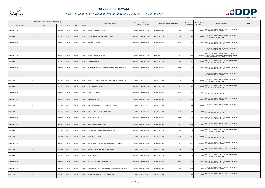

|                       | Registered or other description of the property |               |                |       |                | <b>Full Names of Owner(s)</b>                         | Category determined in terms of | Physical address of the property | <b>Extent of the</b> | <b>Market value of</b><br><b>Section 78 Remarks</b>                                                                                                | <b>Remarks</b> |
|-----------------------|-------------------------------------------------|---------------|----------------|-------|----------------|-------------------------------------------------------|---------------------------------|----------------------------------|----------------------|----------------------------------------------------------------------------------------------------------------------------------------------------|----------------|
| <b>Town Allotment</b> | <b>Suburb</b>                                   | <b>Erf Nr</b> | <b>Portion</b> | Unit  | <b>Section</b> |                                                       | Section 8 of the Act            |                                  | property (HA)        | the property                                                                                                                                       |                |
| BENDOR EXT 120        |                                                 | 00007512      | 00000          | 00000 | 0000           | . H VAN SCHALKWYK PTY LTD                             | <b>RESIDENTIAL PROPERTIES</b>   | BENDOR EXT 120<br>7512           | 0.0648               | 420,000 SECT 78(1)(c) - SUBDIVIDED OR CONSOLIDATED AFTER<br>THE LAST GENERAL VALUATION                                                             |                |
| BENDOR EXT 120        |                                                 | 00007542      | 00000          | 00000 | 0000           | OLIVIER RHINUS / OLIVIER LIZETTE SELMA                | RESIDENTIAL PROPERTIES          | BENDOR EXT 120<br>7542           | 0.0609               | SECT 78(1)(c) - SUBDIVIDED OR CONSOLIDATED AFTER<br>THE LAST GENERAL VALUATION<br>500,000                                                          |                |
| BENDOR EXT 120        |                                                 | 00007544      | 00000          | 00000 | 0000           | <b>BIERMAN FAMILY TRUST</b>                           | <b>RESIDENTIAL PROPERTIES</b>   | <b>BENDOR EXT 120</b><br>7544    | 0.0895               | SECT 78(1)(c) - SUBDIVIDED OR CONSOLIDATED AFTER<br>580,000 THE LAST GENERAL VALUATION                                                             |                |
| BENDOR EXT 120        |                                                 | 00007546      | 00000          | 00000 | 0000           | <b>KNOETZE EUNICE</b>                                 | <b>RESIDENTIAL PROPERTIES</b>   | <b>BENDOR CLOSE</b><br>7546      | 0.0617               | SECT 78(1)(c) - SUBDIVIDED OR CONSOLIDATED AFTER<br>400,000 THE LAST GENERAL VALUATION                                                             |                |
| BENDOR EXT 120        |                                                 | 00007557      | 00000          | 00000 | 0000           | MMOLA NTEBALENG ALETTAH                               | RESIDENTIAL PROPERTIES          | ALOE ROAD<br>7557                | 0.0598               | SECT 78(1)(d) - OF WHICH THE MARKET VALUE HAS<br>2,500,000 SUBSTANTIALLY INCREASED OR DECREASED FOR ANY<br>REASON AFTER THE LAST GENERAL VALUATION |                |
| BENDOR EXT 120        |                                                 | 00007592      | 00000          | 00000 | 0000           | KAMPHERBEEK JAN                                       | RESIDENTIAL PROPERTIES          | 7592<br>BENDOR EXT 120           | 0.0978               | SECT 78(1)(c) - SUBDIVIDED OR CONSOLIDATED AFTER<br>640,000 THE LAST GENERAL VALUATION                                                             |                |
| BENDOR EXT 120        |                                                 | 00007617      | 00000          | 00000 | 0000           | KGANTSHI MARKETING ADVERTISING & PROMOTION AGENCY CC  | RESIDENTIAL PROPERTIES          | BENDOR EXT 120<br>7617           | 0.0885               | SECT 78(1)(c) - SUBDIVIDED OR CONSOLIDATED AFTER<br>580,000 THE LAST GENERAL VALUATION                                                             |                |
| BENDOR EXT 120        |                                                 | 00007630      | 00000          | 00000 | 0000           | MOGALA KWENA TRADING ENTERPRISE CC                    | <b>RESIDENTIAL PROPERTIES</b>   | <b>BENDOR EXT 120</b><br>7630    | 0.1202               | SECT 78(1)(c) - SUBDIVIDED OR CONSOLIDATED AFTER<br>780,000<br>THE LAST GENERAL VALUATION                                                          |                |
| BENDOR EXT 120        |                                                 | 00007635      | 00000          | 00000 | 0000           | KGAPHOLA KGAGUDI PHILLEMON / KGAPHOLA PERTUNIA MEETA  | RESIDENTIAL PROPERTIES          | BENDOR EXT 120<br>7635           | 0.1195               | SECT 78(1)(c) - SUBDIVIDED OR CONSOLIDATED AFTER<br>780,000 THE LAST GENERAL VALUATION                                                             |                |
| BENDOR EXT 120        |                                                 | 00007637      | 00000          | 00000 | 0000           | <b>KOLO BUSINESS TRUST</b>                            | RESIDENTIAL PROPERTIES          | <b>BENDOR EXT 120</b><br>7637    | 0.1079               | 800,000 SECT 78(1)(c) - SUBDIVIDED OR CONSOLIDATED AFTER<br>THE LAST GENERAL VALUATION                                                             |                |
| BENDOR EXT 120        |                                                 | 00007642      | 00000          | 00000 | 0000           | M & M FAMILY TRUST                                    | RESIDENTIAL PROPERTIES          | 7642<br>BENDOR EXT 120           | 0.1293               | SECT 78(1)(c) - SUBDIVIDED OR CONSOLIDATED AFTER<br>840,000<br>THE LAST GENERAL VALUATION                                                          |                |
| BENDOR EXT 120        |                                                 | 00007644      | 00000          | 00000 | 0000           | MALULEKE BERNICA                                      | <b>RESIDENTIAL PROPERTIES</b>   | BENDOR EXT 120<br>7644           | 0.1122               | 730,000 SECT 78(1)(c) - SUBDIVIDED OR CONSOLIDATED AFTER<br>THE LAST GENERAL VALUATION                                                             |                |
| BENDOR EXT 120        |                                                 | 00007662      | 00000          | 00000 | 0000           | JOUBERT JOHANNES HENDRIK / JOUBERT RIANA              | RESIDENTIAL PROPERTIES          | BENDOR EXT 120<br>7662           | 0.1440               | 1,000,000 SECT 78(1)(c) - SUBDIVIDED OR CONSOLIDATED AFTER<br>THE LAST GENERAL VALUATION                                                           |                |
| BENDOR EXT 120        |                                                 | 00007664      | 00000          | 00000 | 0000           | MODIBA KHOLOFELO / MODIBA KHANYISA                    | RESIDENTIAL PROPERTIES          | <b>BENDOR EXT 120</b><br>7664    | 0.1332               | SECT 78(1)(c) - SUBDIVIDED OR CONSOLIDATED AFTER<br>870,000 THE LAST GENERAL VALUATION                                                             |                |
| BENDOR EXT 120        |                                                 | 00007667      | 00000          | 00000 | 0000           | ERASMUS JAN ADRIAAN                                   | RESIDENTIAL PROPERTIES          | BENDOR EXT 120<br>7667           | 0.1281               | SECT 78(1)(c) - SUBDIVIDED OR CONSOLIDATED AFTER<br>830,000 THE LAST GENERAL VALUATION                                                             |                |
| BENDOR EXT 120        |                                                 | 00007681      | 00000          | 00000 | 0000           | NGOASHENG MAHLODI ROSINA                              | <b>RESIDENTIAL PROPERTIES</b>   | BENDOR EXT 120<br>7681           | 0.0989               | SECT 78(1)(c) - SUBDIVIDED OR CONSOLIDATED AFTER<br>640,000 THE LAST GENERAL VALUATION                                                             |                |
| BENDOR EXT 120        |                                                 | 00007698      | 00000          | 00000 | 0000           | CAMACHO CELESTE KIM / VINK SEAN WILLIAM               | RESIDENTIAL PROPERTIES          | 7698<br>BENDOR EXT 120           | 0.1193               | SECT 78(1)(c) - SUBDIVIDED OR CONSOLIDATED AFTER<br>780,000 THE LAST GENERAL VALUATION                                                             |                |
| BENDOR EXT 120        |                                                 | 00007709      | 00000          | 00000 | 0000           | NEMO DINOKO TRUST                                     | RESIDENTIAL PROPERTIES          | BENDOR EXT 120<br>7709           | 0.1058               | SECT 78(1)(c) - SUBDIVIDED OR CONSOLIDATED AFTER<br>690,000 THE LAST GENERAL VALUATION                                                             |                |
| BENDOR EXT 120        |                                                 | 00007851      | 00000          | 00000 | 0000           | MUCHANDIGONA PETER / MUCHANDIGONA ANNA KUNDAI         | <b>RESIDENTIAL PROPERTIES</b>   | 7851<br>BENDOR EXT 120           | 0.1610               | SECT 78(1)(c) - SUBDIVIDED OR CONSOLIDATED AFTER<br>1,000,000 THE LAST GENERAL VALUATION                                                           |                |
| <b>BENDOR EXT 120</b> |                                                 | 00007854      | 00000          | 00000 | 0000           | MOHLALA DOCTOR KAPUDI / MOHLALA BUSISIWE              | RESIDENTIAL PROPERTIES          | 7854<br>BENDOR EXT 120           | 0.1247               | SECT 78(1)(c) - SUBDIVIDED OR CONSOLIDATED AFTER<br>810,000 THE LAST GENERAL VALUATION                                                             |                |
| BENDOR EXT 120        |                                                 | 00007882      | 00000          | 00000 | 0000           | MOLOTO FAMILY TRUST                                   | RESIDENTIAL PROPERTIES          | BENDOR EXT 120<br>7882           | 0.1342               | SECT 78(1)(c) - SUBDIVIDED OR CONSOLIDATED AFTER<br>870,000 THE LAST GENERAL VALUATION                                                             |                |
| BENDOR EXT 120        |                                                 | 00007883      | 00000          | 00000 | 0000           | SIMINYA HUMBELANI CHRISTINA EMMA                      | <b>RESIDENTIAL PROPERTIES</b>   | BENDOR EXT 120<br>7883           | 0.1267               | SECT 78(1)(c) - SUBDIVIDED OR CONSOLIDATED AFTER<br>820,000 THE LAST GENERAL VALUATION                                                             |                |
| BENDOR EXT 120        |                                                 | 00007886      | 00000          | 00000 | 0000           | MOABELO MMATSHIPU RICHARD / MOABELO MMATAPA ELIZABETH | <b>RESIDENTIAL PROPERTIES</b>   | BENDOR EXT 120<br>7886           | 0.1099               | SECT 78(1)(c) - SUBDIVIDED OR CONSOLIDATED AFTER<br>710,000<br>THE LAST GENERAL VALUATION                                                          |                |
| BENDOR EXT 120        |                                                 | 00007887      | 00000          | 00000 | 0000           | ITTYCHERIA MATHEW / ITTYCHERIA MATHEW                 | RESIDENTIAL PROPERTIES          | BENDOR EXT 120<br>7887           | 0.1004               | SECT 78(1)(c) - SUBDIVIDED OR CONSOLIDATED AFTER<br>650,000<br>THE LAST GENERAL VALUATION                                                          |                |

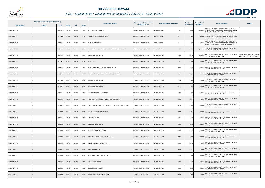

|                       | Registered or other description of the property |               |                |       |                | <b>Full Names of Owner(s)</b>                            | Category determined in terms of | Physical address of the property | <b>Extent of the</b> | <b>Market value of</b> | <b>Section 78 Remarks</b>                                                                                                                          | <b>Remarks</b>                                              |
|-----------------------|-------------------------------------------------|---------------|----------------|-------|----------------|----------------------------------------------------------|---------------------------------|----------------------------------|----------------------|------------------------|----------------------------------------------------------------------------------------------------------------------------------------------------|-------------------------------------------------------------|
| <b>Town Allotment</b> | <b>Suburb</b>                                   | <b>Erf Nr</b> | <b>Portion</b> | Unit  | <b>Section</b> |                                                          | Section 8 of the Act            |                                  | property (HA)        | the property           |                                                                                                                                                    |                                                             |
| BENDOR EXT 120        |                                                 | 00007907      | 00000          | 00000 | 0000           | KHWINANA NEO ROSEMARY                                    | <b>RESIDENTIAL PROPERTIES</b>   | BENDOR CLOSE<br>7907             | 0.0929               |                        | SECT 78(1)(d) - OF WHICH THE MARKET VALUE HAS<br>3,100,000 SUBSTANTIALLY INCREASED OR DECREASED FOR ANY<br>REASON AFTER THE LAST GENERAL VALUATION |                                                             |
| BENDOR EXT 120        |                                                 | 00007976      | 00005          | 00000 | 0000           | C F S BUSSINESS ENTERPRISE CC                            | <b>RESIDENTIAL PROPERTIES</b>   | <b>BENDOR CLOSE</b><br>5         | 0.0600               |                        | SECT 78(1)(d) - OF WHICH THE MARKET VALUE HAS<br>1,100,000 SUBSTANTIALLY INCREASED OR DECREASED FOR ANY<br>REASON AFTER THE LAST GENERAL VALUATION |                                                             |
| BENDOR EXT 120        |                                                 | 00007976      | 00026          | 00000 | 0000           | TOONA MAITE SOPHIAH                                      | RESIDENTIAL PROPERTIES          | ALOES STREET<br>26               | 0.0530               |                        | SECT 78(1)(d) - OF WHICH THE MARKET VALUE HAS<br>2,500,000 SUBSTANTIALLY INCREASED OR DECREASED FOR ANY<br>REASON AFTER THE LAST GENERAL VALUATION |                                                             |
| BENDOR EXT 120        |                                                 | 00007989      | 00000          | 00000 | 0000           | MAUMBADZI NTANGANEDZENI / MAUMBADZI TSHILILO FORTUNE     | <b>RESIDENTIAL PROPERTIES</b>   | BENDOR EXT 120<br>7989           | 0.0604               |                        | 2,500,000 SECT 78(1)(c) - SUBDIVIDED OR CONSOLIDATED AFTER<br>THE LAST GENERAL VALUATION                                                           |                                                             |
| BENDOR EXT 120        |                                                 | 00007990      | 00000          | 00000 | 0000           | MOHLAKANO KGOEDI INC                                     | RESIDENTIAL PROPERTIES          | BENDOR EXT 120<br>7990           | 0.0735               |                        | SECT 78(1)(c) - SUBDIVIDED OR CONSOLIDATED AFTER<br>3,000,000 THE LAST GENERAL VALUATION                                                           | VALUED WITH TOWNSHIP OWNER<br>VALUATION (PTN 433 OF 915 LS) |
| BENDOR EXT 120        |                                                 | 00007991      | 00000          | 00000 | 0000           | <b>SHAI MOSES</b>                                        | RESIDENTIAL PROPERTIES          | <b>BENDOR EXT 120</b><br>7991    | 0.0582               |                        | SECT 78(1)(c) - SUBDIVIDED OR CONSOLIDATED AFTER<br>380,000 THE LAST GENERAL VALUATION                                                             |                                                             |
| BENDOR EXT 120        |                                                 | 00007992      | 00000          | 00000 | 0000           | ERASMUS TIELMAN ROOS / ERASMUS MATHILDA                  | <b>RESIDENTIAL PROPERTIES</b>   | BENDOR EXT 120<br>7992           | 0.0695               |                        | 450,000 SECT 78(1)(c) - SUBDIVIDED OR CONSOLIDATED AFTER<br>THE LAST GENERAL VALUATION                                                             |                                                             |
| BENDOR EXT 120        |                                                 | 00007995      | 00000          | 00000 | 0000           | MOTANA MOLOKO ELIZABETH / MOTANA KGABO KAREL             | RESIDENTIAL PROPERTIES          | BENDOR EXT 120<br>7995           | 0.0774               |                        | 500,000 SECT 78(1)(c) - SUBDIVIDED OR CONSOLIDATED AFTER<br>THE LAST GENERAL VALUATION                                                             |                                                             |
| BENDOR EXT 120        |                                                 | 00007998      | 00000          | 00000 | 0000           | MANAMELA TUELO THABO                                     | RESIDENTIAL PROPERTIES          | BENDOR EXT 120<br>7998           | 0.0631               |                        | 410,000 SECT 78(1)(c) - SUBDIVIDED OR CONSOLIDATED AFTER<br>THE LAST GENERAL VALUATION                                                             |                                                             |
| BENDOR EXT 120        |                                                 | 00008001      | 00000          | 00000 | 0000           | MOKGALA MOSEKAMI PIET                                    | RESIDENTIAL PROPERTIES          | BENDOR EXT 120<br>8001           | 0.0578               |                        | 380,000 SECT 78(1)(c) - SUBDIVIDED OR CONSOLIDATED AFTER<br>THE LAST GENERAL VALUATION                                                             |                                                             |
| BENDOR EXT 120        |                                                 | 00008004      | 00000          | 00000 | 0000           | NTSHEGELE LORRAINE SEAPARO                               | RESIDENTIAL PROPERTIES          | 8004<br>BENDOR EXT 120           | 0.0838               |                        | 540,000 SECT 78(1)(c) - SUBDIVIDED OR CONSOLIDATED AFTER<br>THE LAST GENERAL VALUATION                                                             |                                                             |
| BENDOR EXT 120        |                                                 | 00008006      | 00000          | 00000 | 0000           | PHALA SILVIA MMAMOETI / PHALA NTSHWANE WALTER            | <b>RESIDENTIAL PROPERTIES</b>   | BENDOR EXT 120<br>8006           | 0.0675               |                        | 440,000 SECT 78(1)(c) - SUBDIVIDED OR CONSOLIDATED AFTER<br>THE LAST GENERAL VALUATION                                                             |                                                             |
| BENDOR EXT 120        |                                                 | 00008009      | 00000          | 00000 | 0000           | TELE LETHABO DORCUS ELELWANG / TELE MICHAEL THABI NNYABE | RESIDENTIAL PROPERTIES          | BENDOR EXT 120<br>8009           | 0.0662               |                        | 430,000 SECT 78(1)(c) - SUBDIVIDED OR CONSOLIDATED AFTER<br>THE LAST GENERAL VALUATION                                                             |                                                             |
| BENDOR EXT 120        |                                                 | 00008010      | 00000          | 00000 | 0000           | NGOASHENG RAMOKONE PHYLLIS                               | RESIDENTIAL PROPERTIES          | BENDOR EXT 120<br>8010           | 0.0656               |                        | SECT 78(1)(c) - SUBDIVIDED OR CONSOLIDATED AFTER<br>430,000 THE LAST GENERAL VALUATION                                                             |                                                             |
| BENDOR EXT 120        |                                                 | 00008011      | 00000          | 00000 | 0000           | J M K V INV PTY LTD                                      | RESIDENTIAL PROPERTIES          | BENDOR EXT 120<br>8011           | 0.0694               |                        | 450,000 SECT 78(1)(c) - SUBDIVIDED OR CONSOLIDATED AFTER<br>THE LAST GENERAL VALUATION                                                             |                                                             |
| BENDOR EXT 120        |                                                 | 00008013      | 00000          | 00000 | 0000           | MASHOLA PHEEHA ELIAS                                     | <b>RESIDENTIAL PROPERTIES</b>   | BENDOR EXT 120<br>8013           | 0.0668               |                        | SECT 78(1)(c) - SUBDIVIDED OR CONSOLIDATED AFTER<br>430,000 THE LAST GENERAL VALUATION                                                             |                                                             |
| BENDOR EXT 120        |                                                 | 00008015      | 00000          | 00000 | 0000           | SIKHITHA KHUMBUDZO ERNEST                                | RESIDENTIAL PROPERTIES          | 8015<br>BENDOR EXT 120           | 0.0718               |                        | SECT 78(1)(c) - SUBDIVIDED OR CONSOLIDATED AFTER<br>470,000 THE LAST GENERAL VALUATION                                                             |                                                             |
| BENDOR EXT 120        |                                                 | 00008016      | 00000          | 00000 | 0000           | D K 24HRS TOWING & SCRAPYARD PTY LTD                     | RESIDENTIAL PROPERTIES          | BENDOR EXT 120<br>8016           | 0.0699               |                        | SECT 78(1)(c) - SUBDIVIDED OR CONSOLIDATED AFTER<br>450,000 THE LAST GENERAL VALUATION                                                             |                                                             |
| BENDOR EXT 120        |                                                 | 00008018      | 00000          | 00000 | 0000           | MATHENDA MALEMAESAGO WELMA                               | RESIDENTIAL PROPERTIES          | BENDOR EXT 120<br>8018           | 0.0726               |                        | 470,000 SECT 78(1)(c) - SUBDIVIDED OR CONSOLIDATED AFTER<br>THE LAST GENERAL VALUATION                                                             |                                                             |
| BENDOR EXT 120        |                                                 | 00008019      | 00000          | 00000 | 0000           | KWINDA MADZANGA                                          | RESIDENTIAL PROPERTIES          | BENDOR EXT 120<br>8019           | 0.0726               |                        | 470,000 SECT 78(1)(c) - SUBDIVIDED OR CONSOLIDATED AFTER<br>THE LAST GENERAL VALUATION                                                             |                                                             |
| BENDOR EXT 120        |                                                 | 00008020      | 00000          | 00000 | 0000           | MAMATSHARAGA NDIVHADZO TRINITY                           | RESIDENTIAL PROPERTIES          | BENDOR EXT 120<br>8020           | 0.0594               |                        | 390,000 SECT 78(1)(c) - SUBDIVIDED OR CONSOLIDATED AFTER<br>THE LAST GENERAL VALUATION                                                             |                                                             |
| BENDOR EXT 120        |                                                 | 00008022      | 00000          | 00000 | 0000           | MOKOTI PHUTI PETER                                       | <b>RESIDENTIAL PROPERTIES</b>   | BENDOR EXT 120<br>8022           | 0.0600               |                        | 390,000 SECT 78(1)(c) - SUBDIVIDED OR CONSOLIDATED AFTER<br>THE LAST GENERAL VALUATION                                                             |                                                             |
| BENDOR EXT 120        |                                                 | 00008023      | 00000          | 00000 | 0000           | ALI CONSORTIUM PTY LTD                                   | <b>RESIDENTIAL PROPERTIES</b>   | BENDOR EXT 120<br>8023           | 0.0600               |                        | 390,000 SECT 78(1)(c) - SUBDIVIDED OR CONSOLIDATED AFTER<br>THE LAST GENERAL VALUATION                                                             |                                                             |
| BENDOR EXT 120        |                                                 | 00008024      | 00000          | 00000 | 0000           | MAHLAGAUME MAPALAKANYE SUZAN                             | RESIDENTIAL PROPERTIES          | BENDOR EXT 120<br>8024           | 0.0601               | 390,000                | SECT 78(1)(c) - SUBDIVIDED OR CONSOLIDATED AFTER<br>THE LAST GENERAL VALUATION                                                                     |                                                             |

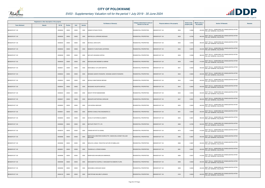

|                       | Registered or other description of the property |          |                |       |                | <b>Full Names of Owner(s)</b>                                            | Category determined in terms of | Physical address of the property | <b>Extent of the</b> | <b>Market value of</b> | <b>Section 78 Remarks</b>                                                              | Remarks |
|-----------------------|-------------------------------------------------|----------|----------------|-------|----------------|--------------------------------------------------------------------------|---------------------------------|----------------------------------|----------------------|------------------------|----------------------------------------------------------------------------------------|---------|
| <b>Town Allotment</b> | <b>Suburb</b>                                   | Erf Nr   | <b>Portion</b> | Unit  | <b>Section</b> |                                                                          | Section 8 of the Act            |                                  | property (HA)        | the property           |                                                                                        |         |
| BENDOR EXT 120        |                                                 | 00008026 | 00000          | 00000 | 0000           | SHIBURI NTSAKO PESTA                                                     | RESIDENTIAL PROPERTIES          | BENDOR EXT 120<br>8026           | 0.0696               |                        | 450,000 SECT 78(1)(c) - SUBDIVIDED OR CONSOLIDATED AFTER<br>THE LAST GENERAL VALUATION |         |
| BENDOR EXT 120        |                                                 | 00008028 | 00000          | 00000 | 0000           | MAPHELELA LORRAINE MOKGADI                                               | RESIDENTIAL PROPERTIES          | BENDOR EXT 120<br>8028           | 0.0706               | 460,000                | SECT 78(1)(c) - SUBDIVIDED OR CONSOLIDATED AFTER<br>THE LAST GENERAL VALUATION         |         |
| BENDOR EXT 120        |                                                 | 00008030 | 00000          | 00000 | 0000           | MICHELE JOHN OUPA                                                        | RESIDENTIAL PROPERTIES          | BENDOR EXT 120<br>8030           | 0.0594               |                        | SECT 78(1)(c) - SUBDIVIDED OR CONSOLIDATED AFTER<br>390,000 THE LAST GENERAL VALUATION |         |
| BENDOR EXT 120        |                                                 | 00008032 | 00000          | 00000 | 0000           | MASENYA TLODUPJANE LESTERINA                                             | RESIDENTIAL PROPERTIES          | BENDOR EXT 120<br>8032           | 0.0670               |                        | 440,000 SECT 78(1)(c) - SUBDIVIDED OR CONSOLIDATED AFTER<br>THE LAST GENERAL VALUATION |         |
| BENDOR EXT 120        |                                                 | 00008038 | 00000          | 00000 | 0000           | MATLAPU NKASANA SOPHIA                                                   | RESIDENTIAL PROPERTIES          | 8038<br>BENDOR EXT 120           | 0.0588               | 380,000                | SECT 78(1)(c) - SUBDIVIDED OR CONSOLIDATED AFTER<br>THE LAST GENERAL VALUATION         |         |
| BENDOR EXT 120        |                                                 | 00008039 | 00000          | 00000 | 0000           | MOKGAHLANE MADIMETJA ABRAM                                               | RESIDENTIAL PROPERTIES          | BENDOR EXT 120<br>8039           | 0.0633               |                        | SECT 78(1)(c) - SUBDIVIDED OR CONSOLIDATED AFTER<br>410,000 THE LAST GENERAL VALUATION |         |
| BENDOR EXT 120        |                                                 | 00008041 | 00000          | 00000 | 0000           | MAKHUBELE VUTLHARI MARTHA                                                | RESIDENTIAL PROPERTIES          | BENDOR EXT 120<br>8041           | 0.0645               |                        | 420,000 SECT 78(1)(c) - SUBDIVIDED OR CONSOLIDATED AFTER<br>THE LAST GENERAL VALUATION |         |
| BENDOR EXT 120        |                                                 | 00008042 | 00000          | 00000 | 0000           | MONAMA GANNYE RODGERS / MONAMA GANNYE RODGERS                            | RESIDENTIAL PROPERTIES          | <b>BENDOR EXT 120</b><br>8042    | 0.0645               |                        | SECT 78(1)(c) - SUBDIVIDED OR CONSOLIDATED AFTER<br>420,000 THE LAST GENERAL VALUATION |         |
| BENDOR EXT 120        |                                                 | 00008043 | 00000          | 00000 | 0000           | MOHALE MMATSWENE MERIAM                                                  | RESIDENTIAL PROPERTIES          | BENDOR EXT 120<br>8043           | 0.0645               |                        | 420,000 SECT 78(1)(c) - SUBDIVIDED OR CONSOLIDATED AFTER<br>THE LAST GENERAL VALUATION |         |
| BENDOR EXT 120        |                                                 | 00008044 | 00000          | 00000 | 0000           | MOSOANE VALENTIA MAPULE                                                  | RESIDENTIAL PROPERTIES          | BENDOR EXT 120<br>8044           | 0.0645               |                        | 420,000 SECT 78(1)(c) - SUBDIVIDED OR CONSOLIDATED AFTER<br>THE LAST GENERAL VALUATION |         |
| BENDOR EXT 120        |                                                 | 00008045 | 00000          | 00000 | 0000           | MAKOTI PETER MMAMOKEBE                                                   | RESIDENTIAL PROPERTIES          | BENDOR EXT 120<br>8045           | 0.0645               |                        | 420,000 SECT 78(1)(c) - SUBDIVIDED OR CONSOLIDATED AFTER<br>THE LAST GENERAL VALUATION |         |
| BENDOR EXT 120        |                                                 | 00008047 | 00000          | 00000 | 0000           | MAKGOPA MOTHEPANA CAROLINE                                               | RESIDENTIAL PROPERTIES          | BENDOR EXT 120<br>8047           | 0.0591               |                        | 380,000 SECT 78(1)(c) - SUBDIVIDED OR CONSOLIDATED AFTER<br>THE LAST GENERAL VALUATION |         |
| BENDOR EXT 120        |                                                 | 00008050 | 00000          | 00000 | 0000           | LION NORAH MOKGADI                                                       | RESIDENTIAL PROPERTIES          | BENDOR EXT 120<br>8050           | 0.0645               |                        | 420,000 SECT 78(1)(c) - SUBDIVIDED OR CONSOLIDATED AFTER<br>THE LAST GENERAL VALUATION |         |
| BENDOR EXT 120        |                                                 | 00008051 | 00000          | 00000 | 0000           | MORWA CONSULTING ENGINEERS CC                                            | RESIDENTIAL PROPERTIES          | 8051<br>BENDOR EXT 120           | 0.0645               |                        | SECT 78(1)(c) - SUBDIVIDED OR CONSOLIDATED AFTER<br>420,000 THE LAST GENERAL VALUATION |         |
| BENDOR EXT 120        |                                                 | 00008055 | 00000          | 00000 | 0000           | SCHOLTZ KATHRINE ELIZABETH                                               | RESIDENTIAL PROPERTIES          | BENDOR EXT 120<br>8055           | 0.0601               |                        | 390,000 SECT 78(1)(c) - SUBDIVIDED OR CONSOLIDATED AFTER<br>THE LAST GENERAL VALUATION |         |
| BENDOR EXT 120        |                                                 | 00008069 | 00000          | 00000 | 0000           | MOTHUPI PROP PTY LTD                                                     | RESIDENTIAL PROPERTIES          | BENDOR EXT 120<br>8069           | 0.0795               |                        | SECT 78(1)(c) - SUBDIVIDED OR CONSOLIDATED AFTER<br>520,000 THE LAST GENERAL VALUATION |         |
| BENDOR EXT 120        |                                                 | 00008076 | 00000          | 00000 | 0000           | PHEME MATATETJA DANIEL                                                   | RESIDENTIAL PROPERTIES          | 8076<br>BENDOR EXT 120           | 0.0629               | 410,000                | SECT 78(1)(c) - SUBDIVIDED OR CONSOLIDATED AFTER<br>THE LAST GENERAL VALUATION         |         |
| BENDOR EXT 120        |                                                 | 00008086 | 00000          | 00000 | 0000           | MAKHUVELA MIKATEKO SHARLOTTE / MAKHUVELA EDNEY WILLIAM<br><b>MUHLABA</b> | <b>RESIDENTIAL PROPERTIES</b>   | 8086<br>BENDOR EXT 120           | 0.0687               |                        | SECT 78(1)(c) - SUBDIVIDED OR CONSOLIDATED AFTER<br>450,000 THE LAST GENERAL VALUATION |         |
| BENDOR EXT 120        |                                                 | 00008088 | 00000          | 00000 | 0000           | NDHLOVU JONAS / RIKHOTSO NATURE NTUMBULUKO                               | RESIDENTIAL PROPERTIES          | 8088<br>BENDOR EXT 120           | 0.0687               |                        | SECT 78(1)(c) - SUBDIVIDED OR CONSOLIDATED AFTER<br>450,000 THE LAST GENERAL VALUATION |         |
| BENDOR EXT 120        |                                                 | 00008091 | 00000          | 00000 | 0000           | TSHISIKULE LUTENDO NOMSA                                                 | RESIDENTIAL PROPERTIES          | BENDOR EXT 120<br>8091           | 0.0687               | 450,000                | SECT 78(1)(c) - SUBDIVIDED OR CONSOLIDATED AFTER<br>THE LAST GENERAL VALUATION         |         |
| BENDOR EXT 120        |                                                 | 00008096 | 00000          | 00000 | 0000           | MAMPHODO NKHUMELENI EMMANUEL                                             | RESIDENTIAL PROPERTIES          | 8096<br>BENDOR EXT 120           | 0.0637               | 410,000                | SECT 78(1)(c) - SUBDIVIDED OR CONSOLIDATED AFTER<br>THE LAST GENERAL VALUATION         |         |
| BENDOR EXT 120        |                                                 | 00008098 | 00000          | 00000 | 0000           | MAKGAMATHA KGOPELO / MAKGAMATHA MABORA FLORA                             | <b>RESIDENTIAL PROPERTIES</b>   | BENDOR EXT 120<br>8098           | 0.0650               |                        | SECT 78(1)(c) - SUBDIVIDED OR CONSOLIDATED AFTER<br>420,000 THE LAST GENERAL VALUATION |         |
| BENDOR EXT 120        |                                                 | 00008099 | 00000          | 00000 | 0000           | MASHABELA MOKGADI ISAIAH                                                 | RESIDENTIAL PROPERTIES          | BENDOR EXT 120<br>8099           | 0.0650               |                        | SECT 78(1)(c) - SUBDIVIDED OR CONSOLIDATED AFTER<br>420,000 THE LAST GENERAL VALUATION |         |
| BENDOR EXT 120        |                                                 | 00008100 | 00000          | 00000 | 0000           | KWETEPANE MOLOBE FLORANCE                                                | <b>RESIDENTIAL PROPERTIES</b>   | BENDOR EXT 120<br>8100           | 0.0650               | 420,000                | SECT 78(1)(c) - SUBDIVIDED OR CONSOLIDATED AFTER<br>THE LAST GENERAL VALUATION         |         |

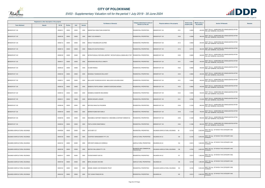

|                               | Registered or other description of the property |               |                |       |                | <b>Full Names of Owner(s)</b>                                                       | Category determined in terms of              | Physical address of the property     | <b>Extent of the</b> | <b>Market value of</b> | <b>Section 78 Remarks</b>                                                              | <b>Remarks</b> |
|-------------------------------|-------------------------------------------------|---------------|----------------|-------|----------------|-------------------------------------------------------------------------------------|----------------------------------------------|--------------------------------------|----------------------|------------------------|----------------------------------------------------------------------------------------|----------------|
| <b>Town Allotment</b>         | <b>Suburb</b>                                   | <b>Erf Nr</b> | <b>Portion</b> | Unit  | <b>Section</b> |                                                                                     | <b>Section 8 of the Act</b>                  |                                      | property (HA)        | the property           |                                                                                        |                |
| BENDOR EXT 120                |                                                 | 00008101      | 00000          | 00000 | 0000           | MAENETSHA RAMUTUMA KHOMOTSO                                                         | RESIDENTIAL PROPERTIES                       | BENDOR EXT 120<br>8101               | 0.0650               |                        | 420,000 SECT 78(1)(c) - SUBDIVIDED OR CONSOLIDATED AFTER<br>THE LAST GENERAL VALUATION |                |
| BENDOR EXT 120                |                                                 | 00008106      | 00000          | 00000 | 0000           | KABE TLOU KENNETH                                                                   | <b>RESIDENTIAL PROPERTIES</b>                | BENDOR EXT 120<br>8106               | 0.0589               | 380,000                | SECT 78(1)(c) - SUBDIVIDED OR CONSOLIDATED AFTER<br>THE LAST GENERAL VALUATION         |                |
| BENDOR EXT 120                |                                                 | 00008112      | 00000          | 00000 | 0000           | MAKAU THAGAMOLAPO ALFRED                                                            | RESIDENTIAL PROPERTIES                       | BENDOR EXT 120<br>8112               | 0.0650               |                        | SECT 78(1)(c) - SUBDIVIDED OR CONSOLIDATED AFTER<br>420,000 THE LAST GENERAL VALUATION |                |
| BENDOR EXT 120                |                                                 | 0000811       | 00000          | 00000 | 0000           | RAMALATA KHATHUTSHELO                                                               | RESIDENTIAL PROPERTIES                       | BENDOR EXT 120<br>8116               | 0.0710               |                        | SECT 78(1)(c) - SUBDIVIDED OR CONSOLIDATED AFTER<br>460,000 THE LAST GENERAL VALUATION |                |
| BENDOR EXT 120                |                                                 | 00008120      | 00000          | 00000 | 0000           | NETSHITUNGULU ROFHIWA JEOFREY / NETSHITUNGULU MASELAELO TINY RESIDENTIAL PROPERTIES |                                              | BENDOR EXT 120<br>8120               | 0.0683               | 440,000                | SECT 78(1)(c) - SUBDIVIDED OR CONSOLIDATED AFTER<br>THE LAST GENERAL VALUATION         |                |
| BENDOR EXT 120                |                                                 | 00008121      | 00000          | 00000 | 0000           | MOSHOKWA MOLATELO LINNETH                                                           | <b>RESIDENTIAL PROPERTIES</b>                | 8121<br><b>BENDOR EXT 120</b>        | 0.0683               |                        | SECT 78(1)(c) - SUBDIVIDED OR CONSOLIDATED AFTER<br>440,000 THE LAST GENERAL VALUATION |                |
| BENDOR EXT 120                |                                                 | 00008122      | 00000          | 00000 | 0000           | OLIVIER RHINUS                                                                      | RESIDENTIAL PROPERTIES                       | BENDOR EXT 120<br>8122               | 0.0683               |                        | 440,000 SECT 78(1)(c) - SUBDIVIDED OR CONSOLIDATED AFTER<br>THE LAST GENERAL VALUATION |                |
| BENDOR EXT 120                |                                                 | 00008130      | 00000          | 00000 | 0000           | MASANGU TSUNDZUKA MILLICENT                                                         | RESIDENTIAL PROPERTIES                       | <b>BENDOR EXT 120</b><br>8130        | 0.0602               | 400,000                | SECT 78(1)(c) - SUBDIVIDED OR CONSOLIDATED AFTER<br>THE LAST GENERAL VALUATION         |                |
| BENDOR EXT 120                |                                                 | 00008131      | 00000          | 00000 | 0000           | MALULEKE TSUNDZUKA KEVIN / MALULEKE ELELWANI EDNA                                   | RESIDENTIAL PROPERTIES                       | BENDOR EXT 120<br>8131               | 0.0683               |                        | 440,000 SECT 78(1)(c) - SUBDIVIDED OR CONSOLIDATED AFTER<br>THE LAST GENERAL VALUATION |                |
| BENDOR EXT 120                |                                                 | 00008132      | 00000          | 00000 | 0000           | SEMENYA PORTIA ANNAH / SEMENYA MOKGAWA MOSES                                        | RESIDENTIAL PROPERTIES                       | BENDOR EXT 120<br>8132               | 0.0683               |                        | 440,000 SECT 78(1)(c) - SUBDIVIDED OR CONSOLIDATED AFTER<br>THE LAST GENERAL VALUATION |                |
| BENDOR EXT 120                |                                                 | 00008134      | 00000          | 00000 | 0000           | MAMABOLO MABORE WELHEMINA                                                           | RESIDENTIAL PROPERTIES                       | BENDOR EXT 120<br>8134               | 0.0683               | 440,000                | SECT 78(1)(c) - SUBDIVIDED OR CONSOLIDATED AFTER<br>THE LAST GENERAL VALUATION         |                |
| BENDOR EXT 120                |                                                 | 00008141      | 00000          | 00000 | 0000           | MARODI MOGARI LOGGEN                                                                | <b>RESIDENTIAL PROPERTIES</b>                | BENDOR EXT 120<br>8141               | 0.0786               |                        | 510,000 SECT 78(1)(c) - SUBDIVIDED OR CONSOLIDATED AFTER<br>THE LAST GENERAL VALUATION |                |
| BENDOR EXT 120                |                                                 | 00008146      | 00000          | 00000 | 0000           | MATHOLE MALETJA PHILEMON                                                            | RESIDENTIAL PROPERTIES                       | BENDOR EXT 120<br>8146               | 0.1224               |                        | 800,000 SECT 78(1)(c) - SUBDIVIDED OR CONSOLIDATED AFTER<br>THE LAST GENERAL VALUATION |                |
| BENDOR EXT 120                |                                                 | 00008149      | 00000          | 00000 | 0000           | MOREMI KGABO BOITUMELO                                                              | RESIDENTIAL PROPERTIES                       | BENDOR EXT 120<br>8149               | 0.1223               |                        | SECT 78(1)(c) - SUBDIVIDED OR CONSOLIDATED AFTER<br>790,000 THE LAST GENERAL VALUATION |                |
| BENDOR EXT 120                |                                                 | 00008156      | 00000          | 00000 | 0000           | MASHABELA DAPHNEY DIMAKATJO / MASHABELA DAPHNEY DIMAKATJO                           | RESIDENTIAL PROPERTIES                       | BENDOR EXT 120<br>8156               | 0.1229               |                        | 800,000 SECT 78(1)(c) - SUBDIVIDED OR CONSOLIDATED AFTER<br>THE LAST GENERAL VALUATION |                |
| BENDOR EXT 120                |                                                 | 00008164      | 00000          | 00000 | 0000           | PHETLA DORA RAMATSIMELE                                                             | RESIDENTIAL PROPERTIES                       | BENDOR EXT 120<br>8164               | 0.1086               |                        | SECT 78(1)(c) - SUBDIVIDED OR CONSOLIDATED AFTER<br>800,000 THE LAST GENERAL VALUATION |                |
| DALMADA AGRICULTURAL HOLDINGS |                                                 | 00000028      | 00000          | 00000 | 0000           | <b>AUTO MOTI CC</b>                                                                 | RESIDENTIAL PROPERTIES                       | DALMADA AGRICULTURAL HOLDINGS<br>28  | 2.2150               | 2,200,000 CHANGED      | SECT 78(1)(g) - OF WHICH THE CATEGORY HAS                                              |                |
| DALMADA AGRICULTURAL HOLDINGS |                                                 | 00000129      | 00000          | 00000 | 0000           | COURTESY MANAGEMENT PTY LTD                                                         | AGRICULTURAL PROPERTIES                      | DALMADA AH LS<br>129                 | 2.2150               | 2,000,000              | SECT 78(1)(g) - OF WHICH THE CATEGORY HAS<br>CHANGED                                   |                |
| DALMADA AGRICULTURAL HOLDINGS |                                                 | 00000134      | 00000          | 00000 | 0000           | KIRK EDITH ANGELICA CORDELIA                                                        | AGRICULTURAL PROPERTIES                      | 134<br>DALMADA AH LS                 | 2.0215               |                        | SECT 78(1)(g) - OF WHICH THE CATEGORY HAS<br>$1,600,000$ CHANGED                       |                |
| DALMADA AGRICULTURAL HOLDINGS |                                                 | 00000136      | 00000          | 00000 | 0000           | DESTINY INN LODGE PTY LTD                                                           | BUSINESS AND COMMERCIAL<br><b>PROPERTIES</b> | DALMADA AGRICULTURAL HOLDINGS<br>136 | 2.0763               | 3,800,000              | SECT 78(1)(g) - OF WHICH THE CATEGORY HAS<br>CHANGED                                   |                |
| DALMADA AGRICULTURAL HOLDINGS |                                                 | 00000141      | 00000          | 00000 | 0000           | PLESSIS MANDY-SUE DU                                                                | RESIDENTIAL PROPERTIES                       | DALMADA AH LS<br>141                 | 2.0215               | 1,300,000              | SECT 78(1)(g) - OF WHICH THE CATEGORY HAS<br>CHANGED                                   |                |
| DALMADA AGRICULTURAL HOLDINGS |                                                 | 00000148      | 00000          | 00000 | 0000           | BERG JACQUES VAN DEN                                                                | AGRICULTURAL PROPERTIES                      | DALMADA AH<br>148                    | 2.2150               | 1,800,000              | SECT 78(1)(g) - OF WHICH THE CATEGORY HAS<br>CHANGED                                   |                |
| DALMADA AGRICULTURAL HOLDINGS |                                                 | 00000153      | 00000          | 00000 | 0000           | HENNIE JANSEN VAN RENSBURG TRUST                                                    | <b>RESIDENTIAL PROPERTIES</b>                | DALMADA AGRICULTURAL HOLDINGS<br>153 | 2.2150               | 5,500,000              | SECT 78(1)(g) - OF WHICH THE CATEGORY HAS<br>CHANGED                                   |                |
| DALMADA AGRICULTURAL HOLDINGS |                                                 | 00000162      | 00000          | 00000 | 0000           | TOIT JOHAN FRANCOIS DU                                                              | RESIDENTIAL PROPERTIES                       | DALMADA AH<br>162                    | 2.0215               | 2,900,000              | SECT 78(1)(g) - OF WHICH THE CATEGORY HAS<br>CHANGED                                   |                |

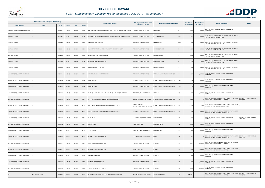

|                                      | Registered or other description of the property |               |                |       |                | <b>Full Names of Owner(s)</b>                                | Category determined in terms of             | Physical address of the property       | <b>Extent of the</b> | <b>Market value of</b><br><b>Section 78 Remarks</b>                                                | Remarks                               |
|--------------------------------------|-------------------------------------------------|---------------|----------------|-------|----------------|--------------------------------------------------------------|---------------------------------------------|----------------------------------------|----------------------|----------------------------------------------------------------------------------------------------|---------------------------------------|
| <b>Town Allotment</b>                | <b>Suburb</b>                                   | <b>Erf Nr</b> | <b>Portion</b> | Unit  | <b>Section</b> |                                                              | <b>Section 8 of the Act</b>                 |                                        | property (HA)        | the property                                                                                       |                                       |
| ELMADAL AGRICULTURAL HOLDINGS        |                                                 | 00000021      | 00000          | 00000 | 0000           | GRIFFIN JOHANNA CAROLINA MAGHRETA / GRIFFIN WILLEM STEPHANUS | RESIDENTIAL PROPERTIES                      | LMADAL AH<br>21                        | 4.2827               | SECT 78(1)(g) - OF WHICH THE CATEGORY HAS<br>900,000 CHANGED                                       |                                       |
| <b>IVY PARK EXT 042</b>              |                                                 | 00002977      | 00000          | 00000 | 0000           | URCSA POLOKWANE CENTRAL CONGREGARTION / J W DREYER TRUST     | <b>RESIDENTIAL PROPERTIES</b>               | 2977<br><b>IVY PARK EXT 042</b>        | 0.2511               | SECT 78(1)(c) - SUBDIVIDED OR CONSOLIDATED AFTER<br>1,900,000<br>THE LAST GENERAL VALUATION        |                                       |
| <b>IVY PARK EXT 044</b>              |                                                 | 00002785      | 00000          | 00000 | 0000           | LEFOA PHALADI ROSLINE                                        | RESIDENTIAL PROPERTIES                      | 2785<br>LAWTONWEG                      | 0.0300               | SECT 78(1)(c) - SUBDIVIDED OR CONSOLIDATED AFTER<br>860,000 THE LAST GENERAL VALUATION             |                                       |
| <b>IVY PARK EXT 044</b>              |                                                 | 00002804      | 00000          | 00000 | 0000           | MAKGOPA MATOME AUBREY / MAKGOPA KEKELETSO JUDITH             | RESIDENTIAL PROPERTIES                      | GENESIS STREET<br>55                   | 0.0303               | SECT 78(1)(c) - SUBDIVIDED OR CONSOLIDATED AFTER<br>200,000 THE LAST GENERAL VALUATION             |                                       |
| <b>IVY PARK EXT 044</b>              |                                                 | 00002818      | 00000          | 00000 | 0000           | NKOANA SEPOLONKO ELIZABETH                                   | RESIDENTIAL PROPERTIES                      | <b>EXODUS STREET</b><br>18             | 0.0300               | SECT 78(1)(c) - SUBDIVIDED OR CONSOLIDATED AFTER<br>700,000<br>THE LAST GENERAL VALUATION          |                                       |
| <b>IVY PARK EXT 044</b>              |                                                 | 00002825      | 00000          | 00000 | 0000           | MOJAPELO MMASEFUDI RHODA                                     | <b>RESIDENTIAL PROPERTIES</b>               | <b>GENESIS STREET</b><br>8             | 0.0300               | SECT 78(1)(c) - SUBDIVIDED OR CONSOLIDATED AFTER<br>570,000 THE LAST GENERAL VALUATION             |                                       |
| <b>IVY PARK EXT 044</b>              |                                                 | 00002835      | 00000          | 00000 | 0000           | MOTHOA LESIBANA JAMES                                        | <b>RESIDENTIAL PROPERTIES</b>               | 19<br><b>EXODUS STREET</b>             | 0.0307               | 200,000 SECT 78(1)(c) - SUBDIVIDED OR CONSOLIDATED AFTER<br>THE LAST GENERAL VALUATION             |                                       |
| IVYDALE AGRICULTURAL HOLDINGS        |                                                 | 00000104      | 00000          | 00000 | 0000           | BENADE MELINDA / BENADE JURIE                                | RESIDENTIAL PROPERTIES                      | 104<br>IVYDALE AGRICULTURAL HOLDINGS   | 0.5686               | SECT 78(1)(g) - OF WHICH THE CATEGORY HAS<br>1,700,000 CHANGED                                     |                                       |
| IVYDALE AGRICULTURAL HOLDINGS        |                                                 | 00000104      | 00001          | 00000 | 0000           | <b>BENADIE JURIE</b>                                         | <b>RESIDENTIAL PROPERTIES</b>               | IVYDALE AGRICULTURAL HOLDINGS<br>104/1 | 1.8390               | SECT 78(1)(g) - OF WHICH THE CATEGORY HAS<br>$5,100,000$ CHANGED                                   |                                       |
| IVYDALE AGRICULTURAL HOLDINGS        |                                                 | 00000104      | 00002          | 00000 | 0000           | <b>BENADIE JURIE</b>                                         | RESIDENTIAL PROPERTIES                      | IVYDALE AGRICULTURAL HOLDINGS<br>104/2 | 2.3769               | SECT 78(1)(g) - OF WHICH THE CATEGORY HAS<br>4,800,000 CHANGED                                     |                                       |
| IVYDALE AGRICULTURAL HOLDINGS        |                                                 | 00000120      | 00000          | 00000 | 0000           | KGAPHOLA ESTHER MAKGOADI / KGAPHOLA MAKOKO PHILEMON          | AGRICULTURAL PROPERTIES                     | 120<br>VYDALE                          | 4.2827               | SECT 78(1)(g) - OF WHICH THE CATEGORY HAS<br>4,700,000<br>CHANGED                                  |                                       |
| IVYDALE AGRICULTURAL HOLDINGS        |                                                 | 00000130      | 00000          | 00000 | M000           | SOUTH AFRICAN NATIONAL ROADS AGENCY SOC LTD                  | MULTI PURPOSE PROPERTIES                    | VYDALE AGRICULTURAL HOLDINGS<br>130    | 3.9285               | SECT 78(1)(e) - SUBSTANTIALLY INCORRECTLY VALUED<br>DURING THE LAST GENERAL VALUATION              | SECTION 9.2 SUBDIVIDED AS<br>FOLLOWS: |
| IVYDALE AGRICULTURAL HOLDINGS        |                                                 | 00000130      | 00000          | 00000 | M001           | SOUTH AFRICAN NATIONAL ROADS AGENCY SOC LTD                  | PUBLIC SERVICE<br>INFRASTRUCTURE PROPERTIES | IVYDALE AGRICULTURAL HOLDINGS<br>130   | 0.1902               | SECT 78(1)(e) - SUBSTANTIALLY INCORRECTLY VALUED<br>1,000 DURING THE LAST GENERAL VALUATION        |                                       |
| <b>IVYDALE AGRICULTURAL HOLDINGS</b> |                                                 | 00000130      | 00000          | 00000 | M002           | SOUTH AFRICAN NATIONAL ROADS AGENCY SOC LTD                  | <b>RESIDENTIAL PROPERTIES</b>               | IVYDALE AGRICULTURAL HOLDINGS<br>130   | 3.7383               | SECT 78(1)(e) - SUBSTANTIALLY INCORRECTLY VALUED<br>3,300,000<br>DURING THE LAST GENERAL VALUATION |                                       |
| IVYDALE AGRICULTURAL HOLDINGS        |                                                 | 00000132      | 00000          | 00000 | M000           | <b>KHAN JAMILA</b>                                           | MULTI PURPOSE PROPERTIES                    | HOEWE IVYDALE<br>132                   | 2.2800               | SECT 78(1)(g) - OF WHICH THE CATEGORY HAS<br>CHANGED                                               | SECTION 9.2 SUBDIVIDED AS<br>FOLLOWS: |
| IVYDALE AGRICULTURAL HOLDINGS        |                                                 | 00000132      | 00000          | 00000 | M001           | <b>KHAN JAMILA</b>                                           | <b>NON PERMITTED</b>                        | HOEWE IVYDALE<br>132                   | 2.2800               | SECT 78(1)(g) - OF WHICH THE CATEGORY HAS<br>500,000<br>CHANGED                                    |                                       |
| IVYDALE AGRICULTURAL HOLDINGS        |                                                 | 00000132      | 00000          | 00000 | M002           | <b>KHAN JAMILA</b>                                           | AGRICULTURAL PROPERTIES                     | 132<br><b>HOEWE IVYDALE</b>            | 2.2800               | SECT 78(1)(g) - OF WHICH THE CATEGORY HAS<br>1,800,000<br>CHANGED                                  |                                       |
| IVYDALE AGRICULTURAL HOLDINGS        |                                                 | 00000151      | 00000          | 00000 | M000           | MEULAN BELEGGINGS PTY LTD                                    | MULTI PURPOSE PROPERTIES                    | 151<br>VYDALE                          | 4.3617               | SECT 78(1)(e) - SUBSTANTIALLY INCORRECTLY VALUED<br>0 DURING THE LAST GENERAL VALUATION            | SECTION 9.2 SUBDIVIDED AS<br>FOLLOWS: |
| IVYDALE AGRICULTURAL HOLDINGS        |                                                 | 00000151      | 00000          | 00000 | M001           | MEULAN BELEGGINGS PTY LTD                                    | RESIDENTIAL PROPERTIES                      | 151<br><b>IVYDALE</b>                  | 3.3617               | SECT 78(1)(e) - SUBSTANTIALLY INCORRECTLY VALUED<br>2,800,000 DURING THE LAST GENERAL VALUATION    |                                       |
| IVYDALE AGRICULTURAL HOLDINGS        |                                                 | 00000151      | 00000          | 00000 | M002           | MEULAN BELEGGINGS PTY LTD                                    | <b>NON PERMITTED</b>                        | 151<br><b>IVYDALE</b>                  | 1.0000               | SECT 78(1)(e) - SUBSTANTIALLY INCORRECTLY VALUED<br>1,900,000 DURING THE LAST GENERAL VALUATION    |                                       |
| IVYDALE AGRICULTURAL HOLDINGS        |                                                 | 00000159      | 00000          | 00000 | 0000           | LUIGI ENTERPRISES CC                                         | RESIDENTIAL PROPERTIES                      | <b>IVYDALE</b><br>159                  | 4.2827               | SECT 78(1)(g) - OF WHICH THE CATEGORY HAS<br>3,000,000<br>CHANGED                                  |                                       |
| IVYDALE AGRICULTURAL HOLDINGS        |                                                 | 00000172      | 00000          | 00000 | 0000           | PESTANA ISIDRO CORNELIO                                      | RESIDENTIAL PROPERTIES                      | 172<br><b>IVYDALE</b>                  | 4.2827               | SECT 78(1)(g) - OF WHICH THE CATEGORY HAS<br>2,400,000<br>CHANGED                                  |                                       |
| IVYDALE AGRICULTURAL HOLDINGS        |                                                 | 00000173      | 00000          | 00000 | 0000           | TUNICA TRADING 142 PTY LTD                                   | <b>RESIDENTIAL PROPERTIES</b>               | VYDALE<br>173                          | 4.7852               | SECT 78(1)(g) - OF WHICH THE CATEGORY HAS<br>3,000,000<br>CHANGED                                  |                                       |
| KS                                   | <b>VREDERUST 75 KS</b>                          | 00000075      | 00000          | 00000 | M000           | NATIONAL GOVERNMENT OF REPUBLIC OF SOUTH AFRICA              | MULTI PURPOSE PROPERTIES                    | PTN 0<br><b>/REDERUST 75 KS</b>        | 441.7678             | SECT 78(1)(e) - SUBSTANTIALLY INCORRECTLY VALUED<br>DURING THE LAST GENERAL VALUATION              | SECTION 9.2 SUBDIVIDED AS<br>FOLLOWS: |

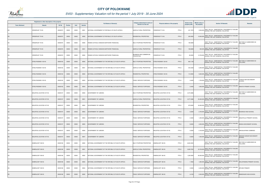

|                       | Registered or other description of the property |          |                |       |                |                                                     | Category determined in terms of              |                                           | <b>Extent of the</b> | <b>Market value of</b> |                                                                                                  |                                           |
|-----------------------|-------------------------------------------------|----------|----------------|-------|----------------|-----------------------------------------------------|----------------------------------------------|-------------------------------------------|----------------------|------------------------|--------------------------------------------------------------------------------------------------|-------------------------------------------|
| <b>Town Allotment</b> | <b>Suburb</b>                                   | Erf Nr   | <b>Portion</b> | Unit  | <b>Section</b> | <b>Full Names of Owner(s)</b>                       | Section 8 of the Act                         | Physical address of the property          | property (HA)        | the property           | <b>Section 78 Remarks</b>                                                                        | Remarks                                   |
| KS                    | REDERUST 75 KS                                  | 00000075 | 00000          | 00000 | M001           | NATIONAL GOVERNMENT OF REPUBLIC OF SOUTH AFRICA     | AGRICULTURAL PROPERTIES                      | PTN <sub>0</sub><br><b>REDERUST 75 KS</b> | 421.7678             |                        | 2,500,000 SECT 78(1)(e) - SUBSTANTIALLY INCORRECTLY VALUED<br>DURING THE LAST GENERAL VALUATION  |                                           |
| KS                    | VREDERUST 75 KS                                 | 00000075 | 00000          | 00000 | M002           | NATIONAL GOVERNMENT OF REPUBLIC OF SOUTH AFRICA     | RESIDENTIAL PROPERTIES                       | PTN 0<br><b>VREDERUST 75 KS</b>           | 200.0000             | 10,000,000             | SECT 78(1)(e) - SUBSTANTIALLY INCORRECTLY VALUED<br>DURING THE LAST GENERAL VALUATION            |                                           |
| KS                    | /REDERUST 76 KS                                 | 00000076 | 00000          | 00000 | M000           | ROMAN CATHOLIC MISSION-NORTHERN TRANSVAAL           | MULTI PURPOSE PROPERTIES                     | PTN 0<br><b>VREDERUST 76 KS</b>           | 195.6699             |                        | SECT 78(1)(e) - SUBSTANTIALLY INCORRECTLY VALUED<br>DURING THE LAST GENERAL VALUATION            | SECTION 9.2 SUBDIVIDED AS<br>FOLLOWS:     |
| KS                    | /REDERUST 76 KS                                 | 00000076 | 00000          | 00000 | M001           | ROMAN CATHOLIC MISSION-NORTHERN TRANSVAAL           | AGRICULTURAL PROPERTIES                      | PTN <sub>0</sub><br>REDERUST 76 KS        | 156.6699             |                        | SECT 78(1)(e) - SUBSTANTIALLY INCORRECTLY VALUED<br>940,000 DURING THE LAST GENERAL VALUATION    |                                           |
| ΚS                    | VREDERUST 76 KS                                 | 00000076 | 00000          | 00000 | M002           | ROMAN CATHOLIC MISSION-NORTHERN TRANSVAAL           | BUSINESS AND COMMERCIAL<br><b>PROPERTIES</b> | /REDERUST 76 KS<br>PTN 0                  | 39.0000              | 12,700,000             | SECT 78(1)(e) - SUBSTANTIALLY INCORRECTLY VALUED<br>DURING THE LAST GENERAL VALUATION            |                                           |
| KS                    | STEELPADSNEK 183 KS                             | 00000183 | 00000          | 00000 | M000           | NATIONAL GOVERNMENT OF THE REPUBLIC OF SOUTH AFRICA | MULTI PURPOSE PROPERTIES                     | STEELPADSNEK 183 KS<br>PTN 0              | 663.1128             |                        | SECT 78(1)(e) - SUBSTANTIALLY INCORRECTLY VALUED<br>DURING THE LAST GENERAL VALUATION            | SECTION 9.2 SUBDIVIDED AS<br>FOLLOWS:     |
| ΚS                    | STEELPADSNEK 183 KS                             | 00000183 | 00000          | 00000 | M001           | NATIONAL GOVERNMENT OF THE REPUBLIC OF SOUTH AFRICA | AGRICULTURAL PROPERTIES                      | PTN 0<br>STEELPADSNEK 183 KS              | 544.2328             |                        | SECT 78(1)(e) - SUBSTANTIALLY INCORRECTLY VALUED<br>3,300,000 DURING THE LAST GENERAL VALUATION  |                                           |
| KS                    | STEELPADSNEK 183 KS                             | 00000183 | 00000          | 00000 | M002           | NATIONAL GOVERNMENT OF THE REPUBLIC OF SOUTH AFRICA | RESIDENTIAL PROPERTIES                       | PTN <sub>0</sub><br>STEELPADSNEK 183 KS   | 112.0000             |                        | SECT 78(1)(e) - SUBSTANTIALLY INCORRECTLY VALUED<br>5,600,000 DURING THE LAST GENERAL VALUATION  |                                           |
| ΚS                    | STEELPADSNEK 183 KS                             | 00000183 | 00000          | 00000 | M003           | NATIONAL GOVERNMENT OF THE REPUBLIC OF SOUTH AFRICA | PUBLIC SERVICE PURPOSES                      | STEELPADSNEK 183 KS<br>PTN 0              | 3.4400               |                        | SECT 78(1)(e) - SUBSTANTIALLY INCORRECTLY VALUED<br>1,700,000 DURING THE LAST GENERAL VALUATION  | CHAKGA SEN SECONDARY<br>SCHOOL            |
| KS                    | STEELPADSNEK 183 KS                             | 00000183 | 00000          | 00000 | M004           | NATIONAL GOVERNMENT OF THE REPUBLIC OF SOUTH AFRICA | PUBLIC SERVICE PURPOSES                      | PTN <sub>0</sub><br>STEELPADSNEK 183 KS   | 3.4400               | 1,600,000              | SECT 78(1)(e) - SUBSTANTIALLY INCORRECTLY VALUED<br>DURING THE LAST GENERAL VALUATION            | MAKATA PRIMARY SCHOOL                     |
| KS                    | MOLEPOS LOCATION 187 KS                         | 00000187 | 00000          | 00000 | M000           | <b>GOVERNMENT OF LEBOWA</b>                         | MULTI PURPOSE PROPERTIES                     | PTN 0<br>MOLEPOS LOCATION 187 KS          | 4,074.3686           |                        | SECT 78(1)(e) - SUBSTANTIALLY INCORRECTLY VALUED<br>DURING THE LAST GENERAL VALUATION            | SECTION 9.2 SUBDIVIDED AS<br>FOLLOWS:     |
| KS                    | MOLEPOS LOCATION 187 KS                         | 00000187 | 00000          | 00000 | M001           | <b>GOVERNMENT OF LEBOWA</b>                         | AGRICULTURAL PROPERTIES                      | MOLEPOS LOCATION 187 KS<br>PTN 0          | 3,377.3386           |                        | SECT 78(1)(e) - SUBSTANTIALLY INCORRECTLY VALUED<br>20,300,000 DURING THE LAST GENERAL VALUATION |                                           |
| ΚS                    | MOLEPOS LOCATION 187 KS                         | 00000187 | 00000          | 00000 | M002           | <b>GOVERNMENT OF LEBOWA</b>                         | RESIDENTIAL PROPERTIES                       | PTN 0<br>MOLEPOS LOCATION 187 KS          | 679.0000             | 34,000,000             | SECT 78(1)(e) - SUBSTANTIALLY INCORRECTLY VALUED<br>DURING THE LAST GENERAL VALUATION            |                                           |
| <b>KS</b>             | MOLEPOS LOCATION 187 KS                         | 00000187 | 00000          | 00000 | M003           | <b>GOVERNMENT OF LEBOWA</b>                         | PUBLIC SERVICE PURPOSES                      | PTN 0<br><b>MOLEPOS LOCATION 187 KS</b>   | 3.2200               |                        | SECT 78(1)(e) - SUBSTANTIALLY INCORRECTLY VALUED<br>2,700,000 DURING THE LAST GENERAL VALUATION  | <b>BOSHEGO HIGH SCHOOL</b>                |
| KS                    | MOLEPOS LOCATION 187 KS                         | 00000187 | 00000          | 00000 | M004           | <b>GOVERNMENT OF LEBOWA</b>                         | PUBLIC SERVICE PURPOSES                      | PTN 0<br>MOLEPOS LOCATION 187 KS          | 2.3400               |                        | SECT 78(1)(e) - SUBSTANTIALLY INCORRECTLY VALUED<br>1,300,000 DURING THE LAST GENERAL VALUATION  | MAGATOLLE PRIMARY SCHOOL                  |
| KS                    | MOLEPOS LOCATION 187 KS                         | 00000187 | 00000          | 00000 | M005           | <b>GOVERNMENT OF LEBOWA</b>                         | PUBLIC SERVICE PURPOSES                      | MOLEPOS LOCATION 187 KS<br>PTN 0          | 9.6300               | 4,000,000              | SECT 78(1)(e) - SUBSTANTIALLY INCORRECTLY VALUED<br>DURING THE LAST GENERAL VALUATION            | MAISHA SECONDARY SCHOOL                   |
| ΚS                    | MOLEPOS LOCATION 187 KS                         | 00000187 | 00000          | 00000 | M006           | GOVERNMENT OF LEBOWA                                | PUBLIC SERVICE PURPOSES                      | PTN 0<br>MOLEPOS LOCATION 187 KS          | 2.0200               |                        | SECT 78(1)(e) - SUBSTANTIALLY INCORRECTLY VALUED<br>2,100,000 DURING THE LAST GENERAL VALUATION  | MAKGALAPANE COMBINED                      |
| <b>KS</b>             | MOLEPOS LOCATION 187 KS                         | 00000187 | 00000          | 00000 | M007           | <b>GOVERNMENT OF LEBOWA</b>                         | PUBLIC SERVICE PURPOSES                      | PTN 0<br>MOLEPOS LOCATION 187 KS          | 0.8200               | 1,400,000              | SECT 78(1)(e) - SUBSTANTIALLY INCORRECTLY VALUED<br>DURING THE LAST GENERAL VALUATION            | MANOSHI SENIOR SECONDARY<br><b>SCHOOL</b> |
| KS                    | ZAMENLOOP 188 KS                                | 00000188 | 00000          | 00000 | M000           | NATIONAL GOVERNMENT OF THE REPUBLIC OF SOUTH AFRICA | MULTI PURPOSE PROPERTIES                     | PTN <sub>0</sub><br>ZAMENLOOP 188 KS      | 6,833.3252           |                        | SECT 78(1)(e) - SUBSTANTIALLY INCORRECTLY VALUED<br>DURING THE LAST GENERAL VALUATION            | SECTION 9.2 SUBDIVIDED AS<br>FOLLOWS:     |
| KS                    | ZAMENLOOP 188 KS                                | 00000188 | 00000          | 00000 | M001           | NATIONAL GOVERNMENT OF THE REPUBLIC OF SOUTH AFRICA | AGRICULTURAL PROPERTIES                      | PTN <sub>0</sub><br>ZAMENLOOP 188 KS      | 5.609.7552           | 33,700,000             | SECT 78(1)(e) - SUBSTANTIALLY INCORRECTLY VALUED<br>DURING THE LAST GENERAL VALUATION            |                                           |
| ΚS                    | ZAMENLOOP 188 KS                                | 00000188 | 00000          | 00000 | M002           | NATIONAL GOVERNMENT OF THE REPUBLIC OF SOUTH AFRICA | RESIDENTIAL PROPERTIES                       | PTN 0<br>ZAMENLOOP 188 KS                 | 1,200.0000           | 60,000,000             | SECT 78(1)(e) - SUBSTANTIALLY INCORRECTLY VALUED<br>DURING THE LAST GENERAL VALUATION            |                                           |
| KS                    | ZAMENLOOP 188 KS                                | 00000188 | 00000          | 00000 | M003           | NATIONAL GOVERNMENT OF THE REPUBLIC OF SOUTH AFRICA | PUBLIC SERVICE PURPOSES                      | PTN 0<br>ZAMENLOOP 188 KS                 | 1.7600               |                        | SECT 78(1)(e) - SUBSTANTIALLY INCORRECTLY VALUED<br>1,800,000 DURING THE LAST GENERAL VALUATION  | DIHLOPANENG PRIMARY SCHOOL                |
| KS                    | ZAMENLOOP 188 KS                                | 00000188 | 00000          | 00000 | M004           | NATIONAL GOVERNMENT OF THE REPUBLIC OF SOUTH AFRICA | PUBLIC SERVICE PURPOSES                      | ZAMENLOOP 188 KS<br>PTN 0                 | 3.5000               |                        | SECT 78(1)(e) - SUBSTANTIALLY INCORRECTLY VALUED<br>2,400,000 DURING THE LAST GENERAL VALUATION  | <b>DIPUWE PRIMARY</b>                     |
| KS                    | ZAMENLOOP 188 KS                                | 00000188 | 00000          | 00000 | M005           | NATIONAL GOVERNMENT OF THE REPUBLIC OF SOUTH AFRICA | PUBLIC SERVICE PURPOSES                      | ZAMENLOOP 188 KS<br>PTN 0                 | 4.4100               | 2,500,000              | SECT 78(1)(e) - SUBSTANTIALLY INCORRECTLY VALUED<br>DURING THE LAST GENERAL VALUATION            | <b>MAMOKGARI HIGH SCHOOL</b>              |

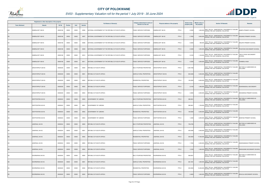

|                       | Registered or other description of the property |               |                |       |                | <b>Full Names of Owner(s)</b>                       | Category determined in terms of | Physical address of the property              | <b>Extent of the</b> | <b>Market value of</b> | <b>Section 78 Remarks</b>                                                                        | <b>Remarks</b>                         |
|-----------------------|-------------------------------------------------|---------------|----------------|-------|----------------|-----------------------------------------------------|---------------------------------|-----------------------------------------------|----------------------|------------------------|--------------------------------------------------------------------------------------------------|----------------------------------------|
| <b>Town Allotment</b> | <b>Suburb</b>                                   | <b>Erf Nr</b> | <b>Portion</b> | Unit  | <b>Section</b> |                                                     | Section 8 of the Act            |                                               | property (HA)        | the property           |                                                                                                  |                                        |
| ΚS                    | ZAMENLOOP 188 KS                                | 00000188      | 00000          | 00000 | M006           | NATIONAL GOVERNMENT OF THE REPUBLIC OF SOUTH AFRICA | PUBLIC SERVICE PURPOSES         | PTN 0<br>ZAMENLOOP 188 KS                     | 2.5300               |                        | 1,600,000 SECT 78(1)(e) - SUBSTANTIALLY INCORRECTLY VALUED<br>DURING THE LAST GENERAL VALUATION  | MAMPA PRIMARY SCHOOL                   |
| KS                    | ZAMENLOOP 188 KS                                | 00000188      | 00000          | 00000 | M007           | NATIONAL GOVERNMENT OF THE REPUBLIC OF SOUTH AFRICA | PUBLIC SERVICE PURPOSES         | PTN 0<br>ZAMENLOOP 188 KS                     | 2.7800               | 2,600,000              | SECT 78(1)(e) - SUBSTANTIALLY INCORRECTLY VALUED<br>DURING THE LAST GENERAL VALUATION            | MOGANO PRIMARY SCHOOL                  |
| KS                    | ZAMENLOOP 188 KS                                | 00000188      | 00000          | 00000 | M008           | NATIONAL GOVERNMENT OF THE REPUBLIC OF SOUTH AFRICA | PUBLIC SERVICE PURPOSES         | PTN 0<br>ZAMENLOOP 188 KS                     | 0.9200               |                        | SECT 78(1)(e) - SUBSTANTIALLY INCORRECTLY VALUED<br>580,000 DURING THE LAST GENERAL VALUATION    | MOLEPO PRIMARY SCHOOL                  |
| KS                    | ZAMENLOOP 188 KS                                | 00000188      | 00000          | 00000 | M009           | NATIONAL GOVERNMENT OF THE REPUBLIC OF SOUTH AFRICA | PUBLIC SERVICE PURPOSES         | PTN <sub>0</sub><br>ZAMENLOOP 188 KS          | 2.5300               |                        | SECT 78(1)(e) - SUBSTANTIALLY INCORRECTLY VALUED<br>1,800,000 DURING THE LAST GENERAL VALUATION  | PHUNYAKO SECONDARY SCHOOL              |
| KS                    | ZAMENLOOP 188 KS                                | 00000188      | 00000          | 00000 | M010           | NATIONAL GOVERNMENT OF THE REPUBLIC OF SOUTH AFRICA | PUBLIC SERVICE PURPOSES         | PTN 0<br>ZAMENLOOP 188 KS                     | 0.9100               |                        | SECT 78(1)(e) - SUBSTANTIALLY INCORRECTLY VALUED<br>1,100,000 DURING THE LAST GENERAL VALUATION  | TSELA CHUEU SECONDARY<br><b>SCHOOL</b> |
| <b>KS</b>             | ZAMENLOOP 188 KS                                | 00000188      | 00000          | 00000 | M011           | NATIONAL GOVERNMENT OF THE REPUBLIC OF SOUTH AFRICA | PUBLIC SERVICE PURPOSES         | PTN 0<br>ZAMENLOOP 188 KS                     | 4.2300               |                        | SECT 78(1)(e) - SUBSTANTIALLY INCORRECTLY VALUED<br>4,300,000 DURING THE LAST GENERAL VALUATION  | <b>TSHEBELA HIGH</b>                   |
| KS                    | GROOTSPRUIT 239 KS                              | 00000239      | 00000          | 00000 | M000           | REPUBLIC OF SOUTH AFRICA                            | MULTI PURPOSE PROPERTIES        | PTN <sub>0</sub><br><b>GROOTSPRUIT 239 KS</b> | 1,048.7406           |                        | SECT 78(1)(e) - SUBSTANTIALLY INCORRECTLY VALUED<br>DURING THE LAST GENERAL VALUATION            | SECTION 9.2 SUBDIVIDED AS<br>FOLLOWS:  |
| KS                    | GROOTSPRUIT 239 KS                              | 00000239      | 00000          | 00000 | M001           | <b>REPUBLIC OF SOUTH AFRICA</b>                     | AGRICULTURAL PROPERTIES         | PTN <sub>0</sub><br>GROOTSPRUIT 239 KS        | 922.6406             |                        | SECT 78(1)(e) - SUBSTANTIALLY INCORRECTLY VALUED<br>5,500,000 DURING THE LAST GENERAL VALUATION  |                                        |
| KS                    | GROOTSPRUIT 239 KS                              | 00000239      | 00000          | 00000 | M002           | REPUBLIC OF SOUTH AFRICA                            | <b>RESIDENTIAL PROPERTIES</b>   | PTN 0<br>GROOTSPRUIT 239 KS                   | 120.0000             |                        | 6,000,000 SECT 78(1)(e) - SUBSTANTIALLY INCORRECTLY VALUED<br>DURING THE LAST GENERAL VALUATION  |                                        |
| KS                    | GROOTSPRUIT 239 KS                              | 00000239      | 00000          | 00000 | M003           | REPUBLIC OF SOUTH AFRICA                            | PUBLIC SERVICE PURPOSES         | PTN <sub>0</sub><br>GROOTSPRUIT 239 KS        | 2.0100               |                        | 1,900,000 SECT 78(1)(e) - SUBSTANTIALLY INCORRECTLY VALUED<br>DURING THE LAST GENERAL VALUATION  | NGWANASEALA SECONDARY                  |
| KS                    | GROOTSPRUIT 239 KS                              | 00000239      | 00000          | 00000 | M004           | REPUBLIC OF SOUTH AFRICA                            | PUBLIC SERVICE PURPOSES         | PTN 0<br>GROOTSPRUIT 239 KS                   | 4.0900               |                        | SECT 78(1)(e) - SUBSTANTIALLY INCORRECTLY VALUED<br>2,000,000 DURING THE LAST GENERAL VALUATION  | SEKGWENG PRIMARY SCHOOL                |
| KS                    | ZOETFONTEIN 243 KS                              | 00000243      | 00000          | 00000 | M000           | <b>GOVERNMENT OF LEBOWA</b>                         | MULTI PURPOSE PROPERTIES        | ZOETFONTEIN 243 KS<br>PTN 0                   | 396.9041             |                        | SECT 78(1)(e) - SUBSTANTIALLY INCORRECTLY VALUED<br>DURING THE LAST GENERAL VALUATION            | SECTION 9.2 SUBDIVIDED AS<br>FOLLOWS:  |
| ΚS                    | ZOETFONTEIN 243 KS                              | 00000243      | 00000          | 00000 | M001           | <b>GOVERNMENT OF LEBOWA</b>                         | AGRICULTURAL PROPERTIES         | PTN 0<br>ZOETFONTEIN 243 KS                   | 286.6641             | 1,700,000              | SECT 78(1)(e) - SUBSTANTIALLY INCORRECTLY VALUED<br>DURING THE LAST GENERAL VALUATION            |                                        |
| <b>KS</b>             | ZOETFONTEIN 243 KS                              | 00000243      | 00000          | 00000 | M002           | <b>GOVERNMENT OF LEBOWA</b>                         | <b>RESIDENTIAL PROPERTIES</b>   | PTN 0<br>ZOETFONTEIN 243 KS                   | 109.0000             |                        | SECT 78(1)(e) - SUBSTANTIALLY INCORRECTLY VALUED<br>5,500,000 DURING THE LAST GENERAL VALUATION  |                                        |
| KS                    | ZOETFONTEIN 243 KS                              | 00000243      | 00000          | 00000 | M003           | <b>GOVERNMENT OF LEBOWA</b>                         | PUBLIC SERVICE PURPOSES         | ZOETFONTEIN 243 KS<br>PTN 0                   | 1.2400               |                        | 2,000,000 SECT 78(1)(e) - SUBSTANTIALLY INCORRECTLY VALUED                                       | MOEFADI PRIMARY SCHOOL                 |
| KS                    | JASKRAAL 244 KS                                 | 00000244      | 00000          | 00000 | M000           | REPUBLIC OF SOUTH AFRICA                            | <b>MULTI PURPOSE PROPERTIES</b> | PTN 0<br>JASKRAAL 244 KS                      | 759.2785             |                        | SECT 78(1)(e) - SUBSTANTIALLY INCORRECTLY VALUED<br>DURING THE LAST GENERAL VALUATION            | SECTION 9.2 SUBDIVIDED AS<br>FOLLOWS:  |
| KS                    | <b>JASKRAAL 244 KS</b>                          | 00000244      | 00000          | 00000 | M001           | REPUBLIC OF SOUTH AFRICA                            | AGRICULTURAL PROPERTIES         | PTN 0<br>ASKRAAL 244 KS                       | 405.6485             |                        | SECT 78(1)(e) - SUBSTANTIALLY INCORRECTLY VALUED<br>2,400,000 DURING THE LAST GENERAL VALUATION  |                                        |
| KS                    | JASKRAAL 244 KS                                 | 00000244      | 00000          | 00000 | M002           | <b>REPUBLIC OF SOUTH AFRICA</b>                     | <b>RESIDENTIAL PROPERTIES</b>   | PTN 0<br>JASKRAAL 244 KS                      | 350.0000             | 17,500,000             | SECT 78(1)(e) - SUBSTANTIALLY INCORRECTLY VALUED<br>DURING THE LAST GENERAL VALUATION            |                                        |
| KS                    | JASKRAAL 244 KS                                 | 00000244      | 00000          | 00000 | M003           | REPUBLIC OF SOUTH AFRICA                            | PUBLIC SERVICE PURPOSES         | PTN 0<br>JASKRAAL 244 KS                      | 1.7200               |                        | SECT 78(1)(e) - SUBSTANTIALLY INCORRECTLY VALUED<br>2,300,000 DURING THE LAST GENERAL VALUATION  | NGWANAMAGO PRIMARY SCHOOL              |
| KS                    | <b>JASKRAAL 244 KS</b>                          | 00000244      | 00000          | 00000 | M004           | REPUBLIC OF SOUTH AFRICA                            | PUBLIC SERVICE PURPOSES         | PTN 0<br><b>IASKRAAL 244 KS</b>               | 1.9100               |                        | SECT 78(1)(e) - SUBSTANTIALLY INCORRECTLY VALUED<br>1,900,000 DURING THE LAST GENERAL VALUATION  | RADIKGOMO SECONDARY SCHOOL             |
| KS                    | DOORNDRAAI 245 KS                               | 00000245      | 00000          | 00000 | M000           | REPUBLIC OF SOUTH AFRICA                            | MULTI PURPOSE PROPERTIES        | PTN 0<br>DOORNDRAAI 245 KS                    | 568.6501             |                        | SECT 78(1)(e) - SUBSTANTIALLY INCORRECTLY VALUED<br>DURING THE LAST GENERAL VALUATION            | SECTION 9.2 SUBDIVIDED AS<br>FOLLOWS:  |
| KS                    | DOORNDRAAI 245 KS                               | 00000245      | 00000          | 00000 | M001           | <b>REPUBLIC OF SOUTH AFRICA</b>                     | AGRICULTURAL PROPERTIES         | PTN 0<br>DOORNDRAAI 245 KS                    | 263.1901             |                        | SECT 78(1)(e) - SUBSTANTIALLY INCORRECTLY VALUED<br>1,600,000 DURING THE LAST GENERAL VALUATION  |                                        |
| KS                    | DOORNDRAAI 245 KS                               | 00000245      | 00000          | 00000 | M002           | REPUBLIC OF SOUTH AFRICA                            | RESIDENTIAL PROPERTIES          | PTN 0<br>DOORNDRAAI 245 KS                    | 303.0000             |                        | SECT 78(1)(e) - SUBSTANTIALLY INCORRECTLY VALUED<br>15,200,000 DURING THE LAST GENERAL VALUATION |                                        |
| KS                    | DOORNDRAAI 245 KS                               | 00000245      | 00000          | 00000 | M003           | REPUBLIC OF SOUTH AFRICA                            | PUBLIC SERVICE PURPOSES         | DOORNDRAAI 245 KS<br>PTN 0                    | 2.4600               | 1,600,000              | SECT 78(1)(e) - SUBSTANTIALLY INCORRECTLY VALUED<br>DURING THE LAST GENERAL VALUATION            | SEHLOLA SECONDARY SCHOOL               |

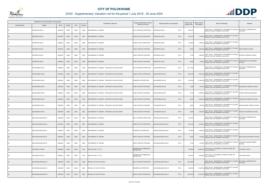

|                       | Registered or other description of the property |          |                |       |                | <b>Full Names of Owner(s)</b>                    | Category determined in terms of              | Physical address of the property      | <b>Extent of the</b> | <b>Market value of</b> | <b>Section 78 Remarks</b>                                                                                       | <b>Remarks</b>                           |
|-----------------------|-------------------------------------------------|----------|----------------|-------|----------------|--------------------------------------------------|----------------------------------------------|---------------------------------------|----------------------|------------------------|-----------------------------------------------------------------------------------------------------------------|------------------------------------------|
| <b>Town Allotment</b> | <b>Suburb</b>                                   | Erf Nr   | <b>Portion</b> | Unit  | <b>Section</b> |                                                  | Section 8 of the Act                         |                                       | property (HA)        | the property           |                                                                                                                 |                                          |
| KS                    | KOPERMYN 259 KS                                 | 00000259 | 00000          | 00000 | M000           | <b>GOVERNMENT OF LEBOWA</b>                      | MULTI PURPOSE PROPERTIES                     | PTN 0<br>(OPERMYN 259 KS              | 592.2276             |                        | SECT 78(1)(e) - SUBSTANTIALLY INCORRECTLY VALUED<br>DURING THE LAST GENERAL VALUATION                           | SECTION 9.2 SUBDIVIDED AS<br>FOLLOWS:    |
| <b>KS</b>             | KOPERMYN 259 KS                                 | 00000259 | 00000          | 00000 | M001           | <b>GOVERNMENT OF LEBOWA</b>                      | AGRICULTURAL PROPERTIES                      | PTN 0<br>KOPERMYN 259 KS              | 275.9776             | 1,700,000              | SECT 78(1)(e) - SUBSTANTIALLY INCORRECTLY VALUED<br>DURING THE LAST GENERAL VALUATION                           |                                          |
| KS                    | KOPERMYN 259 KS                                 | 00000259 | 00000          | 00000 | M002           | GOVERNMENT OF LEBOWA                             | AGRICULTURAL PROPERTIES                      | KOPERMYN 259 KS<br>PTN 0              | 312.0000             |                        | SECT 78(1)(e) - SUBSTANTIALLY INCORRECTLY VALUED<br>1,900,000 DURING THE LAST GENERAL VALUATION                 |                                          |
| KS                    | KOPERMYN 259 KS                                 | 00000259 | 00000          | 00000 | M003           | <b>GOVERNMENT OF LEBOWA</b>                      | PUBLIC SERVICE PURPOSES                      | KOPERMYN 259 KS<br>PTN 0              | 2.5000               |                        | SECT 78(1)(e) - SUBSTANTIALLY INCORRECTLY VALUED<br>2,000,000 DURING THE LAST GENERAL VALUATION                 | <b>FEKE PRIMARY SCHOOL</b>               |
| KS                    | KOPERMYN 259 KS                                 | 00000259 | 00000          | 00000 | M004           | <b>GOVERNMENT OF LEBOWA</b>                      | PUBLIC SERVICE PURPOSES                      | PTN 0<br>KOPERMYN 259 KS              | 1.7200               | 1,600,000              | SECT 78(1)(e) - SUBSTANTIALLY INCORRECTLY VALUED<br>DURING THE LAST GENERAL VALUATION                           | MOKHOPO PRIMARY SCHOOL                   |
| KS                    | KOPERMYN 259 KS                                 | 00000259 | 00000          | 00000 | M005           | <b>GOVERNMENT OF LEBOWA</b>                      | PUBLIC SERVICE PURPOSES                      | PTN 0<br>KOPERMYN 259 KS              | 0.0300               |                        | SECT 78(1)(e) - SUBSTANTIALLY INCORRECTLY VALUED<br>720,000 DURING THE LAST GENERAL VALUATION                   | SEPHAKABATHO SECONDARY<br><b>SCHOOL</b>  |
| KS                    | SCHOONHEID 263 KS                               | 00000263 | 00000          | 00000 | M000           | GOVERNMENT OF LEBOWA / REPUBLIEK VAN SUID-AFRIKA | MULTI PURPOSE PROPERTIES                     | PTN <sub>0</sub><br>SCHOONHEID 263 KS | 2,077.3185           |                        | SECT 78(1)(e) - SUBSTANTIALLY INCORRECTLY VALUED<br>DURING THE LAST GENERAL VALUATION                           | SECTION 9.2 SUBDIVIDED AS<br>FOLLOWS:    |
| KS                    | SCHOONHEID 263 KS                               | 00000263 | 00000          | 00000 | M001           | GOVERNMENT OF LEBOWA / REPUBLIEK VAN SUID-AFRIKA | AGRICULTURAL PROPERTIES                      | PTN 0<br>SCHOONHEID 263 KS            | 1,645.2485           | 9,900,000              | SECT 78(1)(e) - SUBSTANTIALLY INCORRECTLY VALUED<br>DURING THE LAST GENERAL VALUATION                           |                                          |
| KS                    | SCHOONHEID 263 KS                               | 00000263 | 00000          | 00000 | M002           | GOVERNMENT OF LEBOWA / REPUBLIEK VAN SUID-AFRIKA | RESIDENTIAL PROPERTIES                       | PTN 0<br>SCHOONHEID 263 KS            | 420.0000             |                        | SECT 78(1)(e) - SUBSTANTIALLY INCORRECTLY VALUED<br>21,000,000 DURING THE LAST GENERAL VALUATION                |                                          |
| KS                    | SCHOONHEID 263 KS                               | 00000263 | 00000          | 00000 | M003           | GOVERNMENT OF LEBOWA / REPUBLIEK VAN SUID-AFRIKA | PUBLIC SERVICE PURPOSES                      | PTN 0<br>SCHOONHEID 263 KS            | 1.3000               |                        | SECT 78(1)(e) - SUBSTANTIALLY INCORRECTLY VALUED<br>870,000 DURING THE LAST GENERAL VALUATION                   | BOKGOBELO PRIMARY SCHOOL                 |
| KS                    | SCHOONHEID 263 KS                               | 00000263 | 00000          | 00000 | M004           | GOVERNMENT OF LEBOWA / REPUBLIEK VAN SUID-AFRIKA | PUBLIC SERVICE PURPOSES                      | PTN 0<br>SCHOONHEID 263 KS            | 3.1900               | 2,600,000              | SECT 78(1)(e) - SUBSTANTIALLY INCORRECTLY VALUED<br>DURING THE LAST GENERAL VALUATION                           | <b>DITSEPU SENIOR SECONDARY</b>          |
| <b>KS</b>             | SCHOONHEID 263 KS                               | 00000263 | 00000          | 00000 | M005           | GOVERNMENT OF LEBOWA / REPUBLIEK VAN SUID-AFRIKA | PUBLIC SERVICE PURPOSES                      | PTN 0<br>SCHOONHEID 263 KS            | 3.0500               |                        | 3,600,000 SECT 78(1)(e) - SUBSTANTIALLY INCORRECTLY VALUED<br>DURING THE LAST GENERAL VALUATION                 | MANGAKANE PRIMARY SCHOOL                 |
| KS                    | SCHOONHEID 263 KS                               | 00000263 | 00000          | 00000 | M006           | GOVERNMENT OF LEBOWA / REPUBLIEK VAN SUID-AFRIKA | PUBLIC SERVICE PURPOSES                      | PTN 0<br>SCHOONHEID 263 KS            | 0.9400               |                        | SECT 78(1)(e) - SUBSTANTIALLY INCORRECTLY VALUED<br>870,000 DURING THE LAST GENERAL VALUATION                   | MPHAKANYANE PRIMARY SCHOOL               |
| KS                    | SCHOONHEID 263 KS                               | 00000263 | 00000          | 00000 | M007           | GOVERNMENT OF LEBOWA / REPUBLIEK VAN SUID-AFRIKA | PUBLIC SERVICE PURPOSES                      | PTN 0<br>SCHOONHEID 263 KS            | 3.5900               | 2,500,000              | SECT 78(1)(e) - SUBSTANTIALLY INCORRECTLY VALUED<br>DURING THE LAST GENERAL VALUATION                           | TSHEHLO SECONDARY SCHOOL                 |
| KS                    | AASVOGELKRANS 265 KS                            | 00000265 | 00000          | 00000 | M000           | GOVERNMENT OF LEBOWA                             | MULTI PURPOSE PROPERTIES                     | AASVOGELKRANS 265 KS<br>PTN 0         | 678.3005             |                        | SECT 78(1)(e) - SUBSTANTIALLY INCORRECTLY VALUED SECTION 9.2 SUBDIVIDED AS<br>DURING THE LAST GENERAL VALUATION | FOLLOWS:                                 |
| KS                    | AASVOGELKRANS 265 KS                            | 00000265 | 00000          | 00000 | M001           | <b>GOVERNMENT OF LEBOWA</b>                      | AGRICULTURAL PROPERTIES                      | PTN 0<br>AASVOGELKRANS 265 KS         | 596.2105             |                        | SECT 78(1)(e) - SUBSTANTIALLY INCORRECTLY VALUED<br>3,600,000 DURING THE LAST GENERAL VALUATION                 |                                          |
| KS                    | AASVOGELKRANS 265 KS                            | 00000265 | 00000          | 00000 | M002           | <b>GOVERNMENT OF LEBOWA</b>                      | RESIDENTIAL PROPERTIES                       | PTN 0<br>AASVOGELKRANS 265 KS         | 80.0000              |                        | SECT 78(1)(e) - SUBSTANTIALLY INCORRECTLY VALUED<br>4,000,000 DURING THE LAST GENERAL VALUATION                 |                                          |
| KS                    | AASVOGELKRANS 265 KS                            | 00000265 | 00000          | 00000 | M003           | GOVERNMENT OF LEBOWA                             | PUBLIC SERVICE PURPOSES                      | PTN 0<br>AASVOGELKRANS 265 KS         | 0.6200               |                        | SECT 78(1)(e) - SUBSTANTIALLY INCORRECTLY VALUED<br>1,100,000 DURING THE LAST GENERAL VALUATION                 | MAHLOGEDI SECONDARY SCHOOL               |
| KS                    | AASVOGELKRANS 265 KS                            | 00000265 | 00000          | 00000 | M004           | <b>GOVERNMENT OF LEBOWA</b>                      | PUBLIC SERVICE PURPOSES                      | PTN 0<br>AASVOGELKRANS 265 KS         | 1.4700               |                        | 1,100,000 SECT 78(1)(e) - SUBSTANTIALLY INCORRECTLY VALUED<br>DURING THE LAST GENERAL VALUATION                 | SOPHONIA CHUENE PRIMARY<br><b>SCHOOL</b> |
| <b>KS</b>             | THE RANCH A 980 KS                              | 00000980 | 00000          | 00000 | 0000           | RANCH HOTEL PTY LTD                              | BUSINESS AND COMMERCIAL<br><b>PROPERTIES</b> |                                       | 700.0629             | 65,000,000             | SECT 78(1)(a) - INCORRECTLY OMITTED FROM THE<br><b>VALUATION ROLL</b>                                           | THE RANCH HOTEL                          |
| KS                    | THE RANCH B 981 KS                              | 00000981 | 00000          | 00000 | 0000           | RANCH HOTEL PTY LTD                              | BUSINESS AND COMMERCIAL<br><b>PROPERTIES</b> |                                       | 250.5947             | 5,500,000              | SECT 78(1)(a) - INCORRECTLY OMITTED FROM THE<br><b>VALUATION ROLL</b>                                           | THE RANCH HOTEL                          |
| LR                    | SCHOONGELEGEN 695 LR                            | 00000695 | 00000          | 00000 | M000           | REPUBLIC OF SOUTH AFRICA                         | MULTI PURPOSE PROPERTIES                     | SCHOONGELEGEN 695 LR<br>PTN 0         | 2,303.9226           |                        | SECT 78(1)(e) - SUBSTANTIALLY INCORRECTLY VALUED<br>DURING THE LAST GENERAL VALUATION                           | SECTION 9.2 SUBDIVIDED AS<br>FOLLOWS:    |
| <b>LR</b>             | SCHOONGELEGEN 695 LR                            | 00000695 | 00000          | 00000 | M001           | REPUBLIC OF SOUTH AFRICA                         | RESIDENTIAL PROPERTIES                       | PTN 0<br>SCHOONGELEGEN 695 LR         | 188.0000             | 17,600,000             | SECT 78(1)(e) - SUBSTANTIALLY INCORRECTLY VALUED<br>DURING THE LAST GENERAL VALUATION                           |                                          |
| <b>LR</b>             | SCHOONGELEGEN 695 LR                            | 00000695 | 00000          | 00000 | M002           | REPUBLIC OF SOUTH AFRICA                         | AGRICULTURAL PROPERTIES                      | PTN 0<br>SCHOONGELEGEN 695 LR         | 2,297.8270           |                        | SECT 78(1)(e) - SUBSTANTIALLY INCORRECTLY VALUED<br>20,700,000 DURING THE LAST GENERAL VALUATION                |                                          |

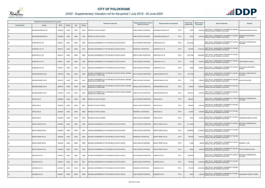

|                       | Registered or other description of the property |               |                |       |                | <b>Full Names of Owner(s)</b>                                                             | Category determined in terms of | Physical address of the property        | <b>Extent of the</b> | <b>Market value of</b> | <b>Section 78 Remarks</b>                                                                        | Remarks                               |
|-----------------------|-------------------------------------------------|---------------|----------------|-------|----------------|-------------------------------------------------------------------------------------------|---------------------------------|-----------------------------------------|----------------------|------------------------|--------------------------------------------------------------------------------------------------|---------------------------------------|
| <b>Town Allotment</b> | <b>Suburb</b>                                   | <b>Erf Nr</b> | <b>Portion</b> | Unit  | <b>Section</b> |                                                                                           | Section 8 of the Act            |                                         | property (HA)        | the property           |                                                                                                  |                                       |
|                       | SCHOONGELEGEN 695 LR                            | 00000695      | 00000          | 00000 | M003           | REPUBLIC OF SOUTH AFRICA                                                                  | PUBLIC SERVICE PURPOSES         | PTN 0<br>SCHOONGELEGEN 695 LR           | 3.9700               |                        | 2,600,000 SECT 78(1)(e) - SUBSTANTIALLY INCORRECTLY VALUED<br>DURING THE LAST GENERAL VALUATION  | SEMORISHI PRIMARY SCHOOL              |
|                       | SCHOONGELEGEN 695 LR                            | 00000695      | 00000          | 00000 | M004           | <b>REPUBLIC OF SOUTH AFRICA</b>                                                           | PUBLIC SERVICE PURPOSES         | PTN 0<br>SCHOONGELEGEN 695 LR           | 2.2200               | 2,400,000              | SECT 78(1)(e) - SUBSTANTIALLY INCORRECTLY VALUED<br>DURING THE LAST GENERAL VALUATION            | MMAMOLOPE SECONDARY<br><b>SCHOOL</b>  |
|                       | ELBERFIELD 731 LR                               | 00000731      | 00000          | 00000 | M000           | NATIONAL GOVERNMENT OF THE REPUBLIC OF SOUTH AFRICA                                       | MULTI PURPOSE PROPERTIES        | PTN 0<br>ELBERFIELD 731 LR              | 2,544.7366           |                        | SECT 78(1)(e) - SUBSTANTIALLY INCORRECTLY VALUED<br>DURING THE LAST GENERAL VALUATION            | SECTION 9.2 SUBDIVIDED AS<br>FOLLOWS: |
|                       | ELBERFIELD 731 LR                               | 00000731      | 00000          | 00000 | M001           | NATIONAL GOVERNMENT OF THE REPUBLIC OF SOUTH AFRICA                                       | <b>RESIDENTIAL PROPERTIES</b>   | ELBERFIELD 731 LR<br>PTN <sub>0</sub>   | 230.0000             |                        | SECT 78(1)(e) - SUBSTANTIALLY INCORRECTLY VALUED<br>22,500,000 DURING THE LAST GENERAL VALUATION |                                       |
|                       | ELBERFIELD 731 LR                               | 00000731      | 00000          | 00000 | M002           | NATIONAL GOVERNMENT OF THE REPUBLIC OF SOUTH AFRICA                                       | AGRICULTURAL PROPERTIES         | PTN 0<br>ELBERFIELD 731 LR              | 2,307.1866           | 20,800,000             | SECT 78(1)(e) - SUBSTANTIALLY INCORRECTLY VALUED<br>DURING THE LAST GENERAL VALUATION            |                                       |
| <b>LR</b>             | ELBERFIELD 731 LR                               | 00000731      | 00000          | 00000 | M003           | NATIONAL GOVERNMENT OF THE REPUBLIC OF SOUTH AFRICA                                       | <b>PUBLIC SERVICE PURPOSES</b>  | PTN 0<br>ELBERFIELD 731 LR              | 2.3700               |                        | SECT 78(1)(e) - SUBSTANTIALLY INCORRECTLY VALUED<br>2,600,000 DURING THE LAST GENERAL VALUATION  | HWIBI PRIMARY SCHOOL                  |
|                       | ELBERFIELD 731 LR                               | 00000731      | 00000          | 00000 | M004           | NATIONAL GOVERNMENT OF THE REPUBLIC OF SOUTH AFRICA                                       | PUBLIC SERVICE PURPOSES         | PTN 0<br><b>LBERFIELD 731 LR</b>        | 4.3800               |                        | SECT 78(1)(e) - SUBSTANTIALLY INCORRECTLY VALUED<br>3,200,000 DURING THE LAST GENERAL VALUATION  | NCHELELENG SECONDARY<br>SCHOOL        |
|                       | GOEDGEVONDEN 732 LR                             | 00000732      | 00000          | 00000 | M000           | NATIONAL GOVERNMENT OF THE REPUBLIC OF SOUTH AFRICA / BAKONE<br>BA MATLALA-A-THABA TRIBE  | MULTI PURPOSE PROPERTIES        | PTN 0<br>GOEDGEVONDEN 732 LR            | 1,670.7028           |                        | SECT 78(1)(e) - SUBSTANTIALLY INCORRECTLY VALUED<br>0 DURING THE LAST GENERAL VALUATION          | SECTION 9.2 SUBDIVIDED AS<br>FOLLOWS: |
|                       | GOEDGEVONDEN 732 LR                             | 00000732      | 00000          | 00000 | M001           | NATIONAL GOVERNMENT OF THE REPUBLIC OF SOUTH AFRICA / BAKONE-<br>BA MATLALA-A-THABA TRIBE | PUBLIC SERVICE PURPOSES         | GOEDGEVONDEN 732 LR<br>PTN 0            | 1.7713               |                        | SECT 78(1)(e) - SUBSTANTIALLY INCORRECTLY VALUED<br>1,200,000 DURING THE LAST GENERAL VALUATION  | MAPHUTHA SCHOOL                       |
|                       | GOEDGEVONDEN 732 LR                             | 00000732      | 00000          | 00000 | M002           | NATIONAL GOVERNMENT OF THE REPUBLIC OF SOUTH AFRICA / BAKONE-<br>BA MATLALA-A-THABA TRIBE | <b>GRICULTURAL PROPERTIES</b>   | PTN <sub>0</sub><br>GOEDGEVONDEN 732 LR | 110.0000             |                        | 15,000,000 SECT 78(1)(e) - SUBSTANTIALLY INCORRECTLY VALUED<br>DURING THE LAST GENERAL VALUATION |                                       |
|                       | GOEDGEVONDEN 732 LR                             | 00000732      | 00000          | 00000 | M003           | NATIONAL GOVERNMENT OF THE REPUBLIC OF SOUTH AFRICA / BAKONE-<br>BA MATLALA-A-THABA TRIBE | AGRICULTURAL PROPERTIES         | PTN 0<br>GOEDGEVONDEN 732 LR            | 1,558.9315           |                        | SECT 78(1)(e) - SUBSTANTIALLY INCORRECTLY VALUED<br>9,400,000 DURING THE LAST GENERAL VALUATION  |                                       |
|                       | FAIRLIE 529 LS                                  | 00000529      | 00000          | 00000 | M000           | REPUBLIC OF SOUTH AFRICA                                                                  | MULTI PURPOSE PROPERTIES        | FAIRLIE 529 LS<br>PTN 0                 | 882.8433             |                        | SECT 78(1)(e) - SUBSTANTIALLY INCORRECTLY VALUED<br>DURING THE LAST GENERAL VALUATION            | SECTION 9.2 SUBDIVIDED AS<br>FOLLOWS: |
|                       | FAIRLIE 529 LS                                  | 00000529      | 00000          | 00000 | M001           | REPUBLIC OF SOUTH AFRICA                                                                  | AGRICULTURAL PROPERTIES         | AIRLIE 529 LS<br>PTN <sub>0</sub>       | 828.0433             |                        | SECT 78(1)(e) - SUBSTANTIALLY INCORRECTLY VALUED<br>5,000,000 DURING THE LAST GENERAL VALUATION  |                                       |
|                       | FAIRLIE 529 LS                                  | 00000529      | 00000          | 00000 | M002           | <b>REPUBLIC OF SOUTH AFRICA</b>                                                           | <b>RESIDENTIAL PROPERTIES</b>   | PTN 0<br>FAIRLIE 529 LS                 | 53.0000              |                        | SECT 78(1)(e) - SUBSTANTIALLY INCORRECTLY VALUED<br>4,900,000 DURING THE LAST GENERAL VALUATION  |                                       |
|                       | FAIRLIE 529 LS                                  | 00000529      | 00000          | 00000 | M003           | REPUBLIC OF SOUTH AFRICA                                                                  | PUBLIC SERVICE PURPOSES         | FAIRLIE 529 LS<br>PTN 0                 | 1.8000               |                        | SECT 78(1)(e) - SUBSTANTIALLY INCORRECTLY VALUED<br>1,000,000 DURING THE LAST GENERAL VALUATION  | DIAKGANYA PRIMARY SCHOOL              |
| <b>LS</b>             | GRAAFF REINET 535 LS                            | 00000535      | 00000          | 00000 | M000           | NATIONAL GOVERNMENT OF THE REPUBLIC OF SOUTH AFRICA                                       | <b>MULTI PURPOSE PROPERTIES</b> | <b>GRAAFF REINET 535 LS</b><br>PTN 0    | 2,714.8338           |                        | SECT 78(1)(e) - SUBSTANTIALLY INCORRECTLY VALUED<br>DURING THE LAST GENERAL VALUATION            | SECTION 9.2 SUBDIVIDED AS<br>FOLLOWS: |
| LS                    | GRAAFF REINET 535 LS                            | 00000535      | 00000          | 00000 | M001           | NATIONAL GOVERNMENT OF THE REPUBLIC OF SOUTH AFRICA                                       | AGRICULTURAL PROPERTIES         | PTN 0<br>GRAAFF REINET 535 LS           | 2,348.2838           | 14,100,000             | SECT 78(1)(e) - SUBSTANTIALLY INCORRECTLY VALUED<br>DURING THE LAST GENERAL VALUATION            |                                       |
| <b>LS</b>             | GRAAFF REINET 535 LS                            | 00000535      | 00000          | 00000 | M002           | NATIONAL GOVERNMENT OF THE REPUBLIC OF SOUTH AFRICA                                       | RESIDENTIAL PROPERTIES          | PTN 0<br>GRAAFF REINET 535 LS           | 365.0000             |                        | SECT 78(1)(e) - SUBSTANTIALLY INCORRECTLY VALUED<br>6,000,000 DURING THE LAST GENERAL VALUATION  |                                       |
| LS                    | GRAAFF REINET 535 LS                            | 00000535      | 00000          | 00000 | M003           | NATIONAL GOVERNMENT OF THE REPUBLIC OF SOUTH AFRICA                                       | PUBLIC SERVICE PURPOSES         | GRAAFF REINET 535 LS<br>PTN 0           | 0.7000               |                        | SECT 78(1)(e) - SUBSTANTIALLY INCORRECTLY VALUED<br>940,000 DURING THE LAST GENERAL VALUATION    | BAKWENA 11 SEC                        |
| <b>LS</b>             | GRAAFF REINET 535 LS                            | 00000535      | 00000          | 00000 | M004           | NATIONAL GOVERNMENT OF THE REPUBLIC OF SOUTH AFRICA                                       | <b>PUBLIC SERVICE PURPOSES</b>  | PTN 0<br>GRAAFF REINET 535 LS           | 0.8500               | 1,800,000              | SECT 78(1)(e) - SUBSTANTIALLY INCORRECTLY VALUED<br>DURING THE LAST GENERAL VALUATION            | <b>RAPITSI PRIMARY SCHOOL</b>         |
| LS                    | LONSDALE 537 LS                                 | 00000537      | 00000          | 00000 | M000           | NATIONAL GOVERNMENT OF THE REPUBLIC OF SOUTH AFRICA                                       | MULTI PURPOSE PROPERTIES        | PTN 0<br>LONSDALE 537 LS                | 1,038.3794           |                        | SECT 78(1)(e) - SUBSTANTIALLY INCORRECTLY VALUED<br>DURING THE LAST GENERAL VALUATION            | SECTION 9.2 SUBDIVIDED AS<br>FOLLOWS: |
| <b>LS</b>             | LONSDALE 537 LS                                 | 00000537      | 00000          | 00000 | M001           | NATIONAL GOVERNMENT OF THE REPUBLIC OF SOUTH AFRICA                                       | AGRICULTURAL PROPERTIES         | PTN <sub>0</sub><br>LONSDALE 537 LS     | 878.8654             | 5,300,000              | SECT 78(1)(e) - SUBSTANTIALLY INCORRECTLY VALUED<br>DURING THE LAST GENERAL VALUATION            |                                       |
| LS                    | LONSDALE 537 LS                                 | 00000537      | 00000          | 00000 | M002           | NATIONAL GOVERNMENT OF THE REPUBLIC OF SOUTH AFRICA                                       | RESIDENTIAL PROPERTIES          | LONSDALE 537 LS<br>PTN 0                | 157.0000             |                        | SECT 78(1)(e) - SUBSTANTIALLY INCORRECTLY VALUED<br>25,600,000 DURING THE LAST GENERAL VALUATION |                                       |
|                       | LONSDALE 537 LS                                 | 00000537      | 00000          | 00000 | M003           | NATIONAL GOVERNMENT OF THE REPUBLIC OF SOUTH AFRICA                                       | PUBLIC SERVICE PURPOSES         | PTN 0<br>LONSDALE 537 LS                | 0.8340               | 1,000,000              | SECT 78(1)(e) - SUBSTANTIALLY INCORRECTLY VALUED<br>DURING THE LAST GENERAL VALUATION            | AGISHANANG PRIMARY SCHOOL             |

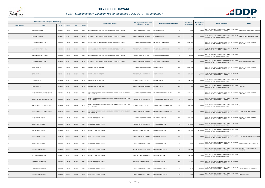

|                       | Registered or other description of the property |               |         |       |                | <b>Full Names of Owner(s)</b>                                                     | Category determined in terms of | Physical address of the property           | <b>Extent of the</b> | <b>Market value of</b> | <b>Section 78 Remarks</b>                                                                        | <b>Remarks</b>                        |
|-----------------------|-------------------------------------------------|---------------|---------|-------|----------------|-----------------------------------------------------------------------------------|---------------------------------|--------------------------------------------|----------------------|------------------------|--------------------------------------------------------------------------------------------------|---------------------------------------|
| <b>Town Allotment</b> | <b>Suburb</b>                                   | <b>Erf Nr</b> | Portion | Unit  | <b>Section</b> |                                                                                   | Section 8 of the Act            |                                            | property (HA)        | the property           |                                                                                                  |                                       |
| LS                    | LONSDALE 537 LS                                 | 00000537      | 00000   | 00000 | M004           | NATIONAL GOVERNMENT OF THE REPUBLIC OF SOUTH AFRICA                               | PUBLIC SERVICE PURPOSES         | ONSDALE 537 LS<br>PTN 0                    | 0.7300               |                        | SECT 78(1)(e) - SUBSTANTIALLY INCORRECTLY VALUED<br>970,000 DURING THE LAST GENERAL VALUATION    | BAHLALOGA SECONDARY SCHOOL            |
|                       | LONSDALE 537 LS                                 | 00000537      | 00000   | 00000 | M005           | NATIONAL GOVERNMENT OF THE REPUBLIC OF SOUTH AFRICA                               | PUBLIC SERVICE PURPOSES         | PTN 0<br>LONSDALE 537 LS                   | 0.9500               | 1,500,000              | SECT 78(1)(e) - SUBSTANTIALLY INCORRECTLY VALUED<br>DURING THE LAST GENERAL VALUATION            | RAMETLOANA LOWER PRIMARY              |
| LS                    | LAMOELASLAAGTE 548 LS                           | 00000548      | 00000   | 00000 | M000           | NATIONAL GOVERNMENT OF THE REPUBLIC OF SOUTH AFRICA                               | MULTI PURPOSE PROPERTIES        | PTN 0<br>LAMOELASLAAGTE 548 LS             | 1,176.3553           |                        | SECT 78(1)(e) - SUBSTANTIALLY INCORRECTLY VALUED<br>DURING THE LAST GENERAL VALUATION            | SECTION 9.2 SUBDIVIDED AS<br>FOLLOWS: |
|                       | LAMOELASLAAGTE 548 LS                           | 00000548      | 00000   | 00000 | M001           | NATIONAL GOVERNMENT OF THE REPUBLIC OF SOUTH AFRICA                               | AGRICULTURAL PROPERTIES         | AMOELASLAAGTE 548 LS<br>PTN 0              | 1,075.8753           |                        | SECT 78(1)(e) - SUBSTANTIALLY INCORRECTLY VALUED<br>6,500,000 DURING THE LAST GENERAL VALUATION  |                                       |
|                       | LAMOELASLAAGTE 548 LS                           | 00000548      | 00000   | 00000 | M002           | NATIONAL GOVERNMENT OF THE REPUBLIC OF SOUTH AFRICA                               | RESIDENTIAL PROPERTIES          | PTN 0<br>LAMOELASLAAGTE 548 LS             | 96.0000              | 25,200,000             | SECT 78(1)(e) - SUBSTANTIALLY INCORRECTLY VALUED<br>DURING THE LAST GENERAL VALUATION            |                                       |
|                       | LAMOELASLAAGTE 548 LS                           | 00000548      | 00000   | 00000 | M003           | NATIONAL GOVERNMENT OF THE REPUBLIC OF SOUTH AFRICA                               | PUBLIC SERVICE PURPOSES         | PTN 0<br>LAMOELASLAAGTE 548 LS             | 4.4800               |                        | SECT 78(1)(e) - SUBSTANTIALLY INCORRECTLY VALUED<br>2,400,000 DURING THE LAST GENERAL VALUATION  | NKGELE PRIMARY SCHOOL                 |
| LS                    | OPGAAF 574 LS                                   | 00000574      | 00000   | 00000 | M000           | <b>GOVERNMENT OF LEBOWA</b>                                                       | MULTI PURPOSE PROPERTIES        | OPGAAF 574 LS<br>PTN <sub>0</sub>          | 1,002.1196           |                        | SECT 78(1)(e) - SUBSTANTIALLY INCORRECTLY VALUED<br>DURING THE LAST GENERAL VALUATION            | SECTION 9.2 SUBDIVIDED AS<br>FOLLOWS: |
|                       | OPGAAF 574 LS                                   | 00000574      | 00000   | 00000 | M001           | <b>GOVERNMENT OF LEBOWA</b>                                                       | AGRICULTURAL PROPERTIES         | OPGAAF 574 LS<br>PTN 0                     | 850.5696             |                        | SECT 78(1)(e) - SUBSTANTIALLY INCORRECTLY VALUED<br>5,100,000 DURING THE LAST GENERAL VALUATION  |                                       |
|                       | OPGAAF 574 LS                                   | 00000574      | 00000   | 00000 | M002           | GOVERNMENT OF LEBOWA                                                              | RESIDENTIAL PROPERTIES          | OPGAAF 574 LS<br>PTN 0                     | 149.0000             |                        | SECT 78(1)(e) - SUBSTANTIALLY INCORRECTLY VALUED<br>7,500,000 DURING THE LAST GENERAL VALUATION  |                                       |
| <b>LS</b>             | OPGAAF 574 LS                                   | 00000574      | 00000   | 00000 | M003           | GOVERNMENT OF LEBOWA                                                              | PUBLIC SERVICE PURPOSES         | OPGAAF 574 LS<br>PTN 0                     | 2.5500               |                        | 1,800,000 SECT 78(1)(e) - SUBSTANTIALLY INCORRECTLY VALUED<br>DURING THE LAST GENERAL VALUATION  | <b>CHOKWE</b>                         |
| LS                    | WACHTEENBEETJEBOSCH 576 LS                      | 00000576      | 00000   | 00000 | M000           | MOLOTO STAM-TRIBE / NATIONAL GOVERNMENT OF THE REPUBLIC OF<br>SOUTH AFRICA        | MULTI PURPOSE PROPERTIES        | PTN 0<br>WACHTEENBEETJEBOSCH 576 LS        | 1,199.1448           |                        | SECT 78(1)(e) - SUBSTANTIALLY INCORRECTLY VALUED<br>DURING THE LAST GENERAL VALUATION            | SECTION 9.2 SUBDIVIDED AS<br>FOLLOWS: |
|                       | WACHTEENBEETJEBOSCH 576 LS                      | 00000576      | 00000   | 00000 | M001           | MOLOTO STAM-TRIBE / NATIONAL GOVERNMENT OF THE REPUBLIC OF<br>SOUTH AFRICA        | AGRICULTURAL PROPERTIES         | <b>WACHTEENBEETJEBOSCH 576 LS</b><br>PTN 0 | 962.3148             |                        | 5,800,000 SECT 78(1)(e) - SUBSTANTIALLY INCORRECTLY VALUED<br>DURING THE LAST GENERAL VALUATION  |                                       |
| LS.                   | WACHTEENBEETJEBOSCH 576 LS                      | 00000576      | 00000   | 00000 | M002           | MOLOTO STAM-TRIBE / NATIONAL GOVERNMENT OF THE REPUBLIC OF<br><b>SOUTH AFRICA</b> | RESIDENTIAL PROPERTIES          | PTN 0<br>WACHTEENBEETJEBOSCH 576 LS        | 233.0000             |                        | SECT 78(1)(e) - SUBSTANTIALLY INCORRECTLY VALUED<br>20,000,000 DURING THE LAST GENERAL VALUATION |                                       |
|                       | WACHTEENBEETJEBOSCH 576 LS                      | 00000576      | 00000   | 00000 | M003           | MOLOTO STAM-TRIBE / NATIONAL GOVERNMENT OF THE REPUBLIC OF<br>SOUTH AFRICA        | PUBLIC SERVICE PURPOSES         | PTN 0<br>WACHTEENBEETJEBOSCH 576 LS        | 3.8300               |                        | SECT 78(1)(e) - SUBSTANTIALLY INCORRECTLY VALUED<br>1,900,000 DURING THE LAST GENERAL VALUATION  | HLABANA PRIMARY SCHOOL                |
|                       | <b>WACHTKRAAL 579 LS</b>                        | 00000579      | 00000   | 00000 | M000           | REPUBLIC OF SOUTH AFRICA                                                          | MULTI PURPOSE PROPERTIES        | WACHTKRAAL 579 LS<br>PTN 0                 | 1,068.3952           |                        | SECT 78(1)(e) - SUBSTANTIALLY INCORRECTLY VALUED<br>DURING THE LAST GENERAL VALUATION            | SECTION 9.2 SUBDIVIDED AS<br>FOLLOWS: |
| <b>LS</b>             | WACHTKRAAL 579 LS                               | 00000579      | 00000   | 00000 | M001           | REPUBLIC OF SOUTH AFRICA                                                          | AGRICULTURAL PROPERTIES         | <b>WACHTKRAAL 579 LS</b><br>PTN 0          | 1,070.0000           |                        | SECT 78(1)(e) - SUBSTANTIALLY INCORRECTLY VALUED<br>6,400,000 DURING THE LAST GENERAL VALUATION  |                                       |
| LS                    | WACHTKRAAL 579 LS                               | 00000579      | 00000   | 00000 | M002           | REPUBLIC OF SOUTH AFRICA                                                          | <b>RESIDENTIAL PROPERTIES</b>   | PTN 0<br><b>WACHTKRAAL 579 LS</b>          | 102.0000             | 22,800,000             | SECT 78(1)(e) - SUBSTANTIALLY INCORRECTLY VALUED<br>DURING THE LAST GENERAL VALUATION            |                                       |
| <b>LS</b>             | WACHTKRAAL 579 LS                               | 00000579      | 00000   | 00000 | M003           | REPUBLIC OF SOUTH AFRICA                                                          | PUBLIC SERVICE PURPOSES         | PTN 0<br><b>WACHTKRAAL 579 LS</b>          | 3.9900               |                        | SECT 78(1)(e) - SUBSTANTIALLY INCORRECTLY VALUED<br>2,100,000 DURING THE LAST GENERAL VALUATION  | LEKWALAKWALA PRIMARY SCHOOL           |
| <b>LS</b>             | WACHTKRAAL 579 LS                               | 00000579      | 00000   | 00000 | M004           | REPUBLIC OF SOUTH AFRICA                                                          | PUBLIC SERVICE PURPOSES         | PTN 0<br>WACHTKRAAL 579 LS                 | 3.5800               |                        | SECT 78(1)(e) - SUBSTANTIALLY INCORRECTLY VALUED<br>2,700,000 DURING THE LAST GENERAL VALUATION  | MOCHEDI SECONDARY SCHOOL              |
| <b>LS</b>             | NOOITGEDACHT 582 LS                             | 00000582      | 00000   | 00000 | M000           | REPUBLIC OF SOUTH AFRICA                                                          | MULTI PURPOSE PROPERTIES        | PTN 0<br>NOOITGEDACHT 582 LS               | 157.1442             |                        | SECT 78(1)(e) - SUBSTANTIALLY INCORRECTLY VALUED<br>DURING THE LAST GENERAL VALUATION            | SECTION 9.2 SUBDIVIDED AS<br>FOLLOWS: |
| <b>LS</b>             | NOOITGEDACHT 582 LS                             | 00000582      | 00000   | 00000 | M001           | REPUBLIC OF SOUTH AFRICA                                                          | AGRICULTURAL PROPERTIES         | PTN 0<br>NOOITGEDACHT 582 LS               | 138.3042             | 830,000                | SECT 78(1)(e) - SUBSTANTIALLY INCORRECTLY VALUED<br>DURING THE LAST GENERAL VALUATION            |                                       |
| <b>LS</b>             | NOOITGEDACHT 582 LS                             | 00000582      | 00000   | 00000 | M002           | REPUBLIC OF SOUTH AFRICA                                                          | RESIDENTIAL PROPERTIES          | PTN 0<br>NOOITGEDACHT 582 LS               | 14.0000              |                        | SECT 78(1)(e) - SUBSTANTIALLY INCORRECTLY VALUED<br>700,000 DURING THE LAST GENERAL VALUATION    |                                       |
| LS                    | NOOITGEDACHT 582 LS                             | 00000582      | 00000   | 00000 | M003           | REPUBLIC OF SOUTH AFRICA                                                          | PUBLIC SERVICE PURPOSES         | <b>NOOITGEDACHT 582 LS</b><br>PTN 0        | 2.0400               |                        | SECT 78(1)(e) - SUBSTANTIALLY INCORRECTLY VALUED<br>1,700,000 DURING THE LAST GENERAL VALUATION  | KEDISHI SECONDARY SCHOOL              |
| <b>LS</b>             | NOOITGEDACHT 582 LS                             | 00000582      | 00000   | 00000 | M004           | REPUBLIC OF SOUTH AFRICA                                                          | PUBLIC SERVICE PURPOSES         | PTN 0<br>NOOITGEDACHT 582 LS               | 2.8000               | 2,200,000              | SECT 78(1)(e) - SUBSTANTIALLY INCORRECTLY VALUED<br>DURING THE LAST GENERAL VALUATION            | PITSI-A-MASHILO                       |

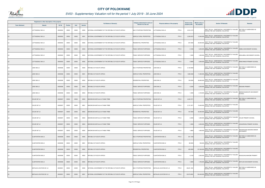

|                       | Registered or other description of the property |               |         |       |                | <b>Full Names of Owner(s)</b>                       | Category determined in terms of | Physical address of the property        | <b>Extent of the</b> | <b>Market value of</b> | <b>Section 78 Remarks</b>                                                                        | Remarks                                  |
|-----------------------|-------------------------------------------------|---------------|---------|-------|----------------|-----------------------------------------------------|---------------------------------|-----------------------------------------|----------------------|------------------------|--------------------------------------------------------------------------------------------------|------------------------------------------|
| <b>Town Allotment</b> | <b>Suburb</b>                                   | <b>Erf Nr</b> | Portion | Unit  | <b>Section</b> |                                                     | Section 8 of the Act            |                                         | property (HA)        | the property           |                                                                                                  |                                          |
| LS                    | UTTIGSDALE 583 LS                               | 00000583      | 00000   | 00000 | M000           | NATIONAL GOVERNMENT OF THE REPUBLIC OF SOUTH AFRICA | MULTI PURPOSE PROPERTIES        | UTTIGSDALE 583 LS<br>PTN 0              | 2,541.8172           |                        | SECT 78(1)(e) - SUBSTANTIALLY INCORRECTLY VALUED<br>DURING THE LAST GENERAL VALUATION            | SECTION 9.2 SUBDIVIDED AS<br>FOLLOWS:    |
|                       | LUTTIGSDALE 583 LS                              | 00000583      | 00000   | 00000 | M001           | NATIONAL GOVERNMENT OF THE REPUBLIC OF SOUTH AFRICA | AGRICULTURAL PROPERTIES         | PTN 0<br>LUTTIGSDALE 583 LS             | 2,209.5072           | 13,300,000             | SECT 78(1)(e) - SUBSTANTIALLY INCORRECTLY VALUED<br>DURING THE LAST GENERAL VALUATION            |                                          |
| LS.                   | LUTTIGSDALE 583 LS                              | 00000583      | 00000   | 00000 | M002           | NATIONAL GOVERNMENT OF THE REPUBLIC OF SOUTH AFRICA | RESIDENTIAL PROPERTIES          | PTN 0<br>LUTTIGSDALE 583 LS             | 327.0000             |                        | SECT 78(1)(e) - SUBSTANTIALLY INCORRECTLY VALUED<br>26,500,000 DURING THE LAST GENERAL VALUATION |                                          |
| <b>LS</b>             | LUTTIGSDALE 583 LS                              | 00000583      | 00000   | 00000 | M003           | NATIONAL GOVERNMENT OF THE REPUBLIC OF SOUTH AFRICA | PUBLIC SERVICE PURPOSES         | UTTIGSDALE 583 LS<br>PTN 0              | 3.1500               |                        | SECT 78(1)(e) - SUBSTANTIALLY INCORRECTLY VALUED<br>3,200,000 DURING THE LAST GENERAL VALUATION  | KABELA SECONDARY SCHOOL                  |
|                       | LUTTIGSDALE 583 LS                              | 00000583      | 00000   | 00000 | M004           | NATIONAL GOVERNMENT OF THE REPUBLIC OF SOUTH AFRICA | PUBLIC SERVICE PURPOSES         | PTN 0<br>LUTTIGSDALE 583 LS             | 1.3200               | 1,500,000              | SECT 78(1)(e) - SUBSTANTIALLY INCORRECTLY VALUED<br>DURING THE LAST GENERAL VALUATION            | MAHLABELA SECONDARY SCHOOL               |
| <b>LS</b>             | UTTIGSDALE 583 LS                               | 00000583      | 00000   | 00000 | M005           | NATIONAL GOVERNMENT OF THE REPUBLIC OF SOUTH AFRICA | PUBLIC SERVICE PURPOSES         | PTN 0<br>UTTIGSDALE 583 LS              | 3.9900               |                        | SECT 78(1)(e) - SUBSTANTIALLY INCORRECTLY VALUED<br>2,000,000 DURING THE LAST GENERAL VALUATION  | MANCHIMUDI PRIMARY SCHOOL                |
| LS                    | JUNO 586 LS                                     | 00000586      | 00000   | 00000 | M000           | REPUBLIC OF SOUTH AFRICA                            | MULTI PURPOSE PROPERTIES        | PTN 0<br>IUNO 586 LS                    | 2,132.8560           |                        | SECT 78(1)(e) - SUBSTANTIALLY INCORRECTLY VALUED<br>DURING THE LAST GENERAL VALUATION            | SECTION 9.2 SUBDIVIDED AS<br>FOLLOWS:    |
| LS                    | JUNO 586 LS                                     | 00000586      | 00000   | 00000 | M001           | REPUBLIC OF SOUTH AFRICA                            | AGRICULTURAL PROPERTIES         | <b>JUNO 586 LS</b><br>PTN 0             | 1,969.3360           |                        | SECT 78(1)(e) - SUBSTANTIALLY INCORRECTLY VALUED<br>11,800,000 DURING THE LAST GENERAL VALUATION |                                          |
| LS                    | JUNO 586 LS                                     | 00000586      | 00000   | 00000 | M002           | REPUBLIC OF SOUTH AFRICA                            | RESIDENTIAL PROPERTIES          | <b>JUNO 586 LS</b><br>PTN 0             | 158.0000             |                        | SECT 78(1)(e) - SUBSTANTIALLY INCORRECTLY VALUED<br>28,800,000 DURING THE LAST GENERAL VALUATION |                                          |
| <b>LS</b>             | JUNO 586 LS                                     | 00000586      | 00000   | 00000 | M003           | REPUBLIC OF SOUTH AFRICA                            | PUBLIC SERVICE PURPOSES         | PTN 0<br>IUNO 586 LS                    | 4.2200               |                        | 2,200,000 SECT 78(1)(e) - SUBSTANTIALLY INCORRECTLY VALUED                                       | <b>MADUMA PRIMARY</b>                    |
| LS                    | JUNO 586 LS                                     | 00000586      | 00000   | 00000 | M004           | REPUBLIC OF SOUTH AFRICA                            | PUBLIC SERVICE PURPOSES         | JUNO 586 LS<br>PTN 0                    | 1.3000               |                        | SECT 78(1)(e) - SUBSTANTIALLY INCORRECTLY VALUED<br>2,100,000 DURING THE LAST GENERAL VALUATION  | MMANKOGAEDUPE SECONDARY<br><b>SCHOOL</b> |
| <b>LS</b>             | CHLOE 587 LS                                    | 00000587      | 00000   | 00000 | M000           | BAKONE-BA MATLALA-A-THABA TRIBE                     | MULTI PURPOSE PROPERTIES        | CHLOE 587 LS<br>PTN 0                   | 2,323.7571           |                        | SECT 78(1)(e) - SUBSTANTIALLY INCORRECTLY VALUED<br>DURING THE LAST GENERAL VALUATION            | SECTION 9.2 SUBDIVIDED AS<br>FOLLOWS:    |
| LS                    | CHLOE 587 LS                                    | 00000587      | 00000   | 00000 | M001           | BAKONE-BA MATLALA-A-THABA TRIBE                     | AGRICULTURAL PROPERTIES         | CHLOE 587 LS<br>PTN <sub>0</sub>        | 2,151.2971           |                        | SECT 78(1)(e) - SUBSTANTIALLY INCORRECTLY VALUED<br>19,400,000 DURING THE LAST GENERAL VALUATION |                                          |
| <b>LS</b>             | CHLOE 587 LS                                    | 00000587      | 00000   | 00000 | M002           | BAKONE-BA MATLALA-A-THABA TRIBE                     | RESIDENTIAL PROPERTIES          | PTN 0<br>CHLOE 587 LS                   | 167.0000             |                        | SECT 78(1)(e) - SUBSTANTIALLY INCORRECTLY VALUED<br>50,000,000 DURING THE LAST GENERAL VALUATION |                                          |
| LS.                   | CHLOE 587 LS                                    | 00000587      | 00000   | 00000 | M003           | BAKONE-BA MATLALA-A-THABA TRIBE                     | PUBLIC SERVICE PURPOSES         | CHLOE 587 LS<br>PTN 0                   | 2.3000               |                        | SECT 78(1)(e) - SUBSTANTIALLY INCORRECTLY VALUED<br>1,600,000 DURING THE LAST GENERAL VALUATION  | CHLOE PRIMARY SCHOOL                     |
| <b>LS</b>             | CHLOE 587 LS                                    | 00000587      | 00000   | 00000 | M004           | BAKONE-BA MATLALA-A-THABA TRIBE                     | PUBLIC SERVICE PURPOSES         | CHLOE 587 LS<br>PTN 0                   | 1.3000               |                        | SECT 78(1)(e) - SUBSTANTIALLY INCORRECTLY VALUED<br>2,200,000 DURING THE LAST GENERAL VALUATION  | LEKGORONG PRIMARY SCHOOL                 |
| LS                    | CHLOE 587 LS                                    | 00000587      | 00000   | 00000 | M005           | BAKONE-BA MATLALA-A-THABA TRIBE                     | PUBLIC SERVICE PURPOSES         | PTN 0<br>CHLOE 587 LS                   | 1.8600               | 1,600,000              | SECT 78(1)(e) - SUBSTANTIALLY INCORRECTLY VALUED<br>DURING THE LAST GENERAL VALUATION            | NKGOPOLENG BAKONE SENIOR<br>SECONDARY    |
| <b>LS</b>             | <b>VLAKFONTEIN 588 LS</b>                       | 00000588      | 00000   | 00000 | M000           | REPUBLIC OF SOUTH AFRICA                            | MULTI PURPOSE PROPERTIES        | PTN 0<br><b>VLAKFONTEIN 588 LS</b>      | 501.1355             |                        | SECT 78(1)(e) - SUBSTANTIALLY INCORRECTLY VALUED<br>DURING THE LAST GENERAL VALUATION            | SECTION 9.2 SUBDIVIDED AS<br>FOLLOWS:    |
| <b>LS</b>             | <b>VLAKFONTEIN 588 LS</b>                       | 00000588      | 00000   | 00000 | M001           | REPUBLIC OF SOUTH AFRICA                            | AGRICULTURAL PROPERTIES         | <b>VLAKFONTEIN 588 LS</b><br>PTN 0      | 89.9355              |                        | SECT 78(1)(e) - SUBSTANTIALLY INCORRECTLY VALUED<br>500,000 DURING THE LAST GENERAL VALUATION    |                                          |
| <b>LS</b>             | <b>VLAKFONTEIN 588 LS</b>                       | 00000588      | 00000   | 00000 | M002           | REPUBLIC OF SOUTH AFRICA                            | RESIDENTIAL PROPERTIES          | PTN 0<br><b>VLAKFONTEIN 588 LS</b>      | 405.0000             | 137,500,000            | SECT 78(1)(e) - SUBSTANTIALLY INCORRECTLY VALUED<br>DURING THE LAST GENERAL VALUATION            |                                          |
| <b>LS</b>             | VLAKFONTEIN 588 LS                              | 00000588      | 00000   | 00000 | M003           | REPUBLIC OF SOUTH AFRICA                            | PUBLIC SERVICE PURPOSES         | PTN 0<br><b>VLAKFONTEIN 588 LS</b>      | 4.3100               | 2,500,000              | SECT 78(1)(e) - SUBSTANTIALLY INCORRECTLY VALUED<br>DURING THE LAST GENERAL VALUATION            | IKAGELENG MAKOBE PRIMARY                 |
| <b>LS</b>             | <b>VLAKFONTEIN 588 LS</b>                       | 00000588      | 00000   | 00000 | M004           | REPUBLIC OF SOUTH AFRICA                            | PUBLIC SERVICE PURPOSES         | PTN 0<br><b>VLAKFONTEIN 588 LS</b>      | 1.8900               |                        | SECT 78(1)(e) - SUBSTANTIALLY INCORRECTLY VALUED<br>1,700,000 DURING THE LAST GENERAL VALUATION  | MOTLISHI SECONDARY SCHOOL                |
| LS                    | MATALAS LOCATION 591 LS                         | 00000591      | 00000   | 00000 | M000           | NATIONAL GOVERNMENT OF THE REPUBLIC OF SOUTH AFRICA | MULTI PURPOSE PROPERTIES        | <b>MATALAS LOCATION 591 LS</b><br>PTN 0 | 28,201.1891          |                        | SECT 78(1)(e) - SUBSTANTIALLY INCORRECTLY VALUED<br>DURING THE LAST GENERAL VALUATION            | SECTION 9.2 SUBDIVIDED AS<br>FOLLOWS:    |
|                       | MATALAS LOCATION 591 LS                         | 00000591      | 00000   | 00000 | M001           | NATIONAL GOVERNMENT OF THE REPUBLIC OF SOUTH AFRICA | AGRICULTURAL PROPERTIES         | PTN 0<br><b>MATALAS LOCATION 591 LS</b> | 25,074.0891          | 150,400,000            | SECT 78(1)(e) - SUBSTANTIALLY INCORRECTLY VALUED<br>DURING THE LAST GENERAL VALUATION            |                                          |

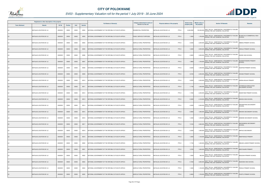

|                       | Registered or other description of the property |          |                |       |                | <b>Full Names of Owner(s)</b>                       | Category determined in terms of | Physical address of the property            | <b>Extent of the</b> | <b>Market value of</b> | <b>Section 78 Remarks</b>                                                                             | <b>Remarks</b>                               |
|-----------------------|-------------------------------------------------|----------|----------------|-------|----------------|-----------------------------------------------------|---------------------------------|---------------------------------------------|----------------------|------------------------|-------------------------------------------------------------------------------------------------------|----------------------------------------------|
| <b>Town Allotment</b> | <b>Suburb</b>                                   | Erf Nr   | <b>Portion</b> | Unit  | <b>Section</b> |                                                     | Section 8 of the Act            |                                             | property (HA)        | the property           |                                                                                                       |                                              |
| LS                    | MATALAS LOCATION 591 LS                         | 00000591 | 00000          | 00000 | M002           | NATIONAL GOVERNMENT OF THE REPUBLIC OF SOUTH AFRICA | RESIDENTIAL PROPERTIES          | PTN 0<br>MATALAS LOCATION 591 LS            | 3,049.0000           |                        | SECT 78(1)(e) - SUBSTANTIALLY INCORRECTLY VALUED<br>152,500,000 DURING THE LAST GENERAL VALUATION     |                                              |
|                       | MATALAS LOCATION 591 LS                         | 00000591 | 00000          | 00000 | M003           | NATIONAL GOVERNMENT OF THE REPUBLIC OF SOUTH AFRICA | PUBLIC SERVICE PURPOSES         | PTN 0<br>MATALAS LOCATION 591 LS            | 1.3500               | 1,700,000              | SECT 78(1)(e) - SUBSTANTIALLY INCORRECTLY VALUED<br>DURING THE LAST GENERAL VALUATION                 | BK MATLALA COMMERCIAL HIGH<br><b>SCHOOL</b>  |
|                       | MATALAS LOCATION 591 LS                         | 00000591 | 00000          | 00000 | M004           | NATIONAL GOVERNMENT OF THE REPUBLIC OF SOUTH AFRICA | AGRICULTURAL PROPERTIES         | PTN 0<br>MATALAS LOCATION 591 LS            | 3.5400               |                        | SECT 78(1)(e) - SUBSTANTIALLY INCORRECTLY VALUED<br>2,200,000 DURING THE LAST GENERAL VALUATION       | DIBENG PRIMARY SCHOOL                        |
|                       | MATALAS LOCATION 591 LS                         | 00000591 | 00000          | 00000 | M005           | NATIONAL GOVERNMENT OF THE REPUBLIC OF SOUTH AFRICA | AGRICULTURAL PROPERTIES         | PTN <sub>0</sub><br>MATALAS LOCATION 591 LS | 1.6300               |                        | SECT 78(1)(e) - SUBSTANTIALLY INCORRECTLY VALUED<br>2,000,000 DURING THE LAST GENERAL VALUATION       | HAKALA PRIMARY SCHOOL                        |
|                       | MATALAS LOCATION 591 LS                         | 00000591 | 00000          | 00000 | M006           | NATIONAL GOVERNMENT OF THE REPUBLIC OF SOUTH AFRICA | AGRICULTURAL PROPERTIES         | PTN 0<br>MATALAS LOCATION 591 LS            | 4.0600               | 3,300,000              | SECT 78(1)(e) - SUBSTANTIALLY INCORRECTLY VALUED<br>DURING THE LAST GENERAL VALUATION                 | KGOKE HIGH SCHOOL                            |
|                       | MATALAS LOCATION 591 LS                         | 00000591 | 00000          | 00000 | M007           | NATIONAL GOVERNMENT OF THE REPUBLIC OF SOUTH AFRICA | AGRICULTURAL PROPERTIES         | PTN 0<br>MATALAS LOCATION 591 LS            | 1.9800               |                        | SECT 78(1)(e) - SUBSTANTIALLY INCORRECTLY VALUED<br>1,700,000 DURING THE LAST GENERAL VALUATION       | <b>KGOMONTSWERE PRIMARY</b><br><b>SCHOOL</b> |
| LS                    | MATALAS LOCATION 591 LS                         | 00000591 | 00000          | 00000 | M008           | NATIONAL GOVERNMENT OF THE REPUBLIC OF SOUTH AFRICA | AGRICULTURAL PROPERTIES         | PTN 0<br>MATALAS LOCATION 591 LS            | 2.6200               |                        | SECT 78(1)(e) - SUBSTANTIALLY INCORRECTLY VALUED<br>1,400,000 DURING THE LAST GENERAL VALUATION       | <b>KGOPODI PRIMARY SCHOOL</b>                |
|                       | MATALAS LOCATION 591 LS                         | 00000591 | 00000          | 00000 | M009           | NATIONAL GOVERNMENT OF THE REPUBLIC OF SOUTH AFRICA | AGRICULTURAL PROPERTIES         | PTN 0<br>MATALAS LOCATION 591 LS            | 3.8100               |                        | SECT 78(1)(e) - SUBSTANTIALLY INCORRECTLY VALUED<br>2,000,000 DURING THE LAST GENERAL VALUATION       | KOKAMI PRIMARY SCHOOL                        |
|                       | MATALAS LOCATION 591 LS                         | 00000591 | 00000          | 00000 | M010           | NATIONAL GOVERNMENT OF THE REPUBLIC OF SOUTH AFRICA | AGRICULTURAL PROPERTIES         | MATALAS LOCATION 591 LS<br>PTN 0            | 2.6200               |                        | SECT 78(1)(e) - SUBSTANTIALLY INCORRECTLY VALUED<br>2,200,000 DURING THE LAST GENERAL VALUATION       | <b>KWENA-SELAKI PRIMARY</b>                  |
|                       | MATALAS LOCATION 591 LS                         | 00000591 | 00000          | 00000 | M011           | NATIONAL GOVERNMENT OF THE REPUBLIC OF SOUTH AFRICA | AGRICULTURAL PROPERTIES         | PTN 0<br><b>MATALAS LOCATION 591 LS</b>     | 1.7100               |                        | SECT 78(1)(e) - SUBSTANTIALLY INCORRECTLY VALUED<br>1,500,000 DURING THE LAST GENERAL VALUATION       | LETSWALELA BAHLALOGA<br>SECONDARY SCHOOL     |
|                       | MATALAS LOCATION 591 LS                         | 00000591 | 00000          | 00000 | M012           | NATIONAL GOVERNMENT OF THE REPUBLIC OF SOUTH AFRICA | AGRICULTURAL PROPERTIES         | PTN 0<br>MATALAS LOCATION 591 LS            | 1.7300               | 2,200,000              | SECT 78(1)(e) - SUBSTANTIALLY INCORRECTLY VALUED<br>DURING THE LAST GENERAL VALUATION                 | MADIETANE PRIMARY SCHOOL                     |
|                       | MATALAS LOCATION 591 LS                         | 00000591 | 00000          | 00000 | M013           | NATIONAL GOVERNMENT OF THE REPUBLIC OF SOUTH AFRICA | AGRICULTURAL PROPERTIES         | MATALAS LOCATION 591 LS<br>PTN 0            | 5.3200               |                        | SECT 78(1)(e) - SUBSTANTIALLY INCORRECTLY VALUED<br>4,100,000 BLOT TOLLIUM THE LAST GENERAL VALUATION | <b>MAHOAI HIGH SCHOOL</b>                    |
|                       | MATALAS LOCATION 591 LS                         | 00000591 | 00000          | 00000 | M014           | NATIONAL GOVERNMENT OF THE REPUBLIC OF SOUTH AFRICA | AGRICULTURAL PROPERTIES         | PTN 0<br>MATALAS LOCATION 591 LS            | 4.0200               | 2,200,000              | SECT 78(1)(e) - SUBSTANTIALLY INCORRECTLY VALUED<br>DURING THE LAST GENERAL VALUATION                 | MAKOBATENG SECONDARY<br>SCHOOL               |
|                       | MATALAS LOCATION 591 LS                         | 00000591 | 00000          | 00000 | M015           | NATIONAL GOVERNMENT OF THE REPUBLIC OF SOUTH AFRICA | AGRICULTURAL PROPERTIES         | PTN 0<br><b>MATALAS LOCATION 591 LS</b>     | 2.9900               |                        | SECT 78(1)(e) - SUBSTANTIALLY INCORRECTLY VALUED<br>1,800,000 DURING THE LAST GENERAL VALUATION       | MAKOKO SECONDARY SCHOOL                      |
|                       | MATALAS LOCATION 591 LS                         | 00000591 | 00000          | 00000 | M016           | NATIONAL GOVERNMENT OF THE REPUBLIC OF SOUTH AFRICA | AGRICULTURAL PROPERTIES         | PTN 0<br>MATALAS LOCATION 591 LS            | 1.2400               |                        | SECT 78(1)(e) - SUBSTANTIALLY INCORRECTLY VALUED<br>1,400,000 DURING THE LAST GENERAL VALUATION       | MAMONE SECONDARY SCHOOL                      |
| <b>LS</b>             | MATALAS LOCATION 591 LS                         | 00000591 | 00000          | 00000 | M017           | NATIONAL GOVERNMENT OF THE REPUBLIC OF SOUTH AFRICA | AGRICULTURAL PROPERTIES         | MATALAS LOCATION 591 LS<br>PTN 0            | 7.0100               | 3,900,000              | SECT 78(1)(e) - SUBSTANTIALLY INCORRECTLY VALUED<br>DURING THE LAST GENERAL VALUATION                 | <b>MAOWANENG SECONDARY</b><br><b>SCHOOL</b>  |
| LS                    | MATALAS LOCATION 591 LS                         | 00000591 | 00000          | 00000 | M018           | NATIONAL GOVERNMENT OF THE REPUBLIC OF SOUTH AFRICA | AGRICULTURAL PROPERTIES         | <b>MATALAS LOCATION 591 LS</b><br>PTN 0     | 3.3200               |                        | SECT 78(1)(e) - SUBSTANTIALLY INCORRECTLY VALUED<br>1,600,000 DURING THE LAST GENERAL VALUATION       | MAPALE SECONDARY                             |
| <b>LS</b>             | MATALAS LOCATION 591 LS                         | 00000591 | 00000          | 00000 | M019           | NATIONAL GOVERNMENT OF THE REPUBLIC OF SOUTH AFRICA | AGRICULTURAL PROPERTIES         | PTN 0<br><b>MATALAS LOCATION 591 LS</b>     | 1.0000               | 1,100,000              | SECT 78(1)(e) - SUBSTANTIALLY INCORRECTLY VALUED<br>DURING THE LAST GENERAL VALUATION                 | MMAPHEKGO PRIMARY                            |
| LS                    | MATALAS LOCATION 591 LS                         | 00000591 | 00000          | 00000 | M020           | NATIONAL GOVERNMENT OF THE REPUBLIC OF SOUTH AFRICA | <b>AGRICULTURAL PROPERTIES</b>  | PTN 0<br>MATALAS LOCATION 591 LS            | 1.7100               |                        | SECT 78(1)(e) - SUBSTANTIALLY INCORRECTLY VALUED<br>1,400,000 DURING THE LAST GENERAL VALUATION       | MMUSHI JUNIOR PRIMARY SCHOOL                 |
| <b>LS</b>             | MATALAS LOCATION 591 LS                         | 00000591 | 00000          | 00000 | M021           | NATIONAL GOVERNMENT OF THE REPUBLIC OF SOUTH AFRICA | AGRICULTURAL PROPERTIES         | MATALAS LOCATION 591 LS<br>PTN 0            | 1.6700               | 1,600,000              | SECT 78(1)(e) - SUBSTANTIALLY INCORRECTLY VALUED<br>DURING THE LAST GENERAL VALUATION                 | <b>MOETAGARE PRIMARY</b>                     |
| LS                    | <b>MATALAS LOCATION 591 LS</b>                  | 00000591 | 00000          | 00000 | M022           | NATIONAL GOVERNMENT OF THE REPUBLIC OF SOUTH AFRICA | AGRICULTURAL PROPERTIES         | PTN 0<br><b>MATALAS LOCATION 591 LS</b>     | 1.0500               | 950,000                | SECT 78(1)(e) - SUBSTANTIALLY INCORRECTLY VALUED<br>DURING THE LAST GENERAL VALUATION                 | MOGOSHI PRIMARY SCHOOL                       |
| <b>LS</b>             | MATALAS LOCATION 591 LS                         | 00000591 | 00000          | 00000 | M023           | NATIONAL GOVERNMENT OF THE REPUBLIC OF SOUTH AFRICA | AGRICULTURAL PROPERTIES         | PTN 0<br><b>MATALAS LOCATION 591 LS</b>     | 5.7200               | 3,800,000              | SECT 78(1)(e) - SUBSTANTIALLY INCORRECTLY VALUED<br>DURING THE LAST GENERAL VALUATION                 | NGAKANA HIGH SCHOOL                          |
| LS                    | MATALAS LOCATION 591 LS                         | 00000591 | 00000          | 00000 | M024           | NATIONAL GOVERNMENT OF THE REPUBLIC OF SOUTH AFRICA | AGRICULTURAL PROPERTIES         | PTN 0<br>MATALAS LOCATION 591 LS            | 1.3400               |                        | SECT 78(1)(e) - SUBSTANTIALLY INCORRECTLY VALUED<br>1,100,000 DURING THE LAST GENERAL VALUATION       | PHEHLE PRIMARY SCHOOL                        |
|                       | MATALAS LOCATION 591 LS                         | 00000591 | 00000          | 00000 | M025           | NATIONAL GOVERNMENT OF THE REPUBLIC OF SOUTH AFRICA | AGRICULTURAL PROPERTIES         | PTN 0<br>MATALAS LOCATION 591 LS            | 2.0800               | 1,700,000              | SECT 78(1)(e) - SUBSTANTIALLY INCORRECTLY VALUED<br>DURING THE LAST GENERAL VALUATION                 | PHOFFU PRIMARY SCHOOL                        |

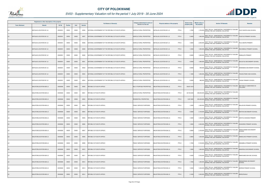

|                       | Registered or other description of the property |               |                |       |                |                                                     | Category determined in terms of |                                              | <b>Extent of the</b> | <b>Market value of</b> | <b>Section 78 Remarks</b>                                                                         | <b>Remarks</b>                        |
|-----------------------|-------------------------------------------------|---------------|----------------|-------|----------------|-----------------------------------------------------|---------------------------------|----------------------------------------------|----------------------|------------------------|---------------------------------------------------------------------------------------------------|---------------------------------------|
| <b>Town Allotment</b> | <b>Suburb</b>                                   | <b>Erf Nr</b> | <b>Portion</b> | Unit  | <b>Section</b> | <b>Full Names of Owner(s)</b>                       | Section 8 of the Act            | Physical address of the property             | property (HA)        | the property           |                                                                                                   |                                       |
|                       | MATALAS LOCATION 591 LS                         | 00000591      | 00000          | 00000 | M026           | NATIONAL GOVERNMENT OF THE REPUBLIC OF SOUTH AFRICA | AGRICULTURAL PROPERTIES         | MATALAS LOCATION 591 LS<br>PTN 0             | 1.7000               |                        | SECT 78(1)(e) - SUBSTANTIALLY INCORRECTLY VALUED<br>1,700,000 DURING THE LAST GENERAL VALUATION   | PHUTI SEOPA HIGH SCHOOL               |
|                       | MATALAS LOCATION 591 LS                         | 00000591      | 00000          | 00000 | M027           | NATIONAL GOVERNMENT OF THE REPUBLIC OF SOUTH AFRICA | AGRICULTURAL PROPERTIES         | PTN 0<br>MATALAS LOCATION 591 LS             | 2.4600               | 1,900,000              | SECT 78(1)(e) - SUBSTANTIALLY INCORRECTLY VALUED<br>DURING THE LAST GENERAL VALUATION             | PUDUTJE PRIMARY SCHOOL                |
|                       | MATALAS LOCATION 591 LS                         | 00000591      | 00000          | 00000 | M028           | NATIONAL GOVERNMENT OF THE REPUBLIC OF SOUTH AFRICA | AGRICULTURAL PROPERTIES         | PTN 0<br>MATALAS LOCATION 591 LS             | 1.6600               | 2,300,000              | SECT 78(1)(e) - SUBSTANTIALLY INCORRECTLY VALUED<br>DURING THE LAST GENERAL VALUATION             | PULA SEOPA PRIMARY                    |
|                       | MATALAS LOCATION 591 LS                         | 00000591      | 00000          | 00000 | M029           | NATIONAL GOVERNMENT OF THE REPUBLIC OF SOUTH AFRICA | AGRICULTURAL PROPERTIES         | PTN <sub>0</sub><br>MATALAS LOCATION 591 LS  | 1.2500               |                        | SECT 78(1)(e) - SUBSTANTIALLY INCORRECTLY VALUED<br>1,900,000 DURING THE LAST GENERAL VALUATION   | RACHEBOLE PRIMARY SCHOOL              |
|                       | MATALAS LOCATION 591 LS                         | 00000591      | 00000          | 00000 | M030           | NATIONAL GOVERNMENT OF THE REPUBLIC OF SOUTH AFRICA | AGRICULTURAL PROPERTIES         | PTN 0<br>MATALAS LOCATION 591 LS             | 0.6900               | 1,000,000              | SECT 78(1)(e) - SUBSTANTIALLY INCORRECTLY VALUED<br>DURING THE LAST GENERAL VALUATION             | RAMALAPA PRIMARY                      |
|                       | MATALAS LOCATION 591 LS                         | 00000591      | 00000          | 00000 | M031           | NATIONAL GOVERNMENT OF THE REPUBLIC OF SOUTH AFRICA | AGRICULTURAL PROPERTIES         | MATALAS LOCATION 591 LS<br>PTN 0             | 4.0000               |                        | SECT 78(1)(e) - SUBSTANTIALLY INCORRECTLY VALUED<br>1,900,000 DURING THE LAST GENERAL VALUATION   | SELOUTJO SECONDARY SCHOOL             |
|                       | MATALAS LOCATION 591 LS                         | 00000591      | 00000          | 00000 | M032           | NATIONAL GOVERNMENT OF THE REPUBLIC OF SOUTH AFRICA | <b>AGRICULTURAL PROPERTIES</b>  | MATALAS LOCATION 591 LS<br>PTN 0             | 0.6900               |                        | SECT 78(1)(e) - SUBSTANTIALLY INCORRECTLY VALUED<br>840,000 DURING THE LAST GENERAL VALUATION     | SEMANENG SECONDARY SCHOOL             |
|                       | <b>MATALAS LOCATION 591 LS</b>                  | 00000591      | 00000          | 00000 | M033           | NATIONAL GOVERNMENT OF THE REPUBLIC OF SOUTH AFRICA | AGRICULTURAL PROPERTIES         | PTN 0<br>MATALAS LOCATION 591 LS             | 1.1800               |                        | SECT 78(1)(e) - SUBSTANTIALLY INCORRECTLY VALUED<br>1,800,000 DURING THE LAST GENERAL VALUATION   | TSHUKUTSWE HIGH SCHOOL                |
|                       | MATALAS LOCATION 591 LS                         | 00000591      | 00000          | 00000 | M034           | NATIONAL GOVERNMENT OF THE REPUBLIC OF SOUTH AFRICA | AGRICULTURAL PROPERTIES         | MATALAS LOCATION 591 LS<br>PTN 0             | 0.9500               |                        | SECT 78(1)(e) - SUBSTANTIALLY INCORRECTLY VALUED<br>880,000 DURING THE LAST GENERAL VALUATION     | TSOGE PRIMARY SCHOOL                  |
|                       | MALIETZIELOCATION 606 LS                        | 00000606      | 00000          | 00000 | M000           | REPUBLIC OF SOUTH AFRICA                            | MULTI PURPOSE PROPERTIES        | PTN <sub>0</sub><br>MALIETZIELOCATION 606 LS | 39,857.4318          |                        | SECT 78(1)(e) - SUBSTANTIALLY INCORRECTLY VALUED<br>DURING THE LAST GENERAL VALUATION             | SECTION 9.2 SUBDIVIDED AS<br>FOLLOWS: |
|                       | MALIETZIELOCATION 606 LS                        | 00000606      | 00000          | 00000 | M001           | REPUBLIC OF SOUTH AFRICA                            | AGRICULTURAL PROPERTIES         | PTN 0<br>MALIETZIELOCATION 606 LS            | 39,704.6248          | 238,200,000            | SECT 78(1)(e) - SUBSTANTIALLY INCORRECTLY VALUED<br>DURING THE LAST GENERAL VALUATION             |                                       |
|                       | MALIETZIELOCATION 606 LS                        | 00000606      | 00000          | 00000 | M002           | REPUBLIC OF SOUTH AFRICA                            | RESIDENTIAL PROPERTIES          | MALIETZIELOCATION 606 LS<br>PTN 0            | 1,067.3000           |                        | SECT 78(1)(e) - SUBSTANTIALLY INCORRECTLY VALUED<br>253,400,000 DURING THE LAST GENERAL VALUATION |                                       |
|                       | MALIETZIELOCATION 606 LS                        | 00000606      | 00000          | 00000 | M003           | REPUBLIC OF SOUTH AFRICA                            | PUBLIC SERVICE PURPOSES         | MALIETZIELOCATION 606 LS<br>PTN 0            | 1.0200               | 1,000,000              | SECT 78(1)(e) - SUBSTANTIALLY INCORRECTLY VALUED<br>DURING THE LAST GENERAL VALUATION             | <b>BAILAFURI PRIMARY SCHOOL</b>       |
|                       | MALIETZIELOCATION 606 LS                        | 00000606      | 00000          | 00000 | M004           | REPUBLIC OF SOUTH AFRICA                            | PUBLIC SERVICE PURPOSES         | PTN 0<br>MALIETZIELOCATION 606 LS            | 3.5900               |                        | SECT 78(1)(e) - SUBSTANTIALLY INCORRECTLY VALUED<br>2,100,000 DURING THE LAST GENERAL VALUATION   | BOETSE SECONDARY SCHOOL               |
|                       | MALIETZIELOCATION 606 LS                        | 00000606      | 00000          | 00000 | M005           | REPUBLIC OF SOUTH AFRICA                            | PUBLIC SERVICE PURPOSES         | PTN 0<br>MALIETZIELOCATION 606 LS            | 1.9300               |                        | SECT 78(1)(e) - SUBSTANTIALLY INCORRECTLY VALUED<br>1,300,000 DURING THE LAST GENERAL VALUATION   | KAPUTLA NKOANA PRIMARY                |
| LS.                   | MALIETZIELOCATION 606 LS                        | 00000606      | 00000          | 00000 | M006           | REPUBLIC OF SOUTH AFRICA                            | PUBLIC SERVICE PURPOSES         | MALIETZIELOCATION 606 LS<br>PTN 0            | 1.9300               |                        | SECT 78(1)(e) - SUBSTANTIALLY INCORRECTLY VALUED<br>2,300,000 DURING THE LAST GENERAL VALUATION   | <b>KGWAREDI PRIMARY SCHOOL</b>        |
| LS.                   | MALIETZIELOCATION 606 LS                        | 00000606      | 00000          | 00000 | M007           | REPUBLIC OF SOUTH AFRICA                            | PUBLIC SERVICE PURPOSES         | MALIETZIELOCATION 606 LS<br>PTN 0            | 5.0800               |                        | SECT 78(1)(e) - SUBSTANTIALLY INCORRECTLY VALUED<br>3,100,000 DURING THE LAST GENERAL VALUATION   | MAMOLEMANE SECONDARY<br><b>SCHOOL</b> |
| LS.                   | MALIETZIELOCATION 606 LS                        | 00000606      | 00000          | 00000 | M008           | REPUBLIC OF SOUTH AFRICA                            | <b>PUBLIC SERVICE PURPOSES</b>  | PTN 0<br>MALIETZIELOCATION 606 LS            | 2.9600               | 1,500,000              | SECT 78(1)(e) - SUBSTANTIALLY INCORRECTLY VALUED<br>DURING THE LAST GENERAL VALUATION             | MAMOLOKO PRIMARY SCHOOL               |
| LS.                   | MALIETZIELOCATION 606 LS                        | 00000606      | 00000          | 00000 | M009           | REPUBLIC OF SOUTH AFRICA                            | PUBLIC SERVICE PURPOSES         | PTN 0<br>MALIETZIELOCATION 606 LS            | 1.7500               |                        | SECT 78(1)(e) - SUBSTANTIALLY INCORRECTLY VALUED<br>2,100,000 DURING THE LAST GENERAL VALUATION   | MANAMELA PRIMARY SCHOOL               |
| LS.                   | MALIETZIELOCATION 606 LS                        | 00000606      | 00000          | 00000 | M010           | REPUBLIC OF SOUTH AFRICA                            | PUBLIC SERVICE PURPOSES         | MALIETZIELOCATION 606 LS<br>PTN 0            | 1.5900               |                        | SECT 78(1)(e) - SUBSTANTIALLY INCORRECTLY VALUED<br>1,900,000 DURING THE LAST GENERAL VALUATION   | MASEROLE SECONDARY SCHOOL             |
| LS.                   | MALIETZIELOCATION 606 LS                        | 00000606      | 00000          | 00000 | M011           | <b>REPUBLIC OF SOUTH AFRICA</b>                     | PUBLIC SERVICE PURPOSES         | PTN 0<br>MALIETZIELOCATION 606 LS            | 4.4000               | 3,700,000              | SECT 78(1)(e) - SUBSTANTIALLY INCORRECTLY VALUED<br>DURING THE LAST GENERAL VALUATION             | MMAKGABO SEN SEC SCHOOL               |
| LS.                   | MALIETZIELOCATION 606 LS                        | 00000606      | 00000          | 00000 | M012           | <b>REPUBLIC OF SOUTH AFRICA</b>                     | PUBLIC SERVICE PURPOSES         | PTN 0<br>MALIETZIELOCATION 606 LS            | 1.7000               | 1,300,000              | SECT 78(1)(e) - SUBSTANTIALLY INCORRECTLY VALUED<br>DURING THE LAST GENERAL VALUATION             | MMAMARAMA SECONDARY<br><b>SCHOOL</b>  |
| LS.                   | MALIETZIELOCATION 606 LS                        | 00000606      | 00000          | 00000 | M013           | REPUBLIC OF SOUTH AFRICA                            | PUBLIC SERVICE PURPOSES         | PTN 0<br>MALIETZIELOCATION 606 LS            | 1.6000               |                        | SECT 78(1)(e) - SUBSTANTIALLY INCORRECTLY VALUED<br>1,000,000 DURING THE LAST GENERAL VALUATION   | MOREMI PRIMARY SCHOOL                 |
|                       | MALIETZIELOCATION 606 LS                        | 00000606      | 00000          | 00000 | M014           | <b>REPUBLIC OF SOUTH AFRICA</b>                     | PUBLIC SERVICE PURPOSES         | PTN 0<br>MALIETZIELOCATION 606 LS            | 3.1600               | 2,300,000              | SECT 78(1)(e) - SUBSTANTIALLY INCORRECTLY VALUED<br>DURING THE LAST GENERAL VALUATION             | <b>MORUPAHALE</b>                     |

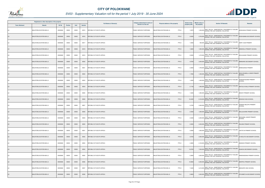

|                       | Registered or other description of the property |          |                |       |                | <b>Full Names of Owner(s)</b> | Category determined in terms of | Physical address of the property             | <b>Extent of the</b> | Market value of | <b>Section 78 Remarks</b>                                                                                              | <b>Remarks</b>                             |
|-----------------------|-------------------------------------------------|----------|----------------|-------|----------------|-------------------------------|---------------------------------|----------------------------------------------|----------------------|-----------------|------------------------------------------------------------------------------------------------------------------------|--------------------------------------------|
| <b>Town Allotment</b> | <b>Suburb</b>                                   | Erf Nr   | <b>Portion</b> | Unit  | <b>Section</b> |                               | Section 8 of the Act            |                                              | property (HA)        | the property    |                                                                                                                        |                                            |
|                       | MALIETZIELOCATION 606 LS                        | 00000606 | 00000          | 00000 | M015           | REPUBLIC OF SOUTH AFRICA      | PUBLIC SERVICE PURPOSES         | PTN 0<br>MALIETZIELOCATION 606 LS            | 1.0070               |                 | SECT 78(1)(e) - SUBSTANTIALLY INCORRECTLY VALUED<br>1,200,000 DURING THE LAST GENERAL VALUATION                        | MOSHASHA PRIMARY SCHOOL                    |
|                       | MALIETZIELOCATION 606 LS                        | 00000606 | 00000          | 00000 | M016           | REPUBLIC OF SOUTH AFRICA      | PUBLIC SERVICE PURPOSES         | PTN 0<br>MALIETZIELOCATION 606 LS            | 2.6300               | 2,700,000       | SECT 78(1)(e) - SUBSTANTIALLY INCORRECTLY VALUED<br>DURING THE LAST GENERAL VALUATION                                  | MOSHUBABA SECONDARY SCHOOL                 |
|                       | MALIETZIELOCATION 606 LS                        | 00000606 | 00000          | 00000 | M017           | REPUBLIC OF SOUTH AFRICA      | PUBLIC SERVICE PURPOSES         | MALIETZIELOCATION 606 LS<br>PTN 0            | 1.0000               | 930,000         | SECT 78(1)(e) - SUBSTANTIALLY INCORRECTLY VALUED<br>DURING THE LAST GENERAL VALUATION                                  | NAPE TLADI PRIMARY                         |
|                       | MALIETZIELOCATION 606 LS                        | 00000606 | 00000          | 00000 | M018           | REPUBLIC OF SOUTH AFRICA      | PUBLIC SERVICE PURPOSES         | MALIETZIELOCATION 606 LS<br>PTN <sub>0</sub> | 1.6600               |                 | SECT 78(1)(e) - SUBSTANTIALLY INCORRECTLY VALUED<br>1,900,000 DURING THE LAST GENERAL VALUATION                        | <b>SEBOKELA PRIMARY SCHOOL</b>             |
|                       | MALIETZIELOCATION 606 LS                        | 00000606 | 00000          | 00000 | M019           | REPUBLIC OF SOUTH AFRICA      | PUBLIC SERVICE PURPOSES         | PTN 0<br>MALIETZIELOCATION 606 LS            | 0.8300               | 1,470,000       | SECT 78(1)(e) - SUBSTANTIALLY INCORRECTLY VALUED<br>DURING THE LAST GENERAL VALUATION                                  | SEHLAGANE PRIMARY SCHOOL                   |
|                       | MALIETZIELOCATION 606 LS                        | 00000606 | 00000          | 00000 | M020           | REPUBLIC OF SOUTH AFRICA      | PUBLIC SERVICE PURPOSES         | PTN 0<br>MALIETZIELOCATION 606 LS            | 4.9700               |                 | SECT 78(1)(e) - SUBSTANTIALLY INCORRECTLY VALUED<br>3,400,000 DURING THE LAST GENERAL VALUATION                        | MMANARE SECONDARY SCHOOL                   |
|                       | MALIETZIELOCATION 606 LS                        | 00000606 | 00000          | 00000 | M021           | REPUBLIC OF SOUTH AFRICA      | PUBLIC SERVICE PURPOSES         | MALIETZIELOCATION 606 LS<br>PTN 0            | 2.2600               |                 | SECT 78(1)(e) - SUBSTANTIALLY INCORRECTLY VALUED<br>1,700,000 DURING THE LAST GENERAL VALUATION                        | MANKGAKISA PRIMARY                         |
|                       | MALIETZIELOCATION 606 LS                        | 00000606 | 00000          | 00000 | M022           | REPUBLIC OF SOUTH AFRICA      | PUBLIC SERVICE PURPOSES         | PTN 0<br>MALIETZIELOCATION 606 LS            | 1.7900               | 1,300,000       | SECT 78(1)(e) - SUBSTANTIALLY INCORRECTLY VALUED<br>DURING THE LAST GENERAL VALUATION                                  | MAHLODUMELA LOWER PRIMARY<br><b>SCHOOL</b> |
|                       | MALIETZIELOCATION 606 LS                        | 00000606 | 00000          | 00000 | M023           | REPUBLIC OF SOUTH AFRICA      | PUBLIC SERVICE PURPOSES         | PTN 0<br>MALIETZIELOCATION 606 LS            | 1.4500               |                 | SECT 78(1)(e) - SUBSTANTIALLY INCORRECTLY VALUED<br>1,400,000 DURING THE LAST GENERAL VALUATION                        | <b>HOSEANTSOANE PRIMARY</b><br>SCHOOL      |
|                       | MALIETZIELOCATION 606 LS                        | 00000606 | 00000          | 00000 | M024           | REPUBLIC OF SOUTH AFRICA      | PUBLIC SERVICE PURPOSES         | MALIETZIELOCATION 606 LS<br>PTN <sub>0</sub> | 2.7100               |                 | SECT 78(1)(e) - SUBSTANTIALLY INCORRECTLY VALUED<br>1,900,000 BLOT TOLLING THE LAST GENERAL VALUATION                  | MATOLO KHALO PRIMARY SCHOOL                |
|                       | MALIETZIELOCATION 606 LS                        | 00000606 | 00000          | 00000 | M025           | REPUBLIC OF SOUTH AFRICA      | PUBLIC SERVICE PURPOSES         | PTN 0<br>MALIETZIELOCATION 606 LS            | 1.5200               | 1,900,000       | SECT 78(1)(e) - SUBSTANTIALLY INCORRECTLY VALUED<br>DURING THE LAST GENERAL VALUATION                                  | MOKATI PRIMARY SCHOOL                      |
|                       | MALIETZIELOCATION 606 LS                        | 00000606 | 00000          | 00000 | M026           | REPUBLIC OF SOUTH AFRICA      | PUBLIC SERVICE PURPOSES         | PTN 0<br>MALIETZIELOCATION 606 LS            | 16.2400              |                 | SECT 78(1)(e) - SUBSTANTIALLY INCORRECTLY VALUED<br>8,100,000 DURING THE LAST GENERAL VALUATION                        | SESHIGO HIGH SCHOOL                        |
|                       | MALIETZIELOCATION 606 LS                        | 00000606 | 00000          | 00000 | M027           | REPUBLIC OF SOUTH AFRICA      | PUBLIC SERVICE PURPOSES         | PTN 0<br>MALIETZIELOCATION 606 LS            | 5.3700               |                 | SECT 78(1)(e) - SUBSTANTIALLY INCORRECTLY VALUED<br>3,300,000 DURING THE LAST GENERAL VALUATION                        | KOMAPE MOLAPO PRIMARY<br>SCHOOL            |
| <b>LS</b>             | MALIETZIELOCATION 606 LS                        | 00000606 | 00000          | 00000 | M028           | REPUBLIC OF SOUTH AFRICA      | PUBLIC SERVICE PURPOSES         | MALIETZIELOCATION 606 LS<br>PTN 0            | 2.4500               | 1,600,000       | SECT 78(1)(e) - SUBSTANTIALLY INCORRECTLY VALUED<br>DURING THE LAST GENERAL VALUATION                                  | MOLALAHARE PRIMARY SCHOOL                  |
|                       | MALIETZIELOCATION 606 LS                        | 00000606 | 00000          | 00000 | M029           | REPUBLIC OF SOUTH AFRICA      | PUBLIC SERVICE PURPOSES         | MALIETZIELOCATION 606 LS<br>PTN 0            | 2.5300               |                 | SECT 78(1)(e) - SUBSTANTIALLY INCORRECTLY VALUED MOKGOBA JUNIOR PRIMARY<br>2,300,000 DURING THE LAST GENERAL VALUATION | <b>SCHOOL</b>                              |
| <b>LS</b>             | MALIETZIELOCATION 606 LS                        | 00000606 | 00000          | 00000 | M030           | REPUBLIC OF SOUTH AFRICA      | PUBLIC SERVICE PURPOSES         | PTN 0<br>MALIETZIELOCATION 606 LS            | 2.9300               |                 | SECT 78(1)(e) - SUBSTANTIALLY INCORRECTLY VALUED<br>2,200,000 DURING THE LAST GENERAL VALUATION                        | RALEMA PRIMARY SCHOOL                      |
| LS                    | MALIETZIELOCATION 606 LS                        | 00000606 | 00000          | 00000 | M031           | REPUBLIC OF SOUTH AFRICA      | PUBLIC SERVICE PURPOSES         | PTN 0<br>MALIETZIELOCATION 606 LS            | 3.2900               |                 | SECT 78(1)(e) - SUBSTANTIALLY INCORRECTLY VALUED<br>1,600,000 DURING THE LAST GENERAL VALUATION                        | LEETETJA PRIMARY SCHOOL                    |
| <b>LS</b>             | MALIETZIELOCATION 606 LS                        | 00000606 | 00000          | 00000 | M032           | REPUBLIC OF SOUTH AFRICA      | PUBLIC SERVICE PURPOSES         | PTN 0<br>MALIETZIELOCATION 606 LS            | 4.8700               |                 | SECT 78(1)(e) - SUBSTANTIALLY INCORRECTLY VALUED<br>2,900,000 DURING THE LAST GENERAL VALUATION                        | H MOLOTO SECONDARY SCHOOL                  |
| LS                    | MALIETZIELOCATION 606 LS                        | 00000606 | 00000          | 00000 | M033           | REPUBLIC OF SOUTH AFRICA      | PUBLIC SERVICE PURPOSES         | PTN 0<br>MALIETZIELOCATION 606 LS            | 4.3800               |                 | SECT 78(1)(e) - SUBSTANTIALLY INCORRECTLY VALUED<br>2,100,000 DURING THE LAST GENERAL VALUATION                        | <b>NGWAKO PRIMARY SCHOOL</b>               |
| <b>LS</b>             | MALIETZIELOCATION 606 LS                        | 00000606 | 00000          | 00000 | M034           | REPUBLIC OF SOUTH AFRICA      | PUBLIC SERVICE PURPOSES         | PTN 0<br>MALIETZIELOCATION 606 LS            | 13.8700              | 7,500,000       | SECT 78(1)(e) - SUBSTANTIALLY INCORRECTLY VALUED<br>DURING THE LAST GENERAL VALUATION                                  | KGAKOA SECONDARY SCHOOL                    |
| LS                    | MALIETZIELOCATION 606 LS                        | 00000606 | 00000          | 00000 | M035           | REPUBLIC OF SOUTH AFRICA      | PUBLIC SERVICE PURPOSES         | MALIETZIELOCATION 606 LS<br>PTN 0            | 5.2800               |                 | SECT 78(1)(e) - SUBSTANTIALLY INCORRECTLY VALUED<br>3,200,000 DURING THE LAST GENERAL VALUATION                        | RAMONGWANA PRIMARY SCHOOL                  |
|                       | MALIETZIELOCATION 606 LS                        | 00000606 | 00000          | 00000 | M036           | REPUBLIC OF SOUTH AFRICA      | PUBLIC SERVICE PURPOSES         | PTN 0<br>MALIETZIELOCATION 606 LS            | 10.8900              | 5,000,000       | SECT 78(1)(e) - SUBSTANTIALLY INCORRECTLY VALUED<br>DURING THE LAST GENERAL VALUATION                                  | MARIPHU PRIMARY SCHOOL                     |
| LS                    | MALIETZIELOCATION 606 LS                        | 00000606 | 00000          | 00000 | M037           | REPUBLIC OF SOUTH AFRICA      | PUBLIC SERVICE PURPOSES         | PTN 0<br>MALIETZIELOCATION 606 LS            | 7.4400               | 4,410,000       | SECT 78(1)(e) - SUBSTANTIALLY INCORRECTLY VALUED<br>DURING THE LAST GENERAL VALUATION                                  | MAKGOFE HIGH SCHOOL                        |
|                       | MALIETZIELOCATION 606 LS                        | 00000606 | 00000          | 00000 | M038           | REPUBLIC OF SOUTH AFRICA      | PUBLIC SERVICE PURPOSES         | PTN 0<br>MALIETZIELOCATION 606 LS            | 5.9600               | 3,300,000       | SECT 78(1)(e) - SUBSTANTIALLY INCORRECTLY VALUED<br>DURING THE LAST GENERAL VALUATION                                  | OR MABOTJA SECONDARY SCHOOL                |

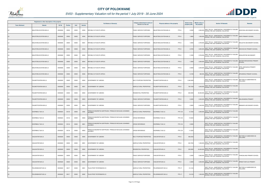

|                       | Registered or other description of the property |               |                |       |                | <b>Full Names of Owner(s)</b>                                               | Category determined in terms of | Physical address of the property                | <b>Extent of the</b> | <b>Market value of</b> | <b>Section 78 Remarks</b>                                                                          | <b>Remarks</b>                             |
|-----------------------|-------------------------------------------------|---------------|----------------|-------|----------------|-----------------------------------------------------------------------------|---------------------------------|-------------------------------------------------|----------------------|------------------------|----------------------------------------------------------------------------------------------------|--------------------------------------------|
| <b>Town Allotment</b> | <b>Suburb</b>                                   | <b>Erf Nr</b> | <b>Portion</b> | Unit  | <b>Section</b> |                                                                             | Section 8 of the Act            |                                                 | property (HA)        | the property           |                                                                                                    |                                            |
|                       | MALIETZIELOCATION 606 LS                        | 00000606      | 00000          | 00000 | M039           | REPUBLIC OF SOUTH AFRICA                                                    | PUBLIC SERVICE PURPOSES         | PTN 0<br>MALIETZIELOCATION 606 LS               | 3.5300               |                        | 2,900,000 SECT 78(1)(e) - SUBSTANTIALLY INCORRECTLY VALUED<br>DURING THE LAST GENERAL VALUATION    | MONYONG SECONDARY SCHOOL                   |
|                       | MALIETZIELOCATION 606 LS                        | 00000606      | 00000          | 00000 | M040           | <b>REPUBLIC OF SOUTH AFRICA</b>                                             | PUBLIC SERVICE PURPOSES         | MALIETZIELOCATION 606 LS<br>PTN 0               | 1.8900               | 1,500,000              | SECT 78(1)(e) - SUBSTANTIALLY INCORRECTLY VALUED<br>DURING THE LAST GENERAL VALUATION              | NAPE PRIMARY SCHOOL                        |
|                       | MALIETZIELOCATION 606 LS                        | 00000606      | 00000          | 00000 | M041           | REPUBLIC OF SOUTH AFRICA                                                    | PUBLIC SERVICE PURPOSES         | <b><i>MALIETZIELOCATION 606 LS</i></b><br>PTN 0 | 1.8500               |                        | SECT 78(1)(e) - SUBSTANTIALLY INCORRECTLY VALUED<br>2,700,000 DURING THE LAST GENERAL VALUATION    | MOLAUTSI SECONDARY SCHOOL                  |
|                       | MALIETZIELOCATION 606 LS                        | 00000606      | 00000          | 00000 | M042           | REPUBLIC OF SOUTH AFRICA                                                    | PUBLIC SERVICE PURPOSES         | PTN <sub>0</sub><br>MALIETZIELOCATION 606 LS    | 2.9700               |                        | SECT 78(1)(e) - SUBSTANTIALLY INCORRECTLY VALUED<br>2,800,000 DURING THE LAST GENERAL VALUATION    | MOCHOCHO PRIMARY SCHOOL                    |
| LS                    | MALIETZIELOCATION 606 LS                        | 00000606      | 00000          | 00000 | M043           | REPUBLIC OF SOUTH AFRICA                                                    | PUBLIC SERVICE PURPOSES         | PTN 0<br>MALIETZIELOCATION 606 LS               | 3.1800               |                        | SECT 78(1)(e) - SUBSTANTIALLY INCORRECTLY VALUED<br>3,700,000 DURING THE LAST GENERAL VALUATION    | MOHLAPETSE SECONDARY                       |
|                       | MALIETZIELOCATION 606 LS                        | 00000606      | 00000          | 00000 | M044           | REPUBLIC OF SOUTH AFRICA                                                    | PUBLIC SERVICE PURPOSES         | MALIETZIELOCATION 606 LS<br>PTN 0               | 1.3500               |                        | SECT 78(1)(e) - SUBSTANTIALLY INCORRECTLY VALUED<br>2,000,000 DURING THE LAST GENERAL VALUATION    | MATSIRI MOKGOKONG PRIMARY<br><b>SCHOOL</b> |
|                       | MALIETZIELOCATION 606 LS                        | 00000606      | 00000          | 00000 | M045           | REPUBLIC OF SOUTH AFRICA                                                    | PUBLIC SERVICE PURPOSES         | MALIETZIELOCATION 606 LS<br>PTN 0               | 2.5600               | 3,400,000              | SECT 78(1)(e) - SUBSTANTIALLY INCORRECTLY VALUED<br>DURING THE LAST GENERAL VALUATION              | APRIL MAKGAKGA PRIMARY<br><b>SCHOOL</b>    |
| LS                    | MALIETZIELOCATION 606 LS                        | 00000606      | 00000          | 00000 | M046           | REPUBLIC OF SOUTH AFRICA                                                    | PUBLIC SERVICE PURPOSES         | PTN 0<br>MALIETZIELOCATION 606 LS               | 0.3108               |                        | SECT 78(1)(e) - SUBSTANTIALLY INCORRECTLY VALUED<br>680,000 DURING THE LAST GENERAL VALUATION      | MPHARENG PRIMARY SCHOOL                    |
|                       | PALMIETFONTEIN 609 LS                           | 00000609      | 00000          | 00000 | M000           | <b>GOVERNMENT OF LEBOWA</b>                                                 | MULTI PURPOSE PROPERTIES        | PTN 0<br>PALMIETFONTEIN 609 LS                  | 1,546.9439           |                        | SECT 78(1)(e) - SUBSTANTIALLY INCORRECTLY VALUED<br>DURING THE LAST GENERAL VALUATION              | SECTION 9.2 SUBDIVIDED AS<br>FOLLOWS:      |
|                       | PALMIETFONTEIN 609 LS                           | 00000609      | 00000          | 00000 | M001           | GOVERNMENT OF LEBOWA                                                        | AGRICULTURAL PROPERTIES         | PTN 0<br>PALMIETFONTEIN 609 LS                  | 700.7239             |                        | SECT 78(1)(e) - SUBSTANTIALLY INCORRECTLY VALUED<br>4,200,000 DURING THE LAST GENERAL VALUATION    |                                            |
|                       | PALMIETFONTEIN 609 LS                           | 00000609      | 00000          | 00000 | M002           | GOVERNMENT OF LEBOWA                                                        | <b>RESIDENTIAL PROPERTIES</b>   | PTN 0<br>PALMIETFONTEIN 609 LS                  | 840.0000             |                        | 45,000,000 SECT 78(1)(e) - SUBSTANTIALLY INCORRECTLY VALUED<br>DURING THE LAST GENERAL VALUATION   |                                            |
|                       | PALMIETFONTEIN 609 LS                           | 00000609      | 00000          | 00000 | M003           | <b>GOVERNMENT OF LEBOWA</b>                                                 | PUBLIC SERVICE PURPOSES         | PTN 0<br>PALMIETFONTEIN 609 LS                  | 3.3200               |                        | SECT 78(1)(e) - SUBSTANTIALLY INCORRECTLY VALUED<br>3,300,000 BUT YOURS THE LAST GENERAL VALUATION | MALOKANENG PRIMARY                         |
| LS                    | PALMIETFONTEIN 609 LS                           | 00000609      | 00000          | 00000 | M004           | GOVERNMENT OF LEBOWA                                                        | PUBLIC SERVICE PURPOSES         | PTN 0<br>PALMIETFONTEIN 609 LS                  | 2.9000               |                        | SECT 78(1)(e) - SUBSTANTIALLY INCORRECTLY VALUED<br>2,400,000 DURING THE LAST GENERAL VALUATION    | MMAMAFA SECONDARY SCHOOL                   |
|                       | DOORNBULT 624 LS                                | 00000624      | 00134          | 00000 | 0000           | PRINSLOO MAGRIETHA GERTRUIDA / PRINSLOO NICOLAAS JOHANNES<br><b>JACOBUS</b> | AGRICULTURAL PROPERTIES         | <b>PTN 134</b><br>DOORNBULT 624 LS              | 12.7224              |                        | SECT 78(1)(e) - SUBSTANTIALLY INCORRECTLY VALUED<br>2,000,000 DURING THE LAST GENERAL VALUATION    |                                            |
|                       | DOORNBULT 624 LS                                | 00000624      | 00134          | 00000 | M000           | PRINSLOO MAGRIETHA GERTRUIDA / PRINSLOO NICOLAAS JOHANNES<br><b>JACOBUS</b> | CROSS REFERENCE                 | <b>PTN 134</b><br>DOORNBULT 624 LS              | 13.0224              |                        | SECT 78(1)(e) - SUBSTANTIALLY INCORRECTLY VALUED<br>DURING THE LAST GENERAL VALUATION              |                                            |
| <b>LS</b>             | DOORNBULT 624 LS                                | 00000624      | 00134          | 00000 | M001           | PRINSLOO MAGRIETHA GERTRUIDA / PRINSLOO NICOLAAS JOHANNES<br><b>JACOBUS</b> | <b>CROSS REFERENCE</b>          | <b>PTN 134</b><br>DOORNBULT 624 LS              | 2.0000               |                        | SECT 78(1)(e) - SUBSTANTIALLY INCORRECTLY VALUED<br>DURING THE LAST GENERAL VALUATION              |                                            |
| LS                    | DOORNBULT 624 LS                                | 00000624      | 00134          | 00000 | M002           | PRINSLOO MAGRIETHA GERTRUIDA / PRINSLOO NICOLAAS JOHANNES<br><b>JACOBUS</b> | CROSS REFERENCE                 | <b>PTN 134</b><br>DOORNBULT 624 LS              | 11.0224              |                        | SECT 78(1)(e) - SUBSTANTIALLY INCORRECTLY VALUED<br>DURING THE LAST GENERAL VALUATION              |                                            |
| <b>LS</b>             | VAALWATER 629 LS                                | 00000629      | 00000          | 00000 | M000           | <b>GOVERNMENT OF LEBOWA</b>                                                 | MULTI PURPOSE PROPERTIES        | PTN 0<br>VAALWATER 629 LS                       | 469.2353             |                        | SECT 78(1)(e) - SUBSTANTIALLY INCORRECTLY VALUED<br>DURING THE LAST GENERAL VALUATION              | SECTION 9.2 SUBDIVIDED AS<br>FOLLOWS:      |
| LS                    | VAALWATER 629 LS                                | 00000629      | 00000          | 00000 | M001           | GOVERNMENT OF LEBOWA                                                        | AGRICULTURAL PROPERTIES         | PTN 0<br>/AALWATER 629 LS                       | 234.7553             |                        | SECT 78(1)(e) - SUBSTANTIALLY INCORRECTLY VALUED<br>1,400,000 DURING THE LAST GENERAL VALUATION    |                                            |
| <b>LS</b>             | /AALWATER 629 LS                                | 00000629      | 00000          | 00000 | M002           | GOVERNMENT OF LEBOWA                                                        | RESIDENTIAL PROPERTIES          | PTN 0<br>VAALWATER 629 LS                       | 230.0000             |                        | SECT 78(1)(e) - SUBSTANTIALLY INCORRECTLY VALUED<br>24,000,000 DURING THE LAST GENERAL VALUATION   |                                            |
| LS                    | VAALWATER 629 LS                                | 00000629      | 00000          | 00000 | M003           | GOVERNMENT OF LEBOWA                                                        | PUBLIC SERVICE PURPOSES         | PTN 0<br>VAALWATER 629 LS                       | 2.2000               | 2,900,000              | SECT 78(1)(e) - SUBSTANTIALLY INCORRECTLY VALUED<br>DURING THE LAST GENERAL VALUATION              | THAKGALANG PRIMARY SCHOOL                  |
| <b>LS</b>             | VAALWATER 629 LS                                | 00000629      | 00000          | 00000 | M004           | <b>GOVERNMENT OF LEBOWA</b>                                                 | PUBLIC SERVICE PURPOSES         | PTN 0<br>VAALWATER 629 LS                       | 2.2800               |                        | SECT 78(1)(e) - SUBSTANTIALLY INCORRECTLY VALUED<br>3,000,000 DURING THE LAST GENERAL VALUATION    | ERNEST MATLOU PRIMARY                      |
| LS                    | PELGRIMSHOOP 630 LS                             | 00000630      | 00017          | 00000 | M001           | TALAS PROP PIETERSBURG CC                                                   | AGRICULTURAL PROPERTIES         | <b>PTN 17</b><br>PELGRIMSHOOP 630 LS            | 21.4133              |                        | SECT 78(1)(e) - SUBSTANTIALLY INCORRECTLY VALUED<br>DURING THE LAST GENERAL VALUATION              | SECTION 9.2 SUBDIVIDED AS<br>FOLLOWS:      |
| <b>LS</b>             | PELGRIMSHOOP 630 LS                             | 00000630      | 00017          | 00000 | M002           | TALAS PROP PIETERSBURG CC                                                   | AGRICULTURAL PROPERTIES         | PELGRIMSHOOP 630 LS<br><b>PTN 17</b>            | 19.3133              | 1,500,000              | SECT 78(1)(e) - SUBSTANTIALLY INCORRECTLY VALUED<br>DURING THE LAST GENERAL VALUATION              |                                            |

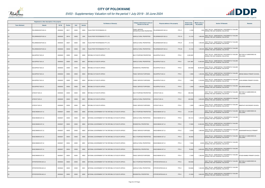

|                       | Registered or other description of the property |          |                |       |                | <b>Full Names of Owner(s)</b>                       | Category determined in terms of                    | Physical address of the property      | <b>Extent of the</b> | Market value of | <b>Section 78 Remarks</b>                                                                           | <b>Remarks</b>                        |
|-----------------------|-------------------------------------------------|----------|----------------|-------|----------------|-----------------------------------------------------|----------------------------------------------------|---------------------------------------|----------------------|-----------------|-----------------------------------------------------------------------------------------------------|---------------------------------------|
| <b>Town Allotment</b> | <b>Suburb</b>                                   | Erf Nr   | <b>Portion</b> | Unit  | <b>Section</b> |                                                     | Section 8 of the Act                               |                                       | property (HA)        | the property    |                                                                                                     |                                       |
|                       | PELGRIMSHOOP 630 LS                             | 00000630 | 00017          | 00000 | M003           | TALAS PROP PIETERSBURG CC                           | PUBLIC SERVICE<br><b>INFRASTRUCTURE PROPERTIES</b> | <b>PTN 17</b><br>PELGRIMSHOOP 630 LS  | 2.1000               | 1,000           | SECT 78(1)(e) - SUBSTANTIALLY INCORRECTLY VALUED<br>DURING THE LAST GENERAL VALUATION               |                                       |
|                       | PELGRIMSHOOP 630 LS                             | 00000630 | 00018          | 00000 | 0000           | TALAS PROP PIETERSBURG PTY LTD                      | AGRICULTURAL PROPERTIES                            | PELGRIMSHOOP 630 LS<br><b>PTN 18</b>  | 21.4133              | 1,800,000       | SECT 78(1)(e) - SUBSTANTIALLY INCORRECTLY VALUED<br>DURING THE LAST GENERAL VALUATION               |                                       |
| LS                    | PELGRIMSHOOP 630 LS                             | 00000630 | 00037          | 00000 | 0000           | TALAS PROP PIETERSBURG PTY LTD                      | AGRICULTURAL PROPERTIES                            | PELGRIMSHOOP 630 LS<br><b>PTN 37</b>  | 21.4133              |                 | SECT 78(1)(e) - SUBSTANTIALLY INCORRECTLY VALUED<br>1,000,000 DURING THE LAST GENERAL VALUATION     |                                       |
| <b>LS</b>             | PELGRIMSHOOP 630 LS                             | 00000630 | 00038          | 00000 | 0000           | TALAS PROP PIETERSBURG PTY LTD                      | AGRICULTURAL PROPERTIES                            | PELGRIMSHOOP 630 LS<br><b>PTN 38</b>  | 21.4133              |                 | SECT 78(1)(e) - SUBSTANTIALLY INCORRECTLY VALUED<br>1,000,000 DURING THE LAST GENERAL VALUATION     |                                       |
| LS.                   | KALKSPRUIT 633 LS                               | 00000633 | 00000          | 00000 | M000           | REPUBLIC OF SOUTH AFRICA                            | MULTI PURPOSE PROPERTIES                           | KALKSPRUIT 633 LS<br>PTN 0            | 2,309.3587           |                 | SECT 78(1)(e) - SUBSTANTIALLY INCORRECTLY VALUED<br>DURING THE LAST GENERAL VALUATION               | SECTION 9.2 SUBDIVIDED AS<br>FOLLOWS: |
| <b>LS</b>             | KALKSPRUIT 633 LS                               | 00000633 | 00000          | 00000 | M001           | <b>REPUBLIC OF SOUTH AFRICA</b>                     | AGRICULTURAL PROPERTIES                            | PTN <sub>0</sub><br>KALKSPRUIT 633 LS | 1,901.3687           |                 | SECT 78(1)(e) - SUBSTANTIALLY INCORRECTLY VALUED<br>13,300,000 DURING THE LAST GENERAL VALUATION    |                                       |
| LS                    | KALKSPRUIT 633 LS                               | 00000633 | 00000          | 00000 | M002           | REPUBLIC OF SOUTH AFRICA                            | RESIDENTIAL PROPERTIES                             | PTN <sub>0</sub><br>KALKSPRUIT 633 LS | 403.5000             |                 | SECT 78(1)(e) - SUBSTANTIALLY INCORRECTLY VALUED<br>36,000,000 DURING THE LAST GENERAL VALUATION    |                                       |
| <b>LS</b>             | KALKSPRUIT 633 LS                               | 00000633 | 00000          | 00000 | M003           | REPUBLIC OF SOUTH AFRICA                            | PUBLIC SERVICE PURPOSES                            | KALKSPRUIT 633 LS<br>PTN 0            | 1.0500               |                 | SECT 78(1)(e) - SUBSTANTIALLY INCORRECTLY VALUED<br>1,200,000 DURING THE LAST GENERAL VALUATION     | ABRAM SIBASA PRIMARY SCHOOL           |
| LS.                   | KALKSPRUIT 633 LS                               | 00000633 | 00000          | 00000 | M004           | REPUBLIC OF SOUTH AFRICA                            | PUBLIC SERVICE PURPOSES                            | PTN 0<br>KALKSPRUIT 633 LS            | 1.9000               |                 | SECT 78(1)(e) - SUBSTANTIALLY INCORRECTLY VALUED<br>2,100,000 DURING THE LAST GENERAL VALUATION     | JOHN NRIMBA PRIMARY SCHOOL            |
| <b>LS</b>             | KALKSPRUIT 633 LS                               | 00000633 | 00000          | 00000 | M005           | REPUBLIC OF SOUTH AFRICA                            | PUBLIC SERVICE PURPOSES                            | KALKSPRUIT 633 LS<br>PTN <sub>0</sub> | 1.5400               |                 | SECT 78(1)(e) - SUBSTANTIALLY INCORRECTLY VALUED<br>1,300,000 BLOT TOURS THE LAST GENERAL VALUATION | SOLOMON MARABA                        |
| LS                    | UITZICHT 635 LS                                 | 00000635 | 00000          | 00000 | M000           | REPUBLIC OF SOUTH AFRICA                            | MULTI PURPOSE PROPERTIES                           | UITZICHT 635 LS<br>PTN 0              | 495.2026             |                 | SECT 78(1)(e) - SUBSTANTIALLY INCORRECTLY VALUED<br>DURING THE LAST GENERAL VALUATION               | SECTION 9.2 SUBDIVIDED AS<br>FOLLOWS: |
| <b>LS</b>             | UITZICHT 635 LS                                 | 00000635 | 00000          | 00000 | M001           | REPUBLIC OF SOUTH AFRICA                            | <b>AGRICULTURAL PROPERTIES</b>                     | PTN <sub>0</sub><br>ITZICHT 635 LS    | 494.0026             |                 | SECT 78(1)(e) - SUBSTANTIALLY INCORRECTLY VALUED<br>3,000,000 DURING THE LAST GENERAL VALUATION     |                                       |
| LS                    | UITZICHT 635 LS                                 | 00000635 | 00000          | 00000 | M002           | REPUBLIC OF SOUTH AFRICA                            | PUBLIC SERVICE PURPOSES                            | JITZICHT 635 LS<br>PTN 0              | 1.2000               |                 | SECT 78(1)(e) - SUBSTANTIALLY INCORRECTLY VALUED<br>1,800,000 DURING THE LAST GENERAL VALUATION     | MMAPHUTI SECONDARY SCHOOL             |
| LS                    | WASCHBANK 637 LS                                | 00000637 | 00000          | 00000 | M000           | NATIONAL GOVERNMENT OF THE REPUBLIC OF SOUTH AFRICA | MULTI PURPOSE PROPERTIES                           | WASCHBANK 637 LS<br>PTN 0             | 212.3914             |                 | SECT 78(1)(e) - SUBSTANTIALLY INCORRECTLY VALUED<br>DURING THE LAST GENERAL VALUATION               | SECTION 9.2 SUBDIVIDED AS<br>FOLLOWS: |
| LS                    | WASCHBANK 637 LS                                | 00000637 | 00000          | 00000 | M001           | NATIONAL GOVERNMENT OF THE REPUBLIC OF SOUTH AFRICA | AGRICULTURAL PROPERTIES                            | WASCHBANK 637 LS<br>PTN 0             | 193.1414             |                 | SECT 78(1)(e) - SUBSTANTIALLY INCORRECTLY VALUED<br>1,200,000 DURING THE LAST GENERAL VALUATION     |                                       |
| <b>LS</b>             | WASCHBANK 637 LS                                | 00000637 | 00000          | 00000 | M002           | NATIONAL GOVERNMENT OF THE REPUBLIC OF SOUTH AFRICA | RESIDENTIAL PROPERTIES                             | PTN 0<br>WASCHBANK 637 LS             | 17.0000              | 12,000,000      | SECT 78(1)(e) - SUBSTANTIALLY INCORRECTLY VALUED<br>DURING THE LAST GENERAL VALUATION               |                                       |
| LS                    | WASCHBANK 637 LS                                | 00000637 | 00000          | 00000 | M003           | NATIONAL GOVERNMENT OF THE REPUBLIC OF SOUTH AFRICA | PUBLIC SERVICE PURPOSES                            | PTN 0<br>WASCHBANK 637 LS             | 2.2500               |                 | SECT 78(1)(e) - SUBSTANTIALLY INCORRECTLY VALUED<br>1,800,000 DURING THE LAST GENERAL VALUATION     | NGWANAMPHAHLELE PRIMARY               |
| <b>LS</b>             | WASCHBANK 637 LS                                | 00000637 | 00004          | 00000 | M000           | NATIONAL GOVERNMENT OF THE REPUBLIC OF SOUTH AFRICA | MULTI PURPOSE PROPERTIES                           | WASCHBANK 637 LS<br>PTN 4             | 85.6532              |                 | SECT 78(1)(e) - SUBSTANTIALLY INCORRECTLY VALUED<br>DURING THE LAST GENERAL VALUATION               | SECTION 9.2 SUBDIVIDED AS<br>FOLLOWS: |
| LS                    | WASCHBANK 637 LS                                | 00000637 | 00004          | 00000 | M001           | NATIONAL GOVERNMENT OF THE REPUBLIC OF SOUTH AFRICA | AGRICULTURAL PROPERTIES                            | PTN <sub>4</sub><br>WASCHBANK 637 LS  | 7.4932               |                 | SECT 78(1)(e) - SUBSTANTIALLY INCORRECTLY VALUED<br>40,000 DURING THE LAST GENERAL VALUATION        |                                       |
| <b>LS</b>             | WASCHBANK 637 LS                                | 00000637 | 00004          | 00000 | M002           | NATIONAL GOVERNMENT OF THE REPUBLIC OF SOUTH AFRICA | RESIDENTIAL PROPERTIES                             | PTN 4<br>WASCHBANK 637 LS             | 76.0000              | 9,000,000       | SECT 78(1)(e) - SUBSTANTIALLY INCORRECTLY VALUED<br>DURING THE LAST GENERAL VALUATION               |                                       |
| LS                    | WASCHBANK 637 LS                                | 00000637 | 00004          | 00000 | M003           | NATIONAL GOVERNMENT OF THE REPUBLIC OF SOUTH AFRICA | PUBLIC SERVICE PURPOSES                            | PTN 4<br>WASCHBANK 637 LS             | 2.1600               | 1,300,000       | SECT 78(1)(e) - SUBSTANTIALLY INCORRECTLY VALUED<br>DURING THE LAST GENERAL VALUATION               | NTSODI BAMBO PRIMARY SCHOOL           |
| <b>LS</b>             | STRYDFONTEIN 643 LS                             | 00000643 | 00000          | 00000 | M000           | NATIONAL GOVERNMENT OF THE REPUBLIC OF SOUTH AFRICA | MULTI PURPOSE PROPERTIES                           | STRYDFONTEIN 643 LS<br>PTN 0          | 168.6383             |                 | SECT 78(1)(e) - SUBSTANTIALLY INCORRECTLY VALUED<br>DURING THE LAST GENERAL VALUATION               | SECTION 9.2 SUBDIVIDED AS<br>FOLLOWS: |
| LS.                   | STRYDFONTEIN 643 LS                             | 00000643 | 00000          | 00000 | M001           | NATIONAL GOVERNMENT OF THE REPUBLIC OF SOUTH AFRICA | AGRICULTURAL PROPERTIES                            | PTN 0<br>STRYDFONTEIN 643 LS          | 145.6683             | 1,500,000       | SECT 78(1)(e) - SUBSTANTIALLY INCORRECTLY VALUED<br>DURING THE LAST GENERAL VALUATION               |                                       |
|                       | STRYDFONTEIN 643 LS                             | 00000643 | 00000          | 00000 | M002           | NATIONAL GOVERNMENT OF THE REPUBLIC OF SOUTH AFRICA | RESIDENTIAL PROPERTIES                             | PTN 0<br>STRYDFONTEIN 643 LS          | 21.0000              |                 | SECT 78(1)(e) - SUBSTANTIALLY INCORRECTLY VALUED<br>3,600,000 DURING THE LAST GENERAL VALUATION     |                                       |

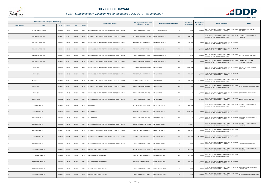

|                       | Registered or other description of the property |               |                |       |                | <b>Full Names of Owner(s)</b>                       | Category determined in terms of | Physical address of the property           | <b>Extent of the</b> | <b>Market value of</b> | <b>Section 78 Remarks</b>                                                                                              | Remarks                                      |
|-----------------------|-------------------------------------------------|---------------|----------------|-------|----------------|-----------------------------------------------------|---------------------------------|--------------------------------------------|----------------------|------------------------|------------------------------------------------------------------------------------------------------------------------|----------------------------------------------|
| <b>Town Allotment</b> | <b>Suburb</b>                                   | <b>Erf Nr</b> | <b>Portion</b> | Unit  | <b>Section</b> |                                                     | Section 8 of the Act            |                                            | property (HA)        | the property           |                                                                                                                        |                                              |
|                       | TRYDFONTEIN 643 LS                              | 00000643      | 00000          | 00000 | M003           | NATIONAL GOVERNMENT OF THE REPUBLIC OF SOUTH AFRICA | PUBLIC SERVICE PURPOSES         | PTN 0<br>TRYDFONTEIN 643 LS                | 1.9700               |                        | 1,600,000 SECT 78(1)(e) - SUBSTANTIALLY INCORRECTLY VALUED<br>DURING THE LAST GENERAL VALUATION                        | JONAS LESETJA LEDWABA<br>PRIMARY             |
|                       | 3ILLINGSGATE 651 LS                             | 00000651      | 00000          | 00000 | M000           | NATIONAL GOVERNMENT OF THE REPUBLIC OF SOUTH AFRICA | MULTI PURPOSE PROPERTIES        | PTN 0<br>BILLINGSGATE 651 LS               | 496.6190             |                        | SECT 78(1)(e) - SUBSTANTIALLY INCORRECTLY VALUED<br>DURING THE LAST GENERAL VALUATION                                  | SECTION 9.2 SUBDIVIDED AS<br><b>FOLLOWS:</b> |
|                       | BILLINGSGATE 651 LS                             | 00000651      | 00000          | 00000 | M001           | NATIONAL GOVERNMENT OF THE REPUBLIC OF SOUTH AFRICA | AGRICULTURAL PROPERTIES         | PTN 0<br>BILLINGSGATE 651 LS               | 402.2590             |                        | SECT 78(1)(e) - SUBSTANTIALLY INCORRECTLY VALUED<br>4,000,000 DURING THE LAST GENERAL VALUATION                        |                                              |
|                       | <b>BILLINGSGATE 651 LS</b>                      | 00000651      | 00000          | 00000 | M002           | NATIONAL GOVERNMENT OF THE REPUBLIC OF SOUTH AFRICA | <b>RESIDENTIAL PROPERTIES</b>   | BILLINGSGATE 651 LS<br>PTN 0               | 90.0000              |                        | SECT 78(1)(e) - SUBSTANTIALLY INCORRECTLY VALUED<br>15,000,000 DURING THE LAST GENERAL VALUATION                       |                                              |
|                       | BILLINGSGATE 651 LS                             | 00000651      | 00000          | 00000 | M003           | NATIONAL GOVERNMENT OF THE REPUBLIC OF SOUTH AFRICA | PUBLIC SERVICE PURPOSES         | PTN 0<br>BILLINGSGATE 651 LS               | 3.4100               | 2,000,000              | SECT 78(1)(e) - SUBSTANTIALLY INCORRECTLY VALUED<br>DURING THE LAST GENERAL VALUATION                                  | MATUMA PRIMARY SCHOOL                        |
|                       | <b>BILLINGSGATE 651 LS</b>                      | 00000651      | 00000          | 00000 | M004           | NATIONAL GOVERNMENT OF THE REPUBLIC OF SOUTH AFRICA | <b>PUBLIC SERVICE PURPOSES</b>  | PTN 0<br>BILLINGSGATE 651 LS               | 0.9500               |                        | SECT 78(1)(e) - SUBSTANTIALLY INCORRECTLY VALUED<br>1,280,000 DURING THE LAST GENERAL VALUATION                        | NGWANASEHLAKWANA<br>SECONDARY SCHOOL         |
|                       | VENUS 652 LS                                    | 00000652      | 00000          | 00000 | M000           | NATIONAL GOVERNMENT OF THE REPUBLIC OF SOUTH AFRICA | MULTI PURPOSE PROPERTIES        | PTN <sub>0</sub><br><b>ENUS 652 LS</b>     | 1,002.4979           |                        | SECT 78(1)(e) - SUBSTANTIALLY INCORRECTLY VALUED<br>DURING THE LAST GENERAL VALUATION                                  | SECTION 9.2 SUBDIVIDED AS<br>FOLLOWS:        |
|                       | VENUS 652 LS                                    | 00000652      | 00000          | 00000 | M001           | NATIONAL GOVERNMENT OF THE REPUBLIC OF SOUTH AFRICA | AGRICULTURAL PROPERTIES         | PTN 0<br>/ENUS 652 LS                      | 747.4679             |                        | SECT 78(1)(e) - SUBSTANTIALLY INCORRECTLY VALUED<br>7,500,000 DURING THE LAST GENERAL VALUATION                        |                                              |
|                       | VENUS 652 LS                                    | 00000652      | 00000          | 00000 | M002           | NATIONAL GOVERNMENT OF THE REPUBLIC OF SOUTH AFRICA | <b>RESIDENTIAL PROPERTIES</b>   | VENUS 652 LS<br>PTN 0                      | 250.0000             |                        | SECT 78(1)(e) - SUBSTANTIALLY INCORRECTLY VALUED<br>18,000,000 DURING THE LAST GENERAL VALUATION                       |                                              |
|                       | VENUS 652 LS                                    | 00000652      | 00000          | 00000 | M003           | NATIONAL GOVERNMENT OF THE REPUBLIC OF SOUTH AFRICA | PUBLIC SERVICE PURPOSES         | PTN <sub>0</sub><br><b>ENUS 652 LS</b>     | 1.1000               |                        | 2,400,000 SECT 78(1)(e) - SUBSTANTIALLY INCORRECTLY VALUED<br>DURING THE LAST GENERAL VALUATION                        | JAWEJAWE SECONDARY SCHOOL                    |
|                       | VENUS 652 LS                                    | 00000652      | 00000          | 00000 | M004           | NATIONAL GOVERNMENT OF THE REPUBLIC OF SOUTH AFRICA | PUBLIC SERVICE PURPOSES         | PTN 0<br>VENUS 652 LS                      | 1.6400               |                        | SECT 78(1)(e) - SUBSTANTIALLY INCORRECTLY VALUED<br>1,480,000 DURING THE LAST GENERAL VALUATION                        | SEHLARE PRIMARY SCHOOLL                      |
|                       | VENUS 652 LS                                    | 00000652      | 00000          | 00000 | M005           | NATIONAL GOVERNMENT OF THE REPUBLIC OF SOUTH AFRICA | PUBLIC SERVICE PURPOSES         | VENUS 652 LS<br>PTN 0                      | 2.2900               |                        | 1,610,000 SECT 78(1)(e) - SUBSTANTIALLY INCORRECTLY VALUED<br>DURING THE LAST GENERAL VALUATION                        | <b>VENUS PRIMARY SCHOOL</b>                  |
|                       | BERGZICHT 653 LS                                | 00000653      | 00000          | 00000 | M000           | MARABA TRIBE                                        | MULTI PURPOSE PROPERTIES        | PTN <sub>0</sub><br><b>ERGZICHT 653 LS</b> | 1,407.0294           |                        | SECT 78(1)(e) - SUBSTANTIALLY INCORRECTLY VALUED<br>DURING THE LAST GENERAL VALUATION                                  | SECTION 9.2 SUBDIVIDED AS<br>FOLLOWS:        |
|                       | BERGZICHT 653 LS                                | 00000653      | 00000          | 00000 | M001           | <b>MARABA TRIBE</b>                                 | AGRICULTURAL PROPERTIES         | PTN 0<br>BERGZICHT 653 LS                  | 1,405.4894           |                        | SECT 78(1)(e) - SUBSTANTIALLY INCORRECTLY VALUED<br>8,400,000 DURING THE LAST GENERAL VALUATION                        |                                              |
|                       | BERGZICHT 653 LS                                | 00000653      | 00000          | 00000 | M002           | <b>MARABA TRIBE</b>                                 | PUBLIC SERVICE PURPOSES         | BERGZICHT 653 LS<br>PTN 0                  | 1.5400               |                        | SECT 78(1)(e) - SUBSTANTIALLY INCORRECTLY VALUED SEKGOPETJANA SECONDARY<br>2,600,000 DURING THE LAST GENERAL VALUATION | <b>SCHOOL</b>                                |
| <b>LS</b>             | BERGZICHT 653 LS                                | 00000653      | 00001          | 00000 | M000           | NATIONAL GOVERNMENT OF THE REPUBLIC OF SOUTH AFRICA | <b>MULTI PURPOSE PROPERTIES</b> | BERGZICHT 653 LS<br>PTN <sub>1</sub>       | 1,113.4916           |                        | SECT 78(1)(e) - SUBSTANTIALLY INCORRECTLY VALUED<br>DURING THE LAST GENERAL VALUATION                                  | SECTION 9.2 SUBDIVIDED AS<br>FOLLOWS:        |
| LS                    | BERGZICHT 653 LS                                | 00000653      | 00001          | 00000 | M001           | NATIONAL GOVERNMENT OF THE REPUBLIC OF SOUTH AFRICA | AGRICULTURAL PROPERTIES         | PTN <sub>1</sub><br>BERGZICHT 653 LS       | 946.4916             | 9,500,000              | SECT 78(1)(e) - SUBSTANTIALLY INCORRECTLY VALUED<br>DURING THE LAST GENERAL VALUATION                                  |                                              |
| <b>LS</b>             | BERGZICHT 653 LS                                | 00000653      | 00001          | 00000 | M002           | NATIONAL GOVERNMENT OF THE REPUBLIC OF SOUTH AFRICA | RESIDENTIAL PROPERTIES          | PTN <sub>1</sub><br>BERGZICHT 653 LS       | 167.0000             |                        | SECT 78(1)(e) - SUBSTANTIALLY INCORRECTLY VALUED<br>30,000,000 DURING THE LAST GENERAL VALUATION                       |                                              |
| LS                    | BERGZICHT 653 LS                                | 00000653      | 00001          | 00000 | M003           | NATIONAL GOVERNMENT OF THE REPUBLIC OF SOUTH AFRICA | PUBLIC SERVICE PURPOSES         | PTN <sub>1</sub><br>BERGZICHT 653 LS       | 0.7800               |                        | SECT 78(1)(e) - SUBSTANTIALLY INCORRECTLY VALUED<br>970,000 DURING THE LAST GENERAL VALUATION                          | NNATILE PRIMARY SCHOOL                       |
| <b>LS</b>             | DOORNSPRUIT 655 LS                              | 00000655      | 00002          | 00000 | M000           | DOORNSPRUIT FARMERS TRUST                           | MULTI PURPOSE PROPERTIES        | PTN <sub>2</sub><br>DOORNSPRUIT 655 LS     | 1,212.5369           |                        | SECT 78(1)(e) - SUBSTANTIALLY INCORRECTLY VALUED<br>DURING THE LAST GENERAL VALUATION                                  | SECTION 9.2 SUBDIVIDED AS<br>FOLLOWS:        |
| LS                    | DOORNSPRUIT 655 LS                              | 00000655      | 00002          | 00000 | M001           | DOORNSPRUIT FARMERS TRUST                           | AGRICULTURAL PROPERTIES         | PTN <sub>2</sub><br>DOORNSPRUIT 655 LS     | 911.0869             | 5,500,000              | SECT 78(1)(e) - SUBSTANTIALLY INCORRECTLY VALUED<br>DURING THE LAST GENERAL VALUATION                                  |                                              |
| <b>LS</b>             | DOORNSPRUIT 655 LS                              | 00000655      | 00002          | 00000 | M002           | DOORNSPRUIT FARMERS TRUST                           | RESIDENTIAL PROPERTIES          | PTN <sub>2</sub><br>DOORNSPRUIT 655 LS     | 300.0000             |                        | SECT 78(1)(e) - SUBSTANTIALLY INCORRECTLY VALUED<br>1,500,000 DURING THE LAST GENERAL VALUATION                        |                                              |
| LS                    | DOORNSPRUIT 655 LS                              | 00000655      | 00002          | 00000 | M003           | DOORNSPRUIT FARMERS TRUST                           | PUBLIC SERVICE PURPOSES         | PTN <sub>2</sub><br>DOORNSPRUIT 655 LS     | 0.5000               | 730,000                | SECT 78(1)(e) - SUBSTANTIALLY INCORRECTLY VALUED<br>DURING THE LAST GENERAL VALUATION                                  | JONAS MANTJIU COMMERCIAL<br>HIGH SCHOOL      |
|                       | DOORNSPRUIT 655 LS                              | 00000655      | 00002          | 00000 | M004           | DOORNSPRUIT FARMERS TRUST                           | PUBLIC SERVICE PURPOSES         | PTN <sub>2</sub><br>DOORNSPRUIT 655 LS     | 0.9500               | 1,500,000              | SECT 78(1)(e) - SUBSTANTIALLY INCORRECTLY VALUED<br>DURING THE LAST GENERAL VALUATION                                  | MPHATLALATSANE HIGH SCHOOL                   |

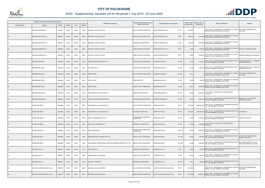

|                       | Registered or other description of the property |          |                |       |                | <b>Full Names of Owner(s)</b>                             | Category determined in terms of                     | Physical address of the property          | <b>Extent of the</b> | <b>Market value of</b> | <b>Section 78 Remarks</b>                                                                        | Remarks                                                |
|-----------------------|-------------------------------------------------|----------|----------------|-------|----------------|-----------------------------------------------------------|-----------------------------------------------------|-------------------------------------------|----------------------|------------------------|--------------------------------------------------------------------------------------------------|--------------------------------------------------------|
| <b>Town Allotment</b> | <b>Suburb</b>                                   | Erf Nr   | <b>Portion</b> | Unit  | <b>Section</b> |                                                           | Section 8 of the Act                                |                                           | property (HA)        | the property           |                                                                                                  |                                                        |
| LS                    | JAKHALSFONTEIN 657 LS                           | 00000657 | 00000          | 00000 | M000           | REPUBLIC OF SOUTH AFRICA                                  | MULTI PURPOSE PROPERTIES                            | PTN 0<br>AKHALSFONTEIN 657 LS             | 564.2630             |                        | SECT 78(1)(e) - SUBSTANTIALLY INCORRECTLY VALUED<br>DURING THE LAST GENERAL VALUATION            | SECTION 9.2 SUBDIVIDED AS<br>FOLLOWS:                  |
| <b>LS</b>             | JAKHALSFONTEIN 657 LS                           | 00000657 | 00000          | 00000 | M001           | REPUBLIC OF SOUTH AFRICA                                  | AGRICULTURAL PROPERTIES                             | PTN 0<br>JAKHALSFONTEIN 657 LS            | 409.5212             | 4,100,000              | SECT 78(1)(e) - SUBSTANTIALLY INCORRECTLY VALUED<br>DURING THE LAST GENERAL VALUATION            |                                                        |
| <b>LS</b>             | JAKHALSFONTEIN 657 LS                           | 00000657 | 00000          | 00000 | M002           | REPUBLIC OF SOUTH AFRICA                                  | <b>RESIDENTIAL PROPERTIES</b>                       | PTN 0<br>JAKHALSFONTEIN 657 LS            | 150.0000             |                        | SECT 78(1)(e) - SUBSTANTIALLY INCORRECTLY VALUED<br>16,000,000 DURING THE LAST GENERAL VALUATION |                                                        |
| <b>LS</b>             | JAKHALSFONTEIN 657 LS                           | 00000657 | 00000          | 00000 | M003           | REPUBLIC OF SOUTH AFRICA                                  | PUBLIC SERVICE PURPOSES                             | PTN <sub>0</sub><br>JAKHALSFONTEIN 657 LS | 1.4000               |                        | SECT 78(1)(e) - SUBSTANTIALLY INCORRECTLY VALUED<br>1,200,000 DURING THE LAST GENERAL VALUATION  | MALEMA-2 PRIMARY SCHOOL                                |
| LS                    | JAKHALSFONTEIN 657 LS                           | 00000657 | 00000          | 00000 | M004           | REPUBLIC OF SOUTH AFRICA                                  | PUBLIC SERVICE PURPOSES                             | PTN 0<br>JAKHALSFONTEIN 657 LS            | 3.3418               | 2,000,000              | SECT 78(1)(e) - SUBSTANTIALLY INCORRECTLY VALUED<br>DURING THE LAST GENERAL VALUATION            | GEORGE MORAGULA SECONDARY                              |
| <b>LS</b>             | DOORNKRAAL 680 LS                               | 00000680 | 00043          | 00000 | 0000           | NAZARU CONSTRUCTION PTY LTD                               | AGRICULTURAL PROPERTIES                             | DOORNKRAAL 680 LS<br><b>PTN 43</b>        | 3.2798               |                        | SECT 78(1)(c) - SUBDIVIDED OR CONSOLIDATED AFTER<br>6,140,000 THE LAST GENERAL VALUATION         | POLOKWANE EXT 122 - TOWNSHIP<br>OWNER VALUATION        |
| LS                    | DOORNKRAAL 680 LS                               | 00000680 | 00044          | 00000 | 0000           | VALOTYPE 126 CC                                           | AGRICULTURAL PROPERTIES                             | <b>PTN 44</b><br>DOORNKRAAL 680 LS        | 0.4762               |                        | 1,540,000 SECT 78(1)(c) - SUBDIVIDED OR CONSOLIDATED AFTER<br>THE LAST GENERAL VALUATION         | POLOKWANE EXT 123 - TOWNSHIP<br><b>OWNER VALUATION</b> |
| <b>LS</b>             | DOORNKRAAL 680 LS                               | 00000680 | 00053          | 00000 | M000           | PHIDEL TRUST                                              | MULTI PURPOSE PROPERTIES                            | <b>PTN 53</b><br>DOORNKRAAL 680 LS        | 9.3511               |                        | SECT 78(1)(e) - SUBSTANTIALLY INCORRECTLY VALUED<br>0 DURING THE LAST GENERAL VALUATION          | SECTION 9.2 SUBDIVIDED AS<br>FOLLOWS:                  |
| LS                    | DOORNKRAAL 680 LS                               | 00000680 | 00053          | 00000 | M001           | PHIDEL TRUST                                              | NON PERMITTED                                       | <b>PTN 53</b><br>DOORNKRAAL 680 LS        | 3.0000               |                        | 500,000 SECT 78(1)(e) - SUBSTANTIALLY INCORRECTLY VALUED<br>DURING THE LAST GENERAL VALUATION    |                                                        |
| <b>LS</b>             | DOORNKRAAL 680 LS                               | 00000680 | 00053          | 00000 | M002           | PHIDEL TRUST                                              | AGRICULTURAL PROPERTIES                             | <b>PTN 53</b><br>DOORNKRAAL 680 LS        | 6.3511               |                        | 2,600,000 SECT 78(1)(e) - SUBSTANTIALLY INCORRECTLY VALUED                                       |                                                        |
| LS                    | KRUGERSBURG 685 LS                              | 00000685 | 00010          | 00000 | 0000           | POLOKWANE LOCAL MUNICIPALITY                              | MUNICIPAL PROPERTIES                                | <b>PTN 10</b><br>KRUGERSBURG 685 LS       | 90.6026              | 45,600,000             | SECT 78(1)(g) - OF WHICH THE CATEGORY HAS<br>CHANGED                                             |                                                        |
| <b>LS</b>             | KOPPIEFONTEIN 686 LS                            | 00000686 | 00025          | 00000 | 0000           | UITSPAN RYLAAN EIENDOMS TRUST                             | AGRICULTURAL PROPERTIES                             | KOPPIEFONTEIN 686 LS<br><b>PTN 25</b>     | 3.8799               |                        | 6,200,000 SECT 78(1)(c) - SUBDIVIDED OR CONSOLIDATED AFTER<br>THE LAST GENERAL VALUATION         | BENDOR EXT 114 TOWNSHIP<br>OWNER VALUATION             |
| LS                    | STERKLOOP 688 LS                                | 00000688 | 00010          | 00000 | M000           | POLOKWANE LOCAL MUNICIPALITY                              | MULTI PURPOSE PROPERTIES                            | STERKLOOP 688 LS<br><b>PTN 10</b>         | 485.5940             | 2,905,300,000          | SECT 78(1)(C) - SUBDIVIDED OR CONSOLIDATED AFTER<br>THE LAST GENERAL VALUATION                   |                                                        |
| <b>LS</b>             | STERKLOOP 688 LS                                | 00000688 | 00010          | 00000 | M001           | POLOKWANE LOCAL MUNICIPALITY                              | MUNICIPAL PROPERTIES                                | <b>PTN 10</b><br>STERKLOOP 688 LS         | 484.7857             | 2,900,000,000          | SECT 78(1)(C) - SUBDIVIDED OR CONSOLIDATED AFTER<br>THE LAST GENERAL VALUATION                   | <b>STADION ETC</b>                                     |
| LS                    | STERKLOOP 688 LS                                | 00000688 | 00010          | 00000 | M002           | RONLOTH MARKETING PTY LTD                                 | BUSINESS AND COMMERCIAL<br><b>PROPERTIES</b>        | STERKLOOP 688 LS<br><b>PTN 10</b>         | 0.8083               |                        | 5,300,000 SECT 78(1)(C) - SUBDIVIDED OR CONSOLIDATED AFTER<br>THE LAST GENERAL VALUATION         | VIRGIN ACTIVE GYM                                      |
| <b>LS</b>             | STERKLOOP 688 LS                                | 00000688 | 00060          | 00000 | 0000           | DOLLIS HILL EIENDOMME CC                                  | RESIDENTIAL PROPERTIES                              | <b>PTN 60</b><br>STERKLOOP 688 LS         | 3.8489               | 3,800,000              | SECT 78(1)(g) - OF WHICH THE CATEGORY HAS<br>CHANGED                                             |                                                        |
| <b>LS</b>             | STERKLOOP 688 LS                                | 00000688 | 00118          | 00000 | 0000           | MUN PIETERSBURG                                           | <b>BUSINESS AND COMMERCIAL</b><br><b>PROPERTIES</b> | STERKLOOP 688 LS<br><b>PTN 118</b>        | 5.9101               |                        | SECT 78(1)(e) - SUBSTANTIALLY INCORRECTLY VALUED<br>13,000,000 DURING THE LAST GENERAL VALUATION |                                                        |
| LS                    | STERKLOOP 688 LS                                | 00000688 | 00436          | 00000 | 0000           | KENRO BUILDING CONSTRUCTION CC                            | AGRICULTURAL PROPERTIES                             | <b>PTN 436</b><br>STERKLOOP 688 LS        | 0.5353               | 1,040,000              | SECT 78(1)(c) - SUBDIVIDED OR CONSOLIDATED AFTER<br>THE LAST GENERAL VALUATION                   | IVY PARK EXT 044 TOWNSHIP<br><b>OWNER VALUATION</b>    |
| <b>LS</b>             | STERKLOOP 688 LS                                | 00000688 | 00466          | 00000 | 0000           | GROUNDBASE PROFESSIONAL LAND DEVELOPMENT SERVICES PTY LTD | AGRICULTURAL PROPERTIES                             | STERKLOOP 688 LS<br><b>PTN 466</b>        | 8.1986               |                        | SECT 78(1)(c) - SUBDIVIDED OR CONSOLIDATED AFTER<br>12,000,000 THE LAST GENERAL VALUATION        | SOUTHERN GATEWAY EXT 005<br>TOWNSHIP OWNER VALUATION   |
| <b>LS</b>             | LEEUWKUIL 691 LS                                | 00000691 | 00008          | 00000 | 0000           | <b>TRANS TARIK CC</b>                                     | RESIDENTIAL PROPERTIES                              | PTN 8<br>LEEUWKUIL 691 LS                 | 4.5036               | 230,000                | SECT 78(1)(c) - SUBDIVIDED OR CONSOLIDATED AFTER<br>THE LAST GENERAL VALUATION                   |                                                        |
| <b>LS</b>             | LEEUWKUIL 691 LS                                | 00000691 | 00053          | 00000 | 0000           | SCHOON MARTIN COENRAAD                                    | AGRICULTURAL PROPERTIES                             | <b>PTN 53</b><br>LEEUWKUIL 691 LS         | 12.3640              | 2,100,000              | SECT 78(1)(e) - SUBSTANTIALLY INCORRECTLY VALUED<br>DURING THE LAST GENERAL VALUATION            |                                                        |
| <b>LS</b>             | LEEUWKUIL 691 LS                                | 00000691 | 00227          | 00000 | 0000           | SHAI GIFT TSHIFHIWA                                       | RESIDENTIAL PROPERTIES                              | <b>PTN 227</b><br>LEEUWKUIL 691 LS        | 4.0617               | 890,000                | SECT 78(1)(c) - SUBDIVIDED OR CONSOLIDATED AFTER<br>THE LAST GENERAL VALUATION                   |                                                        |
| LS                    | LOCATIE VAN MACHICHAAN 709 LS                   | 00000709 | 00000          | 00000 | M000           | REPUBLIEK VAN SUID-AFRIKA                                 | MULTI PURPOSE PROPERTIES                            | OCATIE VAN MACHICHAAN 709 LS<br>PTN 0     | 9,168.9000           |                        | SECT 78(1)(e) - SUBSTANTIALLY INCORRECTLY VALUED<br>DURING THE LAST GENERAL VALUATION            | SECTION 9.2 SUBDIVIDED AS<br>FOLLOWS:                  |
|                       | LOCATIE VAN MACHICHAAN 709 LS                   | 00000709 | 00000          | 00000 | M001           | REPUBLIEK VAN SUID-AFRIKA                                 | AGRICULTURAL PROPERTIES                             | PTN 0<br>LOCATIE VAN MACHICHAAN 709 LS    | 7,327.8500           | 66,000,000             | SECT 78(1)(e) - SUBSTANTIALLY INCORRECTLY VALUED<br>DURING THE LAST GENERAL VALUATION            |                                                        |

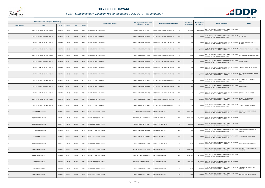

|                       | Registered or other description of the property |          |                |       |                | <b>Full Names of Owner(s)</b>   | Category determined in terms of | Physical address of the property                  | <b>Extent of the</b> | <b>Market value of</b> | <b>Section 78 Remarks</b>                                                                        | <b>Remarks</b>                                |
|-----------------------|-------------------------------------------------|----------|----------------|-------|----------------|---------------------------------|---------------------------------|---------------------------------------------------|----------------------|------------------------|--------------------------------------------------------------------------------------------------|-----------------------------------------------|
| <b>Town Allotment</b> | <b>Suburb</b>                                   | Erf Nr   | <b>Portion</b> | Unit  | <b>Section</b> |                                 | Section 8 of the Act            |                                                   | property (HA)        | the property           |                                                                                                  |                                               |
|                       | LOCATIE VAN MACHICHAAN 709 LS                   | 00000709 | 00000          | 00000 | M002           | REPUBLIEK VAN SUID-AFRIKA       | RESIDENTIAL PROPERTIES          | PTN <sub>0</sub><br>LOCATIE VAN MACHICHAAN 709 LS | 1,816.0000           | 250,000,000            | SECT 78(1)(e) - SUBSTANTIALLY INCORRECTLY VALUED<br>DURING THE LAST GENERAL VALUATION            |                                               |
|                       | LOCATIE VAN MACHICHAAN 709 LS                   | 00000709 | 00000          | 00000 | M003           | REPUBLIEK VAN SUID-AFRIKA       | PUBLIC SERVICE PURPOSES         | PTN 0<br>LOCATIE VAN MACHICHAAN 709 LS            | 1.6800               | 1,900,000              | SECT 78(1)(e) - SUBSTANTIALLY INCORRECTLY VALUED<br>DURING THE LAST GENERAL VALUATION            | <b>BOTSIKANA</b>                              |
|                       | LOCATIE VAN MACHICHAAN 709 LS                   | 00000709 | 00000          | 00000 | M004           | REPUBLIEK VAN SUID-AFRIKA       | PUBLIC SERVICE PURPOSES         | LOCATIE VAN MACHICHAAN 709 LS<br>PTN 0            | 2.0700               |                        | SECT 78(1)(e) - SUBSTANTIALLY INCORRECTLY VALUED<br>2,700,000 DURING THE LAST GENERAL VALUATION  | DR MJ MADIBA SECONDARY<br>SCHOOL              |
|                       | LOCATIE VAN MACHICHAAN 709 LS                   | 00000709 | 00000          | 00000 | M005           | REPUBLIEK VAN SUID-AFRIKA       | PUBLIC SERVICE PURPOSES         | PTN <sub>0</sub><br>LOCATIE VAN MACHICHAAN 709 LS | 1.8000               | 2,200,000              | SECT 78(1)(e) - SUBSTANTIALLY INCORRECTLY VALUED<br>DURING THE LAST GENERAL VALUATION            | MASHASHANE PRIMARY SCHOOL                     |
| LS                    | LOCATIE VAN MACHICHAAN 709 LS                   | 00000709 | 00000          | 00000 | M006           | REPUBLIEK VAN SUID-AFRIKA       | PUBLIC SERVICE PURPOSES         | PTN 0<br>LOCATIE VAN MACHICHAAN 709 LS            | 1.5500               | 2,100,000              | SECT 78(1)(e) - SUBSTANTIALLY INCORRECTLY VALUED<br>DURING THE LAST GENERAL VALUATION            | MATSHELANA PRIMARY SCHOOL                     |
|                       | LOCATIE VAN MACHICHAAN 709 LS                   | 00000709 | 00000          | 00000 | M007           | REPUBLIEK VAN SUID-AFRIKA       | PUBLIC SERVICE PURPOSES         | PTN <sub>0</sub><br>LOCATIE VAN MACHICHAAN 709 LS | 3.0200               |                        | SECT 78(1)(e) - SUBSTANTIALLY INCORRECTLY VALUED<br>2,600,000 DURING THE LAST GENERAL VALUATION  | <b>MAUNE PRIMARY</b>                          |
|                       | LOCATIE VAN MACHICHAAN 709 LS                   | 00000709 | 00000          | 00000 | M008           | REPUBLIEK VAN SUID-AFRIKA       | PUBLIC SERVICE PURPOSES         | LOCATIE VAN MACHICHAAN 709 LS<br>PTN 0            | 1.4900               |                        | SECT 78(1)(e) - SUBSTANTIALLY INCORRECTLY VALUED<br>1,100,000 BLOT THE LAST GENERAL VALUATION    | MILENTE SECONDARY SCHOOL                      |
|                       | LOCATIE VAN MACHICHAAN 709 LS                   | 00000709 | 00000          | 00000 | M009           | REPUBLIEK VAN SUID-AFRIKA       | PUBLIC SERVICE PURPOSES         | PTN <sub>0</sub><br>LOCATIE VAN MACHICHAAN 709 LS | 3.9600               |                        | SECT 78(1)(e) - SUBSTANTIALLY INCORRECTLY VALUED<br>2,300,000 DURING THE LAST GENERAL VALUATION  | MORELEBAKGANYAGO PRIMARY<br><b>SCHOOL</b>     |
|                       | LOCATIE VAN MACHICHAAN 709 LS                   | 00000709 | 00000          | 00000 | M010           | REPUBLIEK VAN SUID-AFRIKA       | PUBLIC SERVICE PURPOSES         | PTN 0<br>LOCATIE VAN MACHICHAAN 709 LS            | 1.8300               |                        | SECT 78(1)(e) - SUBSTANTIALLY INCORRECTLY VALUED<br>1,700,000 DURING THE LAST GENERAL VALUATION  | MORWASETHULA PRIMARY<br>SCHOOL                |
|                       | LOCATIE VAN MACHICHAAN 709 LS                   | 00000709 | 00000          | 00000 | M011           | REPUBLIEK VAN SUID-AFRIKA       | PUBLIC SERVICE PURPOSES         | PTN 0<br>LOCATIE VAN MACHICHAAN 709 LS            | 1.9600               | 1,700,000              | SECT 78(1)(e) - SUBSTANTIALLY INCORRECTLY VALUED<br>DURING THE LAST GENERAL VALUATION            | <b>NAPO PRIMARY</b>                           |
|                       | LOCATIE VAN MACHICHAAN 709 LS                   | 00000709 | 00000          | 00000 | M012           | REPUBLIEK VAN SUID-AFRIKA       | PUBLIC SERVICE PURPOSES         | LOCATIE VAN MACHICHAAN 709 LS<br>PTN 0            | 1.7400               |                        | SECT 78(1)(e) - SUBSTANTIALLY INCORRECTLY VALUED<br>1,300,000 DURING THE LAST GENERAL VALUATION  | SEBUSHI PIMARY SCHOOL                         |
|                       | LOCATIE VAN MACHICHAAN 709 LS                   | 00000709 | 00000          | 00000 | M013           | REPUBLIEK VAN SUID-AFRIKA       | PUBLIC SERVICE PURPOSES         | PTN <sub>0</sub><br>LOCATIE VAN MACHICHAAN 709 LS | 2.3600               |                        | SECT 78(1)(e) - SUBSTANTIALLY INCORRECTLY VALUED<br>3,900,000 DURING THE LAST GENERAL VALUATION  | <b>TLAKALE MASHASHANE</b><br>SECONDARY SCHOOL |
|                       | LOCATIE VAN MACHICHAAN 709 LS                   | 00000709 | 00000          | 00000 | M014           | REPUBLIEK VAN SUID-AFRIKA       | PUBLIC SERVICE PURPOSES         | LOCATIE VAN MACHICHAAN 709 LS<br>PTN 0            | 1.5900               |                        | SECT 78(1)(e) - SUBSTANTIALLY INCORRECTLY VALUED<br>1,200,000 DURING THE LAST GENERAL VALUATION  | UTJANE PRIMARY SCHOOL                         |
|                       | DOORNFONTEIN 724 LS                             | 00000724 | 00000          | 00000 | M000           | REPUBLIC OF SOUTH AFRICA        | MULTI PURPOSE PROPERTIES        | DOORNFONTEIN 724 LS<br>PTN 0                      | 2,860.417            |                        | SECT 78(1)(e) - SUBSTANTIALLY INCORRECTLY VALUED<br>DURING THE LAST GENERAL VALUATION            | SECTION 9.2 SUBDIVIDED AS<br>FOLLOWS:         |
|                       | DOORNFONTEIN 724 LS                             | 00000724 | 00000          | 00000 | M001           | REPUBLIC OF SOUTH AFRICA        | AGRICULTURAL PROPERTIES         | DOORNFONTEIN 724 LS<br>PTN 0                      | 2,860.0000           | 25,700,000             | SECT 78(1)(e) - SUBSTANTIALLY INCORRECTLY VALUED<br>DURING THE LAST GENERAL VALUATION            |                                               |
| <b>LS</b>             | DOORNFONTEIN 724 LS                             | 00000724 | 00000          | 00000 | M002           | <b>REPUBLIC OF SOUTH AFRICA</b> | RESIDENTIAL PROPERTIES          | PTN 0<br>DOORNFONTEIN 724 LS                      | 346.0000             | 30,000,000             | SECT 78(1)(e) - SUBSTANTIALLY INCORRECTLY VALUED<br>DURING THE LAST GENERAL VALUATION            |                                               |
| LS                    | DOORNFONTEIN 724 LS                             | 00000724 | 00000          | 00000 | M003           | REPUBLIC OF SOUTH AFRICA        | PUBLIC SERVICE PURPOSES         | PTN 0<br>DOORNFONTEIN 724 LS                      | 2.1900               |                        | SECT 78(1)(e) - SUBSTANTIALLY INCORRECTLY VALUED<br>1,600,000 DURING THE LAST GENERAL VALUATION  | KGOLOKGOTLHA SECODARY<br>SCHOOL               |
| <b>LS</b>             | DOORNFONTEIN 724 LS                             | 00000724 | 00000          | 00000 | M004           | REPUBLIC OF SOUTH AFRICA        | PUBLIC SERVICE PURPOSES         | PTN 0<br>DOORNFONTEIN 724 LS                      | 1.7100               | 1,600,000              | SECT 78(1)(e) - SUBSTANTIALLY INCORRECTLY VALUED<br>DURING THE LAST GENERAL VALUATION            | MOTSIRI PRIMARY SCHOOL                        |
| LS                    | DOORNFONTEIN 724 LS                             | 00000724 | 00000          | 00000 | M005           | REPUBLIC OF SOUTH AFRICA        | PUBLIC SERVICE PURPOSES         | PTN 0<br>DOORNFONTEIN 724 LS                      | 3.0100               |                        | SECT 78(1)(e) - SUBSTANTIALLY INCORRECTLY VALUED<br>2,000,000 DURING THE LAST GENERAL VALUATION  | <b>TUTWANA PRIMARY SCHOOL</b>                 |
| <b>LS</b>             | <b>KALKFONTEIN 859 LS</b>                       | 00000859 | 00000          | 00000 | M000           | REPUBLIC OF SOUTH AFRICA        | MULTI PURPOSE PROPERTIES        | PTN <sub>0</sub><br><b>KALKFONTEIN 859 LS</b>     | 6,654.5293           |                        | SECT 78(1)(e) - SUBSTANTIALLY INCORRECTLY VALUED<br>DURING THE LAST GENERAL VALUATION            | SECTION 9.2 SUBDIVIDED AS<br>FOLLOWS:         |
| LS                    | KALKFONTEIN 859 LS                              | 00000859 | 00000          | 00000 | M001           | REPUBLIC OF SOUTH AFRICA        | AGRICULTURAL PROPERTIES         | PTN 0<br>KALKFONTEIN 859 LS                       | 5,152.9573           | 30,900,000             | SECT 78(1)(e) - SUBSTANTIALLY INCORRECTLY VALUED<br>DURING THE LAST GENERAL VALUATION            |                                               |
| <b>LS</b>             | <b>KALKFONTEIN 859 LS</b>                       | 00000859 | 00000          | 00000 | M002           | REPUBLIC OF SOUTH AFRICA        | RESIDENTIAL PROPERTIES          | PTN <sub>0</sub><br>KALKFONTEIN 859 LS            | 1,500.0000           |                        | SECT 78(1)(e) - SUBSTANTIALLY INCORRECTLY VALUED<br>70,000,000 DURING THE LAST GENERAL VALUATION |                                               |
| LS                    | KALKFONTEIN 859 LS                              | 00000859 | 00000          | 00000 | M003           | REPUBLIC OF SOUTH AFRICA        | PUBLIC SERVICE PURPOSES         | PTN 0<br>KALKFONTEIN 859 LS                       | 0.2166               | 2,000,000              | SECT 78(1)(e) - SUBSTANTIALLY INCORRECTLY VALUED<br>DURING THE LAST GENERAL VALUATION            | BAPHUTHENG SECONDARY<br><b>SCHOOL</b>         |
| <b>LS</b>             | KALKFONTEIN 859 LS                              | 00000859 | 00000          | 00000 | M004           | REPUBLIC OF SOUTH AFRICA        | PUBLIC SERVICE PURPOSES         | PTN 0<br>KALKFONTEIN 859 LS                       | 0.2290               |                        | SECT 78(1)(e) - SUBSTANTIALLY INCORRECTLY VALUED<br>2,100,000 DURING THE LAST GENERAL VALUATION  | MAFOLOFOLO HIGH SCHOOL                        |

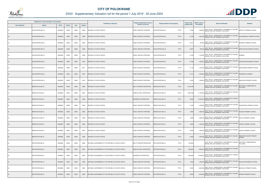

|                       | Registered or other description of the property |          |                |       |                | <b>Full Names of Owner(s)</b>                       | Category determined in terms of | Physical address of the property              | <b>Extent of the</b> | <b>Market value of</b> | <b>Section 78 Remarks</b>                                                                        | <b>Remarks</b>                        |
|-----------------------|-------------------------------------------------|----------|----------------|-------|----------------|-----------------------------------------------------|---------------------------------|-----------------------------------------------|----------------------|------------------------|--------------------------------------------------------------------------------------------------|---------------------------------------|
| <b>Town Allotment</b> | <b>Suburb</b>                                   | Erf Nr   | <b>Portion</b> | Unit  | <b>Section</b> |                                                     | Section 8 of the Act            |                                               | property (HA)        | the property           |                                                                                                  |                                       |
| LS                    | KALKFONTEIN 859 LS                              | 00000859 | 00000          | 00000 | M005           | REPUBLIC OF SOUTH AFRICA                            | PUBLIC SERVICE PURPOSES         | PTN <sub>0</sub><br>KALKFONTEIN 859 LS        | 0.1660               |                        | SECT 78(1)(e) - SUBSTANTIALLY INCORRECTLY VALUED<br>1,500,000 DURING THE LAST GENERAL VALUATION  | MAPHUTO PRIMARY SCHOOL                |
| <b>LS</b>             | KALKFONTEIN 859 LS                              | 00000859 | 00000          | 00000 | M006           | REPUBLIC OF SOUTH AFRICA                            | PUBLIC SERVICE PURPOSES         | KALKFONTEIN 859 LS<br>PTN 0                   | 0.1330               | 1,200,000              | SECT 78(1)(e) - SUBSTANTIALLY INCORRECTLY VALUED<br>DURING THE LAST GENERAL VALUATION            | SOLOMONDALE PRIMARY SCHOOL            |
| LS                    | KALKFONTEIN 859 LS                              | 00000859 | 00000          | 00000 | M007           | REPUBLIC OF SOUTH AFRICA                            | PUBLIC SERVICE PURPOSES         | KALKFONTEIN 859 LS<br>PTN 0                   | 0.0710               |                        | SECT 78(1)(e) - SUBSTANTIALLY INCORRECTLY VALUED<br>700,000 DURING THE LAST GENERAL VALUATION    | <b>BOSHEGA PRIMARY SCHOOL</b>         |
| <b>LS</b>             | KALKFONTEIN 859 LS                              | 00000859 | 00000          | 00000 | M008           | <b>REPUBLIC OF SOUTH AFRICA</b>                     | PUBLIC SERVICE PURPOSES         | PTN <sub>0</sub><br>KALKFONTEIN 859 LS        | 0.0927               | 900,000                | SECT 78(1)(e) - SUBSTANTIALLY INCORRECTLY VALUED<br>DURING THE LAST GENERAL VALUATION            | MORUTWA SECONDARY SCHOOL              |
| LS                    | KALKFONTEIN 859 LS                              | 00000859 | 00000          | 00000 | M009           | REPUBLIC OF SOUTH AFRICA                            | PUBLIC SERVICE PURPOSES         | PTN 0<br>KALKFONTEIN 859 LS                   | 0.1200               |                        | SECT 78(1)(e) - SUBSTANTIALLY INCORRECTLY VALUED<br>1,100,000 DURING THE LAST GENERAL VALUATION  | <b>MOSEBO</b>                         |
| LS                    | KALKFONTEIN 859 LS                              | 00000859 | 00000          | 00000 | M010           | REPUBLIC OF SOUTH AFRICA                            | PUBLIC SERVICE PURPOSES         | KALKFONTEIN 859 LS<br>PTN 0                   | 0.1280               |                        | SECT 78(1)(e) - SUBSTANTIALLY INCORRECTLY VALUED<br>1,200,000 DURING THE LAST GENERAL VALUATION  | LERULENG SECONDARY SCHOOL             |
| LS                    | KALKFONTEIN 859 LS                              | 00000859 | 00000          | 00000 | M011           | REPUBLIC OF SOUTH AFRICA                            | PUBLIC SERVICE PURPOSES         | <b>KALKFONTEIN 859 LS</b><br>PTN 0            | 0.1194               |                        | SECT 78(1)(e) - SUBSTANTIALLY INCORRECTLY VALUED<br>1,100,000 DURING THE LAST GENERAL VALUATION  | MANTHEDING PRIMARY SCHOOL             |
| <b>LS</b>             | KALKFONTEIN 859 LS                              | 00000859 | 00000          | 00000 | M012           | REPUBLIC OF SOUTH AFRICA                            | PUBLIC SERVICE PURPOSES         | PTN 0<br>KALKFONTEIN 859 LS                   | 0.1313               |                        | SECT 78(1)(e) - SUBSTANTIALLY INCORRECTLY VALUED<br>1,200,000 DURING THE LAST GENERAL VALUATION  | MASEBODILA PRIMARY                    |
| <b>LS</b>             | KALKFONTEIN 859 LS                              | 00000859 | 00000          | 00000 | M013           | REPUBLIC OF SOUTH AFRICA                            | PUBLIC SERVICE PURPOSES         | PTN 0<br>KALKFONTEIN 859 LS                   | 0.1650               |                        | SECT 78(1)(e) - SUBSTANTIALLY INCORRECTLY VALUED<br>1,500,000 DURING THE LAST GENERAL VALUATION  | SEBAYENG PRIMARY SCHOOL               |
| <b>LS</b>             | BERGPLAATS 862 LS                               | 00000862 | 00000          | 00000 | M000           | REPUBLIC OF SOUTH AFRICA                            | MULTI PURPOSE PROPERTIES        | BERGPLAATS 862 LS<br>PTN 0                    | 1,319.8188           |                        | SECT 78(1)(e) - SUBSTANTIALLY INCORRECTLY VALUED<br>DURING THE LAST GENERAL VALUATION            | SECTION 9.2 SUBDIVIDED AS<br>FOLLOWS: |
| LS                    | BERGPLAATS 862 LS                               | 00000862 | 00000          | 00000 | M001           | <b>REPUBLIC OF SOUTH AFRICA</b>                     | AGRICULTURAL PROPERTIES         | BERGPLAATS 862 LS<br>PTN 0                    | 1,300.5188           | 11,700,000             | SECT 78(1)(e) - SUBSTANTIALLY INCORRECTLY VALUED<br>DURING THE LAST GENERAL VALUATION            |                                       |
| <b>LS</b>             | BERGPLAATS 862 LS                               | 00000862 | 00000          | 00000 | M002           | REPUBLIC OF SOUTH AFRICA                            | RESIDENTIAL PROPERTIES          | BERGPLAATS 862 LS<br>PTN 0                    | 9.0000               |                        | SECT 78(1)(e) - SUBSTANTIALLY INCORRECTLY VALUED<br>15,000,000 DURING THE LAST GENERAL VALUATION |                                       |
| LS                    | BERGPLAATS 862 LS                               | 00000862 | 00000          | 00000 | M003           | REPUBLIC OF SOUTH AFRICA                            | PUBLIC SERVICE PURPOSES         | BERGPLAATS 862 LS<br>PTN 0                    | 2.1400               |                        | SECT 78(1)(e) - SUBSTANTIALLY INCORRECTLY VALUED<br>1,400,000 DURING THE LAST GENERAL VALUATION  | DIKGOPHENG PRIMARY SCHOOL             |
| <b>LS</b>             | BERGPLAATS 862 LS                               | 00000862 | 00000          | 00000 | M004           | REPUBLIC OF SOUTH AFRICA                            | PUBLIC SERVICE PURPOSES         | PTN 0<br>BERGPLAATS 862 LS                    | 1.9900               | 1,800,000              | SECT 78(1)(e) - SUBSTANTIALLY INCORRECTLY VALUED<br>DURING THE LAST GENERAL VALUATION            | KGALAKA PRIMARY SCHOOL                |
| LS                    | BERGPLAATS 862 LS                               | 00000862 | 00000          | 00000 | M005           | <b>REPUBLIC OF SOUTH AFRICA</b>                     | PUBLIC SERVICE PURPOSES         | PTN 0<br>BERGPLAATS 862 LS                    | 1.9900               |                        | SECT 78(1)(e) - SUBSTANTIALLY INCORRECTLY VALUED<br>1,800,000 DURING THE LAST GENERAL VALUATION  | <b>KGATLA PRIMARY SCHOOL</b>          |
| <b>LS</b>             | BERGPLAATS 862 LS                               | 00000862 | 00000          | 00000 | M006           | REPUBLIC OF SOUTH AFRICA                            | PUBLIC SERVICE PURPOSES         | PTN 0<br>BERGPLAATS 862 LS                    | 1.9800               |                        | SECT 78(1)(e) - SUBSTANTIALLY INCORRECTLY VALUED<br>1,400,000 DURING THE LAST GENERAL VALUATION  | KONOTO PRIMARY SCHOOL                 |
| <b>LS</b>             | BERGPLAATS 862 LS                               | 00000862 | 00000          | 00000 | M007           | REPUBLIC OF SOUTH AFRICA                            | PUBLIC SERVICE PURPOSES         | BERGPLAATS 862 LS<br>PTN 0                    | 2.2000               | 1,500,000              | SECT 78(1)(e) - SUBSTANTIALLY INCORRECTLY VALUED<br>DURING THE LAST GENERAL VALUATION            | <b>KONOTO PRIMARY SCHOOL</b>          |
| <b>LS</b>             | BERGPLAATS 862 LS                               | 00000862 | 00000          | 00000 | M008           | REPUBLIC OF SOUTH AFRICA                            | PUBLIC SERVICE PURPOSES         | BERGPLAATS 862 LS<br>PTN 0                    | 2.2000               |                        | SECT 78(1)(e) - SUBSTANTIALLY INCORRECTLY VALUED<br>1,300,000 DURING THE LAST GENERAL VALUATION  | MABOYANE HIGHER PRIMARY<br>SCHOOL     |
| <b>LS</b>             | RIETFONTEIN 863 LS                              | 00000863 | 00002          | 00000 | M000           | NATIONAL GOVERNMENT OF THE REPUBLIC OF SOUTH AFRICA | MULTI PURPOSE PROPERTIES        | PTN <sub>2</sub><br>RIETFONTEIN 863 LS        | 740.5004             |                        | SECT 78(1)(e) - SUBSTANTIALLY INCORRECTLY VALUED<br>DURING THE LAST GENERAL VALUATION            | SECTION 9.2 SUBDIVIDED AS<br>FOLLOWS: |
| <b>LS</b>             | RIETFONTEIN 863 LS                              | 00000863 | 00002          | 00000 | M001           | NATIONAL GOVERNMENT OF THE REPUBLIC OF SOUTH AFRICA | AGRICULTURAL PROPERTIES         | PTN <sub>2</sub><br>RIETFONTEIN 863 LS        | 429.2804             | 3,900,000              | SECT 78(1)(e) - SUBSTANTIALLY INCORRECTLY VALUED<br>DURING THE LAST GENERAL VALUATION            |                                       |
| LS                    | RIETFONTEIN 863 LS                              | 00000863 | 00002          | 00000 | M002           | NATIONAL GOVERNMENT OF THE REPUBLIC OF SOUTH AFRICA | RESIDENTIAL PROPERTIES          | PTN 2<br>RIETFONTEIN 863 LS                   | 300.0000             | 15,000,000             | SECT 78(1)(e) - SUBSTANTIALLY INCORRECTLY VALUED<br>DURING THE LAST GENERAL VALUATION            |                                       |
| <b>LS</b>             | RIETFONTEIN 863 LS                              | 00000863 | 00002          | 00000 | M003           | NATIONAL GOVERNMENT OF THE REPUBLIC OF SOUTH AFRICA | PUBLIC SERVICE PURPOSES         | PTN <sub>2</sub><br><b>RIETFONTEIN 863 LS</b> | 1.5200               |                        | 1,500,000 SECT 78(1)(e) - SUBSTANTIALLY INCORRECTLY VALUED                                       | MOLOISI SECONDARY SCHOOL              |
| LS                    | RIETFONTEIN 863 LS                              | 00000863 | 00002          | 00000 | M004           | NATIONAL GOVERNMENT OF THE REPUBLIC OF SOUTH AFRICA | PUBLIC SERVICE PURPOSES         | PTN <sub>2</sub><br>RIETFONTEIN 863 LS        | 4.0000               | 2,600,000              | SECT 78(1)(e) - SUBSTANTIALLY INCORRECTLY VALUED<br>DURING THE LAST GENERAL VALUATION            | MALESELA PRIMARY SCHOOL               |
| LS                    | RIETFONTEIN 863 LS                              | 00000863 | 00002          | 00000 | M005           | NATIONAL GOVERNMENT OF THE REPUBLIC OF SOUTH AFRICA | PUBLIC SERVICE PURPOSES         | RIETFONTEIN 863 LS<br>PTN <sub>2</sub>        | 2.8000               |                        | SECT 78(1)(e) - SUBSTANTIALLY INCORRECTLY VALUED<br>2,200,000 DURING THE LAST GENERAL VALUATION  | MORARO PRIMARY SCHOOL                 |

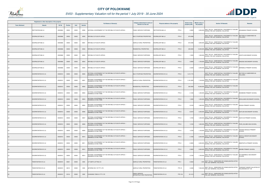

|                       | Registered or other description of the property |               |                |       |                | <b>Full Names of Owner(s)</b>                                                       | Category determined in terms of                    | Physical address of the property             | <b>Extent of the</b> | <b>Market value of</b> | <b>Section 78 Remarks</b>                                                                        | Remarks                                          |
|-----------------------|-------------------------------------------------|---------------|----------------|-------|----------------|-------------------------------------------------------------------------------------|----------------------------------------------------|----------------------------------------------|----------------------|------------------------|--------------------------------------------------------------------------------------------------|--------------------------------------------------|
| <b>Town Allotment</b> | <b>Suburb</b>                                   | <b>Erf Nr</b> | <b>Portion</b> | Unit  | <b>Section</b> |                                                                                     | Section 8 of the Act                               |                                              | property (HA)        | the property           |                                                                                                  |                                                  |
|                       | RIETFONTEIN 863 LS                              | 00000863      | 00002          | 00000 | M006           | NATIONAL GOVERNMENT OF THE REPUBLIC OF SOUTH AFRICA                                 | PUBLIC SERVICE PURPOSES                            | PTN <sub>2</sub><br>RIETFONTEIN 863 LS       | 2.9000               |                        | SECT 78(1)(e) - SUBSTANTIALLY INCORRECTLY VALUED<br>2,000,000 DURING THE LAST GENERAL VALUATION  | MOGABANE PRIMARY SCHOOL                          |
|                       | DOORNLOOP 866 LS                                | 00000866      | 00000          | 00000 | M000           | REPUBLIC OF SOUTH AFRICA                                                            | MULTI PURPOSE PROPERTIES                           | PTN 0<br>DOORNLOOP 866 LS                    | 879.3086             |                        | SECT 78(1)(e) - SUBSTANTIALLY INCORRECTLY VALUED<br>DURING THE LAST GENERAL VALUATION            | SECTION 9.2 SUBDIVIDED AS<br><b>FOLLOWS:</b>     |
|                       | DOORNLOOP 866 LS                                | 00000866      | 00000          | 00000 | M001           | REPUBLIC OF SOUTH AFRICA                                                            | AGRICULTURAL PROPERTIES                            | PTN 0<br>DOORNLOOP 866 LS                    | 672.5486             |                        | SECT 78(1)(e) - SUBSTANTIALLY INCORRECTLY VALUED<br>4,000,000 DURING THE LAST GENERAL VALUATION  |                                                  |
|                       | DOORNLOOP 866 LS                                | 00000866      | 00000          | 00000 | M002           | REPUBLIC OF SOUTH AFRICA                                                            | <b>RESIDENTIAL PROPERTIES</b>                      | DOORNLOOP 866 LS<br>PTN <sub>0</sub>         | 200.0000             |                        | SECT 78(1)(e) - SUBSTANTIALLY INCORRECTLY VALUED<br>12,500,000 DURING THE LAST GENERAL VALUATION |                                                  |
|                       | DOORNLOOP 866 LS                                | 00000866      | 00000          | 00000 | M003           | REPUBLIC OF SOUTH AFRICA                                                            | PUBLIC SERVICE PURPOSES                            | DOORNLOOP 866 LS<br>PTN 0                    | 1.5500               | 1,500,000              | SECT 78(1)(e) - SUBSTANTIALLY INCORRECTLY VALUED<br>DURING THE LAST GENERAL VALUATION            | LEKOTA SECONDARY SCHOOL                          |
|                       | DOORNLOOP 866 LS                                | 00000866      | 00000          | 00000 | M004           | REPUBLIC OF SOUTH AFRICA                                                            | PUBLIC SERVICE PURPOSES                            | PTN 0<br>DOORNLOOP 866 LS                    | 2.6900               |                        | SECT 78(1)(e) - SUBSTANTIALLY INCORRECTLY VALUED<br>1,700,000 DURING THE LAST GENERAL VALUATION  | MAGOGO SECONDARY SCHOOL                          |
|                       | DOORNLOOP 866 LS                                | 00000866      | 00000          | 00000 | M005           | REPUBLIC OF SOUTH AFRICA                                                            | PUBLIC SERVICE PURPOSES                            | PTN 0<br>DOORNLOOP 866 LS                    | 2.5200               |                        | SECT 78(1)(e) - SUBSTANTIALLY INCORRECTLY VALUED<br>2,000,000 DURING THE LAST GENERAL VALUATION  | MAROBALA PRIMARY SCHOOL                          |
|                       | DOORNFONTEIN 912 LS                             | 00000912      | 00000          | 00000 | M000           | NATIONAL GOVERNMENT OF THE REPUBLIC OF SOUTH AFRICA /<br>MAMABOLO STAM-TRIBE        | MULTI PURPOSE PROPERTIES                           | DOORNFONTEIN 912 LS<br>PTN <sub>0</sub>      | 1,413.7175           |                        | SECT 78(1)(e) - SUBSTANTIALLY INCORRECTLY VALUED<br>DURING THE LAST GENERAL VALUATION            | SECTION 9.2 SUBDIVIDED AS<br>FOLLOWS:            |
|                       | DOORNFONTEIN 912 LS                             | 00000912      | 00000          | 00000 | M001           | NATIONAL GOVERNMENT OF THE REPUBLIC OF SOUTH AFRICA /<br>MAMABOLO STAM-TRIBE        | AGRICULTURAL PROPERTIES                            | DOORNFONTEIN 912 LS<br>PTN 0                 | 1,181.6305           |                        | SECT 78(1)(e) - SUBSTANTIALLY INCORRECTLY VALUED<br>7,100,000 DURING THE LAST GENERAL VALUATION  |                                                  |
|                       | DOORNFONTEIN 912 LS                             | 00000912      | 00000          | 00000 | M002           | NATIONAL GOVERNMENT OF THE REPUBLIC OF SOUTH AFRICA<br>MAMABOLO STAM-TRIBE          | RESIDENTIAL PROPERTIES                             | PTN <sub>0</sub><br>DOORNFONTEIN 912 LS      | 200.0000             |                        | 10,000,000 SECT 78(1)(e) - SUBSTANTIALLY INCORRECTLY VALUED<br>DURING THE LAST GENERAL VALUATION |                                                  |
|                       | DOORNFONTEIN 912 LS                             | 00000912      | 00000          | 00000 | M003           | NATIONAL GOVERNMENT OF THE REPUBLIC OF SOUTH AFRICA /<br>MAMABOLO STAM-TRIBE        | PUBLIC SERVICE PURPOSES                            | PTN 0<br>DOORNFONTEIN 912 LS                 | 2.1400               |                        | SECT 78(1)(e) - SUBSTANTIALLY INCORRECTLY VALUED<br>1,400,000 DURING THE LAST GENERAL VALUATION  | MODIBONE PRIMARY SCHOOL                          |
|                       | DOORNFONTEIN 912 LS                             | 00000912      | 00000          | 00000 | M004           | NATIONAL GOVERNMENT OF THE REPUBLIC OF SOUTH AFRICA /<br>MAMABOLO STAM-TRIBE        | PUBLIC SERVICE PURPOSES                            | DOORNFONTEIN 912 LS<br>PTN 0                 | 1.0300               |                        | 1,000,000 SECT 78(1)(e) - SUBSTANTIALLY INCORRECTLY VALUED<br>DURING THE LAST GENERAL VALUATION  | MOHLAUME SECONDARY SCHOOL                        |
|                       | DOORNFONTEIN 912 LS                             | 00000912      | 00000          | 00000 | M005           | NATIONAL GOVERNMENT OF THE REPUBLIC OF SOUTH AFRICA /<br>MAMABOLO STAM-TRIBE        | PUBLIC SERVICE PURPOSES                            | PTN 0<br>DOORNFONTEIN 912 LS                 | 0.8100               |                        | SECT 78(1)(e) - SUBSTANTIALLY INCORRECTLY VALUED<br>1,600,000 DURING THE LAST GENERAL VALUATION  | SESOAI PRIMARY SCHOOL                            |
|                       | DOORNFONTEIN 912 LS                             | 00000912      | 00000          | 00000 | M006           | NATIONAL GOVERNMENT OF THE REPUBLIC OF SOUTH AFRICA /<br>MAMABOLO STAM-TRIBE        | PUBLIC SERVICE PURPOSES                            | PTN 0<br>DOORNFONTEIN 912 LS                 | 8.0470               |                        | SECT 78(1)(e) - SUBSTANTIALLY INCORRECTLY VALUED<br>4,400,000 DURING THE LAST GENERAL VALUATION  | <b>BJATLADI SECONDARY SCHOOL</b>                 |
|                       | DOORNFONTEIN 912 LS                             | 00000912      | 00000          | 00000 | M007           | NATIONAL GOVERNMENT OF THE REPUBLIC OF SOUTH AFRICA /<br>MAMABOLO STAM-TRIBE        | PUBLIC SERVICE PURPOSES                            | DOORNFONTEIN 912 LS<br>PTN 0                 | 1.5700               |                        | SECT 78(1)(e) - SUBSTANTIALLY INCORRECTLY VALUED<br>1,500,000 DURING THE LAST GENERAL VALUATION  | KGOTLHO PRIMARY SCHOOL                           |
| <b>LS</b>             | DOORNFONTEIN 912 LS                             | 00000912      | 00000          | 00000 | M008           | NATIONAL GOVERNMENT OF THE REPUBLIC OF SOUTH AFRICA<br>MAMABOLO STAM-TRIBE          | PUBLIC SERVICE PURPOSES                            | DOORNFONTEIN 912 LS<br>PTN 0                 | 1.5100               | 1,600,000              | SECT 78(1)(e) - SUBSTANTIALLY INCORRECTLY VALUED<br>DURING THE LAST GENERAL VALUATION            | PHIRI KOLOBE HIGH SCHOOL                         |
| LS                    | DOORNFONTEIN 912 LS                             | 00000912      | 00000          | 00000 | M009           | NATIONAL GOVERNMENT OF THE REPUBLIC OF SOUTH AFRICA /<br><b>MAMABOLO STAM-TRIBE</b> | PUBLIC SERVICE PURPOSES                            | PTN 0<br>DOORNFONTEIN 912 LS                 | 1.6700               | 1,100,000              | SECT 78(1)(e) - SUBSTANTIALLY INCORRECTLY VALUED<br>DURING THE LAST GENERAL VALUATION            | KOKONA-DIKGALE PRIMARY<br><b>SCHOOL</b>          |
| <b>LS</b>             | DOORNFONTEIN 912 LS                             | 00000912      | 00000          | 00000 | M010           | NATIONAL GOVERNMENT OF THE REPUBLIC OF SOUTH AFRICA /<br><b>MAMABOLO STAM-TRIBE</b> | PUBLIC SERVICE PURPOSES                            | PTN 0<br>DOORNFONTEIN 912 LS                 | 4.1000               |                        | SECT 78(1)(e) - SUBSTANTIALLY INCORRECTLY VALUED<br>2,200,000 DURING THE LAST GENERAL VALUATION  | SEKITLA SENIOR SECONDARY<br><b>SCHOOL</b>        |
| LS                    | DOORNFONTEIN 912 LS                             | 00000912      | 00000          | 00000 | M011           | NATIONAL GOVERNMENT OF THE REPUBLIC OF SOUTH AFRICA /<br>MAMABOLO STAM-TRIBE        | PUBLIC SERVICE PURPOSES                            | PTN 0<br>DOORNFONTEIN 912 LS                 | 6.5800               |                        | SECT 78(1)(e) - SUBSTANTIALLY INCORRECTLY VALUED<br>3,000,000 DURING THE LAST GENERAL VALUATION  | MMAPHOTLA PRIMARY SCHOOL                         |
| <b>LS</b>             | DOORNFONTEIN 912 LS                             | 00000912      | 00000          | 00000 | M012           | NATIONAL GOVERNMENT OF THE REPUBLIC OF SOUTH AFRICA /<br><b>JAMABOLO STAM-TRIBE</b> | PUBLIC SERVICE PURPOSES                            | PTN 0<br>DOORNFONTEIN 912 LS                 | 2.0600               | 2,800,000              | SECT 78(1)(e) - SUBSTANTIALLY INCORRECTLY VALUED<br>DURING THE LAST GENERAL VALUATION            | MARIBE PRIMARY SCHOOL                            |
| LS                    | DOORNFONTEIN 912 LS                             | 00000912      | 00000          | 00000 | M013           | NATIONAL GOVERNMENT OF THE REPUBLIC OF SOUTH AFRICA /<br>MAMABOLO STAM-TRIBE        | PUBLIC SERVICE PURPOSES                            | PTN 0<br>DOORNFONTEIN 912 LS                 | 2.5700               | 1,700,000              | SECT 78(1)(e) - SUBSTANTIALLY INCORRECTLY VALUED<br>DURING THE LAST GENERAL VALUATION            | M.P MAMABOLO SECONDARY<br><b>SCHOOL</b>          |
| <b>LS</b>             | TWEEFONTEIN 915 LS                              | 00000915      | 00001          | 00000 | 0000           | G P SMITH LETTING CC                                                                | AGRICULTURAL PROPERTIES                            | PTN <sub>1</sub><br><b>WEEFONTEIN 915 LS</b> | 0.5934               | 1,000                  | SECT 78(1)(c) - SUBDIVIDED OR CONSOLIDATED AFTER<br>THE LAST GENERAL VALUATION                   |                                                  |
|                       | TWEEFONTEIN 915 LS                              | 00000915      | 00015          | 00000 | 0000           | <b>LETERNO INV 197 PTY LTD</b>                                                      | AGRICULTURAL PROPERTIES                            | <b>WEEFONTEIN 915 LS</b><br><b>PTN 15</b>    | 4.5490               | 7,500,000              | SECT 78(1)(c) - SUBDIVIDED OR CONSOLIDATED AFTER<br>THE LAST GENERAL VALUATION                   | TOWNSHIP OWNER VALUATION OF<br>POLOKWANE EXT 128 |
|                       | TWEEFONTEIN 915 LS                              | 00000915      | 00154          | 00000 | 0000           | CHANGING TIDES 91 PTY LTD                                                           | PUBLIC SERVICE<br><b>INFRASTRUCTURE PROPERTIES</b> | <b>PTN 154</b><br>TWEEFONTEIN 915 LS         | 24.1412              | 1,000                  | SECT 78(1)(c) - SUBDIVIDED OR CONSOLIDATED AFTER<br>HE LAST GENERAL VALUATION                    |                                                  |

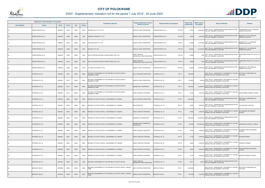

|                       | Registered or other description of the property |          |                |       |                | <b>Full Names of Owner(s)</b>                                                  | Category determined in terms of                    | Physical address of the property            | <b>Extent of the</b> | Market value of<br><b>Section 78 Remarks</b>                                                         | <b>Remarks</b>                                    |
|-----------------------|-------------------------------------------------|----------|----------------|-------|----------------|--------------------------------------------------------------------------------|----------------------------------------------------|---------------------------------------------|----------------------|------------------------------------------------------------------------------------------------------|---------------------------------------------------|
| <b>Town Allotment</b> | <b>Suburb</b>                                   | Erf Nr   | <b>Portion</b> | Unit  | <b>Section</b> |                                                                                | Section 8 of the Act                               |                                             | property (HA)        | the property                                                                                         |                                                   |
|                       | TWEEFONTEIN 915 LS                              | 00000915 | 00379          | 00000 | 0000           | AETERNO INV 197 PTY LTD                                                        | AGRICULTURAL PROPERTIES                            | <b>PTN 379</b><br>TWEEFONTEIN 915 LS        | 9.1961               | SECT 78(1)(c) - SUBDIVIDED OR CONSOLIDATED AFTER<br>22,000,000 THE LAST GENERAL VALUATION            | POLOKWANE EXT 091 TOWNSHIP<br>OWNER VALUATION     |
|                       | TWEEFONTEIN 915 LS                              | 00000915 | 00392          | 00000 | 0000           | NUMERIA TRADING PTY LTD                                                        | AGRICULTURAL PROPERTIES                            | <b>PTN 392</b><br>TWEEFONTEIN 915 LS        | 3.0584               | SECT 78(1)(c) - SUBDIVIDED OR CONSOLIDATED AFTER<br>3,200,000<br><b>HE LAST GENERAL VALUATION</b>    | BENDOR EXT 087 TOWNSHIP<br><b>OWNER VALUATION</b> |
|                       | TWEEFONTEIN 915 LS                              | 00000915 | 00431          | 00000 | 0000           | TYSOCON PROP PTY LTD                                                           | AGRICULTURAL PROPERTIES                            | TWEEFONTEIN 915 LS<br><b>PTN 431</b>        | 10.2069              | SECT 78(1)(c) - SUBDIVIDED OR CONSOLIDATED AFTER<br>13,100,000 THE LAST GENERAL VALUATION            | BENDOR EXT 101 TOWNSHIP<br>OWNER VALUATION        |
|                       | TWEEFONTEIN 915 LS                              | 00000915 | 00433          | 00000 | 0000           | <b>DECACEL PTY LTD</b>                                                         | AGRICULTURAL PROPERTIES                            | <b>WEEFONTEIN 915 LS</b><br><b>PTN 433</b>  | 29.6863              | SECT 78(1)(c) - SUBDIVIDED OR CONSOLIDATED AFTER<br>46,100,000 THE LAST GENERAL VALUATION            | BENDOR EXT 120 TOWNSHIP<br>OWNER VALUATION        |
|                       | TWEEFONTEIN 915 LS                              | 00000915 | 00497          | 00000 | 0000           | SOUTH AFRICAN NATIONAL ROADS AGENCY SOC LTD                                    | PUBLIC SERVICE<br><b>INFRASTRUCTURE PROPERTIES</b> | TWEEFONTEIN 915 LS<br><b>PTN 497</b>        | 2.2954               | SECT 78(1)(c) - SUBDIVIDED OR CONSOLIDATED AFTER<br>1,000<br>THE LAST GENERAL VALUATION              | SUBDIVIDED FROM PTN 154 OF 915                    |
|                       | TWEEFONTEIN 915 LS                              | 00000915 | 00519          | 00000 | 0000           | SOUTH AFRICAN NATIONAL ROADS AGENCY SOC LTD                                    | PUBLIC SERVICE<br><b>INFRASTRUCTURE PROPERTIES</b> | <b>TWEEFONTEIN 915 LS</b><br><b>PTN 519</b> | 0.9898               | SECT 78(1)(c) - SUBDIVIDED OR CONSOLIDATED AFTER<br>1,000<br>THE LAST GENERAL VALUATION              | SUBDIVIDED FROM PTN 154 OF 915                    |
|                       | TWEEFONTEIN 915 LS                              | 00000915 | 00522          | 00000 | 0000           | 3 P SMITH LETTING PTY LTD                                                      | AGRICULTURAL PROPERTIES                            | <b>TWEEFONTEIN 915 LS</b><br><b>PTN 522</b> | 16.2668              | SECT 78(1)(c) - SUBDIVIDED OR CONSOLIDATED AFTER<br>16,400,000 THE LAST GENERAL VALUATION            | BENDOR EXT 108 TOWNSHIP<br>OWNER VALUATION        |
|                       | SYFERKUIL 921 LS                                | 00000921 | 00017          | 00000 | M000           | NATIONAL GOVERNMENT OF THE REPUBLIC OF SOUTH AFRICA /<br><b>MAMABOLO TRIBE</b> | MULTI PURPOSE PROPERTIES                           | <b>PTN 17</b><br>SYFERKUIL 921 LS           | 393.8950             | SECT 78(1)(e) - SUBSTANTIALLY INCORRECTLY VALUED<br>DURING THE LAST GENERAL VALUATION                | SECTION 9.2 SUBDIVIDED AS<br>FOLLOWS:             |
|                       | SYFERKUIL 921 LS                                | 00000921 | 00017          | 00000 | M001           | NATIONAL GOVERNMENT OF THE REPUBLIC OF SOUTH AFRICA /<br>MAMABOLO TRIBE        | AGRICULTURAL PROPERTIES                            | <b>PTN 17</b><br>SYFERKUIL 921 LS           | 124.4650             | SECT 78(1)(e) - SUBSTANTIALLY INCORRECTLY VALUED<br>750,000 DURING THE LAST GENERAL VALUATION        |                                                   |
|                       | SYFERKUIL 921 LS                                | 00000921 | 00017          | 00000 | M002           | NATIONAL GOVERNMENT OF THE REPUBLIC OF SOUTH AFRICA /<br>MAMABOLO TRIBE        | RESIDENTIAL PROPERTIES                             | SYFERKUIL 921 LS<br><b>PTN 17</b>           | 265.0000             | SECT 78(1)(e) - SUBSTANTIALLY INCORRECTLY VALUED<br>25,000,000 DURING THE LAST GENERAL VALUATION     |                                                   |
|                       | SYFERKUIL 921 LS                                | 00000921 | 00017          | 00000 | M003           | NATIONAL GOVERNMENT OF THE REPUBLIC OF SOUTH AFRICA /<br>MAMABOLO TRIBE        | PUBLIC SERVICE PURPOSES                            | <b>PTN 17</b><br>SYFERKUIL 921 LS           | 4.4300               | SECT 78(1)(e) - SUBSTANTIALLY INCORRECTLY VALUED<br>3,400,000<br>DURING THE LAST GENERAL VALUATION   | MAKGWADIBA PRIMARY SCHOOL                         |
|                       | SYFERKUIL 921 LS                                | 00000921 | 00021          | 00000 | M000           | REPUBLIC OF SOUTH AFRICA / GOVERNMENT OF LEBOWA                                | MULTI PURPOSE PROPERTIES                           | <b>PTN 21</b><br>SYFERKUIL 921 LS           | 1,364.9929           | SECT 78(1)(c) - SUBDIVIDED OR CONSOLIDATED AFTER<br>THE LAST GENERAL VALUATION                       | SECTION 9.2 SUBDIVIDED AS<br>FOLLOWS:             |
|                       | SYFERKUIL 921 LS                                | 00000921 | 00021          | 00000 | M001           | REPUBLIC OF SOUTH AFRICA / GOVERNMENT OF LEBOWA                                | <b>NON PERMITTED</b>                               | <b>PTN 21</b><br>SYFERKUIL 921 LS           | 2.0000               | SECT 78(1)(c) - SUBDIVIDED OR CONSOLIDATED AFTER<br>3,000,000 THE LAST GENERAL VALUATION             | TAU BUILDING SUPPLIES                             |
|                       | SYFERKUIL 921 LS                                | 00000921 | 00021          | 00000 | M002           | REPUBLIC OF SOUTH AFRICA / GOVERNMENT OF LEBOWA                                | PUBLIC SERVICE PURPOSES                            | SYFERKUIL 921 LS<br><b>PTN 21</b>           | 4.6400               | SECT 78(1)(e) - SUBSTANTIALLY INCORRECTLY VALUED<br>3,400,000<br>DURING THE LAST GENERAL VALUATION   | DITLALEMESO SECONDARY<br><b>SCHOOL</b>            |
|                       | SYFERKUIL 921 LS                                | 00000921 | 00021          | 00000 | M003           | REPUBLIC OF SOUTH AFRICA / GOVERNMENT OF LEBOWA                                | RESIDENTIAL PROPERTIES                             | <b>PTN 21</b><br>SYFERKUIL 921 LS           | 1,258.3029           | SECT 78(1)(c) - SUBDIVIDED OR CONSOLIDATED AFTER<br>65,800,000 THE LAST GENERAL VALUATION            |                                                   |
| <b>LS</b>             | SYFERKUIL 921 LS                                | 00000921 | 00021          | 00000 | M004           | REPUBLIC OF SOUTH AFRICA / GOVERNMENT OF LEBOWA                                | BUSINESS AND COMMERCIAL<br><b>PROPERTIES</b>       | <b>PTN 21</b><br>SYFERKUIL 921 LS           | 80.0000              | SECT 78(1)(e) - SUBSTANTIALLY INCORRECTLY VALUED<br>650,000,000<br>DURING THE LAST GENERAL VALUATION | MANKWENG HOSPITAL CAMPUS                          |
| LS                    | SYFERKUIL 921 LS                                | 00000921 | 00021          | 00000 | M005           | REPUBLIC OF SOUTH AFRICA / GOVERNMENT OF LEBOWA                                | PUBLIC SERVICE PURPOSES                            | <b>PTN 21</b><br>SYFERKUIL 921 LS           | 5.9400               | SECT 78(1)(e) - SUBSTANTIALLY INCORRECTLY VALUED<br>4,900,000 DURING THE LAST GENERAL VALUATION      | KLASSMOTHAPO SECONDARY<br>SCHOOL                  |
| <b>LS</b>             | SYFERKUIL 921 LS                                | 00000921 | 00021          | 00000 | M006           | REPUBLIC OF SOUTH AFRICA / GOVERNMENT OF LEBOWA                                | PUBLIC SERVICE PURPOSES                            | SYFERKUIL 921 LS<br><b>PTN 21</b>           | 3.1100               | SECT 78(1)(e) - SUBSTANTIALLY INCORRECTLY VALUED<br>2,300,000 DURING THE LAST GENERAL VALUATION      | <b>MOLAMO PRIMARY</b>                             |
| LS                    | SYFERKUIL 921 LS                                | 00000921 | 00021          | 00000 | M007           | REPUBLIC OF SOUTH AFRICA / GOVERNMENT OF LEBOWA                                | PUBLIC SERVICE PURPOSES                            | SYFERKUIL 921 LS<br><b>PTN 21</b>           | 2.9400               | SECT 78(1)(e) - SUBSTANTIALLY INCORRECTLY VALUED<br>3,500,000 DURING THE LAST GENERAL VALUATION      | ORONTO PRIMARY                                    |
| <b>LS</b>             | SYFERKUIL 921 LS                                | 00000921 | 00021          | 00000 | M008           | REPUBLIC OF SOUTH AFRICA / GOVERNMENT OF LEBOWA                                | PUBLIC SERVICE PURPOSES                            | <b>PTN 21</b><br>SYFERKUIL 921 LS           | 4.5500               | SECT 78(1)(e) - SUBSTANTIALLY INCORRECTLY VALUED<br>4,000,000<br>DURING THE LAST GENERAL VALUATION   | MOUNTAINVIEW SECONDARY<br><b>SCHOOL</b>           |
| LS                    | SYFERKUIL 921 LS                                | 00000921 | 00021          | 00000 | M009           | REPUBLIC OF SOUTH AFRICA / GOVERNMENT OF LEBOWA                                | PUBLIC SERVICE PURPOSES                            | SYFERKUIL 921 LS<br><b>PTN 21</b>           | 3.5100               | SECT 78(1)(e) - SUBSTANTIALLY INCORRECTLY VALUED<br>3,400,000<br>DURING THE LAST GENERAL VALUATION   | MORITING PRIMARY SCHOOL                           |
|                       | SYFERKUIL 921 LS                                | 00000921 | 00067          | 00000 | 0000           | NATIONAL GOVERNMENT OF THE REPUBLIC OF SOUTH AFRICA                            | PUBLIC SERVICE<br><b>INFRASTRUCTURE PROPERTIES</b> | SYFERKUIL 921 LS<br><b>PTN 67</b>           | 5.0071               | SECT 78(1)(c) - SUBDIVIDED OR CONSOLIDATED AFTER<br>50,000<br>THE LAST GENERAL VALUATION             |                                                   |
| LS                    | BERGVLEY 984 LS                                 | 00000984 | 00000          | 00000 | M000           | NATIONAL GOVERNMENT OF THE REPUBLIC OF SOUTH AFRICA / BAPEDI<br>RIRF           | <b>MULTI PURPOSE PROPERTIES</b>                    | PTN 0<br>BERGVLEY 984 LS                    | 1,350.9608           | SECT 78(1)(e) - SUBSTANTIALLY INCORRECTLY VALUED<br>DURING THE LAST GENERAL VALUATION                | SECTION 9.2 SUBDIVIDED AS<br>FOLLOWS:             |
|                       | BERGVLEY 984 LS                                 | 00000984 | 00000          | 00000 | M001           | NATIONAL GOVERNMENT OF THE REPUBLIC OF SOUTH AFRICA / BAPEDI<br><b>RIBE</b>    | AGRICULTURAL PROPERTIES                            | PTN 0<br>BERGVLEY 984 LS                    | 744.0008             | SECT 78(1)(e) - SUBSTANTIALLY INCORRECTLY VALUED<br>5,200,000<br>DURING THE LAST GENERAL VALUATION   |                                                   |

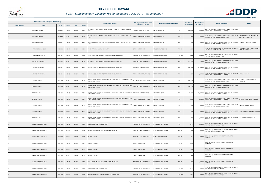

|                       | Registered or other description of the property |               |         |       |                | <b>Full Names of Owner(s)</b>                                                          | Category determined in terms of | Physical address of the property               | <b>Extent of the</b> | <b>Market value of</b> | <b>Section 78 Remarks</b>                                                                        | <b>Remarks</b>                                       |
|-----------------------|-------------------------------------------------|---------------|---------|-------|----------------|----------------------------------------------------------------------------------------|---------------------------------|------------------------------------------------|----------------------|------------------------|--------------------------------------------------------------------------------------------------|------------------------------------------------------|
| <b>Town Allotment</b> | <b>Suburb</b>                                   | <b>Erf Nr</b> | Portion | Unit  | <b>Section</b> |                                                                                        | Section 8 of the Act            |                                                | property (HA)        | the property           |                                                                                                  |                                                      |
|                       | BERGVLEY 984 LS                                 | 00000984      | 00000   | 00000 | M002           | NATIONAL GOVERNMENT OF THE REPUBLIC OF SOUTH AFRICA / BAPEDI<br><b>TRIBE</b>           | RESIDENTIAL PROPERTIES          | PTN <sub>0</sub><br>BERGVLEY 984 LS            | 600.0000             |                        | 5,000,000 SECT 78(1)(e) - SUBSTANTIALLY INCORRECTLY VALUED                                       |                                                      |
|                       | BERGVLEY 984 LS                                 | 00000984      | 00000   | 00000 | M003           | NATIONAL GOVERNMENT OF THE REPUBLIC OF SOUTH AFRICA / BAPEDI                           | PUBLIC SERVICE PURPOSES         | PTN <sub>0</sub><br>BERGVLEY 984 LS            | 4.0600               | 1,900,000              | SECT 78(1)(e) - SUBSTANTIALLY INCORRECTLY VALUED<br>DURING THE LAST GENERAL VALUATION            | MACHAKA ROBERT MAMABOLO<br>SECONDARY SCHOOL          |
| <b>LS</b>             | BERGVLEY 984 LS                                 | 00000984      | 00000   | 00000 | M004           | NATIONAL GOVERNMENT OF THE REPUBLIC OF SOUTH AFRICA / BAPEDI<br>TRIBE                  | PUBLIC SERVICE PURPOSES         | BERGVLEY 984 LS<br>PTN <sub>0</sub>            | 2.9000               |                        | SECT 78(1)(e) - SUBSTANTIALLY INCORRECTLY VALUED<br>1,500,000 DURING THE LAST GENERAL VALUATION  | MMATLALA PRIMARY SCHOOL                              |
| <b>LS</b>             | KRUGERSBURG 993 LS                              | 00000993      | 00012   | 00000 | 0000           | POLOKWANE LOCAL MUNICIPALITY                                                           | <b>CROSS REFERENCE</b>          | KRUGERSBURG 993 LS<br><b>PTN 12</b>            | 3.4982               |                        | SECT 78(1)(c) - SUBDIVIDED OR CONSOLIDATED AFTER<br>THE LAST GENERAL VALUATION                   | POLOKWANE EXT 124 TOWNSHIP<br><b>OWNER VALUATION</b> |
|                       | KALKFONTEIN 1001 LS                             | 00001001      | 00155   | 00000 | 0000           | TJALE SOHWANE VELLRY / TJALE KGADIMONYANE HOSEAH                                       | AGRICULTURAL PROPERTIES         | <b>PTN 155</b><br>KALKFONTEIN 1001 LS          | 8.1249               |                        | SECT 78(1)(c) - SUBDIVIDED OR CONSOLIDATED AFTER<br>1,500,000 THE LAST GENERAL VALUATION         |                                                      |
|                       | VEERFONTEIN 1004 LS                             | 00001004      | 00000   | 00000 | M004           | NATIONAL GOVERNMENT OF REPUBLIC OF SOUTH AFRICA                                        | AGRICULTURAL PROPERTIES         | PTN <sub>0</sub><br><b>/EERFONTEIN 1004 LS</b> | 117.2159             |                        | SECT 78(1)(e) - SUBSTANTIALLY INCORRECTLY VALUED<br>820,000 DURING THE LAST GENERAL VALUATION    |                                                      |
| LS                    | VEERFONTEIN 1004 LS                             | 00001004      | 00000   | 00000 | M005           | NATIONAL GOVERNMENT OF REPUBLIC OF SOUTH AFRICA                                        | RESIDENTIAL PROPERTIES          | PTN <sub>0</sub><br>VEERFONTEIN 1004 LS        | 800.0000             |                        | SECT 78(1)(e) - SUBSTANTIALLY INCORRECTLY VALUED<br>60,000,000 DURING THE LAST GENERAL VALUATION |                                                      |
|                       | VEERFONTEIN 1004 LS                             | 00001004      | 00000   | 00000 | M006           | NATIONAL GOVERNMENT OF REPUBLIC OF SOUTH AFRICA                                        | <b>PUBLIC SERVICE PURPOSES</b>  | PTN <sub>0</sub><br>EERFONTEIN 1004 LS         | 1.8500               | 1,800,000              | SECT 78(1)(e) - SUBSTANTIALLY INCORRECTLY VALUED<br>DURING THE LAST GENERAL VALUATION            | MAKGONGOANA                                          |
|                       | DRIEKOP 1010 LS                                 | 00001010      | 00000   | 00000 | M000           | BAPEDI TRIBE / MINISTER OF NATIVE AFFAIRS FOR THE UNION OF SOUTH<br>AFRICAN IN TRUST F | MULTI PURPOSE PROPERTIES        | PTN <sub>0</sub><br>DRIEKOP 1010 LS            | 850.5363             |                        | SECT 78(1)(e) - SUBSTANTIALLY INCORRECTLY VALUED<br>DURING THE LAST GENERAL VALUATION            | SECTION 9.2 SUBDIVIDED AS<br>FOLLOWS:                |
| <b>LS</b>             | DRIEKOP 1010 LS                                 | 00001010      | 00000   | 00000 | M001           | BAPEDI TRIBE / MINISTER OF NATIVE AFFAIRS FOR THE UNION OF SOUTH<br>AFRICAN IN TRUST F | AGRICULTURAL PROPERTIES         | RIEKOP 1010 LS<br>PTN <sub>0</sub>             | 443.9263             |                        | 1,300,000 SECT 78(1)(e) - SUBSTANTIALLY INCORRECTLY VALUED<br>DURING THE LAST GENERAL VALUATION  |                                                      |
| LS                    | DRIEKOP 1010 LS                                 | 00001010      | 00000   | 00000 | M002           | BAPEDI TRIBE / MINISTER OF NATIVE AFFAIRS FOR THE UNION OF SOUTH<br>AFRICAN IN TRUST F | RESIDENTIAL PROPERTIES          | PTN <sub>0</sub><br>DRIEKOP 1010 LS            | 400.0000             |                        | SECT 78(1)(e) - SUBSTANTIALLY INCORRECTLY VALUED<br>25,000,000 DURING THE LAST GENERAL VALUATION |                                                      |
| <b>LS</b>             | DRIEKOP 1010 LS                                 | 00001010      | 00000   | 00000 | M003           | BAPEDI TRIBE / MINISTER OF NATIVE AFFAIRS FOR THE UNION OF SOUTH<br>AFRICAN IN TRUST F | PUBLIC SERVICE PURPOSES         | PTN <sub>0</sub><br>DRIEKOP 1010 LS            | 2.0300               |                        | 1,900,000 SECT 78(1)(e) - SUBSTANTIALLY INCORRECTLY VALUED                                       | MAKOME SECONDARY SCHOOL                              |
| LS                    | DRIEKOP 1010 LS                                 | 00001010      | 00000   | 00000 | M004           | BAPEDI TRIBE / MINISTER OF NATIVE AFFAIRS FOR THE UNION OF SOUTH<br>AFRICAN IN TRUST F | PUBLIC SERVICE PURPOSES         | DRIEKOP 1010 LS<br>PTN 0                       | 1.5000               |                        | SECT 78(1)(e) - SUBSTANTIALLY INCORRECTLY VALUED<br>1,700,000 DURING THE LAST GENERAL VALUATION  | RAKOPI PRIMARY SCHOOL                                |
| LS                    | DRIEKOP 1010 LS                                 | 00001010      | 00000   | 00000 | M005           | BAPEDI TRIBE / MINISTER OF NATIVE AFFAIRS FOR THE UNION OF SOUTH<br>AFRICAN IN TRUST F | PUBLIC SERVICE PURPOSES         | DRIEKOP 1010 LS<br>PTN 0                       | 1.8100               |                        | SECT 78(1)(e) - SUBSTANTIALLY INCORRECTLY VALUED<br>1,800,000 DURING THE LAST GENERAL VALUATION  | MOTLAKARO SECONDARY SCHOOL                           |
| LS                    | DRIEKOP 1010 LS                                 | 00001010      | 00000   | 00000 | M006           | BAPEDI TRIBE / MINISTER OF NATIVE AFFAIRS FOR THE UNION OF SOUTH<br>AFRICAN IN TRUST F | PUBLIC SERVICE PURPOSES         | DRIEKOP 1010 LS<br>PTN 0                       | 1.2700               |                        | 1,600,000 SECT 78(1)(e) - SUBSTANTIALLY INCORRECTLY VALUED                                       | KATANE PRIMARY SCHOOL                                |
| <b>LS</b>             | MYNGENOEGEN 1048 LS                             | 00001048      | 00009   | 00000 | 0000           | SWANEPOEL JUDITH MAGDALENA                                                             | AGRICULTURAL PROPERTIES         | PTN 9<br>MYNGENOEGEN 1048 LS                   | 2.1416               |                        | SECT 78(1)(c) - SUBDIVIDED OR CONSOLIDATED AFTER<br>1,700,000 THE LAST GENERAL VALUATION         |                                                      |
| <b>LS</b>             | MYNGENOEGEN 1048 LS                             | 00001048      | 00034   | 00000 | 0000           | MALAN JACOLINE HELEN / MALAN GERT PETRUS                                               | AGRICULTURAL PROPERTIES         | <b>PTN 34</b><br>MYNGENOEGEN 1048 LS           | 4.6823               |                        | SECT 78(1)(c) - SUBDIVIDED OR CONSOLIDATED AFTER<br>1,600,000 THE LAST GENERAL VALUATION         |                                                      |
| <b>LS</b>             | MYNGENOEGEN 1048 LS                             | 00001048      | 00060   | 00000 | 0000           | <b>MACKIE SIMONE</b>                                                                   | AGRICULTURAL PROPERTIES         | MYNGENOEGEN 1048 LS<br><b>PTN 60</b>           | 8.5653               | 3,500,000              | SECT 78(1)(g) - OF WHICH THE CATEGORY HAS<br>CHANGED                                             |                                                      |
| LS                    | MYNGENOEGEN 1048 LS                             | 00001048      | 00060   | 00000 | M000           | <b>MACKIE SIMONE</b>                                                                   | <b>CROSS REFERENCE</b>          | <b>PTN 60</b><br>MYNGENOEGEN 1048 LS           | 8.5653               |                        | SECT 78(1)(g) - OF WHICH THE CATEGORY HAS<br>CHANGED                                             |                                                      |
| <b>LS</b>             | MYNGENOEGEN 1048 LS                             | 00001048      | 00060   | 00000 | M001           | <b>MACKIE SIMONE</b>                                                                   | <b>CROSS REFERENCE</b>          | <b>PTN 60</b><br>MYNGENOEGEN 1048 LS           | 1.0000               |                        | SECT 78(1)(g) - OF WHICH THE CATEGORY HAS<br><b>CHANGED</b>                                      |                                                      |
| LS                    | MYNGENOEGEN 1048 LS                             | 00001048      | 00060   | 00000 | M002           | <b>MACKIE SIMONE</b>                                                                   | <b>CROSS REFERENCE</b>          | MYNGENOEGEN 1048 LS<br><b>PTN 60</b>           | 7.5653               |                        | SECT 78(1)(g) - OF WHICH THE CATEGORY HAS<br>CHANGED                                             |                                                      |
| <b>LS</b>             | MYNGENOEGEN 1048 LS                             | 00001048      | 00085   | 00000 | 0000           | SCHALKWYK MAGDALENA MARTHA SUSANNA VAN                                                 | <b>AGRICULTURAL PROPERTIES</b>  | MYNGENOEGEN 1048 LS<br><b>PTN 85</b>           | 2.8539               | 1,100,000              | SECT 78(1)(g) - OF WHICH THE CATEGORY HAS<br>CHANGED                                             |                                                      |
| <b>LS</b>             | MYNGENOEGEN 1048 LS                             | 00001048      | 00108   | 00000 | 0000           | SWANEPOEL JUDITH MAGDALENA                                                             | AGRICULTURAL PROPERTIES         | <b>PTN 108</b><br>MYNGENOEGEN 1048 LS          | 2.1412               |                        | 300,000 SECT 78(1)(c) - SUBDIVIDED OR CONSOLIDATED AFTER<br>THE LAST GENERAL VALUATION           |                                                      |
| <b>LS</b>             | MYNGENOEGEN 1048 LS                             | 00001048      | 00109   | 00000 | 0000           | NZUMBU-DIVHI BUILDING & CIVIL CONSTRUCTION CC                                          | AGRICULTURAL PROPERTIES         | MYNGENOEGEN 1048 LS<br><b>PTN 109</b>          | 2.1412               | 300,000                | SECT 78(1)(c) - SUBDIVIDED OR CONSOLIDATED AFTER<br>THE LAST GENERAL VALUATION                   |                                                      |

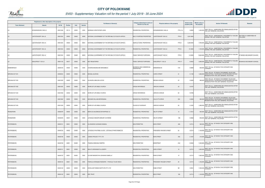

|                       | Registered or other description of the property |          |         |       |                | <b>Full Names of Owner(s)</b>                       | Category determined in terms of              |                                       | <b>Extent of the</b> | <b>Market value of</b> |                                                                                                                                                    | Remarks                               |
|-----------------------|-------------------------------------------------|----------|---------|-------|----------------|-----------------------------------------------------|----------------------------------------------|---------------------------------------|----------------------|------------------------|----------------------------------------------------------------------------------------------------------------------------------------------------|---------------------------------------|
| <b>Town Allotment</b> | Suburb                                          | Erf Nr   | Portion | Unit  | <b>Section</b> |                                                     | Section 8 of the Act                         | Physical address of the property      | property (HA)        | the property           | <b>Section 78 Remarks</b>                                                                                                                          |                                       |
| LS                    | MYNGENOEGEN 1048 LS                             | 00001048 | 00114   | 00000 | 0000           | BURMAN CHRISTOPHER JOHN                             | RESIDENTIAL PROPERTIES                       | MYNGENOEGEN 1048 LS<br><b>PTN 114</b> | 3.8830               |                        | 1,400,000 SECT 78(1)(c) - SUBDIVIDED OR CONSOLIDATED AFTER<br>THE LAST GENERAL VALUATION                                                           |                                       |
| <b>LS</b>             | LAATSTEHOOP 1054 LS                             | 00001054 | 00000   | 00000 | M000           | NATIONAL GOVERNMENT OF THE REPUBLIC OF SOUTH AFRICA | MULTI PURPOSE PROPERTIES                     | PTN 0<br>LAATSTEHOOP 1054 LS          | 1,261.6945           |                        | SECT 78(1)(e) - SUBSTANTIALLY INCORRECTLY VALUED<br>DURING THE LAST GENERAL VALUATION                                                              | SECTION 9.2 SUBDIVIDED AS<br>FOLLOWS: |
| LS                    | LAATSTEHOOP 1054 LS                             | 00001054 | 00000   | 00000 | M001           | NATIONAL GOVERNMENT OF THE REPUBLIC OF SOUTH AFRICA | AGRICULTURAL PROPERTIES                      | PTN 0<br>LAATSTEHOOP 1054 LS          | 1,228.6945           |                        | SECT 78(1)(e) - SUBSTANTIALLY INCORRECTLY VALUED<br>7,400,000 DURING THE LAST GENERAL VALUATION                                                    |                                       |
| <b>LS</b>             | LAATSTEHOOP 1054 LS                             | 00001054 | 00000   | 00000 | M002           | NATIONAL GOVERNMENT OF THE REPUBLIC OF SOUTH AFRICA | RESIDENTIAL PROPERTIES                       | LAATSTEHOOP 1054 LS<br>PTN 0          | 21.0000              |                        | SECT 78(1)(e) - SUBSTANTIALLY INCORRECTLY VALUED<br>1,100,000 DURING THE LAST GENERAL VALUATION                                                    |                                       |
| LS                    | LAATSTEHOOP 1054 LS                             | 00001054 | 00000   | 00000 | M003           | NATIONAL GOVERNMENT OF THE REPUBLIC OF SOUTH AFRICA | PUBLIC SERVICE PURPOSES                      | LAATSTEHOOP 1054 LS<br>PTN 0          | 12.0000              | 8,000,000              | SECT 78(1)(e) - SUBSTANTIALLY INCORRECTLY VALUED<br>DURING THE LAST GENERAL VALUATION                                                              | ST BEDES SECONDARY SCHOOL             |
| <b>LS</b>             | KAALSPRUIT 1135 LS                              | 00001135 | 00017   | 00000 | 0000           | <b>NOT REGISTERED</b>                               | PUBLIC SERVICE PURPOSES                      | <b>PTN 17</b><br>KAALSPRUIT 1135 LS   | 6.8423               |                        | SECT 78(1)(e) - SUBSTANTIALLY INCORRECTLY VALUED<br>3,800,000 DURING THE LAST GENERAL VALUATION                                                    | BOSAKGO SECONDARY SCHOOL              |
| MANKWENG-B            |                                                 | 00000418 | 00004   | 00000 | 0000           | CHUENE MAGDELINE MAKGABELA                          | BUSINESS AND COMMERCIAL<br><b>PROPERTIES</b> | 418<br><b>IANKWENG-B</b>              | 0.0680               |                        | SECT 78(1)(g) - OF WHICH THE CATEGORY HAS<br>600,000 CHANGED                                                                                       |                                       |
| NIRVANA EXT 001       |                                                 | 00000818 | 00000   | 00000 | 0000           | MOOSA JULEIKHA                                      | RESIDENTIAL PROPERTIES                       | <b>CAIRO STREET</b><br>31             | 0.1190               |                        | SECT 78(1)(d) - OF WHICH THE MARKET VALUE HAS<br>1,600,000 SUBSTANTIALLY INCREASED OR DECREASED FOR ANY<br>REASON AFTER THE LAST GENERAL VALUATION |                                       |
| NIRVANA EXT 003       |                                                 | 00001029 | 00000   | 00000 | 0000           | HLAHLENI JABULANI JOYCE                             | <b>RESIDENTIAL PROPERTIES</b>                | 22<br><b>BRUNEI AVENUE</b>            | 0.0463               |                        | SECT 78(1)(d) - OF WHICH THE MARKET VALUE HAS<br>480,000 SUBSTANTIALLY INCREASED OR DECREASED FOR ANY<br>REASON AFTER THE LAST GENERAL VALUATION   |                                       |
| NIRVANA EXT 003       |                                                 | 00001055 | 00000   | 00000 | 0000           | WORD OF LIFE BIBLE CHURCH                           | <b>CROSS REFERENCE</b>                       | JERICHO AVENUE<br>24                  | 0.0707               |                        | SECT 78(1)(c) - SUBDIVIDED OR CONSOLIDATED AFTER<br>THE LAST GENERAL VALUATION                                                                     |                                       |
| NIRVANA EXT 003       |                                                 | 00001056 | 00000   | 00000 | 0000           | WORD OF LIFE BIBLE CHURCH                           | <b>CROSS REFERENCE</b>                       | JERICHO AVENUE<br>26                  | 0.0798               |                        | SECT 78(1)(c) - SUBDIVIDED OR CONSOLIDATED AFTER<br>THE LAST GENERAL VALUATION                                                                     |                                       |
| NIRVANA EXT 003       |                                                 | 00001062 | 00000   | 00000 | 0000           | MOHUBA WILLIAM MPAPANANA                            | RESIDENTIAL PROPERTIES                       | CALCUTTA DRIVE<br>204                 | 0.0550               |                        | SECT 78(1)(d) - OF WHICH THE MARKET VALUE HAS<br>900,000 SUBSTANTIALLY INCREASED OR DECREASED FOR ANY<br>REASON AFTER THE LAST GENERAL VALUATION   |                                       |
| NIRVANA EXT 003       |                                                 | 00001359 | 00000   | 00000 | 0000           | WORD OF LIFE BIBLE CHURCH                           | PLACES OF WORSHIP                            | 26<br><b>JERICHO AVENUE</b>           | 0.1505               |                        | 1,580,000 SECT 78(1)(c) - SUBDIVIDED OR CONSOLIDATED AFTER<br>THE LAST GENERAL VALUATION                                                           |                                       |
| PENINAPARK            |                                                 | 00000278 | 00000   | 00000 | 0000           | MONTLOU BUSINESS ENTERPRISE CC                      | RESIDENTIAL PROPERTIES                       | <b>SELATI STREET</b><br>13            | 0.1612               |                        | SECT 78(1)(c) - SUBDIVIDED OR CONSOLIDATED AFTER<br>600,000 THE LAST GENERAL VALUATION                                                             |                                       |
| PENINAPARK            |                                                 | 00000278 | 00001   | 00000 | 0000           | LETSOALO MAKOPA MMUMY CATHRINE                      | RESIDENTIAL PROPERTIES                       | <b>SELATI STREET</b><br>13B           | 0.0658               |                        | 600,000 SECT 78(1)(c) - SUBDIVIDED OR CONSOLIDATED AFTER<br>THE LAST GENERAL VALUATION                                                             |                                       |
| PIETERSBURG           |                                                 | 00000101 | 00001   | 00000 | 0000           | HLUNGWANI HLENGANI SAMUEL                           | <b>NON PERMITTED</b>                         | <b>BOK STREET</b><br>28A              | 0.0714               | 920,000                | SECT 78(1)(g) - OF WHICH THE CATEGORY HAS<br>CHANGED                                                                                               |                                       |
| PIETERSBURG           |                                                 | 00000102 | 00002   | 00000 | 0000           | LETSOALO PHUTIANA JULIAS / LETSOALO PHERI REBECCA   | <b>RESIDENTIAL PROPERTIES</b>                | 25<br>PRESIDENT KRUGER STREET         | 0.0714               | 1,100,000              | SECT 78(1)(g) - OF WHICH THE CATEGORY HAS<br>CHANGED                                                                                               |                                       |
| PIETERSBURG           |                                                 | 00000108 | 00000   | 00000 | 0000           | LESEKA PROJECT PTY LTD                              | RESIDENTIAL PROPERTIES                       | <b>BOK STREET</b><br>25A              | 0.1007               |                        | SECT 78(1)(g) - OF WHICH THE CATEGORY HAS<br>310,000 CHANGED                                                                                       |                                       |
| PIETERSBURG           |                                                 | 00000108 | 00001   | 00000 | 0000           | PHAAHLA MAKGALE MARTIN                              | <b>NON PERMITTED</b>                         | <b>BOKSTRAAT</b><br>25A               | 0.0943               |                        | SECT 78(1)(g) - OF WHICH THE CATEGORY HAS<br>$1,000,000$ CHANGED                                                                                   |                                       |
| <b>PIETERSBURG</b>    |                                                 | 00000131 | 00001   | 00000 | 0000           | MALATJI BOKANKATLA JOSEPH                           | <b>RESIDENTIAL PROPERTIES</b>                | <b>KERK STREET</b><br>16              | 0.0714               | 1,600,000              | SECT 78(1)(g) - OF WHICH THE CATEGORY HAS<br>CHANGED                                                                                               |                                       |
| PIETERSBURG           |                                                 | 00000132 | 00001   | 00000 | 0000           | OLIVIER MAGRIETHA JOHANNA ISABELLA                  | RESIDENTIAL PROPERTIES                       | <b>KERK STREET</b><br>14              | 0.0714               | 1,600,000              | SECT 78(1)(g) - OF WHICH THE CATEGORY HAS<br>CHANGED                                                                                               |                                       |
| PIETERSBURG           |                                                 | 00000135 | 00001   | 00000 | 0000           | PHAKULA KHENSANI RODGERS / PHAKULA TILASI ONICA     | RESIDENTIAL PROPERTIES                       | 20<br>PRESIDENT KRUGER STREET         | 0.0714               | 1,100,000              | SECT 78(1)(g) - OF WHICH THE CATEGORY HAS<br><b>CHANGED</b>                                                                                        |                                       |
| PIETERSBURG           |                                                 | 00000139 | 00002   | 00000 | 0000           | EXCELLENT MINDS INSTITUTE PTY LTD                   | <b>NON PERMITTED</b>                         | 9B<br>RABE STREET                     | 0.0951               | 1,500,000              | SECT 78(1)(g) - OF WHICH THE CATEGORY HAS<br>CHANGED                                                                                               |                                       |
| PIETERSBURG           |                                                 | 00000142 | 00001   | 00000 | 0000           | <b>ZEE TRUST</b>                                    | RESIDENTIAL PROPERTIES                       | <b>BOK STREET</b><br>18A              | 0.0714               | 1,100,000              | SECT 78(1)(g) - OF WHICH THE CATEGORY HAS<br>CHANGED                                                                                               |                                       |

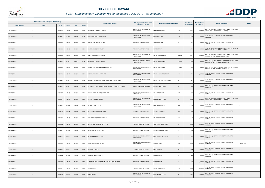

|                       | Registered or other description of the property |          |         |       |                | <b>Full Names of Owner(s)</b>                       | Category determined in terms of              | Physical address of the property         | <b>Extent of the</b> | <b>Market value of</b> | <b>Section 78 Remarks</b><br><b>Remarks</b>                                                     |
|-----------------------|-------------------------------------------------|----------|---------|-------|----------------|-----------------------------------------------------|----------------------------------------------|------------------------------------------|----------------------|------------------------|-------------------------------------------------------------------------------------------------|
| <b>Town Allotment</b> | Suburb                                          | Erf Nr   | Portion | Unit  | <b>Section</b> |                                                     | Section 8 of the Act                         |                                          | property (HA)        | the property           |                                                                                                 |
| <b>PIETERSBURG</b>    |                                                 | 00000169 | 00002   | 00000 | 0000           | LAVENDER HOPE INV PTY LTD                           | BUSINESS AND COMMERCIAL<br><b>PROPERTIES</b> | 13A<br><b>DEVENISH STREET</b>            | 0.0714               |                        | 4,100,000 SECT 78(1)(e) - SUBSTANTIALLY INCORRECTLY VALUED                                      |
| <b>PIETERSBURG</b>    |                                                 | 00000321 | 00003   | 00000 | 0000           | OMTAY PROP HOLDING TRUST                            | BUSINESS AND COMMERCIAL<br><b>PROPERTIES</b> | ONDER STREET<br>104                      | 0.0702               | 900,000                | SECT 78(1)(g) - OF WHICH THE CATEGORY HAS<br><b>CHANGED</b>                                     |
| PIETERSBURG           |                                                 | 00000327 | 00003   | 00000 | 0000           | MPHAHLELE JACKINA MAMIKI                            | RESIDENTIAL PROPERTIES                       | 92<br><b>ONDER STREET</b>                | 0.0714               | 750,000                | SECT 78(1)(g) - OF WHICH THE CATEGORY HAS<br>CHANGED                                            |
| <b>PIETERSBURG</b>    |                                                 | 00000333 | 00000   | 00000 | 0000           | NABEEL SALOOJEE TRUST                               | <b>RESIDENTIAL PROPERTIES</b>                | <b>BUITE STREET</b><br>104               | 0.0714               |                        | SECT 78(1)(e) - SUBSTANTIALLY INCORRECTLY VALUED<br>800,000 DURING THE LAST GENERAL VALUATION   |
| PIETERSBURG           |                                                 | 00000433 | 00000   | 00009 | 0000           | MAKWARELA GEOMETICS CC                              | BUSINESS AND COMMERCIAL<br><b>PROPERTIES</b> | UNIT 9<br>SS 125 ON MARSHALL             | 0.0071               |                        | SECT 78(1)(e) - SUBSTANTIALLY INCORRECTLY VALUED<br>1,200,000 DURING THE LAST GENERAL VALUATION |
| <b>PIETERSBURG</b>    |                                                 | 00000433 | 00000   | 00011 | 0000           | MAKWARELA GEOMETICS CC                              | BUSINESS AND COMMERCIAL<br><b>PROPERTIES</b> | UNIT <sub>11</sub><br>SS 125 ON MARSHALL | 0.0062               |                        | SECT 78(1)(e) - SUBSTANTIALLY INCORRECTLY VALUED<br>1,150,000 DURING THE LAST GENERAL VALUATION |
| PIETERSBURG           |                                                 | 00000433 | 00000   | 00012 | 0000           | NOBUHLE'S MARKETING NETWORKS CC                     | BUSINESS AND COMMERCIAL<br><b>PROPERTIES</b> | <b>UNIT 12</b><br>SS 125 ON MARSHALL     | 0.0052               |                        | 1,150,000 SECT 78(1)(e) - SUBSTANTIALLY INCORRECTLY VALUED                                      |
| <b>PIETERSBURG</b>    |                                                 | 00000446 | 00002   | 00000 | 0000           | LESWIKA WOMEN INV PTY LTD                           | BUSINESS AND COMMERCIAL<br><b>PROPERTIES</b> | LANDDROS MARE STREET<br>10A              | 0.0714               | 1,600,000              | SECT 78(1)(g) - OF WHICH THE CATEGORY HAS<br>CHANGED                                            |
| PIETERSBURG           |                                                 | 00000463 | 00000   | 00000 | 0000           | MATLALA THOMAS THAMAGA / MATLALA CHUENE ALICE       | BUSINESS AND COMMERCIAL<br><b>PROPERTIES</b> | PRESIDENT KRUGER STREET<br>8             | 0.1428               | 2,300,000 CHANGED      | SECT 78(1)(g) - OF WHICH THE CATEGORY HAS                                                       |
| <b>PIETERSBURG</b>    |                                                 | 00000502 | 00000   | 00000 | 0000           | NATIONAL GOVERNMENT OF THE REPUBLIC OF SOUTH AFRICA | PUBLIC SERVICE PURPOSES                      | 24<br>ODENSTEIN STREET                   | 0.2855               | 7,100,000 CHANGED      | SECT 78(1)(g) - OF WHICH THE CATEGORY HAS                                                       |
| PIETERSBURG           |                                                 | 00000517 | 00000   | 00000 | 0000           | FRIKKIE-PIENAAR GEBOUE PTY LTD                      | BUSINESS AND COMMERCIAL<br><b>PROPERTIES</b> | <b>BICCARD STREET</b><br>91B             | 0.1636               | 2,100,000              | SECT 78(1)(g) - OF WHICH THE CATEGORY HAS<br>CHANGED                                            |
| <b>PIETERSBURG</b>    |                                                 | 00000544 | 00000   | 00000 | 0000           | JUTTEN BELEGGINGS CC                                | BUSINESS AND COMMERCIAL<br><b>PROPERTIES</b> | BODENSTEIN STREET<br>26                  | 0.0989               |                        | 4,000,000 SECT 78(1)(e) - SUBSTANTIALLY INCORRECTLY VALUED<br>DURING THE LAST GENERAL VALUATION |
| PIETERSBURG           |                                                 | 00000595 | 00001   | 00000 | 0000           | DIONNE FAMILY TRUST                                 | BUSINESS AND COMMERCIAL<br><b>PROPERTIES</b> | 30A<br><b>DEVENISH STREET</b>            | 0.1565               | $1,800,000$ CHANGED    | SECT 78(1)(g) - OF WHICH THE CATEGORY HAS                                                       |
| PIETERSBURG           |                                                 | 00000598 | 00001   | 00000 | 0000           | VINAYAGAMOORTHY KANDIAH                             | RESIDENTIAL PROPERTIES                       | <b>JORISSEN STREET</b><br>30A            | 0.1226               | 2,200,000              | SECT 78(1)(g) - OF WHICH THE CATEGORY HAS<br>CHANGED                                            |
| PIETERSBURG           |                                                 | 00000622 | 00000   | 00000 | 0000           | D W PROJECTS NORTH WEST CC                          | RESIDENTIAL PROPERTIES                       | DEVENISH STREET<br>32A                   | 0.1428               | 2,200,000 CHANGED      | SECT 78(1)(g) - OF WHICH THE CATEGORY HAS                                                       |
| <b>PIETERSBURG</b>    |                                                 | 00000622 | 00006   | 00000 | 0000           | NORTHPARK TRADING 45 PTY LTD                        | <b>RESIDENTIAL PROPERTIES</b>                | <b>VOORTREKKER STREET</b><br>88          | 0.2854               | 2,300,000              | SECT 78(1)(g) - OF WHICH THE CATEGORY HAS<br>CHANGED                                            |
| <b>PIETERSBURG</b>    |                                                 | 00000632 | 00001   | 00000 | 0000           | MAHM INV GROUP PTY LTD                              | RESIDENTIAL PROPERTIES                       | 48<br>VOORTREKKER STREET                 | 0.1428               | $2,000,000$ CHANGED    | SECT 78(1)(g) - OF WHICH THE CATEGORY HAS                                                       |
| PIETERSBURG           |                                                 | 00000634 | 00002   | 00000 | 0000           | MANGENA MABOKU ISAAC                                | BUSINESS AND COMMERCIAL<br><b>PROPERTIES</b> | VOORTREKKER STREET<br>40                 | 0.0967               | 1,700,000 CHANGED      | SECT 78(1)(g) - OF WHICH THE CATEGORY HAS                                                       |
| PIETERSBURG           |                                                 | 00000638 | 00001   | 00000 | 0000           | BAKER LEONARD KNOWLES                               | BUSINESS AND COMMERCIAL<br><b>PROPERTIES</b> | RABE STREET<br>31B                       | 0.1635               | $1,600,000$ CHANGED    | SECT 78(1)(g) - OF WHICH THE CATEGORY HAS<br>ANNIS ARK                                          |
| <b>PIETERSBURG</b>    |                                                 | 00000647 | 00003   | 00000 | 0000           | <b>BICACON PTY LTD</b>                              | RESIDENTIAL PROPERTIES                       | <b>DORP STREET</b><br>95                 | 0.1047               |                        | SECT 78(1)(g) - OF WHICH THE CATEGORY HAS<br>1,600,000 CHANGED                                  |
| PIETERSBURG           |                                                 | 00000676 | 00001   | 00000 | 0000           | ANOITED TRINITY PTY LTD                             | RESIDENTIAL PROPERTIES                       | 86<br><b>DORP STREET</b>                 | 0.1664               | $2,100,000$ CHANGED    | SECT 78(1)(g) - OF WHICH THE CATEGORY HAS                                                       |
| PIETERSBURG           |                                                 | 00000687 | 00001   | 00000 | 0000           | LANGA MAMAKGOHLO SIMON / LANGA MOSIMA MARY          | RESIDENTIAL PROPERTIES                       | <b>DORP STREET</b><br>44                 | 0.1136               | 1,700,000 CHANGED      | SECT 78(1)(g) - OF WHICH THE CATEGORY HAS                                                       |
| PIETERSBURG           |                                                 | 00000694 | 00001   | 00000 | 0000           | <b>HANSEN TRUST</b>                                 | <b>RESIDENTIAL PROPERTIES</b>                | 150<br>MARSHALL STREET                   | 0.1927               | 2,000,000              | SECT 78(1)(g) - OF WHICH THE CATEGORY HAS<br>CHANGED                                            |
| <b>PIETERSBURG</b>    |                                                 | 00000716 | 00002   | 00000 | 0000           | <b>ATROPIEN CC</b>                                  | BUSINESS AND COMMERCIAL<br><b>PROPERTIES</b> | <b>BODENSTEIN STREET</b><br>37           | 0.1428               | 2,000,000              | SECT 78(1)(g) - OF WHICH THE CATEGORY HAS<br>CHANGED                                            |

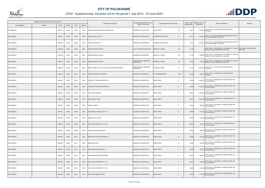

|                       | Registered or other description of the property |               |         |       |                |                                                   | Category determined in terms of              |                                               | <b>Extent of the</b> | <b>Market value of</b> |                                                                                                 | <b>Remarks</b>                        |
|-----------------------|-------------------------------------------------|---------------|---------|-------|----------------|---------------------------------------------------|----------------------------------------------|-----------------------------------------------|----------------------|------------------------|-------------------------------------------------------------------------------------------------|---------------------------------------|
| <b>Town Allotment</b> | <b>Suburb</b>                                   | <b>Erf Nr</b> | Portion | Unit  | <b>Section</b> | <b>Full Names of Owner(s)</b>                     | <b>Section 8 of the Act</b>                  | Physical address of the property              | property (HA)        | the property           | <b>Section 78 Remarks</b>                                                                       |                                       |
| PIETERSBURG           |                                                 | 00000719      | 00004   | 00000 | 0000           | RENSBURG HENDRIK BEYERS JANSEN VAN                | RESIDENTIAL PROPERTIES                       | 37B<br><b>RABE STREET</b>                     | 0.0951               |                        | SECT 78(1)(g) - OF WHICH THE CATEGORY HAS<br>$1,300,000$ CHANGED                                |                                       |
| PIETERSBURG           |                                                 | 00000721      | 00004   | 00000 | 0000           | MAAKE POPELA COFFAT                               | RESIDENTIAL PROPERTIES                       | <b>COMPENSATION STREET</b><br>15              | 0.1474               |                        | SECT 78(1)(c) - SUBDIVIDED OR CONSOLIDATED AFTER<br>1,200,000 THE LAST GENERAL VALUATION        |                                       |
| PIETERSBURG           |                                                 | 00000721      | 00005   | 00000 | 0000           | FUNNELL IAN STUART                                | RESIDENTIAL PROPERTIES                       | <b>COMPENSATION STREET</b><br>13              | 0.0718               |                        | SECT 78(1)(c) - SUBDIVIDED OR CONSOLIDATED AFTER<br>1,200,000 THE LAST GENERAL VALUATION        |                                       |
| PIETERSBURG           |                                                 | 00000722      | 00001   | 00000 | M000           | <b>MAARTENS MARTIN REON</b>                       | MULTI PURPOSE PROPERTIES                     | 155<br><b>MARSHALL STREET</b>                 | 0.1269               |                        | SECT 78(1)(e) - SUBSTANTIALLY INCORRECTLY VALUED<br>DURING THE LAST GENERAL VALUATION           | SECTION 9.2 SUBDIVIDED AS<br>FOLLOWS: |
| PIETERSBURG           |                                                 | 00000722      | 00001   | 00000 | M001           | MAARTENS MARTIN REON                              | RESIDENTIAL PROPERTIES                       | 155<br>MARSHALL STREET                        | 0.1199               |                        | SECT 78(1)(e) - SUBSTANTIALLY INCORRECTLY VALUED<br>1,420,000 DURING THE LAST GENERAL VALUATION |                                       |
| PIETERSBURG           |                                                 | 00000722      | 00001   | 00000 | M002           | <b>MAARTENS MARTIN REON</b>                       | BUSINESS AND COMMERCIAL<br>PROPERTIES        | MARSHALL STREET<br>155                        | 0.0070               |                        | SECT 78(1)(e) - SUBSTANTIALLY INCORRECTLY VALUED<br>80,000 DURING THE LAST GENERAL VALUATION    |                                       |
| PIETERSBURG           |                                                 | 00000730      | 00001   | 00000 | 0000           | MAREDI TSOBO VICTOR / MALAHLELA PHELADI CATHERINE | BUSINESS AND COMMERCIAL<br><b>PROPERTIES</b> | <b>JORISSEN STREET</b><br>40                  | 0.1722               | 2,800,000              | SECT 78(1)(g) - OF WHICH THE CATEGORY HAS<br>CHANGED                                            |                                       |
| PIETERSBURG           |                                                 | 00000744      | 00001   | 00001 | 0000           | GROBLER HENDRINA FREDRIKA                         | <b>RESIDENTIAL PROPERTIES</b>                | UNIT <sub>1</sub><br><b>SS COMPENSATIPARK</b> | 0.0187               | 950,000                | SECT 78(1)(g) - OF WHICH THE CATEGORY HAS<br>CHANGED                                            |                                       |
| PIETERSBURG           |                                                 | 00000761      | 00000   | 00001 | 0000           | DR MARTIN T MPE INCORPORATED                      | RESIDENTIAL PROPERTIES                       | 41<br><b>RABE STREET</b>                      | 0.0239               |                        | SECT 78(1)(a) - INCORRECTLY OMITTED FROM THE<br>2,300,000 VALUATION ROLL                        |                                       |
| PIETERSBURG           |                                                 | 00000761      | 00000   | 00002 | 0000           | VHAKOMA TRADING ENTERPRISE CC                     | RESIDENTIAL PROPERTIES                       | RABE STREET<br>41                             | 0.0226               |                        | SECT 78(1)(a) - INCORRECTLY OMITTED FROM THE<br>2,100,000 VALUATION ROLL                        |                                       |
| PIETERSBURG           |                                                 | 00000761      | 00000   | 00003 | 0000           | TIVA NTSAKO GABAZA                                | RESIDENTIAL PROPERTIES                       | <b>RABE STREET</b><br>41                      | 0.0225               |                        | SECT 78(1)(a) - INCORRECTLY OMITTED FROM THE<br>2,100,000 VALUATION ROLL                        |                                       |
| PIETERSBURG           |                                                 | 00000761      | 00000   | 00004 | 0000           | RAM'S FAMILY TRUST                                | RESIDENTIAL PROPERTIES                       | <b>RABE STREET</b><br>41                      | 0.0227               | 2,200,000              | SECT 78(1)(a) - INCORRECTLY OMITTED FROM THE<br>VALUATION ROLL                                  |                                       |
| PIETERSBURG           |                                                 | 00000761      | 00000   | 00005 | 0000           | NAKENE TUMELO                                     | RESIDENTIAL PROPERTIES                       | <b>RABE STREET</b><br>41                      | 0.0095               |                        | SECT 78(1)(a) - INCORRECTLY OMITTED FROM THE<br>900,000 VALUATION ROLL                          |                                       |
| PIETERSBURG           |                                                 | 00000761      | 00000   | 00006 | 0000           | <b>EXPAN DEVELOPMENTS PTY LTD</b>                 | RESIDENTIAL PROPERTIES                       | <b>RABE STREET</b><br>41                      | 0.0096               | 910,000                | SECT 78(1)(a) - INCORRECTLY OMITTED FROM THE<br><b>VALUATION ROLL</b>                           |                                       |
| PIETERSBURG           |                                                 | 00000761      | 00000   | 00007 | 0000           | MABASA LUCKY OWEL                                 | RESIDENTIAL PROPERTIES                       | <b>RABE STREET</b><br>41                      | 0.0096               |                        | SECT 78(1)(a) - INCORRECTLY OMITTED FROM THE<br>910,000 VALUATION ROLL                          |                                       |
| <b>PIETERSBURG</b>    |                                                 | 00000761      | 00000   | 00008 | 0000           | EXPAN DEVELOPMENTS PTY LTD                        | RESIDENTIAL PROPERTIES                       | RABE STREET<br>41                             | 0.0095               |                        | SECT 78(1)(a) - INCORRECTLY OMITTED FROM THE<br>900,000 VALUATION ROLL                          |                                       |
| PIETERSBURG           |                                                 | 00000761      | 00000   | 00009 | 0000           | MAPALALA MPENDULO SIPHO                           | RESIDENTIAL PROPERTIES                       | 41<br><b>RABE STREET</b>                      | 0.0095               | 900,000                | SECT 78(1)(a) - INCORRECTLY OMITTED FROM THE<br><b>VALUATION ROLL</b>                           |                                       |
| PIETERSBURG           |                                                 | 00000761      | 00000   | 00010 | 0000           | SIBANYONI PORTIA NOMPUMELELO                      | RESIDENTIAL PROPERTIES                       | <b>RABE STREET</b><br>41                      | 0.0096               | 910,000                | SECT 78(1)(a) - INCORRECTLY OMITTED FROM THE<br><b>VALUATION ROLL</b>                           |                                       |
| PIETERSBURG           |                                                 | 00000761      | 00000   | 00011 | 0000           | MASEGELA LUCKY                                    | RESIDENTIAL PROPERTIES                       | <b>RABE STREET</b><br>41                      | 0.0095               |                        | SECT 78(1)(a) - INCORRECTLY OMITTED FROM THE<br>900,000 VALUATION ROLL                          |                                       |
| PIETERSBURG           |                                                 | 00000761      | 00000   | 00012 | 0000           | NETSHIONGOLWE MUSHUDU                             | RESIDENTIAL PROPERTIES                       | <b>RABE STREET</b><br>41                      | 0.0095               | 900,000                | SECT 78(1)(a) - INCORRECTLY OMITTED FROM THE<br><b>VALUATION ROLL</b>                           |                                       |
| PIETERSBURG           |                                                 | 00000761      | 00000   | 00013 | 0000           | DIHANGWANE MERCY MACHUENE                         | RESIDENTIAL PROPERTIES                       | <b>RABE STREET</b><br>41                      | 0.0084               | 800,000                | SECT 78(1)(a) - INCORRECTLY OMITTED FROM THE<br><b>VALUATION ROLL</b>                           |                                       |
| PIETERSBURG           |                                                 | 00000761      | 00000   | 00014 | 0000           | <b>EXPAN DEVELOPMENTS PTY LTD</b>                 | RESIDENTIAL PROPERTIES                       | <b>RABE STREET</b><br>41                      | 0.0084               | 800,000                | SECT 78(1)(a) - INCORRECTLY OMITTED FROM THE<br><b>VALUATION ROLL</b>                           |                                       |
| PIETERSBURG           |                                                 | 00000761      | 00000   | 00015 | 0000           | EXPAN DEVELOPMENTS PTY LTD                        | RESIDENTIAL PROPERTIES                       | 41<br><b>RABE STREET</b>                      | 0.0085               | 810,000                | SECT 78(1)(a) - INCORRECTLY OMITTED FROM THE<br><b>VALUATION ROLL</b>                           |                                       |
| PIETERSBURG           |                                                 | 00000761      | 00000   | 00016 | 0000           | MOHUBA DITABENG ARNOLD                            | RESIDENTIAL PROPERTIES                       | RABE STREET<br>41                             | 0.0085               | 810,000                | SECT 78(1)(a) - INCORRECTLY OMITTED FROM THE<br><b>VALUATION ROLL</b>                           |                                       |

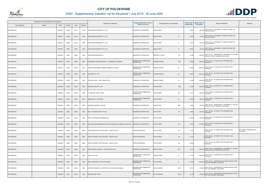

|                       | Registered or other description of the property |          |                |       |                |                                                              | Category determined in terms of              |                                  | <b>Extent of the</b> | <b>Market value of</b> |                                                                                                 |
|-----------------------|-------------------------------------------------|----------|----------------|-------|----------------|--------------------------------------------------------------|----------------------------------------------|----------------------------------|----------------------|------------------------|-------------------------------------------------------------------------------------------------|
| <b>Town Allotment</b> | <b>Suburb</b>                                   | Erf Nr   | <b>Portion</b> | Unit  | <b>Section</b> | <b>Full Names of Owner(s)</b>                                | Section 8 of the Act                         | Physical address of the property | property (HA)        | the property           | <b>Section 78 Remarks</b><br>Remarks                                                            |
| PIETERSBURG           |                                                 | 00000761 | 00000          | 00017 | 0000           | EXPAN DEVELOPMENTS PTY LTD                                   | RESIDENTIAL PROPERTIES                       | RABE STREET<br>41                | 0.0034               |                        | 320,000 SECT 78(1)(a) - INCORRECTLY OMITTED FROM THE<br>VALUATION ROLL                          |
| PIETERSBURG           |                                                 | 00000761 | 00000          | 00018 | 0000           | EXPAN DEVELOPMENTS PTY LTD                                   | <b>RESIDENTIAL PROPERTIES</b>                | <b>RABE STREET</b><br>41         | 0.0033               | 310,000                | SECT 78(1)(a) - INCORRECTLY OMITTED FROM THE<br><b>VALUATION ROLL</b>                           |
| PIETERSBURG           |                                                 | 00000761 | 00000          | 00019 | 0000           | EXPAN DEVELOPMENTS PTY LTD                                   | <b>RESIDENTIAL PROPERTIES</b>                | <b>RABE STREET</b><br>41         | 0.0033               |                        | SECT 78(1)(a) - INCORRECTLY OMITTED FROM THE<br>310,000 VALUATION ROLL                          |
| PIETERSBURG           |                                                 | 00000761 | 00000          | 00020 | 0000           | EXPAN DEVELOPMENTS PTY LTD                                   | <b>RESIDENTIAL PROPERTIES</b>                | RABE STREET<br>41                | 0.0034               |                        | SECT 78(1)(a) - INCORRECTLY OMITTED FROM THE<br>320,000 VALUATION ROLL                          |
| PIETERSBURG           |                                                 | 00000763 | 00001          | 00000 | 0000           | THUSANI BELEGGINGS CC                                        | RESIDENTIAL PROPERTIES                       | MARSHALL STREET<br>162           | 0.1428               |                        | SECT 78(1)(e) - SUBSTANTIALLY INCORRECTLY VALUED<br>1,500,000 DURING THE LAST GENERAL VALUATION |
| PIETERSBURG           |                                                 | 00000767 | 00002          | 00000 | 0000           | HAASBROEK MARIA DOROTHEA / HAASBROEK JOHANNES                | BUSINESS AND COMMERCIAL<br><b>PROPERTIES</b> | <b>BURGER STREET</b><br>106A     | 0.0968               |                        | SECT 78(1)(g) - OF WHICH THE CATEGORY HAS<br>1,300,000 CHANGED                                  |
| PIETERSBURG           |                                                 | 00000772 | 00002          | 00000 | 0000           | VISSER WILHELMINA JOHANNA CORNELIA LATEGAN-                  | BUSINESS AND COMMERCIAL<br>PROPERTIES        | URGER STREET<br>86               | 0.0952               | 2,000,000              | SECT 78(1)(g) - OF WHICH THE CATEGORY HAS<br>CHANGED                                            |
| PIETERSBURG           |                                                 | 00000778 | 00003          | 00000 | 0000           | <b>EVOGENIX PTY LTD</b>                                      | BUSINESS AND COMMERCIAL<br><b>PROPERTIES</b> | <b>BURGER STREET</b><br>62       | 0.0901               | 2,500,000 CHANGED      | SECT 78(1)(g) - OF WHICH THE CATEGORY HAS                                                       |
| PIETERSBURG           |                                                 | 00000790 | 00000          | 00000 | 0000           | THERON JOHAN / SMIT ANNA SOTHIA                              | RESIDENTIAL PROPERTIES                       | BURGER STREET<br>14              | 0.1639               |                        | 1,250,000 SECT 78(1)(g) - OF WHICH THE CATEGORY HAS                                             |
| PIETERSBURG           |                                                 | 00000794 | 00000          | 00000 | 0000           | NGWAKO BUILD PTY LTD                                         | <b>RESIDENTIAL PROPERTIES</b>                | <b>PLEIN STREET</b><br>105B      | 0.1038               | 1,500,000              | SECT 78(1)(g) - OF WHICH THE CATEGORY HAS<br>CHANGED                                            |
| PIETERSBURG           |                                                 | 00000804 | 00002          | 00000 | 0000           | D T MAHAPA FAMILY TRUST                                      | BUSINESS AND COMMERCIAL<br><b>PROPERTIES</b> | PLEIN STREET<br>65A              | 0.1427               |                        | SECT 78(1)(g) - OF WHICH THE CATEGORY HAS<br>$1,600,000$ CHANGED                                |
| PIETERSBURG           |                                                 | 00000812 | 00002          | 00000 | M001           | HANSEN SALLY MYFANWY                                         | BUSINESS AND COMMERCIAL<br><b>PROPERTIES</b> | PLEIN STREET<br>33               | 0.0300               |                        | SECT 78(1)(g) - OF WHICH THE CATEGORY HAS<br>800,000 CHANGED                                    |
| PIETERSBURG           |                                                 | 00000814 | 00004          | 00000 | 0000           | GWANGWA MASEDI JACKSON                                       | RESIDENTIAL PROPERTIES                       | RABESTRAAT<br>46B                | 0.0500               |                        | SECT 78(1)(e) - SUBSTANTIALLY INCORRECTLY VALUED<br>330,000 DURING THE LAST GENERAL VALUATION   |
| PIETERSBURG           |                                                 | 00000820 | 00001          | 00000 | 0000           | SELLO TSHOANE FAMILY TRUST                                   | <b>RESIDENTIAL PROPERTIES</b>                | SUID STREET<br>170               | 0.0952               |                        | SECT 78(1)(g) - OF WHICH THE CATEGORY HAS<br>1,200,000 CHANGED                                  |
| PIETERSBURG           |                                                 | 00000820 | 00003          | 00000 | 0000           | BRUYN STEPHANUS HERMANUS DU                                  | RESIDENTIAL PROPERTIES                       | PLEIN STREET<br>$\overline{1}$   | 0.0952               |                        | 1,100,000 SECT 78(1)(g) - OF WHICH THE CATEGORY HAS                                             |
| <b>PIETERSBURG</b>    |                                                 | 00000822 | 00002          | 00000 | 0000           | NETSHILONGA MBANGISENI DAVID / NETSHILONGA THEMBELA DOROTHIA | <b>RESIDENTIAL PROPERTIES</b>                | PLEIN STREET<br>104              | 0.1903               | 2,100,000 CHANGED      | SECT 78(1)(g) - OF WHICH THE CATEGORY HAS                                                       |
| PIETERSBURG           |                                                 | 00000822 | 00002          | 00000 | M000           | JOSEPH GEORGE THOTTUPURAM / JOSEPH ALICE                     | <b>CROSS REFERENCE</b>                       | 104<br>PLEIN STREET              | 0.1903               |                        | SECT 78(1)(g) - OF WHICH THE CATEGORY HAS<br>SECTION 9.2 SUBDIVIDED AS<br>CHANGED<br>FOLLOWS:   |
| PIETERSBURG           |                                                 | 00000822 | 00002          | 00000 | M001           | JOSEPH GEORGE THOTTUPURAM / JOSEPH ALICE                     | <b>CROSS REFERENCE</b>                       | <b>PLEIN STREET</b><br>104       | 0.1403               |                        | SECT 78(1)(g) - OF WHICH THE CATEGORY HAS<br>CHANGED                                            |
| PIETERSBURG           |                                                 | 00000822 | 00002          | 00000 | M002           | JOSEPH GEORGE THOTTUPURAM / JOSEPH ALICE                     | <b>CROSS REFERENCE</b>                       | 104<br>PLEIN STREET              | 0.0500               |                        | SECT 78(1)(g) - OF WHICH THE CATEGORY HAS<br>CHANGED                                            |
| PIETERSBURG           |                                                 | 00000823 | 00001          | 00000 | 0000           | AFONSO MARIA LURDES / AFONSO ANA-PAULA                       | <b>RESIDENTIAL PROPERTIES</b>                | 48A<br><b>RISSIK STREET</b>      | 0.1181               |                        | 1,800,000 SECT 78(1)(e) - SUBSTANTIALLY INCORRECTLY VALUED                                      |
| PIETERSBURG           |                                                 | 00000824 | 00000          | 00000 | 0000           | DR M A POTO INC                                              | BUSINESS AND COMMERCIAL<br><b>PROPERTIES</b> | <b>RISSIK STREET</b><br>47       | 0.1428               | 3,000,000              | SECT 78(1)(g) - OF WHICH THE CATEGORY HAS<br>CHANGED                                            |
| PIETERSBURG           |                                                 | 00000829 | 00001          | 00000 | 0000           | BODY CORPORATE OF SS POLOROWS                                | BUSINESS AND COMMERCIAL<br><b>PROPERTIES</b> | <b>LEIN STREET</b><br>76         | 0.1903               |                        | SECT 78(1)(c) - SUBDIVIDED OR CONSOLIDATED AFTER<br>1,000,000 THE LAST GENERAL VALUATION        |
| PIETERSBURG           |                                                 | 00000829 | 00001          | 00001 | 0000           | VORSTER SAMANTHA / VORSTER PAUL PHILLIPUS JACOBUS            | BUSINESS AND COMMERCIAL<br><b>PROPERTIES</b> | UNIT <sub>1</sub><br>SS POLOROWS | 0.0161               |                        | 1,700,000 SECT 78(1)(c) - SUBDIVIDED OR CONSOLIDATED AFTER<br>THE LAST GENERAL VALUATION        |
| PIETERSBURG           |                                                 | 00000829 | 00001          | 00002 | 0000           | PROPERTIQUE TRUST                                            | BUSINESS AND COMMERCIAL<br><b>PROPERTIES</b> | SS POLOROWS<br>UNIT <sub>2</sub> | 0.0159               | 1,700,000              | SECT 78(1)(c) - SUBDIVIDED OR CONSOLIDATED AFTER<br>THE LAST GENERAL VALUATION                  |

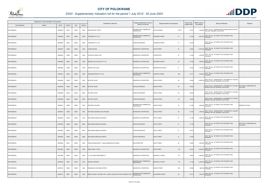

|                    | Registered or other description of the property<br>Erf Nr<br>Unit<br><b>Town Allotment</b><br>Suburb<br><b>Portion</b> |          |       |       | <b>Full Names of Owner(s)</b> | Category determined in terms of                              | Physical address of the property             | <b>Extent of the</b>             | <b>Market value of</b> | <b>Section 78 Remarks</b> | Remarks                                                                                  |                                       |
|--------------------|------------------------------------------------------------------------------------------------------------------------|----------|-------|-------|-------------------------------|--------------------------------------------------------------|----------------------------------------------|----------------------------------|------------------------|---------------------------|------------------------------------------------------------------------------------------|---------------------------------------|
|                    |                                                                                                                        |          |       |       | <b>Section</b>                |                                                              | Section 8 of the Act                         |                                  | property (HA)          | the property              |                                                                                          |                                       |
| PIETERSBURG        |                                                                                                                        | 00000829 | 00001 | 00003 | 0000                          | PROPERTIQUE TRUST                                            | BUSINESS AND COMMERCIAL<br><b>PROPERTIES</b> | UNIT <sub>3</sub><br>SS POLOROWS | 0.0161                 |                           | SECT 78(1)(c) - SUBDIVIDED OR CONSOLIDATED AFTER<br>1,700,000 THE LAST GENERAL VALUATION |                                       |
| PIETERSBURG        |                                                                                                                        | 00000830 | 00001 | 00000 | M000                          | TURNIWIZE PTY LTD                                            | BUSINESS AND COMMERCIAL<br><b>PROPERTIES</b> | <b>JORISSEN STREET</b><br>47     | 0.1903                 | 3,300,000                 | SECT 78(1)(g) - OF WHICH THE CATEGORY HAS<br>CHANGED                                     |                                       |
| PIETERSBURG        |                                                                                                                        | 00000830 | 00001 | 00000 | M001                          | TURNIWIZE PTY LTD                                            | <b>CROSS REFERENCE</b>                       | 47<br><b>JORISSEN STREET</b>     | 0.0400                 |                           | SECT 78(1)(g) - OF WHICH THE CATEGORY HAS<br>CHANGED                                     |                                       |
| <b>PIETERSBURG</b> |                                                                                                                        | 00000837 | 00000 | 00000 | 0000                          | <b>CIGANA BRUNO</b>                                          | RESIDENTIAL PROPERTIES                       | PLEIN STREET<br>42               | 0.2855                 | 2,000,000                 | SECT 78(1)(g) - OF WHICH THE CATEGORY HAS<br>CHANGED                                     |                                       |
| PIETERSBURG        |                                                                                                                        | 00000843 | 00003 | 00000 | 0000                          | RYNEVELD SONJA VAN                                           | RESIDENTIAL PROPERTIES                       | 20<br>PLEINSTRAAT                | 0.1250                 | 1,450,000                 | SECT 78(1)(g) - OF WHICH THE CATEGORY HAS<br>CHANGED                                     |                                       |
| PIETERSBURG        |                                                                                                                        | 00000880 | 00002 | 00000 | 0000                          | BUNKER HILLS INV 436 PTY LTD                                 | RESIDENTIAL PROPERTIES                       | <b>DEVENISH STREET</b><br>52     | 0.1428                 | 1,600,000                 | SECT 78(1)(g) - OF WHICH THE CATEGORY HAS<br>CHANGED                                     |                                       |
| PIETERSBURG        |                                                                                                                        | 00000893 | 00000 | 00000 | 0000                          | <b>VENTER JAN LOUIS</b>                                      | RESIDENTIAL PROPERTIES                       | 51<br><b>BODENSTEIN STREET</b>   | 0.1833                 | 1,700,000                 | SECT 78(1)(g) - OF WHICH THE CATEGORY HAS<br>CHANGED                                     |                                       |
| PIETERSBURG        |                                                                                                                        | 00000913 | 00000 | 00000 | 0000                          | CHRISSWAPPROP PTY LTD                                        | BUSINESS AND COMMERCIAL<br><b>PROPERTIES</b> | 54A<br><b>VORSTER STREET</b>     | 0.1077                 |                           | SECT 78(1)(g) - OF WHICH THE CATEGORY HAS<br>1,500,000 CHANGED                           |                                       |
| PIETERSBURG        |                                                                                                                        | 00000929 | 00003 | 00000 | 0000                          | <b>HEYSTEK JOOST</b>                                         | RESIDENTIAL PROPERTIES                       | 84<br>HOOG STREET                | 0.4004                 |                           | 2,600,000 SECT 78(1)(e) - SUBSTANTIALLY INCORRECTLY VALUED                               |                                       |
| <b>PIETERSBURG</b> |                                                                                                                        | 00000929 | 00003 | 00000 | M000                          | <b>HEYSTEK JOOST</b>                                         | <b>CROSS REFERENCE</b>                       | <b>HOOG STREET</b><br>84         | 0.4004                 |                           | SECT 78(1)(e) - SUBSTANTIALLY INCORRECTLY VALUED<br>DURING THE LAST GENERAL VALUATION    | SECTION 9.2 SUBDIVIDED AS<br>FOLLOWS: |
| PIETERSBURG        |                                                                                                                        | 00000929 | 00003 | 00000 | M001                          | <b>HEYSTEK JOOST</b>                                         | <b>CROSS REFERENCE</b>                       | 84<br><b>HOOG STREET</b>         | 0.0500                 |                           | SECT 78(1)(e) - SUBSTANTIALLY INCORRECTLY VALUED<br>DURING THE LAST GENERAL VALUATION    |                                       |
| PIETERSBURG        |                                                                                                                        | 00000929 | 00003 | 00000 | M002                          | <b>HEYSTEK JOOST</b>                                         | <b>CROSS REFERENCE</b>                       | <b>HOOG STREET</b><br>84         | 0.3504                 |                           | SECT 78(1)(e) - SUBSTANTIALLY INCORRECTLY VALUED<br>DURING THE LAST GENERAL VALUATION    |                                       |
| PIETERSBURG        |                                                                                                                        | 00000931 | 00002 | 00000 | 0000                          | VERVEEN YOLANDA                                              | BUSINESS AND COMMERCIAL<br><b>PROPERTIES</b> | <b>HOOG STREET</b><br>74         | 0.1428                 |                           | SECT 78(1)(g) - OF WHICH THE CATEGORY HAS<br>$1,800,000$ CHANGED                         | <b>EMININCE SCHOOL</b>                |
| PIETERSBURG        |                                                                                                                        | 00000942 | 00000 | 00000 | 0000                          | HATTINGH ANDRIAAN IZAK KRUGER                                | RESIDENTIAL PROPERTIES                       | <b>HOOG STREET</b><br>30         | 0.1034                 | 1,350,000                 | SECT 78(1)(e) - SUBSTANTIALLY INCORRECTLY VALUED<br>DURING THE LAST GENERAL VALUATION    |                                       |
| PIETERSBURG        |                                                                                                                        | 00000953 | 00006 | 00000 | 0000                          | MATHAGWA MASHUDU NORIAH                                      | RESIDENTIAL PROPERTIES                       | <b>OOST STREET</b><br>81         | 0.1738                 |                           | SECT 78(1)(g) - OF WHICH THE CATEGORY HAS<br>$1,500,000$ CHANGED                         |                                       |
| PIETERSBURG        |                                                                                                                        | 00000953 | 00006 | 00000 | M000                          | MATHAGWA MASHUDU NORIAH                                      | <b>CROSS REFERENCE</b>                       | <b>OOST STREET</b><br>81         | 0.1738                 |                           | SECT 78(1)(g) - OF WHICH THE CATEGORY HAS<br>CHANGED                                     | SECTION 9.2 SUBDIVIDED AS<br>FOLLOWS: |
| PIETERSBURG        |                                                                                                                        | 00000953 | 00006 | 00000 | M001                          | MATHAGWA MASHUDU NORIAH                                      | <b>CROSS REFERENCE</b>                       | <b>OOST STREET</b><br>81         | 0.0075                 |                           | SECT 78(1)(g) - OF WHICH THE CATEGORY HAS<br>CHANGED                                     |                                       |
| PIETERSBURG        |                                                                                                                        | 00000953 | 00006 | 00000 | M002                          | MATHAGWA MASHUDU NORIAH                                      | <b>CROSS REFERENCE</b>                       | 81<br><b>OOST STREET</b>         | 0.1663                 |                           | SECT 78(1)(g) - OF WHICH THE CATEGORY HAS<br>CHANGED                                     |                                       |
| PIETERSBURG        |                                                                                                                        | 00000958 | 00001 | 00000 | 0000                          | LANGA MOSIMA MARY / LANGA MAMAKGOHLO SIMON                   | <b>NON PERMITTED</b>                         | <b>OOST STREET</b><br>63         | 0.2022                 |                           | SECT 78(1)(g) - OF WHICH THE CATEGORY HAS<br>$1,800,000$ CHANGED                         |                                       |
| PIETERSBURG        |                                                                                                                        | 00001965 | 00002 | 00000 | 0000                          | <b>RAMS FAMILY TRUST</b>                                     | RESIDENTIAL PROPERTIES                       | <b>SUID STREET</b><br>146        | 0.2070                 | 2,500,000                 | SECT 78(1)(g) - OF WHICH THE CATEGORY HAS<br>CHANGED                                     |                                       |
| PIETERSBURG        |                                                                                                                        | 00001966 | 00000 | 00000 | 0000                          | H T DE JAGER EIENDOMME CC                                    | RESIDENTIAL PROPERTIES                       | 101<br>MARSHALL STREET           | 0.2855                 | 5,400,000                 | SECT 78(1)(g) - OF WHICH THE CATEGORY HAS<br>CHANGED                                     |                                       |
| PIETERSBURG        |                                                                                                                        | 00005692 | 00001 | 00000 | 0000                          | <b>VISAGIE SURONAH</b>                                       | BUSINESS AND COMMERCIAL<br><b>PROPERTIES</b> | MARSHALL STREET<br>142           | 0.1163                 | 2,200,000 CHANGED         | SECT 78(1)(g) - OF WHICH THE CATEGORY HAS                                                |                                       |
| PIETERSBURG        |                                                                                                                        | 00005730 | 00006 | 00000 | 0000                          | RAMASELELA MATOME JEFFREY                                    | RESIDENTIAL PROPERTIES                       | <b>ONDER STREET</b><br>93A       | 0.0698                 |                           | SECT 78(1)(g) - OF WHICH THE CATEGORY HAS<br>880,000 CHANGED                             |                                       |
| PIETERSBURG        |                                                                                                                        | 00005731 | 00001 | 00000 | 0000                          | BLERK CHERAY JACKSON VAN / BLERK JACQUES PETRUS FREDRICK VAN | BUSINESS AND COMMERCIAL<br><b>PROPERTIES</b> | SCHOEMAN STREET<br>6A            | 0.0714                 | 1,550,000                 | SECT 78(1)(g) - OF WHICH THE CATEGORY HAS<br>CHANGED                                     |                                       |

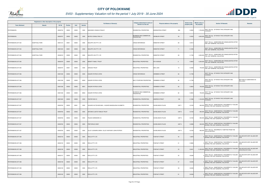

| Registered or other description of the property |                       |          |                |       |                | Category determined in terms of                    |                                                     | <b>Extent of the</b>                           | Market value of |                                                                                                    |                                                   |
|-------------------------------------------------|-----------------------|----------|----------------|-------|----------------|----------------------------------------------------|-----------------------------------------------------|------------------------------------------------|-----------------|----------------------------------------------------------------------------------------------------|---------------------------------------------------|
| <b>Town Allotment</b>                           | <b>Suburb</b>         | Erf Nr   | <b>Portion</b> | Unit  | <b>Section</b> | <b>Full Names of Owner(s)</b>                      | Section 8 of the Act                                | Physical address of the property               | property (HA)   | <b>Section 78 Remarks</b><br>the property                                                          | <b>Remarks</b>                                    |
| PIETERSBURG                                     |                       | 00005752 | 00002          | 00000 | 0000           | MAKONDO VONANI STANLEY                             | RESIDENTIAL PROPERTIES                              | 38A<br>BODENSTEIN STREET                       | 0.0952          | 1,700,000 SECT 78(1)(g) - OF WHICH THE CATEGORY HAS<br>CHANGED                                     |                                                   |
| PIETERSBURG                                     |                       | 00005767 | 00000          | 00000 | 0000           | MUTEO CONSULTING CC                                | <b>BUSINESS AND COMMERCIAL</b><br><b>PROPERTIES</b> | <b>GROBLER STREET</b><br>39                    | 0.2022          | SECT 78(1)(g) - OF WHICH THE CATEGORY HAS<br>4,000,000<br>CHANGED                                  |                                                   |
| PIETERSBURG EXT 004                             | <b>HOSPITAAL PARK</b> | 00001215 | 00001          | 00000 | 0000           | NDLOPFU INV PTY LTD                                | <b>CROSS REFERENCE</b>                              | <b>WEBSTER STREET</b><br>69                    | 0.0513          | SECT 78(1)(c) - SUBDIVIDED OR CONSOLIDATED AFTER<br>THE LAST GENERAL VALUATION                     |                                                   |
| PIETERSBURG EXT 004                             | <b>HOSPITAAL PARK</b> | 00001523 | 00001          | 00000 | 0000           | NDLOPFU INV PTY LTD                                | <b>CROSS REFERENCE</b>                              | <b>WEBSTER STREET</b><br>71                    | 0.1256          | SECT 78(1)(c) - SUBDIVIDED OR CONSOLIDATED AFTER<br>THE LAST GENERAL VALUATION                     |                                                   |
| PIETERSBURG EXT 004                             | <b>HOSPITAAL PARK</b> | 00040218 | 00000          | 00000 | 0000           | NDLOPFU INV PTY LTD                                | <b>RESIDENTIAL PROPERTIES</b>                       | 69<br><b>WEBSTER STREET</b>                    | 0.1769          | SECT 78(1)(c) - SUBDIVIDED OR CONSOLIDATED AFTER<br>2,000,000<br>THE LAST GENERAL VALUATION        |                                                   |
| PIETERSBURG EXT 005                             |                       | 00002078 | 00000          | 00000 | 0000           | MINNITT FAMILY TRUST                               | INDUSTRIAL PROPERTIES                               | <b>6TH AVENUE</b><br>6                         | 0.9833          | SECT 78(1)(c) - SUBDIVIDED OR CONSOLIDATED AFTER<br>4,200,000 THE LAST GENERAL VALUATION           |                                                   |
| PIETERSBURG EXT 005                             |                       | 00005797 | 00001          | 00000 | 0000           | <b>GRACED TRUST</b>                                | INDUSTRIAL PROPERTIES                               | 6DE LAAN<br>10                                 | 0.2482          | SECT 78(1)(c) - SUBDIVIDED OR CONSOLIDATED AFTER<br>740,000 THE LAST GENERAL VALUATION             |                                                   |
| PIETERSBURG EXT 006                             |                       | 00001538 | 00000          | 00000 | 0000           | <b>KAGORI PATRICK GITEE</b>                        | <b>CROSS REFERENCE</b>                              | <b>GRIMBEEK STREET</b><br>82                   | 0.1708          | SECT 78(1)(g) - OF WHICH THE CATEGORY HAS<br>CHANGED                                               |                                                   |
| PIETERSBURG EXT 006                             |                       | 00001538 | 00000          | 00000 | M000           | <b>KAGORI PATRICK GITEE</b>                        | MULTI PURPOSE PROPERTIES                            | 82<br><b>GRIMBEEK STREET</b>                   | 0.1708          | SECT 78(1)(g) - OF WHICH THE CATEGORY HAS<br>CHANGED                                               | SECTION 9.2 SUBDIVIDED AS<br>FOLLOWS:             |
| PIETERSBURG EXT 006                             |                       | 00001538 | 00000          | 00000 | M001           | <b>KAGORI PATRICK GITEE</b>                        | RESIDENTIAL PROPERTIES                              | <b>GRIMBEEK STREET</b><br>82                   | 0.0854          | SECT 78(1)(g) - OF WHICH THE CATEGORY HAS<br>750,000<br><b>CHANGED</b>                             |                                                   |
| PIETERSBURG EXT 006                             |                       | 00001538 | 00000          | 00000 | M002           | <b>KAGORI PATRICK GITEE</b>                        | BUSINESS AND COMMERCIAL<br><b>PROPERTIES</b>        | 82<br><b>GRIMBEEK STREET</b>                   | 0.0854          | 750,000 SECT 78(1)(g) - OF WHICH THE CATEGORY HAS                                                  |                                                   |
| PIETERSBURG EXT 007                             |                       | 00001940 | 00000          | 00000 | 0000           | FOSTER IND CC                                      | <b>RESIDENTIAL PROPERTIES</b>                       | 199<br>ANDREW STREET                           | 0.1586          | SECT 78(1)(g) - OF WHICH THE CATEGORY HAS<br>1,100,000 CHANGED                                     |                                                   |
| PIETERSBURG EXT 007                             |                       | 00005765 | 00002          | 00001 | 0000           | HUGHES HILTON MICHAEL / HUGHES MAGDALENA ELIZABETH | RESIDENTIAL PROPERTIES                              | UNIT <sub>1</sub><br><b>SS BELINDA'S PLACE</b> | 0.0100          | SECT 78(1)(e) - SUBSTANTIALLY INCORRECTLY VALUED<br>850,000 DURING THE LAST GENERAL VALUATION      |                                                   |
| PIETERSBURG EXT 007                             |                       | 00005765 | 00002          | 00002 | 0000           | ANTONN CLOETE FAMILIE TRUST                        | <b>RESIDENTIAL PROPERTIES</b>                       | <b>SS BELINDA'S PLACE</b><br>UNIT <sub>2</sub> | 0.0100          | SECT 78(1)(e) - SUBSTANTIALLY INCORRECTLY VALUED<br>850,000 DURING THE LAST GENERAL VALUATION      |                                                   |
| PIETERSBURG EXT 007                             |                       | 00005765 | 00002          | 00003 | 0000           | PALEDI HARDWARE CC                                 | RESIDENTIAL PROPERTIES                              | <b>SS BELINDA'S PLACE</b><br>UNIT <sub>3</sub> | 0.0100          | SECT 78(1)(e) - SUBSTANTIALLY INCORRECTLY VALUED<br>850,000 DEST TO LINE LAST GENERAL VALUATION    |                                                   |
| PIETERSBURG EXT 007                             |                       | 00005765 | 00002          | 00004 | 0000           | PRETORIUS CINDY                                    | <b>RESIDENTIAL PROPERTIES</b>                       | UNIT 4<br><b>SS BELINDA'S PLACE</b>            | 0.0098          | SECT 78(1)(e) - SUBSTANTIALLY INCORRECTLY VALUED<br>830,000<br>DURING THE LAST GENERAL VALUATION   |                                                   |
| PIETERSBURG EXT 007                             |                       | 00005765 | 00002          | 00005 | 0000           | OLLEY LEONARD OWEN / OLLEY ANTHONY JOHN PATRICK    | <b>RESIDENTIAL PROPERTIES</b>                       | UNIT <sub>5</sub><br><b>SS BELINDA'S PLACE</b> | 0.0100          | SECT 78(1)(a) - INCORRECTLY OMITTED FROM THE<br>850,000<br><b>VALUATION ROLL</b>                   |                                                   |
| PIETERSBURG EXT 008                             |                       | 00002154 | 00000          | 00000 | 0000           | ROCLA PTY LTD                                      | INDUSTRIAL PROPERTIES                               | <b>FOSFAAT STREET</b><br>45                    | 1.6676          | SECT 78(1)(e) - SUBSTANTIALLY INCORRECTLY VALUED<br>0 DURING THE LAST GENERAL VALUATION            | VALUED WITH ERF VALUED ERF<br>2156                |
| PIETERSBURG EXT 008                             |                       | 00002155 | 00000          | 00000 | 0000           | ROCLA PTY LTD                                      | INDUSTRIAL PROPERTIES                               | FOSFAAT STREET<br>51                           | 0.5860          | SECT 78(1)(e) - SUBSTANTIALLY INCORRECTLY VALUED<br><sup>0</sup> DURING THE LAST GENERAL VALUATION | VALUED WITH ERF VALUED ERF<br>2156                |
| PIETERSBURG EXT 008                             |                       | 00002156 | 00000          | 00000 | 0000           | ROCLA PTY LTD                                      | INDUSTRIAL PROPERTIES                               | 53<br><b>FOSFAAT STREET</b>                    | 0.6441          | SECT 78(1)(e) - SUBSTANTIALLY INCORRECTLY VALUED<br>11,200,000 DURING THE LAST GENERAL VALUATION   | VALUED WITH ERF VALUED ERF<br>2154,2155,2157-2160 |
| PIETERSBURG EXT 008                             |                       | 00002157 | 00000          | 00000 | 0000           | ROCLA PTY LTD                                      | INDUSTRIAL PROPERTIES                               | 55<br><b>FOSFAAT STREET</b>                    | 0.6246          | SECT 78(1)(e) - SUBSTANTIALLY INCORRECTLY VALUED<br>DURING THE LAST GENERAL VALUATION              | VALUED WITH ERF VALUED ERF<br>2156                |
| PIETERSBURG EXT 008                             |                       | 00002158 | 00000          | 00000 | 0000           | ROCLA PTY LTD                                      | <b>INDUSTRIAL PROPERTIES</b>                        | 57<br><b>FOSFAAT STREET</b>                    | 0.6246          | SECT 78(1)(e) - SUBSTANTIALLY INCORRECTLY VALUED<br>DURING THE LAST GENERAL VALUATION              | VALUED WITH ERF VALUED ERF<br>2156                |
| PIETERSBURG EXT 008                             |                       | 00002159 | 00000          | 00000 | 0000           | ROCLA PTY LTD                                      | INDUSTRIAL PROPERTIES                               | 59<br>FOSFAAT STREET                           | 0.6246          | SECT 78(1)(e) - SUBSTANTIALLY INCORRECTLY VALUED<br>DURING THE LAST GENERAL VALUATION              | VALUED WITH ERF VALUED ERF<br>2156                |
| PIETERSBURG EXT 008                             |                       | 00002160 | 00000          | 00000 | 0000           | ROCLA PTY LTD                                      | INDUSTRIAL PROPERTIES                               | 61<br><b>FOSFAAT STREET</b>                    | 0.6246          | SECT 78(1)(e) - SUBSTANTIALLY INCORRECTLY VALUED<br>DURING THE LAST GENERAL VALUATION              | VALUED WITH ERF VALUED ERF<br>2156                |

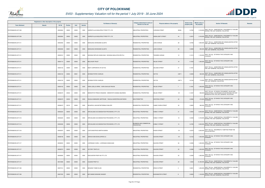

|                       | Registered or other description of the property |          |                |       |                | <b>Full Names of Owner(s)</b>                      | Category determined in terms of              | Physical address of the property      | <b>Extent of the</b> | <b>Market value of</b> | <b>Section 78 Remarks</b>                                                                                                                        | Remarks |
|-----------------------|-------------------------------------------------|----------|----------------|-------|----------------|----------------------------------------------------|----------------------------------------------|---------------------------------------|----------------------|------------------------|--------------------------------------------------------------------------------------------------------------------------------------------------|---------|
| <b>Town Allotment</b> | <b>Suburb</b>                                   | Erf Nr   | <b>Portion</b> | Unit  | <b>Section</b> |                                                    | Section 8 of the Act                         |                                       | property (HA)        | the property           |                                                                                                                                                  |         |
| PIETERSBURG EXT 009   |                                                 | 00002063 | 00000          | 00000 | 0000           | HARROP-ALLIN NELSPRUIT PROP PTY LTD                | INDUSTRIAL PROPERTIES                        | CHROOM STREET<br>36526                | 0.3760               |                        | SECT 78(1)(e) - SUBSTANTIALLY INCORRECTLY VALUED<br>2,100,000 DURING THE LAST GENERAL VALUATION                                                  |         |
| PIETERSBURG EXT 009   |                                                 | 00002064 | 00000          | 00000 | 0000           | HARROP-ALLIN NELSPRUIT PROP PTY LTD                | INDUSTRIAL PROPERTIES                        | <b>ANDALUSIET STREET</b><br>44        | 0.2974               |                        | SECT 78(1)(e) - SUBSTANTIALLY INCORRECTLY VALUED<br>2,100,000 DURING THE LAST GENERAL VALUATION                                                  |         |
| PIETERSBURG EXT 011   |                                                 | 00002482 | 00000          | 00000 | 0000           | MAKAUKAU NKHESANE GLADYS                           | RESIDENTIAL PROPERTIES                       | 28<br>JUNO AVENUE                     | 0.0782               |                        | 1,600,000 SECT 78(1)(c) - SUBDIVIDED OR CONSOLIDATED AFTER<br>THE LAST GENERAL VALUATION                                                         |         |
| PIETERSBURG EXT 011   |                                                 | 00002482 | 00001          | 00000 | 0000           | MAKAUKAU NKHESANE GLADYS                           | <b>RESIDENTIAL PROPERTIES</b>                | <b>JUNO AVENUE</b><br>28              | 0.0699               |                        | 800,000 SECT 78(1)(c) - SUBDIVIDED OR CONSOLIDATED AFTER<br>THE LAST GENERAL VALUATION                                                           |         |
| PIETERSBURG EXT 011   |                                                 | 00003512 | 00000          | 00000 | 0000           | NKWANA REFILOE ANGELINAH / NKWANA MAHLATSE MPUTLA  | RESIDENTIAL PROPERTIES                       | <b><i>FSESEBE AVENUE</i></b><br>10    | 0.1013               | 1,100,000 CHANGED      | SECT 78(1)(g) - OF WHICH THE CATEGORY HAS                                                                                                        |         |
| PIETERSBURG EXT 011   |                                                 | 00004114 | 00000          | 00000 | 0000           | <b>MELCHIOR TRUST</b>                              | RESIDENTIAL PROPERTIES                       | <b>WILGE STREET</b><br>18             | 0.1553               | 1,300,000              | SECT 78(1)(g) - OF WHICH THE CATEGORY HAS<br>CHANGED                                                                                             |         |
| PIETERSBURG EXT 011   |                                                 | 00004133 | 00000          | 00000 | 0000           | BODY CORPORATE OF SS PCS                           | <b>RESIDENTIAL PROPERTIES</b>                | 31<br><b>SALIGNA STREET</b>           | 0.1461               |                        | SECT 78(1)(c) - SUBDIVIDED OR CONSOLIDATED AFTER<br>THE LAST GENERAL VALUATION                                                                   |         |
| PIETERSBURG EXT 011   |                                                 | 00004133 | 00000          | 00001 | 0000           | SNYMAN PETER CHARLES                               | RESIDENTIAL PROPERTIES                       | SS PCS<br>UNIT <sub>1</sub>           | 0.0209               |                        | 920,000 SECT 78(1)(c) - SUBDIVIDED OR CONSOLIDATED AFTER<br>THE LAST GENERAL VALUATION                                                           |         |
| PIETERSBURG EXT 011   |                                                 | 00004133 | 00000          | 00002 | 0000           | SNYMAN PETER CHARLES                               | RESIDENTIAL PROPERTIES                       | SS PCS<br>UNIT <sub>2</sub>           | 0.0144               |                        | 710,000 SECT 78(1)(c) - SUBDIVIDED OR CONSOLIDATED AFTER<br>THE LAST GENERAL VALUATION                                                           |         |
| PIETERSBURG EXT 011   |                                                 | 00004142 | 00000          | 00000 | 0000           | KARA LIZELLE ARRIA / KARA SHAVJIE PRAVIN           | <b>RESIDENTIAL PROPERTIES</b>                | <b>NILGE STREET</b><br>$\overline{7}$ | 0.1061               |                        | 1,300,000 SECT 78(1)(g) - OF WHICH THE CATEGORY HAS<br>CHANGED                                                                                   |         |
| PIETERSBURG EXT 011   |                                                 | 00006470 | 00032          | 00000 | 0000           | MWENITETE PRINCE KINGDOM / MWENITETE NOMSA MAUREEN | RESIDENTIAL PROPERTIES                       | 101<br>MILGE STREET                   | 0.1027               |                        | SECT 78(1)(d) - OF WHICH THE MARKET VALUE HAS<br>830,000 SUBSTANTIALLY INCREASED OR DECREASED FOR ANY<br>REASON AFTER THE LAST GENERAL VALUATION |         |
| PIETERSBURG EXT 011   |                                                 | 00006470 | 00250          | 00000 | 0000           | RAGOJA MMANARE GERTRUDE / RAGOJA MAROPENG MATHEWS  | NON PERMITTED                                | <b>WISTERIA STREET</b><br>42          | 0.0566               |                        | SECT 78(1)(g) - OF WHICH THE CATEGORY HAS<br>270,000 CHANGED                                                                                     |         |
| PIETERSBURG EXT 011   |                                                 | 00006470 | 00318          | 00000 | 0000           | MOJAPELO JAN MATSETSEBALE MALOPE                   | RESIDENTIAL PROPERTIES                       | <b>CAMELTHORN STREET</b><br>30        | 0.0600               |                        | SECT 78(1)(g) - OF WHICH THE CATEGORY HAS<br>900,000 CHANGED                                                                                     |         |
| PIETERSBURG EXT 013   |                                                 | 00002224 | 00000          | 00000 | 0000           | SPECIALISED ACCOMODATION PROVIDERS 2 PTY LTD       | INDUSTRIAL PROPERTIES                        | <b>KOBALT STREET</b><br>21            | 0.4934               |                        | 6,400,000 SECT 78(1)(e) - SUBSTANTIALLY INCORRECTLY VALUED<br>DURING THE LAST GENERAL VALUATION                                                  |         |
| PIETERSBURG EXT 013   |                                                 | 00002225 | 00000          | 00000 | 0000           | SPECIALISED ACCOMODATION PROVIDERS 2 PTY LTD       | INDUSTRIAL PROPERTIES                        | KOBALT STREET<br>19                   | 0.4049               |                        | 5,100,000 SECT 78(1)(e) - SUBSTANTIALLY INCORRECTLY VALUED<br>DURING THE LAST GENERAL VALUATION                                                  |         |
| PIETERSBURG EXT 013   |                                                 | 00002226 | 00006          | 00000 | 0000           | SPECIALISED ACCOMODATION PROVIDERS 2 PTY LTD       | BUSINESS AND COMMERCIAL<br><b>PROPERTIES</b> | OBALT STREET<br>15                    | 0.4795               |                        | SECT 78(1)(e) - SUBSTANTIALLY INCORRECTLY VALUED<br>5,500,000 DURING THE LAST GENERAL VALUATION                                                  |         |
| PIETERSBURG EXT 016   |                                                 | 00005975 | 00000          | 00000 | 0000           | LOOTS BEATRICE MARTHA MARIA                        | <b>INDUSTRIAL PROPERTIES</b>                 | <b>RIVIER STREET</b><br>131           | 0.2370               |                        | SECT 78(1)(a) - INCORRECTLY OMITTED FROM THE<br>2,200,000 VALUATION ROLL                                                                         |         |
| PIETERSBURG EXT 017   |                                                 | 00006195 | 00000          | 00000 | 0000           | ZORHA KHAN DEVELOPERS CC                           | INDUSTRIAL PROPERTIES                        | 101<br><b>SILIKON STREET</b>          | 0.2123               |                        | SECT 78(1)(g) - OF WHICH THE CATEGORY HAS<br>1,400,000 CHANGED                                                                                   |         |
| PIETERSBURG EXT 017   |                                                 | 00006203 | 00000          | 00000 | 0000           | LIVERSAGE CHARL / LIVERSAGE ANGELIQUE              | INDUSTRIAL PROPERTIES                        | 94<br>SILIKON STREET                  | 0.2206               |                        | SECT 78(1)(g) - OF WHICH THE CATEGORY HAS<br>$1,200,000$ CHANGED                                                                                 |         |
| PIETERSBURG EXT 017   |                                                 | 00006374 | 00000          | 00000 | 0000           | <b>VICTORY TENTS CC</b>                            | INDUSTRIAL PROPERTIES                        | SILIKON STREET<br>52                  | 0.2286               | 1,250,000              | SECT 78(1)(g) - OF WHICH THE CATEGORY HAS<br>CHANGED                                                                                             |         |
| PIETERSBURG EXT 017   |                                                 | 00006383 | 00000          | 00000 | 0000           | ENCOUNTER PROP INV PTY LTD                         | INDUSTRIAL PROPERTIES                        | 55<br><b>SILIKON STREET</b>           | 0.2256               | 1,350,000              | SECT 78(1)(g) - OF WHICH THE CATEGORY HAS<br>CHANGED                                                                                             |         |
| PIETERSBURG EXT 017   |                                                 | 00010589 | 00000          | 00000 | 0000           | CALMOD PROP CC                                     | <b>INDUSTRIAL PROPERTIES</b>                 | <b>SILIKON STREET</b><br>29           | 1.0520               |                        | 21,200,000 SECT 78(1)(e) - SUBSTANTIALLY INCORRECTLY VALUED<br>DURING THE LAST GENERAL VALUATION                                                 |         |
| PIETERSBURG EXT 028   |                                                 | 00007214 | 00000          | 00000 | 0000           | MOGANO THABO ELIAS                                 | RESIDENTIAL PROPERTIES                       | <b>DRACO STREET</b><br>$\overline{4}$ | 0.0601               |                        | 1,200,000 SECT 78(1)(e) - SUBSTANTIALLY INCORRECTLY VALUED                                                                                       |         |
| PIETERSBURG EXT 028   |                                                 | 00007535 | 00000          | 00000 | 0000           | MATUMANE NKWANE DANGER                             | RESIDENTIAL PROPERTIES                       | <b>BUSHMASTER STREET</b><br>8         | 0.0805               |                        | SECT 78(1)(e) - SUBSTANTIALLY INCORRECTLY VALUED<br>1,100,000 DURING THE LAST GENERAL VALUATION                                                  |         |

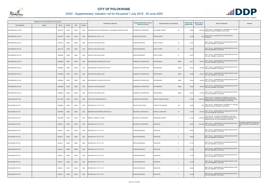

|                       | Registered or other description of the property |          |                |       |                | <b>Full Names of Owner(s)</b>                         | Category determined in terms of | Physical address of the property        | <b>Extent of the</b> | <b>Market value of</b> | <b>Section 78 Remarks</b>                                                                                                                          | Remarks                                                          |
|-----------------------|-------------------------------------------------|----------|----------------|-------|----------------|-------------------------------------------------------|---------------------------------|-----------------------------------------|----------------------|------------------------|----------------------------------------------------------------------------------------------------------------------------------------------------|------------------------------------------------------------------|
| <b>Town Allotment</b> | <b>Suburb</b>                                   | Erf Nr   | <b>Portion</b> | Unit  | <b>Section</b> |                                                       | <b>Section 8 of the Act</b>     |                                         | property (HA)        | the property           |                                                                                                                                                    |                                                                  |
| PIETERSBURG EXT 028   |                                                 | 00007733 | 00000          | 00000 | 0000           | MASHAMAITE EDITH NGWANANAKA / MASHAMAITE MANTHE FRANK | RESIDENTIAL PROPERTIES          | PUFFADDER STREET<br>29                  | 0.0600               |                        | 1,500,000 SECT 78(1)(e) - SUBSTANTIALLY INCORRECTLY VALUED<br>DURING THE LAST GENERAL VALUATION                                                    |                                                                  |
| PIETERSBURG EXT 042   |                                                 | 00010454 | 00005          | 00000 | 0000           | SEACREST INV 134 PTY LTD                              | PRIVATE OPEN SPACE              | <b>ZURICHSTRAAT</b>                     | 0.2736               | 1,000                  | SECT 78(1)(g) - OF WHICH THE CATEGORY HAS<br>CHANGED                                                                                               |                                                                  |
| PIETERSBURG EXT 061   |                                                 | 00010778 | 00000          | 00000 | 0000           | PHAKULA PHILOYDE KULANI                               | <b>CROSS REFERENCE</b>          | 29<br><b>EARTH STREET</b>               | 0.1221               |                        | SECT 78(1)(c) - SUBDIVIDED OR CONSOLIDATED AFTER<br>THE LAST GENERAL VALUATION                                                                     |                                                                  |
| PIETERSBURG EXT 061   |                                                 | 00010779 | 00000          | 00000 | 0000           | PHAKULA PHILOYDE KULANI                               | <b>CROSS REFERENCE</b>          | <b>EARTH STREET</b><br>31               | 0.1057               |                        | SECT 78(1)(c) - SUBDIVIDED OR CONSOLIDATED AFTER<br>THE LAST GENERAL VALUATION                                                                     |                                                                  |
| PIETERSBURG EXT 061   |                                                 | 00026908 | 00000          | 00000 | 0000           | PHAKULA PHILOYDE KULANI                               | <b>CROSS REFERENCE</b>          | <b>EARTH STREET</b><br>31               | 0.2278               |                        | SECT 78(1)(c) - SUBDIVIDED OR CONSOLIDATED AFTER<br>THE LAST GENERAL VALUATION                                                                     |                                                                  |
| PIETERSBURG EXT 061   |                                                 | 00026908 | 00001          | 00000 | 0000           | MATHEDIMOSA TANGTANG PHILLIPUS                        | <b>RESIDENTIAL PROPERTIES</b>   | PIETERSBURG<br>26908                    | 0.0371               |                        | 240,000 SECT 78(1)(c) - SUBDIVIDED OR CONSOLIDATED AFTER<br>THE LAST GENERAL VALUATION                                                             |                                                                  |
| PIETERSBURG EXT 061   |                                                 | 00026908 | 00002          | 00000 | 0000           | MATHEDIMOSA TANGTANG PHILLIPUS                        | RESIDENTIAL PROPERTIES          | PIETERSBURG<br>26908                    | 0.0321               |                        | 240,000 SECT 78(1)(c) - SUBDIVIDED OR CONSOLIDATED AFTER<br>THE LAST GENERAL VALUATION                                                             |                                                                  |
| PIETERSBURG EXT 061   |                                                 | 00026908 | 00003          | 00000 | 0000           | PHAKULA PHILOYDE KULANI                               | RESIDENTIAL PROPERTIES          | <b>PIETERSBURG</b><br>26908             | 0.0480               |                        | 240,000 SECT 78(1)(c) - SUBDIVIDED OR CONSOLIDATED AFTER<br>THE LAST GENERAL VALUATION                                                             |                                                                  |
| PIETERSBURG EXT 061   |                                                 | 00026908 | 00004          | 00000 | 0000           | MATHEDIMOSA TANGTANG PHILLIPUS                        | RESIDENTIAL PROPERTIES          | PIETERSBURG<br>26908                    | 0.0364               |                        | 240,000 SECT 78(1)(c) - SUBDIVIDED OR CONSOLIDATED AFTER<br>THE LAST GENERAL VALUATION                                                             |                                                                  |
| PIETERSBURG EXT 061   |                                                 | 00026908 | 00005          | 00000 | 0000           | PHAKULA COLLEN MLONDZO                                | <b>RESIDENTIAL PROPERTIES</b>   | PIETERSBURG<br>26908                    | 0.0420               |                        | 240,000 SECT 78(1)(c) - SUBDIVIDED OR CONSOLIDATED AFTER<br>THE LAST GENERAL VALUATION                                                             |                                                                  |
| PIETERSBURG EXT 061   |                                                 | 00026908 | 00006          | 00000 | 0000           | PHAKULA PHILOYDE KULANI                               | RESIDENTIAL PROPERTIES          | PIETERSBURG<br>26908                    | 0.0322               |                        | 240,000 SECT 78(1)(c) - SUBDIVIDED OR CONSOLIDATED AFTER<br>THE LAST GENERAL VALUATION                                                             |                                                                  |
| POLOKWANE EXT 090     |                                                 | 00017485 | 00000          | 00000 | 0000           | TALAS PROP PIETERSBURG CC                             | INDUSTRIAL PROPERTIES           | PRINCE HUSSAIN STREET<br>$\overline{7}$ | 0.1600               |                        | SECT 78(1)(d) - OF WHICH THE MARKET VALUE HAS<br>3,400,000 SUBSTANTIALLY INCREASED OR DECREASED FOR ANY<br>REASON AFTER THE LAST GENERAL VALUATION |                                                                  |
| POLOKWANE EXT 091     |                                                 | 00020963 | 00000          | 00000 | 0000           | AETERNO INV 197 (PTY) LTD                             | PRIVATE OPEN SPACE              | STREETS POLOKWANE<br>X91                | 4.3455               |                        | 1,000 SECT 78(1)(e) - SUBSTANTIALLY INCORRECTLY VALUED<br>DURING THE LAST GENERAL VALUATION                                                        |                                                                  |
| POLOKWANE EXT 091     |                                                 | 00020988 | 00000          | 00000 | 0000           | EBENEZER MAINTENANCE SERVICES CC                      | INDUSTRIAL PROPERTIES           | 23<br>MICHELLE CRESCENT                 | 0.1324               |                        | 1,100,000 SECT 78(1)(c) - SUBDIVIDED OR CONSOLIDATED AFTER<br>THE LAST GENERAL VALUATION                                                           |                                                                  |
| POLOKWANE EXT 091     |                                                 | 00021066 | 00000          | 00000 | 0000           | <b>BANNELL PROPERTY TRUST</b>                         | INDUSTRIAL PROPERTIES           | RANGWEDZI STREET<br>$\overline{7}$      | 0.1360               |                        | SECT 78(1)(d) - OF WHICH THE MARKET VALUE HAS<br>2,700,000 SUBSTANTIALLY INCREASED OR DECREASED FOR ANY<br>REASON AFTER THE LAST GENERAL VALUATION |                                                                  |
| POLOKWANE EXT 091     |                                                 | 00040211 | 00000          | 00000 | 0000           | AETERNO INV 197 PTY LTD                               | <b>INDUSTRIAL PROPERTIES</b>    | TAMI DRIVE<br>$\overline{2}$            | 2.6495               | 5,300,000              | SECT 78(1)(c) - SUBDIVIDED OR CONSOLIDATED AFTER<br>THE LAST GENERAL VALUATION                                                                     | OWNSHIP OWNER FOR ERF 40211<br>AND PORTIONS POLOKWANE EXT<br>091 |
| POLOKWANE EXT 091     |                                                 | 00040211 | 00001          | 00000 | 0000           | AETERNO INV 197 PTY LTD                               | <b>CROSS REFERENCE</b>          | <b>TAMI DRIVE</b><br>$\overline{2}$     | 0.2000               |                        | SECT 78(1)(c) - SUBDIVIDED OR CONSOLIDATED AFTER<br>THE LAST GENERAL VALUATION                                                                     |                                                                  |
| POLOKWANE EXT 091     |                                                 | 00040211 | 00002          | 00000 | 0000           | AETERNO INV 197 PTY LTD                               | <b>CROSS REFERENCE</b>          | <b>TAMI DRIVE</b><br>$\overline{2}$     | 0.2600               |                        | SECT 78(1)(c) - SUBDIVIDED OR CONSOLIDATED AFTER<br>THE LAST GENERAL VALUATION                                                                     |                                                                  |
| POLOKWANE EXT 091     |                                                 | 00040211 | 00003          | 00000 | 0000           | AETERNO INV 197 PTY LTD                               | <b>CROSS REFERENCE</b>          | TAMI DRIVE<br>$\overline{2}$            | 0.1770               |                        | SECT 78(1)(c) - SUBDIVIDED OR CONSOLIDATED AFTER<br>THE LAST GENERAL VALUATION                                                                     |                                                                  |
| POLOKWANE EXT 091     |                                                 | 00040211 | 00004          | 00000 | 0000           | AETERNO INV 197 PTY LTD                               | <b>CROSS REFERENCE</b>          | TAMI DRIVE<br>$\overline{c}$            | 0.1750               |                        | SECT 78(1)(c) - SUBDIVIDED OR CONSOLIDATED AFTER<br>THE LAST GENERAL VALUATION                                                                     |                                                                  |
| POLOKWANE EXT 091     |                                                 | 00040211 | 00005          | 00000 | 0000           | AETERNO INV 197 PTY LTD                               | <b>CROSS REFERENCE</b>          | TAMI DRIVE<br>$\overline{2}$            | 0.1750               |                        | SECT 78(1)(c) - SUBDIVIDED OR CONSOLIDATED AFTER<br>THE LAST GENERAL VALUATION                                                                     |                                                                  |
| POLOKWANE EXT 091     |                                                 | 00040211 | 00006          | 00000 | 0000           | AETERNO INV 197 PTY LTD                               | <b>CROSS REFERENCE</b>          | TAMI DRIVE<br>$\overline{2}$            | 0.1682               |                        | SECT 78(1)(c) - SUBDIVIDED OR CONSOLIDATED AFTER<br>THE LAST GENERAL VALUATION                                                                     |                                                                  |
| POLOKWANE EXT 091     |                                                 | 00040211 | 00007          | 00000 | 0000           | AETERNO INV 197 PTY LTD                               | <b>CROSS REFERENCE</b>          | <b>TAMI DRIVE</b><br>$\overline{2}$     | 0.2354               |                        | SECT 78(1)(c) - SUBDIVIDED OR CONSOLIDATED AFTER<br>THE LAST GENERAL VALUATION                                                                     |                                                                  |
| POLOKWANE EXT 091     |                                                 | 00040211 | 00008          | 00000 | 0000           | AETERNO INV 197 PTY LTD                               | <b>CROSS REFERENCE</b>          | TAMI DRIVE<br>$\overline{2}$            | 0.1269               |                        | SECT 78(1)(c) - SUBDIVIDED OR CONSOLIDATED AFTER<br>THE LAST GENERAL VALUATION                                                                     |                                                                  |

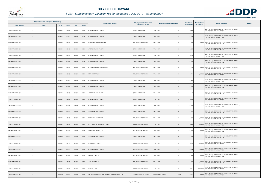

|                       | Registered or other description of the property |          |                |       |                |                                                | Category determined in terms of |                                            | <b>Extent of the</b> | <b>Market value of</b> |                                                                                           |         |
|-----------------------|-------------------------------------------------|----------|----------------|-------|----------------|------------------------------------------------|---------------------------------|--------------------------------------------|----------------------|------------------------|-------------------------------------------------------------------------------------------|---------|
| <b>Town Allotment</b> | <b>Suburb</b>                                   | Erf Nr   | <b>Portion</b> | Unit  | <b>Section</b> | <b>Full Names of Owner(s)</b>                  | Section 8 of the Act            | <b>Physical address of the property</b>    | property (HA)        | the property           | <b>Section 78 Remarks</b>                                                                 | Remarks |
| POLOKWANE EXT 091     |                                                 | 00040211 | 00009          | 00000 | 0000           | AETERNO INV 197 PTY LTD                        | <b>CROSS REFERENCE</b>          | <b>TAMI DRIVE</b><br>$\overline{c}$        | 0.1239               |                        | SECT 78(1)(c) - SUBDIVIDED OR CONSOLIDATED AFTER<br>THE LAST GENERAL VALUATION            |         |
| POLOKWANE EXT 091     |                                                 | 00040211 | 00010          | 00000 | 0000           | AETERNO INV 197 PTY LTD                        | <b>CROSS REFERENCE</b>          | TAMI DRIVE<br>$\overline{2}$               | 0.1239               |                        | SECT 78(1)(c) - SUBDIVIDED OR CONSOLIDATED AFTER<br>THE LAST GENERAL VALUATION            |         |
| POLOKWANE EXT 091     |                                                 | 00040211 | 00013          | 00000 | 0000           | GANI & HASSIM PROP PTY LTD                     | <b>INDUSTRIAL PROPERTIES</b>    | <b>TAMI DRIVE</b><br>2                     | 0.1086               |                        | SECT 78(1)(c) - SUBDIVIDED OR CONSOLIDATED AFTER<br>870,000 THE LAST GENERAL VALUATION    |         |
| POLOKWANE EXT 091     |                                                 | 00040211 | 00016          | 00000 | 0000           | AETERNO INV 197 PTY LTD                        | <b>CROSS REFERENCE</b>          | <b>TAMI DRIVE</b><br>$\overline{2}$        | 0.1350               |                        | SECT 78(1)(c) - SUBDIVIDED OR CONSOLIDATED AFTER<br>THE LAST GENERAL VALUATION            |         |
| POLOKWANE EXT 091     |                                                 | 00040211 | 00017          | 00000 | 0000           | AETERNO INV 197 PTY LTD                        | <b>CROSS REFERENCE</b>          | TAMI DRIVE<br>$\overline{2}$               | 0.1400               |                        | SECT 78(1)(c) - SUBDIVIDED OR CONSOLIDATED AFTER<br>THE LAST GENERAL VALUATION            |         |
| POLOKWANE EXT 091     |                                                 | 00040211 | 00018          | 00000 | 0000           | AETERNO INV 197 PTY LTD                        | <b>CROSS REFERENCE</b>          | <b>TAMI DRIVE</b><br>$\overline{2}$        | 0.1400               |                        | SECT 78(1)(c) - SUBDIVIDED OR CONSOLIDATED AFTER<br>THE LAST GENERAL VALUATION            |         |
| POLOKWANE EXT 091     |                                                 | 00040211 | 00019          | 00000 | 0000           | MAGASA LYNNETTE NONTOBEKO                      | INDUSTRIAL PROPERTIES           | <b><i>FAMI DRIVE</i></b><br>$\overline{2}$ | 0.1400               |                        | 1,100,000 SECT 78(1)(c) - SUBDIVIDED OR CONSOLIDATED AFTER<br>THE LAST GENERAL VALUATION  |         |
| POLOKWANE EXT 091     |                                                 | 00040211 | 00020          | 00000 | 0000           | <b>EIZEV PROP TRUST</b>                        | INDUSTRIAL PROPERTIES           | <b>TAMI DRIVE</b><br>$\overline{2}$        | 0.1710               |                        | 1,400,000 SECT 78(1)(c) - SUBDIVIDED OR CONSOLIDATED AFTER<br>THE LAST GENERAL VALUATION  |         |
| POLOKWANE EXT 091     |                                                 | 00040211 | 00023          | 00000 | 0000           | AETERNO INV 197 PTY LTD                        | <b>CROSS REFERENCE</b>          | TAMI DRIVE<br>$\overline{2}$               | 0.1400               |                        | SECT 78(1)(c) - SUBDIVIDED OR CONSOLIDATED AFTER<br>THE LAST GENERAL VALUATION            |         |
| POLOKWANE EXT 091     |                                                 | 00040211 | 00024          | 00000 | 0000           | AETERNO INV 197 PTY LTD                        | <b>CROSS REFERENCE</b>          | TAMI DRIVE<br>$\overline{2}$               | 0.1400               |                        | SECT 78(1)(c) - SUBDIVIDED OR CONSOLIDATED AFTER<br>THE LAST GENERAL VALUATION            |         |
| POLOKWANE EXT 091     |                                                 | 00040211 | 00025          | 00000 | 0000           | AETERNO INV 197 PTY LTD                        | <b>CROSS REFERENCE</b>          | TAMI DRIVE<br>$\overline{2}$               | 0.1400               |                        | SECT 78(1)(c) - SUBDIVIDED OR CONSOLIDATED AFTER<br>THE LAST GENERAL VALUATION            |         |
| POLOKWANE EXT 091     |                                                 | 00040211 | 00026          | 00000 | 0000           | AETERNO INV 197 PTY LTD                        | <b>CROSS REFERENCE</b>          | TAMI DRIVE<br>$\overline{2}$               | 0.1925               |                        | SECT 78(1)(c) - SUBDIVIDED OR CONSOLIDATED AFTER<br>THE LAST GENERAL VALUATION            |         |
| POLOKWANE EXT 091     |                                                 | 00040211 | 00027          | 00000 | 0000           | AETERNO INV 197 PTY LTD                        | <b>CROSS REFERENCE</b>          | TAMI DRIVE<br>$\overline{2}$               | 0.2282               |                        | SECT 78(1)(c) - SUBDIVIDED OR CONSOLIDATED AFTER<br>THE LAST GENERAL VALUATION            |         |
| POLOKWANE EXT 091     |                                                 | 00040211 | 00028          | 00000 | 0000           | AETERNO INV 197 PTY LTD                        | <b>CROSS REFERENCE</b>          | TAMI DRIVE<br>$\overline{c}$               | 0.2362               |                        | SECT 78(1)(c) - SUBDIVIDED OR CONSOLIDATED AFTER<br>THE LAST GENERAL VALUATION            |         |
| POLOKWANE EXT 091     |                                                 | 00040211 | 00029          | 00000 | 0000           | TRUE VISION INV PTY LTD                        | INDUSTRIAL PROPERTIES           | <b>TAMI DRIVE</b><br>$\overline{2}$        | 0.2362               |                        | 1,900,000 SECT 78(1)(c) - SUBDIVIDED OR CONSOLIDATED AFTER<br>THE LAST GENERAL VALUATION  |         |
| POLOKWANE EXT 091     |                                                 | 00040211 | 00030          | 00000 | 0000           | SOUTHERN PALACE INV 135 PTY LTD                | INDUSTRIAL PROPERTIES           | TAMI DRIVE<br>$\overline{2}$               | 0.2282               |                        | SECT 78(1)(c) - SUBDIVIDED OR CONSOLIDATED AFTER<br>1,800,000 THE LAST GENERAL VALUATION  |         |
| POLOKWANE EXT 091     |                                                 | 00040211 | 00032          | 00000 | 0000           | TRUE VISION INV PTY LTD                        | INDUSTRIAL PROPERTIES           | <b>TAMI DRIVE</b><br>$\overline{2}$        | 0.2000               |                        | 1,600,000 SECT 78(1)(c) - SUBDIVIDED OR CONSOLIDATED AFTER<br>THE LAST GENERAL VALUATION  |         |
| POLOKWANE EXT 091     |                                                 | 00040211 | 00033          | 00000 | 0000           | AETERNO INV 197 PTY LTD                        | <b>CROSS REFERENCE</b>          | <b>TAMI DRIVE</b><br>$\overline{c}$        | 0.2000               |                        | SECT 78(1)(c) - SUBDIVIDED OR CONSOLIDATED AFTER<br>THE LAST GENERAL VALUATION            |         |
| POLOKWANE EXT 091     |                                                 | 00040211 | 00047          | 00000 | 0000           | SORASERVE PTY LTD                              | INDUSTRIAL PROPERTIES           | TAMI DRIVE<br>$\overline{2}$               | 0.3750               |                        | SECT 78(1)(c) - SUBDIVIDED OR CONSOLIDATED AFTER<br>3,000,000 THE LAST GENERAL VALUATION  |         |
| POLOKWANE EXT 091     |                                                 | 00040211 | 00053          | 00000 | 0000           | AETERNO INV 197 PTY LTD                        | INDUSTRIAL PROPERTIES           | <b>TAMI DRIVE</b><br>$\overline{2}$        | 0.2743               |                        | 2,200,000 SECT 78(1)(c) - SUBDIVIDED OR CONSOLIDATED AFTER<br>THE LAST GENERAL VALUATION  |         |
| POLOKWANE EXT 091     |                                                 | 00040211 | 00054          | 00000 | 0000           | ABOSIGN PTY LTD                                | INDUSTRIAL PROPERTIES           | TAMI DRIVE<br>$\overline{c}$               | 0.3840               |                        | 3,100,000 SECT 78(1)(c) - SUBDIVIDED OR CONSOLIDATED AFTER<br>THE LAST GENERAL VALUATION  |         |
| POLOKWANE EXT 091     |                                                 | 00040211 | 00055          | 00000 | 0000           | ANSAL INV PTY LTD                              | INDUSTRIAL PROPERTIES           | TAMI DRIVE<br>$\overline{2}$               | 0.1920               |                        | 1,500,000 SECT 78(1)(c) - SUBDIVIDED OR CONSOLIDATED AFTER<br>THE LAST GENERAL VALUATION  |         |
| POLOKWANE EXT 091     |                                                 | 00040211 | 00056          | 00000 | 0000           | ABOSIGN PTY LTD                                | INDUSTRIAL PROPERTIES           | <b><i>FAMI DRIVE</i></b><br>$\overline{c}$ | 3.4077               |                        | 27,300,000 SECT 78(1)(c) - SUBDIVIDED OR CONSOLIDATED AFTER<br>THE LAST GENERAL VALUATION |         |
| POLOKWANE EXT 122     |                                                 | 00023182 | 00000          | 00000 | 0000           | TEFFO LAWRENCE NKHONA / MOHALE MAPULA SAMANTHA | RESIDENTIAL PROPERTIES          | POLOKWANE EXT 122<br>23182                 | 0.0315               | 240,000                | SECT 78(1)(c) - SUBDIVIDED OR CONSOLIDATED AFTER<br>THE LAST GENERAL VALUATION            |         |

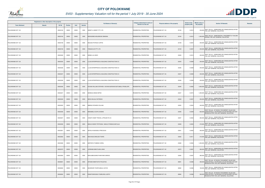

| Registered or other description of the property |               |               |                |       |                |                                                            | Category determined in terms of |                                         | <b>Extent of the</b> | <b>Market value of</b> |                                                                                                                                                  |         |
|-------------------------------------------------|---------------|---------------|----------------|-------|----------------|------------------------------------------------------------|---------------------------------|-----------------------------------------|----------------------|------------------------|--------------------------------------------------------------------------------------------------------------------------------------------------|---------|
| <b>Town Allotment</b>                           | <b>Suburb</b> | <b>Erf Nr</b> | <b>Portion</b> | Unit  | <b>Section</b> | <b>Full Names of Owner(s)</b>                              | Section 8 of the Act            | <b>Physical address of the property</b> | property (HA)        | the property           | <b>Section 78 Remarks</b>                                                                                                                        | Remarks |
| POLOKWANE EXT 122                               |               | 00023183      | 00000          | 00000 | 0000           | SWEET & SWEET PTY LTD                                      | RESIDENTIAL PROPERTIES          | POLOKWANE EXT 122<br>23183              | 0.0310               |                        | 230,000 SECT 78(1)(c) - SUBDIVIDED OR CONSOLIDATED AFTER<br>THE LAST GENERAL VALUATION                                                           |         |
| POLOKWANE EXT 122                               |               | 00023184      | 00000          | 00000 | 0000           | MOKGOEBO MOLEBOGE OBADINA                                  | <b>RESIDENTIAL PROPERTIES</b>   | 23184<br>POLOKWANE EXT 122              | 0.0310               | 1,300,000              | SECT 78(1)(e) - SUBSTANTIALLY INCORRECTLY VALUED<br>DURING THE LAST GENERAL VALUATION                                                            |         |
| POLOKWANE EXT 122                               |               | 00023189      | 00000          | 00000 | 0000           | MALESA POTEGO CURTIS                                       | <b>RESIDENTIAL PROPERTIES</b>   | POLOKWANE EXT 122<br>23189              | 0.0307               |                        | 230,000 SECT 78(1)(c) - SUBDIVIDED OR CONSOLIDATED AFTER<br>THE LAST GENERAL VALUATION                                                           |         |
| POLOKWANE EXT 122                               |               | 00023193      | 00000          | 00000 | 0000           | TANGACLOX PTY LTD                                          | RESIDENTIAL PROPERTIES          | POLOKWANE EXT 122<br>23193              | 0.0307               |                        | 230,000 SECT 78(1)(c) - SUBDIVIDED OR CONSOLIDATED AFTER<br>THE LAST GENERAL VALUATION                                                           |         |
| POLOKWANE EXT 122                               |               | 00023226      | 00000          | 00000 | 0000           | NDIMA LULI MIXO                                            | RESIDENTIAL PROPERTIES          | POLOKWANE EXT 122<br>23226              | 0.0310               |                        | SECT 78(1)(c) - SUBDIVIDED OR CONSOLIDATED AFTER<br>230,000 THE LAST GENERAL VALUATION                                                           |         |
| POLOKWANE EXT 122                               |               | 00023235      | 00000          | 00000 | 0000           | LLUSI ENTERPRICES & BUILDING CONSTRUCTION CC               | <b>RESIDENTIAL PROPERTIES</b>   | POLOKWANE EXT 122<br>23235              | 0.0308               |                        | 230,000 SECT 78(1)(c) - SUBDIVIDED OR CONSOLIDATED AFTER<br>THE LAST GENERAL VALUATION                                                           |         |
| POLOKWANE EXT 122                               |               | 00023236      | 00000          | 00000 | 0000           | LLUSI ENTERPRICES & BUILDING CONSTRUCTION CC               | RESIDENTIAL PROPERTIES          | POLOKWANE EXT 122<br>23236              | 0.0308               |                        | 230,000 SECT 78(1)(c) - SUBDIVIDED OR CONSOLIDATED AFTER<br>THE LAST GENERAL VALUATION                                                           |         |
| POLOKWANE EXT 122                               |               | 00023237      | 00000          | 00000 | 0000           | LLUSI ENTERPRICES & BUILDING CONSTRUCTION CC               | RESIDENTIAL PROPERTIES          | 23237<br>POLOKWANE EXT 122              | 0.0308               |                        | SECT 78(1)(c) - SUBDIVIDED OR CONSOLIDATED AFTER<br>230,000 THE LAST GENERAL VALUATION                                                           |         |
| POLOKWANE EXT 122                               |               | 00023238      | 00000          | 00000 | 0000           | LLUSI ENTERPRICES & BUILDING CONSTRUCTION CC               | RESIDENTIAL PROPERTIES          | POLOKWANE EXT 122<br>23238              | 0.0308               |                        | 230,000 SECT 78(1)(c) - SUBDIVIDED OR CONSOLIDATED AFTER<br>THE LAST GENERAL VALUATION                                                           |         |
| POLOKWANE EXT 122                               |               | 00023246      | 00000          | 00000 | 0000           | KOVANI WILLIAM STEPHEN / KOVANI MURISHE BOITUMELO PENELOPE | <b>RESIDENTIAL PROPERTIES</b>   | POLOKWANE EXT 122<br>23246              | 0.0363               |                        | 1,600,000 SECT 78(1)(c) - SUBDIVIDED OR CONSOLIDATED AFTER<br>THE LAST GENERAL VALUATION                                                         |         |
| POLOKWANE EXT 122                               |               | 00023247      | 00000          | 00000 | 0000           | MANKGA ANNAH MPHO                                          | RESIDENTIAL PROPERTIES          | 23247<br>POLOKWANE EXT 122              | 0.0374               |                        | 1,200,000 SECT 78(1)(c) - SUBDIVIDED OR CONSOLIDATED AFTER<br>THE LAST GENERAL VALUATION                                                         |         |
| POLOKWANE EXT 122                               |               | 00023249      | 00000          | 00000 | 0000           | NDOU MULALO WITNESS                                        | RESIDENTIAL PROPERTIES          | POLOKWANE EXT 122<br>23249              | 0.0327               |                        | 250,000 SECT 78(1)(c) - SUBDIVIDED OR CONSOLIDATED AFTER<br>THE LAST GENERAL VALUATION                                                           |         |
| POLOKWANE EXT 122                               |               | 00023250      | 00000          | 00000 | 0000           | MMENO NTSHEDI COLLINS                                      | RESIDENTIAL PROPERTIES          | POLOKWANE EXT 122<br>23250              | 0.0324               |                        | SECT 78(1)(c) - SUBDIVIDED OR CONSOLIDATED AFTER<br>240,000 THE LAST GENERAL VALUATION                                                           |         |
| POLOKWANE EXT 122                               |               | 00023256      | 00000          | 00000 | 0000           | MANAMELA OUPA CHOENE                                       | <b>RESIDENTIAL PROPERTIES</b>   | POLOKWANE EXT 122<br>23256              | 0.0349               |                        | SECT 78(1)(d) - OF WHICH THE MARKET VALUE HAS<br>620,000 SUBSTANTIALLY INCREASED OR DECREASED FOR ANY<br>REASON AFTER THE LAST GENERAL VALUATION |         |
| POLOKWANE EXT 122                               |               | 00023257      | 00000          | 00000 | 0000           | CHEAP CHEAP TRAVEL & PROJECTS CC                           | <b>RESIDENTIAL PROPERTIES</b>   | POLOKWANE EXT 122<br>23257              | 0.0352               |                        | 260,000 SECT 78(1)(c) - SUBDIVIDED OR CONSOLIDATED AFTER<br>THE LAST GENERAL VALUATION                                                           |         |
| POLOKWANE EXT 122                               |               | 00023258      | 00000          | 00000 | 0000           | MAHLO NKWE TRYPHOSA / MAHLO PHINEAS MATLALA                | <b>RESIDENTIAL PROPERTIES</b>   | POLOKWANE EXT 122<br>23258              | 0.0355               |                        | SECT 78(1)(c) - SUBDIVIDED OR CONSOLIDATED AFTER<br>270,000 THE LAST GENERAL VALUATION                                                           |         |
| POLOKWANE EXT 122                               |               | 00023261      | 00000          | 00000 | 0000           | SEFALA KGAOGELO PRECIOUS                                   | <b>RESIDENTIAL PROPERTIES</b>   | POLOKWANE EXT 122<br>23261              | 0.0402               |                        | SECT 78(1)(c) - SUBDIVIDED OR CONSOLIDATED AFTER<br>300,000 THE LAST GENERAL VALUATION                                                           |         |
| POLOKWANE EXT 122                               |               | 00023262      | 00000          | 00000 | 0000           | <b>MACHOGA DIKELEDI TEARS</b>                              | <b>RESIDENTIAL PROPERTIES</b>   | POLOKWANE EXT 122<br>23262              | 0.0411               |                        | SECT 78(1)(c) - SUBDIVIDED OR CONSOLIDATED AFTER<br>310,000 THE LAST GENERAL VALUATION                                                           |         |
| POLOKWANE EXT 122                               |               | 00023268      | 00000          | 00000 | 0000           | MAPONYA THABISO CAROL                                      | RESIDENTIAL PROPERTIES          | 23268<br>POLOKWANE EXT 122              | 0.0394               |                        | SECT 78(1)(c) - SUBDIVIDED OR CONSOLIDATED AFTER<br>1,250,000 THE LAST GENERAL VALUATION                                                         |         |
| POLOKWANE EXT 122                               |               | 00023270      | 00000          | 00000 | 0000           | LEDWABA MMUTLANA LINAH                                     | <b>RESIDENTIAL PROPERTIES</b>   | POLOKWANE EXT 122<br>23270              | 0.0367               |                        | 280,000 SECT 78(1)(c) - SUBDIVIDED OR CONSOLIDATED AFTER<br>THE LAST GENERAL VALUATION                                                           |         |
| POLOKWANE EXT 122                               |               | 00023283      | 00000          | 00000 | 0000           | MAHLABEGOANE PHANYANE SAMUEL                               | RESIDENTIAL PROPERTIES          | POLOKWANE EXT 122<br>23283              | 0.0367               | 280,000                | SECT 78(1)(c) - SUBDIVIDED OR CONSOLIDATED AFTER<br>THE LAST GENERAL VALUATION                                                                   |         |
| POLOKWANE EXT 123                               |               | 00026691      | 00000          | 00000 | 0000           | APHANE MMATHOTO PHILISTAS                                  | <b>RESIDENTIAL PROPERTIES</b>   | POLOKWANE EXT 123<br>26691              | 0.0296               |                        | SECT 78(1)(d) - OF WHICH THE MARKET VALUE HAS<br>490,000 SUBSTANTIALLY INCREASED OR DECREASED FOR ANY<br>REASON AFTER THE LAST GENERAL VALUATION |         |
| POLOKWANE EXT 123                               |               | 00026692      | 00000          | 00000 | 0000           | MUDZWARI TSHIFHUMULO JOYCE                                 | RESIDENTIAL PROPERTIES          | POLOKWANE EXT 123<br>26692              | 0.0296               |                        | 190,000 SECT 78(1)(c) - SUBDIVIDED OR CONSOLIDATED AFTER<br>THE LAST GENERAL VALUATION                                                           |         |
| POLOKWANE EXT 123                               |               | 00026694      | 00000          | 00000 | 0000           | RAMATSHEKGISA ITUMELENG JUDITH                             | <b>RESIDENTIAL PROPERTIES</b>   | POLOKWANE EXT 123<br>26694              | 0.0296               |                        | SECT 78(1)(d) - OF WHICH THE MARKET VALUE HAS<br>500,000 SUBSTANTIALLY INCREASED OR DECREASED FOR ANY<br>REASON AFTER THE LAST GENERAL VALUATION |         |

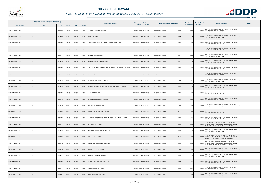

| Registered or other description of the property |               |               |                |       |                | <b>Full Names of Owner(s)</b>                              | Category determined in terms of | Physical address of the property | <b>Extent of the</b> | <b>Market value of</b> | <b>Section 78 Remarks</b>                                                                                                                        | Remarks |
|-------------------------------------------------|---------------|---------------|----------------|-------|----------------|------------------------------------------------------------|---------------------------------|----------------------------------|----------------------|------------------------|--------------------------------------------------------------------------------------------------------------------------------------------------|---------|
| <b>Town Allotment</b>                           | <b>Suburb</b> | <b>Erf Nr</b> | <b>Portion</b> | Unit  | <b>Section</b> |                                                            | <b>Section 8 of the Act</b>     |                                  | property (HA)        | the property           |                                                                                                                                                  |         |
| POLOKWANE EXT 123                               |               | 00026698      | 00000          | 00000 | 0000           | PHUKUBYE MANHLORO JERRY                                    | RESIDENTIAL PROPERTIES          | POLOKWANE EXT 123<br>26698       | 0.0296               |                        | 190,000 SECT 78(1)(c) - SUBDIVIDED OR CONSOLIDATED AFTER<br>THE LAST GENERAL VALUATION                                                           |         |
| POLOKWANE EXT 123                               |               | 00026699      | 00000          | 00000 | 0000           | <b>MALELA MOFEPI</b>                                       | RESIDENTIAL PROPERTIES          | POLOKWANE EXT 123<br>26699       | 0.0296               | 190,000                | SECT 78(1)(c) - SUBDIVIDED OR CONSOLIDATED AFTER<br>THE LAST GENERAL VALUATION                                                                   |         |
| POLOKWANE EXT 123                               |               | 00026702      | 00000          | 00000 | 0000           | MONYAI MOKGADI SABINA / MONYAI SEROBOLA EUNICE             | RESIDENTIAL PROPERTIES          | POLOKWANE EXT 123<br>26702       | 0.0352               |                        | SECT 78(1)(c) - SUBDIVIDED OR CONSOLIDATED AFTER<br>230,000 THE LAST GENERAL VALUATION                                                           |         |
| POLOKWANE EXT 123                               |               | 00026706      | 00000          | 00000 | 0000           | MAILA MMATAPA PHATUDI / MAILA MMAPHUTI NANCY               | RESIDENTIAL PROPERTIES          | POLOKWANE EXT 123<br>26706       | 0.0297               |                        | 190,000 SECT 78(1)(c) - SUBDIVIDED OR CONSOLIDATED AFTER<br>THE LAST GENERAL VALUATION                                                           |         |
| POLOKWANE EXT 123                               |               | 00026714      | 00000          | 00000 | 0000           | NEMALILI THIFHELIMBILU                                     | RESIDENTIAL PROPERTIES          | POLOKWANE EXT 123<br>26714       | 0.0284               |                        | SECT 78(1)(c) - SUBDIVIDED OR CONSOLIDATED AFTER<br>180,000 THE LAST GENERAL VALUATION                                                           |         |
| POLOKWANE EXT 123                               |               | 00026715      | 00000          | 00000 | 0000           | BLOK RAMADIMETJA FRANGELINA                                | <b>RESIDENTIAL PROPERTIES</b>   | 26715<br>POLOKWANE EXT 123       | 0.0284               |                        | 180,000 SECT 78(1)(c) - SUBDIVIDED OR CONSOLIDATED AFTER<br>THE LAST GENERAL VALUATION                                                           |         |
| POLOKWANE EXT 123                               |               | 00026729      | 00000          | 00000 | 0000           | MUCHAVI NKATEKO SAMMY MARCUS / MUCHAVI NTHOTO CAROL ALINAH | RESIDENTIAL PROPERTIES          | POLOKWANE EXT 123<br>26729       | 0.0284               |                        | 180,000 SECT 78(1)(c) - SUBDIVIDED OR CONSOLIDATED AFTER<br>THE LAST GENERAL VALUATION                                                           |         |
| POLOKWANE EXT 123                               |               | 00026740      | 00000          | 00000 | 0000           | GALANE MOLATELO JAPHTER / GALANE BOITUMELO PRECIOUS        | RESIDENTIAL PROPERTIES          | 26740<br>POLOKWANE EXT 123       | 0.0284               |                        | SECT 78(1)(c) - SUBDIVIDED OR CONSOLIDATED AFTER<br>180,000 THE LAST GENERAL VALUATION                                                           |         |
| POLOKWANE EXT 123                               |               | 00026742      | 00000          | 00000 | 0000           | RANGWATO MAPHEKHULE ALBERT                                 | <b>RESIDENTIAL PROPERTIES</b>   | POLOKWANE EXT 123<br>26742       | 0.0325               |                        | 210,000 SECT 78(1)(c) - SUBDIVIDED OR CONSOLIDATED AFTER<br>THE LAST GENERAL VALUATION                                                           |         |
| POLOKWANE EXT 123                               |               | 00026744      | 00000          | 00000 | 0000           | MANGOALE KHOMOTSO VALECIA / MANGOALE REBATSO CLEMENT       | RESIDENTIAL PROPERTIES          | POLOKWANE EXT 123<br>26744       | 0.0367               |                        | 240,000 SECT 78(1)(c) - SUBDIVIDED OR CONSOLIDATED AFTER<br>THE LAST GENERAL VALUATION                                                           |         |
| POLOKWANE EXT 123                               |               | 00026746      | 00000          | 00000 | 0000           | MAKGAE PABALLO AMANDA                                      | RESIDENTIAL PROPERTIES          | POLOKWANE EXT 123<br>26746       | 0.0294               |                        | 190,000 SECT 78(1)(c) - SUBDIVIDED OR CONSOLIDATED AFTER<br>THE LAST GENERAL VALUATION                                                           |         |
| POLOKWANE EXT 123                               |               | 00026749      | 00000          | 00000 | 0000           | BOSHIELO MOTSHIKENG DESIREE                                | RESIDENTIAL PROPERTIES          | POLOKWANE EXT 123<br>26749       | 0.0294               |                        | 190,000 SECT 78(1)(c) - SUBDIVIDED OR CONSOLIDATED AFTER<br>THE LAST GENERAL VALUATION                                                           |         |
| POLOKWANE EXT 123                               |               | 00026750      | 00000          | 00000 | 0000           | NTSIENI ELELWANI MEGAN                                     | RESIDENTIAL PROPERTIES          | POLOKWANE EXT 123<br>26750       | 0.0294               |                        | 190,000 SECT 78(1)(c) - SUBDIVIDED OR CONSOLIDATED AFTER<br>THE LAST GENERAL VALUATION                                                           |         |
| POLOKWANE EXT 123                               |               | 00026751      | 00000          | 00000 | 0000           | SEGOLOANE MAMOLOTO PAULGAR                                 | <b>RESIDENTIAL PROPERTIES</b>   | 26751<br>POLOKWANE EXT 123       | 0.0294               |                        | SECT 78(1)(c) - SUBDIVIDED OR CONSOLIDATED AFTER<br>190,000 THE LAST GENERAL VALUATION                                                           |         |
| POLOKWANE EXT 123                               |               | 00026752      | 00000          | 00000 | 0000           | MAFOKWANE BOITUMELO PEARL / MAFOKWANE SAMUEL MATOME        | RESIDENTIAL PROPERTIES          | POLOKWANE EXT 123<br>26752       | 0.0312               |                        | 200,000 SECT 78(1)(c) - SUBDIVIDED OR CONSOLIDATED AFTER<br>THE LAST GENERAL VALUATION                                                           |         |
| POLOKWANE EXT 123                               |               | 00026757      | 00000          | 00000 | 0000           | SETABOLA SARA NKGAU                                        | <b>RESIDENTIAL PROPERTIES</b>   | POLOKWANE EXT 123<br>26757       | 0.0306               |                        | SECT 78(1)(d) - OF WHICH THE MARKET VALUE HAS<br>490,000 SUBSTANTIALLY INCREASED OR DECREASED FOR ANY<br>REASON AFTER THE LAST GENERAL VALUATION |         |
| POLOKWANE EXT 123                               |               | 00026758      | 00000          | 00000 | 0000           | RAMALA ROFHIWA / MUDAU VHUDZULO                            | <b>RESIDENTIAL PROPERTIES</b>   | POLOKWANE EXT 123<br>26758       | 0.0306               |                        | 200,000 SECT 78(1)(c) - SUBDIVIDED OR CONSOLIDATED AFTER<br>THE LAST GENERAL VALUATION                                                           |         |
| POLOKWANE EXT 123                               |               | 00026761      | 00000          | 00000 | 0000           | <b>SEBOLA LESETJA SAMUEL</b>                               | RESIDENTIAL PROPERTIES          | POLOKWANE EXT 123<br>26761       | 0.0306               |                        | SECT 78(1)(d) - OF WHICH THE MARKET VALUE HAS<br>380,000 SUBSTANTIALLY INCREASED OR DECREASED FOR ANY<br>REASON AFTER THE LAST GENERAL VALUATION |         |
| POLOKWANE EXT 123                               |               | 00026762      | 00000          | 00000 | 0000           | MABADAHANYE MATLALE KGAOGELO                               | RESIDENTIAL PROPERTIES          | POLOKWANE EXT 123<br>26762       | 0.0306               |                        | SECT 78(1)(d) - OF WHICH THE MARKET VALUE HAS<br>530,000 SUBSTANTIALLY INCREASED OR DECREASED FOR ANY<br>REASON AFTER THE LAST GENERAL VALUATION |         |
| POLOKWANE EXT 123                               |               | 00026764      | 00000          | 00000 | 0000           | MADIBA PATRIC MADIMETJA                                    | <b>RESIDENTIAL PROPERTIES</b>   | 26764<br>POLOKWANE EXT 123       | 0.0306               |                        | 200,000 SECT 78(1)(c) - SUBDIVIDED OR CONSOLIDATED AFTER<br>THE LAST GENERAL VALUATION                                                           |         |
| POLOKWANE EXT 123                               |               | 00026767      | 00000          | 00000 | 0000           | BOGOPA JOSEPHINE DIKELEDI                                  | RESIDENTIAL PROPERTIES          | POLOKWANE EXT 123<br>26767       | 0.0306               |                        | SECT 78(1)(c) - SUBDIVIDED OR CONSOLIDATED AFTER<br>200,000 THE LAST GENERAL VALUATION                                                           |         |
| POLOKWANE EXT 123                               |               | 00026779      | 00000          | 00000 | 0000           | MASHIFANE MMATHAPELO TILWANE                               | RESIDENTIAL PROPERTIES          | POLOKWANE EXT 123<br>26779       | 0.0312               |                        | SECT 78(1)(c) - SUBDIVIDED OR CONSOLIDATED AFTER<br>200,000 THE LAST GENERAL VALUATION                                                           |         |
| POLOKWANE EXT 123                               |               | 00026784      | 00000          | 00000 | 0000           | MASHUMU MAMMEI LYSHEN                                      | RESIDENTIAL PROPERTIES          | POLOKWANE EXT 123<br>26784       | 0.0311               |                        | 200,000 SECT 78(1)(c) - SUBDIVIDED OR CONSOLIDATED AFTER<br>THE LAST GENERAL VALUATION                                                           |         |
| POLOKWANE EXT 123                               |               | 00026817      | 00000          | 00000 | 0000           | DIALA MOSIBUDI LESTERINA                                   | RESIDENTIAL PROPERTIES          | 26817<br>POLOKWANE EXT 123       | 0.0298               | 190,000                | SECT 78(1)(c) - SUBDIVIDED OR CONSOLIDATED AFTER<br>THE LAST GENERAL VALUATION                                                                   |         |

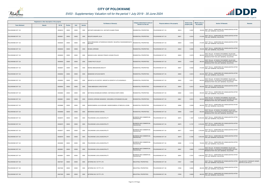

|                       | Registered or other description of the property |          |                |       |                |                                                                    | Category determined in terms of              | Physical address of the property | <b>Extent of the</b> | <b>Market value of</b><br><b>Section 78 Remarks</b>                                                                                                | <b>Remarks</b>                                    |
|-----------------------|-------------------------------------------------|----------|----------------|-------|----------------|--------------------------------------------------------------------|----------------------------------------------|----------------------------------|----------------------|----------------------------------------------------------------------------------------------------------------------------------------------------|---------------------------------------------------|
| <b>Town Allotment</b> | <b>Suburb</b>                                   | Erf Nr   | <b>Portion</b> | Unit  | <b>Section</b> | <b>Full Names of Owner(s)</b>                                      | Section 8 of the Act                         |                                  | property (HA)        | the property                                                                                                                                       |                                                   |
| POLOKWANE EXT 123     |                                                 | 00026818 | 00000          | 00000 | 0000           | MATHAPO MAKGABO EVA / MATHAPO KGABO FRANS                          | RESIDENTIAL PROPERTIES                       | 26818<br>POLOKWANE EXT 123       | 0.0297               | SECT 78(1)(c) - SUBDIVIDED OR CONSOLIDATED AFTER<br>190,000 THE LAST GENERAL VALUATION                                                             |                                                   |
| POLOKWANE EXT 123     |                                                 | 00026821 | 00000          | 00000 | 0000           | MOLEPO MASAPE JULIA                                                | <b>RESIDENTIAL PROPERTIES</b>                | POLOKWANE EXT 123<br>26821       | 0.0316               | SECT 78(1)(c) - SUBDIVIDED OR CONSOLIDATED AFTER<br>210,000<br>THE LAST GENERAL VALUATION                                                          |                                                   |
| POLOKWANE EXT 123     |                                                 | 00026829 | 00000          | 00000 | 0000           | MAHLOBOGOANE LETSHWEKGE HOWARD / MOJAPELO NGOANAMOKGATA<br>MELINAH | RESIDENTIAL PROPERTIES                       | 26829<br>POLOKWANE EXT 123       | 0.0325               | SECT 78(1)(c) - SUBDIVIDED OR CONSOLIDATED AFTER<br>210,000 THE LAST GENERAL VALUATION                                                             |                                                   |
| POLOKWANE EXT 123     |                                                 | 00026832 | 00000          | 00000 | 0000           | <b>BVUMA LORRAINE</b>                                              | RESIDENTIAL PROPERTIES                       | POLOKWANE EXT 123<br>26832       | 0.0294               | SECT 78(1)(c) - SUBDIVIDED OR CONSOLIDATED AFTER<br>190,000 THE LAST GENERAL VALUATION                                                             |                                                   |
| POLOKWANE EXT 123     |                                                 | 00026833 | 00000          | 00000 | 0000           | MASHAO ALINA / MASHAO FRANCE LEKUBA POULOS                         | <b>RESIDENTIAL PROPERTIES</b>                | 26833<br>POLOKWANE EXT 123       | 0.0379               | SECT 78(1)(d) - OF WHICH THE MARKET VALUE HAS<br>380,000 SUBSTANTIALLY INCREASED OR DECREASED FOR ANY<br>REASON AFTER THE LAST GENERAL VALUATION   |                                                   |
| POLOKWANE EXT 123     |                                                 | 00026835 | 00000          | 00000 | 0000           | TJIANE PHUTI COLLET                                                | <b>RESIDENTIAL PROPERTIES</b>                | POLOKWANE EXT 123<br>26835       | 0.0324               | SECT 78(1)(d) - OF WHICH THE MARKET VALUE HAS<br>380,000 SUBSTANTIALLY INCREASED OR DECREASED FOR ANY<br>REASON AFTER THE LAST GENERAL VALUATION   |                                                   |
| POLOKWANE EXT 123     |                                                 | 00026837 | 00000          | 00000 | 0000           | MOENG MMAGANONG BEAUTY                                             | RESIDENTIAL PROPERTIES                       | POLOKWANE EXT 123<br>26837       | 0.0322               | SECT 78(1)(c) - SUBDIVIDED OR CONSOLIDATED AFTER<br>210,000 THE LAST GENERAL VALUATION                                                             |                                                   |
| POLOKWANE EXT 123     |                                                 | 00026852 | 00000          | 00000 | 0000           | MAMADISE KATLEGO MANTE                                             | RESIDENTIAL PROPERTIES                       | 26852<br>POLOKWANE EXT 123       | 0.0310               | SECT 78(1)(c) - SUBDIVIDED OR CONSOLIDATED AFTER<br>200,000<br>THE LAST GENERAL VALUATION                                                          |                                                   |
| POLOKWANE EXT 123     |                                                 | 00026853 | 00000          | 00000 | 0000           | MOKOETJA SYLVESTER / MOKOETJA DOROTHY LETLHOGONOLO                 | <b>RESIDENTIAL PROPERTIES</b>                | POLOKWANE EXT 123<br>26853       | 0.0311               | SECT 78(1)(d) - OF WHICH THE MARKET VALUE HAS<br>640,000 SUBSTANTIALLY INCREASED OR DECREASED FOR ANY<br>REASON AFTER THE LAST GENERAL VALUATION   |                                                   |
| POLOKWANE EXT 123     |                                                 | 00026854 | 00000          | 00000 | 0000           | THIBA MBENGENI CHRISTOPHER                                         | RESIDENTIAL PROPERTIES                       | 26854<br>POLOKWANE EXT 123       | 0.0312               | 200,000 SECT 78(1)(c) - SUBDIVIDED OR CONSOLIDATED AFTER<br>THE LAST GENERAL VALUATION                                                             |                                                   |
| POLOKWANE EXT 123     |                                                 | 00026860 | 00000          | 00000 | 0000           | MATHEKGA MOSEBJADI DOREEN / MATHEKGA KHEPO OWEN                    | RESIDENTIAL PROPERTIES                       | 26860<br>POLOKWANE EXT 123       | 0.0314               | SECT 78(1)(c) - SUBDIVIDED OR CONSOLIDATED AFTER<br>200,000<br>THE LAST GENERAL VALUATION                                                          |                                                   |
| POLOKWANE EXT 123     |                                                 | 00026861 | 00000          | 00000 | 0000           | CHOKOE LORRAINE MANAKEDI / SEKGOBELA NTSHIMANE WILLIAM             | <b>RESIDENTIAL PROPERTIES</b>                | POLOKWANE EXT 123<br>26861       | 0.0313               | SECT 78(1)(d) - OF WHICH THE MARKET VALUE HAS<br>640,000 SUBSTANTIALLY INCREASED OR DECREASED FOR ANY<br>REASON AFTER THE LAST GENERAL VALUATION   |                                                   |
| POLOKWANE EXT 123     |                                                 | 00026866 | 00000          | 00000 | 0000           | MASEKOAMENG JULIA MOHUBE / MASEKOAMENG LETABOLELA LEUBA            | RESIDENTIAL PROPERTIES                       | 26866<br>POLOKWANE EXT 123       | 0.0309               | SECT 78(1)(c) - SUBDIVIDED OR CONSOLIDATED AFTER<br>200,000 THE LAST GENERAL VALUATION                                                             |                                                   |
| POLOKWANE EXT 123     |                                                 | 00026869 | 00000          | 00000 | 0000           | MOKWENA KGWADI EZEKIEL                                             | RESIDENTIAL PROPERTIES                       | POLOKWANE EXT 123<br>26869       | 0.0307               | SECT 78(1)(d) - OF WHICH THE MARKET VALUE HAS<br>650,000 SUBSTANTIALLY INCREASED OR DECREASED FOR ANY<br>REASON AFTER THE LAST GENERAL VALUATION   |                                                   |
| POLOKWANE EXT 124     |                                                 | 00026974 | 00000          | 00000 | 0000           | POLOKWANE LOCAL MUNICIPALITY                                       | BUSINESS AND COMMERCIAL<br><b>PROPERTIES</b> | POLOKWANE EXT 124<br>26974       | 1.1627               | SECT 78(1)(c) - SUBDIVIDED OR CONSOLIDATED AFTER<br>13,200,000 THE LAST GENERAL VALUATION                                                          |                                                   |
| POLOKWANE EXT 124     |                                                 | 00026975 | 00000          | 00000 | 0000           | POLOKWANE LOCAL MUNICIPALITY                                       | BUSINESS AND COMMERCIAL<br>PROPERTIES        | POLOKWANE EXT 124<br>26975       | 0.1737               | SECT 78(1)(c) - SUBDIVIDED OR CONSOLIDATED AFTER<br>9,700,000 THE LAST GENERAL VALUATION                                                           |                                                   |
| POLOKWANE EXT 124     |                                                 | 00026977 | 00000          | 00000 | 0000           | POLOKWANE LOCAL MUNICIPALITY                                       | BUSINESS AND COMMERCIAL<br><b>PROPERTIES</b> | POLOKWANE EXT 124<br>26977       | 0.6219               | SECT 78(1)(c) - SUBDIVIDED OR CONSOLIDATED AFTER<br>3,700,000<br>THE LAST GENERAL VALUATION                                                        |                                                   |
| POLOKWANE EXT 124     |                                                 | 00026979 | 00000          | 00000 | 0000           | POLOKWANE LOCAL MUNICIPALITY                                       | BUSINESS AND COMMERCIAL<br><b>PROPERTIES</b> | 26979<br>POLOKWANE EXT 124       | 0.7294               | SECT 78(1)(c) - SUBDIVIDED OR CONSOLIDATED AFTER<br>4,400,000 THE LAST GENERAL VALUATION                                                           |                                                   |
| POLOKWANE EXT 124     |                                                 | 00026980 | 00000          | 00000 | 0000           | POLOKWANE LOCAL MUNICIPALITY                                       | BUSINESS AND COMMERCIAL<br><b>PROPERTIES</b> | POLOKWANE EXT 124<br>26980       | 0.1104               | SECT 78(1)(c) - SUBDIVIDED OR CONSOLIDATED AFTER<br>700,000 THE LAST GENERAL VALUATION                                                             |                                                   |
| POLOKWANE EXT 124     |                                                 | 00026981 | 00000          | 00000 | 0000           | POLOKWANE LOCAL MUNICIPALITY                                       | BUSINESS AND COMMERCIAL<br><b>PROPERTIES</b> | POLOKWANE EXT 124<br>26981       | 0.6655               | SECT 78(1)(d) - OF WHICH THE MARKET VALUE HAS<br>9,700,000 SUBSTANTIALLY INCREASED OR DECREASED FOR ANY<br>REASON AFTER THE LAST GENERAL VALUATION |                                                   |
| POLOKWANE EXT 124     |                                                 | 00026991 | 00000          | 00000 | 0000           | POLOKWANE LOCAL MUNICIPALITY                                       | BUSINESS AND COMMERCIAL<br><b>PROPERTIES</b> | POLOKWANE EXT 124<br>26991       | 0.7001               | SECT 78(1)(c) - SUBDIVIDED OR CONSOLIDATED AFTER<br>4,200,000<br>THE LAST GENERAL VALUATION                                                        |                                                   |
| POLOKWANE EXT 128     |                                                 | 00027627 | 00000          | 00000 | 0000           | AETERNO INV 197 PTY LTD                                            | INDUSTRIAL PROPERTIES                        | POLOKWANE EXT 128<br>27627       | 1.0095               | SECT 78(1)(c) - SUBDIVIDED OR CONSOLIDATED AFTER<br>THE LAST GENERAL VALUATION                                                                     | VALUED WITH TOWNSHIP OWNER<br>ON PTN 15 OF 915 LS |
| POLOKWANE EXT 128     |                                                 | 00027628 | 00000          | 00000 | 0000           | AETERNO INV 197 PTY LTD                                            | <b>INDUSTRIAL PROPERTIES</b>                 | POLOKWANE EXT 128<br>27628       | 0.0600               | SECT 78(1)(c) - SUBDIVIDED OR CONSOLIDATED AFTER<br>480,000<br>THE LAST GENERAL VALUATION                                                          |                                                   |
| POLOKWANE EXT 128     |                                                 | 00027629 | 00000          | 00000 | 0000           | AETERNO INV 197 PTY LTD                                            | INDUSTRIAL PROPERTIES                        | 27629<br>POLOKWANE EXT 128       | 0.0600               | SECT 78(1)(c) - SUBDIVIDED OR CONSOLIDATED AFTER<br>480,000<br>THE LAST GENERAL VALUATION                                                          |                                                   |

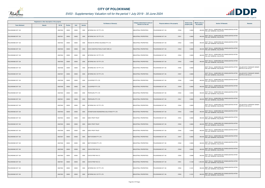

| Registered or other description of the property |               |               |                |       |                | Category determined in terms of          |                              | <b>Extent of the</b>             | Market value of |                                                                                                 |                                                   |
|-------------------------------------------------|---------------|---------------|----------------|-------|----------------|------------------------------------------|------------------------------|----------------------------------|-----------------|-------------------------------------------------------------------------------------------------|---------------------------------------------------|
| <b>Town Allotment</b>                           | <b>Suburb</b> | <b>Erf Nr</b> | <b>Portion</b> | Unit  | <b>Section</b> | <b>Full Names of Owner(s)</b>            | Section 8 of the Act         | Physical address of the property | property (HA)   | <b>Section 78 Remarks</b><br>the property                                                       | Remarks                                           |
| POLOKWANE EXT 128                               |               | 00027630      | 00000          | 00000 | 0000           | AETERNO INV 197 PTY LTD                  | INDUSTRIAL PROPERTIES        | POLOKWANE EXT 128<br>27630       | 0.0600          | 480,000 SECT 78(1)(c) - SUBDIVIDED OR CONSOLIDATED AFTER<br>THE LAST GENERAL VALUATION          |                                                   |
| POLOKWANE EXT 128                               |               | 00027631      | 00000          | 00000 | 0000           | AETERNO INV 197 PTY LTD                  | INDUSTRIAL PROPERTIES        | 27631<br>POLOKWANE EXT 128       | 0.0600          | SECT 78(1)(c) - SUBDIVIDED OR CONSOLIDATED AFTER<br>480,000<br><b>HE LAST GENERAL VALUATION</b> |                                                   |
| POLOKWANE EXT 128                               |               | 00027632      | 00000          | 00000 | 0000           | RISUNA RA AFRIKA HOLDINGS PTY LTD        | <b>INDUSTRIAL PROPERTIES</b> | POLOKWANE EXT 128<br>27632       | 0.0600          | SECT 78(1)(c) - SUBDIVIDED OR CONSOLIDATED AFTER<br>480,000 THE LAST GENERAL VALUATION          |                                                   |
| POLOKWANE EXT 128                               |               | 00027633      | 00000          | 00000 | 0000           | CIVIK CONSTRUCTION & PLANT HIRE CC       | INDUSTRIAL PROPERTIES        | 27633<br>POLOKWANE EXT 128       | 0.0600          | SECT 78(1)(c) - SUBDIVIDED OR CONSOLIDATED AFTER<br>480,000 THE LAST GENERAL VALUATION          |                                                   |
| POLOKWANE EXT 128                               |               | 00027634      | 00000          | 00000 | 0000           | AETERNO INV 197 PTY LTD                  | INDUSTRIAL PROPERTIES        | POLOKWANE EXT 128<br>27634       | 0.0600          | SECT 78(1)(c) - SUBDIVIDED OR CONSOLIDATED AFTER<br>480,000<br>THE LAST GENERAL VALUATION       |                                                   |
| POLOKWANE EXT 128                               |               | 00027635      | 00000          | 00000 | 0000           | AETERNO INV 197 PTY LTD                  | INDUSTRIAL PROPERTIES        | POLOKWANE EXT 128<br>27635       | 0.0600          | SECT 78(1)(c) - SUBDIVIDED OR CONSOLIDATED AFTER<br>480,000 THE LAST GENERAL VALUATION          |                                                   |
| POLOKWANE EXT 128                               |               | 00027636      | 00000          | 00000 | 0000           | AETERNO INV 197 PTY LTD                  | INDUSTRIAL PROPERTIES        | 27636<br>POLOKWANE EXT 128       | 0.0600          | SECT 78(1)(c) - SUBDIVIDED OR CONSOLIDATED AFTER<br>THE LAST GENERAL VALUATION                  | VALUED WITH TOWNSHIP OWNER<br>ON PTN 15 OF 915 LS |
| POLOKWANE EXT 128                               |               | 00027637      | 00000          | 00000 | 0000           | AETERNO INV 197 PTY LTD                  | INDUSTRIAL PROPERTIES        | 27637<br>POLOKWANE EXT 128       | 0.0600          | SECT 78(1)(c) - SUBDIVIDED OR CONSOLIDATED AFTER<br>THE LAST GENERAL VALUATION                  | VALUED WITH TOWNSHIP OWNER<br>ON PTN 15 OF 915 LS |
| POLOKWANE EXT 128                               |               | 00027638      | 00000          | 00000 | 0000           | <b>CLICKPROP PTY LTD</b>                 | INDUSTRIAL PROPERTIES        | POLOKWANE EXT 128<br>27638       | 0.0600          | SECT 78(1)(c) - SUBDIVIDED OR CONSOLIDATED AFTER<br>480,000 THE LAST GENERAL VALUATION          |                                                   |
| POLOKWANE EXT 128                               |               | 00027639      | 00000          | 00000 | 0000           | <b>CLICKPROP PTY LTD</b>                 | INDUSTRIAL PROPERTIES        | 27639<br>POLOKWANE EXT 128       | 0.0600          | 480,000 SECT 78(1)(c) - SUBDIVIDED OR CONSOLIDATED AFTER<br>THE LAST GENERAL VALUATION          |                                                   |
| POLOKWANE EXT 128                               |               | 00027640      | 00000          | 00000 | 0000           | PROPGURU PTY LTD                         | INDUSTRIAL PROPERTIES        | 27640<br>POLOKWANE EXT 128       | 0.0600          | SECT 78(1)(c) - SUBDIVIDED OR CONSOLIDATED AFTER<br>480,000<br>THE LAST GENERAL VALUATION       |                                                   |
| POLOKWANE EXT 128                               |               | 00027641      | 00000          | 00000 | 0000           | PROPGURU PTY LTD                         | INDUSTRIAL PROPERTIES        | POLOKWANE EXT 128<br>27641       | 0.0600          | 480,000 SECT 78(1)(c) - SUBDIVIDED OR CONSOLIDATED AFTER<br>THE LAST GENERAL VALUATION          |                                                   |
| POLOKWANE EXT 128                               |               | 00027642      | 00000          | 00000 | 0000           | AETERNO INV 197 PTY LTD                  | INDUSTRIAL PROPERTIES        | 27642<br>POLOKWANE EXT 128       | 0.0600          | SECT 78(1)(c) - SUBDIVIDED OR CONSOLIDATED AFTER<br>THE LAST GENERAL VALUATION                  | VALUED WITH TOWNSHIP OWNER<br>ON PTN 15 OF 915 LS |
| POLOKWANE EXT 128                               |               | 00027643      | 00000          | 00000 | 0000           | STONEFOUND ENGINEERING SOLUTIONS PTY LTD | <b>INDUSTRIAL PROPERTIES</b> | 27643<br>POLOKWANE EXT 128       | 0.0600          | SECT 78(1)(c) - SUBDIVIDED OR CONSOLIDATED AFTER<br>480,000 THE LAST GENERAL VALUATION          |                                                   |
| POLOKWANE EXT 128                               |               | 00027644      | 00000          | 00000 | 0000           | <b>EIZEV PROP TRUST</b>                  | INDUSTRIAL PROPERTIES        | POLOKWANE EXT 128<br>27644       | 0.0600          | SECT 78(1)(c) - SUBDIVIDED OR CONSOLIDATED AFTER<br>480,000 THE LAST GENERAL VALUATION          |                                                   |
| POLOKWANE EXT 128                               |               | 00027645      | 00000          | 00000 | 0000           | <b>EIZEV PROP TRUST</b>                  | <b>INDUSTRIAL PROPERTIES</b> | POLOKWANE EXT 128<br>27645       | 0.0600          | SECT 78(1)(c) - SUBDIVIDED OR CONSOLIDATED AFTER<br>480,000 THE LAST GENERAL VALUATION          |                                                   |
| POLOKWANE EXT 128                               |               | 00027646      | 00000          | 00000 | 0000           | <b>EIZEV PROP TRUST</b>                  | INDUSTRIAL PROPERTIES        | POLOKWANE EXT 128<br>27646       | 0.0600          | SECT 78(1)(c) - SUBDIVIDED OR CONSOLIDATED AFTER<br>480,000 THE LAST GENERAL VALUATION          |                                                   |
| POLOKWANE EXT 128                               |               | 00027647      | 00000          | 00000 | 0000           | <b>MISTYCROWN PTY LTD</b>                | INDUSTRIAL PROPERTIES        | 27647<br>POLOKWANE EXT 128       | 0.0600          | SECT 78(1)(c) - SUBDIVIDED OR CONSOLIDATED AFTER<br>480,000 THE LAST GENERAL VALUATION          |                                                   |
| POLOKWANE EXT 128                               |               | 00027648      | 00000          | 00000 | 0000           | MISTYCROWN PTY LTD                       | INDUSTRIAL PROPERTIES        | 27648<br>POLOKWANE EXT 128       | 0.0600          | SECT 78(1)(c) - SUBDIVIDED OR CONSOLIDATED AFTER<br>480,000 THE LAST GENERAL VALUATION          |                                                   |
| POLOKWANE EXT 128                               |               | 00027649      | 00000          | 00000 | 0000           | CHAYA PROP INV CC                        | <b>INDUSTRIAL PROPERTIES</b> | POLOKWANE EXT 128<br>27649       | 0.0600          | SECT 78(1)(c) - SUBDIVIDED OR CONSOLIDATED AFTER<br>480,000 THE LAST GENERAL VALUATION          |                                                   |
| POLOKWANE EXT 128                               |               | 00027650      | 00000          | 00000 | 0000           | CHAYA PROP INV CC                        | INDUSTRIAL PROPERTIES        | 27650<br>POLOKWANE EXT 128       | 0.0686          | SECT 78(1)(c) - SUBDIVIDED OR CONSOLIDATED AFTER<br>550,000<br>THE LAST GENERAL VALUATION       |                                                   |
| POLOKWANE EXT 128                               |               | 00027651      | 00000          | 00000 | 0000           | CHAYA PROP INV CC                        | INDUSTRIAL PROPERTIES        | 27651<br>POLOKWANE EXT 128       | 0.1348          | SECT 78(1)(c) - SUBDIVIDED OR CONSOLIDATED AFTER<br>1,000,000 THE LAST GENERAL VALUATION        |                                                   |
| POLOKWANE EXT 128                               |               | 00027652      | 00000          | 00000 | 0000           | AETERNO INV 197 PTY LTD                  | INDUSTRIAL PROPERTIES        | POLOKWANE EXT 128<br>27652       | 0.1201          | 900,000 SECT 78(1)(c) - SUBDIVIDED OR CONSOLIDATED AFTER<br>THE LAST GENERAL VALUATION          |                                                   |
| POLOKWANE EXT 128                               |               | 00027653      | 00000          | 00000 | 0000           | AETERNO INV 197 PTY LTD                  | INDUSTRIAL PROPERTIES        | POLOKWANE EXT 128<br>27653       | 0.1201          | SECT 78(1)(c) - SUBDIVIDED OR CONSOLIDATED AFTER<br>900,000<br>THE LAST GENERAL VALUATION       |                                                   |

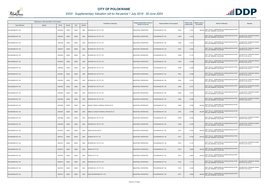

| Registered or other description of the property |               |               |                |       |                |                                       | Category determined in terms of |                                  | <b>Extent of the</b> | Market value of                                                                           |                                                          |
|-------------------------------------------------|---------------|---------------|----------------|-------|----------------|---------------------------------------|---------------------------------|----------------------------------|----------------------|-------------------------------------------------------------------------------------------|----------------------------------------------------------|
| <b>Town Allotment</b>                           | <b>Suburb</b> | <b>Erf Nr</b> | <b>Portion</b> | Unit  | <b>Section</b> | <b>Full Names of Owner(s)</b>         | Section 8 of the Act            | Physical address of the property | property (HA)        | <b>Section 78 Remarks</b><br>the property                                                 | <b>Remarks</b>                                           |
| POLOKWANE EXT 128                               |               | 00027654      | 00000          | 00000 | 0000           | AETERNO INV 197 PTY LTD               | <b>INDUSTRIAL PROPERTIES</b>    | 27654<br>POLOKWANE EXT 128       | 0.1201               | 900,000 SECT 78(1)(c) - SUBDIVIDED OR CONSOLIDATED AFTER<br>THE LAST GENERAL VALUATION    |                                                          |
| POLOKWANE EXT 128                               |               | 00027655      | 00000          | 00000 | 0000           | AETERNO INV 197 PTY LTD               | INDUSTRIAL PROPERTIES           | 27655<br>POLOKWANE EXT 128       | 0.1201               | SECT 78(1)(c) - SUBDIVIDED OR CONSOLIDATED AFTER<br>THE LAST GENERAL VALUATION            | VALUED WITH TOWNSHIP OWNER<br>ON PTN 15 OF 915 LS        |
| POLOKWANE EXT 128                               |               | 00027656      | 00000          | 00000 | 0000           | AETERNO INV 197 PTY LTD               | INDUSTRIAL PROPERTIES           | POLOKWANE EXT 128<br>27656       | 0.1201               | SECT 78(1)(c) - SUBDIVIDED OR CONSOLIDATED AFTER<br>THE LAST GENERAL VALUATION            | <b>/ALUED WITH TOWNSHIP OWNER</b><br>ON PTN 15 OF 915 LS |
| POLOKWANE EXT 128                               |               | 00027657      | 00000          | 00000 | 0000           | AETERNO INV 197 PTY LTD               | INDUSTRIAL PROPERTIES           | POLOKWANE EXT 128<br>27657       | 0.1202               | SECT 78(1)(c) - SUBDIVIDED OR CONSOLIDATED AFTER<br>THE LAST GENERAL VALUATION            | VALUED WITH TOWNSHIP OWNER<br>ON PTN 15 OF 915 LS        |
| POLOKWANE EXT 128                               |               | 00027658      | 00000          | 00000 | 0000           | AETERNO INV 197 PTY LTD               | <b>INDUSTRIAL PROPERTIES</b>    | 27658<br>POLOKWANE EXT 128       | 0.1187               | SECT 78(1)(c) - SUBDIVIDED OR CONSOLIDATED AFTER<br>THE LAST GENERAL VALUATION            | VALUED WITH TOWNSHIP OWNER<br>ON PTN 15 OF 915 LS        |
| POLOKWANE EXT 128                               |               | 00027659      | 00000          | 00000 | 0000           | AETERNO INV 197 PTY LTD               | INDUSTRIAL PROPERTIES           | 27659<br>POLOKWANE EXT 128       | 0.0798               | SECT 78(1)(c) - SUBDIVIDED OR CONSOLIDATED AFTER<br>THE LAST GENERAL VALUATION            | <b>VALUED WITH TOWNSHIP OWNER</b><br>ON PTN 15 OF 915 LS |
| POLOKWANE EXT 128                               |               | 00027660      | 00000          | 00000 | 0000           | AETERNO INV 197 PTY LTD               | INDUSTRIAL PROPERTIES           | POLOKWANE EXT 128<br>27660       | 0.0798               | SECT 78(1)(c) - SUBDIVIDED OR CONSOLIDATED AFTER<br>THE LAST GENERAL VALUATION            | VALUED WITH TOWNSHIP OWNER<br>ON PTN 15 OF 915 LS        |
| POLOKWANE EXT 128                               |               | 00027661      | 00000          | 00000 | 0000           | AETERNO INV 197 PTY LTD               | <b>INDUSTRIAL PROPERTIES</b>    | POLOKWANE EXT 128<br>27661       | 0.0798               | SECT 78(1)(c) - SUBDIVIDED OR CONSOLIDATED AFTER<br>THE LAST GENERAL VALUATION            | <b>ALUED WITH TOWNSHIP OWNER</b><br>ON PTN 15 OF 915 LS  |
| POLOKWANE EXT 128                               |               | 00027662      | 00000          | 00000 | 0000           | AETERNO INV 197 PTY LTD               | INDUSTRIAL PROPERTIES           | POLOKWANE EXT 128<br>27662       | 0.0797               | SECT 78(1)(c) - SUBDIVIDED OR CONSOLIDATED AFTER<br>THE LAST GENERAL VALUATION            | VALUED WITH TOWNSHIP OWNER<br>ON PTN 15 OF 915 LS        |
| POLOKWANE EXT 128                               |               | 00027663      | 00000          | 00000 | 0000           | AETERNO INV 197 PTY LTD               | INDUSTRIAL PROPERTIES           | 27663<br>POLOKWANE EXT 128       | 0.0797               | SECT 78(1)(c) - SUBDIVIDED OR CONSOLIDATED AFTER<br>THE LAST GENERAL VALUATION            | VALUED WITH TOWNSHIP OWNER<br>ON PTN 15 OF 915 LS        |
| POLOKWANE EXT 128                               |               | 00027664      | 00000          | 00000 | 0000           | AETERNO INV 197 PTY LTD               | <b>INDUSTRIAL PROPERTIES</b>    | POLOKWANE EXT 128<br>27664       | 0.0797               | SECT 78(1)(c) - SUBDIVIDED OR CONSOLIDATED AFTER<br>THE LAST GENERAL VALUATION            | VALUED WITH TOWNSHIP OWNER<br>ON PTN 15 OF 915 LS        |
| POLOKWANE EXT 128                               |               | 00027665      | 00000          | 00000 | 0000           | AETERNO INV 197 PTY LTD               | INDUSTRIAL PROPERTIES           | 27665<br>POLOKWANE EXT 128       | 0.0796               | SECT 78(1)(c) - SUBDIVIDED OR CONSOLIDATED AFTER<br>THE LAST GENERAL VALUATION            | VALUED WITH TOWNSHIP OWNER<br>ON PTN 15 OF 915 LS        |
| POLOKWANE EXT 128                               |               | 00027666      | 00000          | 00000 | 0000           | NANDZU TRADE & GENERAL PROJECTS CC    | INDUSTRIAL PROPERTIES           | 27666<br>POLOKWANE EXT 128       | 0.0796               | SECT 78(1)(c) - SUBDIVIDED OR CONSOLIDATED AFTER<br>640,000 THE LAST GENERAL VALUATION    |                                                          |
| POLOKWANE EXT 128                               |               | 00027667      | 00000          | 00000 | 0000           | KABELO & KAGISO TRADING & PROJECTS CC | INDUSTRIAL PROPERTIES           | POLOKWANE EXT 128<br>27667       | 0.0796               | SECT 78(1)(c) - SUBDIVIDED OR CONSOLIDATED AFTER<br>640,000 THE LAST GENERAL VALUATION    |                                                          |
| POLOKWANE EXT 128                               |               | 00027668      | 00000          | 00000 | 0000           | AETERNO INV 197 PTY LTD               | INDUSTRIAL PROPERTIES           | POLOKWANE EXT 128<br>27668       | 0.0795               | SECT 78(1)(c) - SUBDIVIDED OR CONSOLIDATED AFTER<br>THE LAST GENERAL VALUATION            | VALUED WITH TOWNSHIP OWNER<br>ON PTN 15 OF 915 LS        |
| POLOKWANE EXT 128                               |               | 00027669      | 00000          | 00000 | 0000           | AETERNO INV 197 PTY LTD               | <b>INDUSTRIAL PROPERTIES</b>    | 27669<br>POLOKWANE EXT 128       | 0.0795               | SECT 78(1)(c) - SUBDIVIDED OR CONSOLIDATED AFTER<br>THE LAST GENERAL VALUATION            | VALUED WITH TOWNSHIP OWNER<br>ON PTN 15 OF 915 LS        |
| POLOKWANE EXT 128                               |               | 00027670      | 00000          | 00000 | 0000           | ANGELFISH INV 292 CC                  | INDUSTRIAL PROPERTIES           | POLOKWANE EXT 128<br>27670       | 0.0794               | SECT 78(1)(c) - SUBDIVIDED OR CONSOLIDATED AFTER<br>640,000 THE LAST GENERAL VALUATION    |                                                          |
| POLOKWANE EXT 128                               |               | 00027671      | 00000          | 00000 | 0000           | EVONOX INV PTY LTD                    | INDUSTRIAL PROPERTIES           | POLOKWANE EXT 128<br>27671       | 0.0794               | SECT 78(1)(c) - SUBDIVIDED OR CONSOLIDATED AFTER<br>640,000<br>THE LAST GENERAL VALUATION |                                                          |
| POLOKWANE EXT 128                               |               | 00027672      | 00000          | 00000 | 0000           | AETERNO INV 197 PTY LTD               | INDUSTRIAL PROPERTIES           | POLOKWANE EXT 128<br>27672       | 0.1181               | SECT 78(1)(c) - SUBDIVIDED OR CONSOLIDATED AFTER<br>THE LAST GENERAL VALUATION            | VALUED WITH TOWNSHIP OWNER<br>ON PTN 15 OF 915 LS        |
| POLOKWANE EXT 128                               |               | 00027673      | 00000          | 00000 | 0000           | <b>TENELLA PTY LTD</b>                | INDUSTRIAL PROPERTIES           | 27673<br>POLOKWANE EXT 128       | 0.0800               | SECT 78(1)(c) - SUBDIVIDED OR CONSOLIDATED AFTER<br>640,000 THE LAST GENERAL VALUATION    |                                                          |
| POLOKWANE EXT 128                               |               | 00027674      | 00000          | 00000 | 0000           | <b>TENELLA PTY LTD</b>                | INDUSTRIAL PROPERTIES           | POLOKWANE EXT 128<br>27674       | 0.0800               | SECT 78(1)(c) - SUBDIVIDED OR CONSOLIDATED AFTER<br>640,000<br>THE LAST GENERAL VALUATION |                                                          |
| POLOKWANE EXT 128                               |               | 00027675      | 00000          | 00000 | 0000           | AETERNO INV 197 PTY LTD               | <b>INDUSTRIAL PROPERTIES</b>    | POLOKWANE EXT 128<br>27675       | 1.1775               | SECT 78(1)(c) - SUBDIVIDED OR CONSOLIDATED AFTER<br>THE LAST GENERAL VALUATION            | VALUED WITH TOWNSHIP OWNER<br>ON PTN 15 OF 915 LS        |
| POLOKWANE EXT 128                               |               | 00027676      | 00000          | 00000 | 0000           | AETERNO INV 197 PTY LTD               | INDUSTRIAL PROPERTIES           | 27676<br>POLOKWANE EXT 128       | 0.0783               | SECT 78(1)(c) - SUBDIVIDED OR CONSOLIDATED AFTER<br>THE LAST GENERAL VALUATION            | VALUED WITH TOWNSHIP OWNER<br>ON PTN 15 OF 915 LS        |
| POLOKWANE EXT 128                               |               | 00027677      | 00000          | 00000 | 0000           | LIMCO ENTERPRISES PTY LTD             | INDUSTRIAL PROPERTIES           | 27677<br>POLOKWANE EXT 128       | 0.0604               | SECT 78(1)(c) - SUBDIVIDED OR CONSOLIDATED AFTER<br>480,000<br>THE LAST GENERAL VALUATION |                                                          |

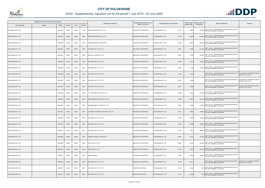

| Registered or other description of the property |               |               |                |       |                | Category determined in terms of       |                              | <b>Extent of the</b>             | Market value of |                                                                                                 |                                                          |
|-------------------------------------------------|---------------|---------------|----------------|-------|----------------|---------------------------------------|------------------------------|----------------------------------|-----------------|-------------------------------------------------------------------------------------------------|----------------------------------------------------------|
| <b>Town Allotment</b>                           | <b>Suburb</b> | <b>Erf Nr</b> | <b>Portion</b> | Unit  | <b>Section</b> | <b>Full Names of Owner(s)</b>         | Section 8 of the Act         | Physical address of the property | property (HA)   | <b>Section 78 Remarks</b><br>the property                                                       | Remarks                                                  |
| POLOKWANE EXT 128                               |               | 00027678      | 00000          | 00000 | 0000           | LIMCO ENTERPRISES PTY LTD             | INDUSTRIAL PROPERTIES        | 27678<br>POLOKWANE EXT 128       | 0.0602          | 480,000 SECT 78(1)(c) - SUBDIVIDED OR CONSOLIDATED AFTER<br>THE LAST GENERAL VALUATION          |                                                          |
| POLOKWANE EXT 128                               |               | 00027679      | 00000          | 00000 | 0000           | LIMCO ENTERPRISES PTY LTD             | INDUSTRIAL PROPERTIES        | 27679<br>POLOKWANE EXT 128       | 0.0804          | SECT 78(1)(c) - SUBDIVIDED OR CONSOLIDATED AFTER<br>640,000<br><b>HE LAST GENERAL VALUATION</b> |                                                          |
| POLOKWANE EXT 128                               |               | 00027680      | 00000          | 00000 | 0000           | LEBOWA FUNERAL PARLOUR CC             | <b>INDUSTRIAL PROPERTIES</b> | POLOKWANE EXT 128<br>27680       | 0.0803          | SECT 78(1)(c) - SUBDIVIDED OR CONSOLIDATED AFTER<br>640,000 THE LAST GENERAL VALUATION          |                                                          |
| POLOKWANE EXT 128                               |               | 00027681      | 00000          | 00000 | 0000           | AETERNO INV 197 PTY LTD               | INDUSTRIAL PROPERTIES        | 27681<br>POLOKWANE EXT 128       | 0.0805          | SECT 78(1)(c) - SUBDIVIDED OR CONSOLIDATED AFTER<br>640,000 THE LAST GENERAL VALUATION          |                                                          |
| POLOKWANE EXT 128                               |               | 00027682      | 00000          | 00000 | 0000           | MANTELLA TRADING 151 CC               | INDUSTRIAL PROPERTIES        | POLOKWANE EXT 128<br>27682       | 0.1004          | SECT 78(1)(c) - SUBDIVIDED OR CONSOLIDATED AFTER<br>750,000<br>THE LAST GENERAL VALUATION       |                                                          |
| POLOKWANE EXT 128                               |               | 00027683      | 00000          | 00000 | 0000           | AETERNO INV 197 PTY LTD               | INDUSTRIAL PROPERTIES        | POLOKWANE EXT 128<br>27683       | 0.1005          | SECT 78(1)(c) - SUBDIVIDED OR CONSOLIDATED AFTER<br>750,000 THE LAST GENERAL VALUATION          |                                                          |
| POLOKWANE EXT 128                               |               | 00027684      | 00000          | 00000 | 0000           | AETERNO INV 197 PTY LTD               | INDUSTRIAL PROPERTIES        | 27684<br>POLOKWANE EXT 128       | 0.1006          | 750,000 SECT 78(1)(c) - SUBDIVIDED OR CONSOLIDATED AFTER<br>THE LAST GENERAL VALUATION          |                                                          |
| POLOKWANE EXT 128                               |               | 00027685      | 00000          | 00000 | 0000           | AETERNO INV 197 PTY LTD               | INDUSTRIAL PROPERTIES        | 27685<br>POLOKWANE EXT 128       | 0.1002          | SECT 78(1)(c) - SUBDIVIDED OR CONSOLIDATED AFTER<br>THE LAST GENERAL VALUATION                  | VALUED WITH TOWNSHIP OWNER<br>ON PTN 15 OF 915 LS        |
| POLOKWANE EXT 128                               |               | 00027686      | 00000          | 00000 | 0000           | AETERNO INV 197 PTY LTD               | INDUSTRIAL PROPERTIES        | POLOKWANE EXT 128<br>27686       | 0.0599          | SECT 78(1)(c) - SUBDIVIDED OR CONSOLIDATED AFTER<br>THE LAST GENERAL VALUATION                  | <b>/ALUED WITH TOWNSHIP OWNER</b><br>ON PTN 15 OF 915 LS |
| POLOKWANE EXT 128                               |               | 00027687      | 00000          | 00000 | 0000           | AETERNO INV 197 PTY LTD               | INDUSTRIAL PROPERTIES        | 27687<br>POLOKWANE EXT 128       | 0.0585          | SECT 78(1)(c) - SUBDIVIDED OR CONSOLIDATED AFTER<br>THE LAST GENERAL VALUATION                  | VALUED WITH TOWNSHIP OWNER<br>ON PTN 15 OF 915 LS        |
| POLOKWANE EXT 128                               |               | 00027688      | 00000          | 00000 | 0000           | T & T PRETORIUS PROP PTY LTD          | INDUSTRIAL PROPERTIES        | 27688<br>POLOKWANE EXT 128       | 0.0585          | SECT 78(1)(c) - SUBDIVIDED OR CONSOLIDATED AFTER<br>470,000 THE LAST GENERAL VALUATION          |                                                          |
| POLOKWANE EXT 128                               |               | 00027689      | 00000          | 00000 | 0000           | MURAMAMOSE INV GROUP PTY LTD          | INDUSTRIAL PROPERTIES        | POLOKWANE EXT 128<br>27689       | 0.0585          | 470,000 SECT 78(1)(c) - SUBDIVIDED OR CONSOLIDATED AFTER<br>THE LAST GENERAL VALUATION          |                                                          |
| POLOKWANE EXT 128                               |               | 00027690      | 00000          | 00000 | 0000           | MURAMAMOSE INV GROUP PTY LTD          | INDUSTRIAL PROPERTIES        | POLOKWANE EXT 128<br>27690       | 0.0585          | SECT 78(1)(c) - SUBDIVIDED OR CONSOLIDATED AFTER<br>470,000 THE LAST GENERAL VALUATION          |                                                          |
| POLOKWANE EXT 128                               |               | 00027691      | 00000          | 00000 | 0000           | J N MABIDI TRANSPORT SERVICES PTY LTD | <b>INDUSTRIAL PROPERTIES</b> | 27691<br>POLOKWANE EXT 128       | 0.0987          | SECT 78(1)(c) - SUBDIVIDED OR CONSOLIDATED AFTER<br>790,000 THE LAST GENERAL VALUATION          |                                                          |
| POLOKWANE EXT 128                               |               | 00027692      | 00000          | 00000 | 0000           | AETERNO INV 197 PTY LTD               | INDUSTRIAL PROPERTIES        | POLOKWANE EXT 128<br>27692       | 0.0992          | SECT 78(1)(c) - SUBDIVIDED OR CONSOLIDATED AFTER<br>790,000 THE LAST GENERAL VALUATION          |                                                          |
| POLOKWANE EXT 128                               |               | 00027693      | 00000          | 00000 | 0000           | AETERNO INV 197 PTY LTD               | INDUSTRIAL PROPERTIES        | POLOKWANE EXT 128<br>27693       | 0.0992          | SECT 78(1)(c) - SUBDIVIDED OR CONSOLIDATED AFTER<br>790,000 THE LAST GENERAL VALUATION          |                                                          |
| POLOKWANE EXT 128                               |               | 00027694      | 00000          | 00000 | 0000           | AETERNO INV 197 PTY LTD               | <b>INDUSTRIAL PROPERTIES</b> | POLOKWANE EXT 128<br>27694       | 0.0991          | SECT 78(1)(c) - SUBDIVIDED OR CONSOLIDATED AFTER<br>790,000 THE LAST GENERAL VALUATION          |                                                          |
| POLOKWANE EXT 128                               |               | 00027695      | 00000          | 00000 | 0000           | LEBOWA FUNERAL PARLOUR CC             | INDUSTRIAL PROPERTIES        | 27695<br>POLOKWANE EXT 128       | 0.0791          | SECT 78(1)(c) - SUBDIVIDED OR CONSOLIDATED AFTER<br>630,000 THE LAST GENERAL VALUATION          |                                                          |
| POLOKWANE EXT 128                               |               | 00027696      | 00000          | 00000 | 0000           | TARCH INV PTY LTD                     | INDUSTRIAL PROPERTIES        | 27696<br>POLOKWANE EXT 128       | 0.0791          | SECT 78(1)(c) - SUBDIVIDED OR CONSOLIDATED AFTER<br>630,000 THE LAST GENERAL VALUATION          |                                                          |
| POLOKWANE EXT 128                               |               | 00027697      | 00000          | 00000 | 0000           | TARCH INV PTY LTD                     | <b>INDUSTRIAL PROPERTIES</b> | POLOKWANE EXT 128<br>27697       | 0.0594          | SECT 78(1)(c) - SUBDIVIDED OR CONSOLIDATED AFTER<br>400,000<br>THE LAST GENERAL VALUATION       |                                                          |
| POLOKWANE EXT 128                               |               | 00027698      | 00000          | 00000 | 0000           | <b>BAIKIE DOREEN</b>                  | INDUSTRIAL PROPERTIES        | POLOKWANE EXT 128<br>27698       | 0.0593          | SECT 78(1)(c) - SUBDIVIDED OR CONSOLIDATED AFTER<br>400,000<br>THE LAST GENERAL VALUATION       |                                                          |
| POLOKWANE EXT 128                               |               | 00027699      | 00000          | 00000 | 0000           | AETERNO INV 197 PTY LTD               | INDUSTRIAL PROPERTIES        | 27699<br>POLOKWANE EXT 128       | 0.0918          | SECT 78(1)(c) - SUBDIVIDED OR CONSOLIDATED AFTER<br>THE LAST GENERAL VALUATION                  | VALUED WITH TOWNSHIP OWNER<br>ON PTN 15 OF 915 LS        |
| POLOKWANE EXT 128                               |               | 00027700      | 00000          | 00000 | 0000           | AETERNO INV 197 PTY LTD               | PRIVATE OPEN SPACE           | POLOKWANE EXT 128<br>27700       | 0.0322          | SECT 78(1)(c) - SUBDIVIDED OR CONSOLIDATED AFTER<br>1,000 THE LAST GENERAL VALUATION            |                                                          |
| POLOKWANE EXT 128                               |               | 00027701      | 00000          | 00000 | 0000           | AETERNO INV 197 PTY LTD               | PRIVATE OPEN SPACE           | POLOKWANE EXT 128<br>27701       | 0.3696          | SECT 78(1)(c) - SUBDIVIDED OR CONSOLIDATED AFTER<br>1,000<br>THE LAST GENERAL VALUATION         |                                                          |

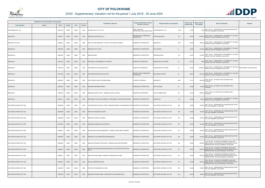

| Registered or other description of the property |        |          |         |       |                | <b>Full Names of Owner(s)</b>                                                     | Category determined in terms of              | Physical address of the property | <b>Extent of the</b> | <b>Market value of</b> | <b>Section 78 Remarks</b>                                                                                                                        | <b>Remarks</b>          |
|-------------------------------------------------|--------|----------|---------|-------|----------------|-----------------------------------------------------------------------------------|----------------------------------------------|----------------------------------|----------------------|------------------------|--------------------------------------------------------------------------------------------------------------------------------------------------|-------------------------|
| <b>Town Allotment</b>                           | Suburb | Erf Nr   | Portion | Unit  | <b>Section</b> |                                                                                   | Section 8 of the Act                         |                                  | property (HA)        | the property           |                                                                                                                                                  |                         |
| POLOKWANE EXT 128                               |        | 00027702 | 00000   | 00000 | 0000           | AETERNO INV 197 PTY LTD                                                           | PUBLIC SERVICE<br>INFRASTRUCTURE PROPERTIES  | 27702<br>POLOKWANE EXT 128       | 2.3792               |                        | 1,000 SECT 78(1)(c) - SUBDIVIDED OR CONSOLIDATED AFTER<br>THE LAST GENERAL VALUATION                                                             |                         |
| SESHEGO-A                                       |        | 00007977 | 00000   | 00000 | 0000           | SESHEGO OASIS MOTEL CC                                                            | BUSINESS AND COMMERCIAL<br><b>PROPERTIES</b> | 133<br>CHRIS HANI DRIVE          | 0.5563               |                        | SECT 78(1)(e) - SUBSTANTIALLY INCORRECTLY VALUED<br>1,400,000 DURING THE LAST GENERAL VALUATION                                                  |                         |
| SESHEGO-A EXT 001                               |        | 00008735 | 00000   | 00000 | 0000           | KGATLE DINAH MADIKANA / KGATLE EFATLAGO PHILEMON                                  | RESIDENTIAL PROPERTIES                       | SESHEGO-A<br>8735                | 0.0390               |                        | SECT 78(1)(e) - SUBSTANTIALLY INCORRECTLY VALUED<br>380,000 DURING THE LAST GENERAL VALUATION                                                    |                         |
| SESHEGO-B                                       |        | 00002824 | 00000   | 00000 | 0000           | SEMONO PHUTI VIOLET                                                               | RESIDENTIAL PROPERTIES                       | 30TH AVENUE<br>6                 | 0.0384               |                        | SECT 78(1)(e) - SUBSTANTIALLY INCORRECTLY VALUED<br>180,000 DURING THE LAST GENERAL VALUATION                                                    |                         |
| SESHEGO-B                                       |        | 00003469 | 00000   | 00000 | 0000           | <b>BANDA REGINA</b>                                                               | RESIDENTIAL PROPERTIES                       | 158<br>FREEDOM DRIVE             | 0.0372               | 210,000                | SECT 78(1)(e) - SUBSTANTIALLY INCORRECTLY VALUED<br>DURING THE LAST GENERAL VALUATION                                                            |                         |
| SESHEGO-C                                       |        | 00001618 | 00000   | 00000 | 0000           | PROVINCIAL GOVERNMENT OF LIMPOPO                                                  | MUNICIPAL PROPERTIES                         | <b>KWENA MOLOTO STREET</b><br>40 | 0.0718               |                        | SECT 78(1)(e) - SUBSTANTIALLY INCORRECTLY VALUED<br>1,000 DURING THE LAST GENERAL VALUATION                                                      |                         |
| SESHEGO-C                                       |        | 00001618 | 00001   | 00000 | 0000           | POLOKWANE LOCAL MUNICIPALITY                                                      | MUNICIPAL PROPERTIES                         | KWENA MOLOTO STREET<br>40        | 0.3364               |                        | SECT 78(1)(e) - SUBSTANTIALLY INCORRECTLY VALUED<br>6,500,000 DURING THE LAST GENERAL VALUATION                                                  | DEPARTMENT OF EDUCATION |
| SESHEGO-C                                       |        | 00001618 | 00002   | 00000 | 0000           | NORTHERN PROVINCE EDUCATION                                                       | BUSINESS AND COMMERCIAL<br><b>PROPERTIES</b> | <b>REALEBOGA STREET</b><br>45    | 0.3823               |                        | SECT 78(1)(e) - SUBSTANTIALLY INCORRECTLY VALUED<br>900,000 DURING THE LAST GENERAL VALUATION                                                    |                         |
| SESHEGO-C                                       |        | 00002067 | 00000   | 00000 | 0000           | LIGHTHOUSE CHAPEL INTERNATIONAL                                                   | PLACES OF WORSHIP                            | 2067<br>SESHEGO-C                | 0.1751               |                        | SECT 78(1)(g) - OF WHICH THE CATEGORY HAS<br>390,000 CHANGED                                                                                     |                         |
| SESHEGO-E                                       |        | 00000274 | 00000   | 00000 | 0000           | MAKHARI MURUNWA MONICA                                                            | RESIDENTIAL PROPERTIES                       | 106TH AVENUE<br>44               | 0.0536               | 40,000                 | SECT 78(1)(g) - OF WHICH THE CATEGORY HAS<br>CHANGED                                                                                             |                         |
| SESHEGO-F                                       |        | 00008136 | 00000   | 00000 | 0000           | MASEGELA BOLEDI JUDY / MASEGELA MOLELO ENOS                                       | INDUSTRIAL PROPERTIES                        | 361<br>OLIVER TAMBO DRIVE        | 0.2228               | 640,000                | SECT 78(1)(g) - OF WHICH THE CATEGORY HAS<br>CHANGED                                                                                             |                         |
| SESHEGO-H                                       |        | 00001311 | 00000   | 00000 | 0000           | MAKHUBEDU KATLEGO GLADNESS / MAKHUBEDU LINGFORD KGAHLISHE                         | <b>RESIDENTIAL PROPERTIES</b>                | 1311<br>SESHEGO-H                | 0.0506               |                        | 80,000 SECT 78(1)(e) - SUBSTANTIALLY INCORRECTLY VALUED<br>DURING THE LAST GENERAL VALUATION                                                     |                         |
| SOUTHERN GATEWAY EXT 005                        |        | 00000486 | 00000   | 00000 | 0000           | SATHEKGE MOTLALEPULA PHINA / MASEEME MONTEY NGWANAMOHLOTSE RESIDENTIAL PROPERTIES |                                              | 486<br>SOUTHERN GATEWAY EXT 005  | 0.0308               |                        | 180,000 SECT 78(1)(c) - SUBDIVIDED OR CONSOLIDATED AFTER<br>THE LAST GENERAL VALUATION                                                           |                         |
| SOUTHERN GATEWAY EXT 005                        |        | 00000490 | 00000   | 00000 | 0000           | MAPONYA MASEDIKWE SOPHY                                                           | RESIDENTIAL PROPERTIES                       | SOUTHERN GATEWAY EXT 005<br>490  | 0.0308               |                        | SECT 78(1)(c) - SUBDIVIDED OR CONSOLIDATED AFTER<br>180,000 THE LAST GENERAL VALUATION                                                           |                         |
| SOUTHERN GATEWAY EXT 005                        |        | 00000492 | 00000   | 00000 | 0000           | MAMPURU PHELETJO ROMAN                                                            | RESIDENTIAL PROPERTIES                       | 492<br>SOUTHERN GATEWAY EXT 005  | 0.0308               |                        | 180,000 SECT 78(1)(c) - SUBDIVIDED OR CONSOLIDATED AFTER<br>THE LAST GENERAL VALUATION                                                           |                         |
| SOUTHERN GATEWAY EXT 005                        |        | 00000497 | 00000   | 00000 | 0000           | MAPMARK BUSINESS ENTERPRISE CC                                                    | <b>RESIDENTIAL PROPERTIES</b>                | 497<br>SOUTHERN GATEWAY EXT 005  | 0.0308               | 180,000                | SECT 78(1)(c) - SUBDIVIDED OR CONSOLIDATED AFTER<br>THE LAST GENERAL VALUATION                                                                   |                         |
| SOUTHERN GATEWAY EXT 005                        |        | 00000501 | 00000   | 00000 | 0000           | MOKONYAMA ROSAH RAMADIMETJA / MAMETJA MAHLANE KLEINBOOI                           | RESIDENTIAL PROPERTIES                       | 501<br>SOUTHERN GATEWAY EXT 005  | 0.0308               |                        | SECT 78(1)(c) - SUBDIVIDED OR CONSOLIDATED AFTER<br>180,000 THE LAST GENERAL VALUATION                                                           |                         |
| SOUTHERN GATEWAY EXT 005                        |        | 00000503 | 00000   | 00000 | 0000           | MKHABELA ELIAS MBONGENI MUSAWENKOSI                                               | RESIDENTIAL PROPERTIES                       | 503<br>SOUTHERN GATEWAY EXT 005  | 0.0308               |                        | SECT 78(1)(c) - SUBDIVIDED OR CONSOLIDATED AFTER<br>180,000 THE LAST GENERAL VALUATION                                                           |                         |
| SOUTHERN GATEWAY EXT 005                        |        | 00000554 | 00000   | 00000 | 0000           | MANAGA KONANANI CONSTANCE / MANAGA MULATEDZI SOLOMON                              | <b>RESIDENTIAL PROPERTIES</b>                | 554<br>SOUTHERN GATEWAY EXT 005  | 0.0300               |                        | SECT 78(1)(d) - OF WHICH THE MARKET VALUE HAS<br>630,000 SUBSTANTIALLY INCREASED OR DECREASED FOR ANY<br>REASON AFTER THE LAST GENERAL VALUATION |                         |
| SOUTHERN GATEWAY EXT 005                        |        | 00000573 | 00000   | 00000 | 0000           | MUTSHATSHI ZWIDOFHELANGANI NICHOLAS / MUTSHATSHI TAKALANI<br>FDITH                | RESIDENTIAL PROPERTIES                       | 573<br>SOUTHERN GATEWAY EXT 005  | 0.0300               |                        | SECT 78(1)(d) - OF WHICH THE MARKET VALUE HAS<br>600,000 SUBSTANTIALLY INCREASED OR DECREASED FOR ANY<br>REASON AFTER THE LAST GENERAL VALUATION |                         |
| SOUTHERN GATEWAY EXT 005                        |        | 00000591 | 00000   | 00000 | 0000           | MAFAFO MPHIRI ABRAM / SEMENYA LEBOGANG PAULINAH                                   | RESIDENTIAL PROPERTIES                       | SOUTHERN GATEWAY EXT 005<br>591  | 0.0300               |                        | SECT 78(1)(d) - OF WHICH THE MARKET VALUE HAS<br>650,000 SUBSTANTIALLY INCREASED OR DECREASED FOR ANY<br>REASON AFTER THE LAST GENERAL VALUATION |                         |
| SOUTHERN GATEWAY EXT 005                        |        | 00000615 | 00000   | 00000 | 0000           | MATLALA MANOKO RACHEL                                                             | <b>RESIDENTIAL PROPERTIES</b>                | 615<br>SOUTHERN GATEWAY EXT 005  | 0.0300               |                        | SECT 78(1)(d) - OF WHICH THE MARKET VALUE HAS<br>550,000 SUBSTANTIALLY INCREASED OR DECREASED FOR ANY<br>REASON AFTER THE LAST GENERAL VALUATION |                         |
| SOUTHERN GATEWAY EXT 005                        |        | 00000675 | 00000   | 00000 | 0000           | THOKOLO PHANGWENE CALVINA                                                         | <b>RESIDENTIAL PROPERTIES</b>                | 675<br>SOUTHERN GATEWAY EXT 005  | 0.0300               | 180,000                | SECT 78(1)(c) - SUBDIVIDED OR CONSOLIDATED AFTER<br>THE LAST GENERAL VALUATION                                                                   |                         |
| SOUTHERN GATEWAY EXT 005                        |        | 00000676 | 00000   | 00000 | 0000           | MASHABA POGODIE RABIE / MASHABA GLACY BAHOMOLETSE                                 | RESIDENTIAL PROPERTIES                       | 676<br>SOUTHERN GATEWAY EXT 005  | 0.0300               | 180,000                | SECT 78(1)(c) - SUBDIVIDED OR CONSOLIDATED AFTER<br>THE LAST GENERAL VALUATION                                                                   |                         |

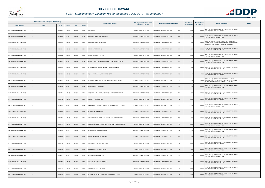

| Registered or other description of the property |               |          |                |       |                |                                                      | Category determined in terms of |                                         | <b>Extent of the</b> | <b>Market value of</b> |                                                                                                                                                  |         |
|-------------------------------------------------|---------------|----------|----------------|-------|----------------|------------------------------------------------------|---------------------------------|-----------------------------------------|----------------------|------------------------|--------------------------------------------------------------------------------------------------------------------------------------------------|---------|
| <b>Town Allotment</b>                           | <b>Suburb</b> | Erf Nr   | <b>Portion</b> | Unit  | <b>Section</b> | <b>Full Names of Owner(s)</b>                        | Section 8 of the Act            | <b>Physical address of the property</b> | property (HA)        | the property           | <b>Section 78 Remarks</b>                                                                                                                        | Remarks |
| SOUTHERN GATEWAY EXT 005                        |               | 00000677 | 00000          | 00000 | 0000           | <b>BILA AUDRY</b>                                    | RESIDENTIAL PROPERTIES          | 677<br>SOUTHERN GATEWAY EXT 005         | 0.0300               |                        | 180,000 SECT 78(1)(c) - SUBDIVIDED OR CONSOLIDATED AFTER<br>THE LAST GENERAL VALUATION                                                           |         |
| SOUTHERN GATEWAY EXT 005                        |               | 00000678 | 00000          | 00000 | 0000           | MALINDISA MBONGENI INNOCENT                          | RESIDENTIAL PROPERTIES          | 678<br>SOUTHERN GATEWAY EXT 005         | 0.0300               | 180,000                | SECT 78(1)(c) - SUBDIVIDED OR CONSOLIDATED AFTER<br>THE LAST GENERAL VALUATION                                                                   |         |
| SOUTHERN GATEWAY EXT 005                        |               | 00000679 | 00000          | 00000 | 0000           | MONAKEDI MABJANE KELETSO                             | <b>RESIDENTIAL PROPERTIES</b>   | 679<br>SOUTHERN GATEWAY EXT 005         | 0.0300               |                        | SECT 78(1)(d) - OF WHICH THE MARKET VALUE HAS<br>630,000 SUBSTANTIALLY INCREASED OR DECREASED FOR ANY<br>REASON AFTER THE LAST GENERAL VALUATION |         |
| SOUTHERN GATEWAY EXT 005                        |               | 0000068  | 00000          | 00000 | 0000           | DIBETE NARE TSHEPHO                                  | RESIDENTIAL PROPERTIES          | 681<br>SOUTHERN GATEWAY EXT 005         | 0.0300               |                        | SECT 78(1)(c) - SUBDIVIDED OR CONSOLIDATED AFTER<br>180,000 THE LAST GENERAL VALUATION                                                           |         |
| SOUTHERN GATEWAY EXT 005                        |               | 00000682 | 00000          | 00000 | 0000           | SEOKO TSHEPISO YOUTHLY                               | RESIDENTIAL PROPERTIES          | 682<br>SOUTHERN GATEWAY EXT 005         | 0.0300               |                        | SECT 78(1)(c) - SUBDIVIDED OR CONSOLIDATED AFTER<br>180,000 THE LAST GENERAL VALUATION                                                           |         |
| SOUTHERN GATEWAY EXT 005                        |               | 00000683 | 00000          | 00000 | 0000           | MADIBA SEPELE MATHEWS / MADIBA THABITHA MOLATELO     | <b>RESIDENTIAL PROPERTIES</b>   | 683<br>SOUTHERN GATEWAY EXT 005         | 0.0300               |                        | SECT 78(1)(c) - SUBDIVIDED OR CONSOLIDATED AFTER<br>180,000 THE LAST GENERAL VALUATION                                                           |         |
| SOUTHERN GATEWAY EXT 005                        |               | 00000686 | 00000          | 00000 | 0000           | MAIFALA MASHILO JOHN / MAIFALA HAPPY NYUMANI         | RESIDENTIAL PROPERTIES          | 686<br>SOUTHERN GATEWAY EXT 005         | 0.0300               |                        | 180,000 SECT 78(1)(c) - SUBDIVIDED OR CONSOLIDATED AFTER<br>THE LAST GENERAL VALUATION                                                           |         |
| SOUTHERN GATEWAY EXT 005                        |               | 00000689 | 00000          | 00000 | 0000           | GQODO YONELA / GQODO MALIBONGWE                      | RESIDENTIAL PROPERTIES          | 689<br>SOUTHERN GATEWAY EXT 005         | 0.0433               |                        | SECT 78(1)(c) - SUBDIVIDED OR CONSOLIDATED AFTER<br>240,000 THE LAST GENERAL VALUATION                                                           |         |
| SOUTHERN GATEWAY EXT 005                        |               | 00000709 | 00000          | 00000 | 0000           | DEMANA DEMANA HUMBELANI / DEMANA SEDZANI RHOMA       | RESIDENTIAL PROPERTIES          | 709<br>SOUTHERN GATEWAY EXT 005         | 0.0300               |                        | SECT 78(1)(d) - OF WHICH THE MARKET VALUE HAS<br>630,000 SUBSTANTIALLY INCREASED OR DECREASED FOR ANY<br>REASON AFTER THE LAST GENERAL VALUATION |         |
| SOUTHERN GATEWAY EXT 005                        |               | 00000710 | 00000          | 00000 | 0000           | <b>MOGALE MOLOKO VIRGINIA</b>                        | RESIDENTIAL PROPERTIES          | SOUTHERN GATEWAY EXT 005<br>710         | 0.0300               | 180,000                | SECT 78(1)(c) - SUBDIVIDED OR CONSOLIDATED AFTER<br>THE LAST GENERAL VALUATION                                                                   |         |
| SOUTHERN GATEWAY EXT 005                        |               | 0000071  | 00000          | 00000 | 0000           | BALOYI WILSON RAMODUMO / BALOYI MAMOSE REMEMBER      | RESIDENTIAL PROPERTIES          | 711<br>SOUTHERN GATEWAY EXT 005         | 0.0300               |                        | SECT 78(1)(c) - SUBDIVIDED OR CONSOLIDATED AFTER<br>180,000 THE LAST GENERAL VALUATION                                                           |         |
| SOUTHERN GATEWAY EXT 005                        |               | 00000712 | 00000          | 00000 | 0000           | MOKALAPA KAMASE ABEL                                 | <b>RESIDENTIAL PROPERTIES</b>   | SOUTHERN GATEWAY EXT 005<br>712         | 0.0300               |                        | 180,000 SECT 78(1)(c) - SUBDIVIDED OR CONSOLIDATED AFTER<br>THE LAST GENERAL VALUATION                                                           |         |
| SOUTHERN GATEWAY EXT 005                        |               | 00000713 | 00000          | 00000 | 0000           | HLATSWAYO VIOLET PHUMUZILE / HLATSWAYO ZINHLE PRETTY | RESIDENTIAL PROPERTIES          | 713<br>SOUTHERN GATEWAY EXT 005         | 0.0300               |                        | SECT 78(1)(c) - SUBDIVIDED OR CONSOLIDATED AFTER<br>180,000 THE LAST GENERAL VALUATION                                                           |         |
| SOUTHERN GATEWAY EXT 005                        |               | 00000715 | 00000          | 00000 | 0000           | MALATJI MALESA PAULINA                               | <b>RESIDENTIAL PROPERTIES</b>   | 715<br>SOUTHERN GATEWAY EXT 005         | 0.0300               |                        | SECT 78(1)(c) - SUBDIVIDED OR CONSOLIDATED AFTER<br>180,000 THE LAST GENERAL VALUATION                                                           |         |
| SOUTHERN GATEWAY EXT 005                        |               | 00000716 | 00000          | 00000 | 0000           | SITHOLE MAPANGANE ELSON / SITHOLE MATLAKALA MARIA    | RESIDENTIAL PROPERTIES          | 716<br>SOUTHERN GATEWAY EXT 005         | 0.0300               |                        | SECT 78(1)(c) - SUBDIVIDED OR CONSOLIDATED AFTER<br>180,000 THE LAST GENERAL VALUATION                                                           |         |
| SOUTHERN GATEWAY EXT 005                        |               | 00000717 | 00000          | 00000 | 0000           | MOLEPO ALFRED KATANGKANE / MOLEPO MATLOU MOKGOTHO    | RESIDENTIAL PROPERTIES          | SOUTHERN GATEWAY EXT 005<br>717         | 0.0300               |                        | SECT 78(1)(c) - SUBDIVIDED OR CONSOLIDATED AFTER<br>180,000 THE LAST GENERAL VALUATION                                                           |         |
| SOUTHERN GATEWAY EXT 005                        |               | 00000718 | 00000          | 00000 | 0000           | MAVHUNGU NDIVHUHO FLORAH                             | RESIDENTIAL PROPERTIES          | 718<br>SOUTHERN GATEWAY EXT 005         | 0.0300               |                        | SECT 78(1)(c) - SUBDIVIDED OR CONSOLIDATED AFTER<br>180,000 THE LAST GENERAL VALUATION                                                           |         |
| SOUTHERN GATEWAY EXT 005                        |               | 00000719 | 00000          | 00000 | 0000           | PADIMA MAKGOBATLOU GOVAN                             | <b>RESIDENTIAL PROPERTIES</b>   | 719<br>SOUTHERN GATEWAY EXT 005         | 0.0300               | 180,000                | SECT 78(1)(c) - SUBDIVIDED OR CONSOLIDATED AFTER<br>THE LAST GENERAL VALUATION                                                                   |         |
| SOUTHERN GATEWAY EXT 005                        |               | 00000722 | 00000          | 00000 | 0000           | SEMONO MOTHEMANE NAPHTALY                            | RESIDENTIAL PROPERTIES          | 722<br>SOUTHERN GATEWAY EXT 005         | 0.0300               |                        | SECT 78(1)(c) - SUBDIVIDED OR CONSOLIDATED AFTER<br>180,000 THE LAST GENERAL VALUATION                                                           |         |
| SOUTHERN GATEWAY EXT 005                        |               | 00000724 | 00000          | 00000 | 0000           | MASHAMAITE SHERLY SHARON                             | RESIDENTIAL PROPERTIES          | SOUTHERN GATEWAY EXT 005<br>724         | 0.0439               |                        | SECT 78(1)(c) - SUBDIVIDED OR CONSOLIDATED AFTER<br>240,000 THE LAST GENERAL VALUATION                                                           |         |
| SOUTHERN GATEWAY EXT 005                        |               | 00000727 | 00000          | 00000 | 0000           | MALINDI JACOB ITUMELENG                              | RESIDENTIAL PROPERTIES          | 727<br>SOUTHERN GATEWAY EXT 005         | 0.0300               | 180,000                | SECT 78(1)(c) - SUBDIVIDED OR CONSOLIDATED AFTER<br>THE LAST GENERAL VALUATION                                                                   |         |
| SOUTHERN GATEWAY EXT 005                        |               | 00000729 | 00000          | 00000 | 0000           | DAMA TSHIMANGADZO JOSEPH                             | RESIDENTIAL PROPERTIES          | 729<br>SOUTHERN GATEWAY EXT 005         | 0.0300               | 180,000                | SECT 78(1)(c) - SUBDIVIDED OR CONSOLIDATED AFTER<br>THE LAST GENERAL VALUATION                                                                   |         |
| SOUTHERN GATEWAY EXT 005                        |               | 00000730 | 00000          | 00000 | 0000           | MASHELE SULPHINA SHALATI                             | RESIDENTIAL PROPERTIES          | SOUTHERN GATEWAY EXT 005<br>730         | 0.0300               |                        | 180,000 SECT 78(1)(c) - SUBDIVIDED OR CONSOLIDATED AFTER<br>THE LAST GENERAL VALUATION                                                           |         |
| SOUTHERN GATEWAY EXT 005                        |               | 00000732 | 00000          | 00000 | 0000           | SATEKGE MPHO GIFT / SATEKGE THAMAGANE THELMA         | <b>RESIDENTIAL PROPERTIES</b>   | 732<br>SOUTHERN GATEWAY EXT 005         | 0.0300               | 180,000                | SECT 78(1)(c) - SUBDIVIDED OR CONSOLIDATED AFTER<br>THE LAST GENERAL VALUATION                                                                   |         |

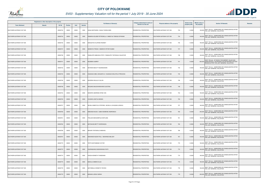

| Registered or other description of the property |               |               |                |       | <b>Full Names of Owner(s)</b> | Category determined in terms of                      | Physical address of the property | <b>Extent of the</b>            | <b>Market value of</b><br><b>Section 78 Remarks</b> | Remarks                                                                                                                                         |  |
|-------------------------------------------------|---------------|---------------|----------------|-------|-------------------------------|------------------------------------------------------|----------------------------------|---------------------------------|-----------------------------------------------------|-------------------------------------------------------------------------------------------------------------------------------------------------|--|
| <b>Town Allotment</b>                           | <b>Suburb</b> | <b>Erf Nr</b> | <b>Portion</b> | Unit  | <b>Section</b>                |                                                      | Section 8 of the Act             |                                 | property (HA)                                       | the property                                                                                                                                    |  |
| SOUTHERN GATEWAY EXT 005                        |               | 00000733      | 00000          | 00000 | 0000                          | SIAGA NDITSHENI / SIAGA THIZWILONDI                  | RESIDENTIAL PROPERTIES           | SOUTHERN GATEWAY EXT 005<br>733 | 0.0300                                              | 180,000 SECT 78(1)(c) - SUBDIVIDED OR CONSOLIDATED AFTER<br>THE LAST GENERAL VALUATION                                                          |  |
| SOUTHERN GATEWAY EXT 005                        |               | 00000734      | 00000          | 00000 | 0000                          | RAMARA KOLOBE PETRONELLA / MABOTJA TEBOGO EPHRAIM    | RESIDENTIAL PROPERTIES           | 734<br>SOUTHERN GATEWAY EXT 005 | 0.0300                                              | SECT 78(1)(c) - SUBDIVIDED OR CONSOLIDATED AFTER<br>180,000<br><b>HE LAST GENERAL VALUATION</b>                                                 |  |
| SOUTHERN GATEWAY EXT 005                        |               | 00000735      | 00000          | 00000 | 0000                          | MAKGATHO HLAPANE RODNEY                              | <b>RESIDENTIAL PROPERTIES</b>    | 735<br>SOUTHERN GATEWAY EXT 005 | 0.0300                                              | SECT 78(1)(c) - SUBDIVIDED OR CONSOLIDATED AFTER<br>180,000 THE LAST GENERAL VALUATION                                                          |  |
| SOUTHERN GATEWAY EXT 005                        |               | 00000737      | 00000          | 00000 | 0000                          | SEMENYA FRIDAH / SEMENYA PETER KGABO                 | <b>RESIDENTIAL PROPERTIES</b>    | 737<br>SOUTHERN GATEWAY EXT 005 | 0.0300                                              | SECT 78(1)(c) - SUBDIVIDED OR CONSOLIDATED AFTER<br>180,000 THE LAST GENERAL VALUATION                                                          |  |
| SOUTHERN GATEWAY EXT 005                        |               | 00000738      | 00000          | 00000 | 0000                          | RAMALEPE MABUSHA FRITZ / RAMALEPE TINTSWALO SALESTAR | RESIDENTIAL PROPERTIES           | 738<br>SOUTHERN GATEWAY EXT 005 | 0.0300                                              | SECT 78(1)(c) - SUBDIVIDED OR CONSOLIDATED AFTER<br>180,000<br>THE LAST GENERAL VALUATION                                                       |  |
| SOUTHERN GATEWAY EXT 005                        |               | 00000741      | 00000          | 00000 | 0000                          | NGOBENI AUBREY                                       | <b>RESIDENTIAL PROPERTIES</b>    | 741<br>SOUTHERN GATEWAY EXT 005 | 0.0328                                              | ECT 78(1)(d) - OF WHICH THE MARKET VALUE HAS<br>620,000 SUBSTANTIALLY INCREASED OR DECREASED FOR ANY<br>REASON AFTER THE LAST GENERAL VALUATION |  |
| SOUTHERN GATEWAY EXT 005                        |               | 00000742      | 00000          | 00000 | 0000                          | MATEWE BEAUTY NGONIDZASHE                            | <b>RESIDENTIAL PROPERTIES</b>    | 742<br>SOUTHERN GATEWAY EXT 005 | 0.0300                                              | SECT 78(1)(c) - SUBDIVIDED OR CONSOLIDATED AFTER<br>180,000 THE LAST GENERAL VALUATION                                                          |  |
| SOUTHERN GATEWAY EXT 005                        |               | 00000745      | 00000          | 00000 | 0000                          | KGASAGO ABEL SEAGANTLO / KGASAGO MOLATELO PRESCIDA   | RESIDENTIAL PROPERTIES           | 745<br>SOUTHERN GATEWAY EXT 005 | 0.0300                                              | SECT 78(1)(c) - SUBDIVIDED OR CONSOLIDATED AFTER<br>180,000 THE LAST GENERAL VALUATION                                                          |  |
| SOUTHERN GATEWAY EXT 005                        |               | 00000746      | 00000          | 00000 | 0000                          | BUDZIWA MULALO CALVIN                                | RESIDENTIAL PROPERTIES           | 746<br>SOUTHERN GATEWAY EXT 005 | 0.0300                                              | SECT 78(1)(c) - SUBDIVIDED OR CONSOLIDATED AFTER<br>180,000 THE LAST GENERAL VALUATION                                                          |  |
| SOUTHERN GATEWAY EXT 005                        |               | 00000748      | 00000          | 00000 | 0000                          | MOGANO MALEKHWEKHWE ELESTINA                         | <b>RESIDENTIAL PROPERTIES</b>    | 748<br>SOUTHERN GATEWAY EXT 005 | 0.0300                                              | 180,000 SECT 78(1)(c) - SUBDIVIDED OR CONSOLIDATED AFTER<br>THE LAST GENERAL VALUATION                                                          |  |
| SOUTHERN GATEWAY EXT 005                        |               | 00000753      | 00000          | 00000 | 0000                          | NIEKERK AMORENE EFNIE VAN                            | RESIDENTIAL PROPERTIES           | 753<br>SOUTHERN GATEWAY EXT 005 | 0.0300                                              | SECT 78(1)(c) - SUBDIVIDED OR CONSOLIDATED AFTER<br>180,000<br>THE LAST GENERAL VALUATION                                                       |  |
| SOUTHERN GATEWAY EXT 005                        |               | 00000755      | 00000          | 00000 | 0000                          | CHUENE LESETJA MOSES                                 | RESIDENTIAL PROPERTIES           | SOUTHERN GATEWAY EXT 005<br>755 | 0.0300                                              | SECT 78(1)(c) - SUBDIVIDED OR CONSOLIDATED AFTER<br>180,000 THE LAST GENERAL VALUATION                                                          |  |
| SOUTHERN GATEWAY EXT 005                        |               | 00000757      | 00000          | 00000 | 0000                          | MOJELA MMATLOU STEPHEN / MOJELA LIVHUWANI JESSICA    | RESIDENTIAL PROPERTIES           | 757<br>SOUTHERN GATEWAY EXT 005 | 0.0300                                              | SECT 78(1)(c) - SUBDIVIDED OR CONSOLIDATED AFTER<br>180,000 THE LAST GENERAL VALUATION                                                          |  |
| SOUTHERN GATEWAY EXT 005                        |               | 00000760      | 00000          | 00000 | 0000                          | MABUNDA MUSA / GABA KEDIBONE ANDRONICA               | <b>RESIDENTIAL PROPERTIES</b>    | 760<br>SOUTHERN GATEWAY EXT 005 | 0.0448                                              | SECT 78(1)(c) - SUBDIVIDED OR CONSOLIDATED AFTER<br>240,000 THE LAST GENERAL VALUATION                                                          |  |
| SOUTHERN GATEWAY EXT 005                        |               | 00000761      | 00000          | 00000 | 0000                          | PHALADI MAKGOMPULE MOTLANA                           | RESIDENTIAL PROPERTIES           | SOUTHERN GATEWAY EXT 005<br>761 | 0.0300                                              | SECT 78(1)(c) - SUBDIVIDED OR CONSOLIDATED AFTER<br>180,000 THE LAST GENERAL VALUATION                                                          |  |
| SOUTHERN GATEWAY EXT 005                        |               | 00000762      | 00000          | 00000 | 0000                          | MATSAUNG BETTY MORONGOA                              | <b>RESIDENTIAL PROPERTIES</b>    | SOUTHERN GATEWAY EXT 005<br>762 | 0.0300                                              | SECT 78(1)(c) - SUBDIVIDED OR CONSOLIDATED AFTER<br>180,000 THE LAST GENERAL VALUATION                                                          |  |
| SOUTHERN GATEWAY EXT 005                        |               | 00000766      | 00000          | 00000 | 0000                          | MKHARI TINTSWALO ABISHAG                             | RESIDENTIAL PROPERTIES           | 766<br>SOUTHERN GATEWAY EXT 005 | 0.0300                                              | SECT 78(1)(c) - SUBDIVIDED OR CONSOLIDATED AFTER<br>180,000 THE LAST GENERAL VALUATION                                                          |  |
| SOUTHERN GATEWAY EXT 005                        |               | 00000767      | 00000          | 00000 | 0000                          | MAKWINDI NGONI PAUL / MAKWINDI MELODY                | <b>RESIDENTIAL PROPERTIES</b>    | 767<br>SOUTHERN GATEWAY EXT 005 | 0.0300                                              | SECT 78(1)(c) - SUBDIVIDED OR CONSOLIDATED AFTER<br>180,000<br>THE LAST GENERAL VALUATION                                                       |  |
| SOUTHERN GATEWAY EXT 005                        |               | 00000770      | 00000          | 00000 | 0000                          | TEFFO MATSOBANE VICTOR                               | RESIDENTIAL PROPERTIES           | 770<br>SOUTHERN GATEWAY EXT 005 | 0.0300                                              | SECT 78(1)(c) - SUBDIVIDED OR CONSOLIDATED AFTER<br>180,000 THE LAST GENERAL VALUATION                                                          |  |
| SOUTHERN GATEWAY EXT 005                        |               | 00000772      | 00000          | 00000 | 0000                          | KGARABJANG NGWAKWANA FAITH                           | <b>RESIDENTIAL PROPERTIES</b>    | SOUTHERN GATEWAY EXT 005<br>772 | 0.0300                                              | SECT 78(1)(c) - SUBDIVIDED OR CONSOLIDATED AFTER<br>180,000<br>THE LAST GENERAL VALUATION                                                       |  |
| SOUTHERN GATEWAY EXT 005                        |               | 00000774      | 00000          | 00000 | 0000                          | KHOSA KENNETH THANDHANI                              | RESIDENTIAL PROPERTIES           | 774<br>SOUTHERN GATEWAY EXT 005 | 0.0300                                              | SECT 78(1)(c) - SUBDIVIDED OR CONSOLIDATED AFTER<br>180,000<br>THE LAST GENERAL VALUATION                                                       |  |
| SOUTHERN GATEWAY EXT 005                        |               | 00000775      | 00000          | 00000 | 0000                          | MADULA AMBANI OLGA                                   | RESIDENTIAL PROPERTIES           | 775<br>SOUTHERN GATEWAY EXT 005 | 0.0300                                              | SECT 78(1)(c) - SUBDIVIDED OR CONSOLIDATED AFTER<br>180,000 THE LAST GENERAL VALUATION                                                          |  |
| SOUTHERN GATEWAY EXT 005                        |               | 00000776      | 00000          | 00000 | 0000                          | MATHEBULA WINNETH TINYIKO                            | RESIDENTIAL PROPERTIES           | 776<br>SOUTHERN GATEWAY EXT 005 | 0.0300                                              | 180,000 SECT 78(1)(c) - SUBDIVIDED OR CONSOLIDATED AFTER<br>THE LAST GENERAL VALUATION                                                          |  |
| SOUTHERN GATEWAY EXT 005                        |               | 00000779      | 00000          | 00000 | 0000                          | MANAKA LEDILE SARAH                                  | RESIDENTIAL PROPERTIES           | 779<br>SOUTHERN GATEWAY EXT 005 | 0.0328                                              | SECT 78(1)(c) - SUBDIVIDED OR CONSOLIDATED AFTER<br>200,000<br>THE LAST GENERAL VALUATION                                                       |  |

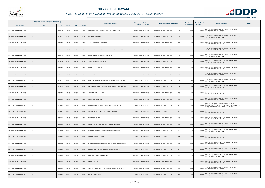

| Registered or other description of the property |               |          |                |       |                | <b>Full Names of Owner(s)</b>                             | Category determined in terms of | Physical address of the property | <b>Extent of the</b> | <b>Market value of</b> | <b>Section 78 Remarks</b>                                                                                                                        | Remarks |
|-------------------------------------------------|---------------|----------|----------------|-------|----------------|-----------------------------------------------------------|---------------------------------|----------------------------------|----------------------|------------------------|--------------------------------------------------------------------------------------------------------------------------------------------------|---------|
| <b>Town Allotment</b>                           | <b>Suburb</b> | Erf Nr   | <b>Portion</b> | Unit  | <b>Section</b> |                                                           | <b>Section 8 of the Act</b>     |                                  | property (HA)        | the property           |                                                                                                                                                  |         |
| SOUTHERN GATEWAY EXT 005                        |               | 00000782 | 00000          | 00000 | 0000           | MAKHUBELA TIYANI DUNCAN / NKWINIKA TELENI CATE            | RESIDENTIAL PROPERTIES          | 782<br>SOUTHERN GATEWAY EXT 005  | 0.0300               |                        | 180,000 SECT 78(1)(c) - SUBDIVIDED OR CONSOLIDATED AFTER<br>THE LAST GENERAL VALUATION                                                           |         |
| SOUTHERN GATEWAY EXT 005                        |               | 00000783 | 00000          | 00000 | 0000           | MABYE MALEKGETHE                                          | RESIDENTIAL PROPERTIES          | 783<br>SOUTHERN GATEWAY EXT 005  | 0.0300               | 180,000                | SECT 78(1)(c) - SUBDIVIDED OR CONSOLIDATED AFTER<br>THE LAST GENERAL VALUATION                                                                   |         |
| SOUTHERN GATEWAY EXT 005                        |               | 00000785 | 00000          | 00000 | 0000           | MAROGA ITUMELENG PATIENCE                                 | RESIDENTIAL PROPERTIES          | 785<br>SOUTHERN GATEWAY EXT 005  | 0.0300               |                        | SECT 78(1)(c) - SUBDIVIDED OR CONSOLIDATED AFTER<br>180,000 THE LAST GENERAL VALUATION                                                           |         |
| SOUTHERN GATEWAY EXT 005                        |               | 00000787 | 00000          | 00000 | 0000           | SINTHUMULE TSHIANEO JEFFREY / SINTHUMULE MMATLOU FRANCINA | RESIDENTIAL PROPERTIES          | SOUTHERN GATEWAY EXT 005<br>787  | 0.0300               |                        | 180,000 SECT 78(1)(c) - SUBDIVIDED OR CONSOLIDATED AFTER<br>THE LAST GENERAL VALUATION                                                           |         |
| SOUTHERN GATEWAY EXT 005                        |               | 00000788 | 00000          | 00000 | 0000           | BALOYI COLLEN / MADZIVHA FUNZANI TINY                     | RESIDENTIAL PROPERTIES          | SOUTHERN GATEWAY EXT 005<br>788  | 0.0300               |                        | 180,000 SECT 78(1)(c) - SUBDIVIDED OR CONSOLIDATED AFTER<br>THE LAST GENERAL VALUATION                                                           |         |
| SOUTHERN GATEWAY EXT 005                        |               | 00000790 | 00000          | 00000 | 0000           | KGOMO MABOYANE KGOPOTSO                                   | <b>RESIDENTIAL PROPERTIES</b>   | 790<br>SOUTHERN GATEWAY EXT 005  | 0.0300               |                        | 180,000 SECT 78(1)(c) - SUBDIVIDED OR CONSOLIDATED AFTER<br>THE LAST GENERAL VALUATION                                                           |         |
| SOUTHERN GATEWAY EXT 005                        |               | 00000792 | 00000          | 00000 | 0000           | SEMENYA NARE JOSIAS                                       | RESIDENTIAL PROPERTIES          | 792<br>SOUTHERN GATEWAY EXT 005  | 0.0300               |                        | 180,000 SECT 78(1)(c) - SUBDIVIDED OR CONSOLIDATED AFTER<br>THE LAST GENERAL VALUATION                                                           |         |
| SOUTHERN GATEWAY EXT 005                        |               | 00000796 | 00000          | 00000 | 0000           | MAFHUNGO THOMPHO VINCENT                                  | RESIDENTIAL PROPERTIES          | 796<br>SOUTHERN GATEWAY EXT 005  | 0.0300               |                        | SECT 78(1)(c) - SUBDIVIDED OR CONSOLIDATED AFTER<br>180,000 THE LAST GENERAL VALUATION                                                           |         |
| SOUTHERN GATEWAY EXT 005                        |               | 00000797 | 00000          | 00000 | 0000           | MOJAPELO MAKOLA ENNOCENTIA / BADIMO SELBY MQHAKAZA        | RESIDENTIAL PROPERTIES          | SOUTHERN GATEWAY EXT 005<br>797  | 0.0461               |                        | 240,000 SECT 78(1)(c) - SUBDIVIDED OR CONSOLIDATED AFTER<br>THE LAST GENERAL VALUATION                                                           |         |
| SOUTHERN GATEWAY EXT 005                        |               | 00000798 | 00000          | 00000 | 0000           | SIBANDE MCDONALD DUMSANE / SIBANDE RAMOKONE TEBOGO        | RESIDENTIAL PROPERTIES          | 798<br>SOUTHERN GATEWAY EXT 005  | 0.0457               |                        | 240,000 SECT 78(1)(c) - SUBDIVIDED OR CONSOLIDATED AFTER<br>THE LAST GENERAL VALUATION                                                           |         |
| SOUTHERN GATEWAY EXT 005                        |               | 00000799 | 00000          | 00000 | 0000           | MONENE MAMALEMA ORIGIN                                    | RESIDENTIAL PROPERTIES          | SOUTHERN GATEWAY EXT 005<br>799  | 0.0300               |                        | 180,000 SECT 78(1)(c) - SUBDIVIDED OR CONSOLIDATED AFTER<br>THE LAST GENERAL VALUATION                                                           |         |
| SOUTHERN GATEWAY EXT 005                        |               | 00000800 | 00000          | 00000 | 0000           | MONJANE DIKELEDI MARY                                     | <b>RESIDENTIAL PROPERTIES</b>   | 800<br>SOUTHERN GATEWAY EXT 005  | 0.0300               |                        | 180,000 SECT 78(1)(c) - SUBDIVIDED OR CONSOLIDATED AFTER<br>THE LAST GENERAL VALUATION                                                           |         |
| SOUTHERN GATEWAY EXT 005                        |               | 00000805 | 00000          | 00000 | 0000           | MASHIANE NAKEDI HARRIET / MASHIANE KGABO JACOB            | RESIDENTIAL PROPERTIES          | SOUTHERN GATEWAY EXT 005<br>805  | 0.0300               |                        | SECT 78(1)(d) - OF WHICH THE MARKET VALUE HAS<br>630,000 SUBSTANTIALLY INCREASED OR DECREASED FOR ANY<br>REASON AFTER THE LAST GENERAL VALUATION |         |
| SOUTHERN GATEWAY EXT 005                        |               | 00000807 | 00000          | 00000 | 0000           | MOSOANE EUREKA / MOSOANE GERIDA MOSHIANE                  | RESIDENTIAL PROPERTIES          | 807<br>SOUTHERN GATEWAY EXT 005  | 0.0300               |                        | SECT 78(1)(c) - SUBDIVIDED OR CONSOLIDATED AFTER<br>180,000 THE LAST GENERAL VALUATION                                                           |         |
| SOUTHERN GATEWAY EXT 005                        |               | 00000808 | 00000          | 00000 | 0000           | RAMERE SELLO ABEL                                         | RESIDENTIAL PROPERTIES          | SOUTHERN GATEWAY EXT 005<br>808  | 0.0300               |                        | 180,000 SECT 78(1)(c) - SUBDIVIDED OR CONSOLIDATED AFTER<br>THE LAST GENERAL VALUATION                                                           |         |
| SOUTHERN GATEWAY EXT 005                        |               | 00000809 | 00000          | 00000 | 0000           | MOYABA MOKGADI DORCUS / MOYABA ERROL MOGALE               | RESIDENTIAL PROPERTIES          | SOUTHERN GATEWAY EXT 005<br>809  | 0.0300               |                        | SECT 78(1)(c) - SUBDIVIDED OR CONSOLIDATED AFTER<br>180,000 THE LAST GENERAL VALUATION                                                           |         |
| SOUTHERN GATEWAY EXT 005                        |               | 00000810 | 00000          | 00000 | 0000           | MAPUNYA DIMAKATSO / MAPUNYA SEKGOARI SEMAKA               | RESIDENTIAL PROPERTIES          | SOUTHERN GATEWAY EXT 005<br>810  | 0.0300               |                        | 180,000 SECT 78(1)(c) - SUBDIVIDED OR CONSOLIDATED AFTER<br>THE LAST GENERAL VALUATION                                                           |         |
| SOUTHERN GATEWAY EXT 005                        |               | 00000811 | 00000          | 00000 | 0000           | RIKHOTSO NOMUSA LYNEN                                     | RESIDENTIAL PROPERTIES          | SOUTHERN GATEWAY EXT 005<br>811  | 0.0300               |                        | SECT 78(1)(c) - SUBDIVIDED OR CONSOLIDATED AFTER<br>180,000 THE LAST GENERAL VALUATION                                                           |         |
| SOUTHERN GATEWAY EXT 005                        |               | 00000812 | 00000          | 00000 | 0000           | NCHABELENG MALESELE LUCIA / PHAKWAGO GHAGANE LONARD       | RESIDENTIAL PROPERTIES          | SOUTHERN GATEWAY EXT 005<br>812  | 0.0300               |                        | SECT 78(1)(c) - SUBDIVIDED OR CONSOLIDATED AFTER<br>180,000 THE LAST GENERAL VALUATION                                                           |         |
| SOUTHERN GATEWAY EXT 005                        |               | 00000813 | 00000          | 00000 | 0000           | SIKONDE MAKOENA IVY / SIKONDE VIKHIMBI MISHACK            | RESIDENTIAL PROPERTIES          | 813<br>SOUTHERN GATEWAY EXT 005  | 0.0300               |                        | 180,000 SECT 78(1)(c) - SUBDIVIDED OR CONSOLIDATED AFTER<br>THE LAST GENERAL VALUATION                                                           |         |
| SOUTHERN GATEWAY EXT 005                        |               | 00000814 | 00000          | 00000 | 0000           | MUMBEDZI LUFHULUVHI BRIDGET                               | RESIDENTIAL PROPERTIES          | SOUTHERN GATEWAY EXT 005<br>814  | 0.0300               | 180,000                | SECT 78(1)(c) - SUBDIVIDED OR CONSOLIDATED AFTER<br>THE LAST GENERAL VALUATION                                                                   |         |
| SOUTHERN GATEWAY EXT 005                        |               | 00000815 | 00000          | 00000 | 0000           | TEFFO LESIBA JOHN                                         | RESIDENTIAL PROPERTIES          | SOUTHERN GATEWAY EXT 005<br>815  | 0.0300               |                        | SECT 78(1)(c) - SUBDIVIDED OR CONSOLIDATED AFTER<br>180,000 THE LAST GENERAL VALUATION                                                           |         |
| SOUTHERN GATEWAY EXT 005                        |               | 00000820 | 00000          | 00000 | 0000           | MADUWA POLELO RUDYARD / MADUWA MMANARE PERTUNIA           | RESIDENTIAL PROPERTIES          | SOUTHERN GATEWAY EXT 005<br>820  | 0.0300               |                        | 180,000 SECT 78(1)(c) - SUBDIVIDED OR CONSOLIDATED AFTER<br>THE LAST GENERAL VALUATION                                                           |         |
| SOUTHERN GATEWAY EXT 005                        |               | 00000832 | 00000          | 00000 | 0000           | <b>BALOYI THABO RONALD</b>                                | RESIDENTIAL PROPERTIES          | 832<br>SOUTHERN GATEWAY EXT 005  | 0.0300               | 180,000                | SECT 78(1)(c) - SUBDIVIDED OR CONSOLIDATED AFTER<br>THE LAST GENERAL VALUATION                                                                   |         |

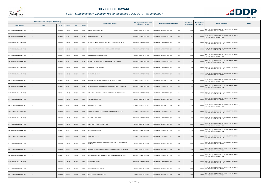

| Registered or other description of the property |               |               |                |       |                |                                                                   | Category determined in terms of |                                  | <b>Extent of the</b> | <b>Market value of</b>                                                                          |         |
|-------------------------------------------------|---------------|---------------|----------------|-------|----------------|-------------------------------------------------------------------|---------------------------------|----------------------------------|----------------------|-------------------------------------------------------------------------------------------------|---------|
| <b>Town Allotment</b>                           | <b>Suburb</b> | <b>Erf Nr</b> | <b>Portion</b> | Unit  | <b>Section</b> | <b>Full Names of Owner(s)</b>                                     | Section 8 of the Act            | Physical address of the property | property (HA)        | <b>Section 78 Remarks</b><br>the property                                                       | Remarks |
| SOUTHERN GATEWAY EXT 005                        |               | 00000833      | 00000          | 00000 | 0000           | MADIBA NGOATO GARNET                                              | RESIDENTIAL PROPERTIES          | 833<br>SOUTHERN GATEWAY EXT 005  | 0.0300               | 180,000 SECT 78(1)(c) - SUBDIVIDED OR CONSOLIDATED AFTER<br>THE LAST GENERAL VALUATION          |         |
| SOUTHERN GATEWAY EXT 005                        |               | 00000835      | 00000          | 00000 | 0000           | MAKOLA RAESIBE LYDIA                                              | <b>RESIDENTIAL PROPERTIES</b>   | 835<br>SOUTHERN GATEWAY EXT 005  | 0.0470               | SECT 78(1)(c) - SUBDIVIDED OR CONSOLIDATED AFTER<br>280,000<br><b>HE LAST GENERAL VALUATION</b> |         |
| SOUTHERN GATEWAY EXT 005                        |               | 00000836      | 00000          | 00000 | 0000           | MALAPANE MAMMESE ZACHARIA / MALAPANE KGALADI MARIA                | <b>RESIDENTIAL PROPERTIES</b>   | 836<br>SOUTHERN GATEWAY EXT 005  | 0.0466               | SECT 78(1)(c) - SUBDIVIDED OR CONSOLIDATED AFTER<br>280,000 THE LAST GENERAL VALUATION          |         |
| SOUTHERN GATEWAY EXT 005                        |               | 00000837      | 00000          | 00000 | 0000           | MUNYAI MBULAHENI PATRICK / MUNYAI OMPHEMETSE                      | <b>RESIDENTIAL PROPERTIES</b>   | 837<br>SOUTHERN GATEWAY EXT 005  | 0.0300               | SECT 78(1)(c) - SUBDIVIDED OR CONSOLIDATED AFTER<br>180,000 THE LAST GENERAL VALUATION          |         |
| SOUTHERN GATEWAY EXT 005                        |               | 00000851      | 00000          | 00000 | 0000           | LESIBE RESHOKETSWE MARTHA                                         | RESIDENTIAL PROPERTIES          | 851<br>SOUTHERN GATEWAY EXT 005  | 0.0300               | SECT 78(1)(c) - SUBDIVIDED OR CONSOLIDATED AFTER<br>180,000<br>THE LAST GENERAL VALUATION       |         |
| SOUTHERN GATEWAY EXT 005                        |               | 00000854      | 00000          | 00000 | 0000           | RAMPEDI GODFREY PIET / RAMPEDI MAKOKO CATHRINE                    | <b>RESIDENTIAL PROPERTIES</b>   | 854<br>SOUTHERN GATEWAY EXT 005  | 0.0328               | SECT 78(1)(c) - SUBDIVIDED OR CONSOLIDATED AFTER<br>200,000 THE LAST GENERAL VALUATION          |         |
| SOUTHERN GATEWAY EXT 005                        |               | 00000856      | 00000          | 00000 | 0000           | MOLEPO PHUTI CHRISTIAN                                            | RESIDENTIAL PROPERTIES          | 856<br>SOUTHERN GATEWAY EXT 005  | 0.0300               | SECT 78(1)(c) - SUBDIVIDED OR CONSOLIDATED AFTER<br>180,000 THE LAST GENERAL VALUATION          |         |
| SOUTHERN GATEWAY EXT 005                        |               | 00000858      | 00000          | 00000 | 0000           | RASIGIDI MASHUDU                                                  | RESIDENTIAL PROPERTIES          | 858<br>SOUTHERN GATEWAY EXT 005  | 0.0300               | SECT 78(1)(c) - SUBDIVIDED OR CONSOLIDATED AFTER<br>180,000 THE LAST GENERAL VALUATION          |         |
| SOUTHERN GATEWAY EXT 005                        |               | 00000859      | 00000          | 00000 | 0000           | MALEKA EDDIE MPHO / MOTIMELE PONTSHO JOSEPHINE                    | RESIDENTIAL PROPERTIES          | 859<br>SOUTHERN GATEWAY EXT 005  | 0.0300               | SECT 78(1)(c) - SUBDIVIDED OR CONSOLIDATED AFTER<br>180,000 THE LAST GENERAL VALUATION          |         |
| SOUTHERN GATEWAY EXT 005                        |               | 00000873      | 00000          | 00000 | 0000           | MABELEBELE NAKEDI ALEX / MABELEBELE MODJADJI JOHANNAH             | <b>RESIDENTIAL PROPERTIES</b>   | 873<br>SOUTHERN GATEWAY EXT 005  | 0.0479               | 290,000 SECT 78(1)(c) - SUBDIVIDED OR CONSOLIDATED AFTER<br>THE LAST GENERAL VALUATION          |         |
| SOUTHERN GATEWAY EXT 005                        |               | 00000874      | 00000          | 00000 | 0000           | LEDWABA MMANKWANA GLENDA / LEDWABA MALESELA SIMON                 | RESIDENTIAL PROPERTIES          | 874<br>SOUTHERN GATEWAY EXT 005  | 0.0475               | SECT 78(1)(c) - SUBDIVIDED OR CONSOLIDATED AFTER<br>290,000 THE LAST GENERAL VALUATION          |         |
| SOUTHERN GATEWAY EXT 005                        |               | 00000876      | 00000          | 00000 | 0000           | <b>TSHABALALA ROBERT</b>                                          | RESIDENTIAL PROPERTIES          | SOUTHERN GATEWAY EXT 005<br>876  | 0.0300               | SECT 78(1)(c) - SUBDIVIDED OR CONSOLIDATED AFTER<br>180,000 THE LAST GENERAL VALUATION          |         |
| SOUTHERN GATEWAY EXT 005                        |               | 00000879      | 00000          | 00000 | 0000           | MANAKA LEDILE SARAH                                               | RESIDENTIAL PROPERTIES          | 879<br>SOUTHERN GATEWAY EXT 005  | 0.0300               | SECT 78(1)(c) - SUBDIVIDED OR CONSOLIDATED AFTER<br>180,000 THE LAST GENERAL VALUATION          |         |
| SOUTHERN GATEWAY EXT 005                        |               | 00000880      | 00000          | 00000 | 0000           | SEBAKE SIPHO KGANTHE / SEBAKE PHELADI MOLEKGETHO                  | <b>RESIDENTIAL PROPERTIES</b>   | 880<br>SOUTHERN GATEWAY EXT 005  | 0.0300               | SECT 78(1)(c) - SUBDIVIDED OR CONSOLIDATED AFTER<br>180,000 THE LAST GENERAL VALUATION          |         |
| SOUTHERN GATEWAY EXT 005                        |               | 00000885      | 00000          | 00000 | 0000           | MANAMELA ELIZABETH                                                | RESIDENTIAL PROPERTIES          | 885<br>SOUTHERN GATEWAY EXT 005  | 0.0300               | SECT 78(1)(c) - SUBDIVIDED OR CONSOLIDATED AFTER<br>180,000 THE LAST GENERAL VALUATION          |         |
| SOUTHERN GATEWAY EXT 005                        |               | 00000886      | 00000          | 00000 | 0000           | MALAHLELA ANNAH MMATSHWEU                                         | <b>RESIDENTIAL PROPERTIES</b>   | SOUTHERN GATEWAY EXT 005<br>886  | 0.0300               | SECT 78(1)(c) - SUBDIVIDED OR CONSOLIDATED AFTER<br>180,000 THE LAST GENERAL VALUATION          |         |
| SOUTHERN GATEWAY EXT 005                        |               | 00000887      | 00000          | 00000 | 0000           | MANAGA MUFUNWAINI                                                 | RESIDENTIAL PROPERTIES          | 887<br>SOUTHERN GATEWAY EXT 005  | 0.0300               | SECT 78(1)(c) - SUBDIVIDED OR CONSOLIDATED AFTER<br>180,000 THE LAST GENERAL VALUATION          |         |
| SOUTHERN GATEWAY EXT 005                        |               | 00000891      | 00000          | 00000 | 0000           | <b>SKOVI INV PTY LTD</b>                                          | <b>RESIDENTIAL PROPERTIES</b>   | 891<br>SOUTHERN GATEWAY EXT 005  | 0.0300               | SECT 78(1)(c) - SUBDIVIDED OR CONSOLIDATED AFTER<br>180,000<br>THE LAST GENERAL VALUATION       |         |
| SOUTHERN GATEWAY EXT 005                        |               | 00000892      | 00000          | 00000 | 0000           | RALIPHASWA NDIDZULAFHI SELINAH / RALIPHASWA MUKONDELELI<br>THOMAS | <b>RESIDENTIAL PROPERTIES</b>   | 892<br>SOUTHERN GATEWAY EXT 005  | 0.0328               | SECT 78(1)(c) - SUBDIVIDED OR CONSOLIDATED AFTER<br>200,000 THE LAST GENERAL VALUATION          |         |
| SOUTHERN GATEWAY EXT 005                        |               | 00000896      | 00000          | 00000 | 0000           | NEMALILI DZIVHULUWANI JACOB / NEMALILI NKHUMELENI PATRICIA        | <b>RESIDENTIAL PROPERTIES</b>   | SOUTHERN GATEWAY EXT 005<br>896  | 0.0300               | SECT 78(1)(c) - SUBDIVIDED OR CONSOLIDATED AFTER<br>180,000<br>THE LAST GENERAL VALUATION       |         |
| SOUTHERN GATEWAY EXT 005                        |               | 00000897      | 00000          | 00000 | 0000           | MOROPANA MATOME HARRY / MOROPANA KWENA RESPECTOR                  | RESIDENTIAL PROPERTIES          | 897<br>SOUTHERN GATEWAY EXT 005  | 0.0300               | SECT 78(1)(c) - SUBDIVIDED OR CONSOLIDATED AFTER<br>180,000<br>THE LAST GENERAL VALUATION       |         |
| SOUTHERN GATEWAY EXT 005                        |               | 00000898      | 00000          | 00000 | 0000           | CHIKUDZA CHALTON                                                  | RESIDENTIAL PROPERTIES          | 898<br>SOUTHERN GATEWAY EXT 005  | 0.0300               | SECT 78(1)(c) - SUBDIVIDED OR CONSOLIDATED AFTER<br>180,000 THE LAST GENERAL VALUATION          |         |
| SOUTHERN GATEWAY EXT 005                        |               | 00000910      | 00000          | 00000 | 0000           | KGWETE MASWISWI IRENE                                             | RESIDENTIAL PROPERTIES          | 910<br>SOUTHERN GATEWAY EXT 005  | 0.0300               | 180,000 SECT 78(1)(c) - SUBDIVIDED OR CONSOLIDATED AFTER<br>THE LAST GENERAL VALUATION          |         |
| SOUTHERN GATEWAY EXT 005                        |               | 00000912      | 00000          | 00000 | 0000           | MILESTEVENS DEV & PROP CC                                         | RESIDENTIAL PROPERTIES          | 912<br>SOUTHERN GATEWAY EXT 005  | 0.0484               | SECT 78(1)(c) - SUBDIVIDED OR CONSOLIDATED AFTER<br>290,000<br>THE LAST GENERAL VALUATION       |         |